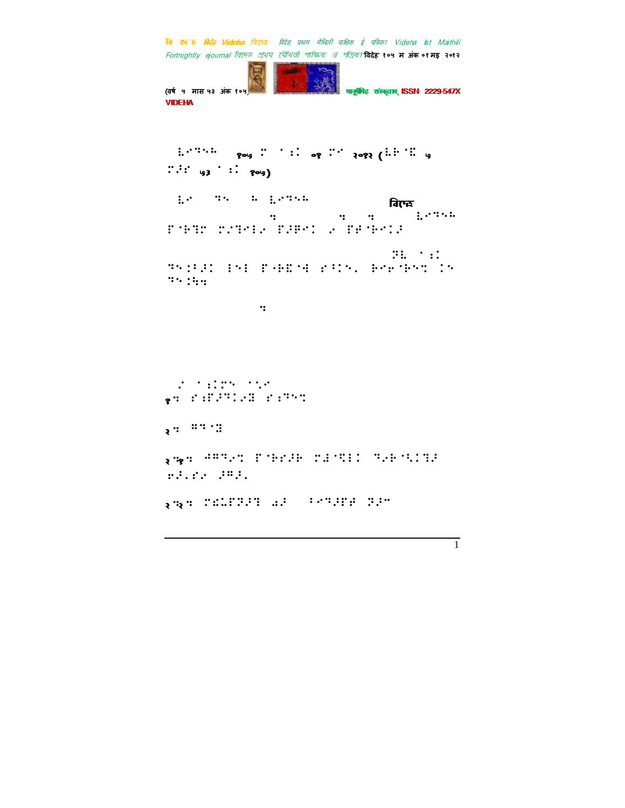बि एक स्टेड Videha विएक विदेह प्रथम मैथिली पाक्षिक ई पत्रिका Videha Ist Maithili Fortnightly ejournal রিদেহ প্রথম মৌথিনী পাক্ষিক প্র পত্রিকা' **বিदेह' १०५ म अंक ०१ मइ २०१२** 



(वर्ष ५ मास ५३ अंक १ **VIDEHA** 

 $\lim_{n \to \infty} \frac{1}{n} \frac{1}{n} \frac{1}{n} \lim_{n \to \infty} \frac{1}{n} \frac{1}{n} \lim_{n \to \infty} \frac{1}{n} \lim_{n \to \infty} \frac{1}{n} \lim_{n \to \infty} \frac{1}{n} \lim_{n \to \infty} \frac{1}{n} \lim_{n \to \infty} \frac{1}{n} \lim_{n \to \infty} \frac{1}{n} \lim_{n \to \infty} \frac{1}{n} \lim_{n \to \infty} \frac{1}{n} \lim_{n \to \infty} \frac{1}{n} \lim_{n \to \infty} \frac$  $\therefore$   $\therefore$   $\frac{1}{93}$   $\therefore$   $\frac{1}{3}$   $\Rightarrow$   $\frac{1}{3}$ 

**SEPTIME SECTION** विरफ्ट  $\mathbb{R}^{1000011}$  $\dddot{\bullet}$ robar rzakis rubki s reobyci

 $P_{11}$   $\cdots$   $P_{n}$ TRIED IN PARTA FAIR, Predent IN  $35.144$ 

 $\ddot{\cdot}$ 

 $\label{eq:2} \begin{split} \mathcal{L}^{\text{eff}} & = \mathcal{L}^{\text{eff}} \mathcal{L}^{\text{eff}} \mathcal{L}^{\text{eff}} + \mathcal{L}^{\text{eff}} \mathcal{L}^{\text{eff}} \end{split}$  $\bullet$  : FHPLAH ri<sup>nor</sup>

 $34.84$   $12.44$ 

gage (ARTICLE TECHNOLOGIC TIENSCHIP  $\mathbb{P}^1,\mathbb{P}^1,\mathbb{P}^1,\mathbb{P}^1,\mathbb{P}^1,\mathbb{P}^1$ 

**SAN PELPRET AR SEPREMENT** 

 $\overline{1}$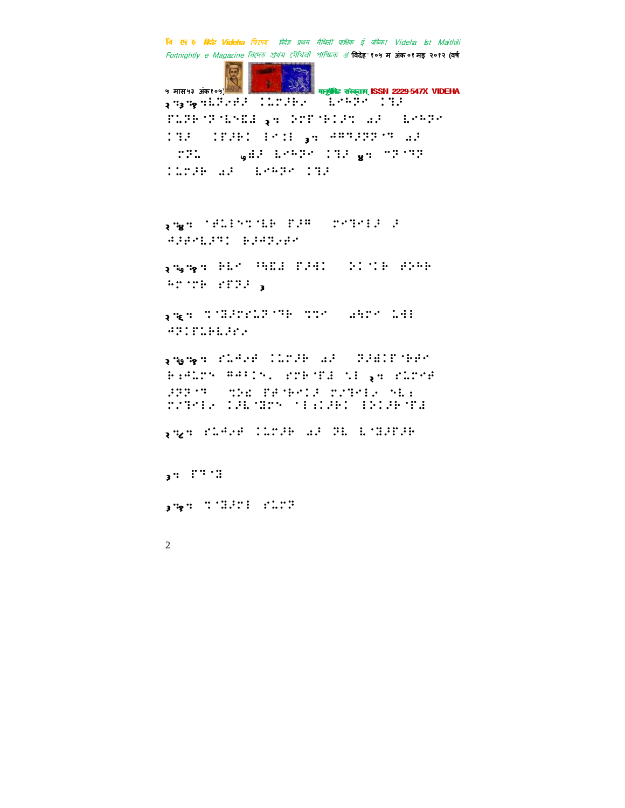बि एक स्टेड Videha विएक विदेह प्रथम मैथिली पाक्षिक ई पत्रिका Videha Ist Maithili Fortnightly e Magazine রিদেত প্রথম মৌথিনী পাক্ষিক প্র' विदेह' १०५ म अंक०१ मइ २०१२ (वर्ष



५ मास५३ अंक१०५) <u>सामग्री</u> मनुभिह संस्कृतम् ISSN 2229-547X VIDEHA gagagan Penggunaan Sumah (Sumah Sumah) FLPP (POLYEL 30) DEFORCES AFT **Salar Band THE INSTEAD OF A SECOND AND** weil are the same way of the  $\mathbb{C}^{\infty}$  .

gage called the function and a ANGKIN BASADA

pagap His Hill PPHI (21718-8288 **Bridge STRA .** 

gage of GUPPER THE ONE CONFERENCE **APIPLELATE** 

gomen sleep (12236 af (2381Pomer Basher Walley, reports they cheed FRIT THE REGELF CORE NEW

rzena (aldre Sillak) ikoafri

gaga shekar (12538 as 36 Brusile)

 $\frac{1}{3}$  :  $\frac{1}{3}$  :  $\frac{1}{3}$  :  $\frac{1}{3}$  :  $\frac{1}{3}$ 

 $\mathcal{L}$ 

 $\frac{1}{3}$  :  $\frac{1}{3}$  :  $\frac{1}{3}$  :  $\frac{1}{3}$  :  $\frac{1}{3}$  :  $\frac{1}{3}$  :  $\frac{1}{3}$  :  $\frac{1}{3}$  :  $\frac{1}{3}$  :  $\frac{1}{3}$  :  $\frac{1}{3}$  :  $\frac{1}{3}$  :  $\frac{1}{3}$  :  $\frac{1}{3}$  :  $\frac{1}{3}$  :  $\frac{1}{3}$  :  $\frac{1}{3}$  :  $\frac{1}{3}$  :  $\frac{1$ 

TEMPE AP SPARE THE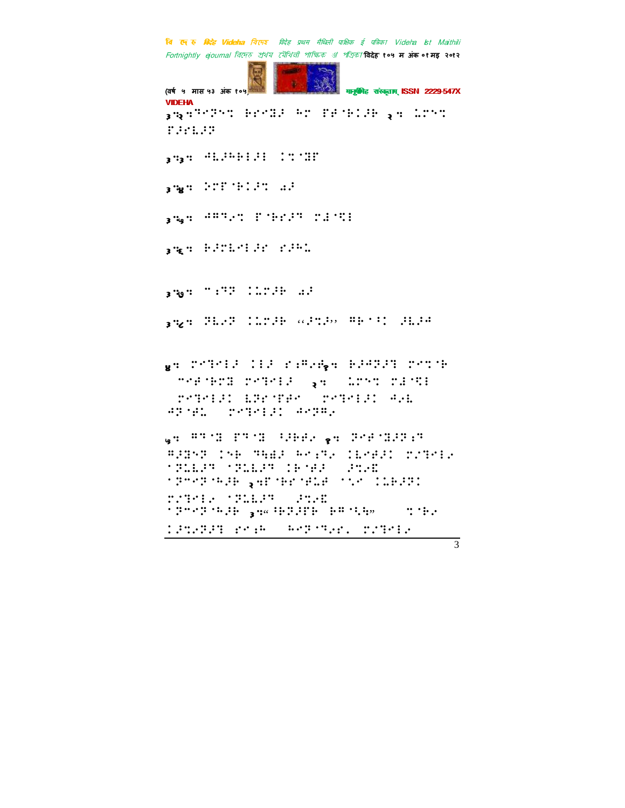Fortnightly ejournal রিদেত প্রথম মৌথিরী পাক্ষিক প্রা পত্রিকা **বিবৈদ্ধ ২০৭ দ अঁক ০१ मइ २०१२**  $\mathbf{g}$  . मानुबेदि संस्कृतम् ISSN 2229-547X (वर्ष ५ मास ५३ अंक १०५) **VIDEHA** sachered break broadchile yourne F.Pri.PP **Angle Hilliers: 1978** sman STP Stift af **ANGLE ARTIST EMPERED WENTER** gage BATERBAY PARL stor PEPP (12028) (2013) WEST PEPP ga reteil (il ramsaga klassi retek Sherbua petera (<sub>an</sub> Ciper pantr repets: ERECHE (repets: AAL APAN PROFILI ARDA W: #172 PT12 (200) 200120121 #PRSP ISB MARP Read, IRSBED MINER \*\*\*\*\*\* \*\*\*\*\* \*\*\*\* \*\*\* **TROOP OF EXAMPLE OF THE SECOND CLEARS** retete (Billet Step **TEMPERE WAREFIELD FROM THE** TROUGH PORT PORTHER CONTOIN  $\overline{3}$ 

बि एक रु मिनेड Videha विएक विदेह प्रथम मैथिली पाक्षिक ई पत्रिका Videha Ist Maithili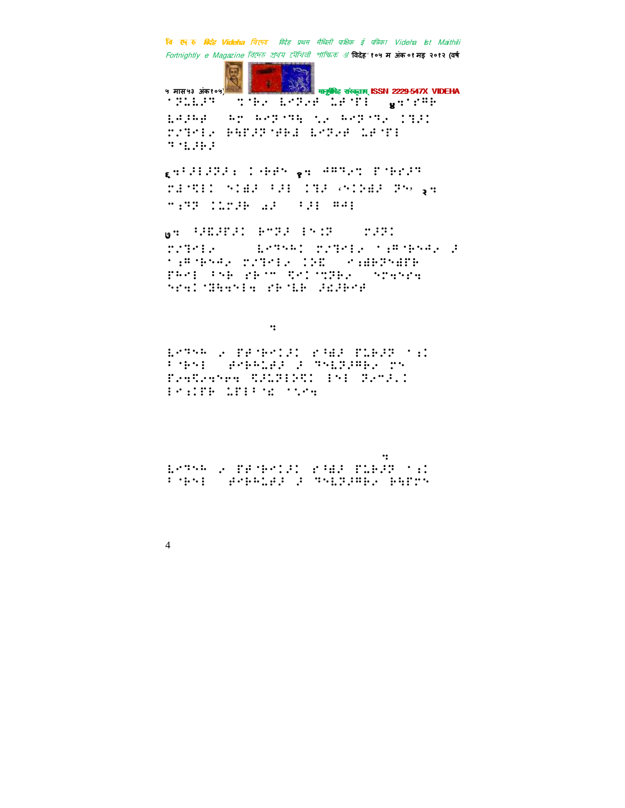चि एत् रू मिन्हे Videha निएन्थ विदेह प्रथम मैथिली पाक्षिक ई पत्रिका Videha Ist Maithili Fortnightly e Magazine বিদেত প্ৰথম মৌথিনী পাক্ষিক প্ৰ**'বিदेह'१०५ म अंक०१ मइ २०१२ (वर्ष** 



५ मास५३ अंक१०५) मानुसिंह संस्कृताम् ISSN 2229-547X VIDEHA ⢽⣅⣇⢼⢹!!⣉⢷⢴!⣇⢽⢴⢾!⣅⢾/2\*!४⣒⢻⢷! ⣇⢺⢼⢳⢾.!⢳!⢳⢽⢹⣓!⣁⢴!⢳⢽⢹⢴!⣙⢼! 1⣙2⢴!⢷⣓/⢼⢽⢾⢷⣜!⣇⢽⢴⢾!⣅⢾/2! ⢹⣇⢼⢷⢼.!!!

 $\epsilon$ silozi (abe  $\epsilon$ silozi ( ⣜⣋2!⣞⢼!A⢼2!⣙⢼!'⢵⣞⢼!⢽' <sup>२</sup>⣒! ^⣐⢹⢽!⣅⢼⢷!⣔⢼.!A⢼2!⢻⢺2!

७ः अस्सास्य 6~29 (⊙.23) 1⣙2⢴^-!\⣇⢹⢳!1⣙2⢴.⣐⢻⢷⢺⢴!⢼! ⣐⢻⢷⢺⢴!1⣙2⢴!⢵⣏!)⣐⣞⢷⢽⣞/⢷! /⢳2!A⢷!⢷^.⣋⣉⢽⢷⢴\*!⣒⣒! ⣒⣝⣓⣒2⣒!⢷⣇⢷!⢼⣎⢼⢷⢾!.Cbtfe!

Ejduje – pobsze pod proces pod proces pod proces pod proces pod proces pod proces pod proces pod proces pod pr<br>Ejduje – pod proces pod proces pod proces pod proces pod proces pod proces pod proces pod proces pod proces po

⣇⢹⢳!⢴./⢾⢷⢼!⢸⣞⢼!/⣅⢷⢼⢽!⣐!)! A⢷2-!⢾⢷⢳⣅⢾⢼!⢼!⢹⣇⢽⢼⢻⢷⢴!!\*! /⢴⣒⣋⢴⣒⢶⣒!⣋⢼⣅⢽2⢵⣋!22!⢽⢴^⢼E! 2⣐/⢷!⣅/2A⣎!⣁⣒!Bmm!uif!pme!

bu!uif!gpmmpxjoh!mjol⣒!! LATHE IN THE END OF THE ENDING: A⢷2-!⢾⢷⢳⣅⢾⢼!⢼!⢹⣇⢽⢼⢻⢷⢴!⢷⣓/!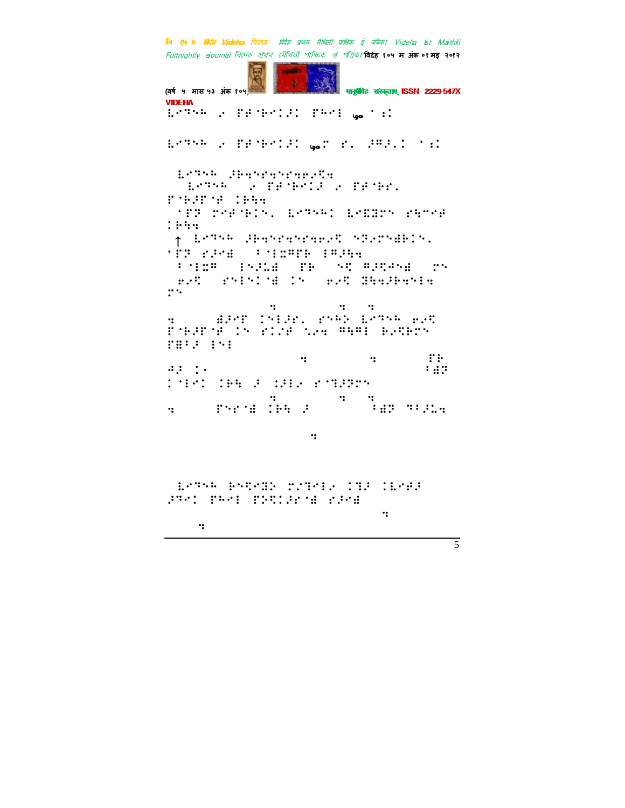चि एत् रू मिन्हे Videha निएन्थ विदेह प्रथम मैथिली पाक्षिक ई पत्रिका Videha Ist Maithili Fortnightly ejournal -  -  'वदेह' १०५ म अंक ०१मइ २०१२

**Service** (वर्ष ५ मास ५३ अंक १०५) मानुषि संस्कृताम् ISSN 2229-547X VIDEHA LATAR & PROBATE PROP Q (1) LATAR & PROPERTY QUE EL PRESIONI !⣇⢹⢳!⢼⢷⣒⣒⣒⢶⢴⣋⣒! !#⣇⢹⢳#!⢴./⢾⢷⢼!⢴./⢾⢷E! /⢷⢼/⢾!⢷⣓⣒! !/⢽!⢾⢷E!⣇⢹⢳!⣇⣏⣝!⣓^⢾!  $:$   $:$   $:$   $:$   $:$ ↑!⣇⢹⢳!⢼⢷⣒⣒⣒⢶⢴⣋!⢽⢴⣞⢷E! /⢽!⢼⣞0!A2⣍⢻/⢷!2⢻⢼⣓⣒!! !A2⣍⢻!#2⢼⣅⣞#!/⢷!#⣋!⢻⢼⣋⢺⣞#!! #⢶⢴⣋#!2⣞!!#⢶⢴⣋!⣝⣓⣒⢼⢷⣒2⣒#! **...** iuuq;00xxx⣒wjefib⣒dp⣒jo0joefy yn / EPP (SIP: 2595 EPP5 EPP5 EP /⢷⢼/⢾!!1⢾!⣁⢴⣒!⢻⣓⢻2!⢷⢴⣋⢷! **PHILE** 1941 ius;00sfbefsqlipphmfdpn0.com **A** is the big and the big and the big and the big and the big and the big and the big and the big and the big and the big and the big and the big and the big and the big and the big and the big and the big and the big and 2!⢷⣓!⢼!⣈⢼2⢴!⣙⢼⢽! iuuq;00xxx⣒wjefib⣒dp⣒jo0joefy  $\mathbf{y} = \mathbf{y} = \mathbf{y} = \mathbf{y} = \mathbf{y} = \mathbf{y} = \mathbf{y} = \mathbf{y} = \mathbf{y} = \mathbf{y} = \mathbf{y} = \mathbf{y} = \mathbf{y} = \mathbf{y} = \mathbf{y} = \mathbf{y} = \mathbf{y} = \mathbf{y} = \mathbf{y} = \mathbf{y} = \mathbf{y} = \mathbf{y} = \mathbf{y} = \mathbf{y} = \mathbf{y} = \mathbf{y} = \mathbf{y} = \mathbf{y} = \mathbf{y} = \mathbf{y} = \mathbf{y} = \mathbf{$  $\mathbf{g}$  is a set of  $\mathbf{g}$  is a set of  $\mathbf{g}$ !⣇⢹⢳!⢷⣋⣝⢵;1⣙2⢴!⣙⢼.⣇⢾⢼!

ius (1983), politica angleški politica (1984), politica (1984), politica (1984), politica (1984), politica (19 ftttt til den stad og den stad og den stad og den stad og den stad og den stad og den stad og den stad og den

(22) / 2011 / 2021 / 2021 / 2022 / 2022 / 2022 / 2022 / 2022 / 2022 / 2022 / 2022 / 2022 / 2022 / 2022 / 20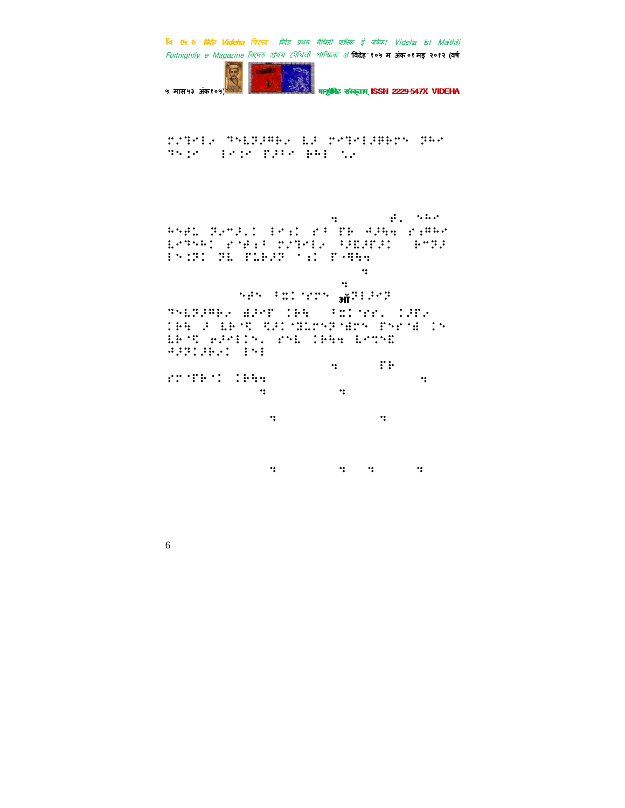चि एत् रू मिन्हे Videha निएन्थ विदेह प्रथम मैथिली पाक्षिक ई पत्रिका Videha Ist Maithili Fortnightly e Magazine বিদেত প্ৰথম মৌথিনী পাক্ষিক প্ৰ**'বিदेह'१०५ म अंक०१ मइ २०१२ (वर्ष** 



५ मास५३ अंक१०५) मानुसीह संस्कृतम् ISSN 2229-547X VIDEHA

1⣙2⢴!⢹⣇⢽⢼⢻⢷⢴!⣇⢼!⣙2⢼⢿⢷!⢽⢳! ⢹⣈0!2⣈!/⢼A!⢷⢳2!⣁⢴-!)dboopu!

## hhbkfoesbAwjefib⣒dpn\*!⢾E!⢳! ⢳⢾⣅!⢽⢴^⢼E!2⣐!⢸!/⢷!⢺⢼⣓⣒!⣐⢻⢳! ⣇⢹⢳!⢾⣐⢸!1⣙2⢴!⢸⢼⣏⢼/⢼0!⢷^⢽⢼! 2⣈⢽!⢽⣇./⣅⢷⢼⢽!⣐!/B⣛⣓⣒!!

## ius (1990), provincia est anno 1990.<br>1900 - Carlo Carlo Carlo Carlo Carlo Carlo Carlo Carlo Carlo Carlo Carlo Carlo Carlo Carlo Carlo Carlo Carlo ius (100 lbvmpomio dpn0vojobha vojoba vojoba vojoba vojoba vojoba vojoba vojoba vojoba vojoba vojoba vojoba vo

## bsj0 | Adden | Anden | Anden | Anden | Anden | Anden | Anden | Anden | Anden | Anden | Anden | Anden | Anden |

⢹⣇⢽⢼⢻⢷⢴!⣞⢼/!⢷⣓-!A⣍E!⢼/⢴!  $^{\circ}$  (FR)  $^{\circ}$  (EF)  $^{\circ}$  (FR)  $^{\circ}$  (FR)  $^{\circ}$  (FR)  $^{\circ}$  (FR)  $^{\circ}$  (FR)  $^{\circ}$  (FR)  $^{\circ}$  (FR)  $^{\circ}$  (FR)  $^{\circ}$  (FR)  $^{\circ}$  (FR)  $^{\circ}$  (FR)  $^{\circ}$  (FR)  $^{\circ}$  (FR)  $^{\circ}$  (FR)  $^{\circ}$  (FR)  $^{\circ}$  (FR)  $^{\circ}$ LE TE SERIES PRESS IPHS LATTE ⢺⢼⢽⢼⢷⢴!22!

hhbkfoesbAwjefib⣒dpn!/⢷! /⢷!⢷⣓⣒\*)Vtf!Gjsfgpy!5⣒1!  $\mathbf{Q}$  ) and  $\mathbf{Q}$  (  $\mathbf{Q}$  ) and  $\mathbf{Q}$  (  $\mathbf{Q}$  ) and  $\mathbf{Q}$ 

 $\mathcal{G}$  =  $\mathcal{G}$  =  $\mathcal{G}$  =  $\mathcal{G}$  =  $\mathcal{G}$  =  $\mathcal{G}$  =  $\mathcal{G}$ 

ius de la component de la component de la component de la component de la component de la component de la comp<br>Distribution de la component de la component de la component de la component de la component de la component d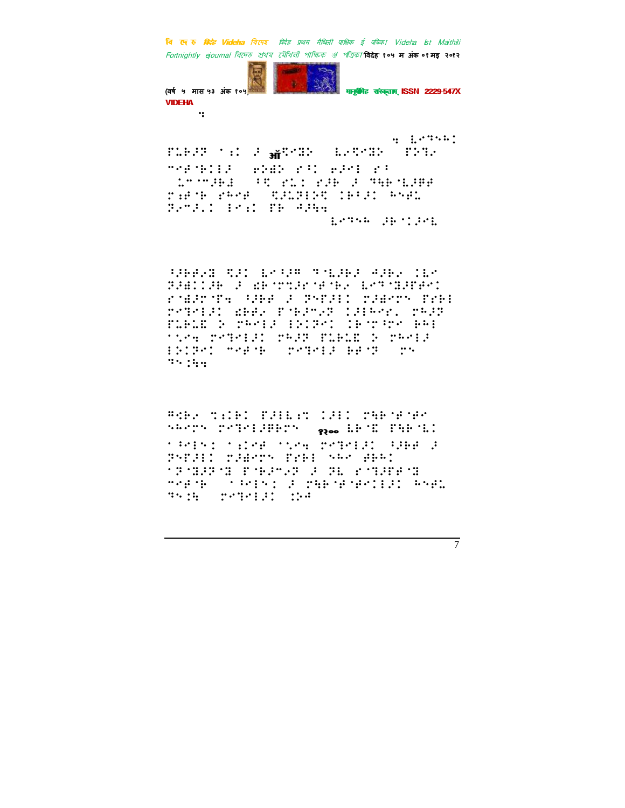चि एत् रू मिन्हे Videha निएन्थ विदेह प्रथम मैथिली पाक्षिक ई पत्रिका Videha Ist Maithili Fortnightly ejournal -  -  'वदेह' १०५ म अंक ०१मइ २०१२



 $q = 1.0399991$ /⣅⢷⢼⢽!⣐!⢼!ऑ⣋⣝⢵0!⣇⢴⣋⣝⢵0!/⢵⣙⢴0! ^⢾⢷2⢼0!⢶⢵⣞⢵!⢸!⢶⢼2!⢸! )⣅^^⢼⢷⣜-!A⣋!⣅⣈!⢼⢷!⢼!⢹⣓⢷⣇⢼⢿⢾!  $T$ :P  $^+$  P  $^+$  P  $^+$  P  $^+$  P  $^+$  P  $^+$  P  $^+$  P  $^+$  P  $^+$  P  $^+$  P  $^+$  P  $^+$  P  $^+$  P  $^+$  P  $^+$  P  $^+$  P  $^+$  P  $^+$  P  $^+$  P  $^+$  P  $^+$  P  $^+$  P  $^+$  P  $^+$  P  $^+$  P  $^+$  P  $^+$  P  $^+$  P  $^+$  P  $^+$  P  $^+$  P ZANI EN E PRO !WJEFIB!BSDIJWF!⣇⢹⢳!⢼⢷⢼⣇!

⢸⢼⢷⢾⢴⣝!⣋⢼!⣇⢸⢼⢻!⢹⣇⢼⢷⢼!⢺⢼⢷⢴!⣇-! ⢽⢼⣞⢼⢷!⢼!⣎⢷⣉⢼⢾⢷⢴!⣇⢹⣝⢼/⢾! ⣞⢼/⣒!⢸⢼⢷⢾!⢼!⢽/⢼2!⢼⣞!/⢷2!  $2^{\circ}$ /⣅⢷⣅⣏!⢵!⢳2⢼!2⢵⢽!⢷⢸!⢷⢳2!  $\tilde{T}$ 2⢵⢽!^⢾⢷!(⣙2⢼!⢷⢾⢽(!! ⢹⣈⣓⣒!!

⢻⣊⢷⢴.⣉⣐⢷!/⢼2⣇⣐⣉!⢼2!⣓⢷⢾⢾-! SARTS TRIPLEFETS and LETE THE LI ⢸2⣈!⣐⢾!⣁⣒!⣙2⢼!⢸⢼⢷⢾!⢼! ⢽/⢼2!⢼⣞!/⢷2!⢳!⢾⢷⢳! ⢽⣝⢼⢽⣝!/⢷⢼^⢴⢽!⢼!⢽⣇!⣙⢼/⢾⣝-! ^⢾⢷-!⢸2⣈!⢼!⣓⢷⢾⢾2⢼!⢳⢾⣅! ⢹⣈⣓!(⣙2⢼!⣈⢵⢺(!!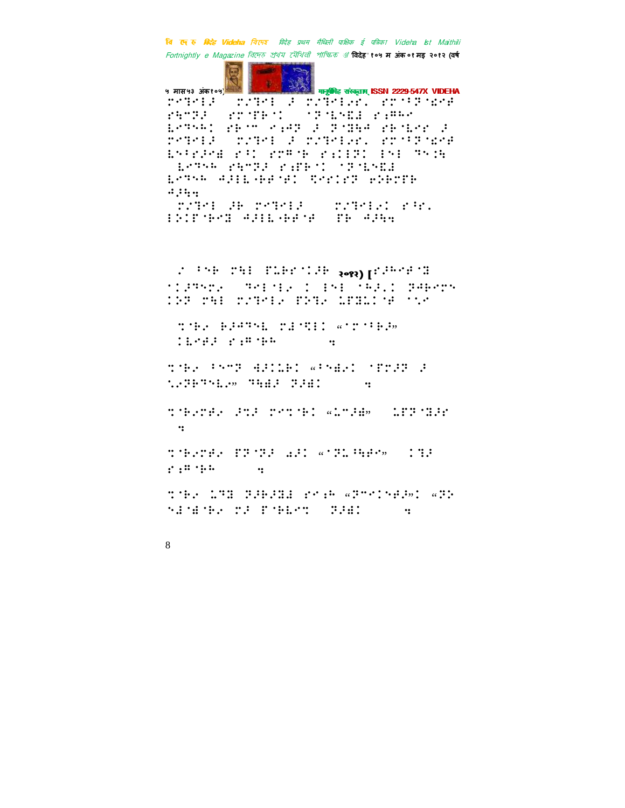the Profession where from P there at report with the transfer  $\dddot{\mathbf{r}}$ **TERMS FREE AS WILLIAM ITS**  $\mathcal{L}^{\text{max}}$ the 193 SPEPED red wPreters, wPP

**NETHT THE POSSIBLE REAL PROPERTY OF A** 

8

THE BREEK TRUE WITHER Industry State State State State  $\dddot{\bullet}$ :

 $\left\| \mathcal{E} \right\| \leq \left\| \mathcal{E} \right\| \leq \left\| \mathcal{E} \right\| \leq \left\| \mathcal{E} \right\| \leq \left\| \mathcal{E} \right\| \leq \left\| \mathcal{E} \right\| \leq \left\| \mathcal{E} \right\| \leq \left\| \mathcal{E} \right\| \leq \left\| \mathcal{E} \right\| \leq \left\| \mathcal{E} \right\| \leq \left\| \mathcal{E} \right\| \leq \left\| \mathcal{E} \right\| \leq \left\| \mathcal{E} \right\| \le$ 

STORAGE CREATED IN 1941 SAFET BARSEN 198 PHE PATHIS FRIS LEBLINE MAY

**AND STREET IN SECTION OF STREET IN STREET IN STREET IN STREET IN STREET IN STREET IN STREET IN STREET IN STREET** ५ मास५३ अंक१०५) PART & PARTIES, PROFESSOR  $29.39933$ FATER STORES OFFICIAL FIRE Skandel (1967) (1968) 2012-1964 (1968-1961) 2013<br>Ingles (1971-1972) 2013-1974 (1972-1974) ESPERAN PROPERTY PERMIT PSIN ESTAR PROTE PATENT OF GALA L'ISA ARILANTAI CANIN RIPIP  $4.344$ 



**CONTRACT ASSESSMENT CONTRACT** 

and the contract of the contract of the contract of the contract of the contract of the contract of the contract of the contract of the contract of the contract of the contract of the contract of the contract of the contra

बि एक रु मिनेड Videha विएक विदेह प्रथम मैथिली पाक्षिक ई पत्रिका Videha Ist Maithili Fortnightly e Magazine রিদেহ প্রথম মৌথিনী পাক্ষিক প্র **বিदेह : ১০৭ म अंक ०१ मइ २०१२ (वर्ष**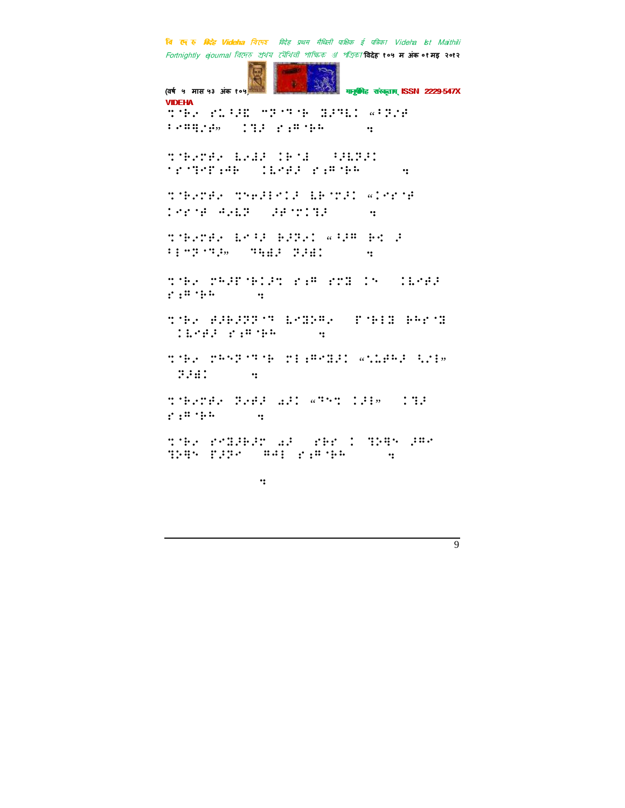बि एक स्टेड Videha विएक विदेह प्रथम मैथिली पाक्षिक ई पत्रिका Videha Ist Maithili Fortnightly ejournal রিদেহ প্রথম মৌথিনী পাক্ষিক প্র পত্রিকা' **বিदेह' १०५ म अंक ०१ मइ २०१२** 



**VIDEHA** 

TORATES TORRESTS EROTED WINKING lerg Agus (Arrith)  $\dddot{\mathbf{r}}$ 

THERE ESP BREE WHE BE P  $\dddot{\bullet}$ 

THE TRAP SEEM FAR FTE IN TERRE  $2.143344$  $\dddot{\mathbf{r}}$ 

the SHOPP' ROBBY FOR PRICE tished rimshed  $\dddot{\mathbf{r}}$ 

the response rightly wided with **WEB**  $\mathbf{r}$ 

there had all stat class the  $\mathcal{C}^{\mathcal{A}}$  :  $\mathcal{C}^{\mathcal{B}}$  ,  $\mathcal{C}^{\mathcal{B}}$  ,  $\mathcal{C}^{\mathcal{B}}$  $\dddot{\phantom{1}}$ 

TORY POIPERS AF OPEN I THROUGH nes ne an electronic  $\bullet$ 

 $\ddot{\cdot}$ 

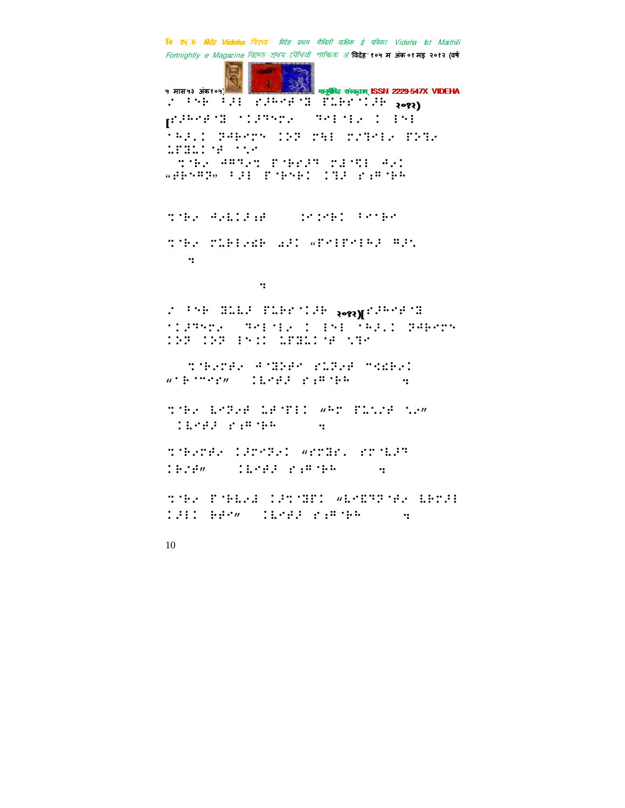बि एक स्टेड Videha विएक विदेह प्रथम मैथिली पाक्षिक ई पत्रिका Videha Ist Maithili Fortnightly e Magazine রিদেত প্রথম মৌথিনী পাক্ষিক প্র' विदेह' १०५ म अंक ०१ मइ २०१२ (वर्ष



५ मास५३ अंक१०५) मनुभिह संस्कृतम् ISSN 2229-547X VIDEHA ROBERT SIPPER CREATE IN 191 **TRACK PARTY INF THE TITMES TYTE** drama da conse STEP ARTES PORCH SEND AND **WHENHOW PILE PONSET ITS PARTNE** 

the Addition (Stock) from a TTES TIBLEME AND WPERFIES WAY  $\cdot$ :

 $\dddot{\mathbf{r}}$ 

 $\mathbb{C}^{n-1,1}(\mathbb{H}^{n-1}_{\mathbb{C}}\mathbb{H}^{n},\mathbb{H}^{n-1}_{\mathbb{C}}\mathbb{H}^{n-1}_{\mathbb{C}}\mathbb{H}^{n-1}_{\mathbb{C}}\mathbb{H}^{n-1}_{\mathbb{C}}\mathbb{H}^{n-1}_{\mathbb{C}}\mathbb{H}^{n-1}_{\mathbb{C}}\mathbb{H}^{n-1}_{\mathbb{C}}\mathbb{H}^{n-1}_{\mathbb{C}}\mathbb{H}^{n-1}_{\mathbb{C}}\mathbb{H}^{n-1}_{\mathbb{C}}\mathbb{H}^{n-1}_{$ STORAGE CRAINING IN 1941 PAD.I DABAGA 

there and core today  $\mathbf{w}^*$  is the space of the space of the space  $\mathbf{w}$  and  $\mathbf{w}$  and  $\mathbf{w}$  and  $\mathbf{w}$  and  $\mathbf{w}$ 

the Esternative wer fluid ter tisk rimsk  $\mathbf{r}$ 

there large work ander  $\mathbf{1} \oplus \mathbf{1} \oplus \mathbf{1} \oplus \mathbf{1} \oplus \mathbf{1} \oplus \mathbf{1} \oplus \mathbf{1} \oplus \mathbf{1} \oplus \mathbf{1} \oplus \mathbf{1} \oplus \mathbf{1} \oplus \mathbf{1} \oplus \mathbf{1} \oplus \mathbf{1} \oplus \mathbf{1} \oplus \mathbf{1} \oplus \mathbf{1} \oplus \mathbf{1} \oplus \mathbf{1} \oplus \mathbf{1} \oplus \mathbf{1} \oplus \mathbf{1} \oplus \mathbf{1} \oplus \mathbf{1} \oplus \mathbf{$  $\ddot{\phantom{1}}$ 

THE PHEED COTTON WESTFIED BETH ISI HP4 (LANG PARTH)  $\mathbf{r}$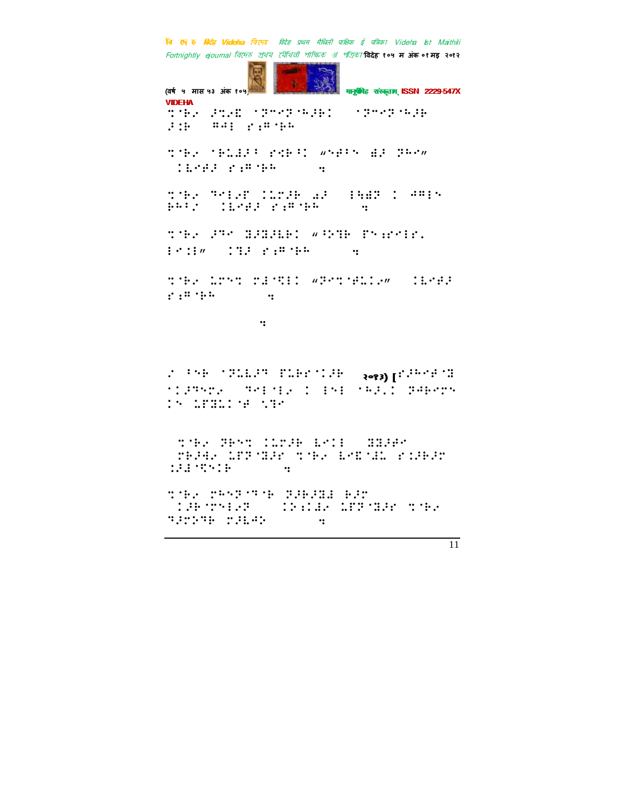बि एक स्टेड Videha विएक विदेह प्रथम मैथिली पाक्षिक ई पत्रिका Videha Ist Maithili Fortnightly ejournal ৱিদেত প্ৰথম মৌথিৱী পাক্ষিক প্ৰা পত্ৰিকা**'বিदेह' १०५ म अंक ०१ मइ २०१२** 



 $\overline{11}$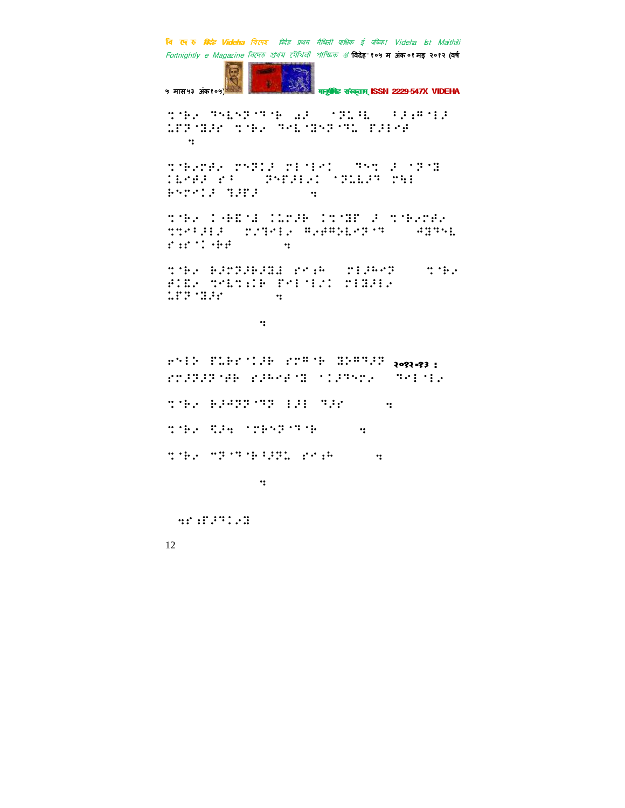चि एत् रू मिन्हे Videha निएन्थ विदेह प्रथम मैथिली पाक्षिक ई पत्रिका Videha Ist Maithili Fortnightly e Magazine বিদেত প্ৰথম মৌথিনী পাক্ষিক প্ৰ**'বিदेह'१०५ म अंक०१ मइ २०१२ (वर्ष** 



⣉⢷⢴!⢹⣇⢽⢹⢷!⣔⢼!#⢽⣅⢸⣇#)A⢼⣐⢻2⢼! 1PP/BP (1992) 1992<br>|-<br>| 2 22 × 22 × 22 × 22 × 22

 $^{\prime}$  . The star of the star of the star of the star of the star of the star of the star of the star of the s  $\texttt{[1:2:2:1]}$   $\texttt{[2:1:2:1]}$   $\texttt{[2:2:2:1]}$   $\texttt{[2:2:2:1]}$ **SANTI SEE 2018** 

⣉⢷⢴!B⢷⣏⣜!⣅⢼⢷!⣉⣝/!⢼!⣉⢷⢴⢾⢴! ⣉⣉A⢼2⢼.!1⣙2⢴!⢻⢴⢾⢻⢵⣇⢽⢹!)!⢺⣝⢹⣇! ⣐B⢷⢾\*!!22⣒:&!!!!!

⣉⢷⢴!⢷⢼⢽⢼⢷⢼⣝⣜!⣐⢳!#2⢼⢳⢽#!)⣉⢷⢴! #1E- "PESSIB PPESET TEERS  $\frac{1}{2}$   $\frac{1}{2}$   $\frac{1}{2}$   $\frac{1}{2}$   $\frac{1}{2}$   $\frac{1}{2}$   $\frac{1}{2}$   $\frac{1}{2}$   $\frac{1}{2}$   $\frac{1}{2}$   $\frac{1}{2}$   $\frac{1}{2}$   $\frac{1}{2}$   $\frac{1}{2}$   $\frac{1}{2}$   $\frac{1}{2}$   $\frac{1}{2}$   $\frac{1}{2}$   $\frac{1}{2}$   $\frac{1}{2}$   $\frac{1}{2}$   $\frac{1}{2}$ 

Puifs; 2002. The Contract of the Contract of the Contract of the Contract of the Contract of the Contract of the Contract of the Contract of the Contract of the Contract of the Contract of the Contract of the Contract of t

 $P$ 2012  $P$  .  $P$  :  $P$  :  $P$  :  $P$  :  $P$  :  $P$  :  $P$  :  $P$  :  $P$  :  $P$  :  $P$  :  $P$  :  $P$  :  $P$  :  $P$  :  $P$  :  $P$  :  $P$  :  $P$  :  $P$  :  $P$  :  $P$  :  $P$  :  $P$  :  $P$  :  $P$  :  $P$  :  $P$  :  $P$  :  $P$  :  $P$  :  $P$  :  $P$  :  $P$  :  $P$  ⢼⢽⢼⢽⢾⢷!⢼⢳⢾⣝!⢼⢹⢴-!⢹22⢴!

⣉⢷⢴!⢷⢼⢺⢽⢽⢹⢽!2⢼2!⢹⢼!!65⣒7:&!!!!!

⣉⢷⢴!⣋⢼⣒!⢷⢽⢹⢷!!32⣒99&!!!!!

⣉⢷⢴!^⢽⢹⢷⢸⢼⢽⣅!⣐⢳!!32⣒99&!!!!!

Puifs: 2008. The Contract of the Contract of the Contract of the Contract of the Contract of the Contract of the Contract of the Contract of the Contract of the Contract of the Contract of the Contract of the Contract of t

2⣒⣐/⢼⢹⢴⣝!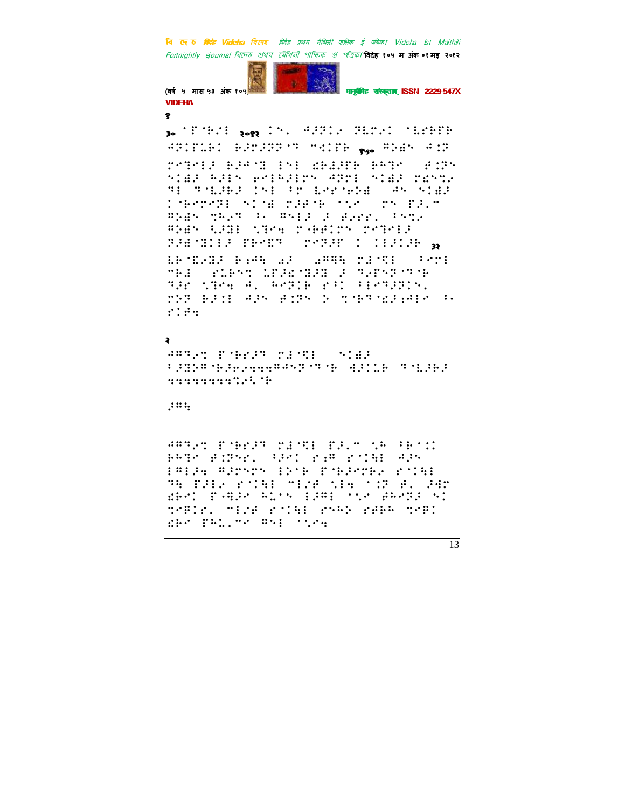बि एक रु मिनेट Videha विएक विदेह प्रथम मैथिली पाक्षिक ई पत्रिका Videha Ist Maithili Fortnightly ejournal রিদেত শ্রথম মৌথিনী পাক্ষিক প্রাণবিলিক বা স্বার্ক ১৭ মন্ত ২০৭২



(वर्ष ५ मास ५३ अंक १०५ **VIDEHA** 

 $\mathbf{S}$ 

30 TECHNIE GOOGLE'S ANDERS DEPARTMENT HPIELEI EJELPPIN MKIER <sub>890</sub> PPEN FIP reneif blach is: Ebiline bane (Birs SIEP RAIS POIRAIDS ANDI SIEP DESDA TE TALAKA INE AT ENTANE (AN NIEA l'Brorge Sine oggine circ di Palm<br>Angs delt Progeta a Genni Psol #N#S RPHE STRACT-B#ITS TRTPEP PARTNER PRODUCTORE I INFIANCE ERMISING REAR AND APPROVEMENT COMMI MRI (KLENT LEVENIVE I MAENENMAR TAP NEPH AL APPIE PAIL PEPTARING THE BEST ARM BINM IN THE MERGED A rtin.

 $\mathbf{z}$ 

WHIPS PORTH TEST STEP **CONFIDENTIAL CONTROL** \*\*\*\*\*\*\*\*\*\*\*\*\*\*

 $\ldots$ 

APRAID PORTED MESSED IN CHAIR TENDE PRESERVED PRISE PART AN PRIN RIDGE BYE PORPOR POIN TH EACH POINT MINE NEW YOR ALL ART abel Pompe Wick Himp circ propr of SPECK, MEZE KOLAE KNAD KABA SPEC der Paller was Side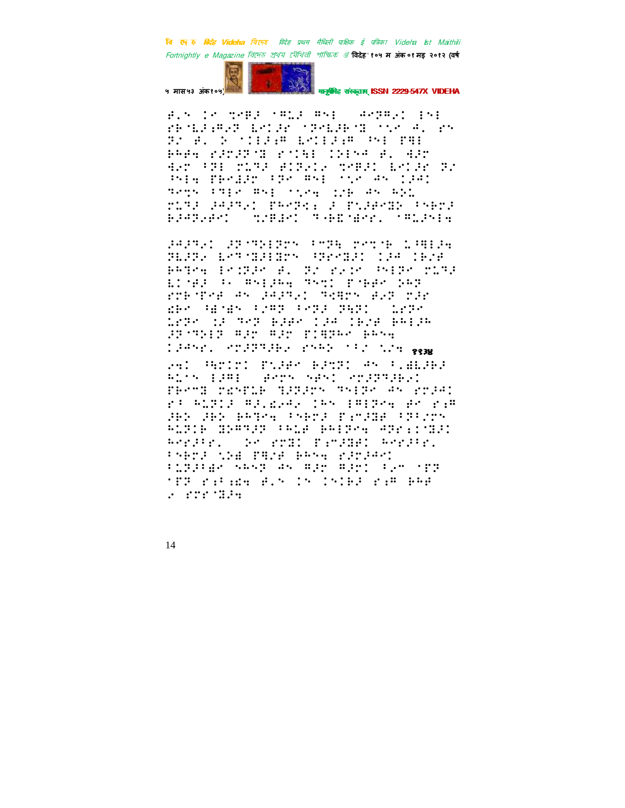बि एक रु मिनेट Videha विएक विदेह प्रथम मैथिली पाक्षिक ई पत्रिका Videha Ist Maithili Fortnightly e Magazine রিদেহ প্রথম মৌথিনী পাক্ষিক প্র **বিदेह १०५ म अंक ०१ मइ २०१२ (वर्ष** 



५ मास५३ अंक१०५)

मानूब्रीह संस्कृतम् ISSN 2229-547X VIDEHA

B.S. De Media (8018-858) (Bedroom 151 PRODUCED BOIRN OPOLIBOS ON ALL PR ar A. S (1114 Leilia <sup>n</sup>eal mai PRA 2323278 27151 12154 B. AGY der føllere aløele medel belge oc<br>Smig føeder føe dmi ste am 1941 Tens PTP RSP the Collection RDL rita agati mengi admawan teng BRATARY TORRY TARGAY SALPHA

PARTE STORES FOR STREET TO A SHEER BEDDA EPPHELIER (BEPERT 19471674 BRIGH BROSS B. S. Sanct BBS S. EDGE BY WHERE YOU POHEN DAY robject an adaptive moden did car der Gride frag from Sagt (1898 1898 12 MAR BJBA 134 1628 64134 Brunir war war plane bese lleng, spleele pher til the <sub>ssa</sub>

AC MOST PURP ROOT AN FINING Rink (SP) (Prononent roseppier) FROM CENTLE HARACH THERE AN ECAN ri Aldia Allevay (An 1813ng An riA HB HB BATE (PART TYTH (TPICT) PLPIE GRAMAR (PRLA PRIPHA APPLEINGA) SP PTH PETHER POPPER.  $\mathbf{L} \mathcal{L} \mathcal{L} \mathcal{L} \mathcal{L} \mathcal{L} \mathcal{L} \mathcal{L} \mathcal{L} \mathcal{L} \mathcal{L}$ President para esta president figures sasp as may may: time run 199 rilde f.n (n 1536) rim BAF  $\therefore$  and the set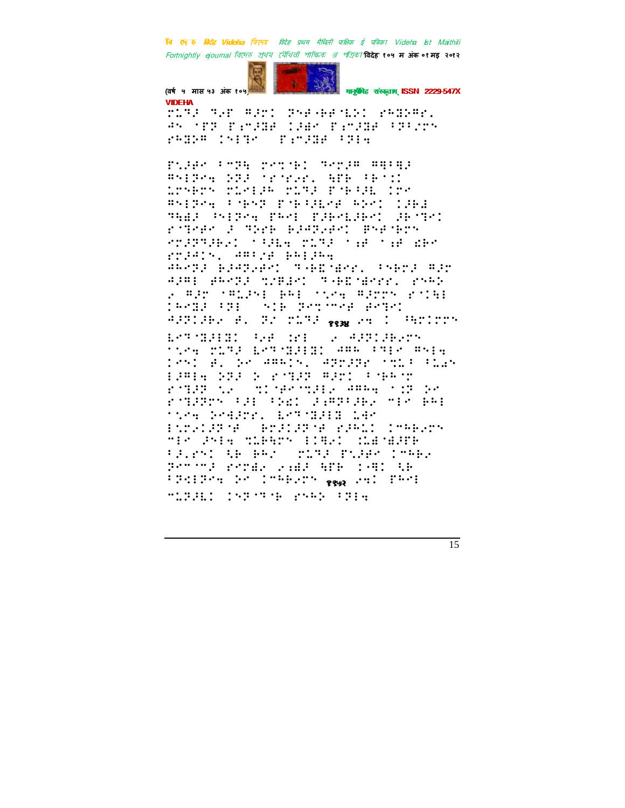बि एक रु मिनेट Videha विएक विदेह प्रथम मैथिली पाक्षिक ई पत्रिका Videha Ist Maithili Fortnightly ejournal রিদেত প্রথম মৌথিনী পাক্ষিক প্রা পত্রিকা' **বিदेह' १०५ म अंक ०१ मड़ २०१२** 



मानुब्रीह संस्कृतम् ISSN 2229-547X

(वर्ष ५ मास ५३ अंक १०५) **VIDEHA** 

MINE NAP REMOVEMENDEMINI PRINRY. AN YEB EYMIA COAN EYMIA SPONN **SANSA MATER STATE PRIS** 

Pile Cong perspicered squa #SIPPH DPF Trinch, APR FRID LOSEO OLSER OLSE PSEHE IOS #SPPS FMPS PMPHESE PROTORE SAND STREETED PRESERVE RESTU riede a Syrk Hagean Breiber spraces: Same plan the the des grads, amigo papang ARRIE BIATZARI TABINARI (1585) AIR APRE BRATE TITLET TABINEARY STREET 2 Adrie Alder Aktorike Adrie Krigt IRMEA PRESSORE RATIONAL AMERI HARDARY R. R. M.W. . . . . . HELDER EST MENER (1980) DEL 1990 APRILHENDS<br>1998 - DIRE (EST MENER) APRILIANEN (1994) Test B. De ARADs, APPLER (1818-3125) 19814 223 2 27192 8921 57857 rings that withermall again the br Polino (PRI PRI PRIPAR of PRI tice beager, bettaged bar ENTAINER (BEALING PARLI IMPRATH MER PRIN MIRRY BIREL MEMBRE FRIEND AB BAZ (2178 PVBR) CMABY Brook rooms what APB (1911-18 PRIPER DE IMPRODUMENT PRO

**MINIMUM INTO PART STEE**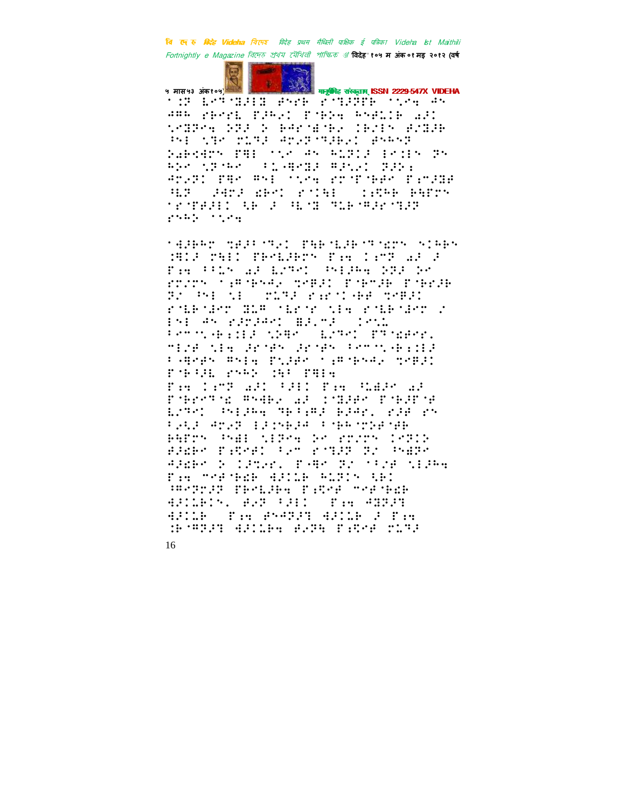बि एक रु मिनेट Videha विएक विदेह प्रथम मैथिली पाक्षिक ई पत्रिका Videha Ist Maithili Fortnightly e Magazine রিদেহ প্রথম মৌথিনী পাক্ষিক প্র **বিदेह १०५ म अंक ०१ मइ २०१२ (वर्ष** 



**AND STREET SERVICES AND STREET AND STREET AND STREET AND STREET AND STREET AND STREET AND STREET AND STREET AND STREET AND STREET AND STREET AND STREET AND STREET AND STREET AND STREET AND STREET AND STREET AND STREET AND** ५ मास५३ अंक१०५) tir betagningse fanger tie as and great fing: farge beach Aff tropped 1993 in Barroline, CB216 B2030B Police Shake Assembly, Bower Sibedon PAI (151 An A1913 Indin 95 We STORY CONSTRUCTION TENDS AMARI PRO RNE SNOW YMSPIAEO PYMARA H.P. JAPJ ERM POSE (1896 RAPP) **MOTHALL AREA HEME TORMAN MAP**  $\label{eq:3} \frac{1}{2} \left( \mathcal{N} \left( \mathcal{N} \right) \right) = \frac{1}{2} \left( \mathcal{N} \left( \mathcal{N} \right) \right)$ 

**SANDARY MANUFACT PARTNERS MENUSCHER** MOS MAID MAGAZAMA Pia CimP al 2 Fam PRIN AS ESTAD PHOPMA DES DA POINT THROUGH THEI POUR POUR de Granda (original papel de Crema)<br>postedaro dismoderor diacordia de C 151 45 2323421 B3.53 (  $\mathcal{L}$  .  $\mathcal{L}$ Personalità spacificano progene. MEZE SEA JENES JENES FRYNCHAIED Pagego woją pojąc nąwnego organ rusu rek de me ra 1973 AC FAIL Partnar AP Poberte Premius competitorine provide the change of the provide the second state of the second state of the second state of the second state of the second state of the second state of the second state of the second state of the second state of the seco PALE AMAR ESTABLE PORTUNEORE BATTS PARE SERGE DO STITUS ISTIC RANK PROFI FAM ROBER BY PARK Alder & Clase, Page Rootich Silke re wether Affar Alfr (A) SUPPRESS PRODUCED PAROL SOFTENED 4998 - 1990 - 1990 - 1990 - 1990 - 1990 - 1990 - 1990 - 1990 - 1990 - 1990 - 1990 - 1990 - 1990 - 1990 - 1990 SPORTE ARIGHT AVEN FAROE SLEP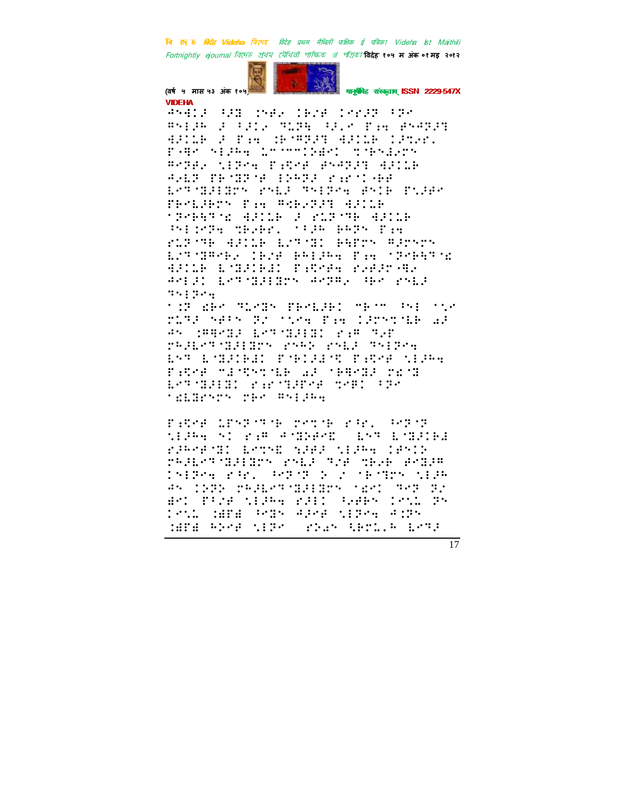बि एक रु मिनेट Videha विएक विदेह प्रथम मैथिली पाक्षिक ई पत्रिका Videha Ist Maithili Fortnightly ejournal রিদেত শ্রথম মৌথিনী পাক্ষিক প্রাণবিলিক বা স্বার্ক ১৭ মন্ত ২০৭২



(वर्ष ५ मास ५३ अंक १०५) **VIDEHA** 

मानुभीह संस्कृतम् ISSN 2229-547X

ANGLE PAR THEY CENE CYPAR FRY BRIGHT FOR THE GLACIER SPARE BRIDGE FALLBYFRAT BRIDGE IPDA. PARK SERA COMMISSION STRAINES Brown (1984 Cicro Bradeo Science PALE TEMPE (PRES PART) HE ESTARRITH PHR THIRS RNIE PURP TE-LIET TH WEDDED BILLE **TREATE ANILY A RIPTH ANILY** Pricele Sheer, Standard Pig FLITE ARILE LYTTE PATTS WRTST ESTANDAR CREA BRIGHT TEL 1708873 800 - 1000 - 1000 - 1000 - 1000 - 1000 - 1000 - 1000 - 1000 - 1000 - 1000 - 1000 - 1000 - 1000 - 1000 - 1000 -Anist Letterares Andal He rale  $3.43344$ 

n 12 den jalhar (Perbael Stein (Presintr miss were by the family when as as garded betonded raw thr released allers and and and and EST EMBIEDE PALBER PARA MIPH FARM MINRYNIE AF MEERINGEN EST MEERS SAN MEESE MSEL FRA **TELENTY THA WAITER** 

PARA LESTAN PATNE PAR L'ATAR MIRA SI KAR AMBARK (19701-2001) rawers: Leter Sada Sidwe (2513) reductionships and the mean achie DAIRES KARL APROPORTA MEMBRO SIPH 85 (1931 TREEPT MEERTS (1891 TRE 31 ari poze vijek zjil overš lruž 95 <u> 1951 - MBA (PSS) Alexandrov, Adde</u> MHE SPAR NIRE Min Wern, Warner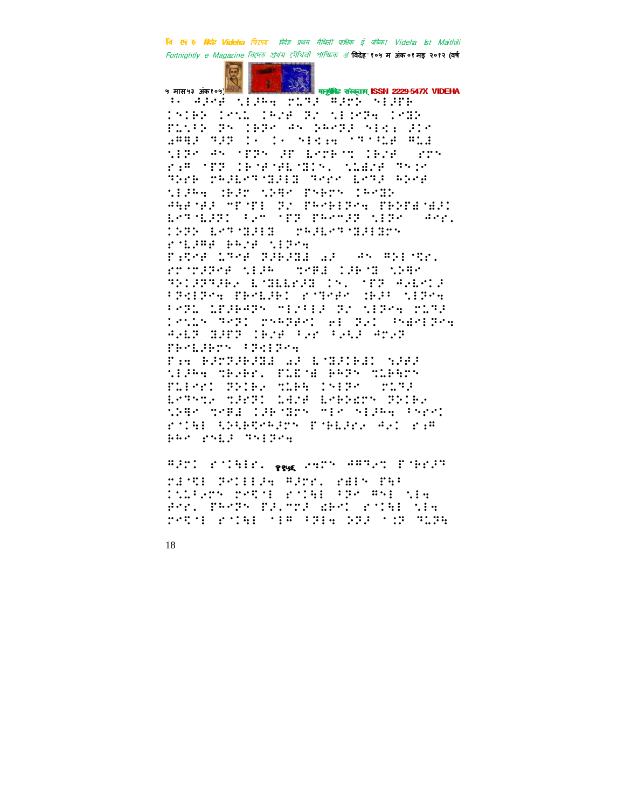बि एक रु मिनेट Videha विएक विदेह प्रथम मैथिली पाक्षिक ई पत्रिका Videha Ist Maithili Fortnightly e Magazine রিদেহ প্রথম মৌথিনী পাক্ষিক প্র **বিदेह : ১০৭ म अंक ०१ मइ २०१२ (वर्ष** 



**AND STREET SERVICES AND STREET AND STREET AND STREET AND STREET AND STREET AND STREET AND STREET AND STREET AND STREET AND STREET AND STREET AND STREET AND STREET AND STREET AND STREET AND STREET AND STREET AND STREET AND** ५ मास५३ अंक१०५) <u>a april sidhe roma martí ridhe</u> INIBE INL IRM BY NEWTH IND FLARE THE CETA AN INATE NEWS FOR amed man is is seen a string mid SIPP AN MEPH AP EPPEND IESE ( 225 ram (PP) legegebolis, tiane msac<br>mare region digit more informaced tidae dels ther raps for tagge and new Store (22) problems (properties)<br>Exposed (1995) the (proses (1995) and **TO THE REPORT OF STATISTICS** roller back tilte rang cha paggalan ay mgang rounder vide, well ldeng weer THINTIPLE EMBERIES IN STRUCKERS PRIPOLIPOLARI KOTORO IRA (1904 PARL LEARANT MENTER RETGERED WIRE Introductionships at Telecometry ANLE BAPP THIN THE THIN APAP **MOGUEST PRIPE:** re bribha a thuibh the tilbe their. Till & BATH tilber FLICK THIS TIME INTO THIS ESTATE TREP: LADE ESPERITA PRIPE SPROGREE LEECEN SECONDER PARK ring therefore reader and re part print written

BRON POLABEL <sub>RAME</sub> PACH ABBRAT ESPERAB MAND BOILER WHY, PHIN THE MIRTS TETT FORE PPC PSE ME Provinsers plumpliced onder the retir right is specific the city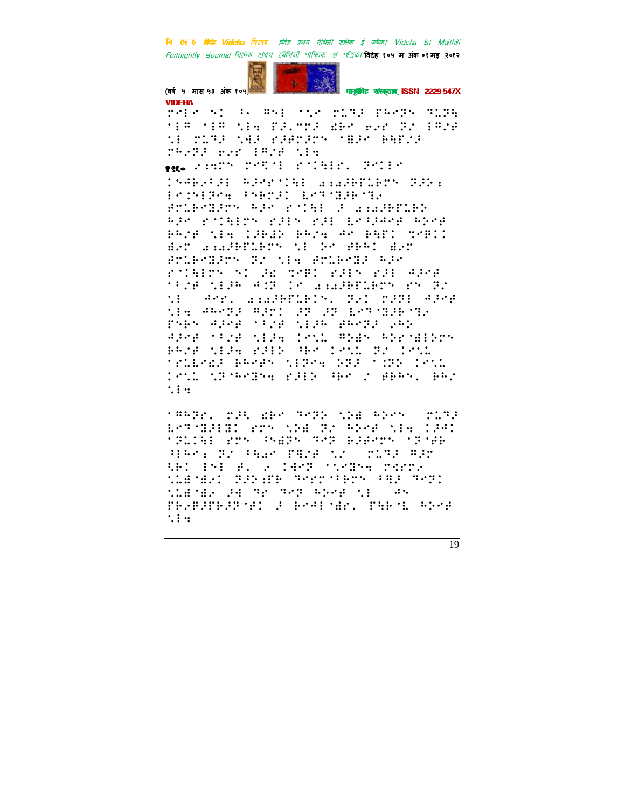बि एक रु मिनेट Videha विएक विदेह प्रथम मैथिली पाक्षिक ई पत्रिका Videha Ist Maithili Fortnightly ejournal রিদেত প্রথম মৌথিনী পাক্ষিক প্রা পত্রিকা' **বিदेह' १०५ म अंक ०१ मड़ २०१२** 



(वर्ष ५ मास ५३ अंक १०५) **VIDEHA** 

मानुब्रीह संस्कृतम् ISSN 2229-547X

reposed to map the ring races when nim nim nig fluore den eld Tr 1mre ME TITE NAF RIATEN MER BATZE **TRANS WAS INTERESTED** 

**REGULARITY PARTICLE POSSESSION** 

ISABARAN SAMATAN GEGANINGKAN PADE Principal Cheral Estimate Mar Priedring are roles for animalies RAK POSEDN PAIN PAI LKAARE RNG Profile Compartment Part Service Art analbolist ti W Abbi Art Bribeddro dr the Bribedd War roleirs si le sepi rais rai gaer tria tras ell colabamento es pr **Art. StaffTibly, Tal 2271 Alve**  $\ddot{\cdot}$ the Abera Adet ar ar bettmanter Pres Alex Stre Sile Aberl 262 Alef tire tile (etc. Aben Abrielbrn BAZA NIJA PJIR (BATIVNĚ SVÝJANE)<br>TPLEMEJ BAMBY NISMA RSV TVSK (MNL Tend of General Price (Bench BBAS) BAY  $\ddot{\cdot}$ :

**TARGET WERE ANY ARGUMENT ADVENTURE** ESTARRED FRY ANE RACHINE ARE TRAD **MELIAE RON PARPS TRE EJERON MEMBE** HART BY THAT PRINT IN SBI 151 B. 2 1953 TVSB5 TSET2 tidade Sarank Sorrakry (S. Sor the may delive were apeal to come TEVENTENT I FRANCHE TERM ANNE  $\ddots$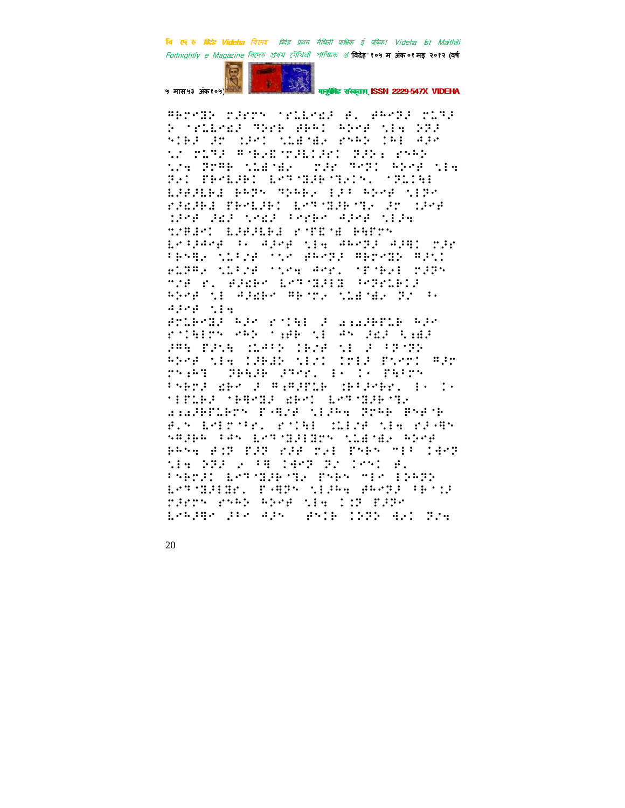बि एक रु मिनेट Videha विएक विदेह प्रथम मैथिली पाक्षिक ई पत्रिका Videha Ist Maithili Fortnightly e Magazine রিদেহ প্রথম মৌথিনী পাক্ষিক প্র **বিदेह : ১০৭ म अंक ०१ मइ २०१२ (वर्ष** 



गानुब्रीह संस्कृतम् ISSN 2229-547X VIDEHA

Abrell rarry (ribed) #, #6033 ria: 8 Tribred Mark Abbi Adre tim 191 SIER ET 1981 SLESER KSAD IAE APR tronger Adelendation des Sous the Pree there. The explosive the SA PRADRI BATABRAYA (SOCH LARGER PROS SYRES IS: RYPE SION KANARA TEMBAHI BATUNGAN TE AM SAMA Med Bal teal Perke Aler tilk treat deemed riffing perry prijarje in ajrje nju akrje ajgi nje PESHE MILLE MAS RESTE RETURN RIN BLIEG MIRSE SAME ANN. STORED MITH mar el didde betebil beteldi. Rod th Alder Abord theory of the Society  $4.144 + 1.44$ 

anikola kao politi a wiwanikokazo<br>politino ekonomikola eo amazi kima **286 8256 12412 1828 18 3 3 48 58** REAR NIA CUBUR NIZI CHIP POATO RUM rsing genze aver in 10 parrs President Paperie delegat (P.C. **MICHAEL MARKET SEMISSION WAS** andBTLETY F-BMF SIGHT FTHE PYPTH ES LETTRO PORT MINE MA PROP sepa fes perchilire chicale aber PRSA RIT TIT KIR TAL TSPS MIT 1407 the SBB 2008 (AMB) B2 (251-8. PSPECIAL COMPANY TO PSPS STATE PROPE ESTABLE: PARK NEPA BRAZE PRACE THIN PARK REAR NEW CIT PARK EPRIME FOR APROVAMENT CETE AND TIME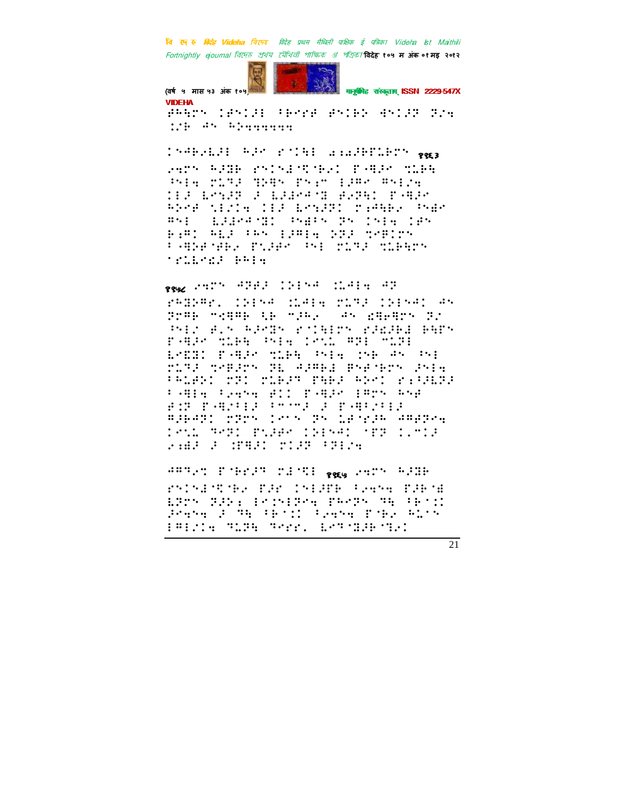बि एक रु मिनेट Videha विएक विदेह प्रथम मैथिली पाक्षिक ई पत्रिका Videha Ist Maithili Fortnightly ejournal রিদেত প্রথম মৌথিনী পাক্ষিক প্রা পত্রিকা' **বিदेह' १०५ म अंक ०१ मड़ २०१२** 



मानूबीह संस्कृताम् ISSN 2229-547X

(वर्ष ५ मास ५३ अंक १०५) **VIDEHA** 

PRAYS CRSOF TESPA RSIED ASCAR RIA **Will die Gleenheim** 

INGEVENT ANN POINT STANDERDO <sub>8953</sub> SAMP PROFESSION (PS) PORPHOLIC Principality directions and manager **TER EMARK & ESPANY RAPAI PARA** ANGE SENIG IER ESSARI TIAGER (PER (ESPAND) PAPS PS ISBN 195  $\mathbf{u} \cdot \mathbf{v}$ BAND ALL TAN BUNGA DEL TERITY **FARRISHS PLAN THE MILE MIRRY Trinend Bain** 

gggz shirt Albel (1915-4 Minder Alb PRINGE, INFAR MATH MISS INFARI AN Br#B meH#B RB maRa (#5 gHBHr5 B2) PHIL BIS REPORT FOIRING FEED BRES rang mm gin tristical sin sin EMERI PARP TERR PAPE INFORMATION MIRA MARAMA RE AJPEI PARTEMA INTA toma ters ell rome ims esp BOR PARTIE FOOT F PARTIE #JE431 r3rs lets 35 12-538 4#JSeg POL PORT PLARE INFORMATION ISSUE **FRAME STREET STREET FREEM** 

HANGE PORTHOLD PAINT WERE CHINESE PSINEMINA FRONTHEIGHT PANN FREME EPPS PRES PRIMERS PROPOSED PRO dealer down front frame porch with PRINCE TOTH TANK BATABARY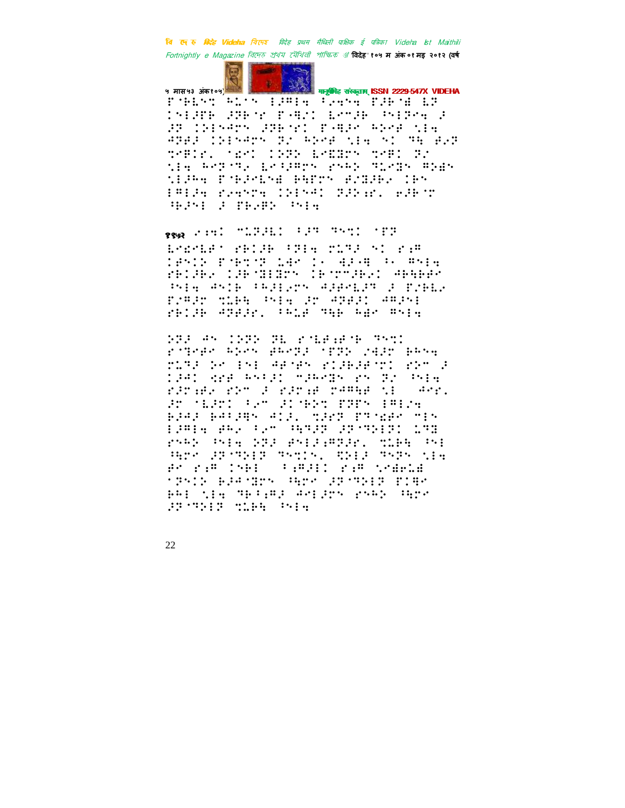बि एक रु मिनेट Videha विएक विदेह प्रथम मैथिली पाक्षिक ई पत्रिका Videha Ist Maithili Fortnightly e Magazine রিদেহ প্রথম মৌথিনী পাক্ষিক প্র **বিदेह : ১০৭ म अंक ०१ मइ २०१२ (वर्ष** 



**AND STREET IN SIGN 2229-547X VIDEHA** ५ मास५३ अंक१०५) Pombon Alos (1981) (2009 P.B.NE LP INDEE SPENS ESENT ESTAD INDENSIT 37 INFSAMS STRING FARDS ANSELINE Apal (Sinarn by Anna (Sia ni Ai Ana THREE THAT INTO LANDING THE TA the Asperal beagans read mising addr. MIRA PORTSE PHTT ROBB. IP PRISH Reanch (2004) SSD B. BSB C HANI A TEACH SIA

**Resp. Ford: MLP.H.I. F.PP Prof. FFP** 

EMPRET PRISE STEEDTITE SI PAR TANIN BYRTYP 148 I- 42-4 (F. ANG. MELPER COPYNIAN (PSYSTEM) APAPEN Ship Ande Cepipen Address d'Esebr EZRAN MIRRO PVIA AN APARI ARAVI recommended (Canad Man Adr Arta

202 AN 1202 OR KORAAND JNST<br>KOTKAK ASKN AFRIK OTOS ZAJEN BRNA MIRA SK ENE ARMEN WIJBJENNI WSM J 1941 and well specificate by the range syn a range newge to ser. STOCKSTOLEN STORY THE BRIDG BIGI BAGANY ALI, SIRI PISARY SIY 19814 ARA 195 ARTH ANTHONY NO rned his dri shisanish mis hi Her Sprach and C. Sale and Cle Profile (SP) (1983) first profile **MENIN BEAMEN (Bro EDMINIS BIR)** pa: 5:4 Mb:18: An:355 Paa) Marc STORES THE STEEL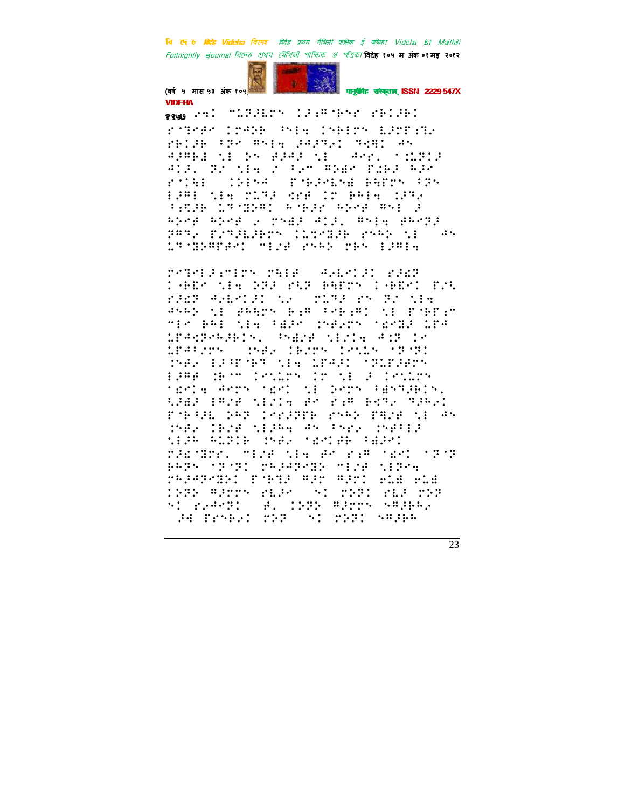बि एक रु मिनेट Videha विएक विदेह प्रथम मैथिली पाक्षिक ई पत्रिका Videha Ist Maithili Fortnightly ejournal রিদেত প্রথম মৌথিনী পাক্ষিক প্রা পত্রিকা**'বিব্রৈ' १०५ म अंक ०१ मइ २०१२** 



(वर्ष ५ मास ५३ अंक १०५) **VIDEHA** 

मानुब्रीह संस्कृतम् ISSN 2229-547X

**ROOD AND MUSSED LEARNERS PRISE** righer (rege syes (neers agricul 88138 (Pro #514 (PRP): 7891 (Pr APPEARS ON PPARTNE (AMP) TESTA ADEL BY NEW ZORGT ADER BARE ARM role (19154) popular perry (25 **THIS CONSTANT AND SPACE AND P** RNA RNA 2 TNES ALE, PNIA ARMES PROFINEERS CITEER PSP SP 20 STARPERS MISE PARK TEN IPPIN

reteraction raid (Agusta) cad GHER SIN 200 PUR PHERM I ANYL BYS FREE AREADED TO CONFIRM TO TECH ANAD NI ARADN BAR FRBARI NI POBEAM me për trajtarë ndërvjetër tra SPACRAMENTS, PARTA SENSA ASP DA LEARDER (1982) DECEMO DANNY (1979) MAX EPPORT MACHERY CRIPPER EPPE denn childre constant ancholog fanla Anns fant it bros fastgets. taga (Ang tinta an ram boy, Mabu FOR UN 1992 COMPRES MORE TAME AT 20 page paper pages, and rappe pageage MIP ROOF THE MEMORY FERD raduare, mice tie en pas non nord PROS SOUTH TRANSVIL TENN SEOS relevent forms wir wirt als els 1999 Albert Willer (1911-1991) Will 199 SI PARSEL PAL INTE RINN SRIBBA H Tried TH ST THI SEHE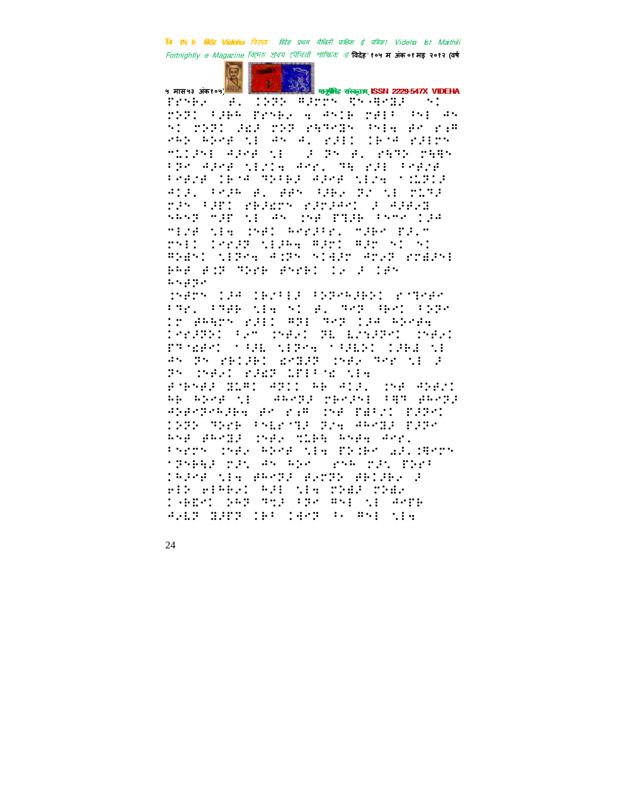बि एक रु मिनेट Videha विएक विदेह प्रथम मैथिली पाक्षिक ई पत्रिका Videha Ist Maithili Fortnightly e Magazine রিদেহ প্রথম মৌথিনী পাক্ষিক প্র **বিदेह १०५ म अंक ०१ मइ २०१२ (वर्ष** 



**ALL SERVICE STATE IN STRATEGIES AND STRATEGIES OF STRATEGIES AND STRATEGIES OF STRATEGIES** ५ मास५३ अंक१०५) Probl (A. 1535 Alrro Chiangle of rit (FBA Bryk, 4 4516 red) (S. 45 SI MIDI JEF MIR KATEMA PSIA AP KAR engline ti av allegi: ike egipy MILLENE APPROVE OF THOSE PATE PATE the and sista and an entirepro Pedia (Bia Milea Alea Siza Singli ATEL PAPE BL BBN PPER BROAD MIRE ras fari ekadrs earagsi a gadha SASE MAP NE AS INFORMAR PSMA LIA mine the chef America make facm rnic (rrdf nidha Adri Adr ni ni #Ndr: 18704 #175 START #r.F PraPri PRESENTED PROBLEMS IN STORY  $\ldots, \ldots$ rers can certe three-man regular

FREE FRAG NIGHT SINGLE REPORTS FIRE IT PRATH PAIL ROL THO IPA REMPA Grasbi tem inevi se eznaski inevi Proget (186 Siles (1861 1862 S) as ps perder agade nel ser al d Procheco SES LEPts the aneseg die: Adil ee Alg. Ise Ase.:<br>Ae Aske ti (Aekdg pekgsi (Ad Aekdg Aberdrage, er rim ove patio pjpro 1985 MSB (SERMIE BJA ARMOR BJBK RSA ARMIE TSAR MIRA RSAA AMP. Press cher Abre the Ebder all Mess **SPARE TRUNK AND PARTIES TREP CROSS NIR BRATE BATTL BECORD O** FIR FINEST ASE ME TREP TREE Damen Mar Syr (Pro And Si Arra **ARD SST IN THAT A WAY THE**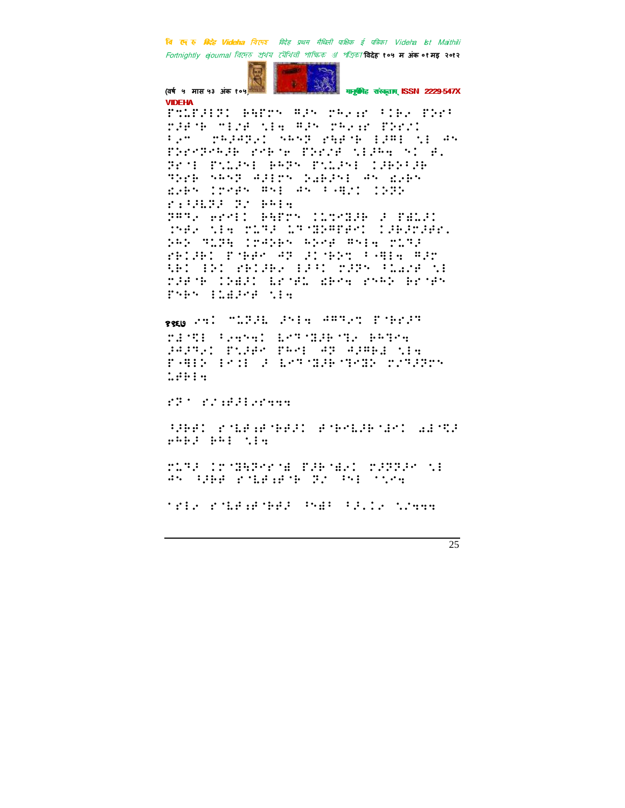बि एक रु मिनेट Videha विएक विदेह प्रथम मैथिली पाक्षिक ई पत्रिका Videha Ist Maithili Fortnightly ejournal রিদেত প্রথম মৌথিনী পাক্ষিক প্রা পত্রিকা**'বিব্রৈ' १०५ म अंक ०१ मइ २०१२** 



(वर्ष ५ मास ५३ अंक १०५)

मानूबीह संस्कृताम् ISSN 2229-547X

POLESER: BATTS WAS TRACK FIRE PIRT THE THE SEATH THE TEST TEST From Schulers, SASP PHECH 1281 MI 45 Program office Professional Scher Bril Pillei AASS Pillei (SASCA Ther Sast Alles harled As ders EPROTECTS #51 #5 F-#21 1572 **FILLS 37 BBR** PAS REGIONARDS CONSIDER PACIS hak the most boundaries (seconds. 555 MIRE CYMSEN ROMA WHIR WINA recht foes af hinn family man WE BY SHIPPY WERE BEEN ALLOWED rafor (beach aroun ersk rock rrogo PARK HISPE NIM

**PRED AND THE PAIR PRESS PRESSURES** ring (see 200 million) and PAPRE PUBM PRME AR APARE ME PARENT ERIC (F. 1877-1886) MANING MINERING  $...$   $...$ 

**FRANCISCO** 

**VIDEHA** 

SPACE POLENTARIO PORTLAND LICE phil phi (19

MIRA COMBERNO E PARTERO MARRAT NE AN SHE POLENCE TO THE MONE

tria romanechal (SAF) (l.c. trans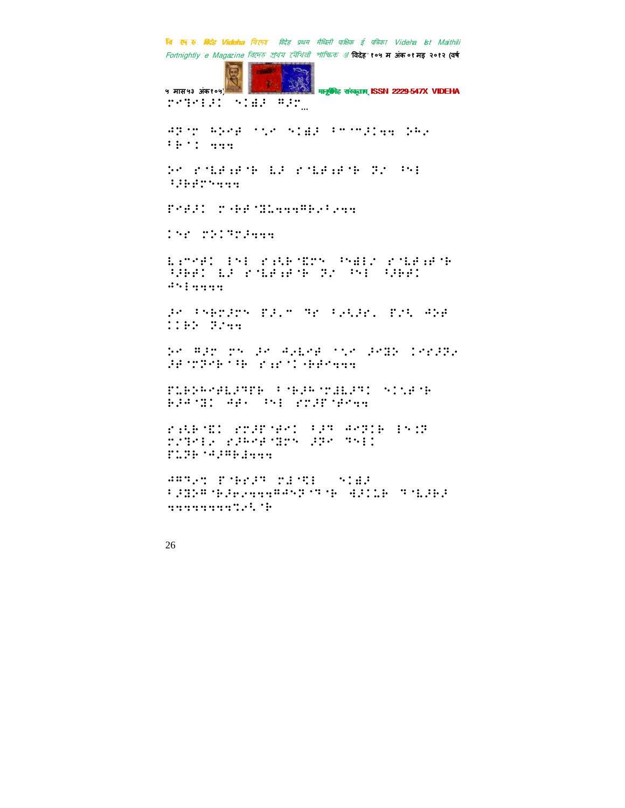चि एक स्टिड Videha विरफ्श विदेह प्रथम मैथिली पाक्षिक ई पत्रिका Videha Ist Maithili Fortnightly e Magazine রিদেত প্রথম মৌথিনী পাক্ষিক প্র' विदेह' १०५ म अंक ०१ मइ २०१२ (वर्ष



गानुब्रीह संस्कृतम् ISSN 2229-547X VIDEHA ५ मास५३ अंक१०५) 75885527 STAR #25

apartners and the stage committee part **FB 11 SHOP** 

So a defender als analysis de discussi **Albertane** 

Predict Polentingherment Press

**The STORYSHAM** 

Earnel (151) page more (1581) powerful th SPECIE FARETT STORE SPEC  $44444444$ 

an theraph Each de talac. Eal Age **IIBN 3299** 

Professor Professor (Professor Professor SPOTF-BOR PACTORPHE

TERMANISTER PRINTINGS (STR BIWAL WESTER STIP NAME

raktor regiser (gm estik iso rathe research de sal rte: Webstern

**ARTES EMPLEY SIME STAR TOOR REPRODUCED TO BELLE TEEP** \*\*\*\*\*\*\*\*\*\*\*\*\*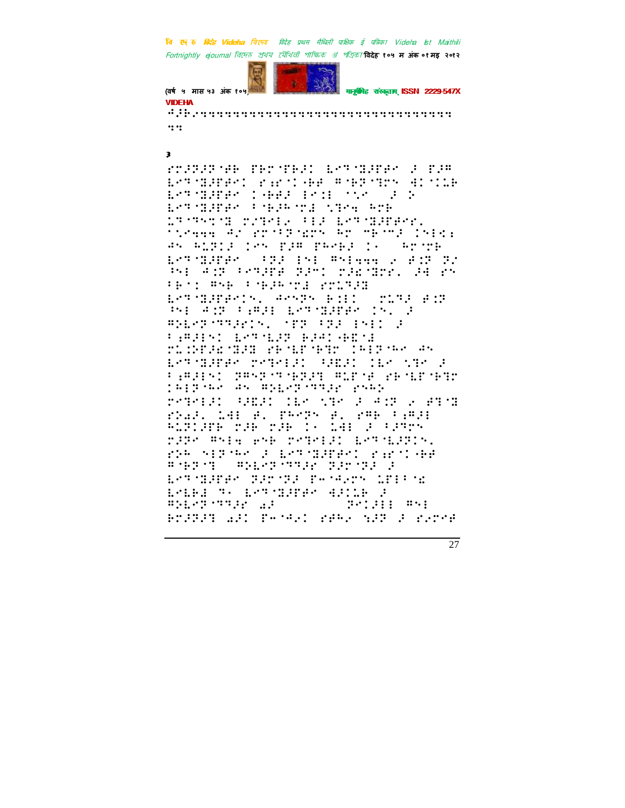बि एक रु मिन्हे Videha विएक विदेह प्रथम मैथिली पाक्षिक ई पत्रिका Videha Ist Maithili Fortnightly ejournal রিদেত শ্রথম মৌথিনী পাক্ষিক প্রাণবিলিক বা স্বার্ক ১৭ মন্ত ২০৭২



(वर्ष ५ मास ५३ अंक १०५) **VIDEHA** 

मानुब्रीह संस्कृतम् ISSN 2229-547X

 $\cdot$ :

 $\overline{\mathbf{3}}$ 

rrace the correct and capacity con EST METRO COOLINE FORTUNO EL MIR<br>EST METRO I ARECENIE MANO EL X ESTARRES PARKAGE STAR ROB 1775-178 SATHER FER ESTABLES<br>1784-189 PA SCHIFFER EN TROS MARIA AN ALBIA ISN PAR PASEA IS CAPTUR ESTARRES (PROTHE BRIGGE 2002) RO Ber Adr Pengra dani sabidori ad pr FROM WHE PORTHOLD FILMER ESTMERESIS, ASSES FILL (2008) FIR PH AND FRAME LONGIFIC IN A BELEFOREETS, SPECIEFIES ENERGY richeardd Ardrag (Albar av ESTARRES MSTERR REED DES NTS R FARING SPNSYNSERS ROOM SPACEMENT pappear as appropriate pract reports (2011-11) the special and source rbad, 141 al Perzh al rep Fael PLEISER MAR MAR IS LAI A FARMY MIRA RNIA ANE MATAIRI LARGERIN. res sites a betolding for cen # 1971 - #21271732 332133 3 ESTARRES PROTECTATORS DELLA Bried W. Brytzerer artie 3 **#110777710 12** PriPH: #51 Brazan Aal Pergui Kamp Naz a Kurea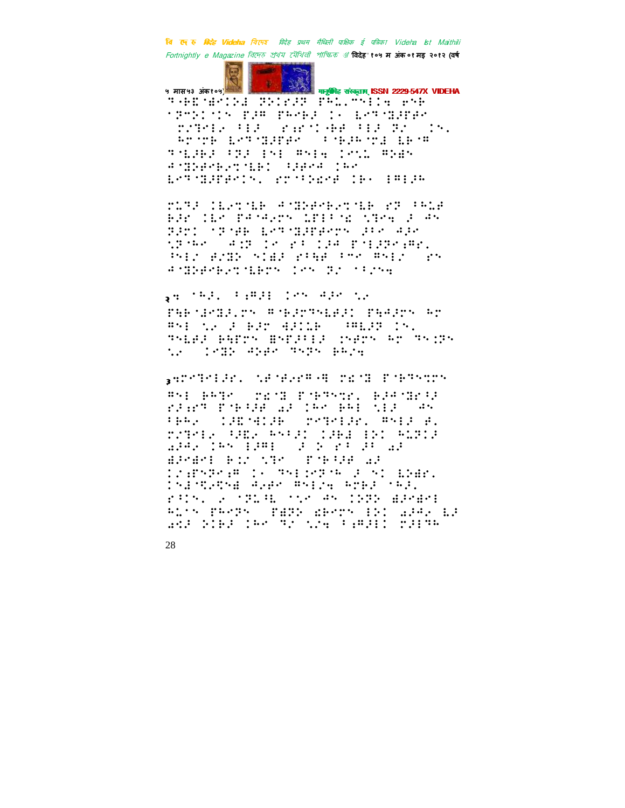बि एक रु मिनेट Videha विएक विदेह प्रथम मैथिली पाक्षिक ई पत्रिका Videha Ist Maithili Fortnightly e Magazine রিদেহ প্রথম মৌথিনী পাক্ষিক প্র **বিदेह १०५ म अंक ०१ मइ २०१२ (वर्ष** 



**AND STREET SEARCH SEARCH SEARCH SEARCH SEARCH SEARCH SEARCH SEARCH SEARCH SEARCH SEARCH SEARCH SEARCH SEARCH SE** ५ मास५३ अंक१०५) theodita processing with wh **SPOINTS PROPERTY IS ESTABLE** .<br>Szobalk also legendág also szobalk.<br>Az nek bet noszer csalatkan bett TALARI PRI ESE PSEN CANL PRES A MERREY MEL (PRPA) (RP) ESTARFESIA, PRAFEREN IES IMIER

ring (berge Agoneerge en Sale Bar d <u> 10 fest 10 in the 1</u> BATI TRYAK LARTEARATH ARA A.P SPORT ASP IN PROPERTIES BEL PHIS BINK MILL PREF PHOTOGRY  $\cdots$ **ANDREWS METAL CONSTRUCTIONS** 

## $\frac{1}{3}$  and the state of the state of the state of the state of the state of the state of the state of the state of the state of the state of the state of the state of the state of the state of the state of the state of

FWESTERLYS ASSEMSERT FWRYS AT Bri na Parr Affair (BEET In. THEFF BARTH BHEFFER INFORMATION OF tro femo space mono ance

SAPPRESE, NEMPHARE PEND POPPHON #51 PRTM (MACH FORTSCH) PRACHER rawn bobiae aa 160 bel 16a 791<br>1652 - Laboure Connelar, Ania A. sztély tamponyai (and is: Alsi)<br>1842–185 ilmi – 2 S P P al<br>1851–1862–515 – P P VA (18 Compressor (1991) (1992) Social Advance Skindersi Alak Asila Aral (Al. FRONT FORESTS AN INFORMATION ROOM PROPH (FAPP AROUN ED) APRECEP and Died (88 Mr Nin Fiedel 2001)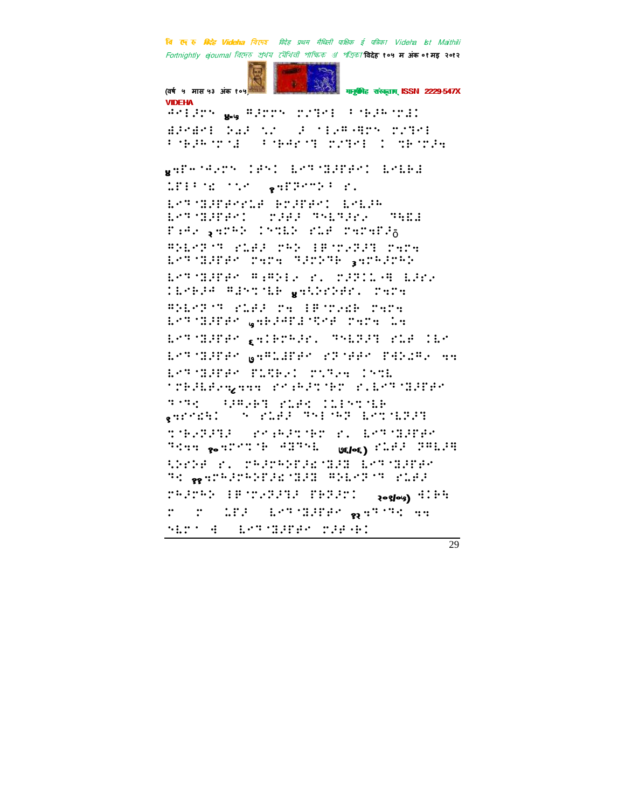बि एक रु मिनेड Videha विएक विदेह प्रथम मैथिली पाक्षिक ई पत्रिका Videha Ist Maithili Fortnightly ejournal রিদেত প্রথম মৌথিরী পাক্ষিক প্রা পত্রিকা **বিবৈদ্ধ ২০৭ দ अঁক ০१ मइ २०१२** 



(वर्ष ५ मास ५३ अंक १०५)

मानुब्रीह संस्कृतम् ISSN 2229-547X

**VIDEHA** And Provides APProvident Control (Fine Prod) BRAND SAP NO POSTABHARM CORD PORTEOI PORTE TITE I TETTA

gerenezhoù den avriagren anaba LEFTS TO SAFETTEE E. ESTARFFSCH FORFES ESER Brancher Mar Medicine Mar Pade garab (Shib) cld rarafda #NEST PLAT THE IP TERRI TATE ESTARRES TATA TRIPH ,ATGREE ESTARRES PROFESSION PROVIDE ERG TEPRAS ARPOTER QUEDEDED COMPU #NECPART PLACE THE FRIDAY THIN Brander Guidelene ren Le EST MATES galernar, Theadam rue ler ESTALATAS GAPLATAS ETAPAS PADLPD AA ESTARRES PLUBAL PURAN INUE orbaldagees codear en lachozare TOR SPEAR MIR CLEATER enthand the same wholes bethonen THEFFIN CHARTER E. LATTEREA Principal entry the HEPPE (sales) flate PPEPH SPERBOY, TRATRICAL BOYTANIC TH SHIPPING SHIP PHAT TO MAP PROPRE EPOTOROTO PRESENT (20000) 41PH The Theodisc Constitution of the Second Constitution of Mr. E BONETH MH.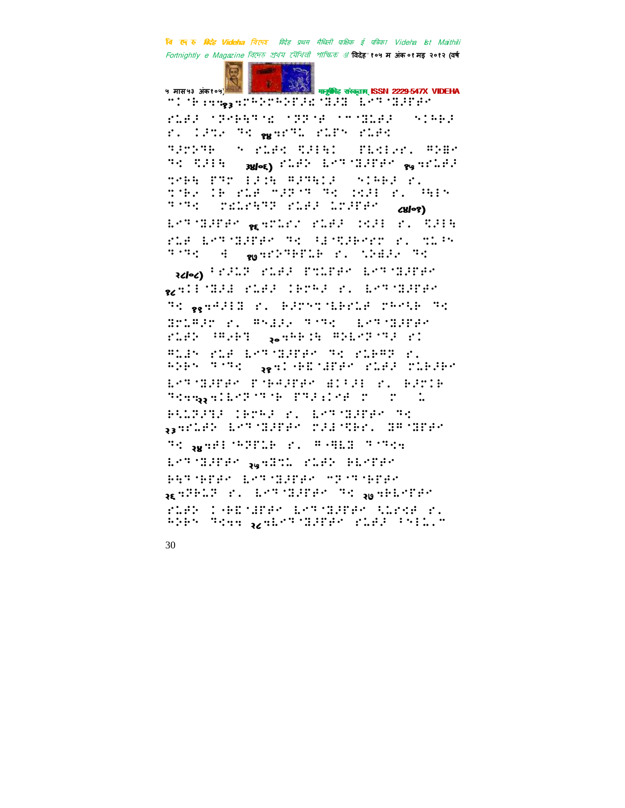बि एक रु मिनेट Videha विएक विदेह प्रथम मैथिली पाक्षिक ई पत्रिका Videha Ist Maithili Fortnightly e Magazine রিদেত প্রথম মৌথিনী পাক্ষিক প্র' विदेह' १०५ म अंक ०१ मइ २०१२ (वर्ष



अन्तर्गतिह संस्कृतम् ISSN 2229-547X VIDEHA ५ मास५३ अंक१०५) "Ditelengserfortforden 1993 (1997-1991) rief (Peers's (PP)# ("Thee" (Teer r. 1958 76 ger71 rift rift SPECTRO S PLACE SHARP (SLARED SPACE TR SPIN Super SLPD LOT WRITE Seathlet menn far flin allantis stand r. the IB rif with the pill r. Her TOTAL PELPRIT PLEA LUAFER (West ESTALFES genier flel will for USI rde betengene to grupper ri tite 3.3% (4) Washington Professor

Release For FLORE COLLEGE CONTROLLERS ggelichte sier (Bref s. 1875-1888) TE <sub>pe</sub>ssill f. Birthdenis resib Te Bright r. gyade the Sakthare ruer (Beet) <sub>as</sub>serie Breedware ri WEBS PER LOTERNIA TO PERTING ROBS TOTEL <sub>Re</sub>al HEOLEPS FLAD TLEDES ESTMERES PORTERS BIFFE PL PROP ProggelarPorth PRP:Press (1999) BIDGE IRAG K. 655 SHR 30 <sub>aa</sub>ndisk betomskeer paarteel derdeer TH WARE MARKED ON THE TOTAL BOTTERED WARREN FLAT BEOTHO PATTERN LOTTEREO TRITERO <sub>ge</sub>spelp r. 607-18860 70 <sub>ge</sub>sebored run largane bergune turke r. REPORTED RESIDENT CONTROL CONTROL INTO A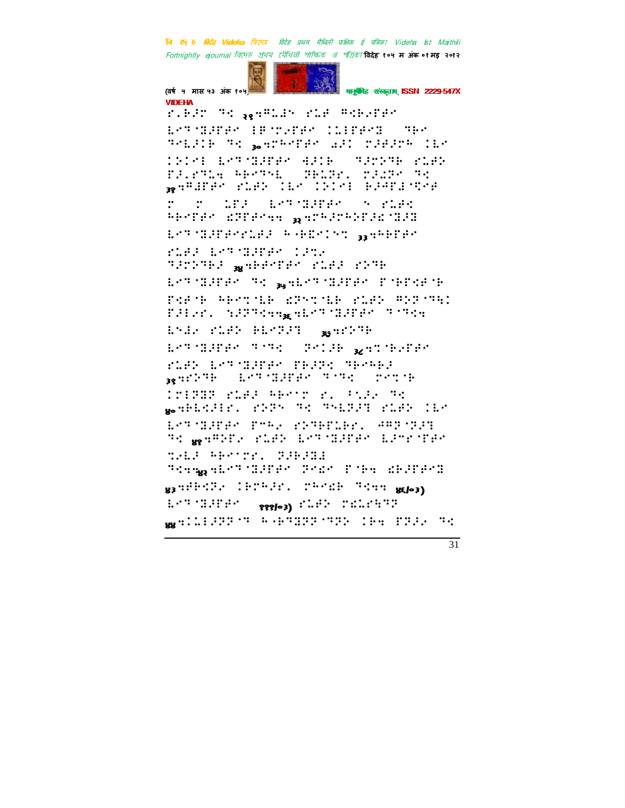बि एक रु मिनेट Videha विएक विदेह प्रथम मैथिली पाक्षिक ई पत्रिका Videha Ist Maithili Fortnightly ejournal রিদেহ প্রথম মৌথিনী পাক্ষিক প্র পত্রিকা**'বিदेह' १०५ म अंक ०१ मइ २०१२** 

मानुब्रीह संस्कृतम् ISSN 2229-547X

(वर्ष ५ मास ५३ अंक १०५

**VIDEHA** riego no <sub>agn</sub>emas rue eqevere <u> L'ISTR' ITTATE CLIPET MET</u> SMERIE SA WARREN WIL MIRINE IEN INDER ERSTERTER HADE CRANKER WIEN FRIMA WESTER TELTE TRIPS TO ..#BRA KOR OR CONSTRUCTION r r dri bettanek kate RECTEC ATTECHE SHIPPIPED COUR LAT THEATLED POERCINT <sub>33</sub>999FRP FOREST CONSIDERATIONS SUPPER WHENTEN PLAR PRSE ESTALLER TO SCHERMEN EARLY Ferd Western are the side weren FRIGHT SPEEDING SECTION TO THE ESER PERSONAL WORKS EST MATES TOTAL CROCHE WHO TEATES rusk betemper manner deemar sending and department of the control ITITUR PLAR REPORTED PLAT TR webschip, popy to there pade in ESTALLER PORT MIRTIER, APPARI TH WATER PLAY ESTMERTAL EPPITAR tell Wester, Biblill Poss<sub>ka</sub> slep (duffer) (Pron. files) obuferd ushibile lbrble, rhodb Stan sales) LAN MUSEUM (1990-3) PLUS CHLPHNE WHILEPPY FAPTERYTE IN TELL TO

 $\overline{31}$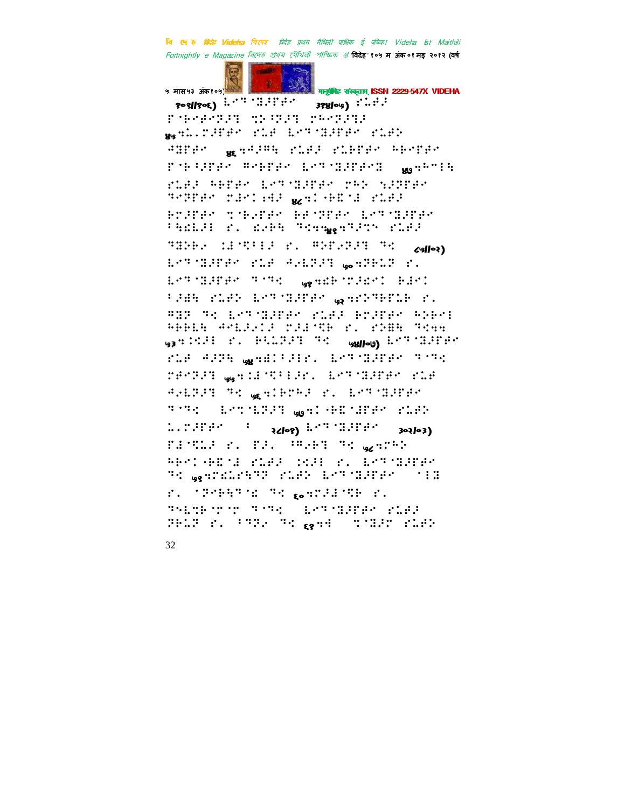बि एक रु मिनेट Videha विएक विदेह प्रथम मैथिली पाक्षिक ई पत्रिका Videha Ist Maithili Fortnightly e Magazine রিদেত প্রথম মৌথিনী পাক্ষিক প্র' विदेह' १०५ म अंक ०१ मइ २०१२ (वर्ष



५ मास५३ अंक१०५) <u>समय</u> मनुक्रीह संस्कृतम् ISSN 2229-547X VIDEHA  $\frac{1}{328}$  as  $\frac{1}{32}$  :  $\frac{1}{32}$  :  $\frac{1}{32}$  :  $\frac{1}{32}$  :  $\frac{1}{32}$  :  $\frac{1}{32}$  :  $\frac{1}{32}$  :  $\frac{1}{32}$  :  $\frac{1}{32}$  :  $\frac{1}{32}$  :  $\frac{1}{32}$  :  $\frac{1}{32}$  :  $\frac{1}{32}$  :  $\frac{1}{32}$  :  $\frac{1}{32}$  :  $\frac{1}{32}$  FOR PERSONAL SERVICES <sub>Ma</sub>nd.*T.*PPer rue bring.PPer rueb ABPAK WARPH PLAP PLAPER ABREAK Poblished Adapted Editorial Management rue: Abres Letonores ray Aorres SPEEP TESTIER WALTERSE PLER BOSTAR CORPORATION ERGISTER Padisk r. drea ScaageSSCH ries THEFT LETTLE F. PHEFFIT TO GMM ESTARRES TATE GENEARANT BRA Plan rieb bothsere garbterie r. #HP #0 LeftMHPAC right bringe wided REELE AMERICA MARCHE P. PORT TYPE 43 \*: 14.34 | C. | BALDUR | PR | 4811-09 | BRIT 13.31 PP FLA APPR QUARTERL ESTMERES TOTA TEPRIN Qualification, EPP MORER SLE HALPAN TROGENSHAP PLODER MERGER TOR ESTERP WEIGHTER SLAP  $\mathbb{L} \times \mathbb{P} \times \mathbb{P} \oplus \mathbb{P} \times \mathbb{P} \times \mathbb{P} \times \mathbb{P} \times \mathbb{P} \times \mathbb{P} \times \mathbb{P} \times \mathbb{P} \times \mathbb{P} \times \mathbb{P} \times \mathbb{P} \times \mathbb{P} \times \mathbb{P} \times \mathbb{P} \times \mathbb{P} \times \mathbb{P} \times \mathbb{P} \times \mathbb{P} \times \mathbb{P} \times \mathbb{P} \times \mathbb{P} \times \mathbb{P} \times \mathbb{P} \times \mathbb{P} \times \mathbb$  $302/03$ FRONT P. P. WEET TO QUIER REPORTS MARK MARK MUSEUM MERGE TH GONNANNER PARK ESTMANDS (18 r. (POBRETO E S. 69728058 r. THE TIME THE SETTEMENT CON PRIP F. PRES ROBERT STREET FIRE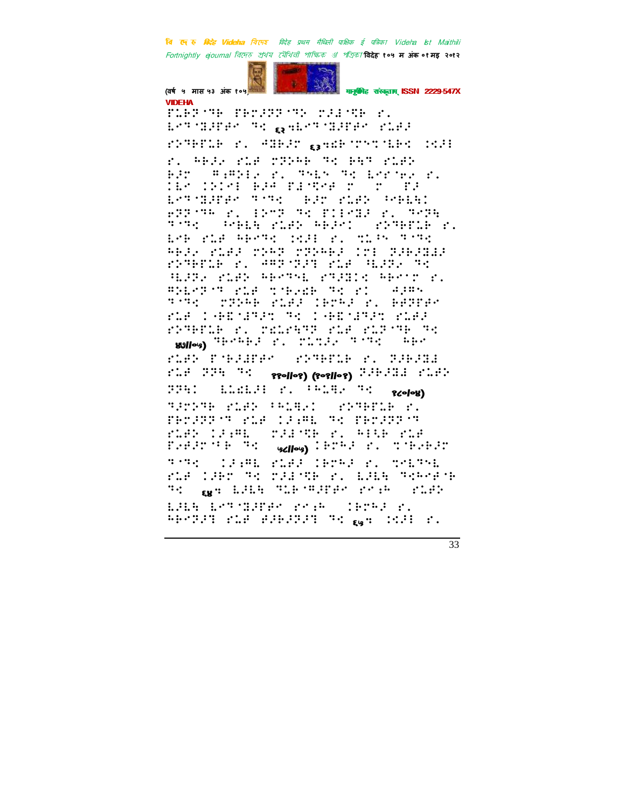बि एक रु मिनेट Videha विएक विदेह प्रथम मैथिली पाक्षिक ई पत्रिका Videha Ist Maithili Fortnightly ejournal রিদেত প্রথম মৌথিনী পাক্ষিক প্রা পত্রিকা**'বিব্রৈ' १०५ म अंक ०१ मइ २०१२** 



(वर्ष ५ मास ५३ अंक १०५) **VIDEHA** 

मानूबीह संस्कृतम् ISSN 2229-547X

FLED TH FRIDER THAT THE S. 107-1286- 70 gabriller (128 PROBLEM PLANERS ENGINEERING INFI

r. ABJA rif TTPAB 70 BAT rift **SEPRED P. THEN TE EMPIRE P.**  $H: \mathbb{R}^n$ TER INTRE-BOARD WERE WORKER ESTARRES TATE (BR) MER PARED ENTER EL 1953 SE PIERRE EL SESE TORO PERROGEN REPORT SEPERIE P. and risk dense cost risk mile some WHIP PORT TOWN TIONED ITE THEREST PROFILE P. AUSTRAL PLA GEAR OR HIRE MID WHORE PRINT WHO'T M. #NERTH PLACTIFIER #ROPIO #P#R TOR TIPLE PLAT IPPA P. BARDAY FOR THE SPACE RESIDENT PORT PROBLEM P. PELPAOR PLF PLF OF OR

 $\text{gg}(\text{J}\text{log}) \xrightarrow{\text{G}(\text{L})} \text{G}(\text{L}) \xrightarrow{\text{G}(\text{L})} \text{G}(\text{L}) \xrightarrow{\text{G}(\text{L})} \text{G}(\text{L}) \xrightarrow{\text{G}(\text{L})} \text{G}(\text{L}) \xrightarrow{\text{G}(\text{L})} \text{G}(\text{L}) \xrightarrow{\text{G}(\text{L})} \text{G}(\text{L}) \xrightarrow{\text{G}(\text{L})} \text{G}(\text{L}) \xrightarrow{\text{G}(\text{L})} \text{G}(\text{L}) \xrightarrow{\text{G}(\text{L})$ run ralder frager belang  $\text{ is odd, } \left( \text{is odd, } \right) \text{ is odd, } \left( \text{is odd, } \right) \text{ is odd, } \left( \text{is odd, } \right) \text{ is odd, } \left( \text{is odd, } \right) \text{ is odd, } \left( \text{is odd, } \right) \text{ is odd, } \left( \text{is odd, } \right) \text{ is odd, } \left( \text{is odd, } \right) \text{ is odd, } \left( \text{is odd, } \right) \text{ is odd, } \left( \text{is odd, } \right) \text{ is odd, } \left( \text{is odd, } \right) \text{ is odd, } \left( \text{is odd, } \right)$  $\blacksquare$  Lightly  $\blacksquare$  ,  $\blacksquare$  ,  $\blacksquare$  ,  $\blacksquare$  ,  $\blacksquare$  ,  $\blacksquare$ **PP4:**  $8$ colo $8$ ) MACHE PLAN PRINCIP COMPANY PL PERSON REPORTED NO PERSON'N FLAR COURT TRACTE F. HILE FLA EVERY THE THE GOING INTER IN THERER TORY (1998) PLAS TERRITY CONTROL rde labr on raine r. East oneren TO SEA LAND TIP TAPPAT POST COMP.

LOG LOGONIAN PORT (BORD P. REPORT PLE PREPORT TO ENTITLE PL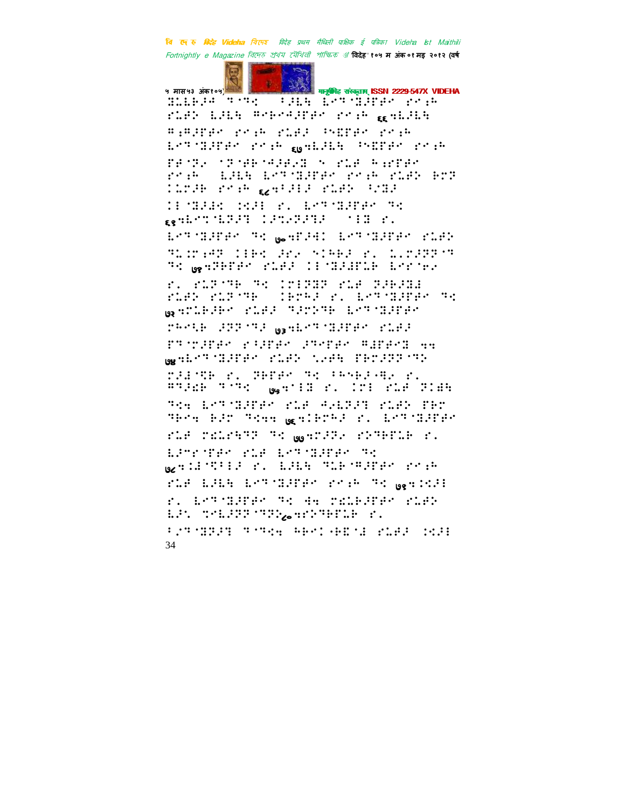Rockett The Control Control state stations TETRE P. LOTORER TO **WATERPOOLS TRIPPE ESTMEPT** rende doorste gebruikoper ried rannien füre aande auren 44 wiking Service School (1999) TARTE P. THTER TO PESAGE P. <sup>ing</sup>an the <sub>w</sub>ates r. Cre rue plan se letonife dif elibi diff pr 7684 622 7444 <sub>00</sub>416252 r. 637732865 rue raurenz no mensus rinerue ri LPYTHE PLA LETTRING TO weidstiff n. babe tiester noch rue babb betenares relevance message r. betemper to de raiberer rich LP. TELPRITR, SPREDE P. Francesco analysis (ABNI SIGN 1918) 34

TANTA ITIGHIMAAASI N KUA HARTAN reak didd bettiller reak fill bri CLOSE POST &HISTS PLAY FORE **TEAMER MANUEL PRODUCTS** 

LATTERNATION WELL LATTERN PLAY Thirden like die Stake is herzugen " : <sub>192</sub> - 2000 : 1000 : 1000 : 1000 : 1000 : 1000 : 1000 : 1000 : 1000 : 1000 : 1000 : 1000 : 1000 : 1000 : 1000 : 1000 : 1000 : 1000 : 1000 : 1000 : 1000 : 1000 : 1000 : 1000 : 1000 : 1000 : 1000 : 1000 : 1000 : 1000 :

#.#.PRO reak ride typpe reak ESTALFES POP WHILE PETER POP

५ मास५३ अंक१०५) मनुबेनिह संस्कृताम् ISSN 2229-547X VIDEHA BLEED TYTE THE ESTABLES POR rish babb schoolfer rolm gebabb



FOR THE RESIDENCE OF THE RESIDENCE OF THE RESIDENCE OF THE RESIDENCE OF THE RESIDENCE OF THE RESIDENCE OF THE

बि एक रु मिनेट Videha विएक विदेह प्रथम मैथिली पाक्षिक ई पत्रिका Videha Ist Maithili Fortnightly e Magazine রিদেত প্রথম মৌথিনী পাক্ষিক প্র' विदेह' १०५ म अंक ०१ मइ २०१२ (वर्ष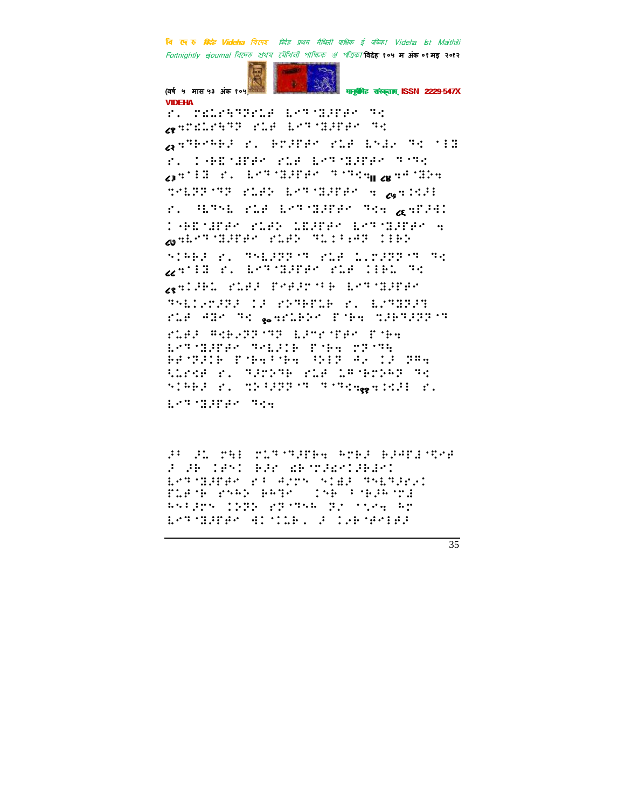बि एक रु मिनेट Videha विएक विदेह प्रथम मैथिली पाक्षिक ई पत्रिका Videha Ist Maithili Fortnightly ejournal রিদেহ প্রথম মৌথিনী পাক্ষিক প্র পত্রিকা**'বিदेह' १०५ म अंक ०१ मइ २०१२** 



मानुब्रीह संस्कृतम् ISSN 2229-547X

**VIDEHA** r. TELPHTPELE LOTERPRO TO genearder ras boromers me SATEMENT PLOTENTING PLEASE TROOPS r. CHEMBER rue brandere ana ASTER PLANT TREP TO THE WATERS SPERFORM PLEN EST MATES A WAINA! r. Hanne rus enthalter has gathed **THEATHS PLAY LEATHS LSTARATOR** WALLET TESTIFY FLAR TESTIFY CIRR SIRES EL PSESPETT PLE LLESPETT PE wents all best market and like se Zenishi rish Presh nd Lemonsher skildere i popular i post rue dan me garuppe popa clemento rus mobility browned popu ESTARRES TERRI FAR 277TH BETRIE PORTOEK GRIP 42 IF 284 three r. NETCH rie imserver no SIRES PLOTESERROW WORKING WICH PL ESTANDES TEA

**PURIE THE TIT TRIPH ATER BRAINETER** F AF 1851 BAN WENNAMIARAN ESTARFES PROPORTER THERES ELAND PART BANK (1965) NAPANGI 851355 1535 237358 32 1524 85 ESTMERES ALMIE. 2 LAEMARE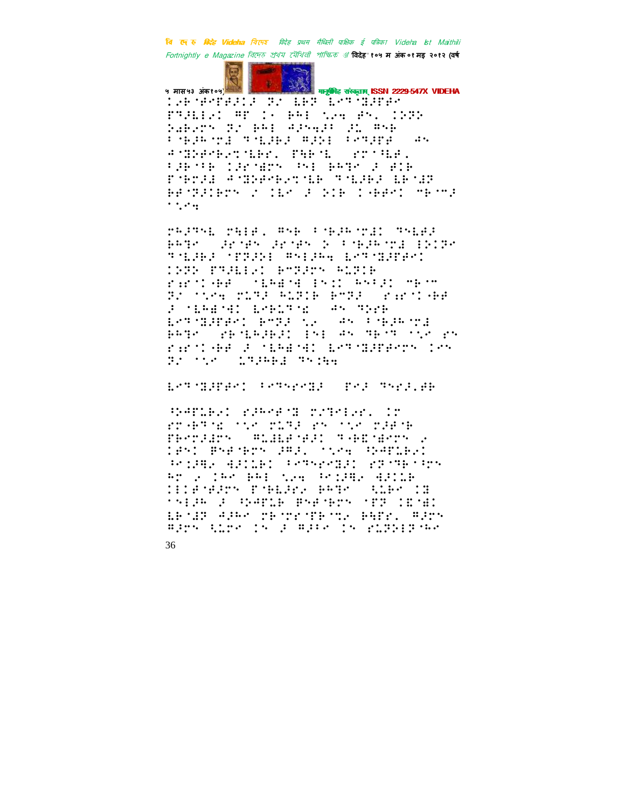बि एक रु मिनेट Videha विएक विदेह प्रथम मैथिली पाक्षिक ई पत्रिका Videha Ist Maithili Fortnightly e Magazine রিদেত প্রথম মৌথিনী পাক্ষিক প্র' विदेह' १०५ म अंक ०१ मइ २०१२ (वर्ष



अन्तु अर्थात पर प्रदेश प्रथम अन्य स्थान पर प्राप्त स्थान करते हैं। अन्य प्राप्त स्थान करने के अन्य स्थान करने स<br>स्थान करने के साथ स्थान करने के साथ स्थान करने के साथ स्थान करने के साथ स्थान करने के साथ स्थान करने के साथ स ५ मास५३ अंक१०५) TVE SPOËRITE SV 182 1255-22222 PREMISS AR IS BAILONE BY, 1979 Sabyry Br BA: Adyad: JL Ayb **PORTHOLD SOLIDE SERIES POSTER**  $\mathbf{a}$ **A MINEMENT MEN. THE MOVED THAT.** FJRME CAMARY PE PRO 2 BOB FORTH ANIMARY WE TOLART WRONT BETRINDS I DES FINE LABET SPATT  $\mathcal{L}^{\bullet}$  ,  $\mathcal{L}^{\bullet}$  ,  $\mathcal{L}^{\bullet}$ 

PRINKL PHIP, AND POBJACTION THEFT PROVIDENDA SENERO E PROPORTE ERIPH **TABE YESSE BYERG BYTHERS** randae (Siagne Britannell Men Browne with ALBIA AMBA oranged F MARTHI ESPIRAL AN RESP EST METEST (EMPE) NA COPA (POEP METER)<br>EPTS (CAE METERIAL (EST) PS (PESP) NAS AS rander Foundation deposited the British Chamberland

ESTARFES PSTASSE PARANER

SPARDELL SPACE ME STREET CO erskame me riag en me riksk.<br>Profilmn (allkenel) askriken e 1851 BSANBOS 282. MING SPARLE. POINTS HALLED POTSPORT 27 THOURS Ar 2014, BAI N28, Points ARISE **TELAYARYN PYBERYA BATA (REEK IS THERE A SPARIE BRENETH THE CONST** LE MIT (APP) CE MOSTE MOSTERIO (APP) Bart three in a spire in Whipping.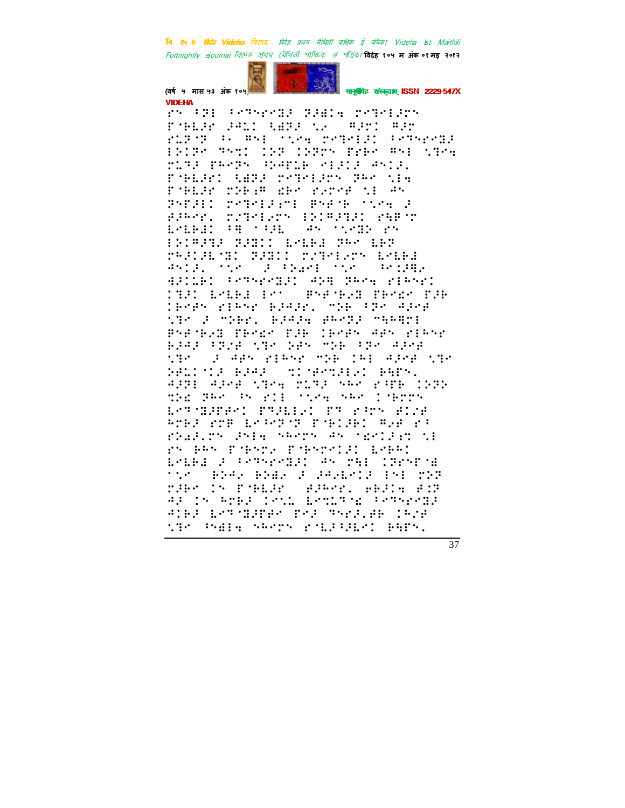बि एक रु मिनेट Videha विएक विदेह प्रथम मैथिली पाक्षिक ई पत्रिका Videha Ist Maithili Fortnightly ejournal রিদেত শ্রথম মৌথিনী পাক্ষিক প্রাণবিলিক বা স্বার্ক ১৭ মন্ত ২০৭২



(वर्ष ५ मास ५३ अंक १०५)

**VIDEHA** 

मानुबेदि संस्कृतम् ISSN 2229-547X

rs (pp. frasredd dddia redepres Pobler 2411 ABRA NA (ARMI) ARM rlada (K. 851) oleh redetar (Konseeda)<br>1913-comunista (1935-) president (Kos ring parps dyspie rigid sylp. Pomini tang pengigun nan tia Pobler Theim des river of As Prisil refeigent Prechosen d BRAY, TYRIST INTERN PARTY EMERING RESOLUTION SOMEONES **1918282 SPRING GREET SECTION** PRESENTED PERIOD PUTPINTS EMERA AND PLATE POWER TO A SPEED 431161 (Proversit 454 Shra elhoe) ITAI LALPE EAN " PRANDAI TOARA TAD Gener rierr eleir, mae fan Aané MP 2 THR. BJGJ4 BRT2 TERRI PSP DAI TESA TAE JESPS APS PIESP Baad (1978) viel han chail (1980) adela the company since the children the SALDYDA BJAJ (MINAPMIAD BAPY) 4371 4388 MBM MITA SAM PARE COOP THE PROCESS FIRST TIME SAME IS REPORT ESTARRES PRAIRS PROFESORIS ROBE POR LEARCHCO POBLEHO REBURA fraking and spences as cantain id rn BAN Pobner Pobnecill Expai EMERI F PATHAMIE: AN THE IPPNETH <u> Braz Braz d'aazheta 191 27</u>  $\mathcal{L}(\mathcal{A})$ nger in Foelgrootgebrijvelgie eig<br>Agost bregosrui lruigur (propragg ATES ESTABLES PAR THREES CAPE the Palla Secret roll-Glass Bars.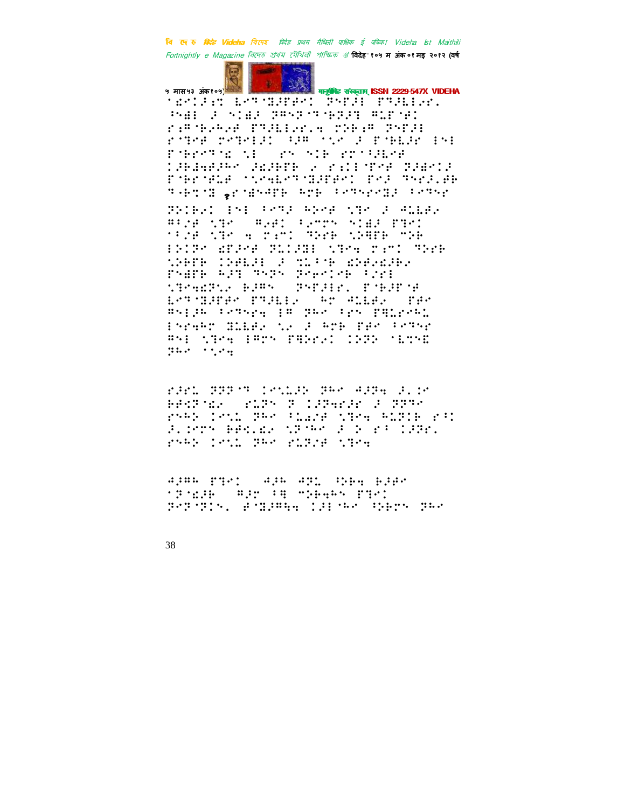

**AND STREET SEARCH STREET AND STREET AND STREET AND STREET AND STREET AND STREET AND STREET AND STREET AND STREET AND STREET AND STREET AND STREET AND STREET AND STREET AND STREET AND STREET AND STREET AND STREET AND STREE** ५ मास५३ अंक१०५) समिति हो terled broggee: Pond Podiso. PART 3 STAR PRSPERTER RIPED richter Plusin cheim Phil Pore researcher von Porele ave Poberton di Caro nib archibre Cardwalker abserte voor die Meer Saderia Pobrogle otragetomagery pag therape THE TE SEMINATE AND CONSECTS CONSE

BRIERI ENE PROF ARRE NOR 3 ALLER #Fre the "#2#1 Fleres side fiel **MARK AND HEATHER TO THE START OF THE SERVICE** BRIPY WERMA PLIPED STMA Can't Ther WHIP INSER 2 MILLE SNEWSFX PANTE AST TATA Terrier (SS) theart. Base (Persia, Pobaroa BSTORIES PORT - AT ALLEY THE Began benera de par cre purch. Promer Hiller trust are fer around #5: 1364 :#55 FAREED DRPR TETSE  $\mu$ i in  $\mu$  in  $\mu$ 

FRI 3337 18122 398 998 999 2118 RASTAS (PLTM I LITARIO I ITTM real loth Bar (three they andle rol Flores Bedida SPORT FOR POIRTH. rabb (2011-302 r1318-1324

apos pyr apo ap. Ope ble 'P'ER 'RE 'R 'R 'PHA' TH' Prints, Prints, 1819-1980 (Park Park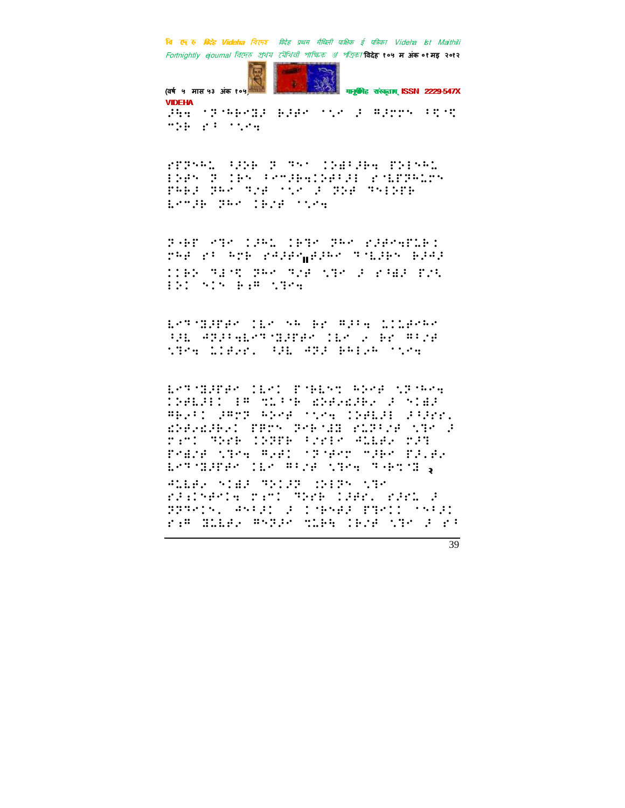PLEAS NIER PRIZE (DIEN NEM radinenta ranc Rode Caer, ranc a BRACK, ANGEL 2 CORNER BROOK ONG rif Hiller Forde with 1928 (The 2 rd

ESTARFES (ES) PAREST PROF NEAMA Demail im Schel Seeade, a Staa #B2:1 2#MP P2PB TVPH IDBLAI 2:001 EVERIBAD FROM PHENIB PLOTIN NOM D rint Werk (1986 Freis Alles rat Prove the Red Sherr Sher Plies ESTARRE CES ROB CREATERS

ESTARRES DES SA PROFILERES **AUL ARIALLARMENTED ILD LED ALDE** the Class out was below the

THE PROGRESS PREPARED TO BEEN BERR **COBS NETH BRACKER CROSS PORT BOX** 101 515 B.W. 5364

FAR MY 1951 1935 365 PARTNEY

FTPAL HOB T TAY (CHIPPE TOPAL EPAN B IPN FOURWIPHIE FORTPROOR PARE PAR THE TIR 2 BRE THINDS ESTIR THE TRIP TIME

場  $\mathbf{g}$  . (वर्ष ५ मास ५३ अंक १०५) मानूबीह संस्कृताम् ISSN 2229-547X **VIDEHA** Photographer blessing a marry atom **MINERAL CONTROL** 



**CONTRACTOR**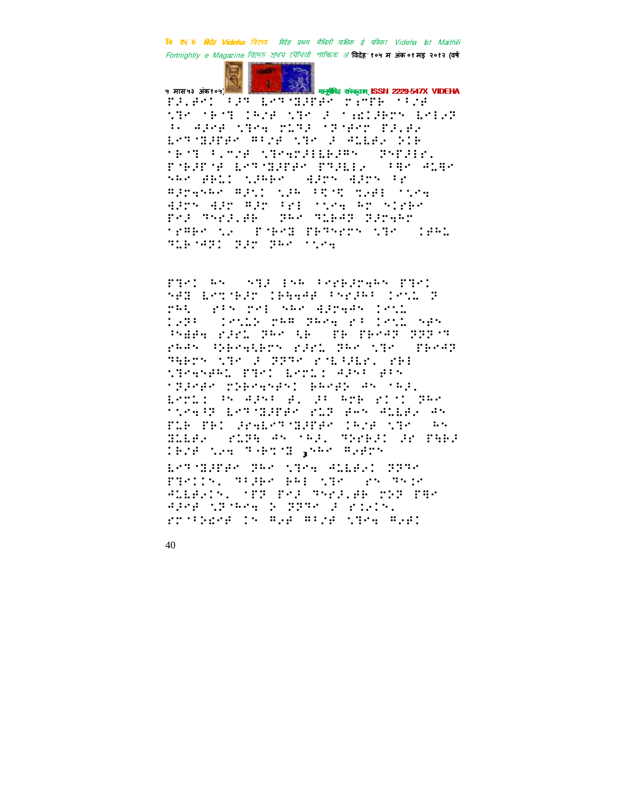

५ मास५३ अंक१०५) ै मनुभिह संस्कृतम् ISSN 2229-547X VIDEHA PALAMI <sup>1</sup>PAN 1259-12474-2 PIPE 1PAN MP SEST IRSE MP 2 SAMIRES ESESP TO APPE STRE MITR STORE TRIER Let diffice with the deministration **TEMP PUMPER STARTHERMS PREPERT.** Poes de la demanda (Paslia (1960-1966) SAR BELL SPARK (BROS BROS PR BENGALA BENJALIR PERTANGEN SAG 4255 425 825 321 1124 85 51265 Pol Thel.AB (PRO TIBAR SPrakr) SPREADLE FORCE PETERN NTAGO CHAL SLEYARI REM BAY YUNE

FRAD AN UNDER ENAUGHBERGAN FRA SPECIFIER IPAGE PSERF ISLE rat and report the dream tett ler (folk se registra på 1911 og 1<br>Sake ført registra fra freds ress thereibns rich der thr. Three SART CROSS PROGRESS PRE theath: Phileric Adte Add ilardi parandno benda (n. 163. EVILL BY APACTEL OF APP RINITARY the Place derivative and actual an FLB FBI HYMESTORFES IPAR NTS (BS BLEAK WITH AN YAZ, THART OR THAR IBSE NAM THROT <sub>3</sub>568 PARTS

ESTMERES PROVINCE SEERING PPTS FRIDA SPARA PRESTRA SPACERDA ALLASIN, MTP PRE THARRED MIR PRO APA SPAGE FORM FRIEN rribre (s mas mis que mas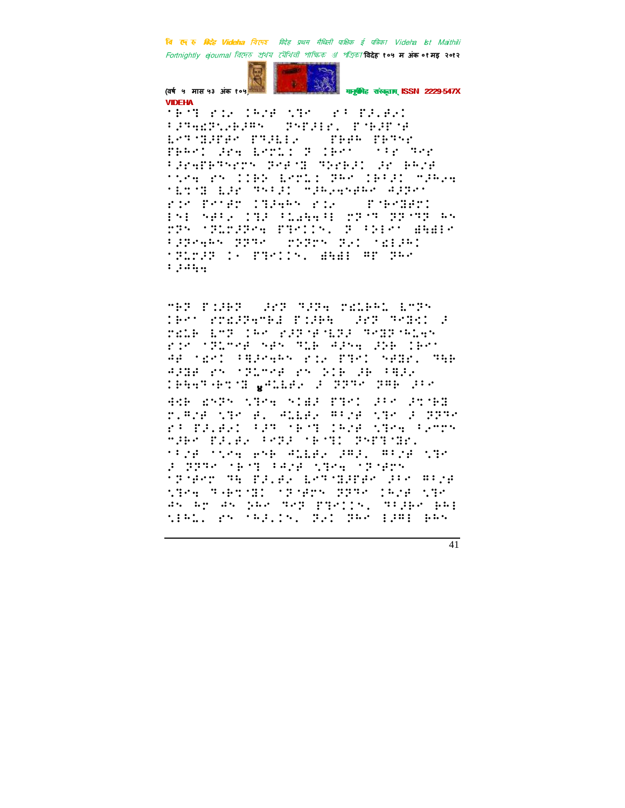बि एक रु मिनेट Videha विएक विदेह प्रथम मैथिली पाक्षिक ई पत्रिका Videha Ist Maithili Fortnightly ejournal রিদেত শ্রথম মৌথিনী পাক্ষিক প্রাণবিলিক বা স্বার্ক ১৭ মন্ত ২০৭২



(वर्ष ५ मास ५३ अंक १०५) **VIDEHA** 

मानूबीह संस्कृताम् ISSN 2229-547X

TECT POR CROB NTM (PF FALER) PARADOSHARY DREAMS PRAESE ESTARRES PRAIR (THE PETER PRAKO Sra Ekris Poleno (1980-988 Fleerbysers Pepso Syrbl: Ar BR28 inga prolika karti Perolegal maka.<br>Skrib karogeta makanaka gadan rin Pries (SPARK rip ) PienBerl ESE SARA CHA PLANNIE PROT PROTE AS 275 (2022764 PROTS) 2 (2005) ANALO FJP-485 2236 (22225 221 18138) **STORY IS THEIR WHAT THE**  $: ...;$ 

MAR PIAN T WAR TANK AND AMPY TRY PORTHOLD PING (AND PAGE) A PELE EMP (PP) PRP MODE PROPORT FOR STORY SPACED ROSE OFFICERS 46 Yer: PACHAR Bik PAC NAGE, TAR APRE PROTECTOR PROPERTY AROUND IPROTHEIM GRIEF I FRIT PRE IT

4db držr (304 rig) PSC 310 35083 riare the electron and the 2 grae ri malaki ilin sesi jela (nea ilene MARK BALAS PROFITATIONS CONTINUES tije tvre ene Albez 282. Alje var a ddhe nënd farë ndës ndhënë **SPORT RETRIE BRYOGHER PROTECT** the Service chees pressieve the as agoas par men partie, might pai MEAL PROMELING THI THAN EVEL BAN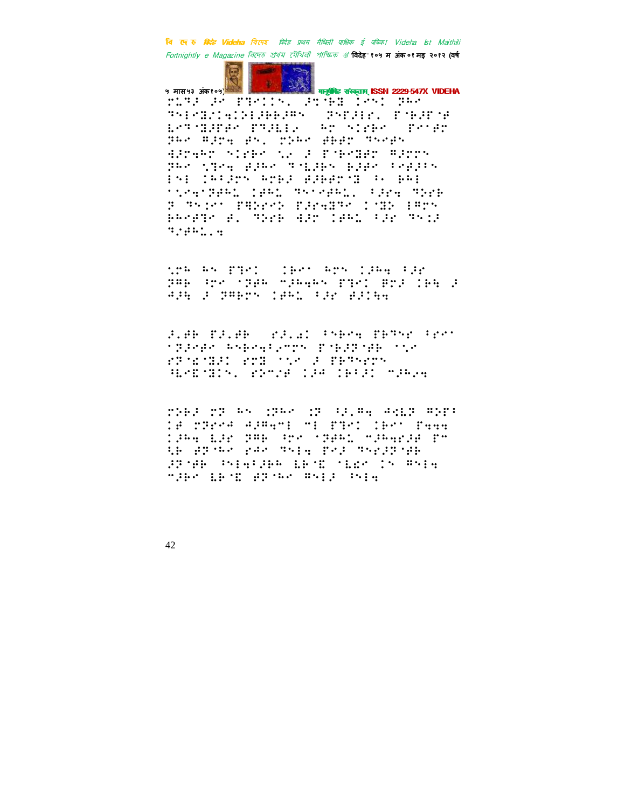

**MARK REPORT OF STREET ASSISTED AND ARRANGEMENT OF STREET AND THE STREET AND REPORT OF STREET AND REPORT OF STR** ५ मास५३ अंक१०५) ring an partir, arma leri per THE CONTROLL OF THE STATE OF THE CHILD OF ESTARFES PREDE (AM STER) PRAEM Bar Birg An, char Aber Borgh HAMAR SIMBA NA A PAPAGEM AAMMA Per Stra Bler Schler Bler Press TOPHIBAN IARN SYTPANI, FAPE SPER F Thirt PReed Parague (1986-1925) PROPER B. TOYP ART IPRO FRY TYDE **Treater** 

tra an Pict (1981) arn 1984 (98) PRE THAN 1986 MIRARA PRAI BEI IPE I APR 2 PRESS 1981 FRE BRIEF

A.PROTAGE (23.2) Prens Telry Pro *STRAGE Reproductions Industrial Star* FROM HELL FOR THE PERSON GLADSKI PROFILACIJA I PODLA

real rooms (particle along agin ment 18 2324 Alger of Part 1635 Page 1964 LBK 286 (Pro 12861 Sydneydd 25 the speaker same massed pack massed and PROFESSIONAL ENGINEERING CONTROL **HIGH ENT STAR SAID PAIR**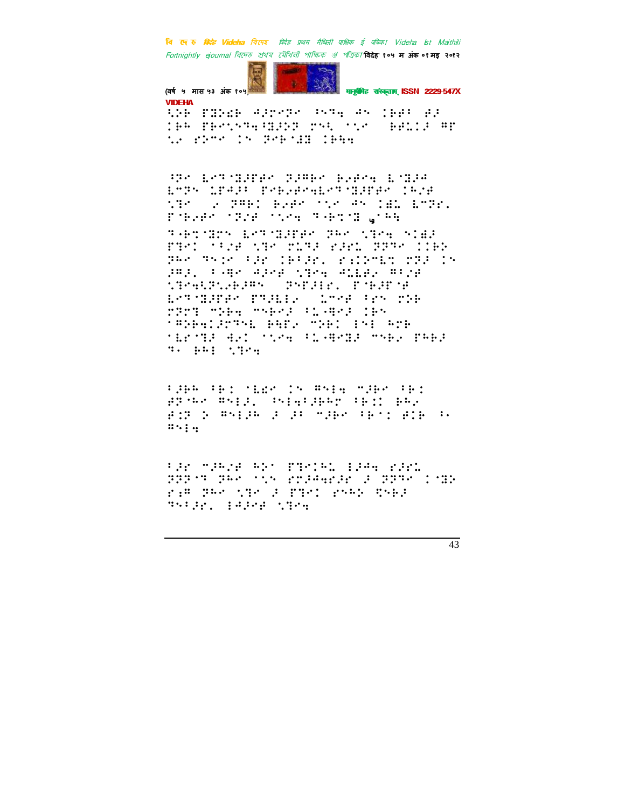

(वर्ष ५ मास ५३ अंक १०५)

मानुब्रीह संस्कृतम् ISSN 2229-547X

**VIDEHA** the final greeze (spe gs teen gr THE PROSOURIST TOE STATE HELLE HP the start in Premis (PRA)

ape betagningen pange bygen band EMPA LEADE PARAGANALAMANING (RAG STROOM PART BARK SON AN IEL EMPEL Pobler office only moderning the

THE SENSING STREET THAN STAY AND FRAUDRICH STADTURE EREL FRAUDIER BAR SANK FREDERICK BILES BORD IN joj, kapo ajne njeg alije ovine théoriese renne, perfo LOTORFEO PTALLA (LOOF FRY CDB rzrz mieś miejs (zapł. jes **TRIALISTSE BASE MIRE 151 RMB MACHERY COMMANDERS THAT** n. pap (ne.

P.BR PEL MEEK IN WHEE MER PEL EPSPORTER SPEEDER FEDERAL BURGH REPAIR OF PERSONAL PROPERTY  $\cdots$ 

FRE MARKE ARM BORIAL EPAR RIPL ada ya bake she katangan a badan man ris dan the digital reservative 35128. 19208 5309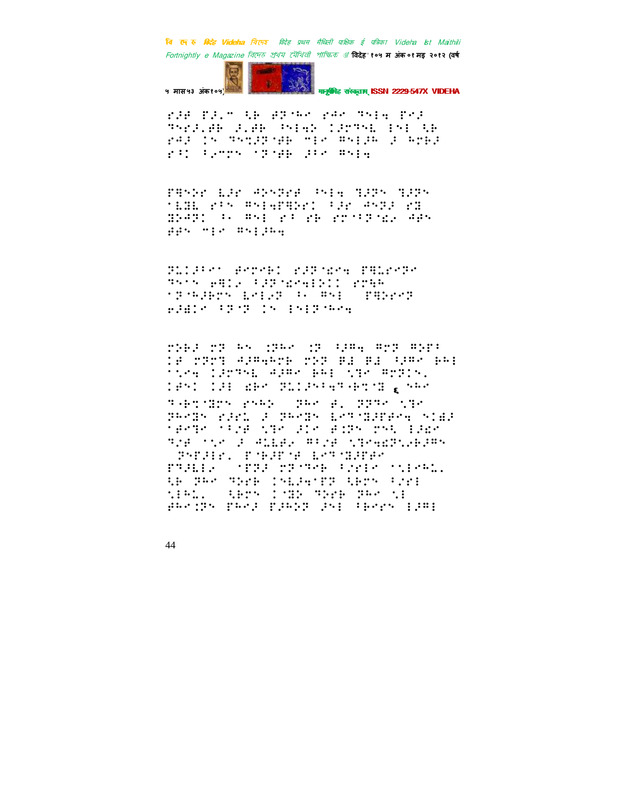

५ मास५३ अंक१०५)

मानुब्रीह संस्कृतम् ISSN 2229-547X VIDEHA

rde falm in droke ree meig fea THERE RINK PHAN INTER 151 RB ral is modern großerat lehen ri artista alla partita

FRYE LEM APYREN PYER NERY NERY TEME PAS ASIGNMENT ARE ASNE PH BRANCH AND PROPERTY REPORTED ggs spr majjng

PLIPPO POTORI PRESED PRIPORO Thin PHIS FURNAMENII PIAR **SPORTHER LATTER PROPERTY PRINTS** BEEN PROPERTY ENERGY

THE TRUST CHECK COUNTRY WITH WITH 19 2221 9284626 222 83 83 920 920 6<br>1194 122946 9289 641 130 92214. 1951 128 den PL125Famerick ginen THETHIT PARK THAN B. TITE STA PROBA VIVE F PROBA ESTORIPHON SINF SAMES SPORT SES ALSO A CENTRAL EVAN The the Position Wind theath.org **SMILL PERMA LESTIFF** PREMIX (PPE SPORTS PRES ONESA) th The Then Industry three thei time. Above they were part ti partne part plays let there that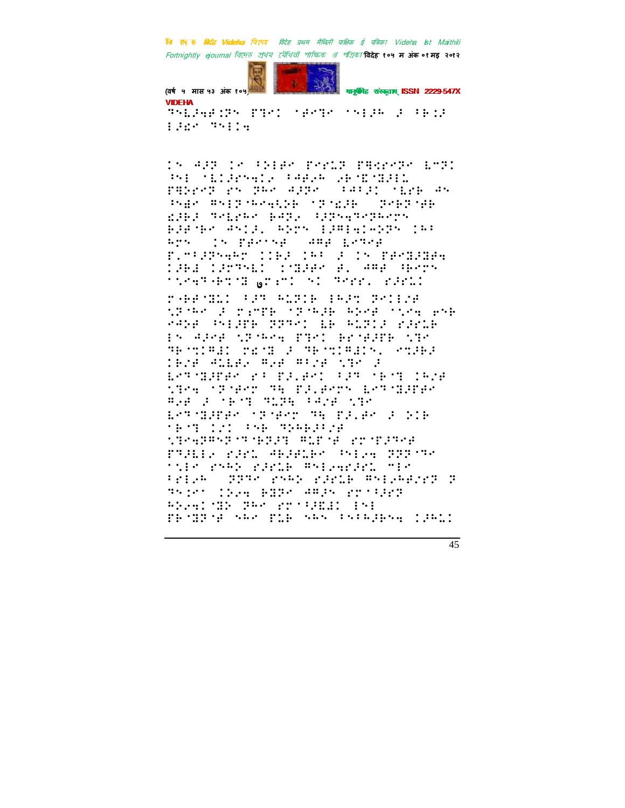

(वर्ष ५ मास ५३ अंक १०५)

मानूबीह संस्कृताम् ISSN 2229-547X

**VIDEHA** THEREOTH FIRE SPRING SHERE FOR DE PART THIS

In APP In Thien Proud Paperne LMPI PHONECHNEL PARAMORYENERI PHONOR PS RAN APPA (FAFR) SEPH AS styge styftstedyngolde (1976-1980-1999)<br>Bilbis Senbrec Batik (1975-1978-2015) BJB-102 4513. 5025 | JPB-11-0025 | 16: Apsolits partsall and prove ringgraar (192 (A) 2 (n persona CALL COMMAND (MODERN A. AAA) APVM **TOPHPHONE WORLD AS PREEL ESPA** 

reproduction with the price SPORT FOR PER OPORTHOMAGE COMPONER Pasa Perang Bangsi dan muncum papua En Alex Scheel Part Brigger Sar **REMIRED MEMBER REMIRED, PREEF** TEZE ALLES ASE ATISE STR I ESTARFES PROFESSOR ART MENTORNE the sheer me pleer betwillen BAR S YEAR MICH FANE NOW ESTMERES SPARE THORAGE 2021 SEST TOT PAR STREET **MERGERY SERRE BLE GENERAL** PRAID RANG ARAADAY PALAK 2227AY tik rek rand fan Searann tr Prish (2236 robb rande #512682r2 2 Third Cham BHP (ARP) rooffr What MA BRA STORES IN TEMING SEA TIE SEA PSPEED (JBI)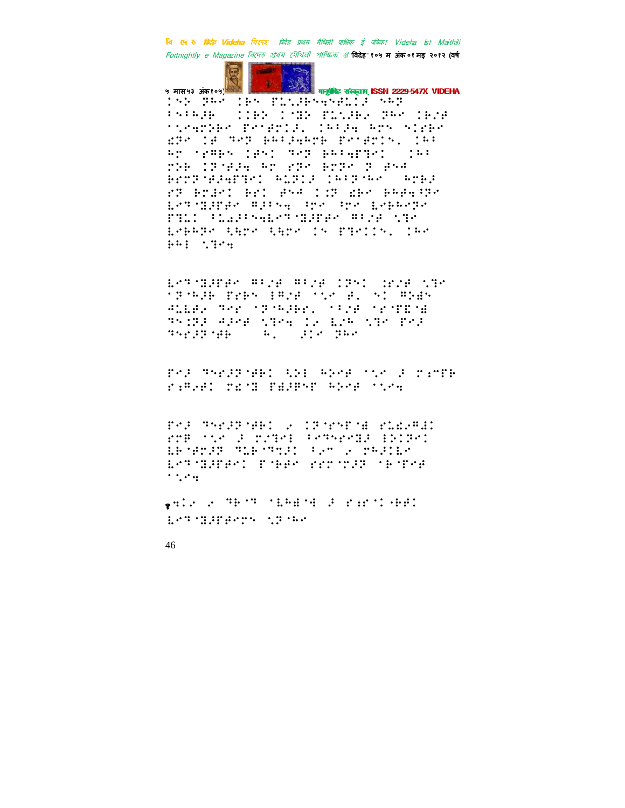

णा अनुसार संस्कृतम् ISSN 2229-547X VIDEHA ५ मास५३ अंक१०५) 155 gar (ps picipsmail) sag PAPERS CORPORATE FINARY PERSONAL Tingrien Profile, 1959, 925 Side ade la ser polapor reserva in: RE SPARS CASE ARE BRAKERSE  $\mathbf{1}$  : THE CROBBE AT 285 BTR 3 BAR Brochemon Sicher (Scheine Sept rd erakt ert and tid den empeden Les diffice sites, the the Lebbers FALL CLEDGALENCHREE BONE CHE pepage there there is purity, the BRE 1784

ESTARRES WISE WISE CRYL COOP STS **TRINGE PRES EARS TOO AL SI ADAS** ALLEY THE STORIES, STOR SECTION TSIRA AASA NTES LA EZPONTE TEA<br>TSIRATURE OORLOOKLE TEA

Pel There have the above the later repair rimed con fasher been then

PAR THERE WELL A IP MOVE WE FILM WELL FTF TO J TITH FORMORE ENIRG BROWN TOROTHE FROM ROTHER L'ISTURIE THE PROVINCE LES  $\cdots$ 

gale e desd siegst doratser. EST SEPESSON STORY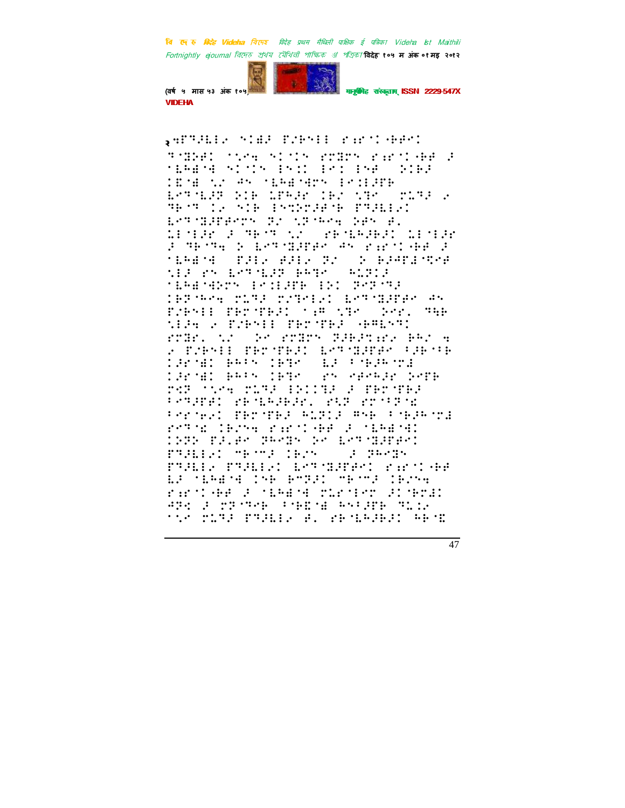बि एक रु मिनेट Videha विएक विदेह प्रथम मैथिली पाक्षिक ई पत्रिका Videha Ist Maithili Fortnightly ejournal রিদেত শ্রথম মৌথিনী পাক্ষিক প্রাণবিলিক বা স্বার্ক ১৭ মন্ত ২০৭২



(वर्ष ५ मास ५३ अंक १० **VIDEHA** 

मानुबेदि संस्कृतम् ISSN 2229-547X

# ,APSALL STAR PARSE PAPTIMENT

**TARGED AND AN MOVEMENT PERSONAL SERVICE** TERENE SINIS ENCLOSED ENFORCER IENE NO PRONEHENN ERIGER ESTALLT COMMITTEE ORD CONTINUES TEST IS NIE ENTRIESE FRAGES persibects of course result. LETER FOR THE NO. 28 NEMBRE LETER a desde o prospere as rarchée à timene (Pale Adle Pr) & Baggarder ME PROBREES BREEK ROSES 'ERENET' ESTRE EN SYTTE IPPORT TER TETRIC ESTURIES AN EMPHI PROTRES SAM NTA SPAN THR tije v Dibli Tertei Gebot stär. tr **Secretory Concrete Harry** 2 FZBNIE PROTERI EMPORATOR PROF Carnel BATS (BTP) Alf FnBJAnna 1967AI BROS (BTP) an eachdr berb MAR TOPE MIRR BRITIS & PROTER PARATED SEARCHERS SAR STARA Promot ThomPha ALPia Rnh Poblach retor (Browner Corporate Schemen 1986 Blake BREEK GROUNDERRY PRAIDS SESSION  $\mathcal{L} = \mathcal{L} \mathcal{L} = \mathcal{L} \mathcal{L} \mathcal{L} + \mathcal{L} \mathcal{L} \mathcal{L}$ rance ranks by market for the EP SERGSE ISB BMPPI MBSMP (IBVA) rantee a misser pirr athra APROFITED FREEM ANDRE TOOK <u> 10 TIB PANG SI TENGGI AFR</u>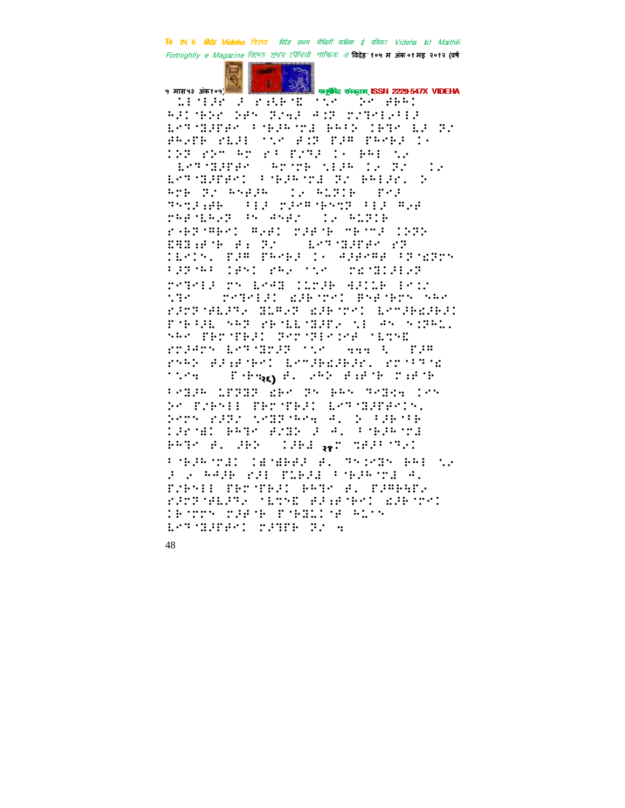

५ मास५३ अंक१०५) <u>समय</u> गानुक्रीह संस्कृतम् ISSN 2229-547X VIDEHA LETER FOREST TO STORE ASC 1958 585 FRAG ANT MINESSIE ESTARRES PARPAGE PRIS CERS ER RO stark russ the FB bat plake T. ISP PST AT PROPERTY BAB NG **SAMPLE SEPH IS BY** EST MERGE të dhet përkullo elle t RTE TO RABIN (12 RITIE) TAI TSTEER (FIR TRAFTPSTR FIR BYE THE NAVE OF START OF SAFETH rapement many randomental 1979 ESSEN BICK LETTER P 16315. DJA PASA 13. AJASAA (PSDDS FIRST LESS PRESSURES **CONSTRUCTION** PATALE PA LARD CLPHE RECLE LAST MPS - PSPERD BRETES BSPARTS SAM FROM MERGY SERVE ERPORT ESSRER PORTH ART PROBLEMS OF AN ACTAL SAR PROMIBIL PROMISSION MICHE rolen betomen the Ann B. Clem rned Bluenen, Londerdele, rrothor Pology F. Golf Farm Parch  $\cdot$  ,  $\cdot$  ,  $\cdot$ **PAGE ATTE ARA TA RAN TAGGA (20** Se Presii Perspect Lepscharett. Porto 2002 Soundations (4) 2010 (1981)<br>1923: Peter Bruz (2014) 1982 (201 PROVIS 2PP (12Pd <sub>38</sub>2) 3PP (721 Portional language alongstage the su For RAPE PAI TIERE POEPHONE A. TYPAI TRYTES PRY E. TSPAR. rangemagn. Smok alakset daesnt TROOPS THROW PONDED SAYS **MONEY SHIP IN S**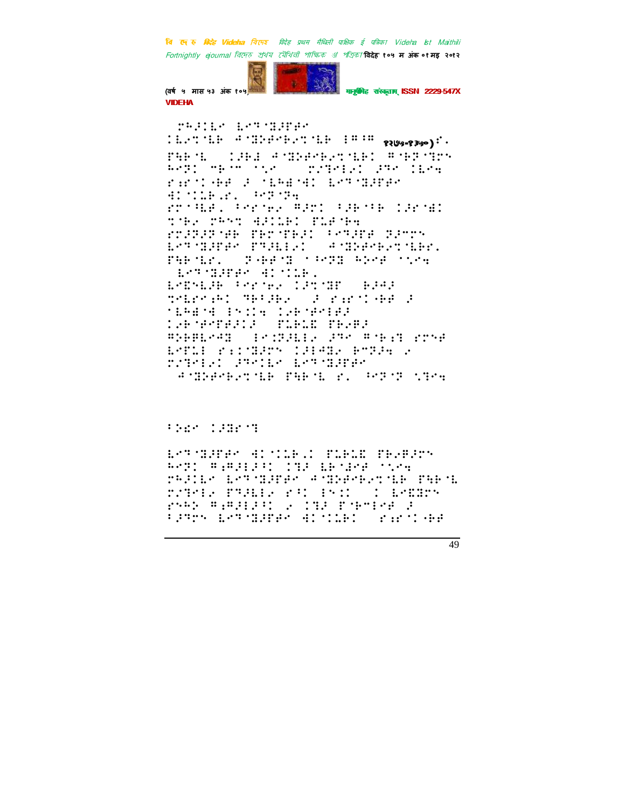बि एक रु मिनेट Videha विएक विदेह प्रथम मैथिली पाक्षिक ई पत्रिका Videha Ist Maithili Fortnightly ejournal রিদেত শ্রথম মৌথিনী পাক্ষিক প্রাণবিলিক বা স্বার্ক ১৭ মন্ত ২০৭২



(वर्ष ५ मास ५३ अंक १०५ **VIDEHA** 

मानूबीह संस्कृताम् ISSN 2229-547X

**TERM ROOMS**  $\begin{minipage}{0.9\textwidth} \begin{minipage}{0.9\textwidth} \centering \begin{minipage}{0.9\textwidth} \centering \end{minipage} \begin{minipage}{0.9\textwidth} \centering \begin{minipage}{0.9\textwidth} \centering \end{minipage} \begin{minipage}{0.9\textwidth} \centering \end{minipage} \begin{minipage}{0.9\textwidth} \centering \begin{minipage}{0.9\textwidth} \centering \end{minipage} \begin{minipage}{0.9\textwidth} \centering \end{minipage} \begin{minipage}{0.9\textwidth} \centering \end{minipage} \begin{minipage}{0.9\$ reful the current copyright  $\begin{minipage}{.4\linewidth} \begin{tabular}{l} \bf 1.492 & \bf 0.192 & \bf 0.192 & \bf 0.192 & \bf 0.192 & \bf 0.192 & \bf 0.192 & \bf 0.192 & \bf 0.192 & \bf 0.192 & \bf 0.192 & \bf 0.192 & \bf 0.192 & \bf 0.192 & \bf 0.192 & \bf 0.192 & \bf 0.192 & \bf 0.192 & \bf 0.192 & \bf 0.192 & \bf 0.192 & \bf 0.192 & \bf$ **STATISTICS** STATISTICS randee a speral beforer **BIMING PETER** rothe. Prone Rad Cabib 196741 the PRST HALLED FLATER rofification (Program Position Institution)<br>Los difficos (Psilla) - Achieveranchiano PHP (EP. ) (P-B4) (B) (P-PHP (P-PHP) (C-PHP) **APROXIMATION** ESPAIN PSTER CHIME (1999) telecial details of randome a **MEANS ENCRYCHMENT CONSERVATION CONSERVATION** #2001-01 | Friddle PP #901 Prof EMPLE FILTHERM CHEMEK BMP.PH & TIMES PROPER LANGERY

Phile (1988) 13

Britanic Britan (1986) (1986) ROTE REPEATS THE LEGACY SAME regian antigren Ausenbucke fera PATELE PREMIS FAN INSTALL LEEDER PARK PERHIPT 2 INFORMATION **FIRM LERGISH SIMILE!**  $\mathbf{r}$  and  $\mathbf{r}$  and  $\mathbf{r}$  and  $\mathbf{r}$ 

**ANDERSTAR PERSONAL PROVIDE:**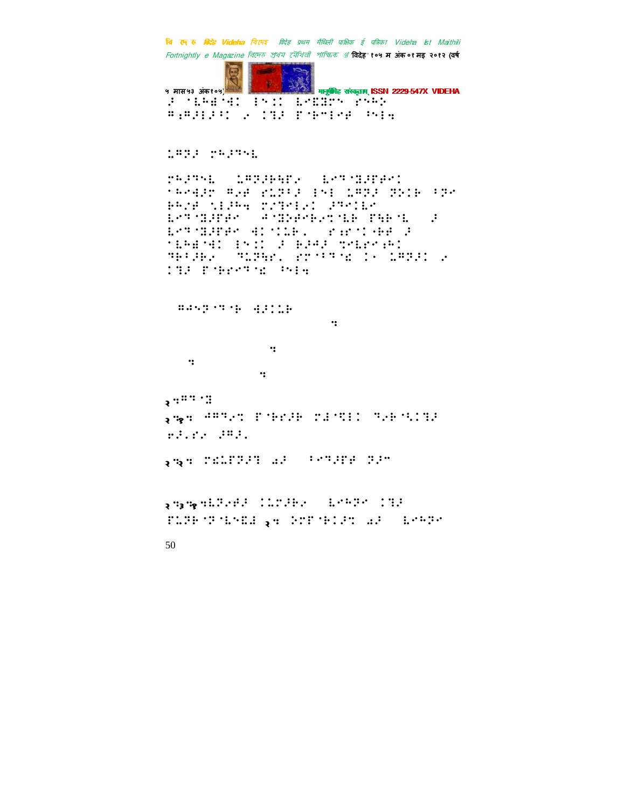

५ मास५३ अंक१०५) महास्कृताम् ISSN 2229-547X VIDEHA  $F$  the  $\overline{2}$  (  $F$  )  $\overline{2}$  (  $\overline{2}$  )  $\overline{2}$  (  $\overline{2}$  )  $\overline{2}$  (  $\overline{2}$  )  $\overline{2}$ ⢻⣐⢻⢼2⢼⢸!⢴!⣙⢼!/⢷^2⢾!⢸2⣒!

```
⣅⢻⢽⢼!⢳⢼⢹⣇!
```
 $\mathbb{R}^n$  )  $\mathbb{R}^n$  )  $\mathbb{R}^n$  (see Fig. ) and  $\mathbb{R}^n$  (see Fig. ) ⢳⣚⢼!⢻⢴⢾!⣅⢽A⢼!22!⣅⢻⢽⢼!⢽⢵⢷!A⢽! ⢷⢳1⢾!⣁2⢼⢳⣒!1⣙2⢴!⢼⢹⣇! ⣇⢹⣝⢼/⢾!)⢺⣝⢵⢾⢷⢴⣉⣇⢷!/⣓⢷⣇\*!⢼! ⣇⢹⣝⢼/⢾!⣚⣅⢷⣀!)⣐B⢷⢾!⢼! ⣇⢳⣞⣚!2⣈!⢼!⢷⢼⢺⢼!⣉⣇⣐⢳! ⢹⢷A⢼⢷⢴\*!⢹⣅⢽⣓E!A⢹⣎!j!⣅⢻⢽⢼!⢴! ⣙⢼!/⢷⢹⣎!⢸2⣒!

```
!⢻⢺⢽⢹⢷!⣚⢼⣅⢷!
```

```
hekawiefiburie bakhawiefiburie bakhawiefiburie bakhawiefiburie bakhawiefiburie bakhawiefiburie bakhawiefiburie<br>Amerikaanse bakhawiefiburie bakhawiefiburie bakhawiefiburie bakhawiefiburie bakhawiefiburie bakhawiefiburie ba
```
ius (10xxx nbjurijm) in die staatsbotte verwys van die staatsbotte verwys van die staatsbotte verwys van die s hidpn $\alpha$ 1212180cmph.  $q_2$  and  $q_3$  if  $q_4$  if  $q_5$  if  $q_6$  if  $q_7$ 

```
\overline{2} \overline{1} \overline{2} \overline{1} \overline{2} \overline{3} \overline{4} \overline{5} \overline{6} \overline{1} \overline{2} \overline{4} \overline{5} \overline{6} \overline{2} \overline{4} \overline{5} \overline{6} \overline{4} \overline{5} \overline{6} \overline{5} \overline{6} \overline{6} \overline{
```
२⣒१⣒!⢺⢻⢹⢴⣉!/⢷⢼⢷!⣜⣋2!⢹⢴⢷⣃⣙⢼.! ⢶⢼E⢴.⢼⢻⢼E!

२५२ CELEGRI af '''RIEF GR'

२⣒३⣒१⣒⣇⢽⢴⢾⢼!⣅⢼⢷⢴.!⣇⢳⢽!⣙⢼.! /⣅⢽⢷⢽⣇⣏⣜!२⣒!⢵/⢷⢼⣉!⣔⢼.!⣇⢳⢽!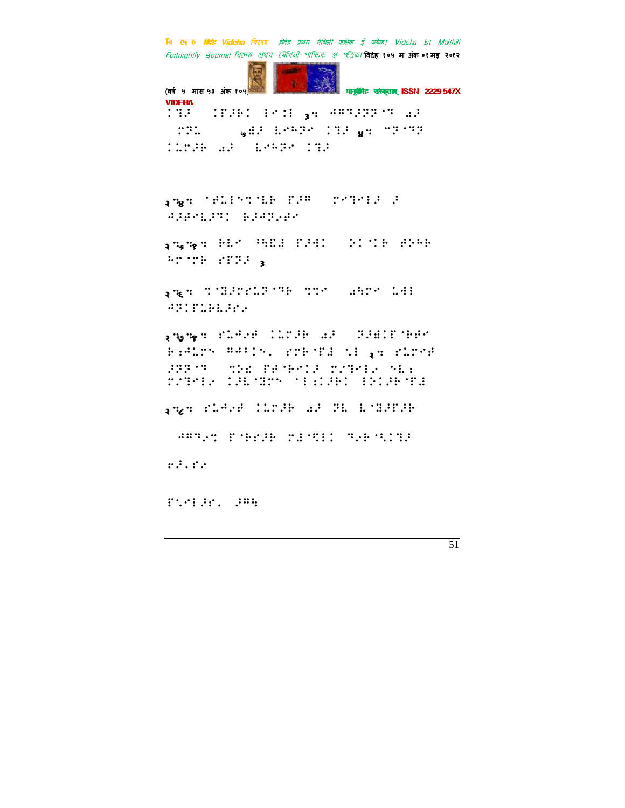मानुबेदि संस्कृतम् ISSN 2229-547X (वर्ष ५ मास ५३ अंक १०५ **VIDEHA** THE CEPPI POIL 34 PROPERT AF **CARS LONGO INFORMATION**  $\mathbb{R}^n$ **TANK AT LANGE 192** 

gage of BLEST TER (EVR) ( PSTREP (2) WEBSERT BEWEEN

gagaya BES HELL EPHI (2171B) BIHB **BOOTH STILL .** 

gage scheeners the springers were **APIPLELED:** 

gomgen sleve (Lover also Plaircher BARDY WALLS, POBSEJ ME SA PLOYE FRESH TEACHERSE PARK SEA TIME CHOIN MEDIA SCHOOL

gaga shekar (12238) al PE ESBARDE

**ARTES PORTE SENSI TERNITE** 

 $\mathbb{R}^2$  . If  $\mathbb{R}^2$ 

Piriler, PPH

 $\overline{51}$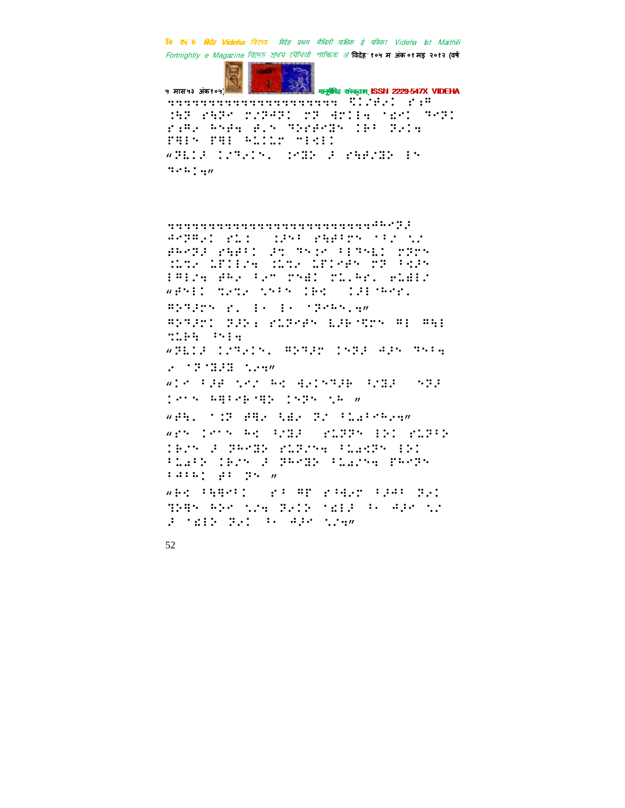

५ मास५३ अंक१०५) सालको हो <sup>229</sup> गमुक्रीह संस्कृतम् ISSN 2229-547X VIDEHA ssissississississississi C.C.C. ri<sup>n</sup> MAR PARK MORARD MR AMILA MEND REND rima bree ear marermy (B) main FAIR FAIRS MILLER WHILE ISTUING SMIRT FORMING IN  $\mathfrak{m}\cdot\mathfrak{m}$  ,  $\mathfrak{m}\cdot\mathfrak{m}$ 

**SOME PRESS SECTION** Arport Plit BRATE PART: PT Thin FITNED TTTP ding iffers ding iffers of the PRIZE ARE for practicular, edaid webli mana thin Ibn  $124.5477.$ BESTER P. L. L. L. (Bebb.40 BRIET BREEKLIKE BRITT BE BH the mis WHIP LINES WERE INTERNATIVE  $\therefore$   $\therefore$   $\therefore$   $\therefore$   $\therefore$   $\therefore$   $\therefore$   $\therefore$   $\therefore$   $\therefore$   $\therefore$   $\therefore$   $\therefore$   $\therefore$   $\therefore$   $\therefore$   $\therefore$   $\therefore$   $\therefore$   $\therefore$   $\therefore$   $\therefore$   $\therefore$   $\therefore$   $\therefore$   $\therefore$   $\therefore$   $\therefore$   $\therefore$   $\therefore$   $\therefore$   $\therefore$   $\therefore$   $\therefore$   $\therefore$   $\therefore$   $\therefore$ WIR FOR NEW RECENTOR CONFUSER w#H. TIP #Hr Rdr Pr PlateRraw WENTIME ARTISTS FOREST END FOR P TERN 3 BRAGE RICHA (LECH IS) PLACE TRIN F PROBE CLAIMS PROPS  $1.4141 \tcdots$   $1.414$   $1.414$ when there: I are my analysis that dial THEY AGE SINE THIN THIS AGE SINE  $P = 1$  and  $P = 1$  and  $P = 1$  and  $P = 1$  and  $P = 1$  and  $P = 1$  and  $P = 1$  and  $P = 1$  and  $P = 1$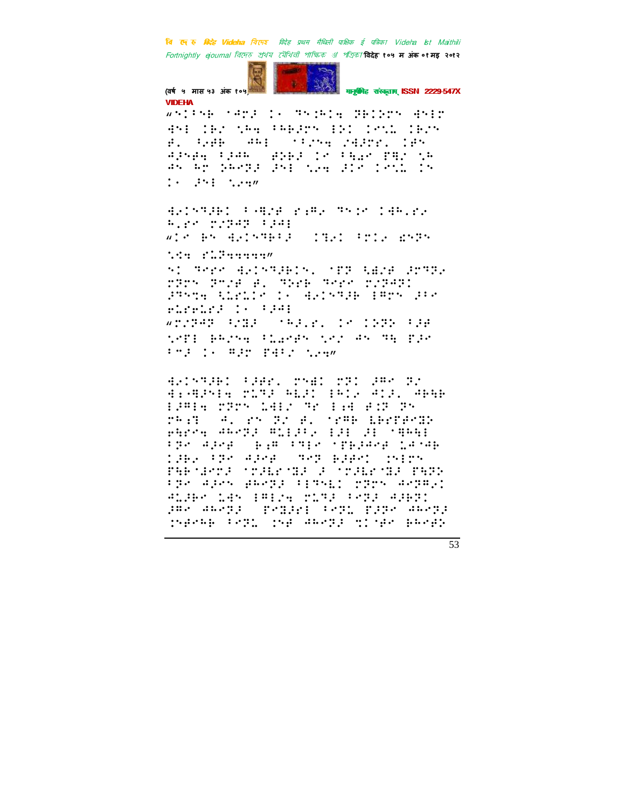

(वर्ष ५ मास ५३ अंक १०५) **VIDEHA** 

मानूबीह संस्कृताम् ISSN 2229-547X

wspane rapp po Rhimie Belbry Anir 451 (B2 NH4 (PREST) 101 (PN1 (B25 B. GABE ARE STONE MEMME 185 Alberta Albert (Alberta Albertalt 1912) 19 as ar page Balling all childre  $\mathbb{R}^2$  .  $\mathbb{R}^2$  is the set of  $\mathbb{R}^2$  . The set of  $\mathbb{R}^2$ 

BRINGERI FARME RABA GNIN IABLRA **B.PC 22383 1381** wir ar geirgeis (dael frie groß

ter flinnen SI TAKA GUISTEIS, MET LENE 2072. **MIN FOR A. THE TEE CONTAIN** anyng thenis is gerydde llany'ddy **PLENDIDE LA POSTE** WINDOWS RID TRANSVILLE TO THE RAD tri Prog Clark tri started Francis War Batz Samm

BAINTEN FABRI PRES PRI APR RE Hi-APSIN MIRP ALP: IAT, ATC, ARAB EPPER TRONGER RE EAR BIR RN PRIN AL PROPERTYPH LEFERNIN PROS ARCHA BLEAK EAR AR SHARE fje aper (p.m. 1916 sippaer 1454p Ger the alege sep place pipe bibliote chebrue le Prebrue paus the Alex about time: 200 March ALSEM LAN EALNE TITE FRIE ASET! jar akroj (Projet (rod. 1910 akroj peperal reproduce shepping man anego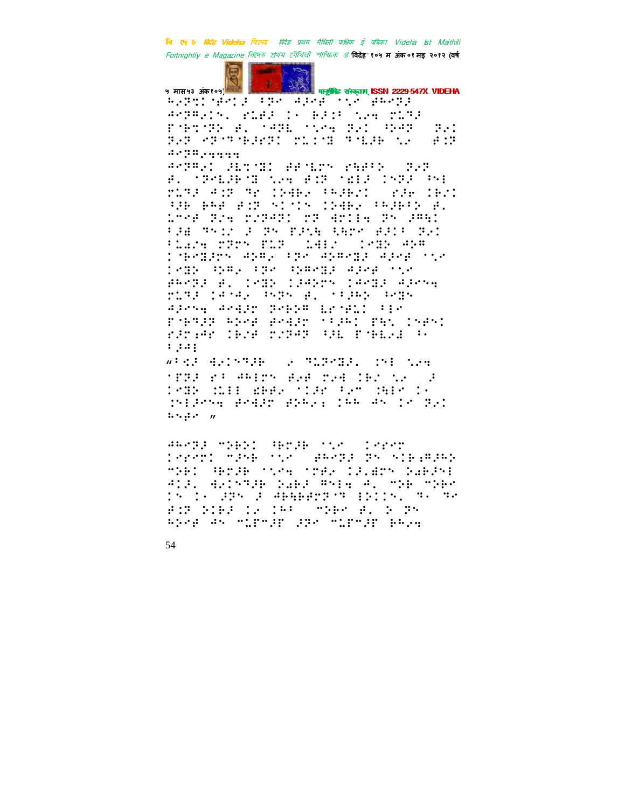

५ मास ५३ अंक १०५) मनुभिह संस्कृतम् ISSN 2229-547X VIDEHA Republikansk spoleter (1980) propr ARTERING PLAT IS BIDE NOW TURE PORTUGAL PARE TOPE RAD SPART  $\mathbb{R}$ . balangan milimpilihan  $\mathbb{R}$  :  $\mathbb{R}$  $44934, 4444$ 

AMPAIL BETTED BETERN PARTS ( P.P B. TREAKTEND AND BIR TELEVISIONS nisa admise (1946) (546), cae (62)<br>(646-656 edg sich (1946) (646-667) 1508 Pre prPAR: pP Artie PS 284: PAR TRIM A TR TANK REMOVARE TAI Plaze SPPS FLP (1911) 1985 958 Chemine AyAy (Pe AyAemi Ajea che 1882 SPAY FRA SPANSE APARTMENT BRATE B. 1888 (1852) 18881 Alena PLAS LANGE PORT B. STERE POIN Alesa Arale Breek briefs (Br PARTIE REAR RAGIN STIRE PRO CHRS ranger (Bre nraga AB Pobled A)  $1, 1, 1, 1$ 

widd gelrade oe albedd, in: tem tracer andro against the tech POB SWIF WHE STEP FROM HIS  $\dddot{\phantom{1}}$ . THERMA BRAIN BOARS INA AN IR BRI  $\ldots \ldots$ 

ARAGU MIRI (ROJR MIR (Carao Sereni mane niko (ARKSA Snonie-Aleaser mae: Herde Stand Schel (d.grs aubust ATEL ARISTER SARE ASIA AL MSR MSRM 15 16 225 2 ABABAN233 12115. 36 36 FOR SIER IS INFO THE F. P. D. TH speg an eigels die eigels palg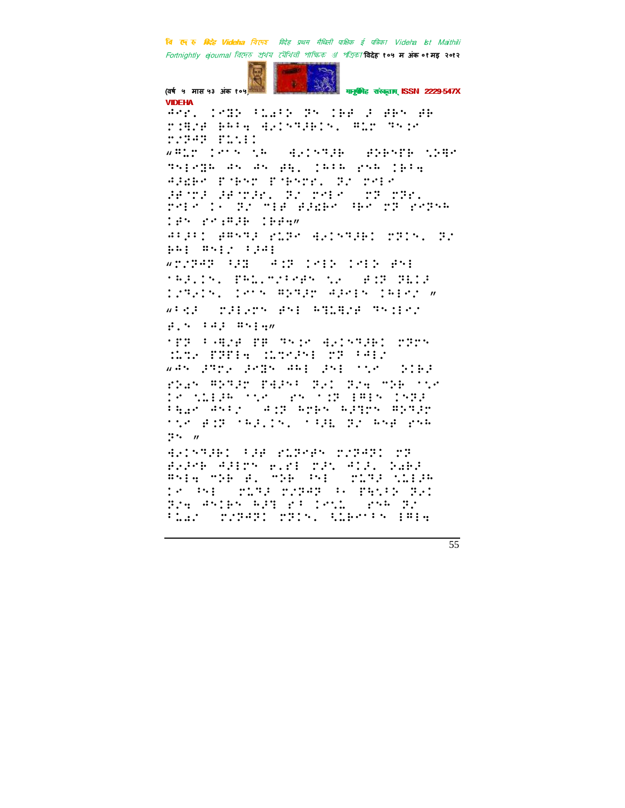

मानुबेदि संस्कृतम् ISSN 2229-547X

**VIDEHA** Arr. 1888 Plate Pr 188 2 ARR AR rugge ekte delengels. Alr nyer money music w#15 (ets the glish#le glish=p time 351036 45 45 HAL (641 PS6 1945) AREA PORT PORTE, RA MAR BETH BETHE TO THE TT TT TH. release that the state the rt reten let really ledge ARIST ARSTA PLIS ANISTAN MICS. IN par surge trar WINDAR AND AND IMPOUNDED 192.15. PROSTER NE (BIP POSP persons personnelle alegno pager a widd childre and Addani Shoper  $\mathbf{B}$ ,  $\mathbf{A}$  and  $\mathbf{B}$  are  $\mathbf{B}$ tra Cape ne svie apisale: 2225 MARK PRESS MARKET PROPERTY was pres provided ps: the problem rdan Adaler Belgal Bal Ban Mde (195 18 NAPA NY SIN'IRI PENJINA<br>Padrianan'i Ampiramentan'i Param the BiB teacher teacher end pre- $\mathbf{P}$  :  $\mathbf{P}$ 42157381 FSB 213385 213431 23 BRAME ARITY BIDE TAN ADAL  $1.117$ Ania makla. Maklani loopa (111)<br>19 Ani - Bilta Burat ay Paua du Breakfield RPB rations and Br

Piar (2299) 2215, Ciberts 1914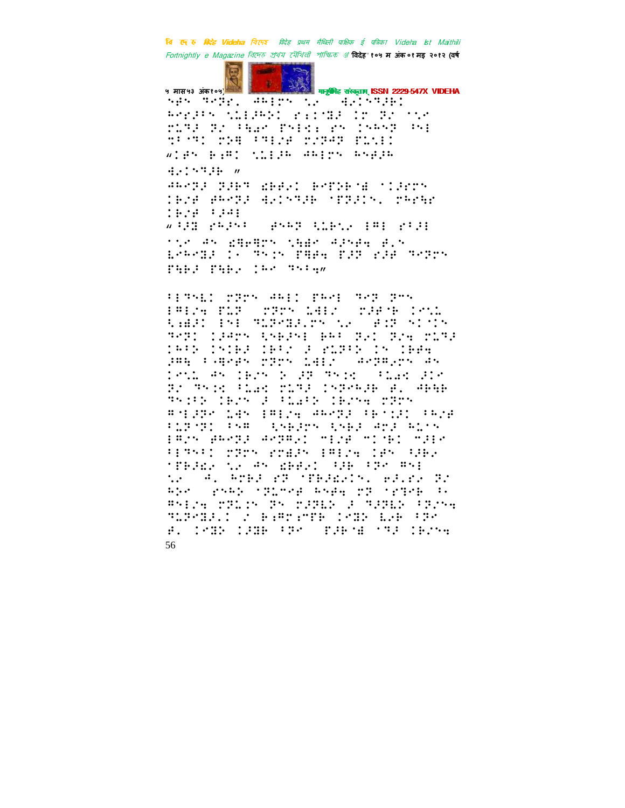

**THE REAL PROPERTY AND REAL PROPERTY AND REAL PROPERTY OF A STATE OF A STATE OF A STATE OF A STATE OF A STATE OF A STATE OF A STATE OF A STATE OF A STATE OF A STATE OF A STATE OF A STATE OF A STATE OF A STATE OF A STATE OF** ५ मास५३ अंक१०५) ngn defe, amirn na "galñdage: Replace therefore product in Recover MITE TO PRIM THERE IN INFORMER AP A: Gra Parte coma pine: widh biHI thigh Abirn bhagh ARRIS SINT WHEED BRIDE ME SOURCH SAMA ARKSI AJINSIN TISIN JAPAN 1929 - 1941  $\sqrt{3}$  :  $\frac{1}{2}$  :  $\frac{1}{2}$  :  $\frac{1}{2}$  :  $\frac{1}{2}$  :  $\frac{1}{2}$  :  $\frac{1}{2}$  :  $\frac{1}{2}$ GRAP COROL INF PRID tic An EASTERN CABR Adnal Bln EPROBLEM TO THE PRESS FIRE TO THE TROOP Pand Pang (no Thing

HINGLE MINS ARE: PROF NOT INS PRINCIPLE TEMP GARD THEM INCO ther by Sires, the Service Berg (1945) there: BAR Sea Side Side 1932 19182 1832 2 PLP3 19 1824<br>206 - Geren Bron 1912 - Granier Gr Crim An IBrn & ST Thir (File Sir Br Rond Char ring coperage al apap This into a sign internation FIRST PART ENERGY ENERGY RING part garge argaritering with which HINAI TROV POWER IPECA LAN AREA 'THING NO AN NHAI TIN TIM WAT tro Al Anel 23 (Pelanin, eliza 32 **Server Street Week of Seter B**  $\mathbf{L}$  ,  $\mathbf{C}$ Bridge STACK TR STILL I TITLE STAR SLAGELI FRAGMENT PORTLAGE SA B. 1988 1988 (Pr. 1989 - 1989) 1824 56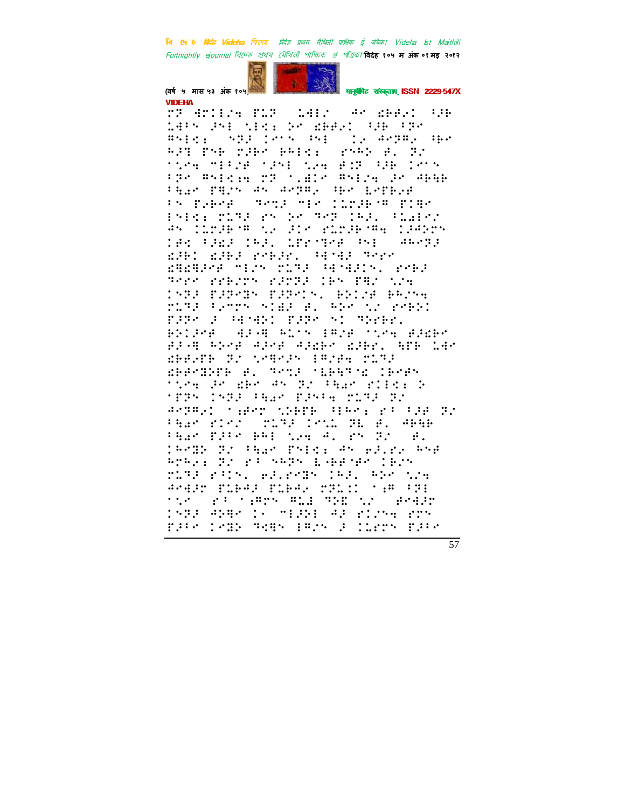बि एक रु मिनेट Videha विएक विदेह प्रथम मैथिली पाक्षिक ई पत्रिका Videha Ist Maithili Fortnightly ejournal রিদেত শ্রথম মৌথিনী পাক্ষিক প্রাণবিলিক বা স্বার্ক ১৭ মন্ত ২০৭২



(वर्ष ५ मास ५३ अंक १०५) **VIDEHA** 

मानुब्रीह संस्कृतम् ISSN 2229-547X

**MARINE MARINE AND ARRIVE** 1455 PH MER: PO BEEN SPECTRO #5101 522 1855 951 112 482#2 968 APP Pre publicated and all pr the mile this have for the lets FPS RNECH TRONALDS RNECH PS ABAB Page Park An Aepay Abe Leppig PS EVERE CRRIP MER INDUBINE EIRS Price play by the and leg. (Lain) COMPARTNO DIM BOMBARA CORPO  $\mathbf{a}$  ,  $\mathbf{b}$  ,  $\mathbf{c}$ 198 PAWE 198. MPETPA PSE (ARMS) ERROR ERROR PENDENTAL EACADE MICH MITA GENEEN, PHR Tere reaches range las FAR the 1593 FJP585 FJP515, PD128 PR259 bas alemen nigs g. Ale to Gebbi FARA A SERGEI FARA SI TEMBE. BRIANA (ALGA RENN 1828 MENA AJEAN Alg bre gre graphe dibr. ATB 145 SHATE TO STRIPLY IRON COTA depropre al sena fiegs d'Ières tich an den an de faun diide b 1935 C532 PRAY PRSPE MITE 32 Arderi nafro Chede Hara at the di tale bied (mith lett di A. Aka tile hate and the summer of. TRANS RECENSE PAIRL AN ASSESSMENT RORA: PA PA SRPS ESPENDO IRAS PLAS FRING PROPER INFORMATION Argar Bibaa Biba, 2011 - 18 Add tic aftermed machine (madr 1593 ANGKUTA MEJING AJ PILSA PIS FARE CENT REPORTED A CLETE FARE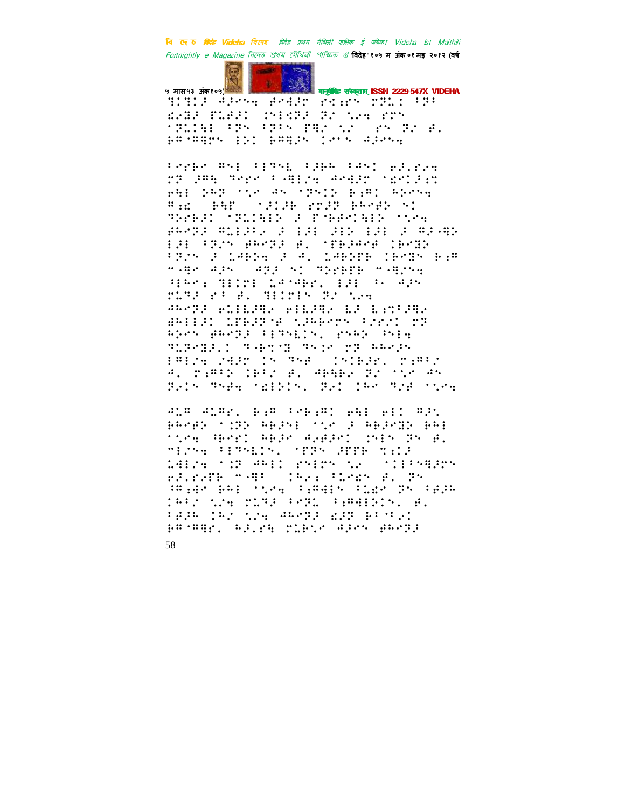

**AND STREET IN SIGN 2229-547X VIDEHA** ५ मास ५३ अंक १०५) कर<mark>्ष</mark> हो। BIDIA APANG AMARU PEGAN MPLI PPP EARS PLAST INFARS RI NAW YON **MELIAE FRAGEINA PRINCIPAL EN RIGE.** parages (p) pages lets ales.

represent cross cope cast educat rd dee skred bagger ekede trettir ear particular crops part apena RAN PAR SALAR POST PRAPE ST SPRAT TRUBBE A PORPOREE STOP abbiladin a na ha na asam BAD PROVINCED B. TERRAT CREE FRANCE LABAN 2002 LABATE (BRENCE)H mage age wagg of morers maging HARY: HITME LANGER, 121 (6) APR MARA ER B. HITTER AT LA ARRIS BILLER BILER LI LETER BRIIS MIRSTA SARRYS PART MI RNOV PROTECTIONES (PART ONER TIPERI THTT TEP TO THE WAT PRING 2425 15 MSP (151828, 2489) A. PARTS IBRZ B. ABABY BY TVK AN Belo Sofe Selbio, Bel 166 Scf Stock

aim aime. Bam tebami eko edi mus PROPERTY SERVE TO A REPORT PRE tics Herr Able Andre Stir Prod. Size (1956), SPP 2006 SI2<br>14124 SP PRIL PSIDS NA SSIPSH2DS FRIEFE THE CORPORATION BY TH smage participed sample share possible **IACK NAME MODE CONSISTS AND** FRANCISCO NON ARMER WAR BROAD PROBES RESERVATES REPORTS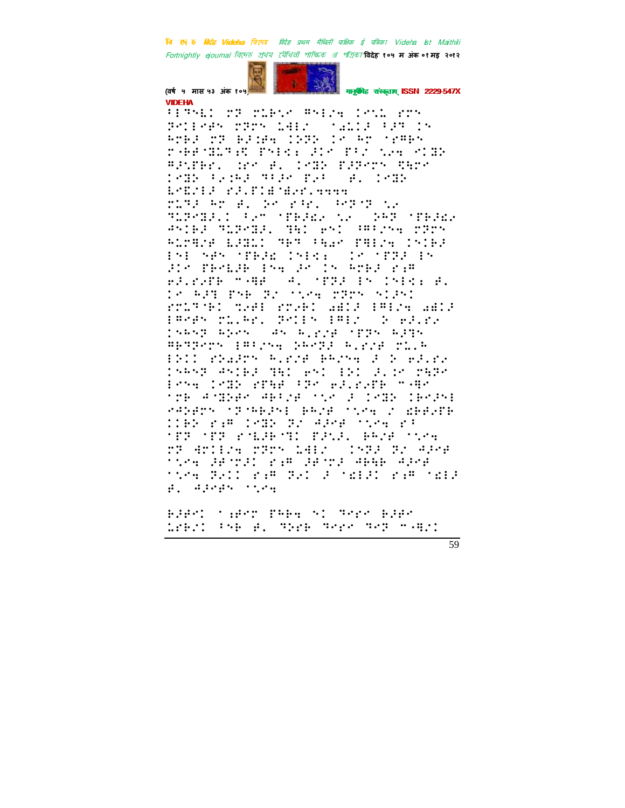

(वर्ष ५ मास ५३ अंक १०५) **VIDEHA** 

मानुबेदि संस्कृतम् ISSN 2229-547X

HINGLE TR TIME WALLS INTO THE Beliefs whys 1412 (Sill: CHP 15 ROBE OF BENHAMINED IN ROMANS refuger reduced for the component BRIDGE OF B. PER PRPER RATE **SAND PARAGE MEDICAL**  $\mathbb{R}^2$  . The set of  $\mathbb{R}^2$ Britis rifficial der See MIRA RESERVAN EREN PRESENT MIPMELI PAT TERREA NA 1963 TERREA #5162 MLB012. THI #51 #81254 MBM5 RIMBOR BAGING MPM PRAY PHIOR CYCRA ENE NEN STEDE INER: (18 STED EN His PROLIN ING 20 IN AMRE PAR BRIDGER MARK (A. MERROBA CAPEL B. 18 RPD PAR PROTOGE PROVINCENT rolade: chef roce: amil fafice amil PROPRIET POINT PROPRIET START psasp aprs (as alpha crps apps) #BTP-ro (#F)-e SW-PP W.22F rick ERIC SRAFTS RISSE BRISH F D BRISK INAND ANIES MAI END ERI SLOW MADE President She from Electron Ser tre Andren Aefre nin 3 19dr (enghi raters offered brief over 2 deedth TEN RAW TRIN IN APRE STRAINT MPP MPP ROBERTS PROF. BROB MORE rd arlied rom ware thos of gene tice definit ram defind Abab Adeb ting Sall ram Sal 2 telah ram tela g, apres they

BJB-1 (1982 PAB4 S1 Tere BJB-LARAD PARTNEL **Ship Service Service (Service**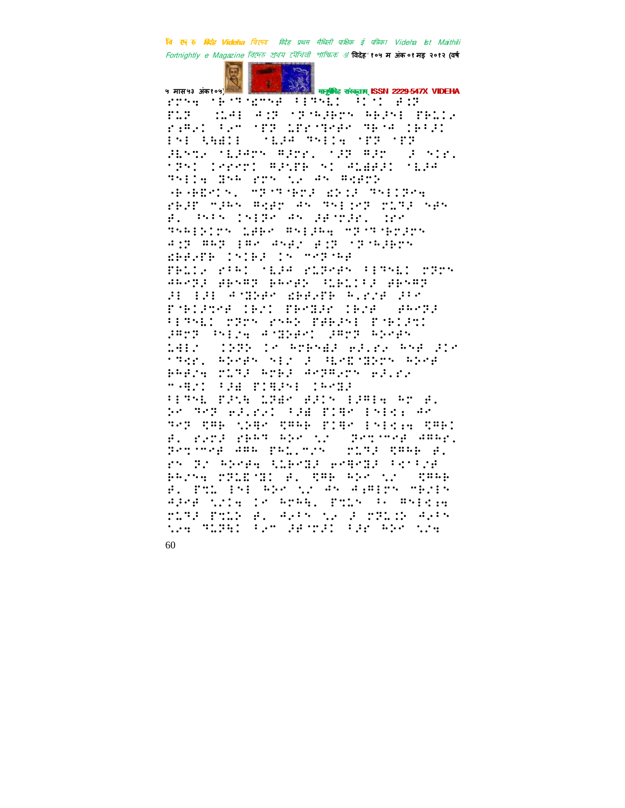

**MARK REPORT OF STRAIGHT STRAIGHT SERVICE OF STRAIGHT STRAIGHT STRAIGHT STRAIGHT STRAIGHT STRAIGHT STRAIGHT STR** ५ मास५३ अंक१०५) समिति हो rry dêsseye gryk: Birler FLP (1141 417 1714/Brn ABJNE FBLL) raman (Par off) drromer mese nevan 191 Gabi (Side Saide Sid Sid ALSTA MEARTS ARTE. MAR ART (2005) tan: Chrhos Aangal ni Abdalas (p.4)<br>Angla ang ron tu an Andro HERENIS STATES AND THIRDS rege spek where we weller right has B. PHP INER AN BETTEL OR The Ender Capty Rhight, Style Spring agrimme post aspected the specific defere late: 18 marshe PRICE STAT SERVE SIRES TERMIN STOP anega gasag anega (manita gasag AL 191 ANGGAN WAGATA Aliya Atr Poblaced lest people lese (propr HINGLE THIS TSAN THENH TOBLES 2853 Mile Andren 2853 Arnes WEEK (1985-19 Arbodd Alira And 215 **TREE REPROSED A REPRODUCT REPR** PRESH MITE RMPE RRTREN PELER **MARKET BARBARY ARRAIGNMENT** HING TASE LARK RAIN EARLY AT R. PO TOP BRIEFL FRE FIRE ENERGY AR THE CHE SPEE CHAR FIRE ENERGY CHRI B. Krif Kees and the Samshap Asset Proches amb pailers (2193 CHAB B. rn ar Abham Aibhail Bhanail (Artire **PRONE TRIEDED B. RAP RDS (2) RAPP** B. Phillips: Apriling As Against Spring APAR NOTA TROPORE, POLSO PO ASPERIA ring frir el esta de l'Indica esta the moment for detroit for more than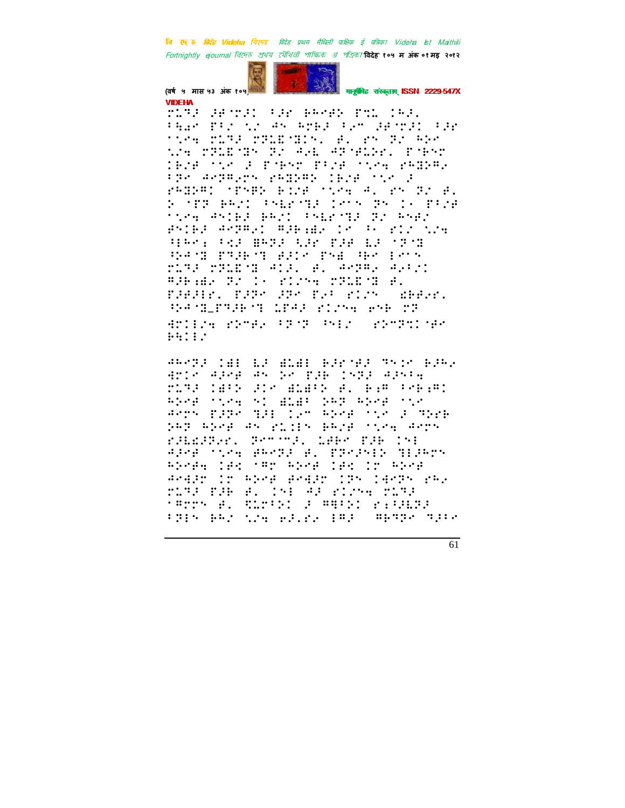

(वर्ष ५ मास ५३ अंक १०५) **VIDEHA** 

मानुब्रीह संस्कृतम् ISSN 2229-547X

MITA APAMAI FAR BRABE PAL IRA. Page fire to an American decret code they came company. All childs have the STARTER TO AGE ATTEND. FORT TEZA STAS A POBRE PRZA STANO ZABIAL FRA ARTHUM PROPER CEME TOR 2 PAGES TEMPE FINE TOME AL PROPE B. i Tro esti kaltua leta dal 17 rige<br>1194 kaler esti kaltua de sago Briel Argari Adema (r. 80 min. 179 HARRY CREATED AND THE ARTIFUL SPACE PRIECE BILE PAR SECTION risk rolbje avkljav <sup>Gu</sup>opeljalav **Address To Consider The TTLE TO B.** EJEJIK, EJEM JEM EVA KLYM (BREVK) WANDISH TORRES WAR PHOTO ANIENA PROFES PROP PAEN (PROPORCAM **FRIDE** 

ARKSA TAI LA ALAI PARTEA SYYK PARA Anie Alek An Se PlB (ndl Alnig ring tank gir alank al eyn nebyn: Aber the SI BLBF DAR Aber the Anny Earn Add Centernal tin a Spra PAR ADAM AN PENIN BAZA STAN ARTS FALERATI ROOMA LARO PAR INE APPE TOPE BROOK B. TOOPER TEPPS Riche (20) 'Pro Rich (20) (ro Rich Andle In Rona andle 195 14095 phy MARK FAR B. 151 AR BIZ54 MARK **TROOP A. SEPIG 2 RHIGH PIRER** FRINGERS WAS BILED IRE CORPROSEDED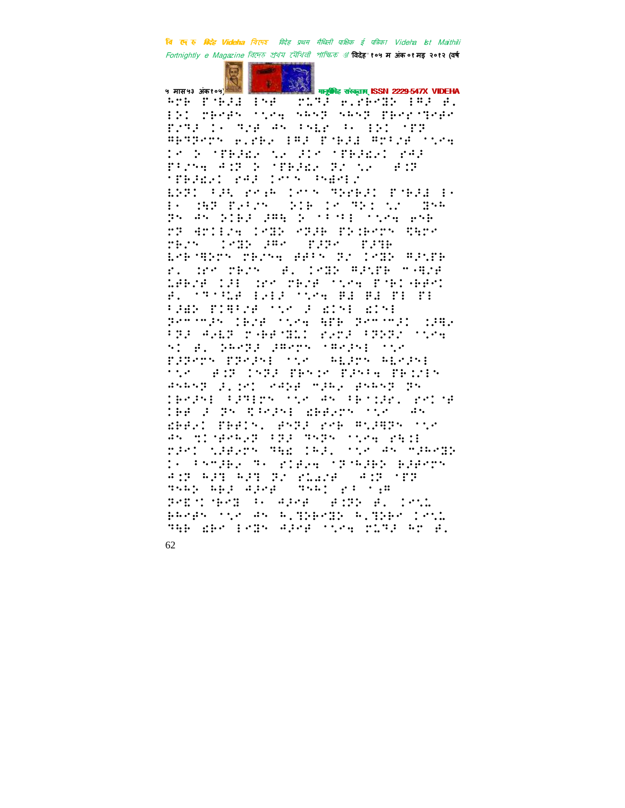

५ मास ५३ अंक १०५) कर<mark>्ष</mark> हो। ै मनुभिह संस्कृतम् ISSN 2229-547X VIDEHA and forest the count gladent lefter PSI TRAPS TOAN SAST SAST TRAP TRAP Provide only as there is the street #PTP-rr elsby I#F PrEH #rtsf tire De la speciela de constancia esp breka Adria (presad se na cads **TERRI PAR LOSS PARTI** ENTI PROGRAM ISTA TREBEL PARKETE Bro HP TARING SIR IN THI NI CINA PS AS 2162 285 2 1111 11204 656 TP ATILIA LAGE ATAB PEIBATA TATA TENN (PAR PRO PRES PREB ESP METH TRING BRON TI LSTE MAIL r. Grooters alocade After Sang 18628 131 187 2628 1524 F161-6621 B. TRING BALE TOPE BE BE FE FE PAGE PIAPEN PLAT & WINT WINT Benings (Bre over APP Bening) (28) Pas Alba PAlendi Ples Pasal (194 SI B. DRYBE BRYS (REGRE) 150 pipers prejet saw anime aneles MAR FOR INTE TENIM TENEW TEINEN #5852 F.101 8428 MPR/ #5852 PS there in the second the state of the THE F BY CHRISE WHERE THE SAY dedic feets, assa rea #12835 tie 85 TO NEWSFIELD TERM (1984) PRIN rand waavon mee chad communications 1. Projez sv rieže opočjer ejecn Ade Ada Ada di Biwiwa (Ada Sed meny ngi diser (meny ya sin PARAMEAR POSTAGE SENDER CANL PROPRIATOR AN AUTOPOTO AUTOPOLICANI THE WESTERN FROM TISK WITH AW B.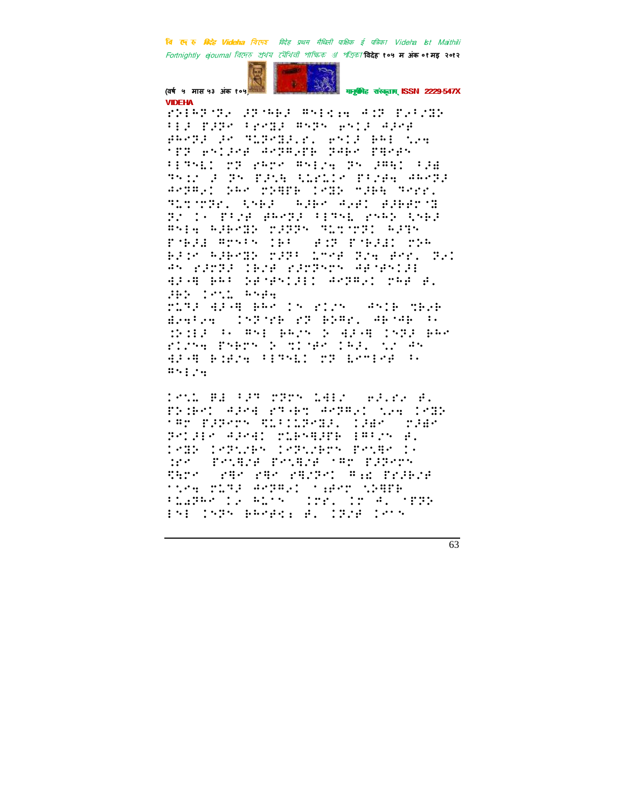

(वर्ष ५ मास ५३ अंक १०५) **VIDEHA** 

मानूबीह संस्कृताम् ISSN 2229-547X

FRIED TA STORES ANIXON AST TAXSTR FED PORT FROM WHEN WHIP WORK BRATE OF TURNIELY, BRIE BRI NAW 'TT eslag espagn paps pass FINNED TO PATE REPAIRS TO PROPER FOR This 2 Th Pack Glaich Piges Abrya APPREL DAY MOREA CRID MORE REEL TITTER SHEET WHAT WAS PREPTTE BY IS BENE BRANK FINSE PARK CARD Brig Willems pitter Microsoft Wine PORT RESPONSED FOR PORT EN Back Adbrook cape treed bis are seen AN PATTA IBNE PATTNTN ABNENIAE ara bel Sanevial aveculuma a. SED CALL BASE

MIRA APAR PRO IN MICH (ANIP MESP Benten (153.56 ST 6582. AB-546 F. 19:113 (6) #51 BR25 (8) 42:48 1573 BRP fick result the fellow 42-4 Bigge (1951) 22 Lember ()  $\mathbf{m}$  .  $\mathbf{m}$ 

Tend Bi (23 MSP) 1412 (Alice B. Principales races actual the 1035 'Ar PSPrr Scotches, 1961, 200 POLADO AZONI PLEMBARE DADIM B.<br>1982 1981/En 1981/Een Polao 19  $\mathbb{R}^{n+1}$ **SUMMARY PROBLEMS TO EXPRIM** SAMA (290 290 292301 P.E. Prible ting ring Angeli taker there (LaBerlik entrol imP. lim<sup>1</sup>el trup 151 1525 BREAK: B. 1228 1575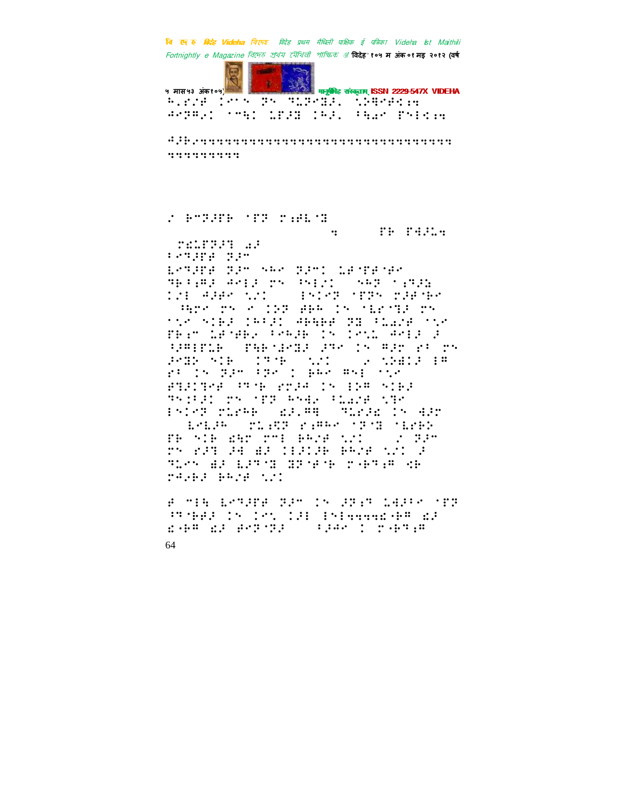

५ मास५३ अंक१०५) समिति हो मनुमिह संस्कृतम् ISSN 2229-547X VIDEHA Riche (ets 35 Siged), Chaedin Arport and drip (A), Char Prises

\*\*\*\*\*\*\*\*\*\*\*

**MARKET START PARKS**  $\dddot{\bullet}$ 

mentrum al **PANDED BEM** 

ESTATE TAS SAS TASI LEGTEGRS HEREBY WALL THE PHILE SAFE STREET IVE APPROVAL COENTRACTERS WHENHA Best en 2015 BBB 15 through en nie się imac meme zwołuce nie<br>Pełskie memoryczne (staniczne z SPRIEGE (PARTNERS PRO 15 RPP) 23 PM andro nie odzieło opisowany operacjie.<br>Prostnowany razwoje energie nie PIPING PUB PEP IN EPROVING Thill by TP Rhead Clare the PSICE MACHE (ALLES TERRA IN ALM ESERN TERR FRAGGISTER

PROSINGER THE BROADLESS OF THE rs en Aldebiana Ahesni (f SLAN AF LITTE BETH ETHING AF ragge para con

F MIR EKTATA TAM IN ATAT 14APK YET an negara dan dan dalam memberikan.<br>Selemah dan menganjukan dan menganjukan dan menganjukan dan menganjukan dan menganjukan dan menganjukan dan me 64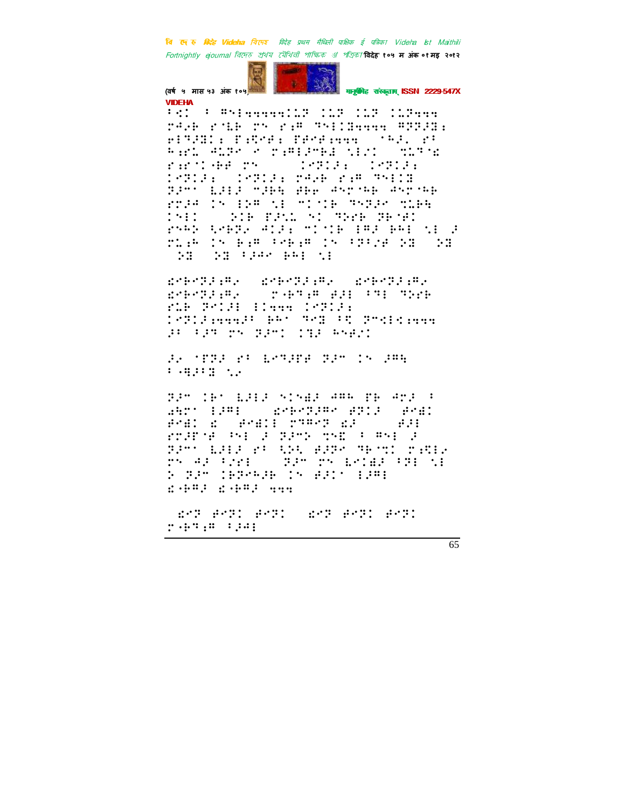

मानुब्रीह संस्कृताम् ISSN 2229-547X

#### (वर्ष ५ मास ५३ अंक १०५) **VIDEHA**

**FRI F ANINHAMILE ILE ILE ILEAN** reak role by raw myllmaaa #2228: FIRAD: PARTE PATAGENT (192. P) Kan Alak komanada Maro Min'a retter to **TRITE: IRTIE:** 19712: 19712: 2426 K.A. 75113<br>J255 E212 S266 A62 A52566 A52566 rnas (no 1980), provincia degas duas.<br>1911 - Cala Paul el darra da Gri RAAN KAREN AIDI MITIR IAN RAI TI D MIR IN BE PARE IN PRIM NO SO **120 120 1348 1461 13** 

debezajna debezajna debezajna EMPARENT CHARGE PAINTS TOOP PLA POLAR Blaam 19712: **TRITIGGER BRY TRI PD PRISIGGE** an nam es dami ina wsari

SA TER PROGRESS BROOK RA  $1.41111.41$ 

Ban 1955 East Street AWA BB And C akon 1981 - Anthropen 2019 - 2nd.<br>2nd. a - 2nd.1 organo ag - 1991 FOR YEAR OF SAMPLE THE FORM OF BETT EFER PROVIDED BERT TECT PARER THE REPORTS OF THE THOUGHT AND THE CONTROL OF 5 335 1935-39 15 9315 1381 2-003 2-003 999

art ert ert (1981) art ert ert  $2.4744$   $1.441$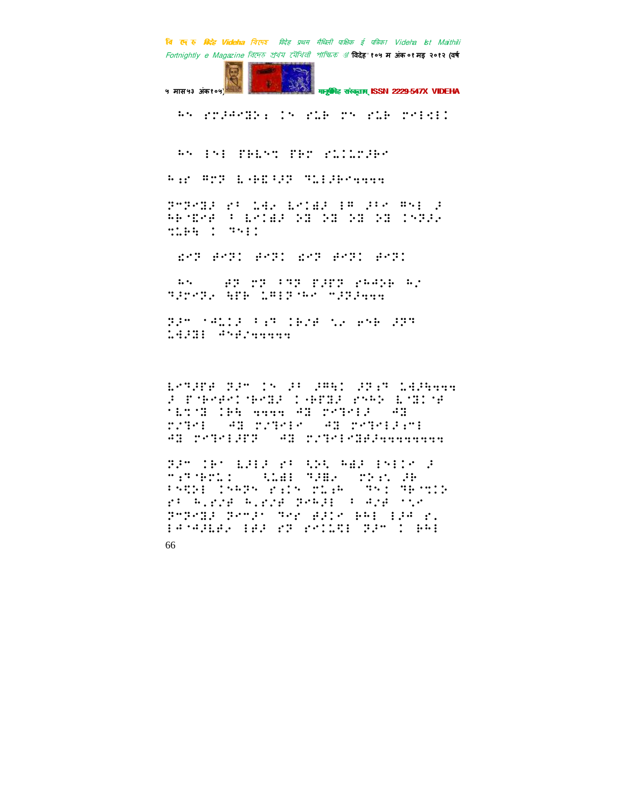

ा ।<br>अन्य अनुसार संस्कृतम् ISSN 2229-547X VIDEHA

An ergense in cle rue cle reseat

**Ar Ere THERT THT FILLTIER** 

**Air And Library Millionship** 

PrProfile in Lay Extor (R (Profile) 2 RESERVATE DE DE DE DE 1932 the forest

art ers ers art art ers ers

 $\mathbf{a}$  . The set of  $\mathbf{a}$ **AN THE STATE SERVICE SERVICE THREE HID LEDER THINGS** 

BET TALLE FIR CENE NA BYE 200 

BRTHE THR IN HE HALL HET GENERA F POPPECIPER LOBBER 2552 ESBLSF 'Art Boleh Anna Al retell (Al rath: Al rather Al rething 48 retering (48 reternativasement

BR IB LOS PURS AN BESTAL **MARKET COMMISSION CONTROL** PARAL INFORMATION CLARA TRAINING CON rt Runde Runde Bragi (F.Ade Str POPORA POSAS TOR BALO BRE EAR R. PAIRBAN PAR 27 2010RP 725 1 PAP 66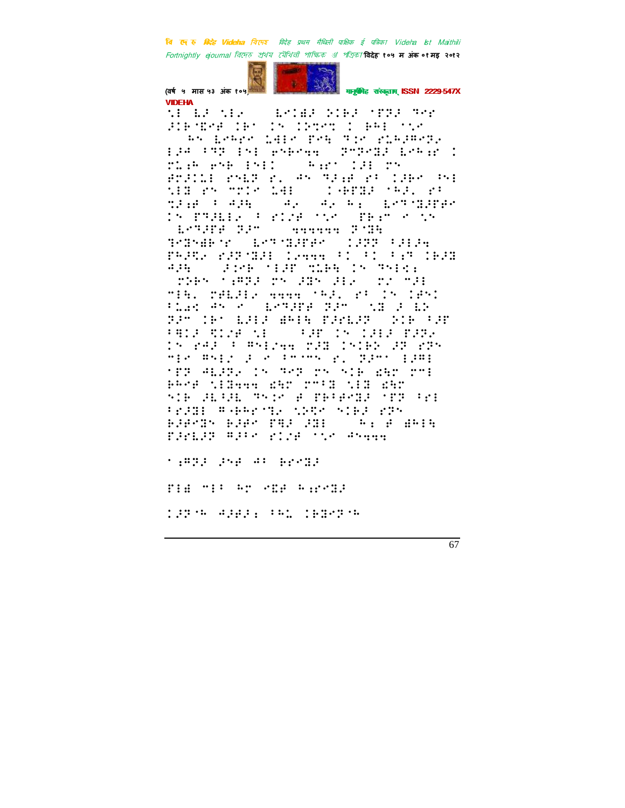

(वर्ष ५ मास ५३ अंक १०५) **VIDEHA** 

मानूबीह संस्कृताम् ISSN 2229-547X

**BOWER STEP STORE TAP** ti ar tir Sie Areligen (S. 1957) in een noch SAN ESAPS LATS PSA TIS PLAZAREA 124 FT 151 Wheel SPPER Lekin ( TIP PP INT  $\frac{1}{2}$   $\frac{1}{2}$   $\frac{1}{2}$   $\frac{1}{2}$   $\frac{1}{2}$   $\frac{1}{2}$   $\frac{1}{2}$   $\frac{1}{2}$   $\frac{1}{2}$   $\frac{1}{2}$   $\frac{1}{2}$   $\frac{1}{2}$   $\frac{1}{2}$   $\frac{1}{2}$   $\frac{1}{2}$   $\frac{1}{2}$   $\frac{1}{2}$   $\frac{1}{2}$   $\frac{1}{2}$   $\frac{1}{2}$   $\frac{1}{2}$   $\frac{1}{2}$  aparti especial as Arabías cras su MI PROTECTE CONFIRMANCY 12:2 - 225 **A. A. A. M. START** In PRAIL Faire the Sper con  $-$  199999  $\pm$  139 tendid na SMINH Y LATMAREA (1988-1919) PROGRESS COMMANDED AT THE CHOI SPORTIFICATION TO  $\mathbf{a}$  ,  $\mathbf{a}$  ,  $\mathbf{b}$ TERS 1983-05 285 212 22 721 mia, pelgis aaaa 192, 25 (5 (25)<br>Flab An Koolemgia 22m (18 2 lh BR OF WHA ARE PANDED SOF FR FALE RICH NEW FEB IN IELE PER :///ra/////#/1/44/228/1/162/28/28 mer Anero a collection are dainy earer TER ALERY IN THE 2N NIB WAY 271 PROF WIBees WAR 2778 WIB WAR SIE JEIDE TSIM A PRIAMED SPP IVI Frame # GREETH (1956) SIRE PPS and the second second second second and second the second second second second second second second second seco FREED BRID FILE TO STAR

**SAMPLE DAN AT BREED** HA MI AM MA ARCH papea apar, ian panerea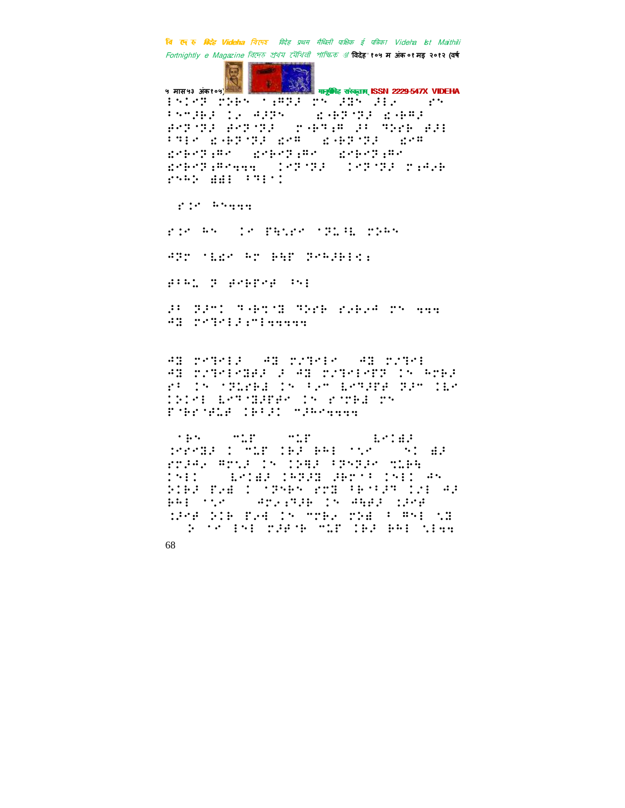

५ मास ५३ अंक १०५) में सामानी है। । मानुभीह संस्कृतम् ISSN 2229-547X VIDEHA 15103 2005 1983 25 385 31.  $\mathbf{r}$  . The set of  $\mathbf{r}$ PATER IS ARRY TEARING EARLY 802123 802123 204248 33 2046 831 Para dieses de l'ales se l'ale sebergan (sebergan) Sebergan)<br>sebergangan (1979) (1979) (1979)<br>story dd: 1911)

**SECOND REPAIR** 

richten in Phire (PDB) rien

ATT TEST AT BAT TRAGGERY

ging y grepre (n)

an dari tering terk rakan proges **All contributions** 

**AN PANALE (AN PINALE (AN PINAL** AN TIMESTAN FOR TIMESTAN IN ATEP rt in Mache in the Ename aar ier **TOOP ESTMERTS IN FURNITY** repeate this electronic

star some the second and all the second second second and second second second second second second second second second second second second second second second second second second second second second second second sec roles and in 1983 (Phale nieb MED - EMDER CRRPE PROTECTAL AN bikk raf i Strak fri Generalist ar PRESSURE SPORTED IN PREFICING WHE SIE THE IN TTER THE FURNI NO S TR ENE THE TOP TIP IRE RAILTING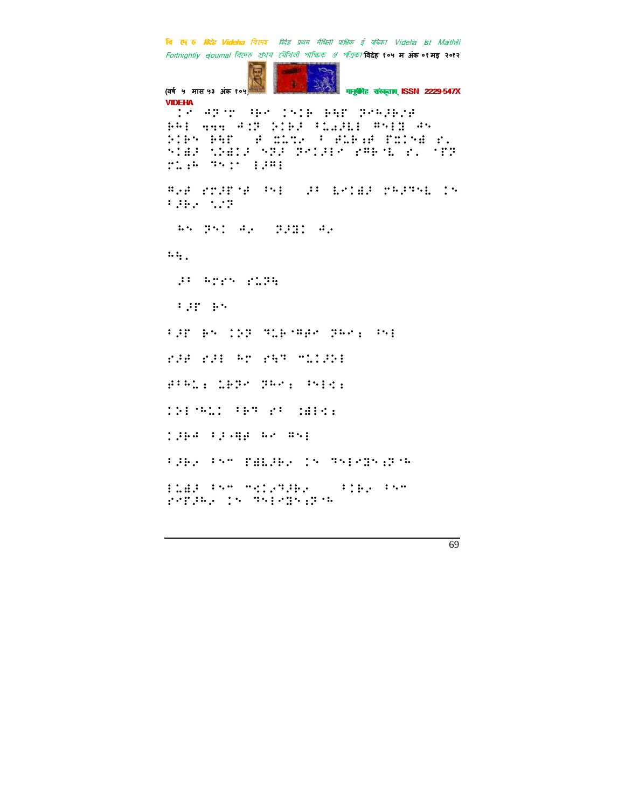

BAR POSTOR PAI (SP) EMIGE ORGANIZAC **FIRE NUR** 

and proposed page all

 $\ddots$ 

**VIDEHA** 

**SPORTS FIRE** 

 $\mathbb{R}^2$  :  $\mathbb{R}^2$  :  $\mathbb{R}^2$ 

the BS (SP SiB-SHP) PRAY (S)

FH FH AT FAT MILDE

BIAL: 1938 SAPA: PHES:

**THE MAIL AND STATE SHEET** 

**THE PERPETH ST** 

**FIRE PAS PHILIPS IN THEFINENTS** 

**FLAX CAM MATEMATE**  $\mathbf{1}$  :  $\mathbf{1}$  :  $\mathbf{1}$  :  $\mathbf{1}$  :  $\mathbf{1}$  :  $\mathbf{1}$ PAPILAR CA SALAGARAN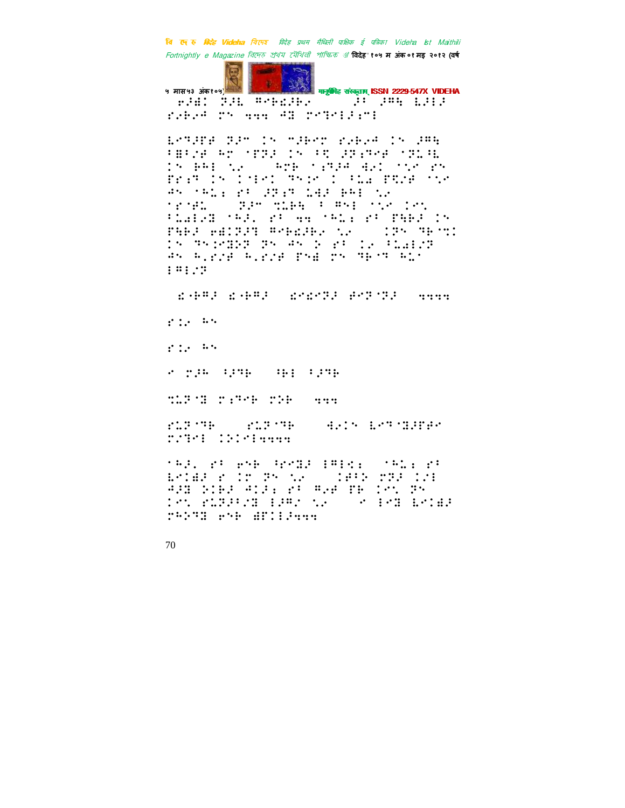

५ मास५३ अंक१०५) <mark>जिल्ल</mark> ै मनुमिह संस्कृतम् ISSN 2229-547X VIDEHA **FMACHINE STREET** ribish na aga 42 namarribish

ESTEPH FRONTS CHEST REPAIRS IN 188 FBISE AM MERR IN FRONTERNE MELTE 19 Anii 2000 Amin'i Anii 401 Anii Anii<br>Frans Moscola amac 10 Anii 800 Anii **AN YALE 23 JUNE 142 BAE 1. Sand State SEM THE PRESS OF STA** FLADED TREE PROPERTY REPORTED TH raka welaya Ankelaku nu (1135-1457)<br>15 Junioral ander Schrift (1200) as algebra algebra psi ps dalvd alge  $: "1.""$ 

and the second control of the control of the second second second second second second second second second se

 $\mathcal{L}^{\text{max}}$  , where  $\mathcal{L}^{\text{max}}$ 

 $2.12 - 0.5$ 

 $\sigma$  gives the same states of  $\sigma$ 

MITME MATCH MIR SHOW

 $21.3.244$ **SERVIE SERVICION MANUEL CONSTRUCT** 

TRACK PORT ROLL PRESS TREES P ESTER BOID PROTECTORER DRAMINE APROVING ADDA BY APPOINTMENTAL IMM RIBBAN BBBANA (1981-1981-1914) **THITE PHE ANIIFICATE**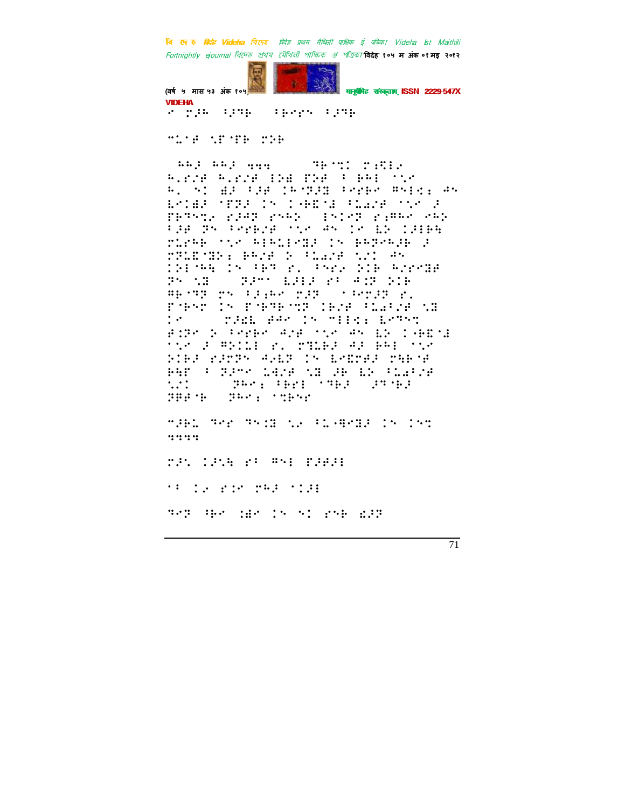

मानूबीह संस्कृताम् ISSN 2229-547X

"L'É SESPE TRE

**VIDEHA** 

this his good **TEMPLE PAREL** RINGE RINGE INE THE FORE TOO A. SI BE FER INSTER FOORS ANIXE AN ESTEP TEPP IN LABETE PLAYE TOS P FERNIS FIER PNAD (1818) PIRAM PAD PAR PROPERTY TO AR IF 12 INFO MINHE TO REALEMED IN BARMAGE C rrings: Phil 3 Millie 121 45 101765 15 PER P. PSP. DIE AVRON  $35 - 13$ FAMM LABA SPORTS DIR BENSE THAT FIELD THE CONTROL TO rîskê în rîsgerêd beza (1292) na<br>19 - Johan Age le Milay neger PORT NORTHWEST TO THE ENDING: tik almadır el banka galere sor FIRE PROPRIETED IN EMEDIA DARAM PAP (F. 2256) LAZA SIL 2P AD (FL2528 THE MENT STEP STORE  $\ddots$ : THE THE THE STREET

MARL TER TRIB NA FLARED IN INT  $\cdots \cdots$ rat tate re well padde

**TRICK PORT TRACTICAL** 

Tep Her Har in ni rne 200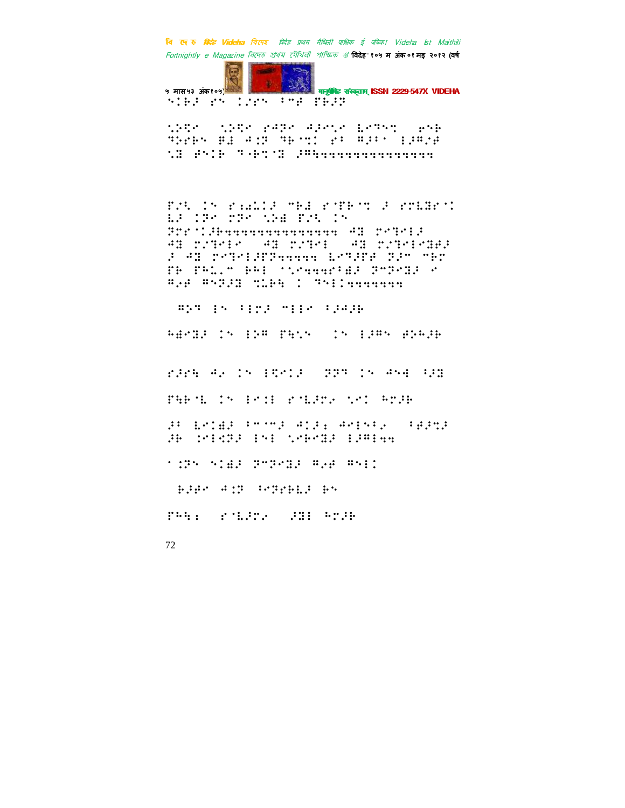REMISSION INFORMATION ISSUED BIRGE rang 4, in Engla (223 in 454 422 FARME IN PROP POLICY AND ACTE ar belga researchy weisig (radio HE MINTE IN SCHOOL IPPINE \* :P\* \*:#F P\*P\*HF #2# #\*!! Specially beliefing by **THE POST CONSTRUCTS** 

FM In Paulle med Poreon 2 Prident LF (IP) TP: MAR PM (19 Continuumentes de retil AN STREET AN STREET AN STREETHER 3 45 MYTHIPPHHAM AYOUR DEM MEM FR PALLS RAI SCRAARCHE PSPREAD R **BAR BATAD START : WALLERSHE** 

these there represented brown seve Syles Black Section Burnigand **MERLE THAN JERRANDARDANA** 

५ मास५३ अंक१०५) गानुबेहि संस्कृतम् ISSN 2229-547X VIDEHA niez ró lzro (ne pésp



 $\frac{1}{2}$  and  $\frac{1}{2}$  in the set of  $\frac{1}{2}$  and  $\frac{1}{2}$  and  $\frac{1}{2}$  and  $\frac{1}{2}$  and  $\frac{1}{2}$  and  $\frac{1}{2}$  and  $\frac{1}{2}$  and  $\frac{1}{2}$  and  $\frac{1}{2}$  and  $\frac{1}{2}$  and  $\frac{1}{2}$  and  $\frac{1}{2}$  and  $\frac{1}{2}$  and

72

बि एक रु मिनेड Videha विएक विदेह प्रथम मैथिली पाक्षिक ई पत्रिका Videha Ist Maithili Fortnightly e Magazine রিদেত প্রথম মৌথিনী পাক্ষিক প্র' विदेह' १०५ म अंक ०१ मइ २०१२ (वर्ष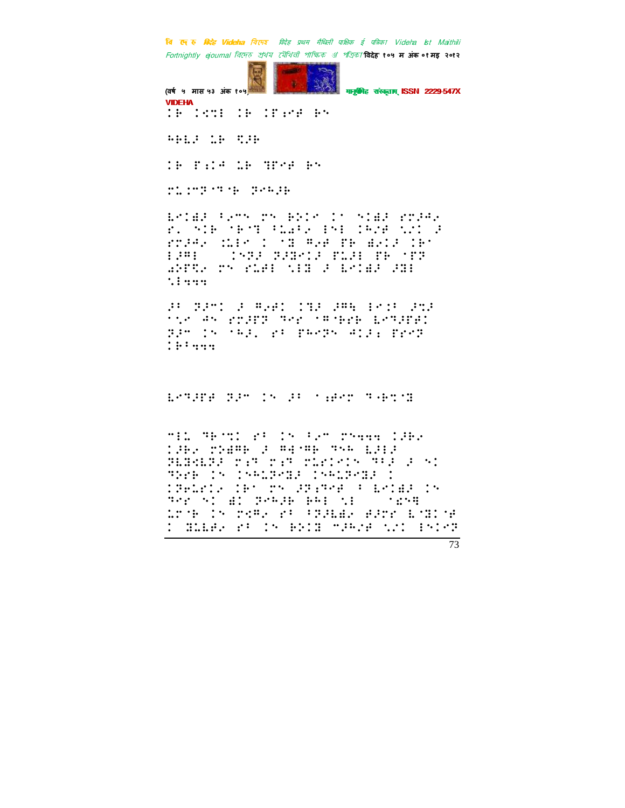बि एक रु मिनेट Videha विएक विदेह प्रथम मैथिली पाक्षिक ई पत्रिका Videha Ist Maithili Fortnightly ejournal রিদেত প্রথম মৌথিনী পাক্ষিক প্রা পত্রিকা**'বিব্রৈ' १०५ म अंक ०१ मइ २०१२** 

**Separate** × (वर्ष ५ मास ५३ अंक १०५) मानूबीह संस्कृताम् ISSN 2229-547X **VIDEHA** TR TRUE IR IPAGE RS **BELLET AND SEAL** *in This in The by* **MIMPS THE BRAIN** ESTAR PROVIDE BRIS IN STAR PORP. r. Sie obom (Late 151 1528 Sei 2 roles die Consegue de Asia (en 1991 - Mar Santa Platin St (PP ANTER 27 PLAN SIN JA BRIAN JUN  $1.1mm$ an dari a meer coa amb bern ara the AN Prace and tached beaged BESTA SALL PROPERTY ATLANTACH ESTATE PARTICLE CONSTRUCTION

MIL RESULTED IN FRONTHEM LEEP **THE THUR F WEND THE LIFE** BLEMER SAT SAT SEMINING THE ROAD THE IN CHAIRSE CHAIRSE CRAIN OF THE SPARE FEATHER IN Report at ready particle connect MOSE IN THE PROPERTY FROM LONDOF I HARRY PROTHOLOGICAL STATES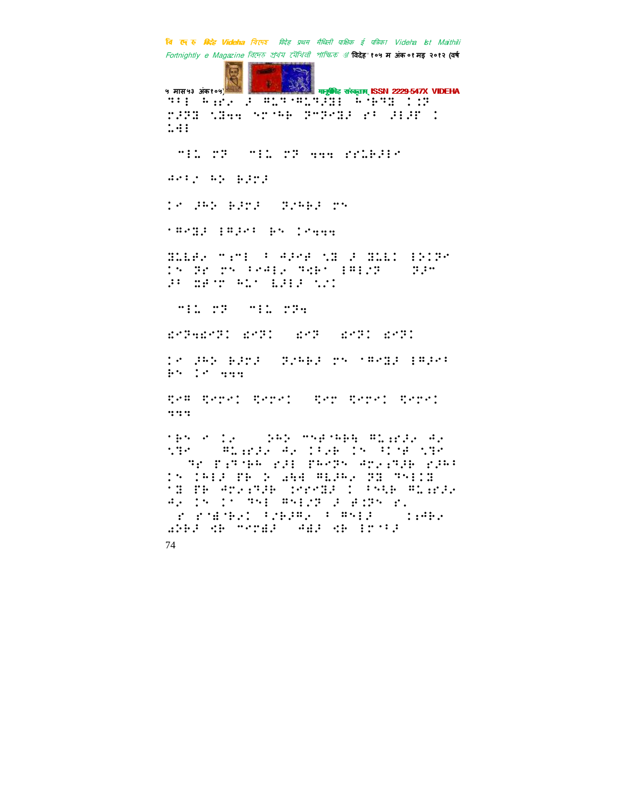

**AND STREET SERVICES AND STREET AND STREET AND STREET AND STREET AND STREET AND STREET AND STREET AND STREET AND STREET AND STREET AND STREET AND STREET AND STREET AND STREET AND STREET AND STREET AND STREET AND STREET AND** ५ मास५३ अंक१०५) समिति हो si kët razhmitë bjes :s rado toga srige drogan et alar :  $1.41$ **THE THE THE THREE SECTION** Arty Ap Birl *le and bara (Br*oba re **TRANS PROFILER CANNE** miss many cost-disc do million and the In Bright Peace Mean (BBICB)  $\frac{1}{2}$   $\frac{1}{2}$   $\frac{1}{2}$   $\frac{1}{2}$   $\frac{1}{2}$ s mer ar beig ... - 11 23 - 11 23 8724871 8731 873 8731 8731 te dan adri (praad ry (mengi pmaka  $10 - 10 - 999$ tem tere: tere: "ter tere: tere:  $\mathbf{u}$ TEN POIS OF THE MARTINE PLAYER PR the communication in the theory TE PITTER FIL PROPRIATION FIRE IN THIS PEON WHO BESPLAYED THILE th ne arvene lereng : (Aue Alley 82 15 11 351 85123 2 8:25 E. , rornankus fukumu (mengu)<br>Guku (komunau) (mau (komunau)  $\therefore$   $\therefore$   $\therefore$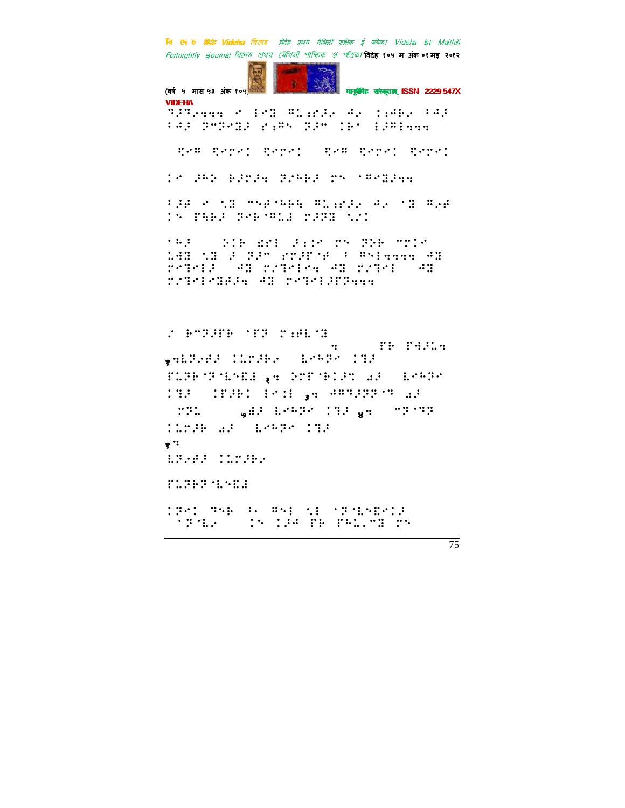बि एक रु मिनेड Videha विएक विदेह प्रथम मैथिली पाक्षिक ई पत्रिका Videha Ist Maithili Fortnightly ejournal রিদেত প্রথম মৌথিনী পাক্ষিক প্রা পত্রিকা' **বিदेह' १०५ म अंक ०१ मड़ २०१२** 

```
Service
                            मानुब्रीह संस्कृतम् ISSN 2229-547X
(वर्ष ५ मास ५३ अंक १०५
VIDEHA
SPROGGE POIPS SERVICE SO TESPO PAR
143 PMPMB 2385 P2M (B) 1381444
Spee gened gened (spee gened gened
la 145 Frysk Sy4FF yn 1823fek
FOR POSS THEORETIC RIGHTS AND TICHING
IN THEF PERMILE TITE WIL
TRACK DIR WELCHIM THORE TOIR
198 (S 2 SP PTP 9 3 September 3
redell (40 rideles 40 ridel) (40
TITERSHER AN TENNINGAR
A POSSE MEDICAL CONTROL
                                THE PASSA
                         \dddot{\bullet}1.9499 - 132<u>enilisti (Leibert</u>
FLPB (Political gas SPP (B12), all (E2002)
THE CHARLEY HE WARRANT WAR
         weis in 1980 (1990) and the search of the search of the search of the search of the search of the search of th
 \mathbb{R}^2 .
timus ar genue thi
\ddot{\mathbf{S}}ESTER COMPANY
MARK MARK
1981 MAR PO MAR NE SPORADAIR
 Prime to the factor factor in
```
 $\overline{75}$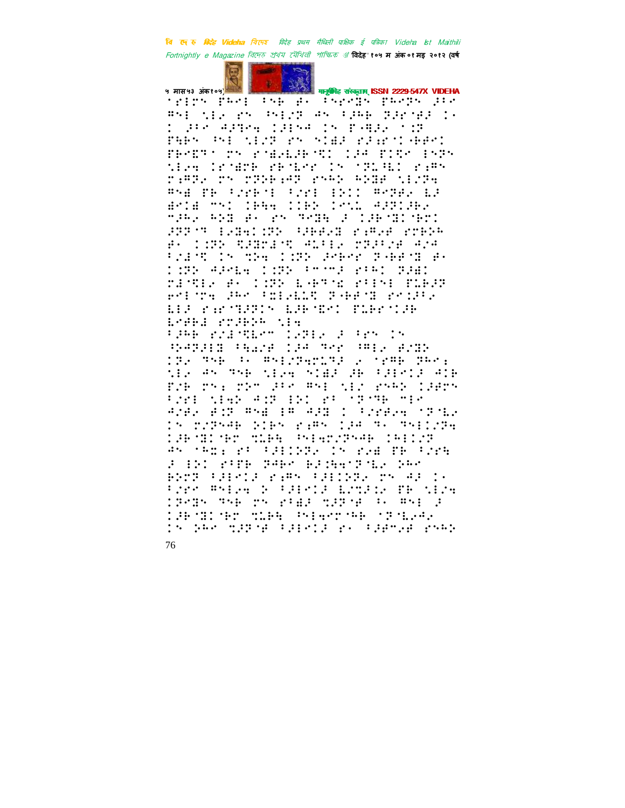

५ मास५३ अंक१०५) गानुब्रीह संस्कृतम् ISSN 2229-547X VIDEHA ngirs padi tsi jel tspogs padrs jto Bri nis re Prizz Ar Clar Blr ni C. 1 die Admee 1deus in Pamas (19 PARS PSE SEMPLAY STAR ARABOT (RAS) PRODUCTS PORTRAINS CONTROLLERS the later skiller in them is seen r:Al. ry richer ryk bolk (1214 #5d PR Freksk frek krij #2982 AF agia por rega creo bolo estruel mama Adol es an Shope a caesochac 39979 12841392 936628 23828 22628 B. 1972 REBERG ALIES PRESS ASA Print in the LOTE Prent F-BENE B. 1995 APALA 1995 Front 2001 22Å: rance at the agend roughers entica den folklic d'esta prilli ED PATTED SERVENT PLAYTOR ESSEE STEEP SIR Pake and mish compact tanger debail character was well are. 192 PSB PV PSIZBANING 2 SZPB BRY: the as we the staff de Check ale EZE TRE TOM SPROWHED NEW PRAD CORTS Preligier Admirtier (propose of Ande and Analys Add i Freder (Side 15 righter bies raes (200 g) gelicie **THE NO THE TANK INTERFERING INCOM** An include fillips in red BB from F BY PUB BAR RINGTON SAM BRTF FIRTING PARK FILINGS THE AIR IS Pres melle postered around me dark **COMPOSITION CONTRACTOR** (STALLAR) s per diformación en langa prep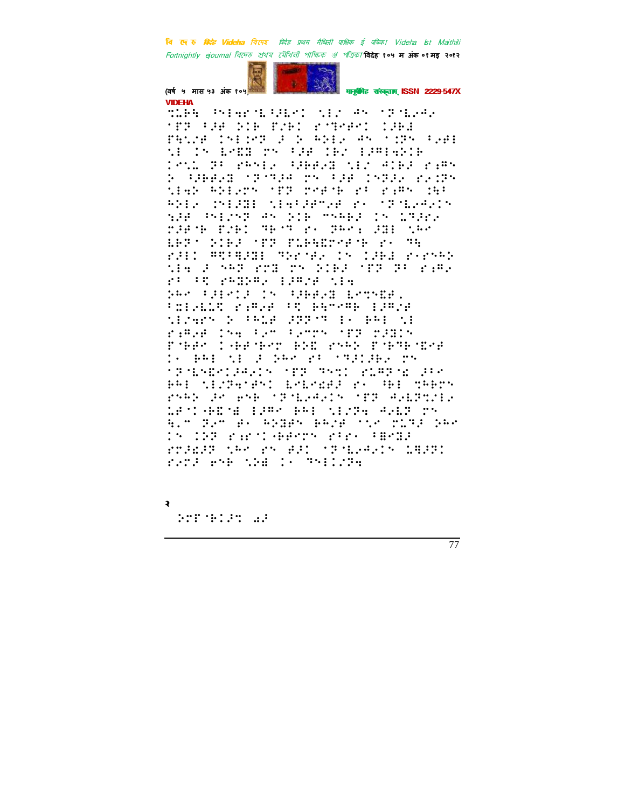बि एक रु मिनेट Videha विएक विदेह प्रथम मैथिली पाक्षिक ई पत्रिका Videha Ist Maithili Fortnightly ejournal রিদেত শ্রথম মৌথিনী পাক্ষিক রা পত্রিকা' **বিব্রৈ ং০৭ দ अंक ০ং মহ ২০ং২** 

मानुब्रीह संस्कृतम् ISSN 2229-547X



(वर्ष ५ मास ५३ अंक १०५)

**VIDEHA** TERROR HEROMANIST CARD AND TROLLAR **TER PAR NIE EZEI KOTOROI IARA** PROOF INFORM A SUPER AN INTERNATION ME IN LABB TH FOR IBS EPPIREIR Crim di resis (Gerad il Alegorien P HARAB (STORA PS FAR 1572) PAIRS MAR AREANN MER PHEMP 23 PAPA (A) BREAT INESEE TEARSPORT PROTECTIVE APP PRIOR AN DIE MARE IN 1728. THE RIFL WEST POSTAGE AND SAM LPP (21PF) TEP PLPHEDGE P 25 TH 8311 #599331 75878. 15 1361 89856 MA 2 SAT 201 05 NIAZ 197 FF 2348 FU PE PRESPACEABLE NEW PROTECCE IN HEELE ECTNEE. Polybus rumye (R BanyAB 13Aye Sizern 2 (ALB 2007) in BAI SI riman the case camps off ridio PARK LARGED PRESSAR PARKERS De BAI SI 2 248 PP (SAZIBA 25 **TRINSPORTED TREPORTER SERVICES** PRI SISPANANI LELENAR SV PRI SRPS real of personships of the avisticle 1871-BE78 (1887-BA) 51278 AG17 25 R.H.B.H.B. ANGER BAZE (NY 2132 NAF Dr 119 fars Alfred flex Twell rrada yen by aal (regionaly least

₹

**STEPHER AP** 

rena esk cha lo msilene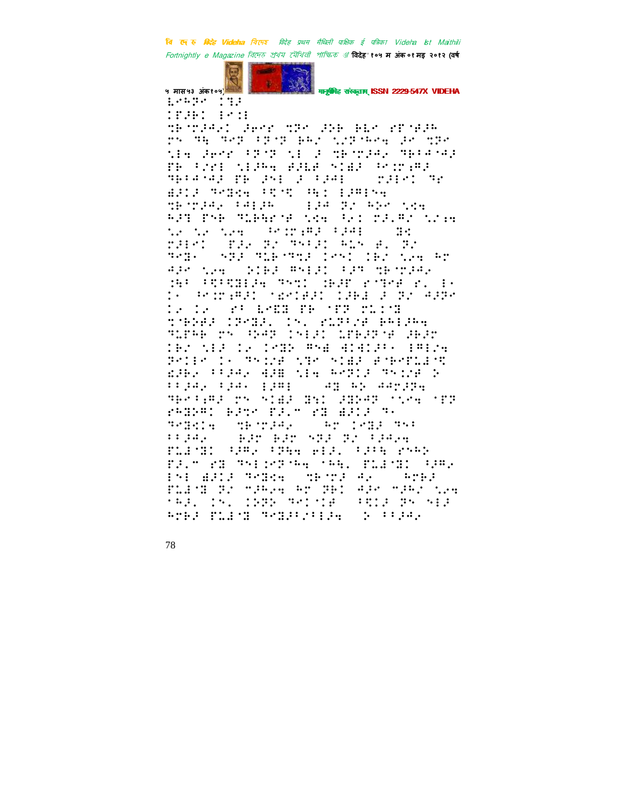

गानुब्रीह संस्कृताम् ISSN 2229-547X VIDEHA

12592 132 **CEPRO ESSE** 

decreasingers dan avener sproga il di del cientificato del contro the Send From the Schedule, Speedal PROPERTYPHONE STAR POTER **SEPARAD PE DRI DE PORT : 2019 PE** APID Refer (Pressure) (1981-54) theread capacity **SEARCH SEARCH** RPD PRE TIRES OF SOME RESIDENTS SAME the theories of the Edge (1941) (200  $::$ raint (Fall browser win all br **SARA REPORT TEST TEN SINGLET**  $33.21$ apo nego pied maldi (promesopae BR PURBER THIS BUT KITCH K. P : :363 3 32<sup>7</sup>4330 1. Prometti rended **NORTH STATES IN THE SERVICE OF STATES** tika (Pdd. 15. 2007) etter SING THE GAS TRIE INCOME. TEZ SIP IS TROP REFERENCE IRIZE Prier is their the night and presence ERRY FERRY BREAKING RETIR TELEVIS (1)A, (A, 1)A, 1991 - 48 65 442324 HERBIEL TRONIER BY: PBPAR STREOTER FANDAI BETY FR. 7 FN ARIS 7.  $\frac{1}{2}$  is the set of  $\frac{1}{2}$ **Senate Schools** BET BET MEE EN FEWER TLENT OPEN CHE WELL CACH PARK EACH PEOPH PERMIT THE FEATH CAPE Pri ARIA Relay (necha Al Compez FLAME RESTRAGE AN PACERAL MARCINAL TRES INSTIRENT RELIGN TRIE RN NER **ATES TISTS SPEEDING & PREAL**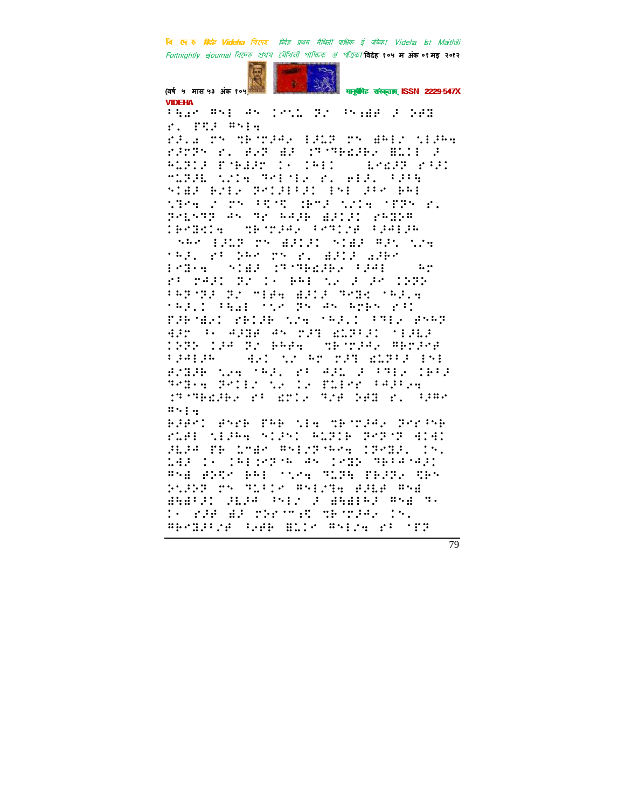बि एक रु मिनेट Videha विएक विदेह प्रथम मैथिली पाक्षिक ई पत्रिका Videha Ist Maithili Fortnightly ejournal রিদেত প্রথম মৌথিনী পাক্ষিক প্রা পত্রিকা' **বিदेह' १०५ म अंक ०१ मड़ २०१२** 



मानूबीह संस्कृतम् ISSN 2229-547X

(वर्ष ५ मास ५३ अंक १०५) **VIDEHA** 

Page #5: #5 1851 #2 Prime 3 1981  $f_1$   $f_2$   $f_3$   $f_4$   $f_5$   $f_6$ 

rala ny mponano fala ny Amirodiama range richer da chomedaee mill a WIRTH POWERT I. INEI  $\sim$  19233 2331 MIRAB SING THE HIS BLOWERS FIRE SIEP BZEV PRIPERD ESE PRO BRE MPA 2 TA FRANCIBAR NAIA (FPACE) Prishp as my wage Addid remom TRABADA (SESTRA) PARDAR PRAERA SAR EPLE TS BRIED SIBR ARD NOW tel, ri ben'ny ri Alliagen PORT SIE STOREN CHE  $\cdots$ PROPERTY BY IN BREAK OF SPOINSE **FARMER TERM BELL TATE MARINE** ternitesia the prospecture FJEMENT RETJE NOG MAJELI PRIS BNAR 435 F ASSA AN SSS ELSIS MISS ISBN 1988-320-8888-0-08-01842-880988 **AND NO AT THE WILL END** a jagya ( abally the that an ago a supering Remark Redder to the Edder (RAPPA) STORECHO ST ETIS TOE DER S. TURA  $\cdots$ 

BRANC ANDE PAR MEA MENNADE PARTNE PLAT STORE SIDS: RLPIE PAPAP AIAI HEAR THAN THE WALLTARE CORTER CA. 1918 : La Ciadores an Crego Spianard syd dity bet time side didly the **POINT THE MILLE WHICH ANIXE WHAT** BABVI ALAM PHIT A BABVA AND TH THE BOARD BOARD BOARD BACK COMPANY OF THE SERVICE OF THE SERVICE OF THE SERVICE OF THE SERVICE OF THE SERVICE OF THE SERVICE OF THE SERVICE OF THE SERVICE OF THE SERVICE OF THE SERVICE OF THE SERVICE OF THE SERVICE OF THE WESTERLY RAFE BLIS WSILS AT STP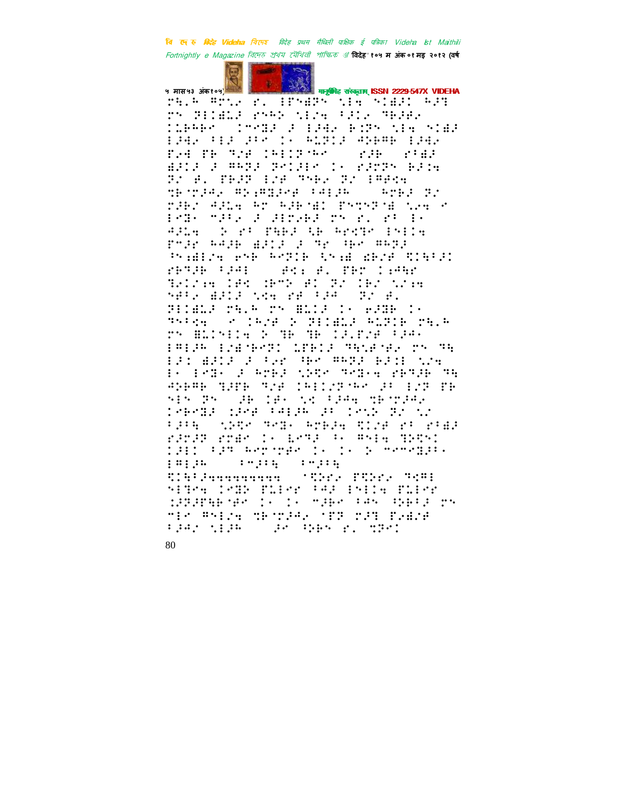

५ मास५३ अंक१०५) समिति हो ।<br>वानुभिह संस्कृतम् ISSN 2229-547X VIDEHA rale Arty r. Bryery tha<sup>l</sup>sieh Aug ry Bildle rykk tire følk Mbade ILBARY (1988) 2 1242 BIDY NIA YIAZ<br>1242 FIZ 258 NASHADIL ANBAR 1242 Tel TE TOP INITY THE  $\mathcal{L}(\mathbb{H}) = \mathcal{L}(\mathbb{H})$ BRIA A PROVINCIA LA VANORA RAJE BY B. TEST 128 THE BY 18848 thirds, my popular copyright  $\sim 3.244 \pm 0.21$ rako Aale Ar Adkomi prongom (24 P PARK MARK A APPARA DRUGS GRUPH ARDA (D. 25 PABR AR APARA 15114 rear wage gave a mr ger wage Prading and World that dene clear **PERSE FIEL SECOND PROPERTY** deliam les des el di lei dei siam<br>Sete mala sam pe tam di el **TITELY THAN TH' HILLY IN WITH IN CASTERE & STILLE ELSIE TE.P**  $3.44 \cdot 10^{-10}$ ry Blogie S HE HE CAPSE CAR. PRINCIPALMENT STRIP SAMPLE THOMAS EFT BRIE FOR HER WHERE BRIE NOW : (201 ) 3 5762 1238 781 + 26726 78 ANDAD THIS TIM INITIAT AN IN 127 TH SPS PS (PROTECTS) FRAME SESSION Tebesa (See Palak an Teir Stock) PROFIL SARE TEND PERSONAL PLAN PORT ranak roman dan makai kanan makan 1981 FAR Andromer 1981 Schemenser  $\frac{1}{2}$   $\frac{1}{2}$   $\frac{1}{2}$   $\frac{1}{2}$   $\frac{1}{2}$   $\frac{1}{2}$   $\frac{1}{2}$   $\frac{1}{2}$   $\frac{1}{2}$   $\frac{1}{2}$   $\frac{1}{2}$   $\frac{1}{2}$   $\frac{1}{2}$   $\frac{1}{2}$   $\frac{1}{2}$   $\frac{1}{2}$   $\frac{1}{2}$   $\frac{1}{2}$   $\frac{1}{2}$   $\frac{1}{2}$   $\frac{1}{2}$   $\frac{1}{2}$  SINFRANCHER (SCHRITCHER SCH sins tem misr (4) islle misr MINIMARY CONTROL PART PART PART PR MES ANEZA MENDERE MER DER EPARA 1942-51940 (20 SHP 21 SPM)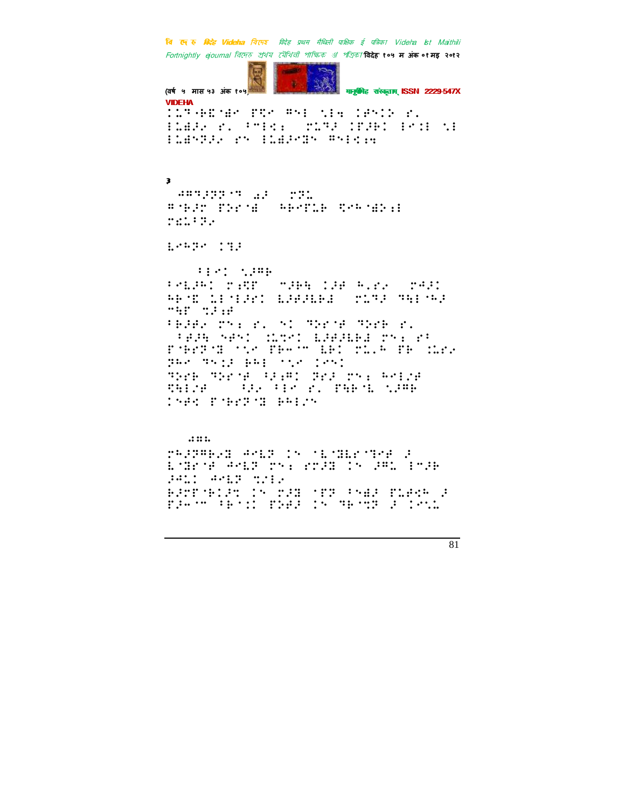बि एक रु मिनेट Videha विएक विदेह प्रथम मैथिली पाक्षिक ई पत्रिका Videha Ist Maithili Fortnightly ejournal রিদেত প্রথম মৌথিনী পাক্ষিক প্রা পত্রিকা' **বিदेह' १०५ म अंक ०१ मड़ २०१२** 



**VIDEHA** TERMEDWAY PRY RME SEW CENTERS. BLAZE P. PHRES PLAY IPART PRIEST Hidrophy and Hidrophy Whiter

 $\mathbf{3}$ 489,999 9 42 - 221 # H.P. Prove - APPELB Robombal rategy

ESPECTED

 $13.01 - 1.001$ PREPAIRING THE CHARACTERS RECENTERS ERRIER STORESHED THE SPORT FERRY THE P. M. TREAD TREE P. s tale nanosobreo blanker preset<br>Pomerum over Physical Polos Physical part well paper the lest THE THIS PAIR IN THE TAIL RELIE <u>'Autoris d'ensemble</u> **Childer** INHA PORTE BRIDE

## $\ldots$

reggeed and in thing the g ESBOAR AMERICAN POWERTAL PALITER **2002 0010 0010** BRTPLE IN THE TEACHER TEACHER place their page is made a lett.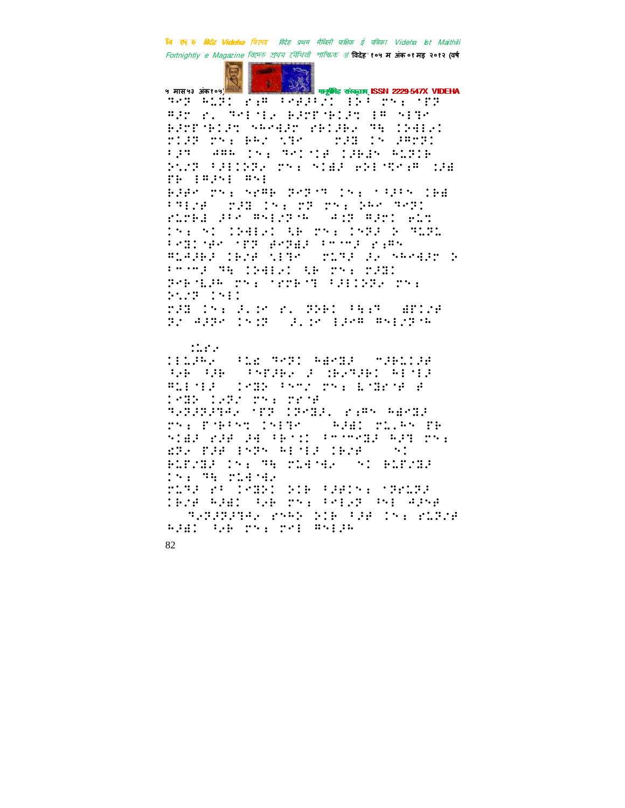

५ मास ५३ अंक १०५) । मानुबेरिह संस्कृतम् ISSN 2229-547X VIDEHA ser Alži ras (eggini išl nya jor #35 F. 751712 B3557B135 I# 5136 BRTT-BIRT SARGET PBIRBS TH INGER MISP THE BRY NBM ija (Ameriki aktore 1963) ALBIB POST FRIDGE THE NIGHT WHENFOR CHE FF 18251 851

BRAK TRE SPAR BRBSA INE SARA IBE PRIZE (2008) IN: 20 25: 250 PRP. rinki SP Prizhob (425-8321-612 1998 - MI (1941) A. M. Britanii 1982 - An Fugu<br>Ardinar Nobel Argaig (Arnol Sover) #14262 IB28 NETH (2173 22 SPHART 2 Prome Me 194121 AB 29: 2001 Preside ry: Srpect Failer, ry: 2522 1541 MAR CHE ALOM B. MART (REP) APTIB Bright is most constant weight

 $\ldots$  :  $\ldots$ 

Milay (Classer) Revolution AND AND CONTINUES INSTANCEMENT **ALENEA CRED PATE THE ENERGY F 2002-0022-003-00228** SARARARAA (1980-1981) Alian Adala rs: Poblsc (side) ( bld) rules fb siak pap ag fesic fromvak Aag 25.  $\ddots$ ERA PAR 1585 RESEA IRAEL BIRTH IN: TH TIENE - NI BIRTHE **See The Side Side** MIRA PROTESTO NIE RAADVE CAMIAA TRIA RIAD (GR 25) PRISH PSI AISA **MARRINA PARTICH CHAINE CONF BIB: 50B 25: 25: 85:26**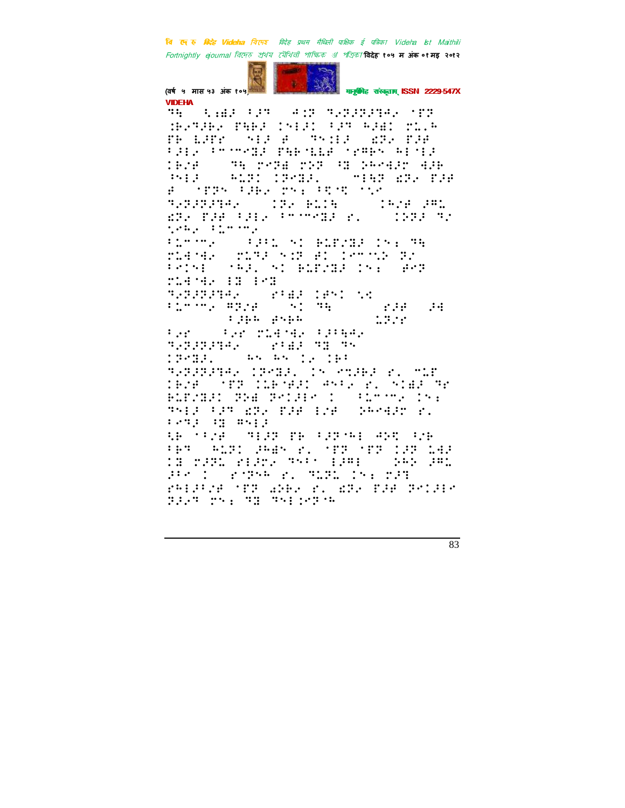बि एक रु मिनेट Videha विएक विदेह प्रथम मैथिली पाक्षिक ई पत्रिका Videha Ist Maithili Fortnightly ejournal রিদেত প্রথম মৌথিনী পাক্ষিক প্রা পত্রিকা**'বিব্রৈ' १०५ म अंक ०१ मइ २०१२** 



(वर्ष ५ मास ५३ अंक १०५) **VIDEHA** 

मानूबीह संस्कृताम् ISSN 2229-547X

ng the crowd and three controls of the HATHA PHE INDI CHI RAD TEAR TH LUTE (MID B) TMILE (MTD TOP FREE FOOTER PHENICE SPARE ARMIR TH THIS MIS ME DAMAGE AGE **TEST** 941 - Alpi (pros. ) mias est pue # 1975 FRE 25: FRIT 12  $\left(15.78\right)$   $\left(101.7\right)$ **MARAZZAR (1995) BLIB** ERA PAR PALA PHONES PLOT  $\sim$  10000  $\sim$  10000  $\sim$  $\label{eq:G1} \mathcal{L}_1 \mathcal{L}_2 \mathcal{L}_2 = \mathcal{L}_2 \mathcal{L}_1 \mathcal{L}_2 \mathcal{L}_2 \mathcal{L}_2$ firenz<sup>o</sup> (facilei alguna ing ma riene, risk van en hermig de  $\mathbb{R}^n$  ,  $\mathbb{R}^n$  ,  $\mathbb{R}^n$ **SALE AND BATALLING COMP MANGE IN 181** SARARASHA (1951-1951)<br>Plotona Brazil (1951-196 **SAME SE** tje pre  $1.277$  $\mathbf{L}_{\mathbf{r}}$ The classe (SPA) sanna. This si s  $-45.45 \div 12.11$  $1331371$ SARARANAA (DANGA) (S. KOARA E. MLE 1929 (Special Australian Stadter BLEVER: PRE PRIRER IS SENTING IN: THE PER WENTER ENR (SPARE M) reng on mapp SE 1928 (FEST PE 127161 425 128 18 2221 21222 9515 1281 | 162 281 PRODUCTS TO SALES IN THE TABLE PRIPERTIE WHO PL APP THE POINT 33.7 PV: 33 95110906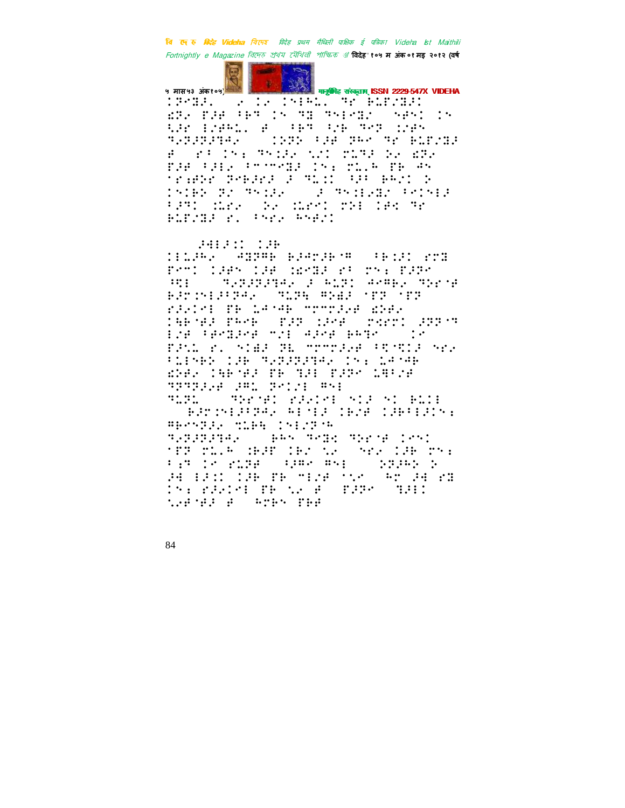

**AND STREET SERVICES AND STREET AND STREET AND STREET AND STREET AND STREET AND STREET AND STREET AND STREET AND STREET AND STREET AND STREET AND STREET AND STREET AND STREET AND STREET AND STREET AND STREET AND STREET AND** ५ मास५३ अंक१०५) 1969) (STA INFL) më Korveg.<br>202 par fra 15 me museo (Sp5) 15 the frame. A component medicines Repetitor (1995) (all port of bires) # at the mode of final be she barbalk bereda isa bulk prose trans peaks four openador INDEX BY THINK OF THINGS PRIME FRANCOURS (DE MESSO PRESIDENTAR BLEVED F. Pres Rrest

## *PAID 11 128*

111342 (ANSA) BJAMBYA (FRIC 200 Prof. 1985 198 (BrdB) 25 Th: P985 age therefore a which are stringed BETTHEREAD STORE READ TER TER racie: Th 14746 Trunaed Rhde THE GO TAME (TOP 10MB) TRYTI OPP "P EZA PARIARA MZE AJRA BRTR  $\cdot$  : FRANCE SIER PECTORAL PROVINCES FLINGS COR SUPPORTED IN: 14746 KHA THREE TO THE TITY LOCAL **3333.00 000 00000 0000** TERS THREE REPORTS TO BELL

**TRANSMARTAL REMARKABLE CARRENTS** BESTER TIER INEZES TATITITIA (PRS TATA TAA 1858) nga mula dago ian ng Sang iga mga<br>Pas in muaa (Piggy Gya 24 12:1 126 PB MIZE TV (AM 24 PD 19. PARTYL PHONE ( PAPY ) BALL the search and the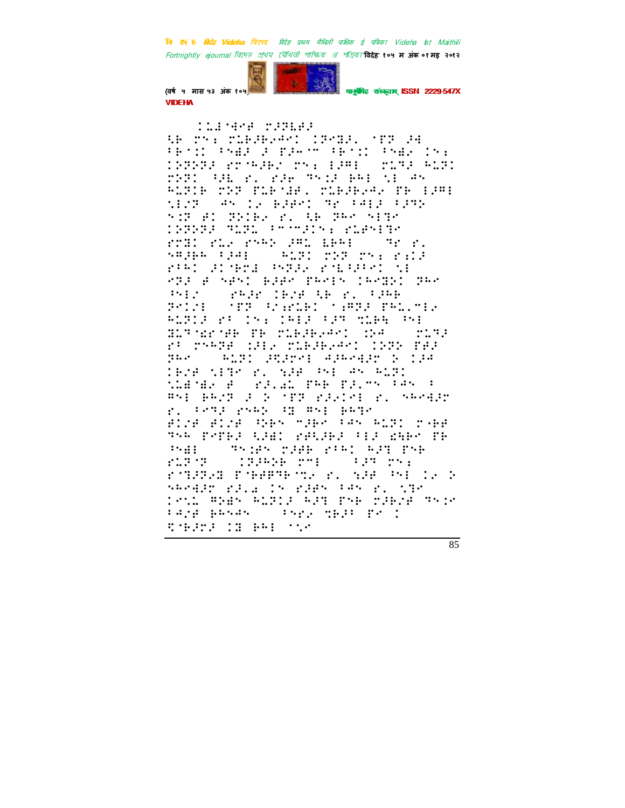बि एक रु मिनेट Videha विएक विदेह प्रथम मैथिली पाक्षिक ई पत्रिका Videha Ist Maithili Fortnightly ejournal রিদেত শ্রথম মৌথিনী পাক্ষিক প্রাণবিলিক বা স্বার্ক ১৭ মন্ত ২০৭২



मानुब्रीह संस्कृतम् ISSN 2229-547X

(वर्ष ५ मास ५३ अंक १०५) **VIDEHA** 

**TERMINE STREET** SE PRI PLEJEVANI (PRIJ. MPP JA FRONT PARK FOR THOT FRONT PARK IN: 19898 Proger ry: 1991 - 2093 ALSI 2271 HR P. PRE 7512 HH SI 45 PLPIE MOR PLEMAR, MLBJBORO PRO1981 MESP (AN IS BEAM) NE PAIR PENS **NIP BI BRIEF P. AR BRY NEBY INTERFORMED FOOTBING PLANETS** PPHILADE PARK PROGRESS OF TRUP. 58366 F241 | \$121 252 251 252 233 ren armen maa rundeli **PTE A SAST BEAM TREES TREES TRE** s angar 1928 yang bilang.<br>Sombol yang bilang pelumpa  $\cdots$  :  $\cdots$  $341.731$ RITIS PROTHECOMES RINGER PHO HLP WE WHO FEO DIRERFESS ON THE SOUTH PT STAGE CHA TIBABARI TIGGA PA par and difficult apartir to the TEMP SERVICE SPECIAL AN ALDI Wiener forstal PAR Plink (45) P #SI PROP 2 2 MED PARTYL PL SPARED r. (2012 rus) (2 85) Page BIZB BIZB SYRN MJRK FAN ALBI MYRR THE PRIEF WHI YAWARI TIJ WART IR  $\sim$  75.185 (2188) 2161 629 856  $3.441$ FIRST (TRANK THE SALE THE FORTH POHETHOL F. NH PH IS S SARADE POLA IS PORT FAS PL STR TRID ANGLE ALTIFARAT THE TIENE THIR Page passes of they medicate i STEPPE IS HAD THE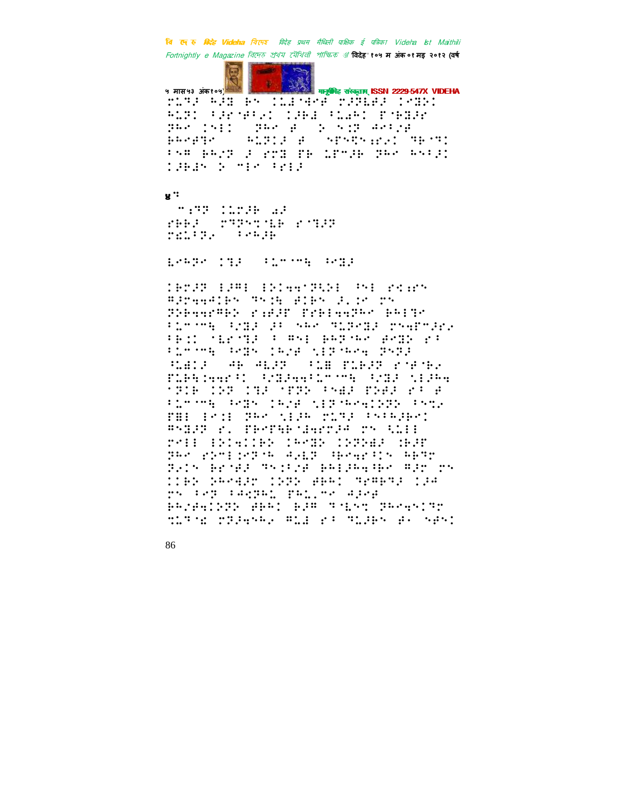

**AND STREET SEAR AND STREET AND STREET AND STREET AND STREET AND STREET AND STREET AND STREET AND STREET AND ST** ५ मास५३ अंक१०५) riga edi es cilhesē ražūja (sib) RITO PROVERSO CHEA PIGHO POBBRE ger (ni) ger a (nig ariga)<br>Berghr (night) a (ning ariga) PAR BRAZ 2 YOU TE LESSE JRA RAPAI TERR S MIR PER

 $\mathbf{v}$   $\mathbf{u}$ 

1. HIT (11736) 43 FREE TRESTOR FORE rative couple

proprieting the most organisation

TROSP ESHE ENTHANDENE PHE PRINT #Preedles #sie #18s Plin rs P2Pggs9P2 riego ording9P3 P4193 Planent Program for SAR Strain Strainers r sirsti (dag parsas par) ri  $\cdots$ Firth Rdr (Rd 1828-2019) 2013 state on once startuped room. FLEEDWAY OF CONFERENCING COOPS (1984) **THE INF INF TERM PART ENRE 23 B** Flowing Pods (Prim Sidenberg) Park FB: Prim BRP SEPR STRE PROBES PROFINE THREE MARTIN TRONGER reli licecchi (med. 1976) deg PRO POSTICORON AGIP (Bearing Arthur Salt brigg strip believe be the spring <u> 1915 : Marier (1916 april 1988) : 19</u> rs (201 (2018) PRL. 70 AP08 Bargainse GeAl Black stirt sach sach three rragges, which which as say: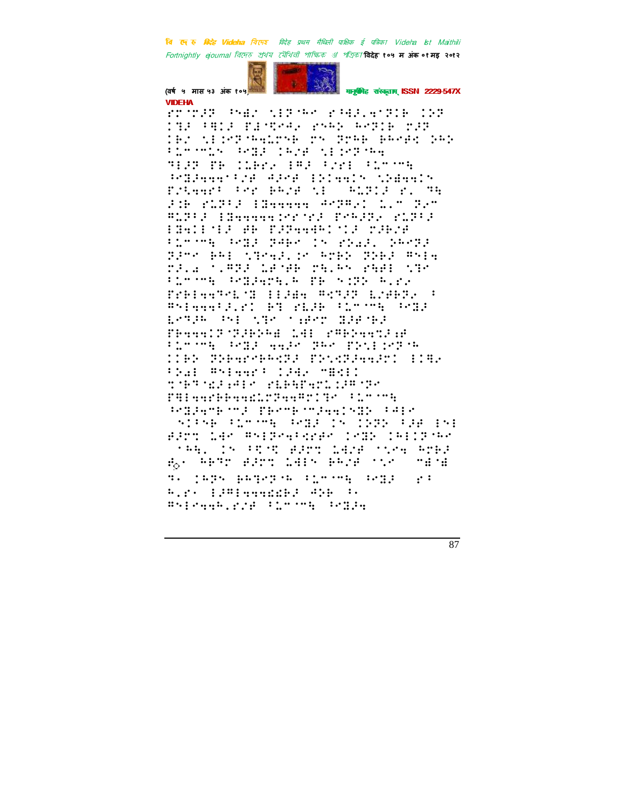बि एक रु मिनेट Videha विएक विदेह प्रथम मैथिली पाक्षिक ई पत्रिका Videha Ist Maithili Fortnightly ejournal রিদেত শ্রথম মৌথিনী পাক্ষিক প্রাণবিলিক বা স্বার্ক ১৭ মন্ত ২০৭২



(वर्ष ५ मास ५३ अंक १०५) **VIDEHA** 

मानुब्रीह संस्कृतम् ISSN 2229-547X

rough has differ realerate the MI PRI RIMAA YAR AMRIK MIR SEZ SEIPROGRIPSE PS BRGE EGGER 165 Firmin Pris 1928 tire of 1970s. HIPP TR CLREW 182 FIVE FLTTTR POBRAHINA ARMA BRIANIN (DAAAIN Priggi for BRYE NEW ALSIE P. 75 Fib rugge flaaaaa Angger wur ger WINDS ENGINEERS TO THE TEST **CONSIDER CONTRACTS CONSIDERED** Ploten Pola Bake in Shaal Profil Bang BRI STORALIS ROBO BOBA RSIR rala (1933-1978) rales radio (36 Planena Programace BB Septe Alace Prigget2.rl PT rEJP flowing PriP Leman (Si the tiper dag ma Thang:P THRPAR 191 PARPartie Ploten Professor part prior reports **COBS SPEARANAGE SYNSPARIST FIRE** <u>1111 Alland Cday MAd:</u> the markets and the control FALARINARISTARTITY COMMU **Production of Construction Construction Construction** (51358-315778-3582-15-1022-328-15) Barn 196 Anightener 1986 (Allanda TABLE IN FRONT BROOK LAYBE TOOK ACRE g. Absolutes 1415 bend the cabid n. japs pagerea inserna lengua el R.P. 13814442263 AND I. Bridgeb.rdf (11575) PCD9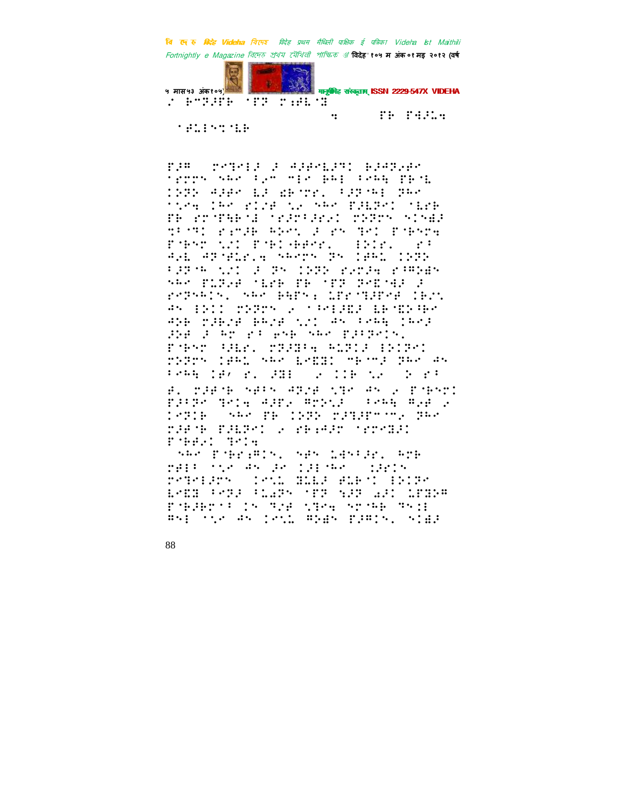

५ मास५३ अंक१०५) गानुब्रीह संस्कृतम् ISSN 2229-547X VIDEHA **MARKET STRAINER** 

**STRATEGILS**  $\bullet$ 

ran (renera a Adambano Bagayer)<br>Serry SAM (Sam Mik BAI) (rene resp 1999 Aler 12 decret (1997<del>6</del>: 968 ting Ten Flor is the PREPO time PROSTOPHENE SEATEARY, TRATH SINGA TRITE PATH RET. FOR THE PIPE Pober will poblikeer. (1918.) at ARE APARELA SAMPS PS 18AL 19PP FRESH NAILLE EN 1989 BANDA BIRDAN SAR TITLE TIME THE TIT TRIENT F reports, see BAPS: MProduce Thru AN ENCOUNNER SUMMER ENTRAN 정보 정보관 반장 노는 방 단백 간방 BH 2 AT 23 PAR SAM PRIPOIS FORT WEEL TRAPS RURER ENERT right camp and benne machine and PRANCHA BLOGHED DOCTOR NO CONSTR B. THE BOARD ARTE STACK CONTRACT FROM THIS AREA RENCH (CHAS RAR ) 19316 (SAP PR 1930 SPREETING SAM rane paper , devan treba Polici Sola

SARK PORTHERS, SPA LESSEN, ATE represented and people may be printed Fébrark (1911-dílis electricis) BANN CAN CONTROLLER SERVICE PORTHOL IN THE STEADED TO HE BAL the AN Tenn Bran PlBIN, NIAP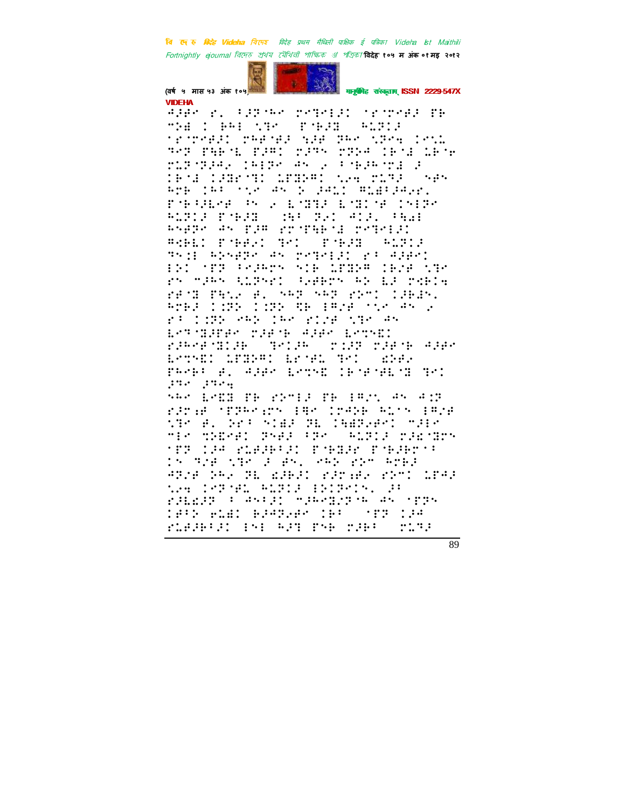बि एक रु मिनेट Videha विएक विदेह प्रथम मैथिली पाक्षिक ई पत्रिका Videha Ist Maithili Fortnightly ejournal রিদেত শ্রথম মৌথিনী পাক্ষিক প্রাণবিলিক বা স্বার্ক ১৭ মন্ত ২০৭২



मानूबीह संस्कृताम् ISSN 2229-547X

(वर्ष ५ मास ५३ अंक १०५) **VIDEHA** 

APPROXIMATION SERVICES IN THE TOP OF THE THE CORRECTED STREET RESERVE seltriad: Iradiad Sdallow Sora (1951 **THE THE RESIDENT CONTROL IS A SET OF THE SET OF THE SET OF THE SET OF THE SET OF THE SET OF THE SET OF THE SET** rifred. There are constructed a CROB CABROTE GRBAN (124 PLTA) (145 RMB IRE STROOMS IN PRICE RIBERRY. PORTABLE TO 2 EMBRE EMBIOR COLPO **BIBID PARE**  $\frac{1}{2}$  (2)  $\frac{1}{2}$  (3)  $\frac{1}{2}$  (3)  $\frac{1}{2}$  (3)  $\frac{1}{2}$  (3)  $\frac{1}{2}$ Rugge an placer propertie regents PORT EMPLOYED COMPANY PLET This exhibit an entries at agans BO YEAHARA SIN MEDA INYA SAS ry maky time: Genery Al 12 rekig PACE PAGE AL SAP SAP PRODUCEDS. anea (1955) 1955 ge (1978) nivîsî Asî FR 1972 PRESIDE FIRE 570 PR EST MATES (1987) APPS ESTAD rameroniak operam riagorakok gaze BROWN DEEPED BROWN HRI (2008) PROPE B. ASPO LOTAD CROPEND TO gne gnea

SAR LREE ER KRMEF ER EARN AN ANT range (president per chapp elso para THOMAS STORY **THE READERS** Mic member syes (sec ) wisis readiry **TEP 194 PLASHFS: POHER POHEROS** ps dye smalle es, amb abhimogen ARIA DAN TE ESASI PARTAN POST LEAS the Crock Supple Bidrick of ramaan (Pasia) masaman as rens tell end: Blagger the Sign tia KLADERS IN BET THE TABLE  $11.33$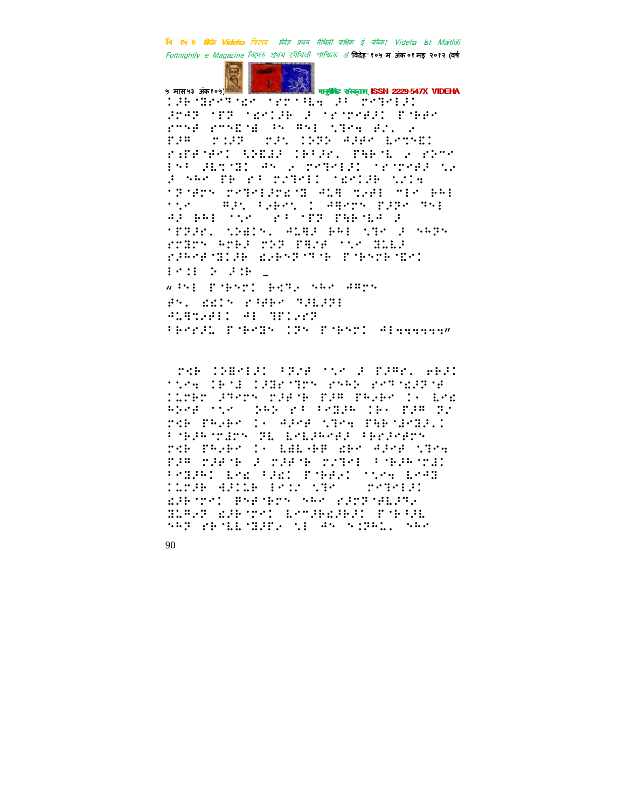<u> 19678-20 Serikal Bilgarada</u> Frag (FR (SKIER F (FrontFI) Pober roof roofing to moderning give a  $f: \mathbb{R}^n$ **MISS TEL 1978 APPR ESTAD** ranejej komunijetov napja z rojn PAR SETTED AN 2 TRIPES CONTRAS N2 F SAM THE PROPERTY SENSIBLE WITH **SPORT PERMIT ALE THI TEA BAI** the same many company paper was AP BAILING CONCIDENTAL P TERRY SNADNO RUBR BRE STROK NAPN rrary week ros fars the anno rameratak kebangan panghari PORT ROBERT wind proved beng sar angs #5. AATS FRAME MALINI **SUBSCRIPT SECTIONS** 

बि एक रु मिनेट Videha विएक विदेह प्रथम मैथिली पाक्षिक ई पत्रिका Videha Ist Maithili Fortnightly e Magazine রিদেহ প্রথম মৌথিনী পাক্ষিক প্র **বিदेह १०५ म अंक ०१ मइ २०१२ (वर्ष** 

**AND SERVICE SERVICES OF STATE OF STATE OF STATE OF STATE OF STATE OF STATE OF STATE OF STATE OF STATE OF STATE** 

**Service** 

५ मास५३ अंक१०५)

 $\mathbf{E}$  .

THE COBMERN FROM THAT FIRMS WERE tive IPM CRETTEN PARK PARTNER R ILSES FROM SPECE EFFORMACIÓN LAS rdk Palko () Alor (Som Pakison); Porteorirs TL Lollands (Prindry rde fazer () amales der grep vira FAR TARYE & TARYE TITEL FYEARYTAD PRINCIPLE FILE PORT TORE LOAN TEMP ARTE PAIN NTM ( MATALE) ERROR PRESENTATO ERRETERO HIRST ASENYT LYTHASHIL FORSH SAP PROBLOBER OF AS STREET SAM

PROVIDENT CROSS IN THE POST CONTRACTOR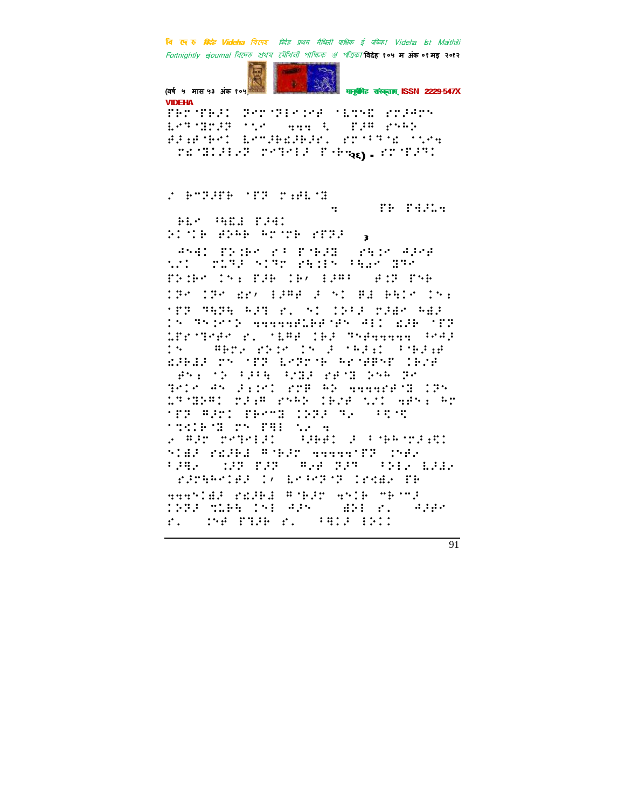बि एक रु मिनेट Videha विएक विदेह प्रथम मैथिली पाक्षिक ई पत्रिका Videha Ist Maithili Fortnightly ejournal রিদেত শ্রথম মৌথিনী পাক্ষিক রা পত্রিকা' **বিব্রৈ ং০৭ দ अंक ০ং মহ ২০ং২** 



मानुब्रीह संस्कृतम् ISSN 2229-547X

## **VIDEHA**

FRONTRAI PROMIS CON CENTR SOARCH ESTATER MASS AND RESERVED BEBARAI ESTERDEDE PRATTE MOST CONSTRUCTION OF THE PERSONAL PROPERTY

**SAMPAGE SERVICES ARANGER AND ARANGEMENT AND ARANGEMENT AND ARANGEMENT AND ARANGEMENT ARANGEMENT ARANGEMENT ARANGEMENT ARANGEMEN** BIND BRAG ATMOS FERE 3

**AND INDEX PROPERTY Service School** wi shine winn salik tale dhe TRIP IN: THE IB/ 1986 - BIT TNB 198 198 dr. 1986 3 NJ 81 BHIR 15. **TEP MARA APR R. SI COFF MPHP AND** In Thirth Adaptible on All 200 (PP MISTRAR S. TEAR CES Traggang Pras In the Brazil rain in a compaignment EPRIM THE TER LERTIN APPROXIMATE GARA NE PAPA (PARA PANG EMBAD This As Picki rol Al Annardol 195 LT MERT STAR STREETEDE TO LARGE RO fr Well Bend Cool of Word **THIRTH IN THE ARTH** 2 APROVEMENT (PRAID POSSENSHIP) **SING PASES PORTS ANNATIC INFL** STREAM OF LANDING CREEK TR HARTIER PERKE ANDER ANDER MENNE 1983 MIRE 198 ASS ( BBB 21 ) ASPS r. The FIRE r. (8812-1211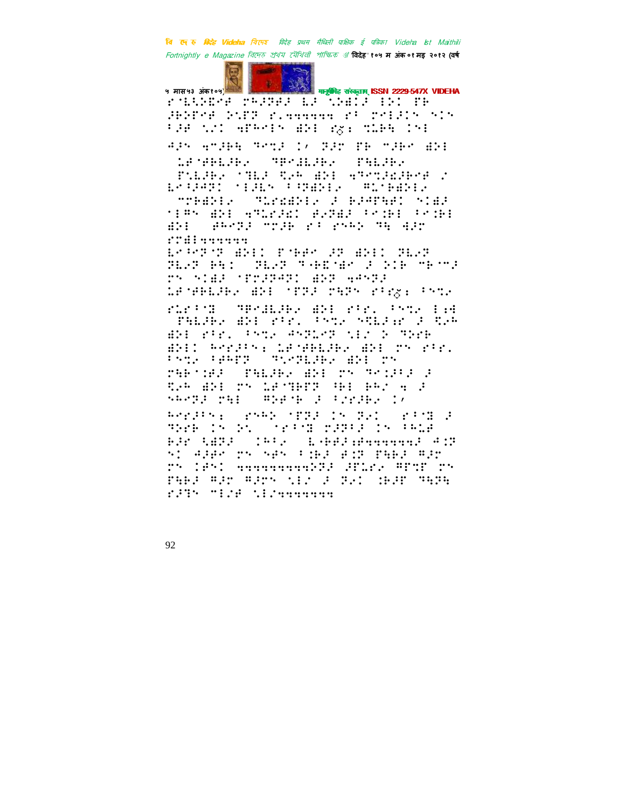

५ मास५३ अंक१०५) गानुबेहि संस्कृतम् ISSN 2229-547X VIDEHA riche ragge di Società pe SERPAR RUPP Staangaar SP 201315 STS FRE WILLER-TROBE BY: TIPE INE APS AMPRA RAMI 1/ PPM PR MPRA AND **WEBSTER TEMBER Thillips** Time 'He ta di stratere' EPRODUCTION POWER SOLUTION **MTHERS TORGETS PROPER YOUR** 'I" THE STILL SAID STATE OF THE SECTION SARATE MOSA PASSAGE ARD  $\mathbf{a}$ :Tillaaaaa EKPRIM WHILE THEN JR WHILE REAR BLAR BAY (BLAR SABINER 2021) MEMPE ry ylad fredding all wydd LEAGHLAND AND ATTACHTER PARK PATH rirad generalise and rare and dag THERE AND STR. THIS HILLEY I TAR ADE PRES RATE ANTIFE NEW DOTECH BRID REPRESENTATION BRIDGE PROPER Proviemer Sydnamy ARE or reposed temps and recovered te di rodrum di ecce SARRE THE SPECE POSSERED IN Reparks (Pres SERA 15 RAI) Patcher THE IN HIS METHOD PERSON FROM BJM AARA (1932) E-BAladeenenal A.R SI APPROVADA PORTUEDO PARTEMEN ry 1951 Aaaaaaaaa222 JELEZ AFSE ry PARE WESTMERS SEE STORE SHOP MANA

92

FRIN MINE NICHHAARA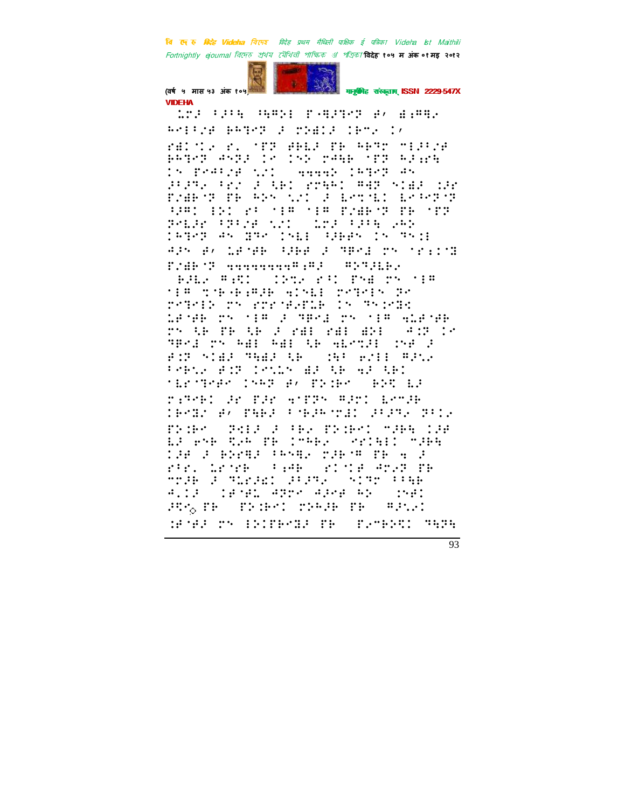बि एक रु मिनेट Videha विएक विदेह प्रथम मैथिली पाक्षिक ई पत्रिका Videha Ist Maithili Fortnightly ejournal রিদেত শ্রথম মৌথিনী পাক্ষিক প্রাণবিলিক বা স্বার্ক ১৭ মন্ত ২০৭২



मानूबीह संस्कृतम् ISSN 2229-547X

(वर्ष ५ मास ५३ अंक १०५) **VIDEHA** 

191 : 191 : 191 : 191 : 191 : 191 : 191 : 191 : 191 : 191 : 191 : 191 : 191 : 191 : 191 : 191 : 191 : 191 : 19 Refige BRTeR 2 shall lime 12

rations at the about he week massed PROVIDENCE IN THE PROPERTY REACH **SAMPLE INTERNATION** In Preside Not PURPLANE PART POWER AND STAR THE FMB 7 FR 825 MM 3 ESTAD ESPT? OPD IN PURSE THROUGH THE TERRITORY rende librea son cherchina cap 18982 45 BRA 1561 (2885 15 RS)E APROVA LEARN CHEF 2 MERIODS SEVICE **TYMEYP ANNOUNCEMENT SEPTIME** 

GRADE ROBOT COMPOSITION OF THE CONTRACT tif the present and reports to POPOR TO PERMENENT TO POPOR Length rooms and complex in the algorithm THE READER REPORT OF THE CONTROL OF THE CONTROL OF THE CONTROL OF THE CONTROL OF THE CONTROL OF THE CONTROL OF TRAINT WHI WILL BE GEATER INFORM FOR STAR MARK OF STAR WORKS Press Fir Cribs AP Ge AP Gel 'Erger 1555 f. Dide' bot bl rated ar par enpresent benam terms as many compaoning prima pria Third This Science Third Mark 138 EP PSE SPR TR IMPRESS STIRLI MPRR THE FARME FRAGE MIRTH BE 4 F rtri Groff (tempo ricipo mriz TP)<br>oraș a Swrazi atasi (tipo tipo A.C. SEMAN ARMA APAR AN UNAI PROTECTIVES TREE TROUBLE WHE TY INITEMS THE TATENT THIN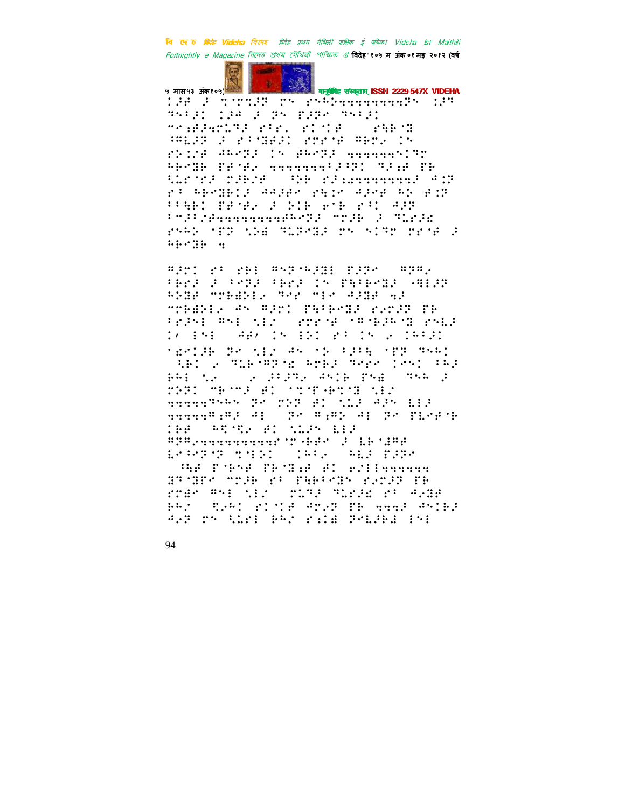

**The Second Second SSN 2229-547X VIDEHA** ५ मास५३ अंक१०५) 128 2 čini28 ny ryšyaaaaaansys 125 35121 124 2 35 F236 35121 *"PARTHERS PRO PICE*  $\cdots$ **BEAT FATHER PROFINERS** rring Abera in Abera Aannannill REMORTERED ANNAHANCER: SPEED TR Sirte which the classessed for r: Abrollis Adjar rain Alra AS Bio PROFILMENT PIP PROTECTION Presidencencentere rregulare se rand off the minese race mine rrow s  $1.1.1111...$ 

**APPI PF PRE ASP SPRE PRPS (APA)** theil a tema theil is phinema small RNIA TTHEN: THE TEM ANIA AN **MORELLY AN ASSOCIATE** CAPIT TR Print And Mic Serror of News School 19 ESE (489-15) EST 23 IS 2002 TAILS TEMINE THAN IS AN INFORMED THE THEI ART & TERMINE AND THEN THAT THE **A PEPP ANIM THE**  $\cdots$ :  $1441 - 124$ MARI MESMA BI STOPHETOR SER sessible Br MB Bl MA AP HIP annament als de mans al de Tierre **THE AUST HI WAR ELE** #2#244444444441154#5 2 LEM2## ESPECTICION INC. ALE TITS **THE PIERR TEINGER AL ESTIMANAN** an dark onder de Tale beachte der dar rnak And Mir (nihi Miria r) 4.88 **CRAIGE STORY AND THE ANNUAL ANIMA**  $\mathbf{h}$   $\mathbf{h}$   $\mathbf{f}$ APP TH RISE BAY SAND PRESED IND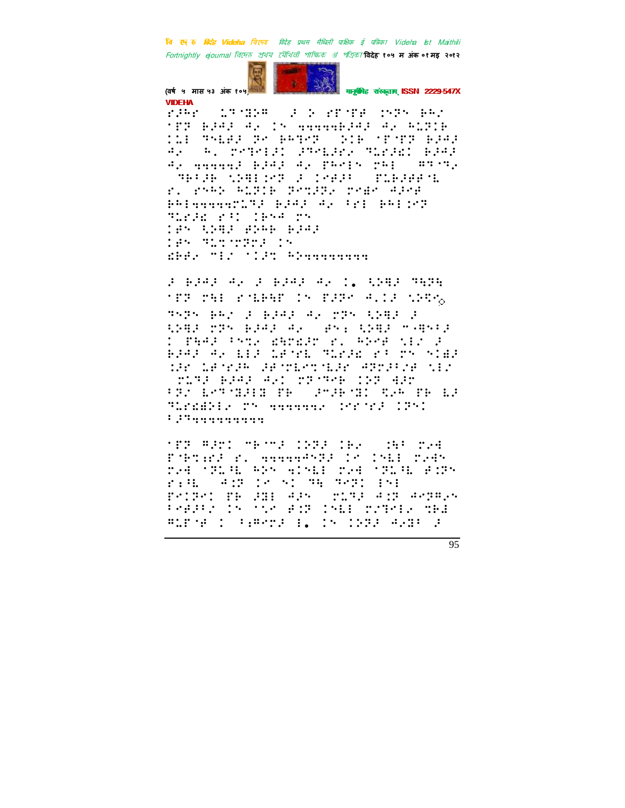बि एक रु मिनेट Videha विएक विदेह प्रथम मैथिली पाक्षिक ई पत्रिका Videha Ist Maithili Fortnightly ejournal রিদেত শ্রথম মৌথিনী পাক্ষিক প্রাণবিলিক বা স্বার্ক ১৭ মন্ত ২০৭২



मानुब्रीह संस्कृतम् ISSN 2229-547X

**VIDEHA** rand insure a partie ban but 'TT BJAJ A, IS AAAABJAJ A, RITIB MI THEF PO PATOR (NIP (PITP PJA) 4, A. Martil Stale, Tide: 694 42 Annal Bld: 42 Perls pel (#5752 **THIS AND MACKED CONFIDENTIAL** 

(वर्ष ५ मास ५३ अंक १०५)

r. room olkeen konfer rodo geer Phinnenoval P242 4, 121 Philos Their ril (Press) 195 KDBJ 8166 BJ43 ter stronger:  $\ddots$ did. "It 'll' britannenne

a bag gu a bag gu t. Cana mun TER THE POLEHE IN EPPO ALLE NERW 3535 PRY P PREP 42 235 PREP P 1283 235 6343 42 - 653 1283 2-8513 I PART FROM BACKED BY AGREE NEW F BRAR AS BER 1878 MISSE SA ST TA ATER He Landa africiar apparent STORE BEAR AND STRIPPE INFORME **TO LOOKER BE PORTED CAPTER** Themble ry sassant lerer! (Py) **FINNANNANN** 

**MIR #221 MEMB 1232 1B2 Simple Section** FORTHER P. HANNAHMER IN INEE THEY red (Fluid ASS ADSLE red (Fluid Aufs)  $f: H$  $\begin{array}{cccccccccc} & a & \texttt{p} & \texttt{p} & \texttt{p} & \texttt{p} & \texttt{p} & \texttt{p} & \texttt{p} & \texttt{p} & \texttt{p} & \texttt{p} & \texttt{p} & \texttt{p} & \texttt{p} & \texttt{p} & \texttt{p} & \texttt{p} & \texttt{p} & \texttt{p} & \texttt{p} & \texttt{p} & \texttt{p} & \texttt{p} & \texttt{p} & \texttt{p} & \texttt{p} & \texttt{p} & \texttt{p} & \texttt{p} & \texttt{p} & \texttt{p$ POIRCI PE POI APS (PLAP A D ACPARS PARTY IN THE BOR INE TYPES THE BLEAD I FEATH IS IN 1972 AND JO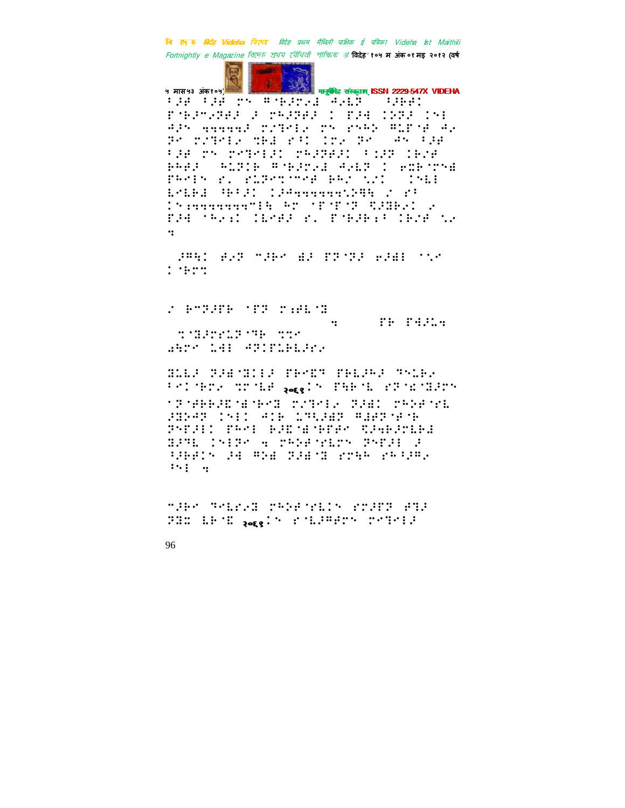

५ मास५३ अंक१०५) ैं मानुक्रीह संस्कृतम् ISSN 2229-547X VIDEHA **THE THE TREPTIVE SAMPLE**  $\ldots$ FORFORD POSSED I FRE INTE INE alb aggadl colefy th chalk all navale<br>In colefy which for Ing (and also FJA 25 2031. 2032. 2043. Prince PARK WARTE FORECAR AVER I PORTOGR PROPOSE PLEASE TOP PRODUCED INER EMERS MARY COMMANDATION CON Channers'B Rooffitt Couple FAR MARI (BRAF P. FMARI) (RZP NA  $\dddot{\bullet}$ 

amed also made as provinced and one  $: 1.111$ 

**STEP PRILLE**  $\dddot{\bullet}$ **MONDAY SERVICE** 

HARPY TRACTLER FROM THERE TYLES PAINETY TO LE GAME! THE LOOP TO THEIR **SPERDENT REPORTED TO THE STATE OF** SHEAR (SIL ALE LAGAR AGARYA) PSTIL THAT FIRM WERE THEFTER BPE INTE A TENTITY THEF F CHAIN OG AND BOB'S PRAG PAIDA.  $3.43 - 4.5$ 

make select payable end coupled FIN LEAT DOES 'N SALIGEN PATALE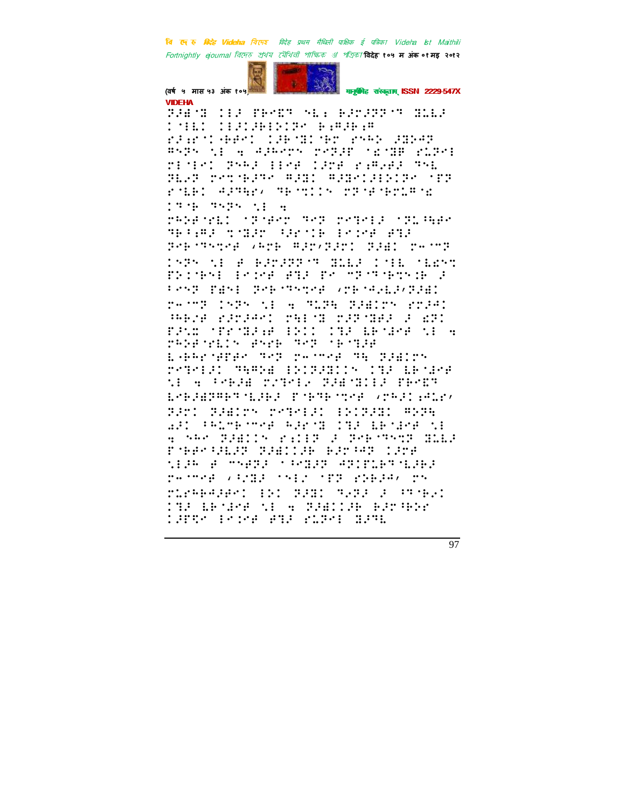ed ann (448). Dde har fein eilean dangen #575 ME A WEBSTERT TEMP PLPME METERI PRAJ BERA IJMA KARAWA PRE BLAR THTMEPH WARD WARKLAINING MED rian Armer mentionerement 139 3525 MHz regardi (rader sem regardi (radere **SPARE STREET RETEATED FOR STR** Prestance (Are Adriler: 2001 cast 1979 NE A BATARRYT BLEA INE MEANT EVIDENT TRIPE AND PROMISSION OF Prof. Paol. Prestore (Creseau)/Paal record (595 til 4 3128 3281rt 2024) West ranged mens narowed a kal FRAM (From He 1911) 198 leoler also TREPTION PHIR THROUGHTER LARE MERS TER TECHNIC TE BREETS retell: MARGA ISINGIIS IN LESER ti e febla riteta zharditi medz EMBIRHERMEDI THREMMAN (TRICHALM) Baro Baacry request exchance #584 APD PROME MAR REPORT ONE ARTHUR OF 4 NHK BEECH FILED F PRESTNYB HILL rjekimur rumium eurooran tijk e mani (koninginisti kon renne vara salz sprochere en rishbeart in Thi Thi San a Hybri MIP LEMIPE NI A PJECOJE EJMIESK 1980 Brog 892 COPI SSO

97

(वर्ष ५ मास ५३ अंक १०५) **VIDEHA** 



FARME CONTRACT ME: BATARTY BLLA

मानुभीह संस्कृतम् ISSN 2229-547X

**बि एक् रु मिरेह Videha** विएम्ब विदेह प्रथम मैथिली पाक्षिक ई पत्रिका Videha Ist Maithili Fortnightly ejournal রিদেহ প্রথম মৌথিনী পাক্ষিক প্র পত্রিকা**'বিदेह' १०५ म अंक ०१ मइ २०१२**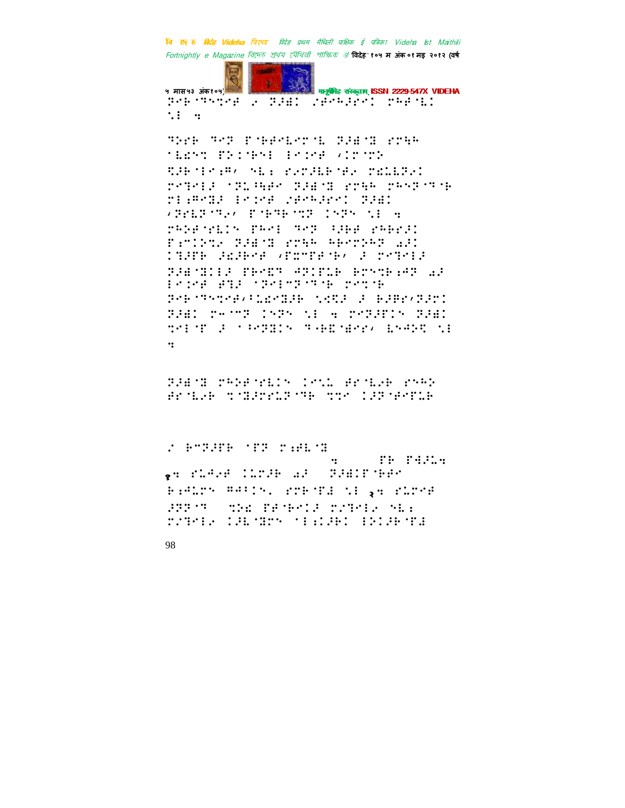

५ मास५३ अंक१०५) मानुब्रीह संस्कृतम् ISSN 2229-547X VIDEHA 306-195508 2 3381 28563801 258-161  $\ddots$   $\ddots$ 

The Tel Porter and The Tel **MARY EVING POST VITTE** SHETPING SEE SYSHETE SACHERS redell (fr.962) read in crew response MIRMA POPE MARRET BAD **VENDAL PERMIT INFORMATION** gandreits past wer time eamert Finites Babya reak Aberdad Wal <u> 1988 Scope (Torren) 2 pete:</u> BARTHIS PRETT ANITCH ROSTRAN AN Professor and consequence the propose Prestrated Christel (2003) 3 Babayaari BABI 2475 1585 ME 4 258ATIS BAB THE TEACH PHEED AND THE MEMORY ENGINEERING  $\dddot{\mathbf{r}}$ 

FREND PROPORTY TRUL BENDAR PORC Bright Tilthers The The Condition

**STEP PARTIES**  $\ddot{\cdot}$ **. Class Clock as Schools** Bandry Westel Fredrick ga flowe FRIDA CHE PROPOSTO PATER SEA **MARIA CALMAN MELGEC ENGEMEN**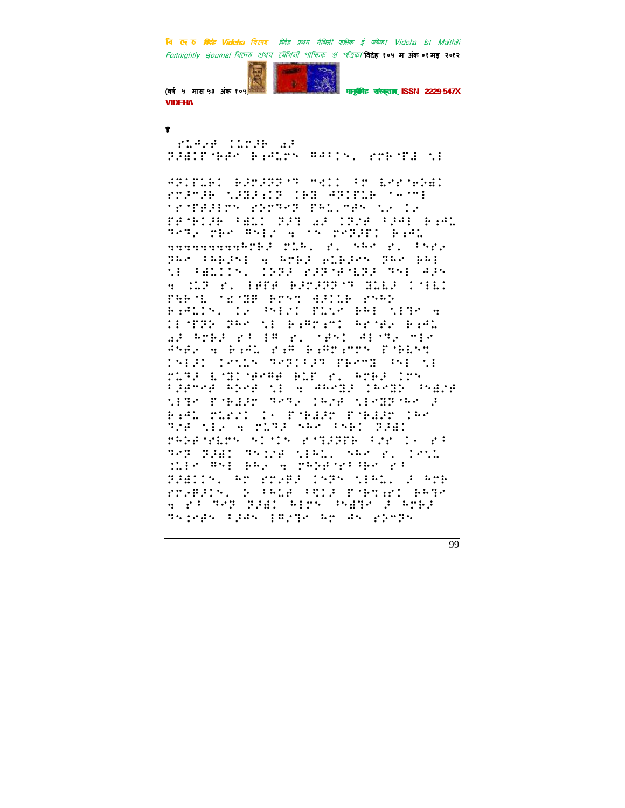**बि एक् रु मिरेह Videha** विएम्ब विदेह प्रथम मैथिली पाक्षिक ई पत्रिका Videha Ist Maithili Fortnightly ejournal রিদেত শ্রথম মৌথিনী পাক্ষিক রা পত্রিকা' **বিব্রৈ ং০৭ দ अंक ০ং মহ ২০ং২** 



(वर्ष ५ मास ५३ अंक १० **VIDEHA** 

मानुब्रीह संस्कृतम् ISSN 2229-547X

 $\mathbf{S}$ 

rtage forde ad BABIEMBAG BAGING WALLS, STRATE SE

APIELED BATARRYT MAID AT EMPHABE rnaman (and an ann an main ann a TRIPPEDS REDROG PRIZERS NE IP PROPOSE SHOW PAR WAS IPAR SAME REMO Seny pre Selv a th pepar: Radi ananananan'ilay dia 2008–2018. Ilay<br>Jeo family ao Freit Millery Jeo Bai th Fallin, 1933 raphenisa mn: 435 a dr 2. Her Errers mar (Sia FAR A SESTE ROST ARILE CSPP BARDA DA PART PENSAMAN NIRSA IP TEN PAR NE BARDANI AP NE BAGA 요즘 유민들은 언제 좋지 않고 있었어? 여행 역은 생활이 ANEW A BARD PAR BARDANIN EMBAN **INER INLY REPORT BENS PHONE** MIRA ESTISARAR RIP K. AMRA IMS tjere bier di element denn bere the rear were the trended a Comest to pomage pomage the  $: ...$ The the actual sac (sep) plan PROFINERS SIMON PUBBBB FOR IS PT PAR REAL PRIME NEADLY ARE RIVE  $\ddots$  . min Ani BA, a panding Ba ri BJBIIN, RT POSPI INFN NIRD, J. ROB<br>POSPINS, N FROB FRIJ POPOBO BROM A PROTECTION REPRODUCED AND There is now survive the second proposition of the second control of the second control of the second control of the second control of the second control of the second control of the second control of the second control of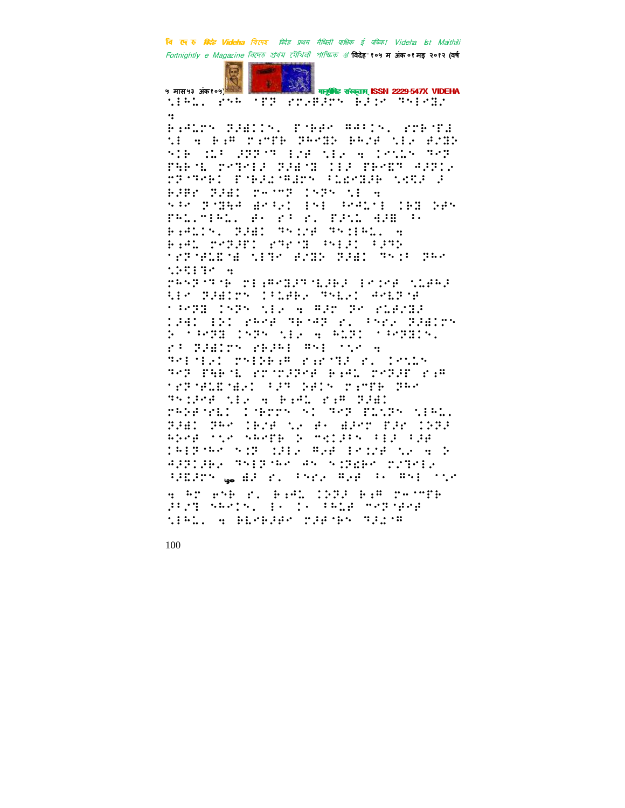

**THE REAL PROPERTY AND MANUSCRIPT** UP AND MANUSCRIPTION OF A PARTICULAR PROPERTY AND MANUSCRIPTION OF A PARTICULAR PROPERTY AND ANNUAL PROPERTY OF A PARTICULAR PROPERTY OF A PARTICULAR PROPERTY OF A PARTICULAR PROPERTY OF ५ मास५३ अंक१०५) the resource and the control of the second  $\ddot{\bullet}$ 

BARDY PRESING POBRY RANING POBORE ti e bem renne dhema bhem tie demo SIE MA STROT ENE MER A COMMO TOT PARTE CONTOLE PERMIT ILE PROPE SEPILO<br>CPONORI PORTECON PLACIER SOPIE P BJBY BJBI TACTE INFN NE A SAM POBER BRAZI (SE) AMALY: CEB 285 PALMERL BOOK PLOTPIL AND BO BARLIN, BABI THINE THIRD, A BAG TERRI PRESE PHIL CREW transmithed teach start and an about the response riversensier inter scheidlich

Arc'hamirk (Pagez Malz) gemeze **TRAB CRAFT MEATH AND ART PLACE** 1941 IST PROF MESAR P. Park Realty R TREE INEN NEW AGES TREED. r: THITS PEPH #51 156 m THE MOST CHARGE FROM THE CONTROL **THE THE LOST CONFIDENT CONSIDERED MARYBOROUGH SPONSOR PROPERTY** Third Mir a Band rid Sid: PRESENT THRPP AT RAP PLOP SIRL. BABI BAY CEZA NY AV BAYD BAY CYBA RNAR STAR SPATE NO MAILERS FILE FIRE IREPORT SIR DES AVAILABLE NO 4 D APPLERY THERING AN SIRER COTFIL PREPOR GARD BY COMPART PARTICULAR COMPANY

a Ro ene di Bagi (1933 Bag centre jijý skris, po je ikla srpskeg time, a Birbler please music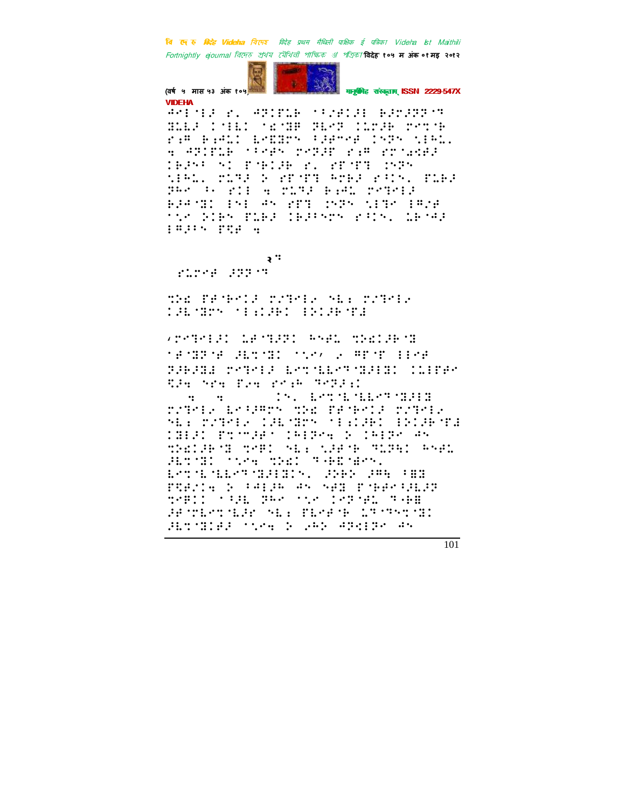बि एक रु मिनेट Videha विएक विदेह प्रथम मैथिली पाक्षिक ई पत्रिका Videha Ist Maithili Fortnightly ejournal রিদেত শ্রথম মৌথিনী পাক্ষিক প্রাণবিলিক বা স্বার্ক ১৭ মন্ত ২০৭২



मानूबीह संस्कृताम् ISSN 2229-547X

(वर्ष ५ मास ५३ अंक १०५) **VIDEHA** 

AMENER WITH MINERAL BROOK BLEF INEED YEAR PEAR CLARK and th ram Bandi Ermann (1988) 1986 (1982) A ARITIA MARA MARJE KAR KUNANA IEPP SI PORTH P. PEOPL DOW MEAL PLAP & PETER APAR PAIN, FLAR PRO POSTE A MITR RAN MOTOR BJANE: ENE AN YET (NPN NETH EACH the SIBN PLBS IBSPACH RAIN, LB MAS paper page 4

 $\ddot{\mathbf{z}}$  : rings SPP (3)

THE PROPOSE TERMS AND TERMS **THE MERRY OF ELEMENT REPORTS** 

**VISTORIAL CONSTITUTION CONSTITUTION TRANSPORTATIONS** AND THE REAR THE TERM CONTROLLER TO THE TERM OF THE SAME AND THE TERM OF THE TERM OF THE TERM OF THE TERM OF THE TERM OF TH the Species Primarkit

IN. ESTERESTEHE  $\dddot{\mathbf{r}}$  $\dddot{\mathbf{r}}$ DIRECT LOGARDS AND PROPORTIONS SEE TORRES COENTRA SERCORD ENCORATO COURS ENTRET CRIPPE & CRIPP AN TREDGETH TRUST NEW SCHOOL SERVICE HETH TYPE THI THEMPY. ESTATEMENT SPECIFIES. THE CONTROL FRANCY PALLA AN NAB PYBANIKAR SMEDD SALE PROSTOC DOPORT THE HOTERTER NEI HENRIE LICHTETE Howher the S WAR ARGEN AN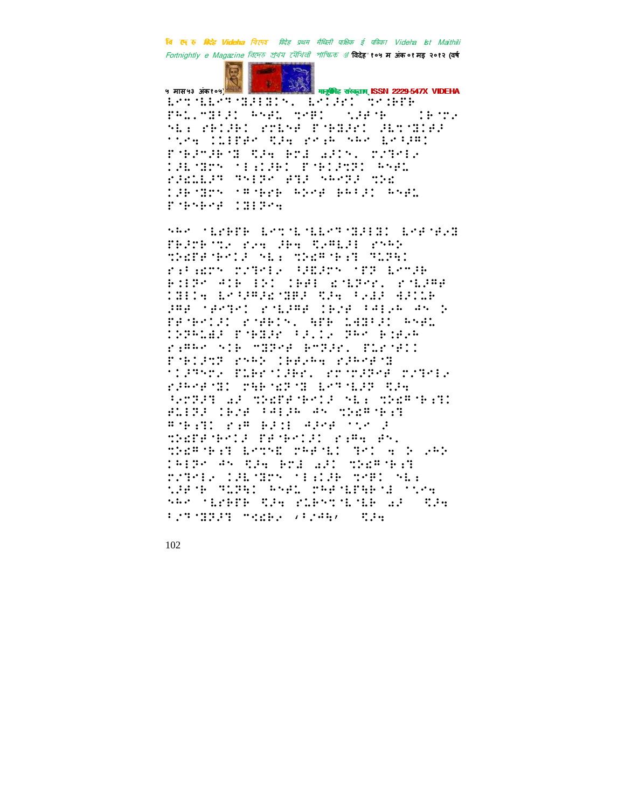

ंडी गानुबीह संस्कृतम् ISSN 2229-547X VIDEHA ५ मास५३ अंक१०५) समर्थ है। ESTALESTARIELY, ESCRIPTORIE PALIMERAL ANAL MARI (1981) (Bird ME: PRIJRI POLMA PORGJET JEDOGIJA they correctly the seat not letter PORTHON NAVARIANS CONTROL **CALMER MELLED PRESENT**  $\cdots$ FREED THINK BUS NEVER THE tiking at the second complete and the second second control of the second second control of the second second rman chin

SAR SERRE ERTENERTMEEN ERFORM PRIME MASS FAR SERVICE PRIME THE ROLE NEW THAT THE ritury rathe SHERS SEE Long Bilte Alb (DI 188) d'Ater, r'Al<sup>ba</sup> COOL: CAUSE COOL: CAUSE CAUSE ame rests: Product Cere (Aque As S PROPOSIC ROBBIN APP 198931 PORT <u> 1985-18 PARA (Alle Berghad</u> rames sie modern bmdar. Plater: Poblaca roma largam ramoros MIRRAY PORTNIRA (ATMARKE TARG) raberth report betone the PATRIC AR TRAPEGRALE MEASURARGHAM SMITH THIS PAINT AN THERMIT Bragin rum addi Adea she d TREP GRIE TEMPORI FIRE BY. THE BILE LOTE THE LI TILE A 2002 1913- 45 RPA Brd ASI MPAP 931 TITMES ISLATICS CERTIFICATE CONTROLL the model will reforme the the skr forbib Che ribschill of Che **Produced Season (Produced Season)**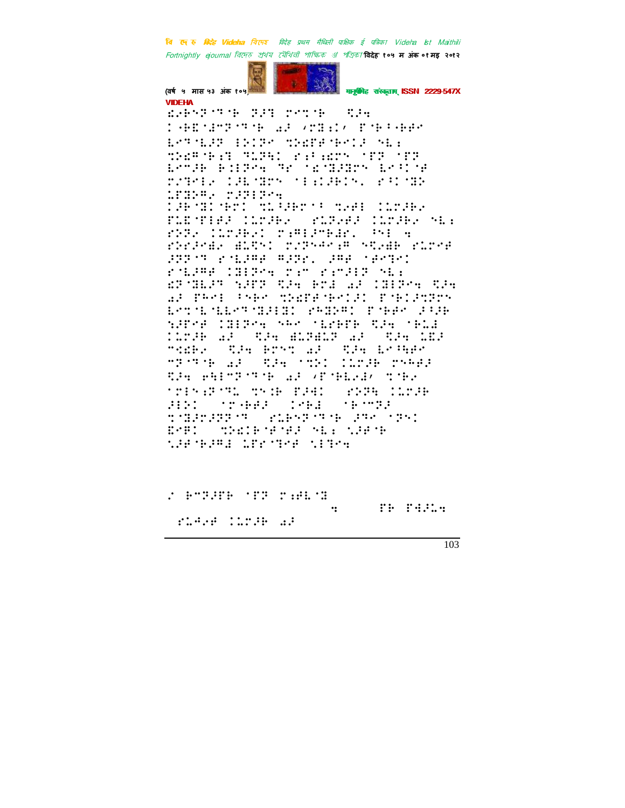बि एक रु मिनेट Videha विएक विदेह प्रथम मैथिली पाक्षिक ई पत्रिका Videha Ist Maithili Fortnightly ejournal রিদেত প্রথম মৌথিনী পাক্ষিক প্রা পত্রিকা' **বিदेह' १०५ म अंक ०१ मड़ २०१२** 



(वर्ष ५ मास ५३ अंक १०५) **VIDEHA** 

मानुब्रीह संस्कृतम् ISSN 2229-547X

ENDY THE BIB STATE SING **TARTISTS AN VIII**/ PAPPAR ESTALLE INCHA ANGERANIS ALI TREP 18:11 STEPH DOOR HER CONTROL ESTER RIPS TE TEMPERTS ESTIMA rately colorers of coolers of Cons **ANDRE MANUEL MEDICAL THE SECOND SERVICE SERVICES** PLE TIPP (LEPP) (PLP)PP (LEPP) SE: rele (Louges) camperary the a rhrang, gifti rithen e stage rirne 39979 PALPAR R29PL 2RB MBRTHI robas dalam ren renaia mbe EP THEFT SHIP RIG BYE AT 1HIP-6 RIG al PROPorte of Alberta (Proporte of Alberta Lessaines Santa (Santa) population SHRA CHIPRE SAR SERBER CHE SALL media (SCA) From all (SCA) Logier "Fit"b all the top: Chris ready the earnthing and thanks the **MODESHIPS CONSTRUCT SEPRE COMPAR** are: Strakes (Sake Server) therefore changes are the EMPI THE FORMALE SERVE the most created three

**A POSSE ME THEME TH PARTS**  $\cdot$ : rtage forde ad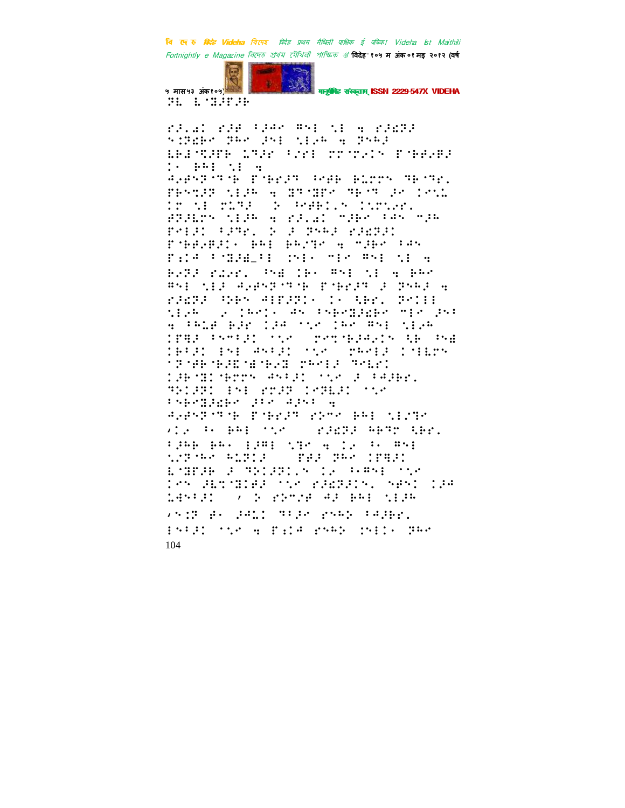

*PL L'HAPAR* 

गानुब्रीह संस्कृताम् ISSN 2229-547X VIDEHA

ralai rae tambément no rabata<br>Sidebro dhe ano nove sodhea BRISCHE CAR STOR TO THE POSSESS **.** ph: 11 m ANDSPITE PIREPT PAR RITTS TRITE. PROSPOSIBE A BROBE MEORGE COLL ir in roma (a segeria romae. PRAECH SEARCH BALLEY CARD CAN CAR Prist (FRR) & S Pres right Pobeled: bhi bhje a sgos tas FEDERAL MESSING TECHNICAL A BATA KIAK, PALIBA RAI NI A BRA #51 MIL APPSTSTE PSPPER PSPL A rada bes Afrance to Ger. Dolff g (Belk an Phengagen min ghi A PRIE BREATRA TER CRACHEL SELR IPBE PASSED THAT THE BEACH ART PHR 1992: 151 ASSAM (2001) 20013-1-11275 **MIGHTHEMS PASS TELL** IPPOINTED ANCE TO PAPER. THE STORY OF STATE OF THE STORY OF THE STORY OF THE STORY OF THE STORY OF THE STORY OF THE STORY OF THE STORY Popenhabe (Presidential ANDREWS PSENDS RESOURCES SENDS  $\sqrt{2}$  ,  $\frac{1}{2}$  ,  $\frac{1}{2}$  ,  $\frac{1}{2}$  ,  $\frac{1}{2}$  ,  $\frac{1}{2}$  ,  $\frac{1}{2}$  ,  $\frac{1}{2}$  ,  $\frac{1}{2}$ STREET WART THE **FORE BRY 1081 (10 4 10 10 80)** track while the aw inni EMBER 3 TRISTIN IS BERB MAR Ten Jacquies the Esaggin, nent las LANGIC / N PROVE AF BRE NEFR **AND BE BELL TERM PARK FARRY.** ESPECTIVE A PAIR PSPE INFIDENT 104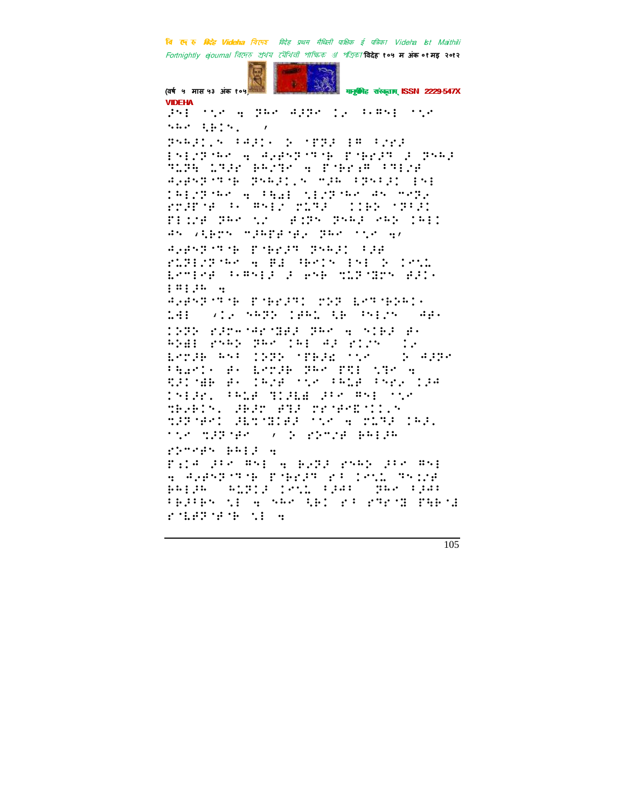बि एक रु मिनेट Videha विएक विदेह प्रथम मैथिली पाक्षिक ई पत्रिका Videha Ist Maithili Fortnightly ejournal রিদেহ প্রথম মৌথিনী পাক্ষিক প্র পত্রিকা**'বিदेह' १०५ म अंक ०१ मइ २०१२** 



(वर्ष ५ मास ५३ अंक १०५)

```
मानूबीह संस्कृताम् ISSN 2229-547X
```
**VIDEHA** PH TO A BRAINER CA PARAL TO  $\label{eq:2} \mathcal{N}(\mathcal{U},\mathcal{U})=\mathcal{V}(\mathcal{U},\mathcal{U})\mathcal{U}(\mathcal{U},\mathcal{U})$ PRAGUA PAGUA DE MERGO ER PUNT Endorme a Aganteria peago d'Inad SLEE LARE PROTECT PRESPONDED APPSTOR DONALD SCOTT PROPERTY IREZPORT A PAWE SEZPORT AN TREP rrange as well note (1182 (2013) Fine Sac to Sept Stag cap paid An Albert Schleder Ben tie av AND THE PART PART CHE PLTEPTHOM BE HELP ERECT IN Lember (Candida) a Great minimum addi  $:$   $:$   $:$   $:$   $:$   $:$   $:$   $:$   $:$ ANASTOR PORTE 22 AND LONGED. 1910 (Classed) 1941 (B. Pelos Sap. 1985 ranged dealers a siea e-ASAL 25AS 2A2 1A1 42 2125 (2)<br>Escub ast 1222 (PBJe 113) (2)  $\mathbb{R}^{n \times n}$  . The set of  $\mathbb{R}^{n \times n}$ PRACE BY LOOP THO TIL NTO A tildar av lega vir sela sver ljem INDEL PROFIBURE PROPHETIC MEREDON SERVICES VENERADOS ( deres Abraide (18 alcune 192. the difference is proveded in rhneds bell a File (Pro Which Bill rhad (Pro Whi 4 ANDREWS PSENDRUKE INS papa (angli 1971 (par) das char PROPER NE A SAM RRI EP ETEME PREME rustan ti a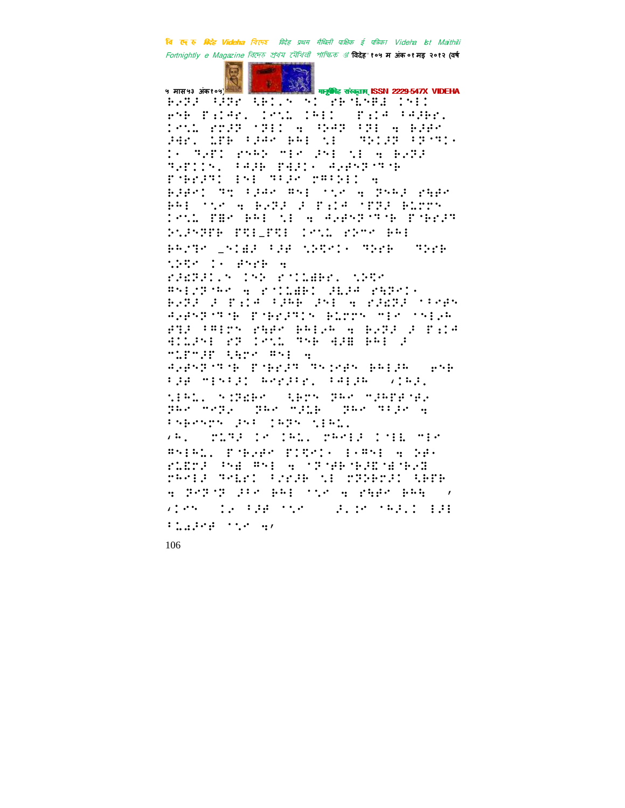

**AND STREET STREET ISSN 2229-547X VIDEHA** ५ मास५३ अंक१०५) BATA AATA ABILA AI GBABABB 1981 em rade, cent dell'FAG (dies. Cril roff (FH) 4 (PAP (FH) 4 BJBr Ger inklase kep to myth digg. De Samo engan men ang sa Gelaga SAPILY, PAAR PAAL, ASANG SP PORTHOL: 151 SPIRE TRINIS 4 place we class wall the a gamp page PRI TOT A PORT FOR THE TERR PLEET isin fastalling dieserie fiere SCANDER PRELERE CACL PROM BRE PRINT \_SIEP FRE SPRINT TORE TOOP this is ship a FREED, NORTH POLEHE, NARR #SEZPORT A BOILABI JEJH PAPMIK BATA A PALA FARB AND A PARTA SPARK APANTATH PARTIN BITTY MEASAIRE ana (Anton anan amilyo Alabada a Bala<br>Alilani ad lanil mho Aam amilyo mirmar tark #sp 4 ayang mahiling pinggaling pangaling sa pan PAR MENERI REPRESI PAERRO (182. then, single (three new single of SWEET STATES gale arguma Presner Producer (Press) **VALUED TRUSHER SERVER STEEL MER** #5161. Poblet PIRKI, 19#51 a 285 rubra and mni e tradedamandad TRABA PALAT PORTH NE TRANTAI RATH a peper pre par evena sape paa ... VIEW (IS FEB TO ) FIGHT TREIT EE Players the my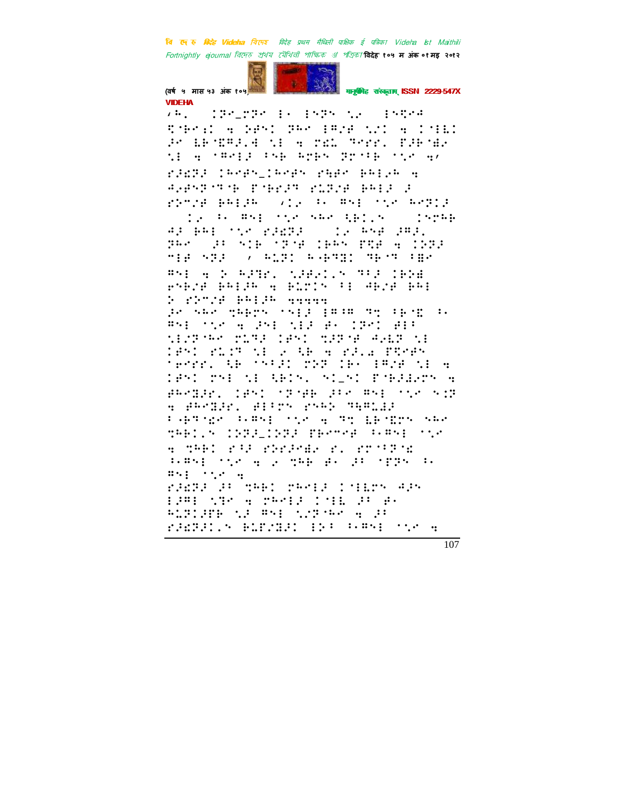बि एक रु मिनेट Videha विएक विदेह प्रथम मैथिली पाक्षिक ई पत्रिका Videha Ist Maithili Fortnightly ejournal রিদেত শ্রথম মৌথিনী পাক্ষিক প্রাণবিলিক বা স্বার্ক ১৭ মন্ত ২০৭২



(वर्ष ५ मास ५३ अंक १०५)

मानुब्रीह संस्कृतम् ISSN 2229-547X

**VIDEHA** STRAKE A DANI PRA 1828 NOT A CTIED PO BESTALLE ME A TEL TOTO, THEME the sense the area drive as rddio (Presidente raen pelles y ANDSTOP PORT MIND PHILE rings paper (1) to map the webpr IS A WAI MAR SAM ARISS OF ISTAR AP PRESSNY PREPRISE TO PARTIER. par (prostacción territórios de territórios MIR STE 2008-ALTI RAPTIC TEST FES #ME A & RENEW MERILY MAR ISSE Prese belge a birin () gesp bel C Child Bhilb again an sknowkers osia imam droiech () #51 TVP A PSI MIP #6 IPPI #15 SEZPORO PLAR (PRI ARPOR AREA SE TENT PLIT NE 2 AP 4 PRIL FROM tenni Georgi MSB (B) 1928 (1 m TASI PSE SE RAIS, SILSI POBJEVES A BRANDEL IBRI STORE DRA RRE STA SIT 4 PROBRIGATION PORT MARLER PAPTAR PROVIDED TO A TO BE SENDANCE TREDUCTIONS INTO THE THE RESERVE TO 4 THE PAR PREPAR P. PTARTE  $\left\{1, \, 0.5\right\} \quad \left\{ \gamma_1, \gamma_2, \gamma_3, \gamma_4, \gamma_5, \gamma_6, \gamma_7, \gamma_8, \gamma_9, \gamma_1, \gamma_1, \gamma_2, \gamma_3, \gamma_4, \gamma_5, \gamma_6, \gamma_7, \gamma_8, \gamma_9, \gamma_1, \gamma_1, \gamma_2, \gamma_1, \gamma_2, \gamma_1, \gamma_2, \gamma_2, \gamma_3, \gamma_4, \gamma_5, \gamma_6, \gamma_7, \gamma_7, \gamma_7, \gamma_8, \gamma_9, \gamma_1, \gamma_1, \gamma_2, \gamma_$  $\mathbb{R}^{n} \leftarrow \mathbb{R}^{n} \leftarrow \mathbb{R}^{n} \leftarrow \mathbb{R}^{n}$ rada ay melombola chine aas EPRESTRIA PROBLEMENTAR WIPERBACK WAS STRING AND FREED, SCREED IN START TO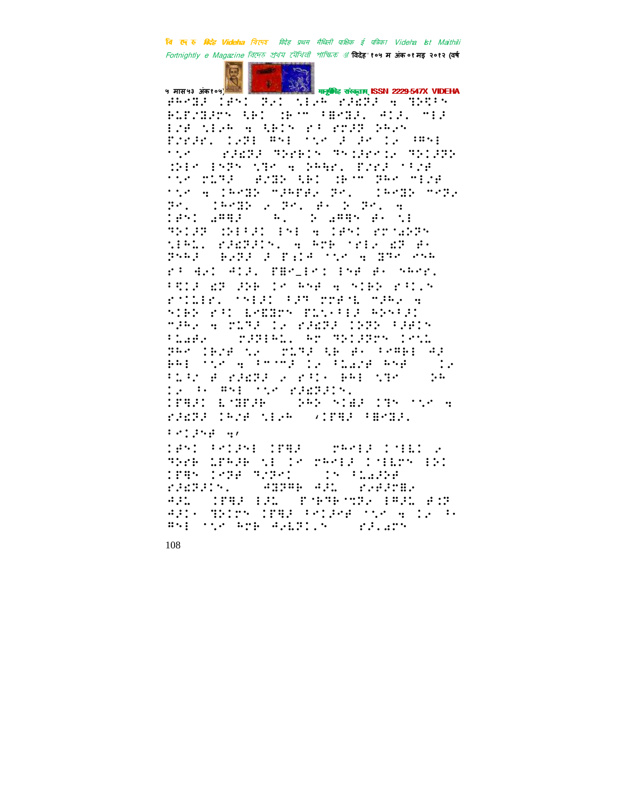

**AND STREET SERVICES AND STREET AND STREET AND STREET AND STREET AND STREET AND STREET AND STREET AND STREET AND STREET AND STREET AND STREET AND STREET AND STREET AND STREET AND STREET AND STREET AND STREET AND STREET AND** ५ मास५३ अंक१०५) andal cano diconcella cabdi 4 diger BIDGET HE HOT HEBE, ALL THE EVA SERA A SALE PA POST DARE Presel toda Analdei (Presenta Anna FREED TEENS TRIPPIN TELPE  $\mathcal{L}(\mathcal{A})$ Die 1525 Mac & Dear, Friedenig MA TIME RAIN AND ARTHUR MEAR tre a cesso Tesso del Clesso Sep. Pris (1888) 2023, British Pris A.<br>1951 GRAFI (1810) 2008 AREA British WHERE WEEKS ENE A TENT POSSER time, rightly, a more trip graph 3582 | B232 2 File (126 g 336 858 ri del All. PBrief Bre di SAPr. FRIE AT JEE IS ANFORMATED ATION rother osest the rred with a SIER FAL ESERPS PLASARE ARSAR make a ruma ie rawda (SOS (SAC) Flake (2001-bl) Rr Shidhry Inil PRO IBIG NA CONTROLE BY POREL AP PRESSURE PROMISE PLAZE RNP (1) FLAN BORBER PORT PRESSENT  $\ddots$ IS BOWNER TO PRESENT IPRAV EMPLAR (1942) SIGA IPS SNK A rada ters dise (1991-1943)  $1.91(194)$   $.97$ 

1851 PRINT 1882 **SERVICE INTERNATION** THE LEADE OF IS TANKED INEEN END  $\frac{1}{2}$   $\frac{1}{2}$   $\frac{1}{2}$   $\frac{1}{2}$   $\frac{1}{2}$   $\frac{1}{2}$   $\frac{1}{2}$   $\frac{1}{2}$   $\frac{1}{2}$   $\frac{1}{2}$   $\frac{1}{2}$   $\frac{1}{2}$   $\frac{1}{2}$   $\frac{1}{2}$   $\frac{1}{2}$   $\frac{1}{2}$   $\frac{1}{2}$   $\frac{1}{2}$   $\frac{1}{2}$   $\frac{1}{2}$   $\frac{1}{2}$   $\frac{1}{2}$  **Simple State** radio, spekan reduce 421 IPB EAC POPPORT PAL FO STRIPS IFRE PRIPE TO A 12 PP  $\mathbf{a}$  ,  $\mathbf{a}$  ,  $\mathbf{a}$ BSE TO REPAIRED SO PELADS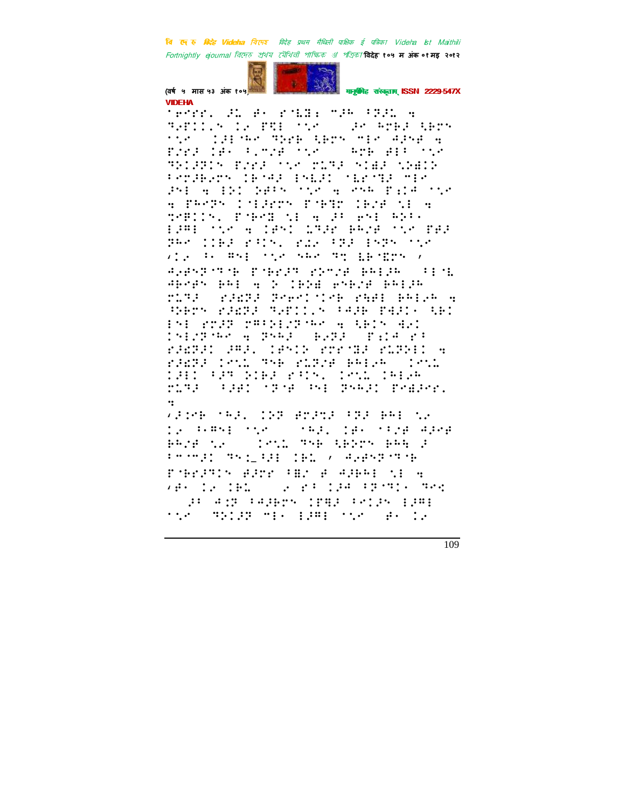बि एक रु मिनेट Videha विएक विदेह प्रथम मैथिली पाक्षिक ई पत्रिका Videha Ist Maithili Fortnightly ejournal রিদেত প্রথম মৌথিনী পাক্ষিক প্রা পত্রিকা' **বিदेह' १०५ म अंक ०१ मड़ २०१२** 



(वर्ष ५ मास ५३ अंक १०५) **VIDEHA** 

मानूबीह संस्कृताम् ISSN 2229-547X

TEMPEL SE PROPORTE MARCHINE A BAPILLY IS PRESSURE OF PORT REDY the Claime Shee Gens mis Adselle Didle last times the co  $\frac{1}{2}$   $\frac{1}{2}$   $\frac{1}{2}$   $\frac{1}{2}$   $\frac{1}{2}$   $\frac{1}{2}$   $\frac{1}{2}$   $\frac{1}{2}$   $\frac{1}{2}$ TRIPPIN FREE TOO TERP NIME ORMED PROFESSOR (POPUL PER) SERVIR MIR Price IPI PERconneller Paleonne A PROPRIETING PORT ING SECA THRITAL PORT NE A 25 RAE ANS. EPRE TO A CENT LARE BROW TO THE PRO 1183 PAIN. PAP ARE 15PS TOO  $\sqrt{10}$  . In the state of the state state  $\sqrt{2}$ 

Ayang mang panggunang nang pangan sa pan Wesley BRI A D (BDE PSB)# BRIJR ring (radio President radioada) e SHOW PRESS SANILY PARK PARIS ARD ESE POST OFFICIONS A SEIS ANI **THEFFING A BARE BOY: WELF:** FREED PART CENTE FOR NEW FIRED A ranga teun gén rigin berak (téun **CAIL FAR SIER RAIN, IPML IREAR** ring (sample by pool peage.

KRIME TRAVISE BOARD FOR BREAK 12 Persi ngel (1821-1850) ing kalendar<br>Broeksok (1951-1958 belom Brand **Simple Care State Advantage** Phings and GH (181), Alengiane Pobragio alre (Arc a Albertia) de VERSIA IBN 1772-2010-12-12-12-12-2010 **SOMETHING SERVICE SERVICE** the SPEER meetings the SPEER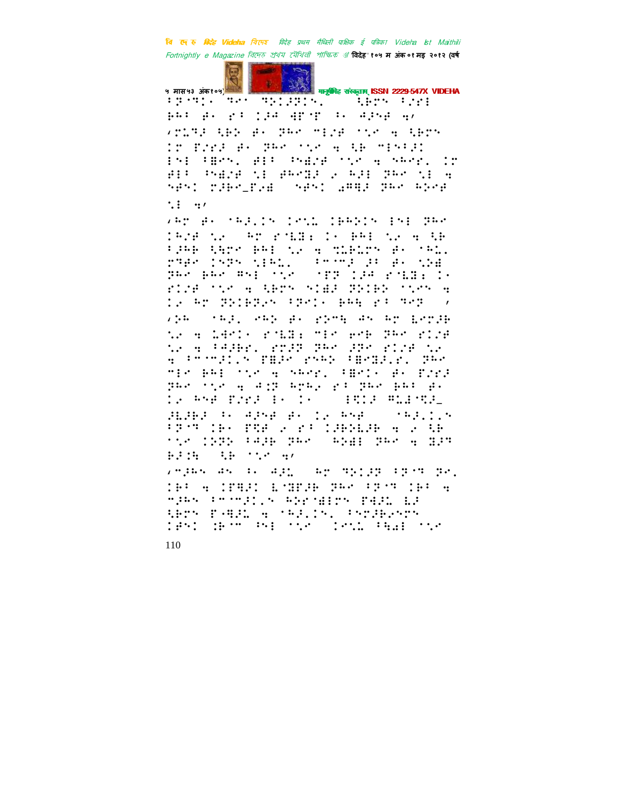बि एक रु मिनेट Videha विएक विदेह प्रथम मैथिली पाक्षिक ई पत्रिका Videha Ist Maithili Fortnightly e Magazine রিদেহ প্রথম মৌথিনী পাক্ষিক প্র **বিदेह १०५ म अंक ०१ मइ २०१२ (वर्ष** 

ABTS FOOT

 $\mathbf{R}$ ५ मास५३ अंक१०५) सालो मनुक्रीह संस्कृतम् ISSN 2229-547X VIDEHA

par po el programaron de apsema,

vrije ter ek pak meze nik a tern In Pres B. PRO the Agent Chamberly

PSE FRONT APP (PHINA State SAMP) IN BIR PARTE ME BRAIN & ROE DRA ME A SAST MARKLEVE (SAST 1881) BRK ROKE

FR (M) + (M) + (M) (SP) + ()

 $\mathcal{L}$ :  $\mathcal{L}$ Versey (1911) Schuler (1952) (1911) Tec DROB NO CAP POWER IS BREAK A RE Publication bailing a midding by this  $\begin{minipage}{.4\linewidth} \begin{tabular}{lcccccc} \multicolumn{2}{c}{\color{blue}\textbf{1}} & \multicolumn{2}{c}{\color{blue}\textbf{2}} & \multicolumn{2}{c}{\color{blue}\textbf{3}} & \multicolumn{2}{c}{\color{blue}\textbf{4}} & \multicolumn{2}{c}{\color{blue}\textbf{5}} & \multicolumn{2}{c}{\color{blue}\textbf{6}} & \multicolumn{2}{c}{\color{blue}\textbf{7}} & \multicolumn{2}{c}{\color{blue}\textbf{8}} & \multicolumn{2}{c}{\color{blue}\textbf{9}} & \multicolumn{2}{c}{\color{blue}\textbf{1$ 

r<sup>a</sup>ge (springer, communication we rice the 4 ABCS STAR PRIER Then a IS AN PRIERS FROM EAR 23 MAR (

KIR (1821) SAINTEN PICH AS AT LOTER ta a 1481- robbi min ene PAN fine tros Peder, roda aproxima riveotr A POSTED PERMITSE PENEL PRO mic BRI tic a SACE. FBC: BR FINS BRA STARTE RIB RORA ER BRA BRA BR De Anglichte (Friedrich **SECONDIZERS JEJEJ PO AJNA AS LE RNA (CORALLS** 

FROM THE PRESS POSSESSED HOSTER 1131 1232 FAJB 3531 5281 3531 8 333 BECK AB TO HE

vers as a arr be seen and the state of the sec IP A IMAI BYMIR MA PRY IP A maks (Promation Abendern P421 E2 SPEN FARING CRIIN, PATHENTS TART THAT PRESSING TANK PANESSAR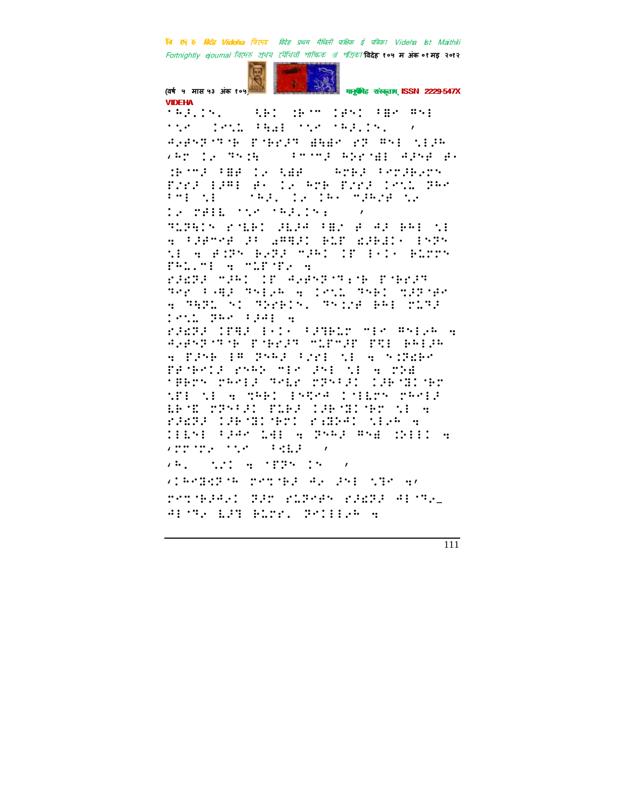बि एक रु मिनेट Videha विएक विदेह प्रथम मैथिली पाक्षिक ई पत्रिका Videha Ist Maithili Fortnightly ejournal রিদেত প্রথম মৌথিনী পাক্ষিক প্রা পত্রিকা**'বিব্রৈ' १०५ म अंक ०१ मइ २०१२** 



(वर्ष ५ मास ५३ अंक १०५)

मानुब्रीह संस्कृतम् ISSN 2229-547X

**VIDEHA**  $1.44111411$ WED WHAT WEST FEATURES the Cruisman than the thrusty. APPSTOR PORT AND 22 PSE SIP **ART IS THIS SIMPLE AND NO SERVE BY** denna for the two solel forest foragency Fred 1981 An is ack fred into Tar  $\mathcal{O}(\mathbb{R}^2; \mathbb{R}^2; \mathbb{R}^2; \mathbb{R}^2; \mathbb{R}^2; \mathbb{R}^2; \mathbb{R}^2; \mathbb{R}^2; \mathbb{R}^2; \mathbb{R}^2; \mathbb{R}^2; \mathbb{R}^2; \mathbb{R}^2; \mathbb{R}^2; \mathbb{R}^2; \mathbb{R}^2; \mathbb{R}^2; \mathbb{R}^2; \mathbb{R}^2; \mathbb{R}^2; \mathbb{R}^2; \mathbb{R}^2; \mathbb{R}^2; \mathbb{R}^$  $1.91 - 1.1 - 1.0$ IN THIL TO TALLINE SLEEDS KOLED JEJA (ELS 8 AJ 641 SI 4 FRAME DE ARRIS BIR KOBIS (1585 the addy byle meet in hele bloom PALITE A TERMINA FREED MORE IN APPROVATE PORCH The FABE Thisk a long Thel wither 4 MARI SI MPERIN, MNICE BAI PINA **1951 gas (1941 g** PACA IMA BYIK AANKO MER WYER A PAPSESTS ESPACE SUPPLE PULLERES 4 TPS IR TSAP POST NE 4 STEEP FRONTS PARK MESSING AT ROOM Herrienia star reta dan mender MPE ME A MARI ESTAR COBEDS MARER BROE TESTAL FORE LARGEDET ME 4 rada takohinti rahet siye e TELSE FJAR 141 A PSAJ ASE 12111 A **ATTER TEST PREPARENT**  $\mathcal{L}(\mathcal{H}_1) = \mathcal{L}(\mathcal{L}(\mathcal{H}_1) \times \mathcal{H}_2) \times \mathcal{L}(\mathcal{H}_1) \times \mathcal{L}(\mathcal{H}_2)$ 《工艺的生物艺术院》 计可加力接收 网络人名格里尔 化甘油 人名克里尔 TATABIAS TITURITAN PIETI APAT **Alist Edit Birr. Settler 4**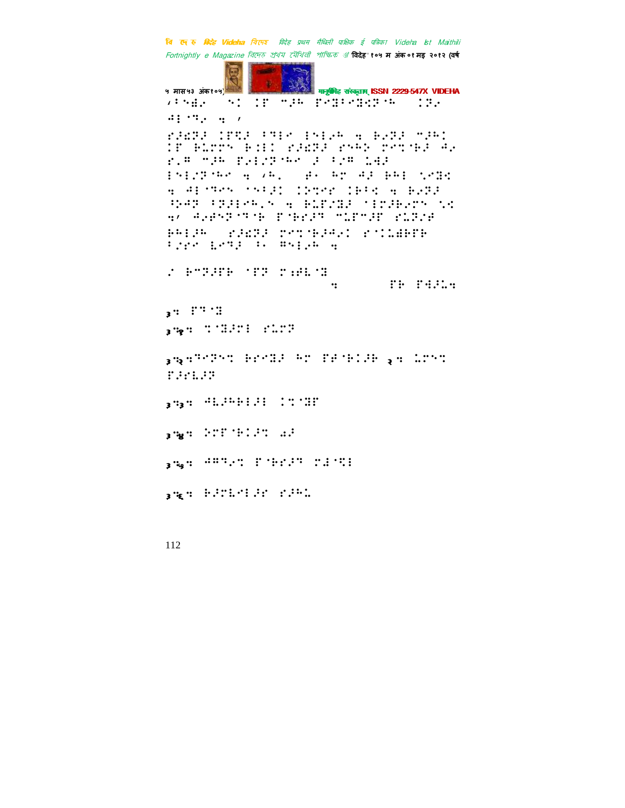५ मास५३ अंक१०५) महास्था महास्थित संस्कृताम् ISSN 2229-547X VIDEHA 'A⣞⢴-!!/!^⢼⢳!/⣝A⣝⣊⢽⢳-!⢽⢴!  $\mathbf{a}$   $\mathbf{y}$   $\mathbf{y}$   $\mathbf{y}$   $\mathbf{y}$   $\mathbf{y}$   $\mathbf{y}$ ⢼⣎⢽⢼!/⣋⢼!A⢹2!22⢴⢳!⣒!⢷⢴⢽⢼!^⢼⢳! /!⢷⣅!⢷⣈2!⢼⣎⢽⢼!⢳⢵!⣉⢷⢼!⢺⢴! E⢻!^⢼⢳!/⢴21⢽⢳!⢼!A1⢻!⣅⣚⢼! 221⢽⢳!⣒!'⢳E-!⢾j!⢳!⢺⢼!⢷⢳2!⣁⣝⣊! ⣒!⢺2⢹!A⢼!⢵⣉!⢷A⣊!⣒!⢷⢴⢽⢼-! ⢸⢵⢺⢽!A⢽⢼2⢳E!⣒!⢷⣅/1⣝⢼!2⢼⢷⢴!⣁⣊! ⣒'!⢺⢴⢾⢽⢹⢷!/⢷⢼⢹!^⣅/^⢼/!⣅⢽1⢾! ⢷⢳2⢼⢳-!⢼⣎⢽⢼!⣉⢷⢼⢺⢴!⣅⣞⢷/⢷! Angel Erste Berger und 1!⢷^⢽⢼/⢷!/⢽!⣐⢾⣇⣝! hhbkfoesbAwjefib⣒dpn!!/⢷!/⣚⢼⣅⣒!!  $3: "$   $" "$ ३⣒१⣒!⣉⣝⢼2!⣅⢽! ३⣒२⣒⢹⢽⣉!⢷⣝⢼.⢳!/⢾⢷⢼⢷!२⣒!⣅⣉! /⢼⣇⢼⢽! ३⣒३⣒!⢺⣇⢼⢳⢷2⢼2!⣉⣝/! ३⣒४⣒!⢵/⢷⢼⣉!⣔⢼! ३५: <sup>28</sup>99: 200 ३५९ BENESHER (1952)

चि एत् रू मिन्हे Videha निएन्थ विदेह प्रथम मैथिली पाक्षिक ई पत्रिका Videha Ist Maithili Fortnightly e Magazine বিদেত প্ৰথম মৌথিনী পাক্ষিক প্ৰ**'বিदेह'१०५ म अंक०१ मइ २०१२ (वर्ष**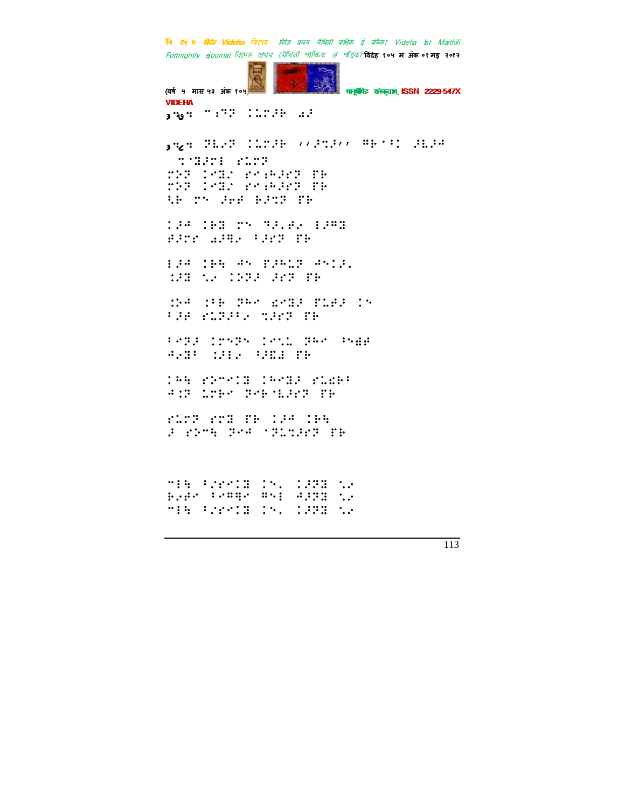बि एक रु मिनेट Videha विएक विदेह प्रथम मैथिली पाक्षिक ई पत्रिका Videha Ist Maithili Fortnightly ejournal রিদেহ প্রথম মৌথিনী পাক্ষিক প্র পত্রিকা' **বিदेह' १०५ म अंक ०१ मइ २०१२** 

**Service** (वर्ष ५ मास ५३ अंक १०५) मानूबीह संस्कृताम् ISSN 2229-547X **VIDEHA** anger manner (1120-benat) saga PEPP ILTER (CPUP), BETT PEPP TURE: TET THE IPAC PRIMER TH THE TREE PRINTING TH 10 m ind bind do **194 190 75 78 9900 1990** 134 185 45 FARIS 4513. 1988 - 1988 - 1988 - 1988 - 1988 - 1988 - 1988 - 1988 - 1988 - 1988 - 1988 - 1988 - 1988 - 1988 - 1988 - 1988 he see he aght had in **BOOK REPORTS AND RESIDENT** Peda (reds (eth dae sege **A.H. 1910 CHILL TE This planet is the second problem** FOR LOW PORTLACK OR **FAST STR PROGRESS** F STOR BOW SHILLER PR TER POPUL IN 1998 NA min freeddich, 1998 to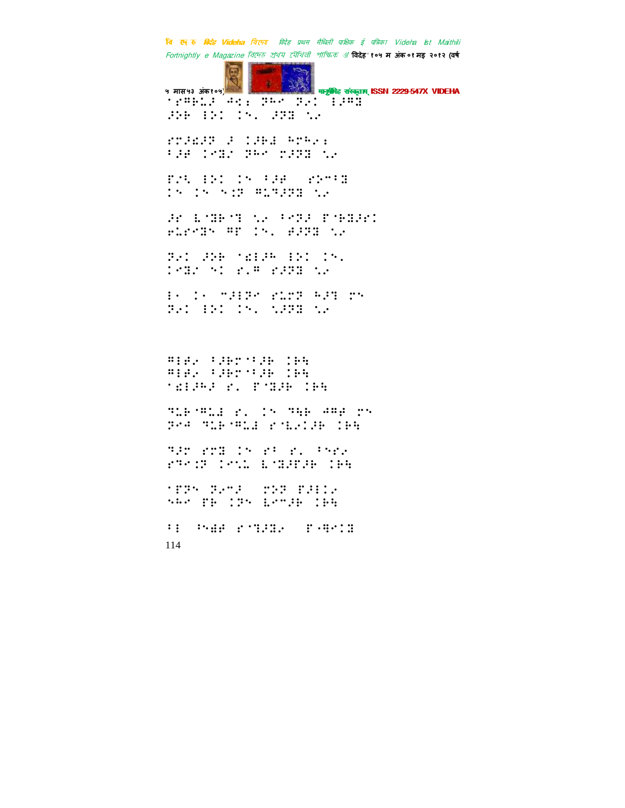बि एक स्टेड Videha विएक विदेह प्रथम मैथिली पाक्षिक ई पत्रिका Videha Ist Maithili Fortnightly e Magazine রিদেহ প্রথম মৌথিনী পাক্ষিক প্র **বিदेह : ১০৭ म अंक ०१ मइ २०१२ (वर्ष** 



५ मास५३ अंक१०५) या मानुबनिह संस्कृतम् ISSN 2229-547X VIDEHA transa (ag. par p.: 19ab 328 121 15. 338 t.

rnich Schellerer **FRE THIS PROTECTED** 

The Company of Street **IN IN NIE WEWER AR** 

Broadway to Press Power: FLPTP WE IN, BREE WA

THE MAIN IN THE 1982 NI SIR SPRE NA

Be to mappe ring way no **BAD BELLEY, MARRIERS** 

필리 (Prof.Prof.Pro<br>미리 (Prof.Prof.Pro **MANUFACTION CONTROL** 

THE WALLET CONTROL AND TH Bea Minemal Politic 196

SPECTRE IN THE PLANTIC FROM TRUE ESSENTIAL TAL

**SPPS RAMA STAR PARTS** 545 FB 175 LCTP 184

n bel rum the cont 114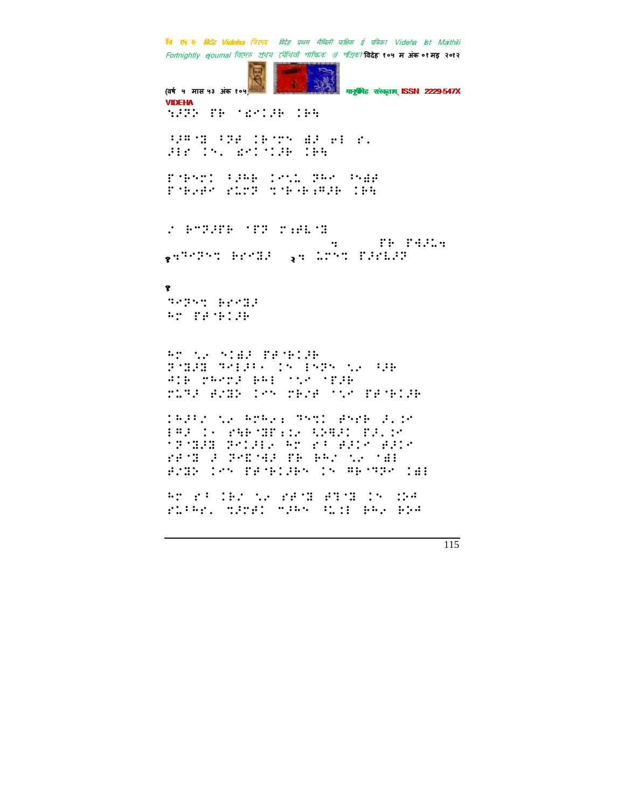Fortnightly ejournal -  -  'वदेह' १०५ म अंक ०१मइ २०१२ **County** (वर्ष ५ मास ५३ अंक १०५) मानुसार में मानुसार संस्कृतम् ISSN 2229-547X VIDEHA ⣑⢼⢽⢵!/⢷!⣎⢼⢷!⢷⣓! ⢸⢼⢻⣝!A⢽⢾!⢷!⣞⢼!⢶2!E!!  $H$ e (2)E  $2$  E  $\sim$ /⢷!A⢼⢳⢷!⣁⣅!⢽⢳!⢸⣞⢾! /⢷⢴⢾!⣅⢽.⣉⢷B⢷⣐⢻⢼⢷!⢷⣓! 1!⢷^⢽⢼/⢷!/⢽!⣐⢾⣇⣝! he does been decompted by the second second second second second second second second second second second sec १⣒⢹⢽⣉!⢷⣝⢼.!२⣒!⣅⣉!/⢼⣇⢼⢽! १ ⢹⢽⣉!⢷⣝⢼!  $\frac{1}{2}$   $\frac{1}{2}$   $\frac{1}{2}$   $\frac{1}{2}$   $\frac{1}{2}$   $\frac{1}{2}$   $\frac{1}{2}$   $\frac{1}{2}$   $\frac{1}{2}$   $\frac{1}{2}$   $\frac{1}{2}$   $\frac{1}{2}$   $\frac{1}{2}$   $\frac{1}{2}$   $\frac{1}{2}$   $\frac{1}{2}$   $\frac{1}{2}$   $\frac{1}{2}$   $\frac{1}{2}$   $\frac{1}{2}$   $\frac{1}{2}$   $\frac{1}{2}$   $\$ ⢳!⣁⢴!⣞⢼!/⢾⢷⢼⢷!  $P$  . The contract of  $P$ ⢺⢷!⢳⢼!⢷⢳2!⣁!/⢼⢷!  $T^1$ ⢳⢼A1!⣁⢴!⢳⢳⢴⣐!⢹⣉!⢾⢷!⢼E⣈! 2⢻⢼!j!⣓⢷⣝/⣐⣈⢴!⣃⢵⣛⢼!/⢼E⣈! ⢽⣝⢼⣝!⢽⢼2⢴!⢳!⢸!⢾⢼.⢾⢼! ⢾⣝!⢼!⢽⣏⣚⢼!/⢷!⢷⢳1!⣁⢴!⣞2!  $H1$  . The statistic statistic statistic statistic statistic statistic statistic statistic statistic statistic HE PRODUCT IN THE PRODUCT IN THE PRODUCT IN THE PRODUCT IN THE PRODUCT IN THE PRODUCT IN THE PRODUCT IN THE PRO ⣅A⢳E!⣉⢼⢾!^⢼⢳!⢸⣅⣈2!⢷⢳⢴!⢷⢵⢺!

चि एत् रू मिन्हे Videha निएन्थ विदेह प्रथम मैथिली पाक्षिक ई पत्रिका Videha Ist Maithili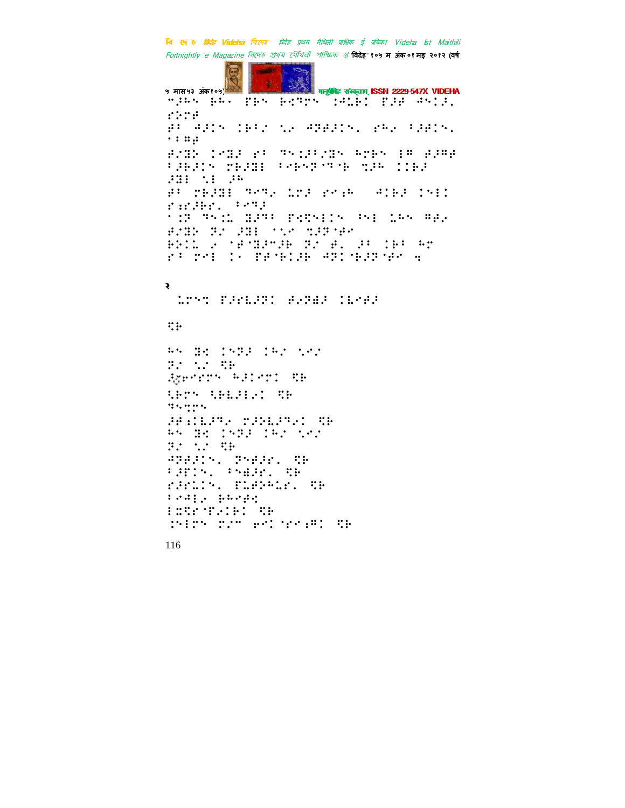बि एक रु मिनेट Videha विएक विदेह प्रथम मैथिली पाक्षिक ई पत्रिका Videha Ist Maithili Fortnightly e Magazine রিদেহ প্রথম মৌথিনী পাক্ষিক প্র **বিदेह : ১০৭ म अंक ०१ मइ २०१२ (वर्ष** 



५ मास५३ अंक१०५) गानुब्रीह संस्कृतम् ISSN 2229-547X VIDEHA maks bes gos beths jelbi gaa esia. **POSTE** BROWNERS NA WHEEN YRANGERS.  $\cdot$  :  $\ldots$ BANK CRNE PROTHERN HOPH IP BAPP PRESIN TERMI PRENTITE TRA ISER 2011 11: 25: BR TESH TELL WILL FEAR CATER INET rathe, whi **THE REAL BARR PRESENCISE LAS REA** ROB BY SHE TO THE THE BRIL 2 TRYBRYA BY B. 34 IB+ Ar ra rel lo franca anchenna a

 $\mathbf{R}$ 

tryn faniant albei tiegs

## $\dddot{\mathbf{r}}$

85 HR 1573 182 TPD **Bandarie RE** Sperman Wileri EB thry thilled th  $\mathcal{L}$  , where  $\mathcal{L}$ **ARTICLES STREET AND RESIDENT** An de Chap Car thr  $22.52.72$ **ANALLY START WA FARING PREASE TE** FRIDE TIPHER TH **Dedis Barde INTERNATIONAL TE** Dirt comment order th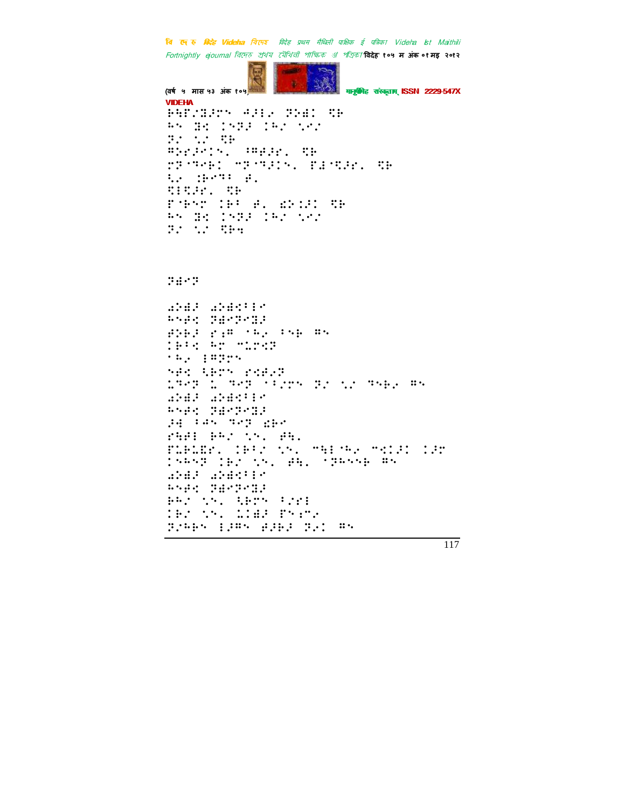चि एत् रू मिन्हे Videha निएन्थ विदेह प्रथम मैथिली पाक्षिक ई पत्रिका Videha Ist Maithili Fortnightly ejournal -  -  'वदेह' १०५ म अंक ०१मइ २०१२

**CONTRACTOR** 

(वर्ष ५ मास ५३ अंक १०५) मानुषि संस्कृताम् ISSN 2229-547X VIDEHA ⢷⣓/1⣝⢼!⢺⢼2⢴!⢽⢵⣞!⣋⢷! **WH HE INTER IN THE STAT** 31 12 12 ∰erect Manager (R) ⢽⢹⢷!^⢽⢹⢼E!/⣜⣋⢼E!⣋⢷! SAN HERMAN HO ⣋2⣋⢼E!⣋⢷! /⢷!⢷A!⢾E!⣎⢵⣈⢼!⣋⢷! Hr He 1973 1971 1971 31 11: 31:

⢽⣞⢽!

⣔⢵⣞⢼!⣔⢵⣞⣊A2! ⢳⢾⣊!⢽⣞⢽⣝⢼! ⢾⢵⢷⢼!⣐⢻!⢳⢴!A⢷!⢻!  $\{H^{1},H^{2},H^{3},H^{4},H^{5},H^{6}\}$ ⢳⢴!2⢻⢽!  $^{\prime}$  . The state  $^{\prime}$ ⣅⢹⢽!⣅!⢹⢽!A1!⢽1!⣁1!⢹⢷⢴!⢻! ⣔⢵⣞⢼!⣔⢵⣞⣊A2! ⢳⢾⣊!⢽⣞⢽⣝⢼! ⢼⣚!A⢺!⢹⢽!⣎⢷!  $\overline{?}$ EPI PRZ 15. PR. FLELES, IRPS SAL MEDAL MEDICINE ⢳⢽!⢷1!⣁E!⢾⣓E!⢽⢳⢷!⢻! ⣔⢵⣞⢼.⣔⢵⣞⣊A2! ⢳⢾⣊!⢽⣞⢽⣝⢼! HAZ 551 APPS 3221 ⢷1!⣁E!⣅⣞⢼./⣐^⢴! ⢽1⢳⢷!2⢼⢻!⢾⢼⢷⢼!⢽⢴!⢻!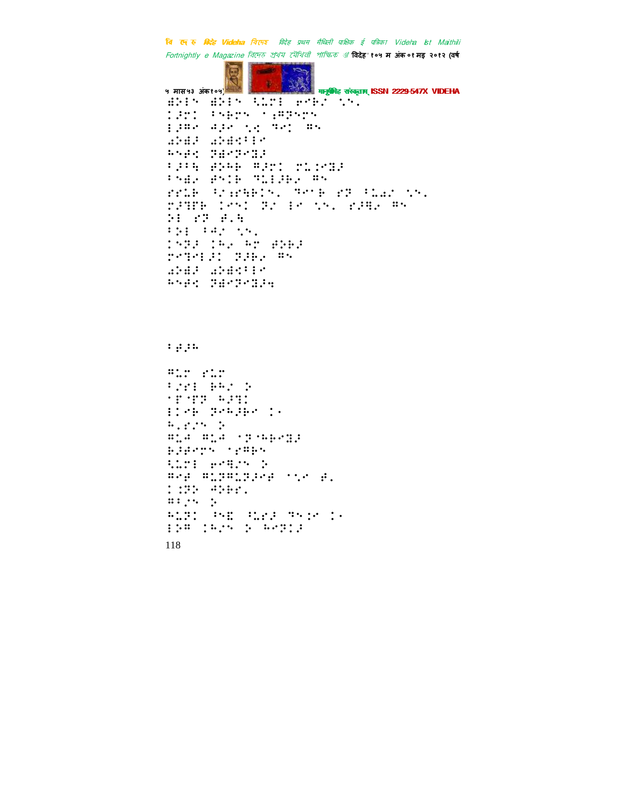चि एत् रू मिन्हे Videha निएन्थ विदेह प्रथम मैथिली पाक्षिक ई पत्रिका Videha Ist Maithili Fortnightly e Magazine বিদেত প্ৰথম মৌথিনী পাক্ষিক প্ৰ**'বিदेह'१०५ म अंक०१ मइ २०१२ (वर्ष** 



५ मास५३ अंक१०५) साला मानुसार संस्कृताम् ISSN 2229-547X VIDEHA ∄DIN ∄DIN RIDI #4B2 NN.  $\{1,2\}$  , independent in  $\{1,2\}$ 2⢼⢻!⢺⢼!⣁⣊!⢹!⢻! ⣔⢵⣞⢼.⣔⢵⣞⣊A2! **Weight Section** A⢼A⣓!⢾⢵⢳⢷!⢻⢼!⣅⣈⣝⢼! And all the state of the state of the state of the state of the state of the state of the state of the state o rrue Cranery, present presuming. ⢼⣙/⢷!!⢽1!2!⣁E!⢼⣛⢴!⢻! ⢵2!⢽!⢾E⣓!  $\mathbb{R}$  and  $\mathbb{R}$ ⢽⢼!⢳⢴!⢳!⢾⢵⢷⢼!! ⣙2⢼!⢽⢼⢷⢴!⢻! ⣔⢵⣞⢼.⣔⢵⣞⣊A2! ⢳⢾⣊!⢽⣞⢽⣝⢼⣒!

 $A$ 

```
118
⢻⣅.⣅!
Anii 100 Anii 110
//⢽!⢳⢼⣙!
1000 Project ()
E_1.
⢻⣅⢺.⢻⣅⢺!⢽⢳⢷⣝⢼!
⢷⢼⢾!⢻⢷!
Will engine b
⢻⢾!⢻⣅⢽⢻⣅⢽⢼⢾!⣁!⢾E!
⣈⢽⢵!⢺⢵⢷E!
\mathbf{H} : \mathbf{H} : \mathbf{H}WEST THE SECTION OF
2⢵⢻!⢳1!⢵!⢳⢽⢼!
```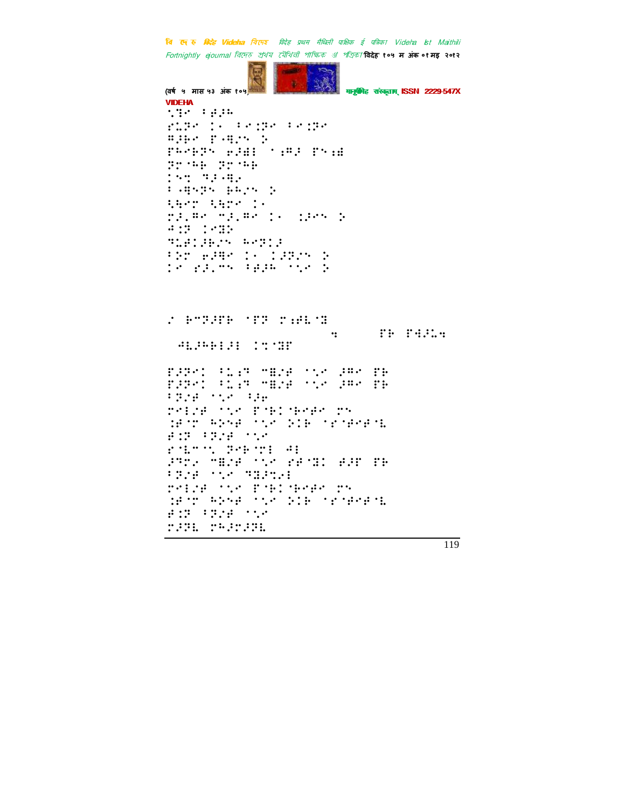चि एत् रू मिन्हे Videha निएन्थ विदेह प्रथम मैथिली पाक्षिक ई पत्रिका Videha Ist Maithili Fortnightly ejournal -  -  'वदेह' १०५ म अंक ०१मइ २०१२

**Service** (वर्ष ५ मास ५३ अंक १०५) मानुसिंह संस्कृताम् ISSN 2229-547X VIDEHA ⣁⣙!A⢾⢼⢳! ⣅⢽!j!A⣈⢽.A⣈⢽! ⢻⢼⢷!/B⣛1!⢵! /⢳⢷⢽!⢶⢼⣞2.⣐⢻⢼./⣐⣞! ⢽⢳⢷.⢽⢳⢷! Chr. B. B. B. ABSER ABLES IN **WEST REALLY** ⢼E⢻.^⢼E⢻!j!⣈⢼!⢵! ⢺⣈⢽!⣝⢵! ⢹⣅⢾⢼⢷1!⢳⢽⢼! A& PHONE CONTROL !r palms (apacher)

1!⢷^⢽⢼/⢷!/⢽!⣐⢾⣇⣝! hhbkfoesbAwjefib⣒dpn!/⢷!/⣚⢼⣅⣒!! !⢺⣇⢼⢳⢷2⢼2!⣉⣝/! /⢼⢽!A⣅⣐⢹!^⣟1⢾!⣁!⢼⢻!/⢷! /⢼⢽!A⣅⣐⢹!^⣟1⢾!⣁!⢼⢻!/⢷! AN 1919 SP 21⢾!⣁!/⢷⢷⢾!!! ⣈⢾!⢳⢵⢾!⣁!⢵⢷!⢾⢾⣇! ⢾⣈⢽!A⢽1⢾!⣁!  $?$  (200  $?$  200  $?$  200  $?$  200  $?$ ⢼⢹⢴!^⣟1⢾!⣁!⢾⣝!⢾⢼/!/⢷! A⢽1⢾!⣁!⢹⣝⢼⣉⢴2! 21⢾!⣁!/⢷⢷⢾!!! ⣈⢾!⢳⢵⢾!⣁!⢵⢷!⢾⢾⣇! ⢾⣈⢽!A⢽1⢾!⣁! ⢼⢽⣇!⢳⢼⢼⢽⣇!0!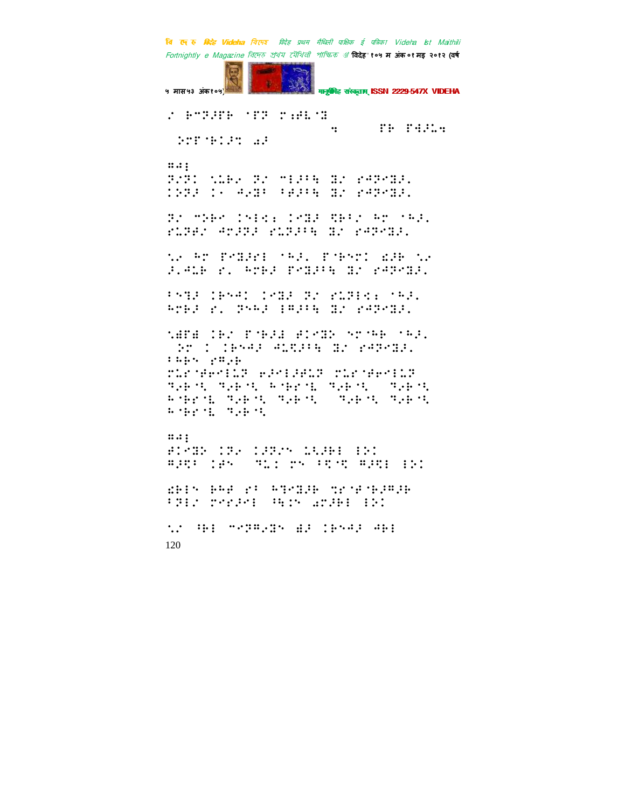बि एक रु मिनेड Videha विएक विदेह प्रथम मैथिली पाक्षिक ई पत्रिका Videha Ist Maithili Fortnightly e Magazine রিদেহ প্রথম মৌথিনী পাক্ষিক প্র **বিदेह १०५ म अंक ०१ मइ २०१२ (वर्ष** 



स्त्र ।<br>अन्य अन्तुमित् संस्कृतम् ISSN 2229-547X VIDEHA

**A POSSE MES THEMS SEPPERT 28**  $\ldots$  : BARD NIEW BAUMEREN BAUMGROBE. 1983 (P. A.H. FAJER B. PASPER. Browner Infri (2003 SP) Process rings aring ringes is rangis. th Ar Professor (All Presticale th RANG K. Pres Ponce no Parano PATE IBARI ISTE TI PLTES (1921) Aral r. Thal (Blind Br repros. three the remaining to the this STOR CHARL ALGARE BY PARABLE raps yaga TO MARKET ARRIGED TO MARKED THE R. THE R. P. HEATH THE R. THE R. **AMEND THEM, THEM, STHEM, THEM,**  $\frac{1}{2} \left( \frac{1}{2} \frac{1}{2} \frac{1}{2} \frac{1}{2} \frac{1}{2} \frac{1}{2} \frac{1}{2} \frac{1}{2} \frac{1}{2} \frac{1}{2} \frac{1}{2} \frac{1}{2} \frac{1}{2} \frac{1}{2} \frac{1}{2} \frac{1}{2} \frac{1}{2} \frac{1}{2} \frac{1}{2} \frac{1}{2} \frac{1}{2} \frac{1}{2} \frac{1}{2} \frac{1}{2} \frac{1}{2} \frac{1}{2} \frac{1}{2} \frac{1}{2} \frac{1}{2} \frac{1}{2}$  $\ldots$  : FIRE ITS IFFIN LEFE IN #200 195 ( %11 05 00 00 #201 101 ERIN BAR PROGRESS TROPPERER FRID PREPE RED WEBE IN: tr 98: MARRABA AR 18542 AR: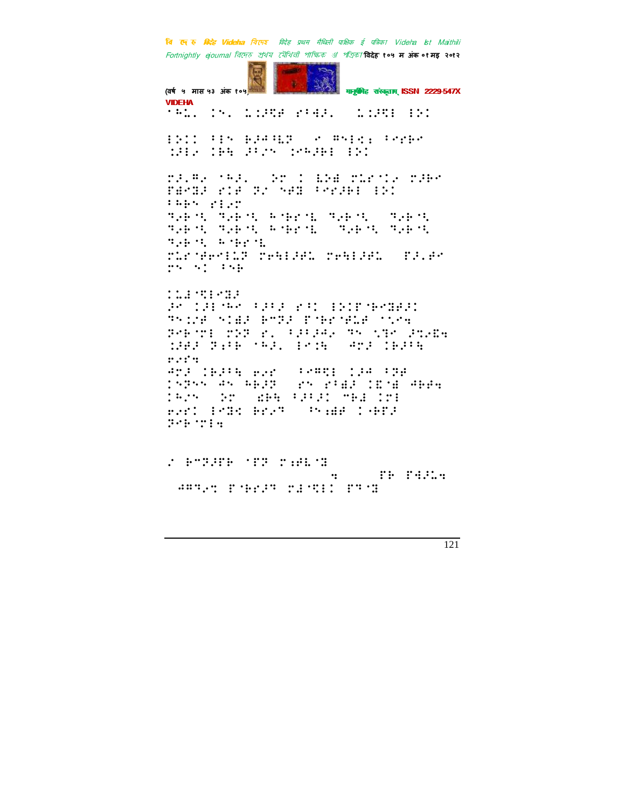बि एक रु मिनेड Videha विएक विदेह प्रथम मैथिली पाक्षिक ई पत्रिका Videha Ist Maithili Fortnightly ejournal রিদেত প্রথম মৌথিনী পাক্ষিক প্রা পত্রিকা' **বিदेह' १०५ म अंक ०१ मड़ २०१२** 



**VIDEHA** 

INI HE BRANS S WHEE POPP MB OR PUS PROBLEM

12.52 (52. - 21.) Era fleita 1267<br>Parol eta di rao angerea (62. PRES PERT THE THE SECTION OF THE SECTION OF THE ST THE TERM FOR THE THE THE THE T **September 12** rtrjevitr regisk regisk filev 25.51.359

 $11.2 \times 10.22$ POINT WAS THE YOU INTERMENT Thing high bril Pobrogle circ. Poblaci and R. Colorado and the Panger<br>School different colorado and colorado  $\cdots$  : 423 16356 even (50851-134 536 Three An Abdr. (2n 2183 IB)8 Abdy **CROSS OR WHE FREED MED CODE AND PORTHER STATE OF A PROPERTY**  $349.214$ 

S PORTH STR PAREST **TH PARL:**  $\dddot{\cdot}$ ARTES PORCH SECRET PROB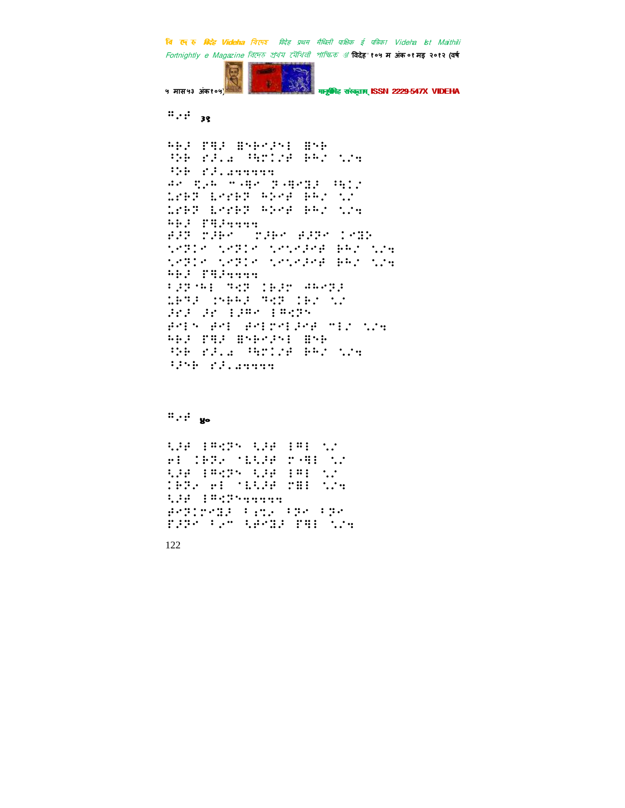बि एक रु मिनेट Videha विएक विदेह प्रथम मैथिली पाक्षिक ई पत्रिका Videha Ist Maithili Fortnightly e Magazine রিদেহ প্রথম মৌথিনী পাক্ষিক প্র **বিदेह : ১০৭ म अंक ०१ मइ २०१२ (वर्ष** 



गानुब्रीह संस्कृतम् ISSN 2229-547X VIDEHA

## $\cdots$   $\cdots$

५ मास५३ अंक१०५)

**AND THE BYDYST BYD** THE SILE MATICAL BASE WAR **Williams** se një sëpe ndhin dhit MORT WYDE PROF PROTOC LPBT LOPET REOR BRI NIN **ABJ PRINGER** BUD TUBE (TUBE BUDE 1882) Serie Serie Seserer PROSSE SPECK SPECK SPORTER BRITISH **ADJ PRINNAN FIRMS THE TERM WARTE** 1873 MARA 767 IBN 12 883 88 1285 18825 Berg Andre Berger Berg (1980) 125 Aby PAS BYR-251 BYR THE SILE MONTH BAY NOW With Classer

## $\cdots$  yo

100 18025 100 181 10 **HI 1872 MEDIA TAHL AT 1.00 18425 1.00 181 182 TERM ARE THE RESIDENT** the Control and POSTECH PRESS PROTECT THE PERSONAL TRIANS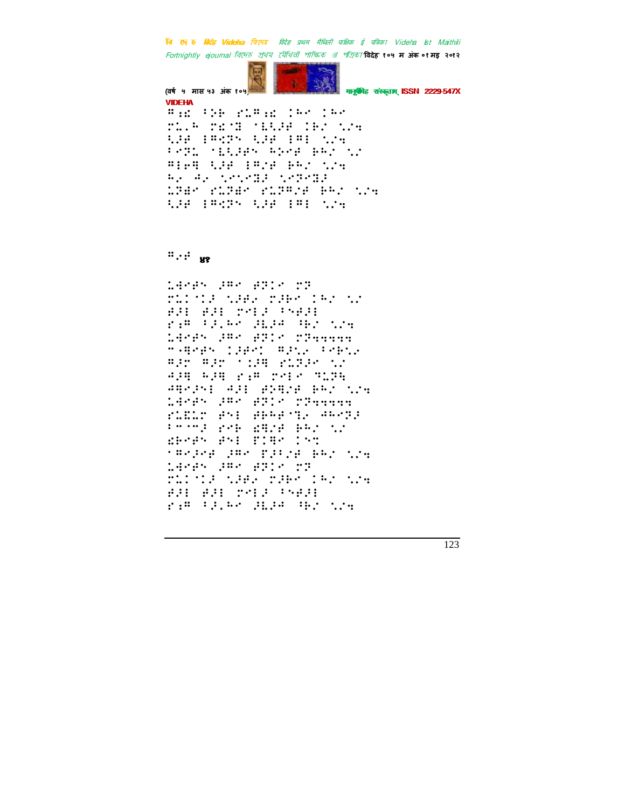बि एक रु मिनेट Videha विएक विदेह प्रथम मैथिली पाक्षिक ई पत्रिका Videha Ist Maithili Fortnightly ejournal রিদেত প্রথম মৌথিনী পাক্ষিক প্রা পত্রিকা**'বিব্রৈ' १०५ म अंक ०१ मइ २०१२** 



मानुब्रीह संस्कृतम् ISSN 2229-547X

**VIDEHA** Bid the ring in the lar **M.A MANE (BRAM IRI NOW** 138 18325 138 181 124 PARL MELHER REMA BRY NO High the Inse bas tra By AP NONCEPTIONS MARY POSSES POSSESSED AND 1.88 18325 1.88 181 1.79

 $::.::$ 

14895 288 9318 23 MISTERSHEY MARK THE WA FR FR 291 SPER rim (F.W. H.P. Hr. 124 19795 (Mr. 2217 TPagan Algebrigger (April 1961)<br>Adriadr (1988-2199) (V **AIR AIR FAR TELT TITE ABMINI AID ADBIA BAS NSA** 1999 : Se Son Stille Manager rumur and abbeing abopy Promis Pel Edite BRI NE dense sel right inn rangne gan patre ekonomi 14898 (PR) 8218 52 BID: PARK BAR TAN NYE ### ### ref# #5### rim (F.W. H.P. H. St.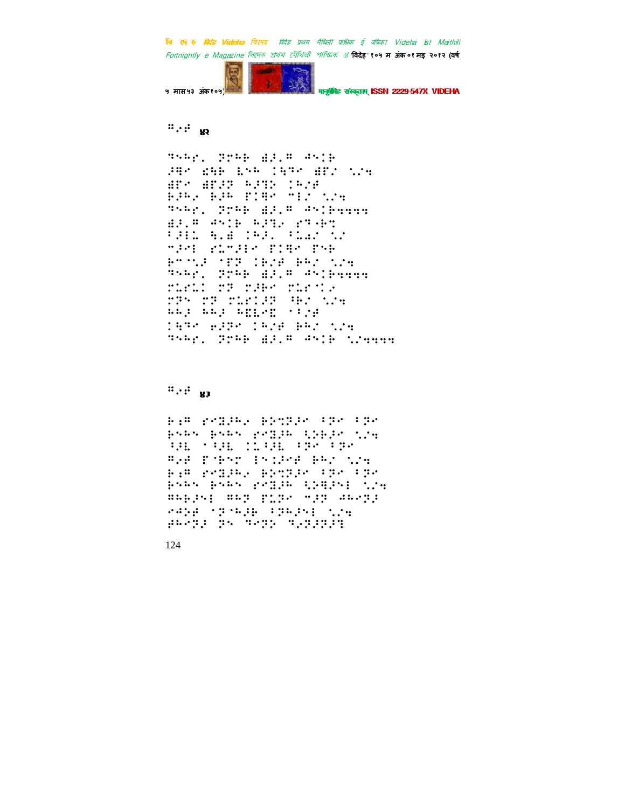बि एक रु मिनेट Videha विएक विदेह प्रथम मैथिली पाक्षिक ई पत्रिका Videha Ist Maithili Fortnightly e Magazine রিদেত প্রথম মৌথিনী পাক্ষিক প্র' विदेह' १०५ म अंक ०१ मइ २०१२ (वर्ष



मानूब्रीह संस्कृतम् ISSN 2229-547X VIDEHA

 $\mathbb{R}^2$  .  $\mathbb{R}^2$ 

५ मास५३ अंक१०५)

The: Prep Bl.W Anje **SAMPLE AND SERVICE SERVICE** BJB2 BJB TIB5 712 524 SSAP, STAR BRIA ASIRAAN #F.# #518 WFTP PT-BT **FRIDGE IN START TO** mar: Planare Plan Pre-BOOK YES IRSE BROOKS The. Pree Al.P Anchana rutu shiribi wa kata 125 12 112122 361 124<br>AA2 AA2 ABAN 1328 1978 B228 1928 B92 N29 Ster, Srep Alle atle transa

 $\cdots$   $\cdots$   $\cdots$ 

BiR PORTH, BOSTON FRO FRO Brand Brand Program Cheren Che am tha cham age bas BAR EMPAT ENGINE BRI NIN P:W relias program (pe (pe PSAS PSAS PSHIR LEHISH 124 supply sup pipe wip surpp **PADE (FORE FREE) N24** parts to meth methods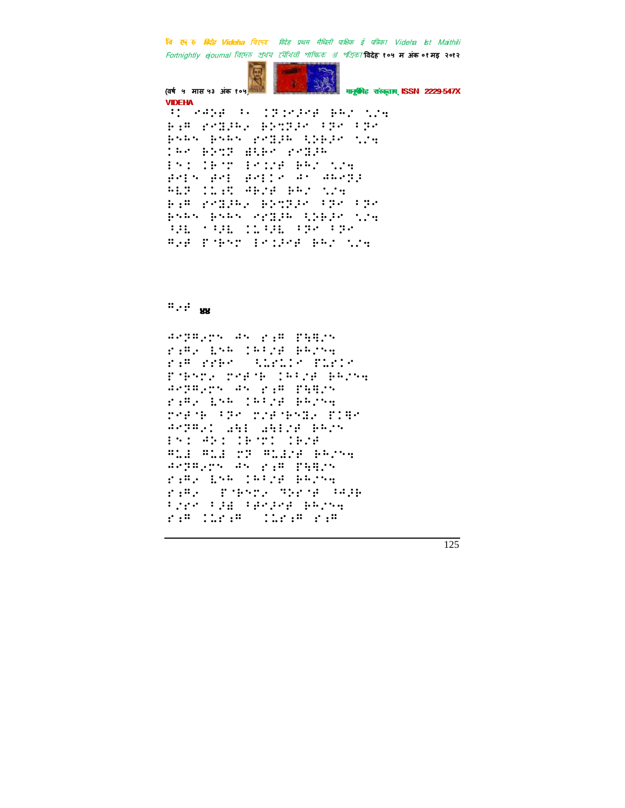बि एक रु मिनेट Videha विएक विदेह प्रथम मैथिली पाक्षिक ई पत्रिका Videha Ist Maithili Fortnightly ejournal রিদেহ প্রথম মৌথিনী পাক্ষিক প্র পত্রিকা' **বিदेह' १०५ म अंक ०१ मइ २०१२** 



(वर्ष ५ मास ५३ अंक १०५) **VIDEHA** 

मानूबीह संस्कृताम् ISSN 2229-547X

SI PANE SU INSPIRE BRI NIN Bim redunk bronze (pe (pe Pres Pres Product Chele the **THA BOOT BUDY PARDY** End Charles English Sch Pris Pri Prije An Ameri HIP CLAR ARCH BAZ NOW B.M remake Bronad (1980) Pro poso poso crips there we an can inam and pr Bee Pober Escase BRA Nam

 $::.::$ 

**Argonym As P.M Phone** rama bob (bije bojo)<br>ram rrbo (slrije plijo) Pober: reform (Afric BArea Arport as rim pages rima 156 (6128 B6256 reformate changes filme ACTURI ANI ANIZA BAZA ESI #PI IBMI IBMB separate at rim pages rama bek celah kejes ras rather which was tre the technology rim thrim (thrim rim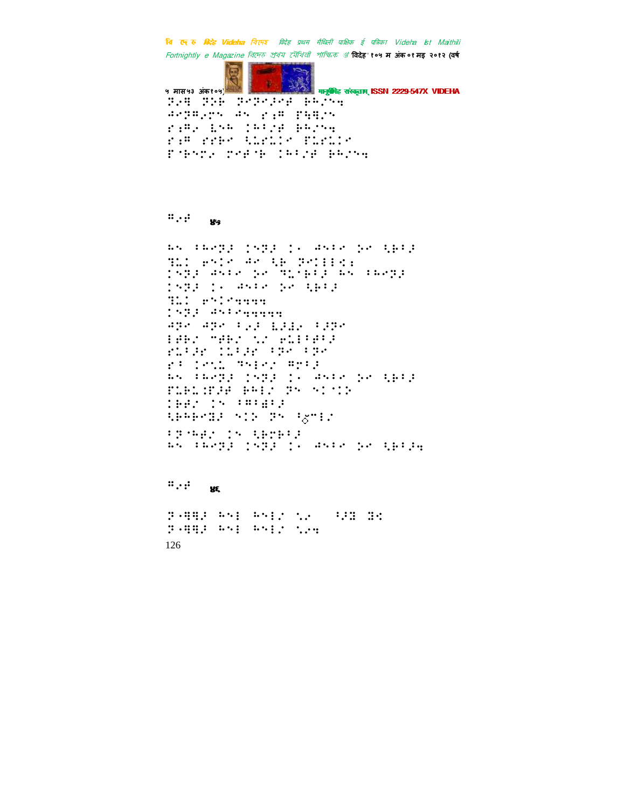चि एत् रू मिन्हे Videha निएन्थ विदेह प्रथम मैथिली पाक्षिक ई पत्रिका Videha Ist Maithili Fortnightly e Magazine বিদেত প্ৰথম মৌথিনী পাক্ষিক প্ৰ**'বিदेह'१०५ म अंक०१ मइ २०१२ (वर्ष** 



५ मास५३ अंक१०५) मानुसार संस्कृताम् ISSN 2229-547X VIDEHA  $_{\rm 3.44}$   $_{\rm 2.14}$   $_{\rm 2.14}$   $_{\rm 2.14}$   $_{\rm 2.14}$   $_{\rm 2.14}$ ⢺⢽⢻⢴!⢺!⣐⢻!/⣓⣛1! ⣐⢻⢴!⣇⢳!⢳A1⢾!⢷⢳1⣒!  $^{\circ}$  :  $^{\circ}$  :  $^{\circ}$  :  $^{\circ}$  :  $^{\circ}$  :  $^{\circ}$  :  $^{\circ}$  :  $^{\circ}$  :  $^{\circ}$  :  $^{\circ}$  :  $^{\circ}$  :  $^{\circ}$  :  $^{\circ}$  :  $^{\circ}$  :  $^{\circ}$  :  $^{\circ}$  :  $^{\circ}$  :  $^{\circ}$  :  $^{\circ}$  :  $^{\circ}$  :  $^{\circ}$  :  $^{\circ}$  :  $^{\circ}$  :  $^{\circ}$  :  $^{\circ}$ /⢷⢴!⢾⢷!⢳A1⢾!⢷⢳1⣒!

 $\mathbf{a}^{\mathbf{a}}$ .:  $\mathbf{b}^{\mathbf{a}}$ 

 $\mu$ A IANE I (AE I ) A ANA ANG ERI WW : #222 Prints ¦N99 MAL'A PERENTA ⢽⢼!j!⢺A!⢵!⣃⢷A⢼! ⣙⣅!⢶⣒⣒⣒⣒! ⢽⢼!⢺A⣒⣒⣒⣒⣒! ⢺⢽.⢺⢽!A⢴⢼!⣇⢼⣜⢴.A⢼⢽! 1990 (PH) THE SALE PRODUCT ⣅A⢼.⣅A⢼!A⢽.A⢽! ⢸!⣁⣅!⢹21!⢻A⢼! AS INGRESS TO ANIM TO RESP /⣅⢷⣅⣈/⢼⢾!⢷⢳21!⢽!⢵!! ⢷⢾1!!A⢻A⣞A⢼! ⣃⢷⢳⢷⣝⢼!⢵!⢽!A◌ॅ^21! A⢽⢳⢾1!!⣃⢷⢷A⢼! AQ INDUCT THE STATE OF A STATE OF A STATE OF A

 $\dddot{\mathbf{a}} \cdot \ddot{\mathbf{b}}$ 

126 ⢽B⣛⣛⢼!⢳2!⢳21!⣁⢴-!⢸⢼⣝!⣝⣊! ⢽B⣛⣛⢼!⢳2!⢳21!⣁⢴⣒!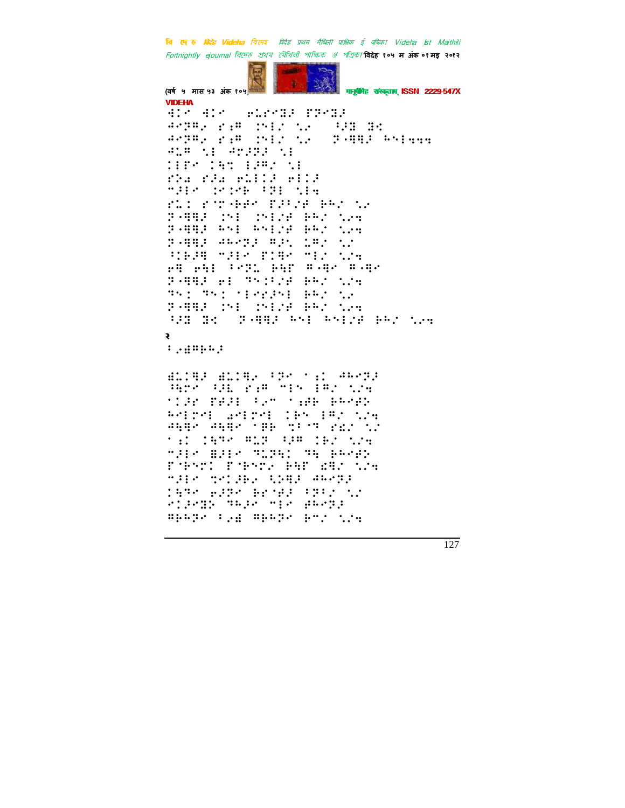बि एक रु मिनेट Videha विएक विदेह प्रथम मैथिली पाक्षिक ई पत्रिका Videha Ist Maithili Fortnightly ejournal রিদেত শ্রথম মৌথিনী পাক্ষিক প্রাণবিলিক বা স্বার্ক ১৭ মন্ত ২০৭২



मानूबीह संस्कृताम् ISSN 2229-547X

**VIDEHA** SIM SIM STRAIN COMPANY **APPRE PARTICULE ASS 34** 40982 P.R. MIC N2 - P.882 Anight **ALB 51 AMINE 11** 11Pr 195 1382 MI fra fja ellif ellf main chine (Si nin fli funder Tale ekono P-993 INE INESE PRI NAM pannel and and gradual the **B-882 AR-52 RPL 182 12** HEAR MARK BIRK MED NOW si si bol an an sa sa Thi Thi MEREPH BRACKE PARRA DE DEVE PRO NA HE BY THE WAY WALLE BAY NAM ₹  $: . . . . . . . .$ BLIBE BLIBY (PP) (1) ARPER When WE Par Mis Dr. We **MISS DAIL LES SERVIER** Refere animal ten fer the sage sage the nith ran to **THE CARP WER SER CAR NEW MARK BARK MIDDEL MA BARBY** POPT POPT PHP SHOWS MARK TRIANG AND ANGER 1978 BARA BENBA FRID NO

**STREED MARK MESS BASER** spage the spage by: 124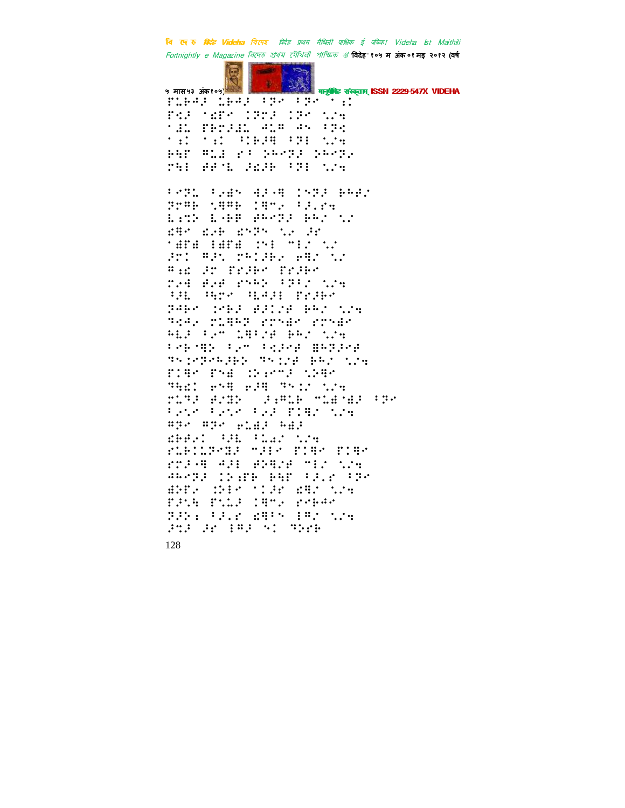बि एक रु मिनेट Videha विएक विदेह प्रथम मैथिली पाक्षिक ई पत्रिका Videha Ist Maithili Fortnightly e Magazine রিদেহ প্রথম মৌথিনী পাক্ষিক প্র **বিदेह : ১০৭ म अंक ०१ मइ २०१२ (वर्ष** 



स्त्र ।<br>अनुभीह संस्कृतम् ISSN 2229-547X VIDEHA ५ मास५३ अंक१०५) mines dres (pro (pro ) ;; PAR TEPT CROSS CROSSE **THE HEAT PROTECTS**  $\cdot$  :: BOOT WILL AT SHAPE SHAPP THE HEND SECHARTE NIN

**Problem and the components of the second components of the second components of the second second second second** 3286 (886 1852 13.24) LATE LAFF FRONT PRO SO Bar all andn ti de tara tara isi mis ta and Aan optiable ear no **Aud an Prake Prake** red ded root (PP) the **BE HOW HAS STAR** 7468 1863 83118 651 124 **Sear Minny Scher Scher** HER PARTIER ARTICLE Present from Prince Benand Thirdraphy Third Bar tra FIRE FRE CHEMIC CHR THE PH PH THIS WH **1980 - 1980 - 1980 - 1980 - 1980 - 1980 - 1980 - 1980 - 1980 - 1980 - 1980 - 1980 - 1980 - 1980 - 1980 - 1980** MARA BADA Print Print Print Play Are spe spe plar war diff. 101 11.1 1.1 1.1 Recognized the control of the rnie en spans min un ARATE CHATE BAT FELY FIR ENTE MER MIER ER NIE Pang Pila (Ang Pagpar 222: (222) 2855 1820 124 Philadelphia School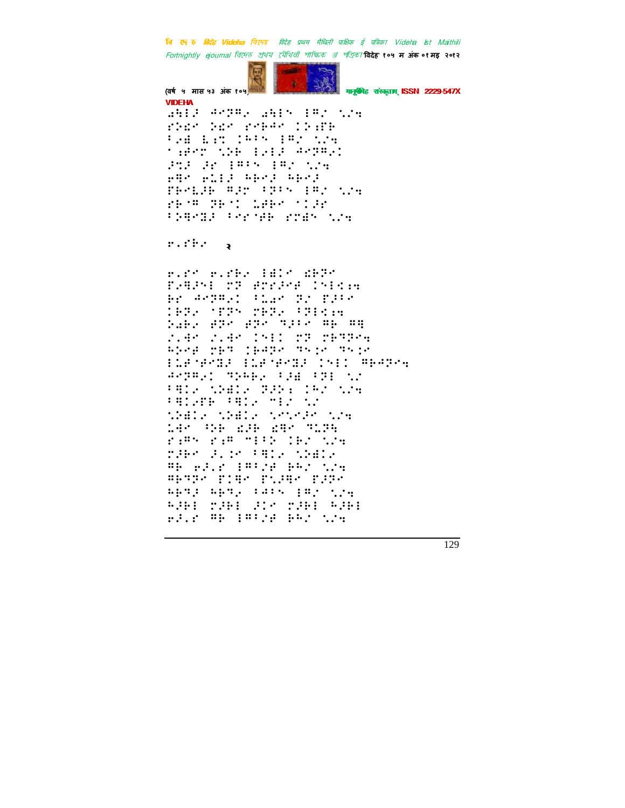बि एक रु मिनेट Videha विएक विदेह प्रथम मैथिली पाक्षिक ई पत्रिका Videha Ist Maithili Fortnightly ejournal রিদেত প্রথম মৌথিনী পাক্ষিক প্রা পত্রিকা' **বিदेह' १०५ म अंक ०१ मड़ २०१२** 



मानूबीह संस्कृताम् ISSN 2229-547X

**VIDEHA** SHIP APPRE SHIP IRI NOW rhan han reben (bafb Pred East 1988 BBY 129 **THAT NAR ISID ARTHS!** PTP PP 1855 182 124 **PRO PLEP REMP REMP** THOLE WESTERN INSTACT rene den: Leen nier **PORTH PRESENTED CON** 

 $r$ .  $r$ i $r$  $\overline{\mathbf{z}}$ 

r.ro r.cha ldio dhlo TABAN TE BYZAGE INNES Br Andali (Mich di Bian **IBS MEP MBS SERIES** bake and and model ap ag 2.45 2.45 1581 27 283785 aber 214 (1942) an photograph ELATARIA ELATARIA (SEC ABAPRA **Argue: Miner (200 (200 m) FALL MARY ARE THE MAR BELLET BELL MELLET** thele thele triver the 18 WH 28 28 28 313 rift rif milk led the rabo alio (Adile Madie We elso imise bho the WARRY PINE PLANE PANE apsplaps, rars participa **BOB: 220: 315 220: 620:** FRAME PROFILE PROTOCH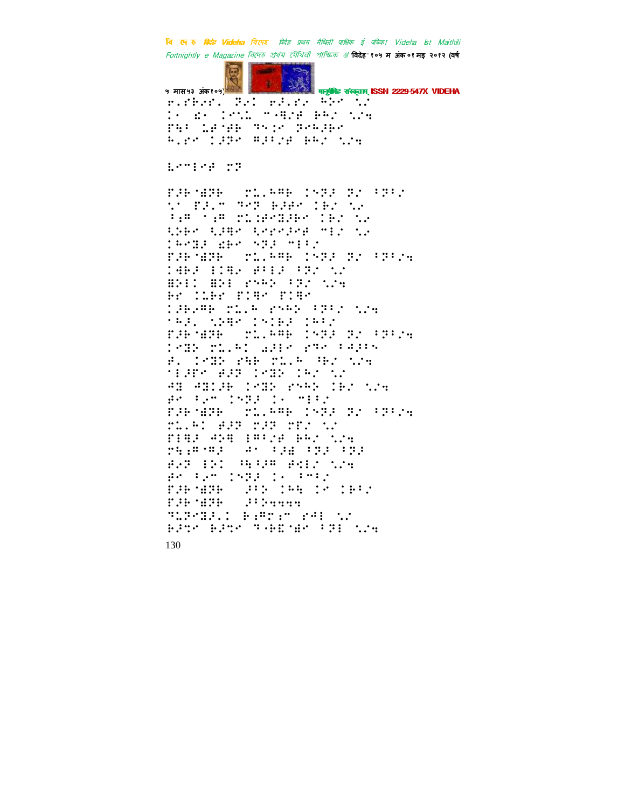बि एक रु मिनेट Videha विएक विदेह प्रथम मैथिली पाक्षिक ई पत्रिका Videha Ist Maithili Fortnightly e Magazine রিদেত প্রথম মৌথিনী পাক্ষিক প্র' विदेह' १०५ म अंक ०१ मइ २०१२ (वर्ष



५ मास५३ अंक१०५) मनुक्रीह संस्कृतम् ISSN 2229-547X VIDEHA alphari Bal agles Ann Nà<br>18 de 1951 mang Ama Sa THE LEASE TRIP TRAINS Alpricate water particular

## 127129-00

FJENER (21.886 1933 32 3332 th Palm Rep BaBe (British THE SERVICE RESORTED THAT AN the the terrible will be TRANS ERA STE MILE FJENERE (FL.PPE) 1572 72 FPF24 1963 1192 8313 322 12 HD: HD: PHD :HD 120 Britche Mise Mise **TREAGE TIER PART FREE TRE** 1991 NDBP 19193 1972 rakhaak (silkek 19a) ar (ag)ra 1888 TELRI ANDR PROTHICL #. 1985 PHP TL.R HE TOW MERRY BAR CREW CREWS AI AILAR CAIR EMPROGRAMA 80 Park 1933 10 MBC FJENER (TLIPPE 1973-72-3732) **M.A. #33 MS MP (1) FIRE 458 IBINE BRY 124** 75,878,800 470 810 811 812 813 322 IDI 개인명 3412 N24<br>3세 12세 1523 IO 3세요 ng an Christa di ser TERMINI BRAYEN RAI NA Bang Bang Sebuah Pal we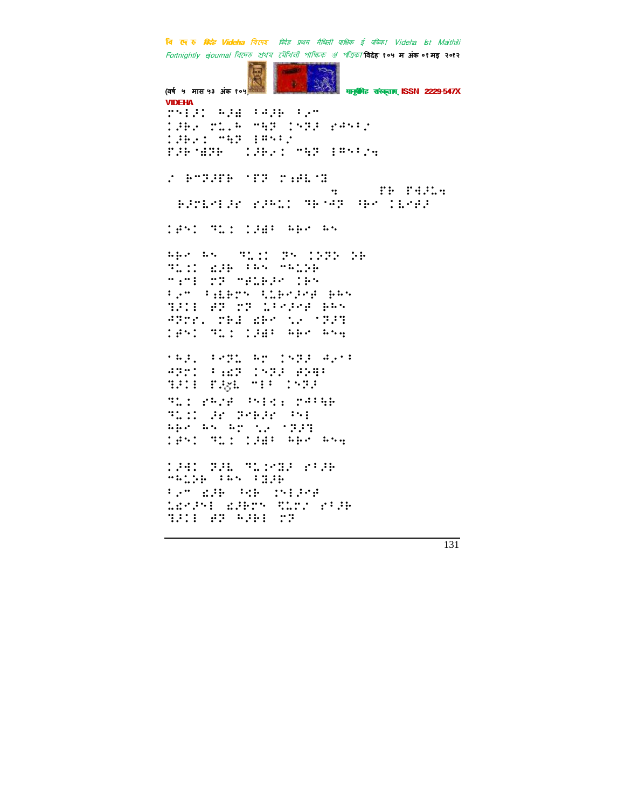बि एक रु मिनेड Videha विएक विदेह प्रथम मैथिली पाक्षिक ई पत्रिका Videha Ist Maithili Fortnightly ejournal রিদেহ প্রথম মৌথিনী পাক্ষিক প্র পত্রিকা' **বিदेह' १०५ म अंक ०१ मइ २०१२** 

**Separate** × (वर्ष ५ मास ५३ अंक १०५) मानूबीह संस्कृताम् ISSN 2229-547X **VIDEHA** THIS WHE PAPE COM THE TILE THE INFE PANCE 136.1 MAR (851) ESTADE (1821-181 1851)4 **STE PARK:**  $\dddot{\mathbf{r}}$ **SEPTEMENT PUBLIC TEMPS THAN CEMEN** TAND MED TABE ABY AN 888 88 31:1 38 133 38 TEST ERROR TREER ment of member in tem third through pas TAIL AR 28 1959A BAS APPEL THE END NA TRAN 1951 Microsoft Apr Asq **SAFE PRID BY INTE APS STAT FROM 1972 STAT** BHI EEL MI 1982 TL: PROF PHAIL PAPAR TEMP AN PREAM PH ape as agoged spra **SECTION CREW ARM AND 1991 - 2002 - 2003 - 2004 - 2005 - 2006 - 2007 - 2007 - 2007 - 2007 - 2007 - 2007 - 2007 - 2007 - 2007 - 2007** "Which Has Hill tem dib the inflant LESPH EPPTS TLTD FRP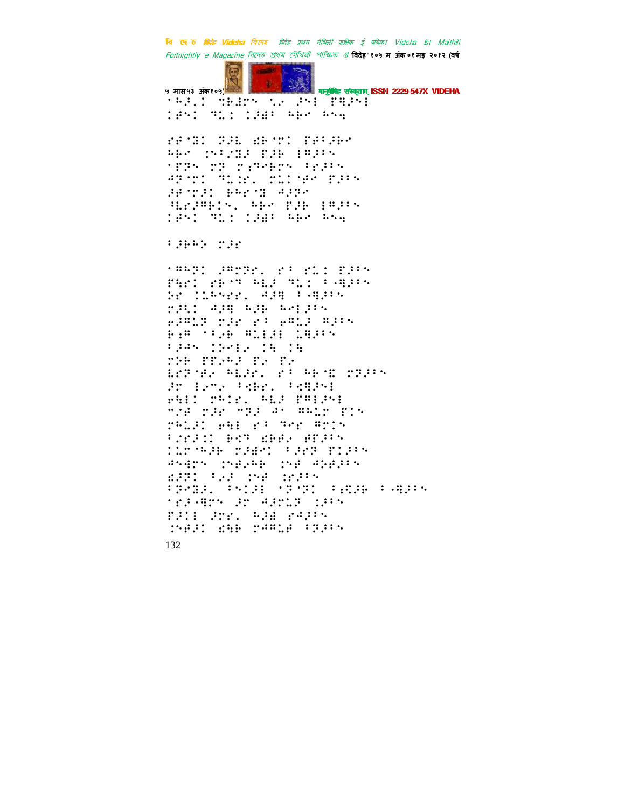बि एक रु मिनेट Videha विएक विदेह प्रथम मैथिली पाक्षिक ई पत्रिका Videha Ist Maithili Fortnightly e Magazine রিদেত প্রথম মৌথিনী পাক্ষিক প্র' विदेह' १०५ म अंक ०१ मइ २०१२ (वर्ष



५ मास५३ अंक१०५) मनुबेनेह संस्कृतम् ISSN 2229-547X VIDEHA 'AFLI TEGTY NA 251 PRIÑI **SACTES CAR APP RS.** 

SPORT RED SECTION PROPER APP (STILL FIR 18215 tras da disebro Graes STORY TEST CONTROLLER SPORT BARON ASTA SEMPRIS, PROTRE 18215 1851 ML: 1288 ABS ASA

**PERMITTE** 

\*#691 2#596. 27 21: 2275 THIS PECTALL TIS PARPS 8: 118922, 838 F-8315 rung apm app anggos FRANK THE PROPERTY WITH **F:W (1.0 WILLE 1921)** 1245 (2012-18-18 TH HIGH IS IS EMPORE REAL PROPERTY Br Earl Polic, Politic **PHIL TRIE. ALL THINE** mid mir mil er Abir Mir PRIPE WHE STORY WELK **TYPE: BOT WHEN WEILS** COMMAND MARK CONTROL Rughs (Seyah (Se Ryells EPRO PARTICH (PRP) FRANK PAIR (FOR) FRANK PANPS **SEPHEN PE APPLE 1PPN** TILL ITE, WHE PAIRS 15831 SHE 24818 (19315 132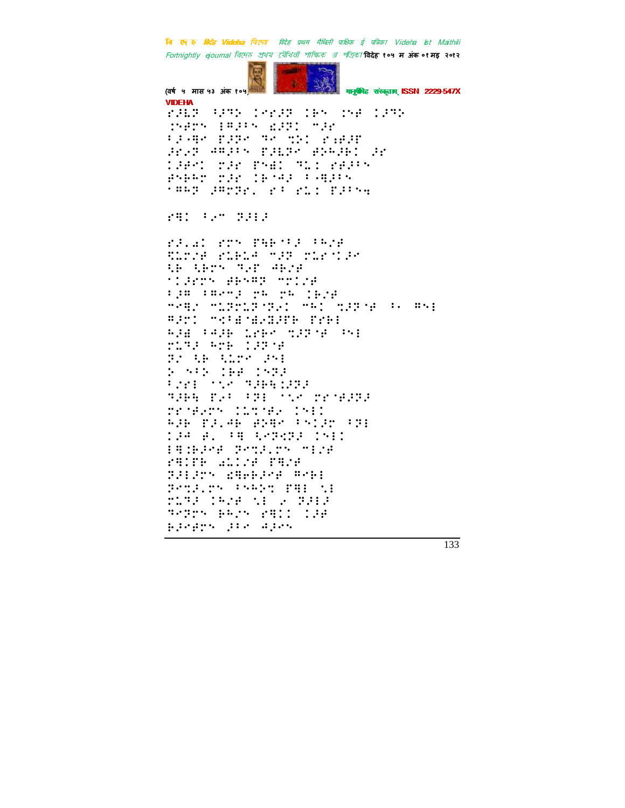बि एक रु मिनेट Videha विएक विदेह प्रथम मैथिली पाक्षिक ई पत्रिका Videha Ist Maithili Fortnightly ejournal রিদেত শ্রথম মৌথিনী পাক্ষিক প্রাণবিলিক বা স্বার্ক ১৭ মন্ত ২০৭২



मानुब्रीह संस्कृतम् ISSN 2229-547X

**VIDEHA** FALE APPE LOCAR IBS INE LARE DEDN 18815 ARRIVER the fire of the fair Bren Amery Place Bowlet Br 1985 TRE PAR TLI PRPP Press san (Pres Press) **TARP PATTER PRODUCTS INC.** 

PRI PAT BREE

fl.d fry Theory Chip SMORT PLEASE MIR SWORTEN WE WENT SET SENS **MIRTS BESST TOUR** 198 (885) 25 25 1928 member magging engine in programma de member de la member de la member de la member de la member de la member **APPI TRIBULARIE PERI** bie teib lrbn difte (be<br>rlfi brb 1979 Br AB Alry Syl 8 98 38 39) Frei tie Saakiaa SPRESS SERVICE SERVICES rriers linies (SH) **APP PELAB BDB5 FS125 FB1** 134 #. \*# 527273 1511 **IRING BELLY SIM** FACTO ALCOHOLIST <u> 1111 - Alexandr British</u> POST PORT FRI NI bina lare si 2 gaia Sepre Bars ruli  $\mathbf{1}$ : BREED RIC ARE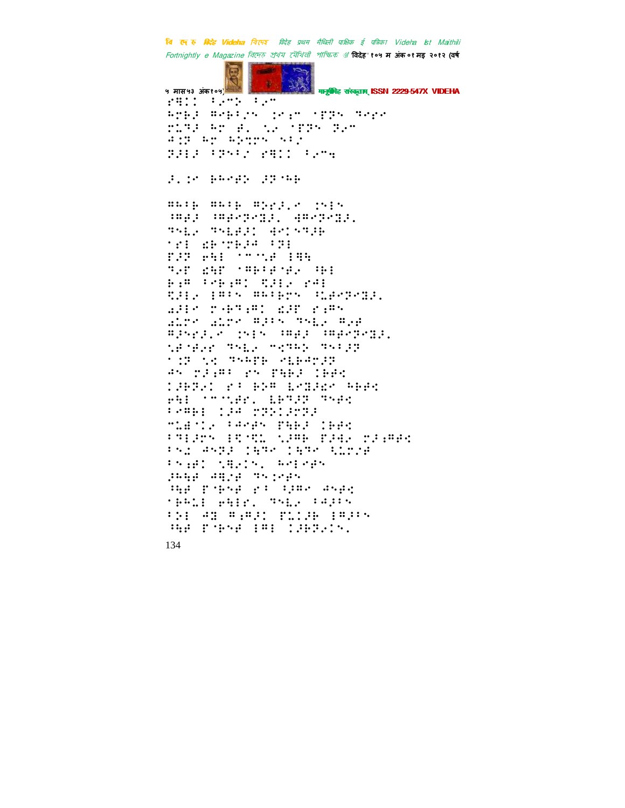बि एक रु मिनेट Videha विएक विदेह प्रथम मैथिली पाक्षिक ई पत्रिका Videha Ist Maithili Fortnightly e Magazine রিদেহ প্রথম মৌথিনী পাক্ষিক প্র **বিदेह : ১০৭ म अंक ०१ मइ २०१२ (वर्ष** 



स्त्र ।<br>अन्य अनुभीह संस्कृतम् ISSN 2229-547X VIDEHA ५ मास५३ अंक१०५) FALL COMPACTION Applicated the chief office depe TIME AT B. N. THR B.T Applier about the 2000 (25) 2001 (25)

F. S. BRAGE STAR

saip saip shelle pele **BEE BEETHER ARTICLE** THE THEFT ANIMAL 'ri de'rele (p) **P.P. PRI THIS RESIDENT** TH SHI THEFTH, HE **F:# : +F:#: #2:: + +4:** this image mathew theoretic. ANY PERSON AND PER alre alre Agges dell'Agg BREAK MISSION SEARCHER tener sale sesso sales **THE REPORT PERSON** 45 22:88 25 PARI 1990 **TARRY'S BRANCHILLY ARE PHI TEMPLE ARTIC TEMP FRAME TO STATE MLB** (1985) THE CHEC FRIEDS INSUL SPAR PRES MISHER PAI #572 (876-1876 RLTVE President Caracter (Articles dig ager telep sign popular prospectively thui eads, This Capty **A COMPANY MODEL REPORTS** HA POPE IME CHREEK.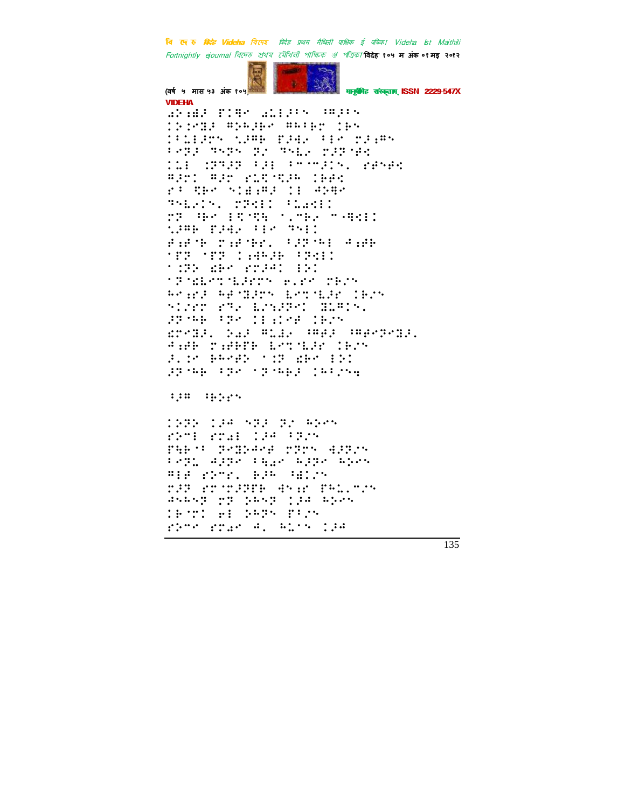बि एक रु मिनेट Videha विएक विदेह प्रथम मैथिली पाक्षिक ई पत्रिका Videha Ist Maithili Fortnightly ejournal রিদেত শ্রথম মৌথিনী পাক্ষিক প্রাণবিলিক বা স্বার্ক ১৭ মন্ত ২০৭২



(वर्ष ५ मास ५३ अंक १०५) **VIDEHA** 

मानूबीह संस्कृताम् ISSN 2229-547X

South Mary State Mars *Things winder while the* 1511255 NPB E242 F13 22:85<br>F222 TSPS P2 TSL2 222-83 <u>tik drig (grupnografikan</u> BEND BEN SIE MIR TEER r: 565 Sta.83 II AGB-**THERE STRIP FEARLY** MP HP ENSER SIME THEI tum par ar mal FACE TACHER SITED AND **TER TER LEARNE FRONT THE SECTION OF MINERALLETT BIRT TECH** Arang African Erritor Chan STORY PRE EMERGIC HIPIS. 33 MH (138 113184 1625 ETHER SEP ROLL PRES PREMIER. AAR SARPE ESSIE IES S. Do BRAGG (13 dBA 10) great free reading the

 $\mathcal{L}^{\text{L}}_{\mathcal{L}}\mathcal{L}^{\text{L}}_{\mathcal{L}}=\mathcal{L}^{\text{L}}_{\mathcal{L}}\mathcal{L}^{\text{L}}_{\mathcal{L}}\mathcal{L}^{\text{L}}_{\mathcal{L}}$ 

<u> 1980 - De Stal Stal Birl</u> :571 :521 :34 :325 FAR \*\* PREPARE TETY APPIT rep. appe rage appe apes #i# r>"r. BJR HALLT THE STORIES SAN PRINTS asssport pasporal apro 18/21 el 2475 PP25 STOR STAR A. ALON 134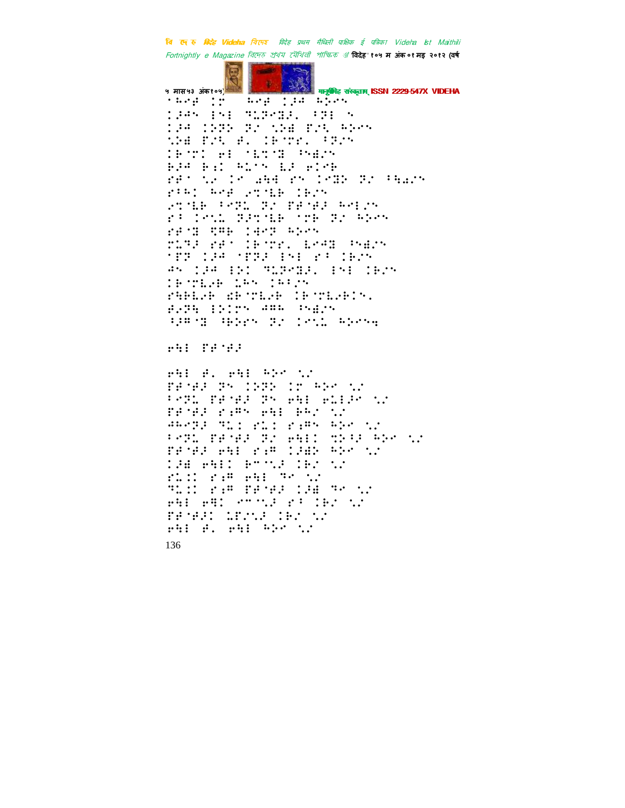बि एक रु मिनेट Videha विएक विदेह प्रथम मैथिली पाक्षिक ई पत्रिका Videha Ist Maithili Fortnightly e Magazine রিদেত প্রথম মৌথিনী পাক্ষিক প্র' विदेह' १०५ म अंक ०१ मइ २०१२ (वर्ष



५ मास५३ अंक१०५) मनुमिह संस्कृतम् ISSN 2229-547X VIDEHA tang in sang iga alor 1945 | 51 MILIONER 191 5 194 1989 BY NAM BOL AGOS<br>NAM BOL AL (Borr) 1895 IPOTE PE SETSE PHES Bar Bal Alim Easteler<br>2017 Nascar Groupe Carl Base rial and crowd CB25 PTAR PRE EN BRAR PREM ra isin zarome ore za Abso rend gebolgegoepes<br>rige renolbirri begaal gsals **TER 124 TERP ENE 23 IEUN** 45 134 151 TEPCHA, 151 1825 DESTRUCT DES CHICS rabbeb desporte la provela. 8.95 BMT 486 PHP HARTH HERT IN 1951 ABOVE

**PHE TRIPS** 

phi #. phi bir tr TEMP TO DEPATH AND NO PART PROBLEM PHILADERM ON THING PARK AND BRI NO **ARREST TO: POINT PARK REPORT** PARL PENER RO WHILE MERRIMENT NO TANA PHI KAR CABY ADM NO flil rim ear me th TEST FOR THOSE CON TH'S **AND AND PROVIDED AND AN** PROBLEMA IRANI **PHI #. PHI #20 %2**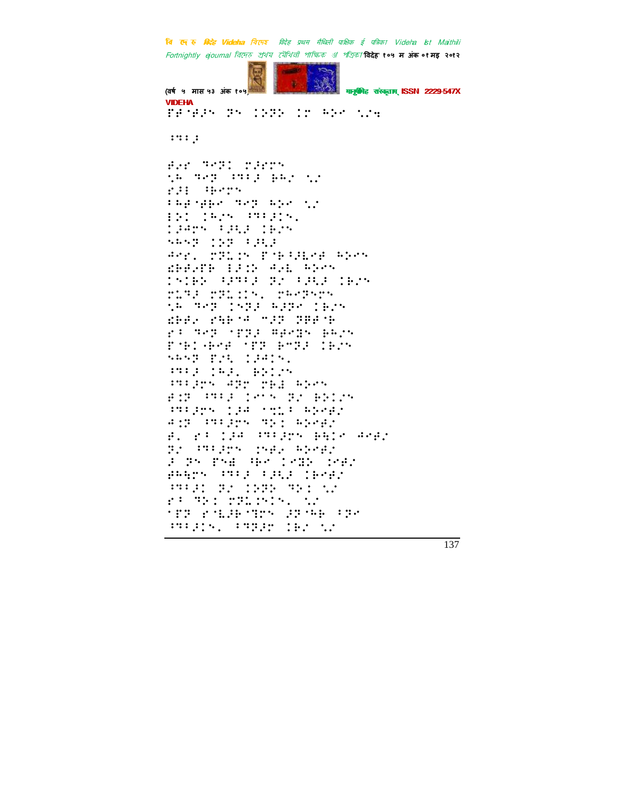बि एक रु मिनेट Videha विएक विदेह प्रथम मैथिली पाक्षिक ई पत्रिका Videha Ist Maithili Fortnightly ejournal রিদেত প্রথম মৌথিনী পাক্ষিক *প্রা পত্রিকা* **বিदेह १०५ म अंक ०१ मइ २०१२** 

**Service** 

× (वर्ष ५ मास ५३ अंक १०५) मानुब्रीह संस्कृतम् ISSN 2229-547X **VIDEHA** PANARA PA 1989 18 ADA 124  $\cdots$  : Ber 7631 minute (6 meg 1913 par 12 rdi Bern Theodie Sep bie th 191 1925 (201315) :3455 | 1313 | 1625 5852 122 1252 Arr. TRICH POBBER AND deferr 1312 Agi Abes 15162 (2993 S. P. P.H.F 1625 FLAR FRIDA PREPERT th new laws here from deep rares was deem ga men spri masno pags FMRIGHT MER BMB2 IB25 5552 FM 13415. **PRESS (RES. 8000)** PRINT ART TEE REST FOR STEP CHOOSE BOILS PROPERTIE STAR REPORT **ASP PRINT TEL BENET** a, projectní projekte ener Br PRIER THE REARY F BR PRE HE CREE CREO pages (Mil. 1912) leeds PRES BY CERE RELAY **FI THE TELEVIOLE TEP POLISYON SPORT CR** PRODUCED IN ST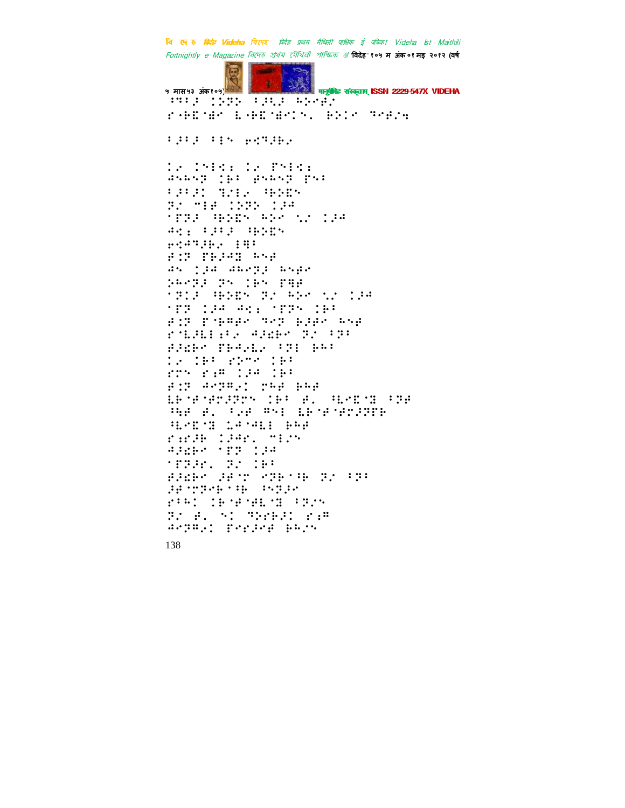बि एक रु मिनेट Videha विएक विदेह प्रथम मैथिली पाक्षिक ई पत्रिका Videha Ist Maithili Fortnightly e Magazine রিদেহ প্রথম মৌথিনী পাক্ষিক প্র **বিदेह : ১০৭ म अंक ०१ मइ २०१२ (वर्ष** 



५ मास५३ अंक१०५) मनुमिह संस्कृतम् ISSN 2229-547X VIDEHA BREAK CHANNEL representations and the term

till the senight

le China le Phina<br>Anglo (propheno phi **FRAME THE BEATH** 32 718 1232 124 **1993 HEBS BECAMING** Add (1913) HDDN **PERTIBE 191** 80 SPAS 55 as jie abejį bspe 14-11 25 165 288 **1912 HEBS 92 HER 12 134** TER 194 45: TER 183 BIB PARRY TEP BARK RAP FAMILIA AMP REAR **BREE THANK ITE BRE** SA SHERAMA<br>Prosessor She \$12 Arguel php php BROFONDEN (BP) B. BENDORFER He allow man bronderer HERM LANGE BAR radh 194r. Mich **ASER 182 134** 1838. Br 16 BREAK SEAT STEAMS TO MT. Spreaking the FIRE IPSPORTED FROM Bi B. M. Thebel fin Arpay: Preles Back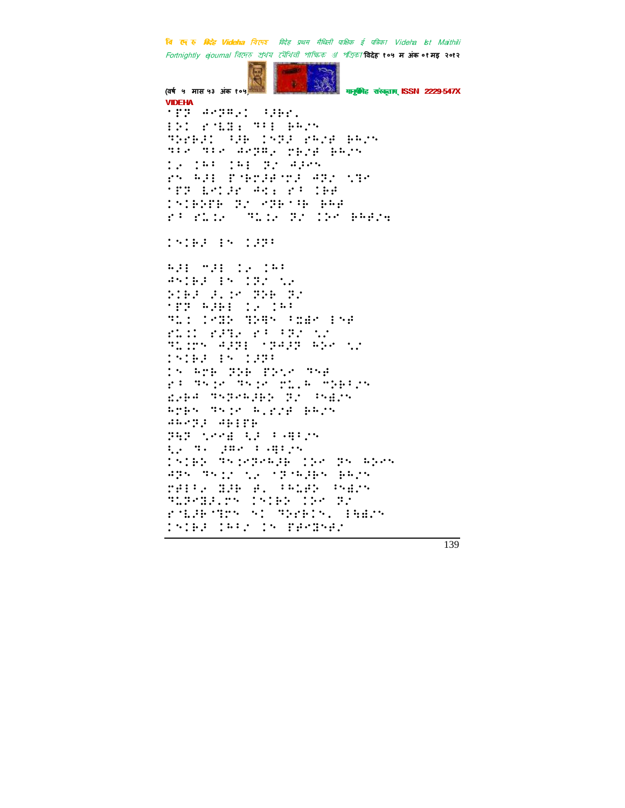बि एक रु मिनेट Videha विएक विदेह प्रथम मैथिली पाक्षिक ई पत्रिका Videha Ist Maithili Fortnightly ejournal রিদেত শ্রথম মৌথিনী পাক্ষিক প্রাণবিলিক বা স্বার্ক ১৭ মন্ত ২০৭২

**Service** (वर्ष ५ मास ५३ अंक १०५) मानुब्रीह संस्कृतम् ISSN 2229-547X **VIDEHA** \*PP #2PR21 (PR2) **EXAMPLE 2008 2009 12:25 PM** SPEED OFF 1572 PENE BENS nie nie aego, pałą abłyc 12 18: 18: 32 Alex rn Ade Pobrienne Adriate **MIP LOLED AGE PROTER 1918-18 St 2007-00-00-00 SLIP BY INC BREEK PARTICIPAL PRODUCT** 

**INTER IN 1388** 

**ASS MAIL 120 1944 ANIBA IN IRE NA** HIS S.M TH TA 188 599 12 15 TI: 18HD HDHS (18HS 18H rich rangers and the BLOW APPE SPAPE ANS AP **CAMP IN 1888** 15 AME PER PENY TSE<br>PA TSIR TSIR MILA MERIN RAPA SATARIER TE PARTA Apps Ship Alpha Bars anega apigp **BEF NOOR EN FORECO** tje de jaro begijn. State Thirty Constant State Constant 825 7512 12 12 54285 8525 ndis BB d. (Aldr (Adr RIPERIES ISIBN 198 RM rollectry yourselv. Harry INIBE IPEN IN PROBABL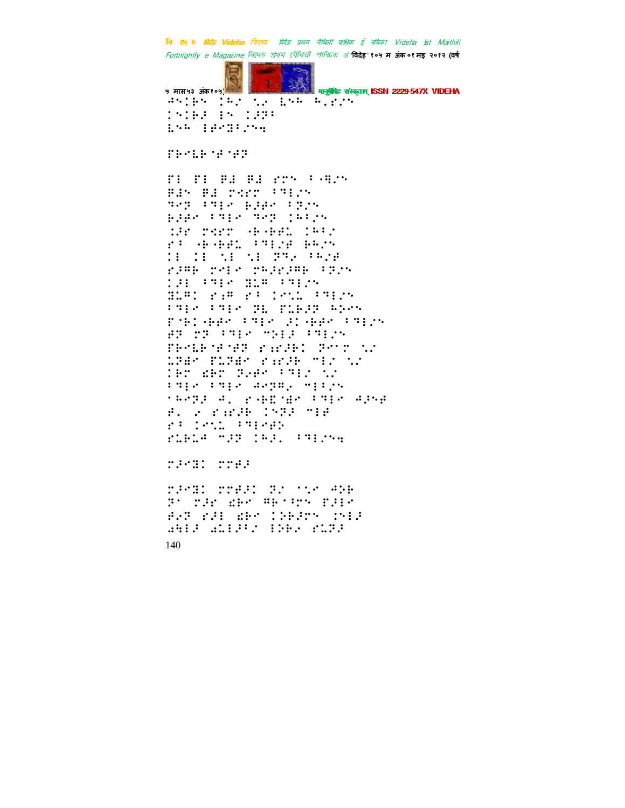चि एत् रू मिन्हे Videha निएन्थ विदेह प्रथम मैथिली पाक्षिक ई पत्रिका Videha Ist Maithili Fortnightly e Magazine বিদেত প্ৰথম মৌথিনী পাক্ষিক প্ৰ**'বিदेह'१०५ म अंक०१ मइ २०१२ (वर्ष** 



५ मास५३ अंक१०५ साल कर संस्कृतिक संस्कृतिम् ISSN 2229-547X VIDEHA GRIEN IEN NA ENE BART **CAINE IN 1222** LAR EPRINTING

/⢷⣇⢷⢾⢾⢽!

/2./2!⢿⣜.⢿⣜!!AB⣛1! BAR BAR TERT PRICE ⢹⢽.A⢹2!⢷⢼⢾!A⢽1! **EAR: PRESS REPORTS WE THE HEATHER**  $f: H$  BERG BROW 2.2!⣁2.⣁2!⢽⢹⢴!A⢳1⢾!! ⢼⢻⢷!2!⢳⢼⢼⢻⢷!A⢽1! ⢼2!A⢹2!⣝⣅⢻!A⢹21! mér sie Fichaliser A⢹2.A⢹2!⢽⣇!/⣅⢷⢼⢽!⢳⢵! /⢷B⢷⢾!A⢹2!⢼B⢷⢾!A⢹21! ⢾⢽.⢽!A⢹2!^⢵2⢼!A⢹21! /⢷⣇⢷⢾⢾⢽!⣐⢼⢷!⢽!⣁1! 1985 - 11985 - 11998 - 11998 - 11998 - 11998 - 11998 - 11998 - 11998 - 11998 - 11998 - 11998 - 11998 - 1199  $^{\prime}$  . The state of the state of the state of the state of the state of the state of the state of the state o A⢹2.A⢹2!⢺⢽⢻⢴!^2A1! SAPER SON PARTIES  $E$ . A finite  $1977$  mis  $f = \frac{1}{2}$ ⣅⢷⣅⢺.^⢼⢽!⢳⢼E!A⢹21⣒!

⢼⣝!⢾⢼!

140 ⢼⣝!⢾⢼!⢽1!⣁!⢺⢵⢷!  $T^{\prime}$  will do the the file ⢾⢴⢽!⢼2!⣎⢷!⢵⢷⢼!⣈2⢼! ⣔⣓2⢼.⣔⣅2⢼A1!2⢵⢷⢴!⣅⢽⢼!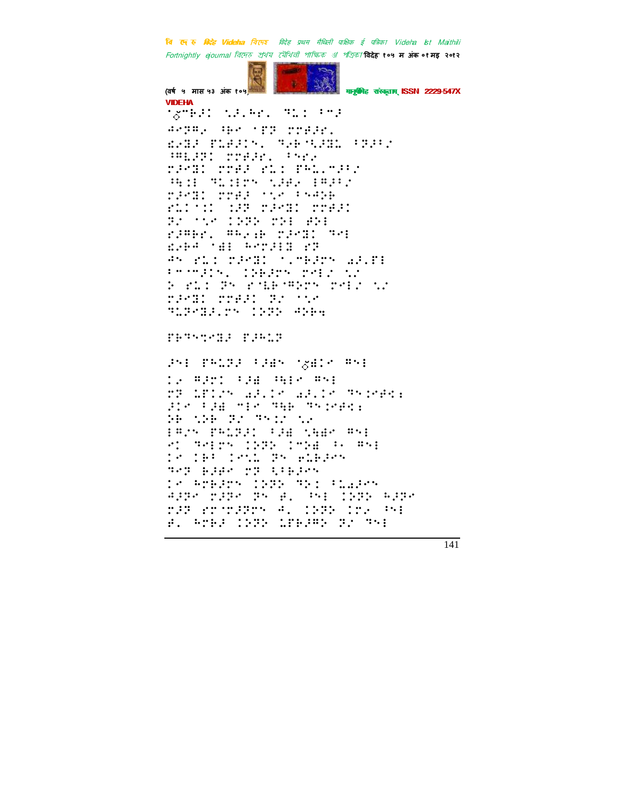बि एक रु मिनेट Videha विएक विदेह प्रथम मैथिली पाक्षिक ई पत्रिका Videha Ist Maithili Fortnightly ejournal রিদেহ প্রথম মৌথিনী পাক্ষিক প্র পত্রিকা**'বিदेह' १०५ म अंक ०१ मइ २०१२** 



मानूबीह संस्कृताम् ISSN 2229-547X

187931 13.92. 311 373 sepa, get the credit. RAN PLANTA TARTARE TRAV **BEACH TEACH PRES** radi rrea din Palesan Hill Tiller the 1886 TPSHI TTEP TO PASSE 33 MA 1939 291 891 rPRES #6248 MPH1 #01 d:04 'd: 07218 rF AN PLI PRYST TUMBRY WRITE animatry (teach crain wh<br>Socket arounded crain TREE TTER BY TH *TAPARTY 1982 BRS* 

PROVINCI PRODUCT

**VIDEHA** 

PHOTELER FRENCISHING #51 <u>: #:r: ::# #:/ #~:</u> ra introdukció akció admonistra HP FHE MEM MAR MAINER: **SB 13B 32 7512 12 | 825 | PAIRIL | 138 | 1585 | 851** ST THEN INTE INNE TO THE ik iak ishli boʻallaro 383 BBR 23 UPP88 18 Aprilie (1918 Mar Flaire 4398 2398 95 81 951 1595 9398 MP PROMPER AL INFRAINCE PH 8. ATES (200 18638) 22 TH: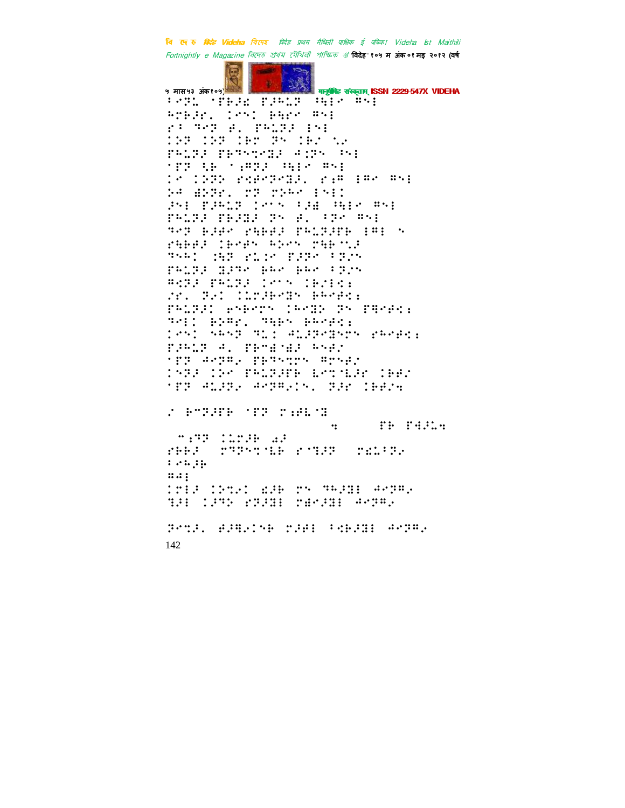बि एक रु मिनेट Videha विएक विदेह प्रथम मैथिली पाक्षिक ई पत्रिका Videha Ist Maithili Fortnightly e Magazine রিদেহ প্রথম মৌথিনী পাক্ষিক প্র **বিदेह १०५ म अंक ०१ मइ २०१२ (वर्ष** 



५ मास५३ अंक१०५) समिति हो गानुब्रीह संस्कृतम् ISSN 2229-547X VIDEHA PARL STEAR PARLY PËRS RA: Applie, lest pape Wsi F: 7-7 B. PRIZE 151 108 108 165 95 165 to PAIN PRESSON AND SA **1PP 4B 1.8993 Hile #51** 18 1232 PARTNIE, P.W. 188 851 SA ASTRI TT TSAR ENEI 351 FJR12 (255 FJA (812 RS) PROFILED TO A STATE WAR THE BIRK PARRI PROBING IN S rabel (brew sprs rabel) **THE SEP PLOT FROM PROV** PACE SHOW HAS HAS FRIN BOIL PROFIS (STR CENTAL Sr. Pal Clr3BoBb BRoBe: PAIRS: energy length by PROPE. **SMIL BOWE, SHER BRANK: ARABANI ALIBARA PRAFE.**  $\mathbb{R}$  and  $\mathbb{R}$ ranch a renama byer spp depay pansages agsay **SARA INS PALRAPH LOTALEY CHAY THE ALIS, APPRAIS, SIR ING. A BACHING AND MANUSCRY STEP BRIDGE**  $\cdot$ : 

**TTPSTED FTED TESTS** richt and a strong of the strong of the context of the strong of the strong of the strong of the strong strong  $1.74.14$  $\ldots$ THIS TELL ESP TH WASHED ARTA. 1999 - 1999 - 1999 - 1999 - 1999 - 1999 - 1999 - 1999 - 1999 - 1999 - 1999 - 1999 - 1999 - 1999 - 1999 - 1999

Sena, Alguine radi (Selai Aesgo) 142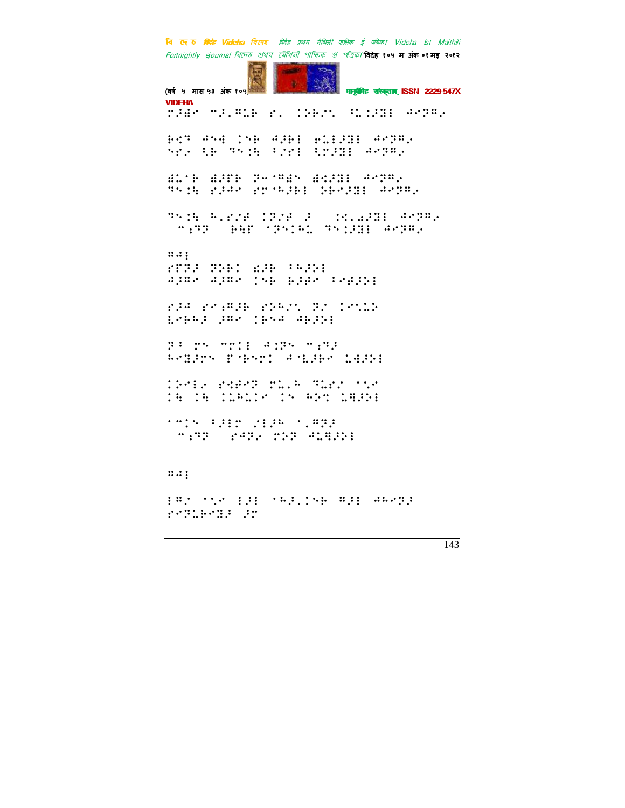बि एक रु मिनेड Videha विएक विदेह प्रथम मैथिली पाक्षिक ई पत्रिका Videha Ist Maithili Fortnightly ejournal রিদেত প্রথম মৌথিনী পাক্ষিক *প্রা পত্রিকা* **বিदेह १०५ म अंक ०१ मइ २०१२** 



मानूबीह संस्कृताम् ISSN 2229-547X

(वर्ष ५ मास ५३ अंक १०५) **VIDEHA** rage walgare ri (1962) Gridde Gergg. 807 454 158 4381 811381 40982 Space Recording Party (Rough) Argen ELTE BATE JATHEN BRAGE AVIA. This plan provide bende and . TRIN RIVIN IZIN 2 (1914-2009)<br>"TITE (PHP) TRINI TRIJE (PTP)  $\ldots$  : rtas apel poe (626)<br>Aper Aper (66 626) (6226) rag reagan ragon di Conda 1994: 200 (950 09221 3: 25 2211 4:35 2:32 **Addition Ponent Addition Leith** THE PRESS TEACHERS TR **THE TEST CONSTRUCTION CONSTRUCTION**  $\begin{minipage}{.4\linewidth} \begin{tabular}{l} \hline \multicolumn{1}{c}{\textbf{0.1}} \multicolumn{1}{c}{\textbf{0.1}} \multicolumn{1}{c}{\textbf{0.1}} \multicolumn{1}{c}{\textbf{0.1}} \end{tabular} \end{minipage} \begin{minipage}{.4\linewidth} \begin{tabular}{l} \hline \multicolumn{1}{c}{\textbf{0.1}} \multicolumn{1}{c}{\textbf{0.1}} \end{tabular} \end{minipage} \begin{minipage}{.4\linewidth} \begin{tabular}{l} \hline \multicolumn{1}{c}{\textbf{0.1}} \multicolumn{1$  $\begin{minipage}{.4\linewidth} \begin{tabular}{l} \hline \textbf{0} & \textbf{0} & \textbf{0} & \textbf{0} & \textbf{0} & \textbf{0} & \textbf{0} & \textbf{0} & \textbf{0} & \textbf{0} & \textbf{0} & \textbf{0} & \textbf{0} & \textbf{0} & \textbf{0} & \textbf{0} & \textbf{0} & \textbf{0} & \textbf{0} & \textbf{0} & \textbf{0} & \textbf{0} & \textbf{0} & \textbf{0} & \textbf{0} & \textbf{0} & \textbf{0} & \textbf{0} & \$ 

 $\ldots$ 

182 MS 121 MA2.158 821 WARRE PORTHOLD IN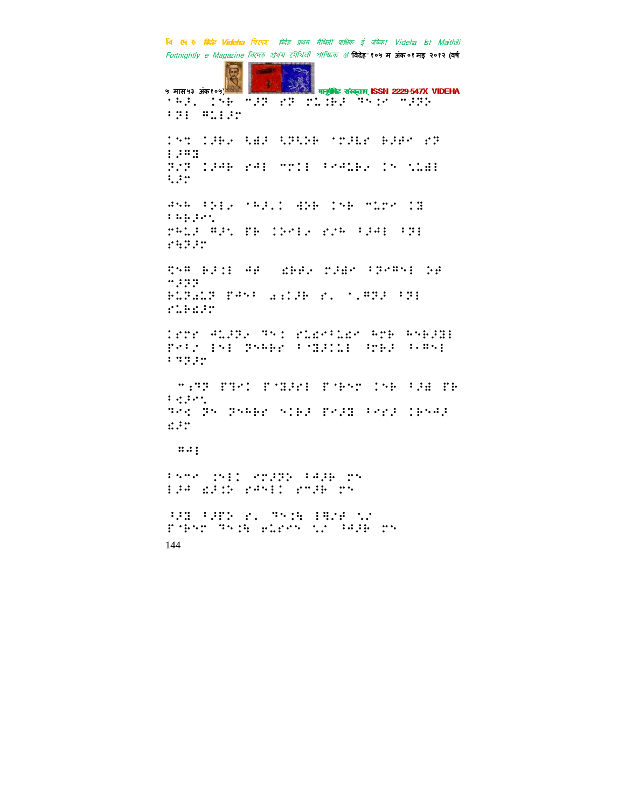बि एक रु मिनेड Videha विएक विदेह प्रथम मैथिली पाक्षिक ई पत्रिका Videha Ist Maithili Fortnightly e Magazine রিদেহ প্রথম মৌথিনী পাক্ষিক প্র **বিदेह : ১০৭ म अंक ०१ मइ २०१२ (वर्ष** 



**AND STREET STREET ISSN 2229-547X VIDEHA** ५ मास५३ अंक१०५) TAR, 198 MAR ER PLÖRE ANDE MARK **FOR BLIPS** Tho Caby Ada Agasb (orabo Baby 23  $1.142$ BM 1986 PAI MMIN PARED IN MAN  $\mathcal{L}$ AND PRESCRIPTION ARE INFORMATED  $1.441411$ TREP WENTER COMPANY PERMITTER PROPERTY the Blil AP (dBB) right (Then) be  $0.1331$ riledar Trur ALSO, Thi rightlen Aug Angsom Petries Petrician Constitution Principal Comer  $1.333332$ **MARK PRO POWER PORT OR THE PR**  $1.4$  (Fig. Teg PS PSAGE STEP Perr (Perr ) Sec  $\mathbb{R}^2$  $\ldots$  : PATE IN: 20131-0438 PA ESA ESTE PANEL POSE DN HA FARS POSSESS HER ST Pober West Flow in Walk re 144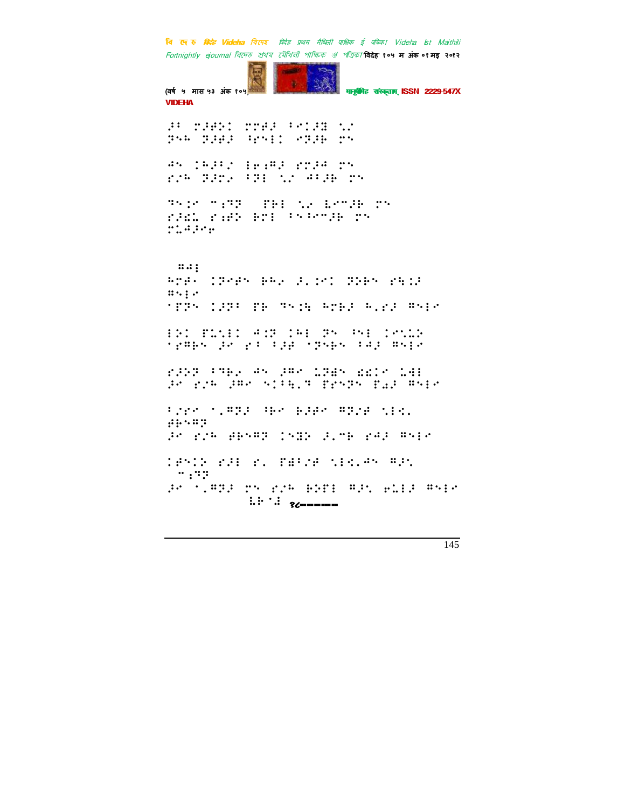Fortnightly ejournal -  -  'वदेह' १०५ म अंक ०१मइ २०१२ **Service** (वर्ष ५ मास ५३ अंक १०५) मानुसार में मानुसार संस्कृतम् ISSN 2229-547X VIDEHA  $\vdots$   $\vdots$ ⢽⢳.⢽⢼⢾⢼!⢸2!⢽⢼⢷!! ⢺!⢳⢼A1!2⢶⣐⢻⢼!⢼⢺!! 109 122 132 132 133 14  $T^*H$   $T^*H$   $T^*H$   $T^*H$   $T^*H$   $T^*H$   $T^*H$ ⢼⣎⣅.⣐⢾⢵!⢷2!A⢸^⢼⢷!! ⣅⢺⢼⢶! !!!!  $^+$  $\mathbb{R}^n$  :  $\mathbb{R}^n$ /⢽!⢼⢽A!/⢷!⢹⣈⣓!⢳⢷⢼!⢳E⢼!⢻2! 201 ELAN PORT OF THE CONTROL ⢻⢷!⢼!⢸!A⢼⢾!⢽⢷!A⢺⢼!⢻2!! ⢼⢵⢽.A⢹⢷⢴!⢺!⢼⢻!⣅⢽⣞!⣎⣎!⣅⣚2! Je rok J#e sting# PrsPs Pal #sie A1!E⢻⢽⢼!⢸⢷!⢷⢼⢾!⢻⢽1⢾!⣁2⣊E! ⢾⢷⢻⢽! ⢼!1⢳!⢾⢷⢻⢽!⣝⢵!⢼E^⢷!⢺⢼!⢻2!  $1\pm$ 512  $\pm$ 21  $\pm$ 2. Tienve sloves Albu #^⣐⢹⢽#!!  $P^*$  (1,000 pm ) in the state of the state of the state of the state of the state of the state of the state o  $\mathbb{R}^n$  :  $\mathbb{R}^n$ 

चि एत् रू मिन्हे Videha निएन्थ विदेह प्रथम मैथिली पाक्षिक ई पत्रिका Videha Ist Maithili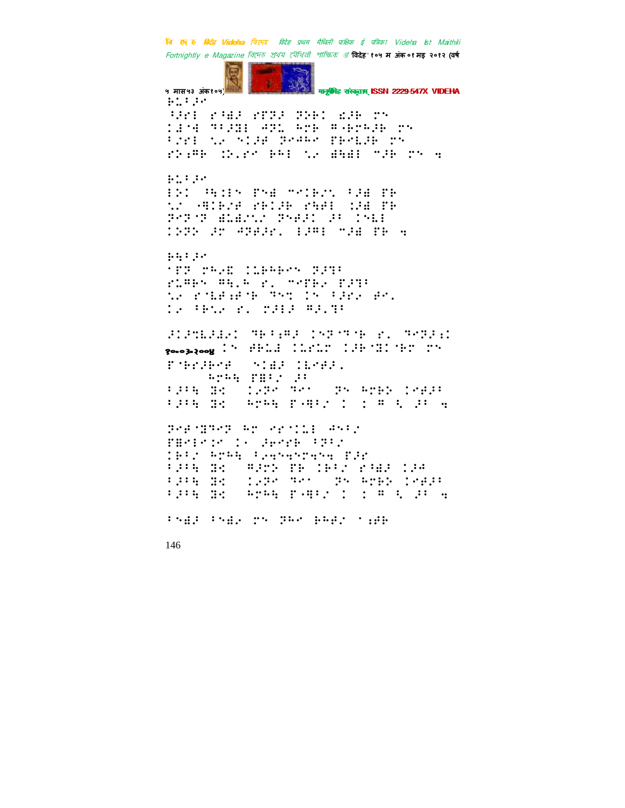Fortnightly e Magazine রিদেহ প্রথম মৌথিনী পাক্ষিক প্র **বিदेह १०५ म अंक ०१ मइ २०१२ (वर्ष CONTRACTOR**  $\mathcal{G}$ ५ मास५३ अंक१०५) मानूबीनेह संस्कृताम् ISSN 2229-547X VIDEHA  $H = 1.14$ ART PART PER PRET RAFTY tare would app whe waggaze no the to when peaks packed by right clare by the deal with the s  $H = 1.14$ ESI RENES PSA MOTERN PRACTE tr (Albra della degli tid Te President Percentant 1939 3: A3832. 1381 538 36 4  $1.1.11$ 100 mai 11660 220 rumps major richter with na ang ang ing 18 (Palan. **CONTRACTO CONSTRUCTS** RIPROGRAM METHER INFORMENT COMPERI somogazoog : 7 FFL4 (LPLP 199 TR TR PP) rdezeke (1982-1982)<br>- ApAg resz (8)<br>Szog de (1988-1981-198 ApAg 1982) FREE BECOMES PHRISTICS ROLLING 36813963 RP 681111 AND FBSPORT IS PESSED FROM (B) Schel Caracter PP ting og Taleb en 1652 blev 124.<br>Fing og Tilbe av Tom Aens 1982. FRANCISCO (AMAG) PARTICULO (FOR ALGEN A regramge po par page equa

बि एक रु मिनेड Videha विएक विदेह प्रथम मैथिली पाक्षिक ई पत्रिका Videha Ist Maithili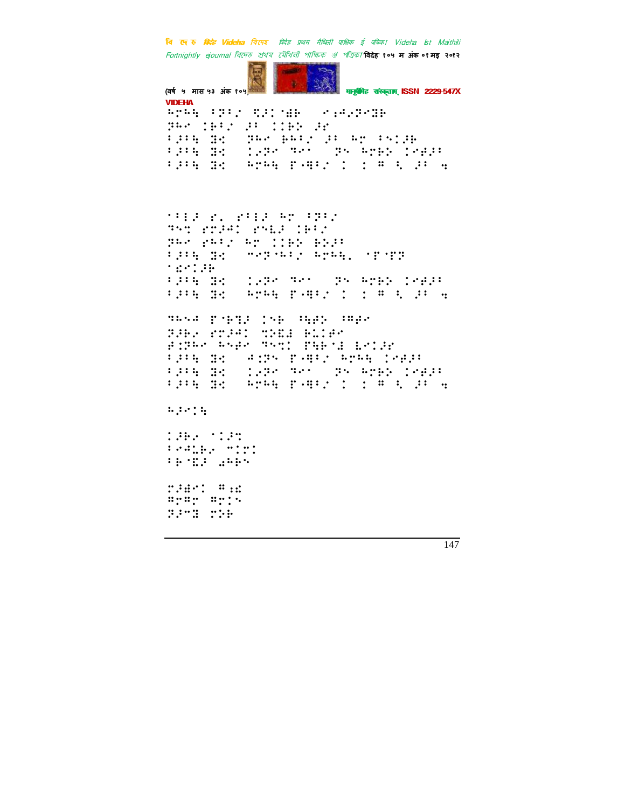बि एक रु मिनेड Videha विएक विदेह प्रथम मैथिली पाक्षिक ई पत्रिका Videha Ist Maithili Fortnightly ejournal রিদেত প্রথম মৌথিনী পাক্ষিক প্রা পত্রিকা' **বিदेह' १०५ म अंक ०१ मड़ २०१२** 



**PRACING AND INCOME** 1915–181 – Persentz Stoar (1819)<br>1915–181 – 1928 Jahr John Arab (1889) FPR 36 APRE FREE 1 1 8 5 9 9 9

**MED R. PHO RT FREE** The Primi Phili (Bir PHP 2812 RT 1185 BBP **FOR SECONDENTS ANALL SESPE SEPTER** FRANCE CORPORATION AND CHARA FRANCIS (AMAR) PARTICLE EN LOREN

ster paper (sp. ng) sage PARA KOARD SANG RIDAY<br>Address real send particular PROBLEM SPORT PORT PERMITTED the Boother art and which head FRA BE ANAL PHEN I I R E R A

 $3.33333$ 

**VIDEHA** 

1282-1123 Peangle Stri **PERMIT SERVICE** 

raan #a spap spin 3253 SSP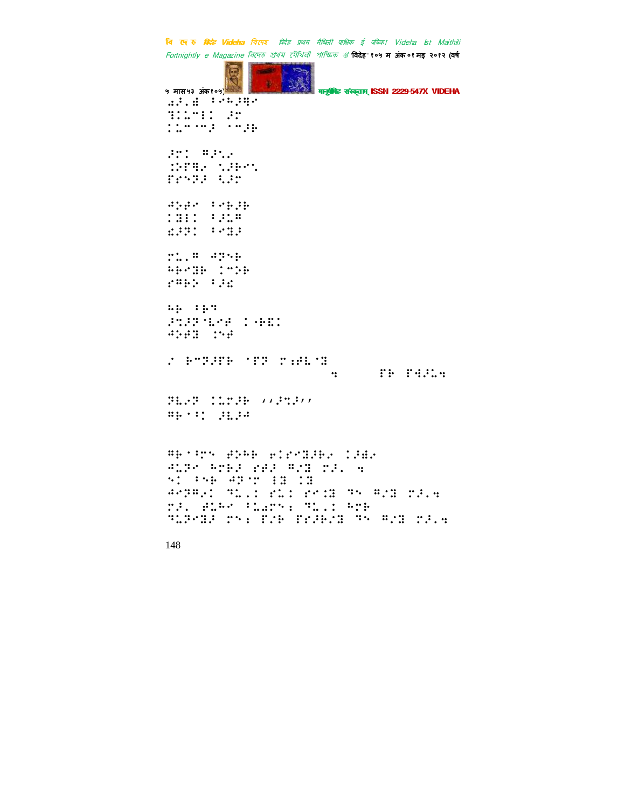```
चि एत् रू मिन्हे Videha निएन्थ विदेह प्रथम मैथिली पाक्षिक ई पत्रिका Videha Ist Maithili
Fortnightly e Magazine বিদেত প্ৰথম মৌথিনী পাক্ষিক প্ৰ'বিदेह'१०५ म अंक०१ मइ २०१२ (वर्ष
                    CONTRACTOR
५ मास५३ अंक१०५) मान<sup>9</sup> मानुभिट संस्कृतम् ISSN 2229-547X VIDEHA
⣔⢼E⣞!A⢳⢼⣛!
⣙⣅^2!⢼!
\left(\begin{array}{ccc} 1 & 0 & 0 \\ 0 & 0 & 0 \end{array}\right)\mathcal{L} \mathcal{L} \mathcal{L} \mathcal{L} \mathcal{L} \mathcal{L} \mathcal{L} \mathcal{L} \mathcal{L} \mathcal{L}⣈⢵/⣛⢴!⣁⢼⢷⣁!
/⢽⢼!⣃⢼!
⢺⢵⢾!A⢷⢼⢷!
2020 2021
⣎⢼⢽!A⣝⢼!
⣅E⢻!⢺⢽⢷!
WEENER CONFINE
⢻⢷⢵!A⢼⣎!
\mathbf{a} \mathbf{b} \mathbf{a} \mathbf{b} \mathbf{a}⢼⣉⢼⢽⣇⢾!B⢷⣏!
⢺⢵⢾⣝!⣈⢾!}!
1!⢷^⢽⢼/⢷!/⢽!⣐⢾⣇⣝!
                                  hhbkfoesbAwjefib⣒dpn!/⢷!/⣚⢼⣅⣒!!
⢽⣇⢴⢽!⣅⢼⢷!''⢼⣉⢼''
⢻⢷⢸!⢼⣇⢼⢺!
⢻⢷⢸!⢾⢵⢳⢷!⢶⣝⢼⢷⢴!⢼⣞⢴!
⢺⣅⢽!⢳⢷⢼!⢾⢼!⢻1⣝!⢼E!⣒!
\frac{1}{2} . The \frac{1}{2} \frac{1}{2} . The \frac{1}{2}⢺⢽⢻⢴!⢹⣅⣀⣈.⣅⣈!⣈⣝!⢹!⢻1⣝!⢼E⣒!
⢼E!⢾⣅⢳!A⣅⣔⣐!⢹⣅⣀⣈!⢳⢷-!
⢹⣅⢽⣝⢼!⣐!/1⢷!/⢼⢷1⣝!⢹!⢻1⣝!⢼E⣒!
```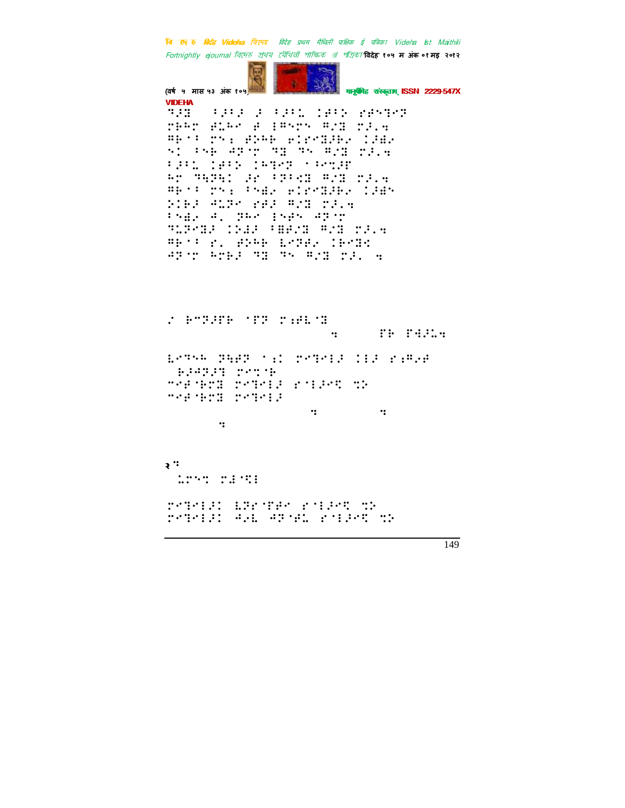चि एत् रू मिन्हे Videha निएन्थ विदेह प्रथम मैथिली पाक्षिक ई पत्रिका Videha Ist Maithili Fortnightly ejournal -  -  'वदेह' १०५ म अंक ०१मइ २०१२



VIDEHA

⢹⢼⣝-!A⢼A⢼!⢼!A⢼A⣅!⢾A⢵!⢾⣙⢽-!  $T$  :  $F$  :  $F$  :  $F$  :  $F$  :  $F$  :  $F$  :  $F$  :  $F$  :  $F$  :  $F$  :  $F$  :  $F$  :  $F$  :  $F$  :  $F$  :  $F$  :  $F$  :  $F$  :  $F$  :  $F$  :  $F$  :  $F$  :  $F$  :  $F$  :  $F$  :  $F$  :  $F$  :  $F$  :  $F$  :  $F$  :  $F$  :  $F$  :  $F$  :  $F$  :  $F$  :  $F$  : ⢻⢷⢸!⣐!⢾⢵⢳⢷!⢶⣝⢼⢷⢴!⢼⣞⢴-!  $\overline{A}$  , and  $\overline{A}$  , and  $\overline{A}$  is the set of  $\overline{A}$ ARA ARA ARA ARA ⢳!⢹⣓⢽⣓!⢼!A⢽A⣊⣝!⢻1⣝!⢼E⣒! ⢻⢷⢸!⣐!A⣞⢴!⢶⣝⢼⢷⢴!⢼⣞-! ⢵⢷⢼!⢺⣅⢽!⢾⢼!⢻1⣝!⢼E⣒! Andrew Park (1985-42) ⢹⣅⢽⣝⢼!⢵⣜⢼!A⣟⢾1⣝!⢻1⣝!⢼E⣒! ⢻⢷⢸!E!⢾⢵⢳⢷!⣇⢽⢾⢴!⢷⣝⣊-! **WE'LL NOTE: THE THE WALL THAT THE SECOND THAT THE SECOND INCOME.** 

1!⢷^⢽⢼/⢷!/⢽!⣐⢾⣇⣝! hhbkfoesbAwjefib⣒dpn!/⢷!/⣚⢼⣅⣒!! ⣇⢹⢳!⢽⣓⢾⢽!⣐!⣙2⢼!2⢼!⣐⢻⢴⢾! !⢷⢼⢺⢽⢼⣙!⣉⢷! ^⢾⢷⣝!⣙2⢼!2⢼⣋!⣉⢵!  $"$ )iuuqt;00tjuftigta dhpphmfdpn0b0w jefib.dpn0wjefib.qbjoujoht.com २ " 120121 2022  $2^{\circ}$  2010 12: 2010 12: 2010 12: 2010 12: 2010 12: 2010 12: 2010 12: 2010 12: 20

 $2^{\circ}$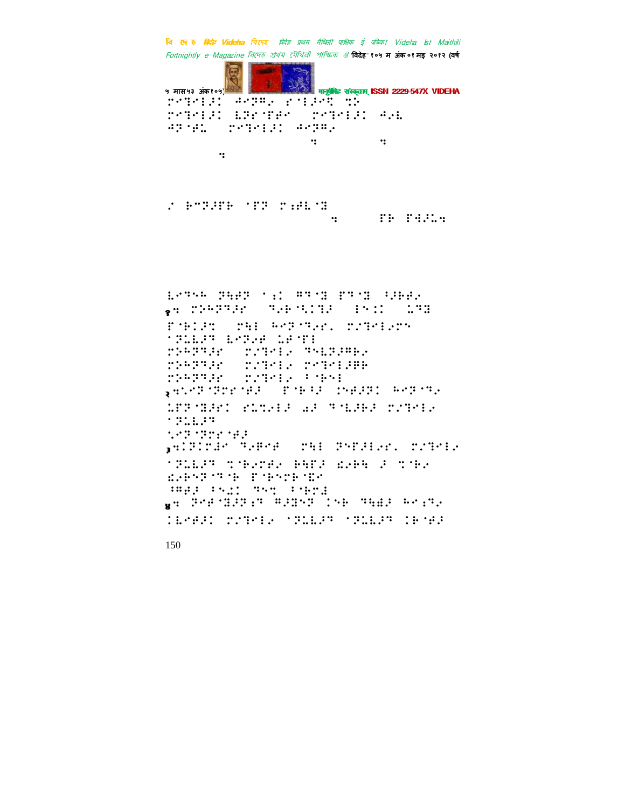चि एत् रू मिन्हे Videha निएन्थ विदेह प्रथम मैथिली पाक्षिक ई पत्रिका Videha Ist Maithili Fortnightly e Magazine বিদেত প্ৰথম মৌথিনী পাক্ষিক প্ৰ**'বিदेह'१०५ म अंक०१ मइ २०१२ (वर्ष** ५ मास५३ अंक१०५) मानुसार संस्कृताम् ISSN 2229-547X VIDEHA  $2^{\circ}$ ⣙2⢼!⣇⢽/⢾0!⣙2⢼!⢺⢴⣇! ⢺⢽⢾⣅0!⣙2⢼!⢺⢽⢻⢴!! )iuuqt;00tjuftigta dipnobow (10th phmf dpn0bow) jefib.dpn0wjefib.qbjoujoht.com 1!⢷^⢽⢼/⢷!/⢽!⣐⢾⣇⣝!  $\mathbf{h}$  is a second point  $\mathbf{h}$  is a second point  $\mathbf{h}$ 

⣇⢹⢳!⢽⣓⢾⢽!⣐!⢻⢹⣝./⢹⣝!⢸⢼⢷⢾⢴! १⣒!⢵⢳⢽⢹⢼!)⢹⢴⢷⣃⣙⢼\*;2⣈;!⣅⢹⣝! /⢷⢼⣉!)⣓2!⢳⢽⢹⢴E!1⣙2⢴! ⢽⣅⣇⢼⢹!⣇⢽⢴⢾!⣅⢾/2\*! ⢵⢳⢽⢹⢼!)1⣙2⢴.⢹⣇⢽⢼⢻⢷⢴\*! ⢵⢳⢽⢹⢼!)1⣙2⢴.⣙2⢼⢿⢷\*! ⢵⢳⢽⢹⢼!)1⣙2⢴.A⢷2\*! २⣒⣁⢽⢽⢾⢼.!/⢷⢸⢼!⣈⢾⢼⢽!⢳⢽⢹⢴! ⣅/⢽⣝⢼!⣅⣉⢴2⢼!⣔⢼!⢹⣇⢼⢷⢼!1⣙2⢴! ⢽⣅⣇⢼⢹!! ⣁⢽⢽⢾⢼! ३⣒⢽⣜!⢹⢴⢿⢾!)⣓2!⢽/⢼2⢴E!1⣙2⢴! ⢽⣅⣇⢼⢹!⣉⢷⢴⢾⢴!⢷⣓/⢼!⣎⢴⢷⣓!⢼!⣉⢷⢴! ⣎⢴⢷⢽⢹⢷!/⢷⢷⣏\*! WEEN THAT A THE  $\frac{1}{8}$ े. प्रत्य चार्टिंग प्रत्य चार्टिंग प्रत्य चार्टिंग प्रत्य चार्टिंग प्रत्य चार्टिंग प्रत्य चार्टिंग प्र ⣇⢾⢼!1⣙2⢴!⢽⣅⣇⢼⢹!⢽⣅⣇⢼⢹!⢷⢾⢼!!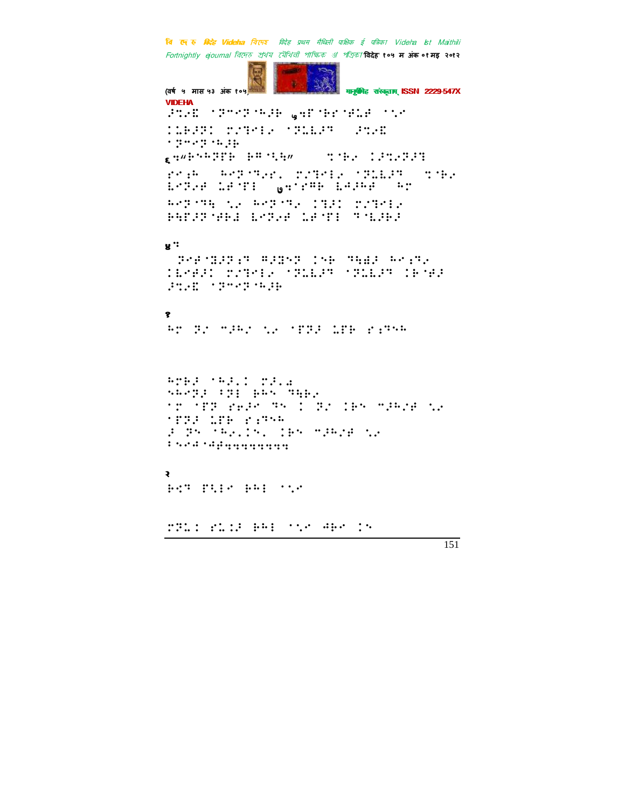बि एक रु मिनेड Videha विएक विदेह प्रथम मैथिली पाक्षिक ई पत्रिका Videha Ist Maithili Fortnightly ejournal রিদেত প্রথম মৌথিরী পাক্ষিক প্রা পত্রিকা **বিবৈদ্ধ ২০৭ দ अঁক ০१ मइ २०१२** 

**Country** ×, (वर्ष ५ मास ५३ अंक १०५) मानूबीह संस्कृताम् ISSN 2229-547X **VIDEHA** POSE (Proposes generate the  $+39.23334141$ ESPORTE ERSEM - TOEN LETHER real actual prior (SILP) the ESPAR LESTE GATEME ERRE SP Argena to Argena (1921 podrio SACRAMENT STRENGTH TEACH  $\mathbf{g}$   $\mathbf{H}$ SPARENT WHEN INFORMATION **CERECO STREET PRODUCTS CERECO** 2020 130231928 Professional State Creations ana (ali mali<br>Savoj (ali ali mali trong read my points there we

1932 MP 31755 FURNISHERS IN THE MEDICAL **CAPAPEGGGGGGGGG** 

₹ Ben Pile Bal tie

 $\mathbf{S}$ 

TRICKLY PHE MASSER IN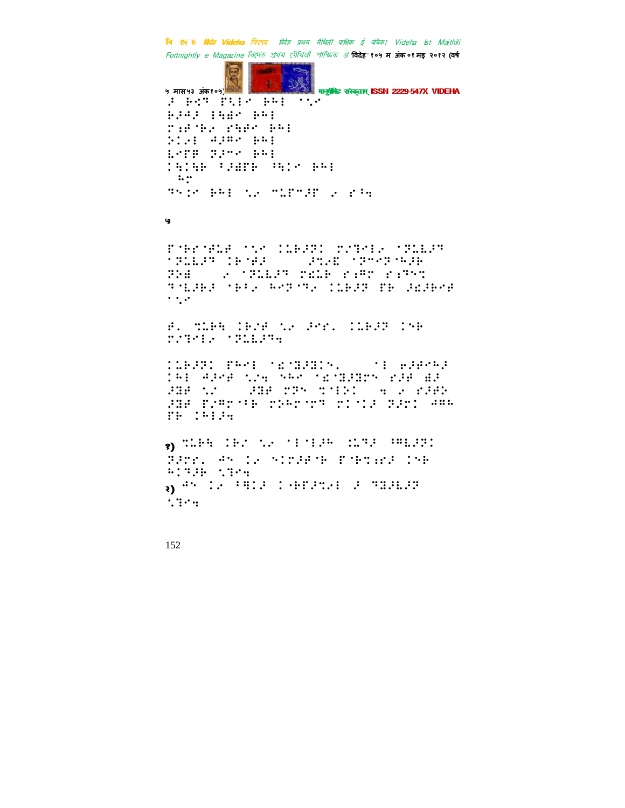

।<br>अन्य अनुभीत संस्कृतम् ISSN 2229-547X VIDEHA ५ मास५३ अंक१०५) F BAT THE BHI TIM **BOOK CONSTRUCT** rathe rare pa: **BISE SPRAGES** Lepp pres par **:4:40 FRAME REF 841**  $\ddot{\cdot}$ State BRI to minute a rig

يا

Esternelle (niv. 11892) pictere (12189)<br>Schlage (1879) – (1918) schedunge PRESS & SPLEP PELES KIPP KIPPS THERE YEAR WATER CORPORATIONS  $\cdot$  .

B. MIRR CROB NA SMAL CIRSO CMR retria (Thirty)

ILBURI PRODOKORUS, COOR BUROR.<br>1917–9108 Nick Sportschauser Bur **Simple Section** PHE NAME PHASE TO PROVIDE A SERVICE FOR TIPE OF THE THE TIME TO SPECIAL FF 18134

 $_{3}$  these per the specific maps compared FRIED AN IS NICREAR PARTIES INF  $117771 - 17774$  $_{\rm 3)}$  and is selected to make  $\mathcal{L}$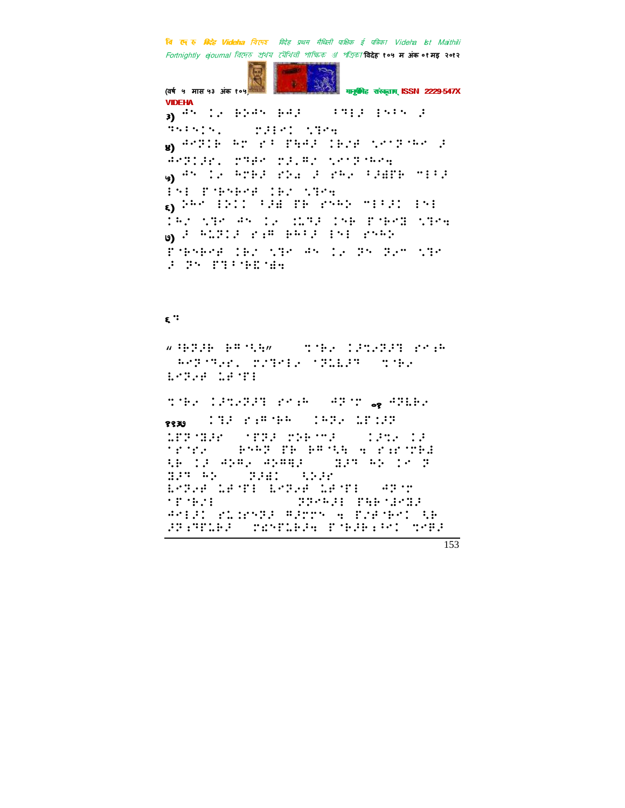बि एक रु मिनेट Videha विएक विदेह प्रथम मैथिली पाक्षिक ई पत्रिका Videha Ist Maithili Fortnightly ejournal রিদেত প্রথম মৌথিরী পাক্ষিক প্রা পত্রিকা **বিবৈদ্ধ ২০৭ দ अঁক ০१ मइ २०१२** 

ाना है।<br>अपनी पानुभीत संस्कृतम् ISSN 2229-547X (वर्ष ५ मास ५३ अंक १०५)  $\mathbf{a}$  and the Branchard coordinate respective

 $\begin{tabular}{ll} \multicolumn{2}{l}{{\color{red}\hbox{}}}\end{tabular} \begin{tabular}{ll} \multicolumn{2}{l}{\color{blue}\hbox{}}\end{tabular} \begin{tabular}{ll} \multicolumn{2}{l}{\color{blue}\hbox{}}\end{tabular} \begin{tabular}{ll} \multicolumn{2}{l}{\color{blue}\hbox{}}\end{tabular} \begin{tabular}{ll} \multicolumn{2}{l}{\color{blue}\hbox{}}\end{tabular} \begin{tabular}{ll} \multicolumn{2}{l}{\color{blue}\hbox{}}\end{tabular} \begin{tabular}{ll} \multicolumn{2}{l}{\color{blue}\hbox{}}\$  $25.15151$ s estimat en si pael lava verties la AMPIREL TRACTALES SMORTHER w #5 le AMBS PDA 3 PAR FSAMB MIFS ESE POPSPOR IRS STOR a Per Brit Cha Th reer mich 191 TRACKTROOM IS ALTA INFORMATION STRAC 

ESPARAR DRAMATA ANNON PNORPHONTA **F 25 FRIDE WAY** 

## $\epsilon$  "

**VIDEHA** 

where  $\mathbb{R}^n$  the state of the letter  $\mathbb{R}^n$  and  $\mathbb{R}^n$ **APPIRES TERMIN MELLER STAR** ESTAR LANTE

nde laneza presidente <sub>s</sub>oziel

ggm (TR rifter 1978 LEDF STRADEN STRAUSBEAR (1982-19 **AND THANGE A PROTE Sanda** Sanda **SE 13 AND ANNUAL SERVICES**  $223 - 42$ **STATE: STATE** ESTA LESTI LSTAR LESTI (APST 181923 press: particip Anial Plochia Aarry & Prement Ge **TEMPLESH PORSESSIONS 22:301252**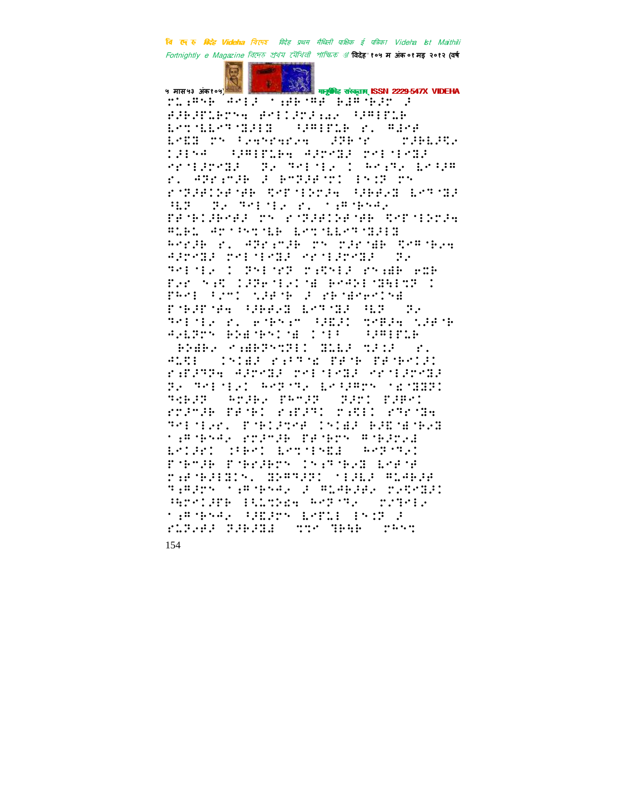

५ मास५३ अंक१०५) समिति हो गानुब्रीह संस्कृतम् ISSN 2229-547X VIDEHA righth <sup>C</sup>avid (1961-46) 618 922 d BREELEYS POLITIC SPEECH Estallentilis (1911) (1911) EMER TH Pennsylva (SPP) (TPEST) **TAINA - GARISLEA AAPADI TAINIADA** RESERVED ON THESE CONSTRUCTION r. Alberta a Briando Erol dr rithing the territorial times betime HER THE THE HIS STATE TENNIS PACELIBARA TO TORRESTATE RAPORTE **WIEL STARTED BOTTERY WHIT** Replace of Adeleria processes and the spa APPARE PAPINEARE APPREMENT IN THE MEAN OF THE MOTOR PRESENTED WITH Far Sit (226-121-1 63421-181112) PROFINSOR WEB 2 PROPOSE remes und bevol up to THE REAL POST PROCEDURE NAME RALETY BRENDAL LOBACT  $\frac{1}{2}$   $\frac{1}{2}$   $\frac{1}{2}$   $\frac{1}{2}$   $\frac{1}{2}$   $\frac{1}{2}$   $\frac{1}{2}$   $\frac{1}{2}$   $\frac{1}{2}$   $\frac{1}{2}$ BRANK MARRYMAN ALLE MAIR (2) ALTER CALLEY FIRMS TEMP TEMPERI rangsa agrega religeda erigreda Be mented before between chinos **SEPT PREMI** SHAR WEAR TWEE rofolk feder rafet candidate recom-**Teled for Process India background TARABARA PERPERTENDAN RABEDAD** ESTAND MARK ESTMARE SPORT PORTABLE THRAGGE IN PORTGABLE REFOR rafdalmis, mesaar (lau) elekap TARITY SAMPLE I RIAGING TERRIS Bergin Block With contri **SPORT UEDS ETH IST P** <u>Sussignations the There chan</u>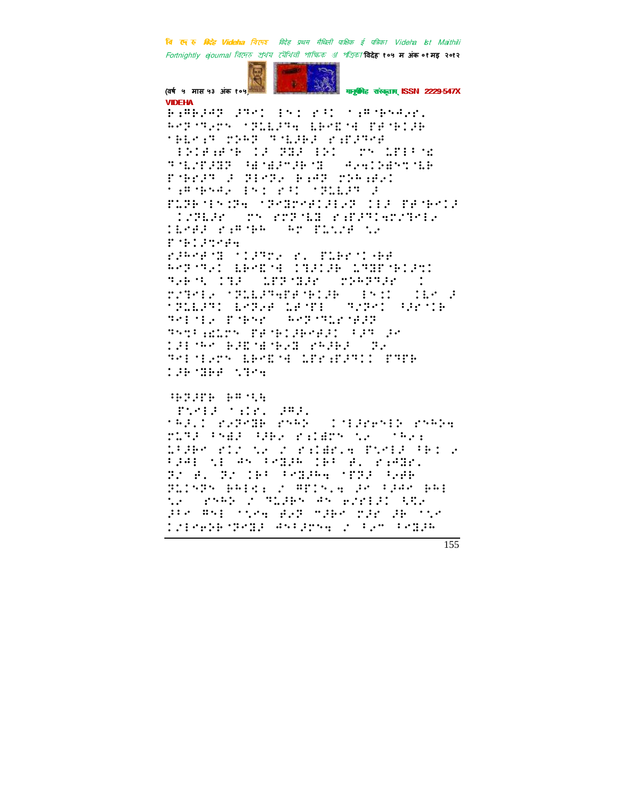बि एक रु मिनेट Videha विएक विदेह प्रथम मैथिली पाक्षिक ई पत्रिका Videha Ist Maithili Fortnightly ejournal রিদেত শ্রথম মৌথিনী পাক্ষিক প্রাণবিলিক বা স্বার্ক ১৭ মন্ত ২০৭২



मानूबीह संस्कृताम् ISSN 2229-547X

(वर्ष ५ मास ५३ अंक १०५) **VIDEHA** 

BARBAR ARMI ESI KRISTARYANAN PORTROY TRIERES EPODE FRONT **MERGE MARKETILER FRIEDE** INDEPENDENTED IN THE WE **THE STATE AND SERVICE SERVICES** rner a mema kem cheel: namieska (est rit izbūdim d FLAR MOSTAGE STREETHER IN THE BROOK **TYRES ON PTPAR PERSONIFIC** TERRI KANSAN (AM PILLAR LA POBLETOR: ramens (1955) r. Sibrolem Report when A ThatAP chargetan **RAPS ON APPEAL SAPPAR**  $\ddot{\cdot}$ rzhob (Sibranegrik) byl (byl a <u>trime meneciento pred</u>  $\mathcal{C} = \{ \mathcal{I} \mathcal{I} \mathcal{I} \mathcal{I} \mathcal{I} \mathcal{I} \mathcal{I} \}$ THE SEAL PORTS CONTROLLED AND This Actor Packinshers (2002) **13: 50 BACK STATES STATES** THE MEAN ABAND MAN AND HIMPER STREET **CONSTRACTOR WEIGHT WAY** 

TOMA SERVICE. **TRAVI PARTHE PART (INFARMED PARTH** MIRE PARE REPORTED NATURAL DRARY BOOK NO SCREEDE POPER RECOR F241 N1 45 FPB28 185 B. F.HBF. BY B. BY IBF FREEH MERP RAB BLINGS BREEKEN MEISIN DR FORM BRE tro reed romages as errigiously PPS #5: TOSE RAT TRES TRE PE TOS ISPAND TREP ANDERSO IS DEMORPED.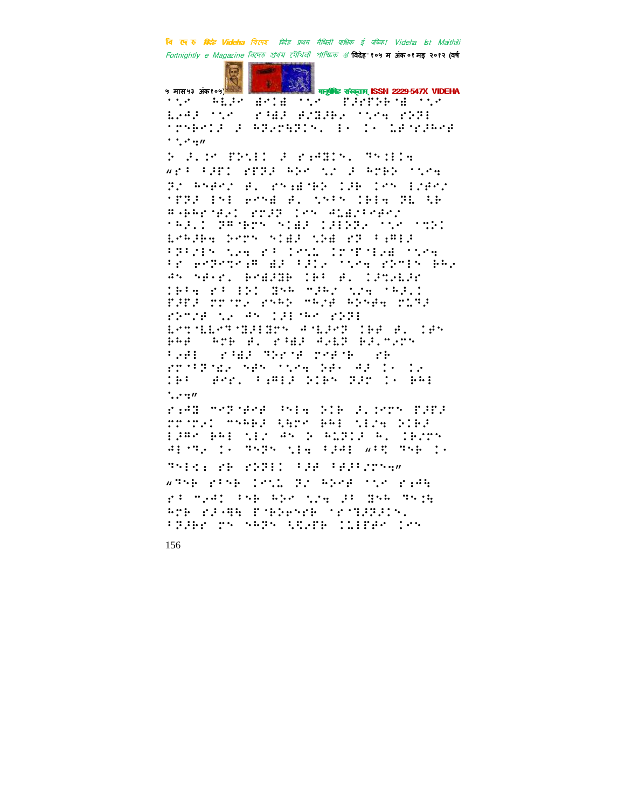

**AND STREET SERVICES AND STREET AND STREET AND STREET AND STREET AND STREET AND STREET AND STREET AND STREET AND STREET AND STREET AND STREET AND STREET AND STREET AND STREET AND STREET AND STREET AND STREET AND STREET AND** ५ मास५३ अंक१०५) tion (ALP) and cover freezhoar tin LAGE TO START BOILER TOOK POPE transfer a Advrages, as is the reason  $\cdot \cdot \cdot \cdot \cdot$ 

S Riv DMID Premis, Thile writer: reduced the control to the control Briganer B. Predmer 198 198 Brene MPRE 151 este el toto Cele PL AB # GREAT GALL AND TO SALE AND SEAT **TREST PROPOSITE SEEDED TO TOO** Eswiga Serr Staff Champs (2011) FRIDEN NAMES FOR STANDARD STATE tr especial di title cisa ristà Bal 45 SPEC PRESENTED B. CATALAR 1954 FF 101 BMA MPAC NOW TAR.1 FREE TO THE PARK MADE ANNEW TITE FROM NATURAL COMPANY FROM Estimation denotes a diese che al cons PRE PRESENTED ANLE PRIMIN' tid: rus ment reform  $\cdot$  : :  $\cdot$ rrother are steelder all in th IP (Provided SIP 33 (PP)  $\cdot \cdot \cdot \cdot$ 

rag mgagap si bib litro fiti rroral magga terk ege vere blet ESPACERE NEW ANCYCROBISCH, IBMM spendid to neperting the sum of nep to

This: PH PDFII FRE FREEZONAW while ring critical and a critical right. r: 5241 (156 428 124 3) 354 7536 ATE PLANE PORTHOL OPOINING PRINT TO SATO REATH TEITHE TEST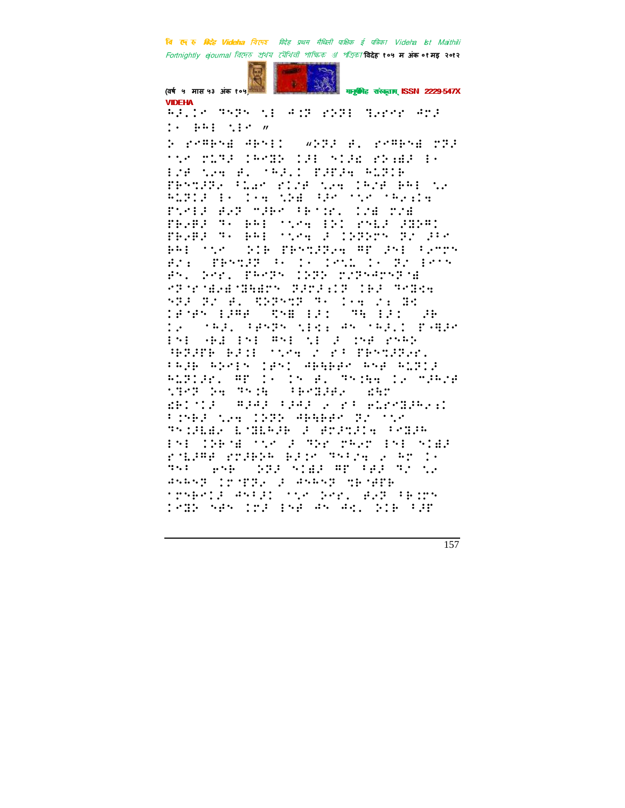बि एक रु मिनेट Videha विएक विदेह प्रथम मैथिली पाक्षिक ई पत्रिका Videha Ist Maithili Fortnightly ejournal রিদেত প্রথম মৌথিনী পাক্ষিক প্রা পত্রিকা' **বিदेह' १०५ म अंक ०१ मड़ २०१२** 



(वर्ष ५ मास ५३ अंक १०५)

मानूबीह संस्कृताम् ISSN 2229-547X

**VIDEHA** APIDE TERR ON WHIP PARE THREE WORK  $\ddots$   $\ddots$   $\ddots$   $\ddots$   $\ddots$ 

1 Promishi Absil **WASE A. PROPERTY** the ping teems the star right is EVA NAM AL MARII BREAM ALBIB PROSPECTING STAR CHRISTER RADIOS RUBIS EX LAN NEW SPOONS CRAINER Pires Alp make skript the pre PROBLEM PRICING INTOXICATION PRARA TO RAI STAN 2 INRNY RA ARA PHI MA SIR TRANSPAR WE SAE FROM and (Persag Production) and arriv<br>are brev pergy dogs shapped a Kristed Service: Strain Service she al el massa di 114 de as 19595 1988 - 558 1917 - 568 1917 - 56  $\mathcal{L}^{\mathcal{A}}\left(\mathcal{A},\mathcal{B},\mathcal{B}\right)=\mathcal{L}^{\mathcal{A}}\left(\mathcal{B},\mathcal{B}\right)=\mathcal{L}^{\mathcal{A}}\left(\mathcal{A},\mathcal{B}\right)=\mathcal{L}^{\mathcal{A}}\left(\mathcal{B},\mathcal{B}\right)=\mathcal{L}^{\mathcal{A}}\left(\mathcal{B},\mathcal{B}\right)=\mathcal{L}^{\mathcal{A}}\left(\mathcal{B}\right)=\mathcal{L}^{\mathcal{A}}\left(\mathcal{B}\right)=\mathcal{L}^{\mathcal{A}}\left(\mathcal{B}\right)=$  $\ddots$ ENE HA ENE PNE NE 2 1NF 2NP2 HRATE EASE STAR 2 PP TESTARY. tage absent cent apapes and alply ALTIMA AT IS IN B. Thing IS MARCH the best will seemed and ERINIA (APAR PRAF 2 PT PLPMIAR): Pinel New 1988 ABBBA SI TIM Thiller Englage 2 Arguaia (2018) ESE CORTE TOT 2 MORT TRAT ESE SIER righe rodes else maine a and mer (and ) bus nigs musical mode ANANG IPAPEK 2 ANANG MENEPE STARTE ANGEL SIM DAY, RAT FROM 1985 SAS 193 15A 45 46. 51B FAR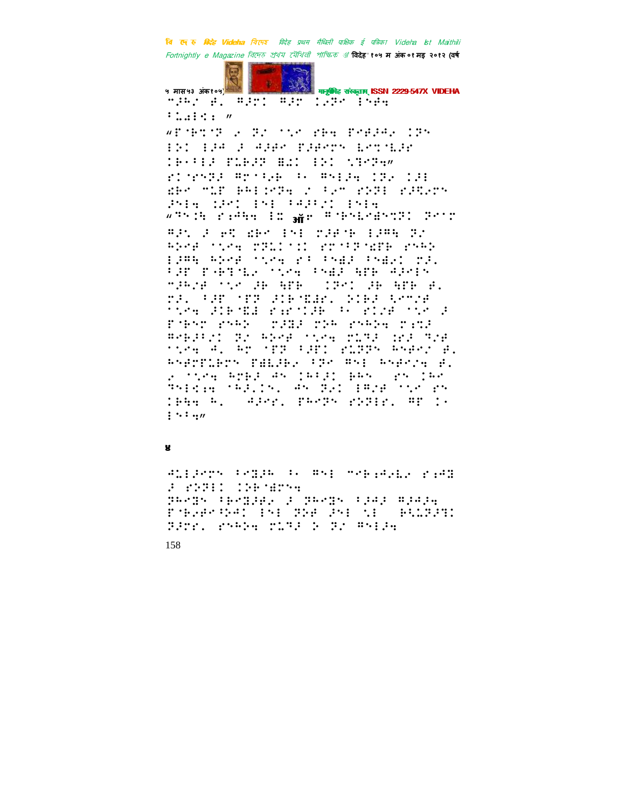

५ मास५३ अंक१०५) मानुब्रीह संस्कृतम् ISSN 2229-547X VIDEHA mako el Aaro Aar 1286 lñeg  $\frac{1}{2}$   $\ldots$   $\frac{1}{2}$   $\frac{1}{2}$   $\ldots$   $\frac{1}{2}$ 

WPOPSOR RECOVER PREPRESENTS DS 194 F 4945 PRAST LOTER **CHARGE TIMES HAT IS STATED** rinner Worke (6 Weigh 19201) ERS MIT RAINSTALL FOR ENTILEPTING Pia del 151 (482) 1514 wshib right is we shouldnote this

PAN A PROGRAM ESE CARDE EAPRORA REAR TO AN UPDICTIL POSTPORTE PORC PARE REMARKSHER PRESS PRESS MAL FURNITURE TO THE STATE SERIES make the about class and el MAY FAR TER AIRTEAN, SIRA RETAR ting Siede rachen Gostentin S **12333 224 25424 2323** Poble ribb Beegs of the speed them with the the tive al ar tro tori cidok Adavia. RSAMMINS PALORA (PR ASI RSAMA) A. a nika Area As (Afai eAs an Car Republika Partish and Buildings (1991) and THE A. APAY TACK MATER AT IN  $\cdots$ 

 $\mathbf{z}$ 

ALIASTS PRIPR PROPERTYPED AND PART **SACRED CHANGERS** PRODUCERSINA I PRODUCENT RIAIN PORTHOLOGY PRESS PHONE (PLIPER) Barr, ready ring & Br #eigy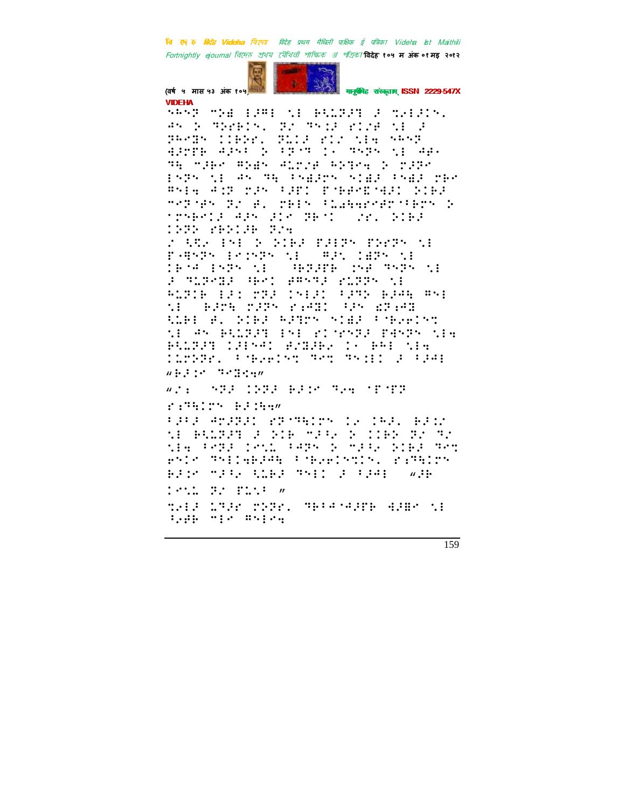बि एक रु मिनेट Videha विएक विदेह प्रथम मैथिली पाक्षिक ई पत्रिका Videha Ist Maithili Fortnightly ejournal রিদেত প্রথম মৌথিনী পাক্ষিক প্রা পত্রিকা' **বিदेह' १०५ म अंक ०१ मड़ २०१२** 



```
(वर्ष ५ मास ५३ अंक १०५)
```
मानुब्रीह संस्कृतम् ISSN 2229-547X

**VIDEHA** SASE MEETIHE SE BRIEFE F MAERIN. 85 2 TERRIS 22 TSIR RIZE 51 2 FLIP FIR ME SPSP Perso libbe, PLIP els via opor.<br>APPE APO 5 FPS (2) Topo vi Ap Th wile films first fifte i gift PARK NE AN THE PABRON NIBR PABR THO Principally the Curt Pomperant Cime medinary discussions in the statement of Erry (2) respect are given prod **Carlo Step 1989 PDF18 B24** 2 ARA INI 2 2163 PAIRN PREPN NI PHPPS ESPERANT ARM TERSAI 1878 (595 M) (89386 MB 7595 M) F MIPHER HAT BRANE RIPPA ME 81318 | 121 | 232 | 1312 | 1332 | 8346 | 831 **11 FRTH MIRT FIRIT**  $\mathbb{R}^n$   $\mathbb{R}^n$   $\mathbb{R}^n$ tie: el biel blund sigl (deleist ME AN BALEAT ENE FINENEA PANEN MEW BRIDGE CHARL BRIDGE CHARL REAL 112592. FdF28153 983 95311 2 F241 wells Select wi: SH: MILLER BASE TAN TETP ringer alone FREE AMPRES ARMANING IN IAP. BRID ME PAIRER & DIR MARK DOCIED BY TH the Performance Performance Simple Res FSIC TSELARING CORPORATION FITHING Bir will the mail a tam  $\mathbf{u}$ : ISTA BE FACE W 1212 1328 1228. SHARAMARK 4286 13<br>Juak sin shina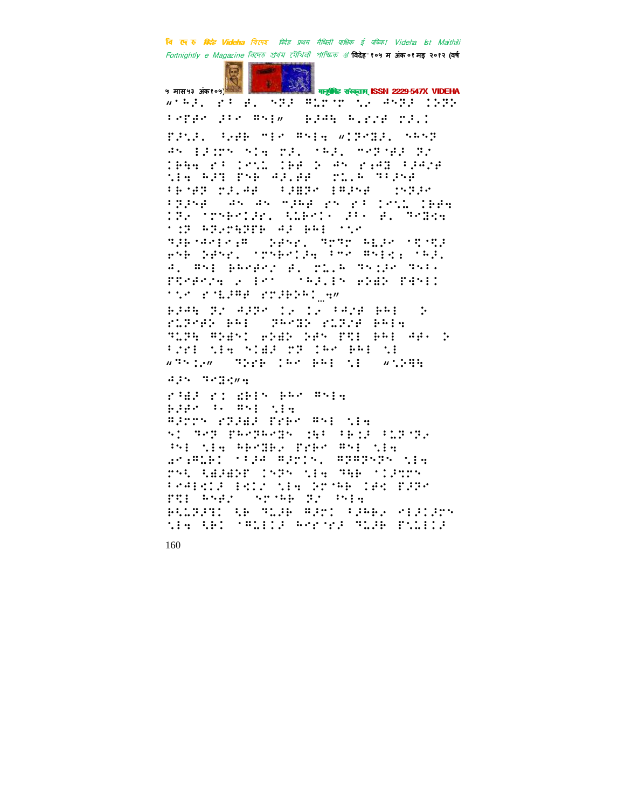

wiki ri A. STE ALTY 1. ASTE 1990 Perge die msiw (Bdg) Alrie rich FRONT GARE TER WARE WITHIN, SAST AN EPICN NIA CEL TAPL CHRIME BI THA 23 INI INF 2 AN 23AB 32AZA the APT PAR APLAR ( MILA SPPAR PENB MAGH (PUBP) BRAH (MBA) PERSONAL AN AN STAR PROPERTYPED TRAG 192 kryentar, Azênik din G.Christ \* :3 ASSMARE AF BAI 155 SPENANINGS (PRNE, STORY REPORTS) enb Send, confecie for Which chi. a, and beneficial polis mnight made<br>Profolm leader (1921) habit P4511 the rollege rollers.... BJAG 31 AJSK 12 12 FAMB BAD  $\ddot{\cdot}$ PLOPER BAIL ORPHE PLOPE BAIR TITE WEEK! WEEK SAN TII BAI AAN S

Frei die Stal zu der Bei di **THE INCHER SEARCH** w ∵∴ :..*w* 

 $\mathcal{A}(\mathbb{R}^n) = \mathbb{R}^n \times \mathbb{R}^n \times \mathbb{R}^n \times \mathbb{R}^n.$ 

rus ri del Gar ann a **BEF : "THE SER** BRTT FRAME TERM BYE MER s: Tep paepaens (a) (a) (a) (dr. 5 PH SEE PROBE BORO RNE SEE animan film manin, mamann nig PSE REPERT 1525 MEN THE SIPPLE Prefere ferr the Spoke cer fire FEE WHEN STORE TO PER PULPANI NE MLAR PAPI PAREZ PIAIAPS the ABI SALEDS ARREST RESERVEDS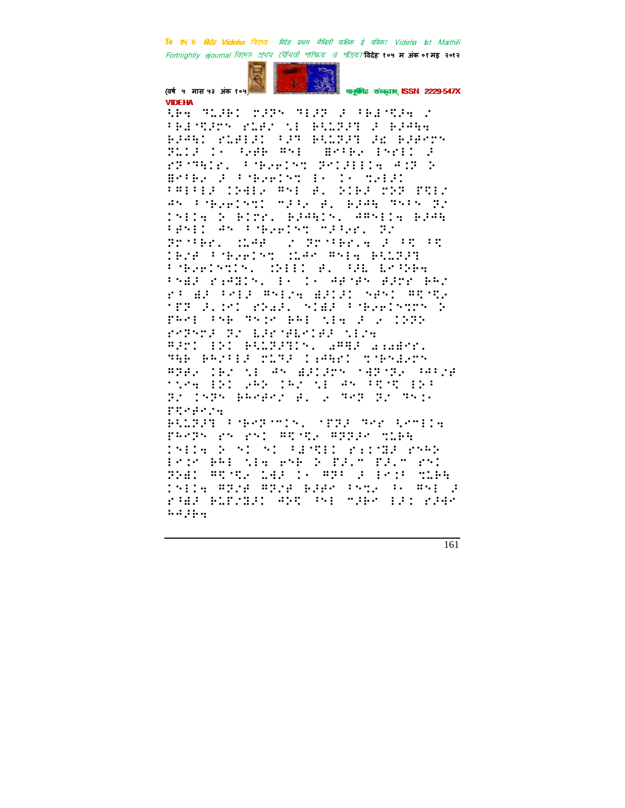बि एक रु मिनेट Videha विएक विदेह प्रथम मैथिली पाक्षिक ई पत्रिका Videha Ist Maithili Fortnightly ejournal রিদেত প্রথম মৌথিনী পাক্ষিক প্রা পত্রিকা' **বিदेह' १०५ म अंक ०१ मड़ २०१२** 



(वर्ष ५ मास ५३ अंक १०५) **VIDEHA** 

 $1.431...$ 

मानूबीह संस्कृतम् ISSN 2229-547X

the Midhi rdfs Midf & Chichola **TEAMERS RIAR NE BILBUR J BIGGA** 6381 MARIT 139 BILBIT 16 BIRYS **Brief Brill P** FROM EL PORTECT ROUBLES AND S Bries F Poesing Brite gall PAILE CHIP AND AL SIEP MSP PRIS An Pobleint made B. Bag Sharn B. India 2 Birr. BJAGIn, AAndia BJAG PRSED AS PORTER STORES TO Proter, 1898, 20Proter, 40P-3R-3R<br>1928 - Sevelon (1890-8514-951828) Presidente dell'avoire espera Pres raggin, in the graph agree and rt de trie mnich delel nanc monde the list shall that the checks PROF PAR Thin BRI NIA 3 & 1979 PARAME RO ESPARATES MEDA BRY: W. BLOCK. WHO andre. THE PESTIF TITL CIPANT TOPSISTS #Per Ter Si As Batars (AP)Pr (AP)re 1004 IN 245 IAN 01 45 FEM INF 32 1535 BROAD AL 2 303 32 3516 **PROBACH** BULBAN PORTS TO THE THE RESIDENCE PROPRIATE AND BECKER BEERS MINH 19814 S ST ST FEMRIC PAINER PARK Principal the energy film film and THI WORK INFORMATION IN THE 15114 ASZA ASZA BJAK (555) (6. ASI J

PART BIRTHER AND THE THET EFT PART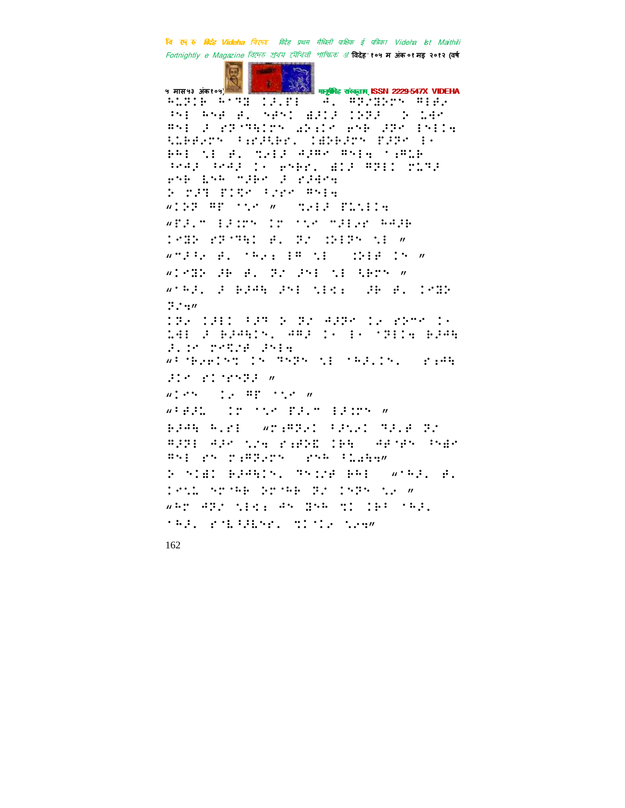

५ मास५३ अंक१०५) गानुबेदि संस्कृतम् ISSN 2229-547X VIDEHA ALTIB ATTO CELTI (A. ATCONS ALB. Pri Rre e, rer: Addi Chri ( Scier Bri 2 radiator and she 200 inits KLEEVIN FRYSLEY, THREPPN FRRM EX PRESENT WARD AND ANEW SHOP beag beag il anak, argument mimg PH 155 SPR P PRO S THE FIRE Free Weigh WIDE AF SAME WORLD FINISH WPP.H EP:nh In the MPP.Pr WAPP **MARK PROMISSION CONSUMING THE REAL PROPERTY OF SALE**  $\mathbf{w}^{\mathbf{a}}$  ,  $\mathbf{F}$  ,  $\mathbf{F}$  ,  $\mathbf{F}$  ,  $\mathbf{F}$  ,  $\mathbf{F}$  ,  $\mathbf{F}$  ,  $\mathbf{F}$  ,  $\mathbf{F}$  ,  $\mathbf{F}$  ,  $\mathbf{F}$  ,  $\mathbf{F}$  ,  $\mathbf{F}$  ,  $\mathbf{F}$  ,  $\mathbf{F}$  ,  $\mathbf{F}$  ,  $\mathbf{F}$  ,  $\mathbf{F}$  ,  $\mathbf{F}$  ,  $\mathbf{$ wird: Head, Brucht wielers w within a base and their about crop.  $\mathbb{R}^n$  and  $\mathbb{R}^n$ TRA TABI PART SURPLAARE TA SSTELT-191 2 BRAIN, ARE 16 16 MAILS BRAG F. M. MARYS Frie WE SEVERING CONCRETE SAFE OF FARLING CONSIST where the  $\mathbb{R}^n$  are the  $\mathbb{R}^n$ week in the Election w BJ45 R.F. WORREN FR.E. 78.8 R. #221 424 NPW PAPE CPR (48-48) PAR Bri gr gaBhan gro Clabas S STATE BRAGIN, THING BAIL WHAT, B. Tenn Spoke Spoke BrothBoone W WHO ARE NEWS AN BRACHE TERCORD. **TRESS PORTFRIENCE STOCK COMM**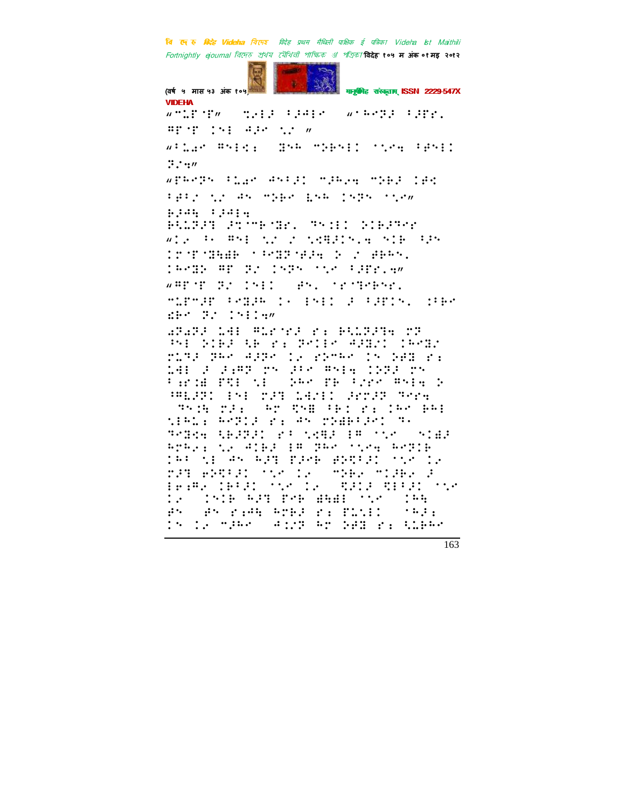बि एक रु मिनेट Videha विएक विदेह प्रथम मैथिली पाक्षिक ई पत्रिका Videha Ist Maithili Fortnightly ejournal রিদেত প্রথম মৌথিনী পাক্ষিক প্রা পত্রিকা**'বিব্রৈ' १०५ म अंक ०१ मइ २०१२** 



(वर्ष ५ मास ५३ अंक १०५) मानुब्रीह संस्कृतम् ISSN 2229-547X **VIDEHA** which the constitution of which is a state. **BP TO THE BEFORE W** wilde Ryfer (ByR SyByf) the PRYf!  $::::"$ wrache file asid: miale mial tac FREE OF AN THEY END INTO TOPS 1904 19014 BUSE STOREN TVILLENDEN WILL BE REPORT TO NORRISON WIRE BRY ITTEMBE TROPADE D'I BERS. TRANS WE BE TABLE that FREELAW WHENE BY INED COPN, CENTERPRY, MIMAR PARA IS BAIL A PARIN, MBA dist Br 1911am ASAS NA ANTER PROVINCIA DE PHONORAGE PE PRIP ANEXT IRRE ring gar aggr is rimer in 288 ri 191 J J.M. Mr J.A.W. (1919) 1123 Mr Paris PRESE (200 PR Pres Pala 2 **PRINT INT THE LAND STARF TOOL STRING TILE AND THE FEILING INCOME.** the event result that it  $\mathbf{H}$ Serge Abdull at temp in the stad Robert Co. Alba de des Stem Redib IAF NE AN APP BRAB BREEZ TNA IN PRESERVATION IS **Mile Miller :** inge dels the Company of IS INTE RAT POR BABB TIM  $\mathbf{1}$  :  $\mathbf{1}$  $\mathbb{R}^n \times \mathbb{R}^n$  : Pro Progress Agel are Plitt In Island Auch Ar Seller Clear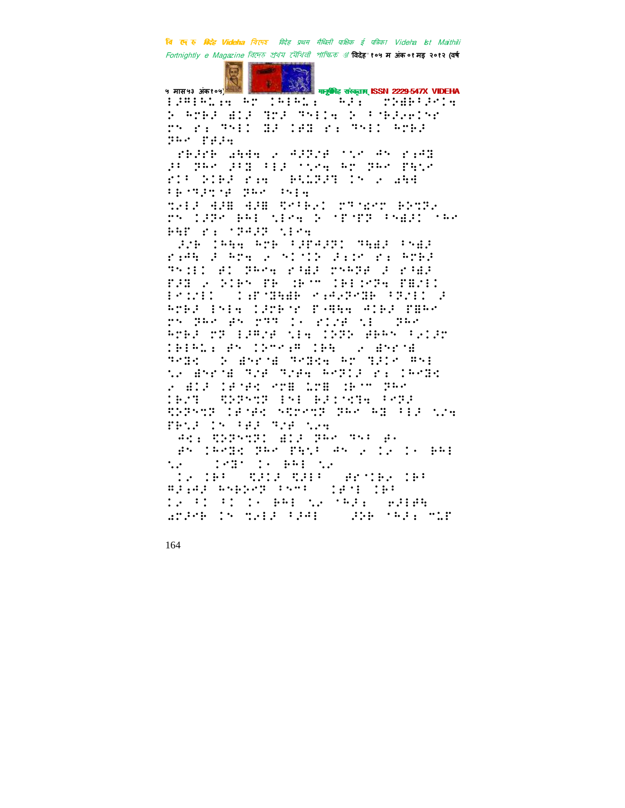

७ मास७३ अंक१०९ दिखा होती है।<br>- पुरुष्य के स्थापित संस्कृति संस्कृति (SSN 2229-547X VIDEHA)<br>- पुरुष्य के स्थापित संस्कृति (SSN 2229-547X VIDEHA) ५ मास५३ अंक१०५) S Ares all dra Thile S Freezeinr ry ri Wyll BA 198 ri Wyll Wred The Pale

shark akke a 43328 'na 45 sama an ame and nia siem me ame paie r: SiB rm BLSS C rah TESTING TEN THE tala 428 428 Seteri primer ebta.

rn 1986 BRI NEGE 2 SESER PNES SAM PAP P: (PAPP SP)

Greater er freiste Seiner rah Para 2001) Bid rah Ara skill al seka 292 skësa 2 292 198 - FIRS IR (ROM IRIGER IBAI)<br>1932: Candrar Savesburgeri, a Arba (Sig 19rbjr Pombe Alba PHA) rs Ben es raa is rize die Ben RTEA TR'IARDE NIE CORP ARRY FAIAT IBERLI BY ISTAIR IBA'' 2 BYA'B True of Brend True for USIR And th droid for form Reform of CRede **A BIS CENS PTE LTE CENT BAY** TEST COSPACE INFORMATION PARK 523553 18786 555653 386 83 913 526 PROFILE FREE TABLES

Well SPREED ALL THE TELL A GPS IRROR TRACTORS AND ACID IN DRI  $\ddots$ IS DR STAR TALK WESTER IN **WENT WARTED TO SEE THE** 12 FI FI 16 BHF N2 1971, B2189 andre la mald (dal) – die aadl min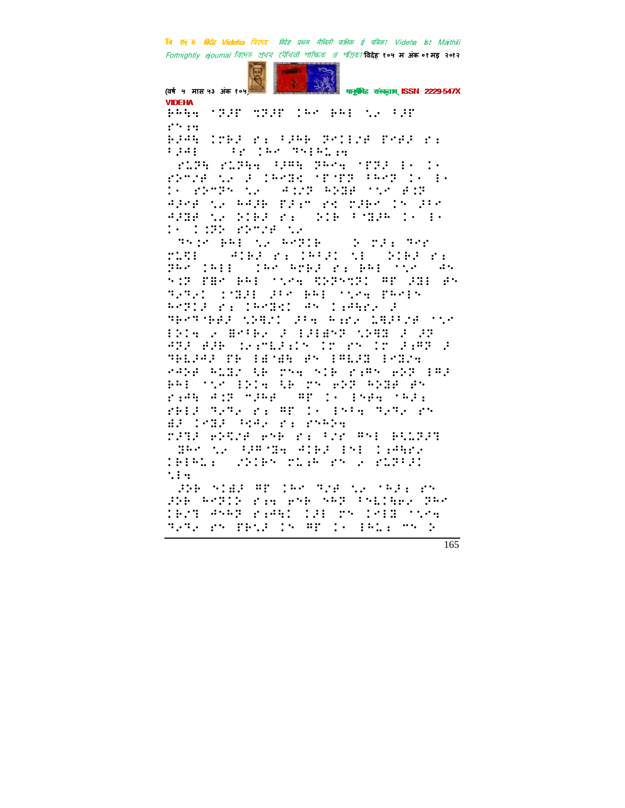बि एक रु मिनेट Videha विएक विदेह प्रथम मैथिली पाक्षिक ई पत्रिका Videha Ist Maithili Fortnightly ejournal রিদেত শ্রথম মৌথিনী পাক্ষিক রা পত্রিকা' **বিব্রৈ ং০৭ দ अंक ০ং মহ ২০ং২** 



मानुबेदि संस्कृतम् ISSN 2229-547X

**VIDEHA** PRAY (2008) 2008 1991 1992 1994  $\mathbf{r}^{\prime\prime}$  and  $\mathbf{r}$ 

BJAN (2003 P.) FJAR SKIDSE PKRJ P. **Signal State**  $: ...:$ 

**MIN MIRE BREAK TEACH MIRE BO**  $\dddot{\phantom{1}}$ . ranze de la Christophonia (non 1891)<br>18 ranze de Calcala Aais (de sic APAR NE PAPE PRIM PA DRES IN RES APRE NE DIRE BALL DIR FORRA DE LA **Control State Control** 

STRIP BRIDGE RETIR OF DURINTED MARE ( ANDER SE NAARD NET SIDE SE PRO 1911 (1900-9263 P.E.BRI 1500) AN **SIP PRO PRESIDENT REPORT PROJECT** SASA (MIH APA PRI MAR PRAIN Werld Fillwork Wilmark S MESTABE SPRID PRESERVE DRIESE ST BROWN WHERE I BEEN SPUB I IN APA ARE SPENDED ON PRODUCER A THING TO LENGT PY INLIG PNIN 8458 ALBA RE THE NIE FIRM 653 IPF PHI MAC INTH AP 25 PNP PNBP PS ram Ad Same Ar Indentify PRIS RARA PE DE L'ALLA RARA PA Al Mal Hd. Presh MARA PROF PAR PE POR ANI PROPER **SHARITY CONTROL ATES INE CEANSY CONTENTATION OF STATES**  $: 1: 1: 1: 1$  $\ddots$ 

SPECTRED BE THAN THE NEW THEE BY 356 Artiz rag end nat (nilher TAR 1923 4542 P.441 123 25 1233 5124 Tele and Hall (no Ap  $\mathbb{R}^2$  :  $\mathbb{R}^2$  :  $\mathbb{R}^2$  :  $\mathbb{R}^2$  :  $\mathbb{R}^2$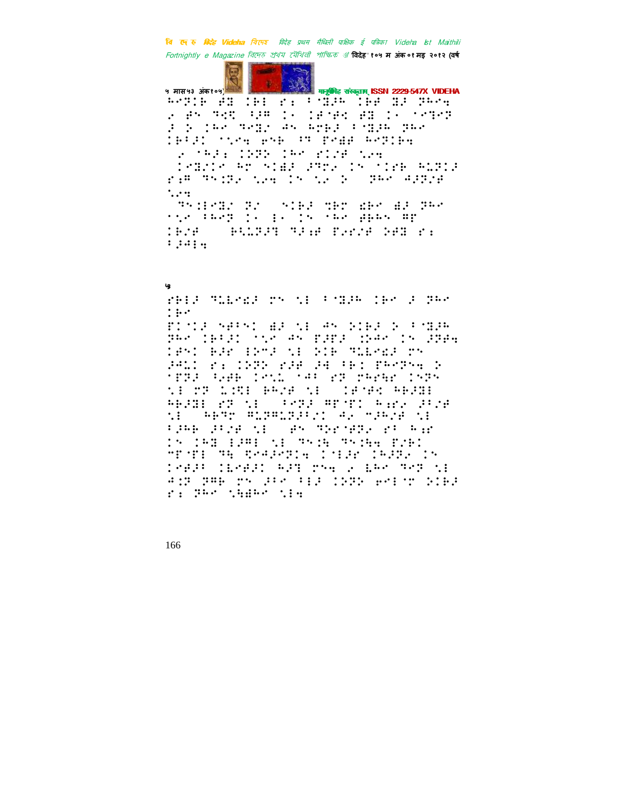

**AND STREET WAS STREET ASSN 2229-547X VIDEHA** ५ मास५३ अंक१०५) <mark>प्रकार</mark> APRID AS THE PECK SALE THAN SACRAGE a an mar gam is ialama an is chemer a pojar srgnjan aralje (smala sar 16921 - Steather Confederation Const a this 1980 198 flighter stranir Anskiel Pan, inscript Algij<br>Barsheid, Newski Newski dresseng  $\ddots$  :

) That edge of the state of the signal decoded problem in the state of the state of the state of the state of the state of the state of the state of the state of the state of the state of the state of the state of the sta **BULFAR TANK PARTS DAR PE**  $14.14$  $1.141...$ 

## ي ا

FRIE SLEPKE TY NE FORFA CEP E TAP  $\mathbf{1}$ :

EDITE SPESO BE SE PS DORE D'ESTRE THA INTEL TO AN TETE CHAN IN ETHE TANT BAR BENA NE GIB MILKEA TN 3411 P. 1535 P.H. 34 FEI PROPRE 3 fråd Geef Denn far eg smeme 1999 **NE 23 LOSE BRZE NE (18784 RE23E** 46231 27 51 - 5272 88381 4322 2528 ti aproachini esta che di FIRE FINE ME SPACEFIER PROFES 35 198 1381 51 7536 75366 F201 MESTE TH TRAPPED ISLEE INFER IN 1983: TESARI ART 254 2 EAS TST 51 AN THE MACHA HIS INTE ANIMATIS r: PHP Shake Sin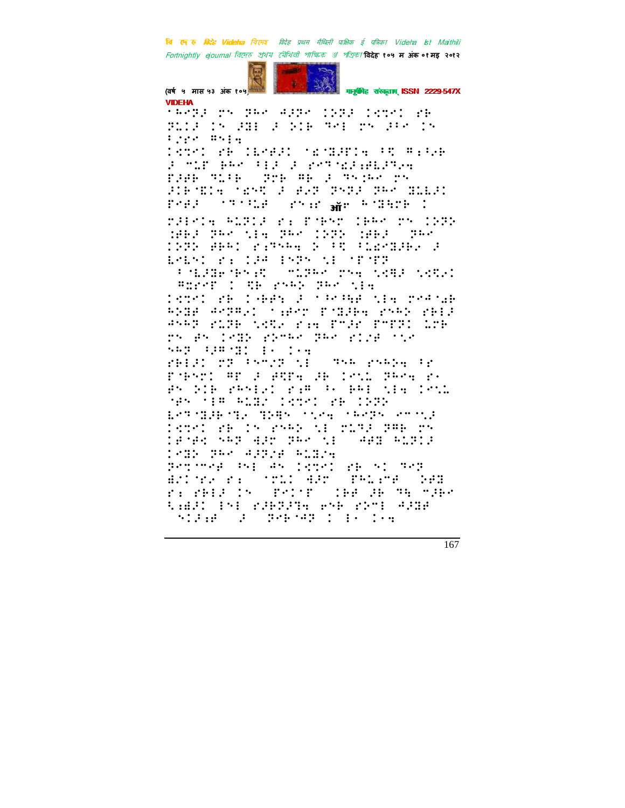बि एक रु मिनेट Videha विएक विदेह प्रथम मैथिली पाक्षिक ई पत्रिका Videha Ist Maithili Fortnightly ejournal রিদেত শ্রথম মৌথিনী পাক্ষিক রা পত্রিকা' **বিব্রৈ ং০৭ দ अंक ০ং মহ ২০ং২** 



(वर्ष ५ मास ५३ अंक १०५) **VIDEHA** 

मानूबीह संस्कृताम् ISSN 2229-547X

terna progero algeo 1933 (roch) re BLIS IN SHE S NIE BEE THE SPACER Print Bala Conclude (1898) (Schiffle FC Alfor

F MID BRACHING PATALLERING FAAR SLIE (FMR) AR 3 SYMBA MY HENDE YOU FAN PUR PRODUCED Press (1915) and we however I

MARKIN PLACE FOR THEST CERK THAT DATE 1862 PRO 114 PRO 1982 1862 | PRO 1999 ABA: Pinsay S (R (Chromae) A EPERI F: 194 1595 ME SPORT

**TORIGHTHAR ONLIGHT THE NAME NAME** WEEKT I HE PARE PAR SIR

Tenel ab Tobby J (1989b) wie new wh RNIE AMPRAL SAPAT POIPHA PORN PRIP akar rusk vate raw for forth  $\ldots$ rn an Charlerthe Ben rice the

sep (perdi Es los)<br>26121 22 (senza SI) (256 25624 (P POPTE AT 2 BRPA 28 1951 PROF P Brookleywood raw to belonge lend MARK PER ALBIM CROWL WE CORD

ESTMERTE TERN MOSE MARRY STALE ladai ekolo engo yi ping gge pr **STORY SERVICES SERVICE** 

Personal Pallan (ere) ab ni Rep Antony ri (this Alb (PAline) 201 ri relativ (Prime) ier ab me mabr tabl in rægge en ret gam **SIER E POPSE LESSON**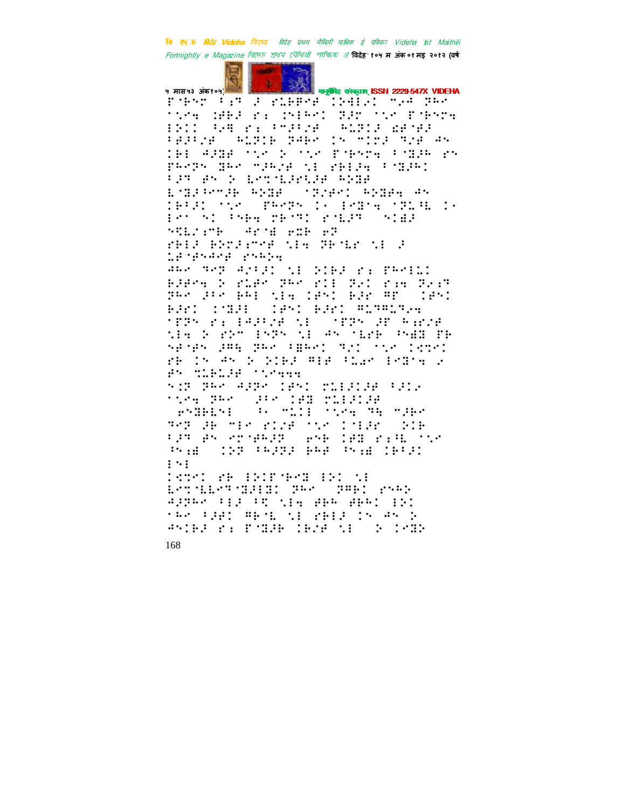

**THE REAL PROPERTY OF SALE PROPERTY AND SERVE AT A PROPERTY OF SALE PARTIES** ५ मास५३ अंक१०५) Pober (an Fambre Delbl) was per tion deeler by the Part of the Poenne EDII RAB EL PORTIF (PLOTA EPSP) PAPPAR SERIE RAPA IN MINE ROAD AN IBE APSE TO S TOT POPTA FORP ST regre Ben Saele di Selah Profes tin as the sentingum book ESBARMAR ROBE, SALAMI ROBER AND.<br>1983: Sie Schwan 19, 1985: Salam 19 Providence and Page School **STARTED APPERDANCE** reif ebriewe the Benkr thur LETENANE PARTE ARR ART ASSAINSE DIER BERGELING BJPY: 2 PLPY PRY PIE PRI Par PriP PAR PROPAGE ME TAND BAR AT COAM 8321 1700 1851 8321 81981924 offer an identify the offer af annih.<br>The boaten ingno the object than fie Apart in pur special and the femer re lo so pobles mie flan ingral 2<br>Ao dielle conaam SIP PRO APPO TEST PLEPTER FRIE sûs de lachter militer<br>Seders (3) militers de mae<br>de aponte rize sin 1914 (216 PAR AN PROBABLY AND CAB RIBL TOP skin (22 (A22) PAR Skin (B)2)  $\cdots$ Denni ek (DIP-BHB (DI-S) Let the condition when we have peak APPARTICAL CONTROL PRAY (PS) \*\*\* (1981) #Bol (1) 2B19 (15) #5 (2) ANIER BE PORTE IEZA NE (2018)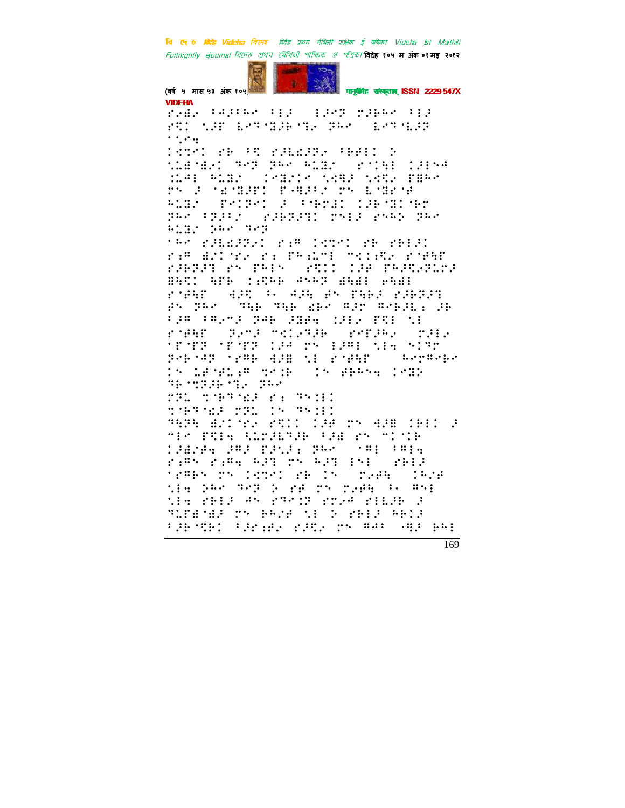बि एक रु मिनेट Videha विएक विदेह प्रथम मैथिली पाक्षिक ई पत्रिका Videha Ist Maithili Fortnightly ejournal রিদেত শ্রথম মৌথিনী পাক্ষিক প্রাণবিলিক বা স্বার্ক ১৭ মন্ত ২০৭২



(वर्ष ५ मास ५३ अंक १०५) **VIDEHA** 

मानुबेदि संस्कृतम् ISSN 2229-547X

rada (Apina (B) (B)ar rubba (B) and a constant of the constant of the constant of the constant of the constant of the constant of the constant  $\mathcal{L}^{\text{in}}$  ,  $\mathcal{L}^{\text{in}}$  ,  $\mathcal{L}^{\text{in}}$ **TANKI AB ON PALASHA OBBITA** the mass were pack and to settle concea na: Albri (Monte Sab Sab) More ry a transportant ry Engre RIES PRIES FORMAL IPPOINT par (prij - prezidi psir psal gar **While New Mark** 'Programatan' nami (2001) na haad rat and your fears models ready rapan relatel Robode Beacadha 8991 989 1996 4502 8981 6981 right and book as the range.<br>As he's me me design meador as 198 (825) 246 286 1812 281 18 **CRAME MALARER CAMPERA CORP.**  $\mathbf{r}$  and  $\mathbf{r}$ tryn yryn 1947-62 pen 214 sige Pressure spunk add to promote **Sanghope** Chilenale ship in Abbre 1882 **NE STREETS** THE FIL TERME F: PHIL THRANK TREATMANIC **THIR BALGER PRICE LEE TO APE INFIDE** MER PREA ROMANAGE FAB PROMISSE *labin ama pata, per composito* rams rame RPE bs RPE ESE (rBEP neges ps lopel ee ls (p.ee (leve the PROGRESS of the Tody (80,000) the reduced result role room to SIME MEDIUM ARCH NE DE CHEF ARCH FARSED FREED PACE TO WAR SHARES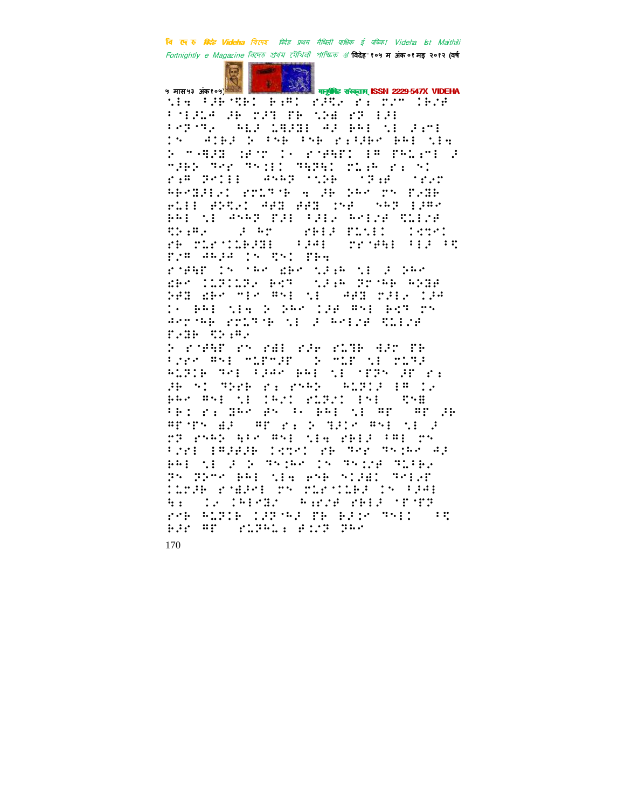

५ मास५३ अंक१०५) । मनुभिह संस्कृतम् ISSN 2229-547X VIDEHA via théore: Bam: Kérk és run (Bue **PARTIE AR THE TRACKER THE EAR FROM PROVIDING AS PRESS SET** In 1976, School Pakistike Balcie S MARAR (AST 1) KOAREL ER PALAME A hamp and anist amount blue birst ram Brill (Anno 1596) (1898) (rer REPRIES FOLTE A JE NAP ON FRIE FILL FRONT AFT FFT THE SAP LINE BRI NE ANAS PAL FALE APICA SULCA SRAPA (1982) ekip prijetih (2001)<br>ekonomijalni (1991) pengal (1911) Pr# #634 15 R51 PB4 Poss in the she will be a par-

der Clatica, eda (1996-arie 610) NAB WHO MIS WAI NI SAAB MAIN COA 16 BRE NEW 2008 128 BRE BRT 25 Arrowl Primok of 2 Arthur Silbe **TANK SERM** 

S romar re rai rue ruge aur ce Free Well mirmin (3) min ti ring which we Than pair of the Trian AR SI THE PE PSRT ALTIFIE IN PROGRESS CROSS MIRRIE (PH) STOR FEICE BROWN FOREST BE BE BE #POPS AR C#P Problematic #SP SP R TP PARK ARM AND NEW PHIL PAD TA Prel 1894.86 lengt ek mer myske ap PRICE FOR THE INCHER TELLS Pro Proso BRE SEA (And Steal Prese TIMPE ROBBER MA MIROLEP IN FPA: 12 THERE WANTED SHIP STORY  $\ddot{a}$  :  $\ddot{a}$ PH ALTIB COTAGO TE BESA TAIL (15 Bar Ar (PLAG) Bird Abr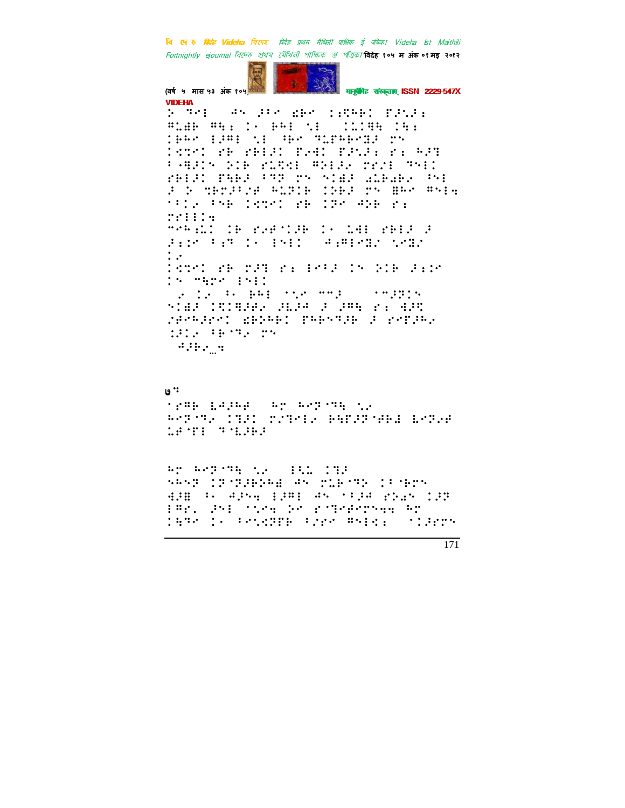बि एक रु मिनेट Videha विएक विदेह प्रथम मैथिली पाक्षिक ई पत्रिका Videha Ist Maithili Fortnightly ejournal রিদেত প্রথম মৌথিনী পাক্ষিক প্রা পত্রিকা' **বিदेह' १०५ म अंक ०१ मड़ २०१२** 



(वर्ष ५ मास ५३ अंक १०५) **VIDEHA** 

मानूबीह संस्कृताम् ISSN 2229-547X

 $5.391$ **SAN PROVISION CONSECTIONS: WEBSTREET BREEZE CONTROLLED** TERM EPRESSES REMORBEMENT MY lêngo ek eklan maan masa el kar PARADA DIE PLANE ADERA PPPE ANED PRINT PART FOR THE MINE WINNER OME 3 2 MEMBER RITIE ISED MY BRY RYEN MILE PAR CROSS RE CROSSER RE  $r: i:i:n$ MARGIN IR RABSIDE IV WED REDEVE From Provincial Party (Alexandric Sede  $\ddot{\cdot}$  . Detel skogski sa 1913 (no 216 Sale In Mark End:  $\begin{array}{cccccccccccccc} \mathcal{L} & \mathcal{L} & \mathcal{L} & \mathcal{L} & \mathcal{L} & \mathcal{L} & \mathcal{L} & \mathcal{L} & \mathcal{L} & \mathcal{L} & \mathcal{L} & \mathcal{L} & \mathcal{L} & \mathcal{L} & \mathcal{L} & \mathcal{L} & \mathcal{L} & \mathcal{L} & \mathcal{L} & \mathcal{L} & \mathcal{L} & \mathcal{L} & \mathcal{L} & \mathcal{L} & \mathcal{L} & \mathcal{L} & \mathcal{L} & \mathcal{L} & \mathcal{L} & \mathcal{L} &$ **MAR INTER ALA FAM PE PE** restard depart paperde d'espace did show my  $\frac{1}{2}$ 

## **∵** قا

**Sydney Lagage Car argent to the** REPORT CONTINUES PROPORTED ESPER **WORLD STEAM** 

**An Addition of Basic Components** SPSP IPSPIECHE AS TIESPE IPSTET APB (6) APPA 1981 AN STOR PREN 198 PRI PSE TORE DO POTRECTARE AT 1936 In Progress Press Andrea (11965)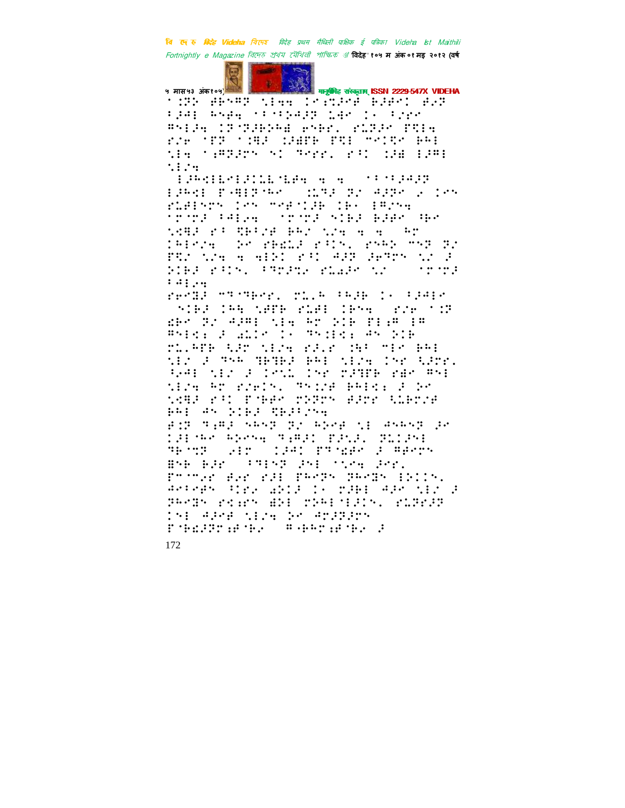

**AND STREET SERVICES AND STREET AND STREET AND STREET AND STREET AND STREET AND STREET AND STREET AND STREET AND STREET AND STREET AND STREET AND STREET AND STREET AND STREET AND STREET AND STREET AND STREET AND STREET AND** ५ मास५३ अंक१०५) tion abserview criteraleard ave Plat Read Stephen Lar Is Plan #5136 12723654 e563. SLZ25 PR16 re MP (193 CHP PD) more by: the temporary manufact operator  $\ddots$ 

**IPHONES CONTROL** PRAKE PARENTAL CONFIDENTIAL POSTAGE riffers for whethe including trong Person (trong Sieg Baes Ar temporary means about the component war IRESTA (PS PREDE PRINT PNR) MNP PT FRANCH WHEN BID ARR APROVING  $\cdots$ BIBS RAIN, ANDREW RIGHT MIT  $1.41...$ 

resor stands. This cape is conserve **SIER IPE SATE POAR IPSE SPIE SIE** der To APA: Mis An Die Tiem im Bridge Foamle le Bridge Archie MULRER RAN SEVERING SERVICE PRE MP 2 THE TETER PHONESE INS ARTS. APRIL MICHAEL POWER STREET SHOW HAS the Ar reach, Thine BAld: 2 26 tem for form spre her throw **101 05 2112 TESTITA** BIR TER SAST TO ANGELIE ASAST PO **THE SACTOSHIP SERIES IN THE SERIES I** TEST WE SEE THAT PROBE A BASS BYE BAY (FREST ASE TIME ANY. Promer Ber R.H. PROPS PROBS 19115. Anings fire abid is pawer say the a PROBLEM AND STREETS PROBLEMS De ager disk be anggine

roman de la constantia de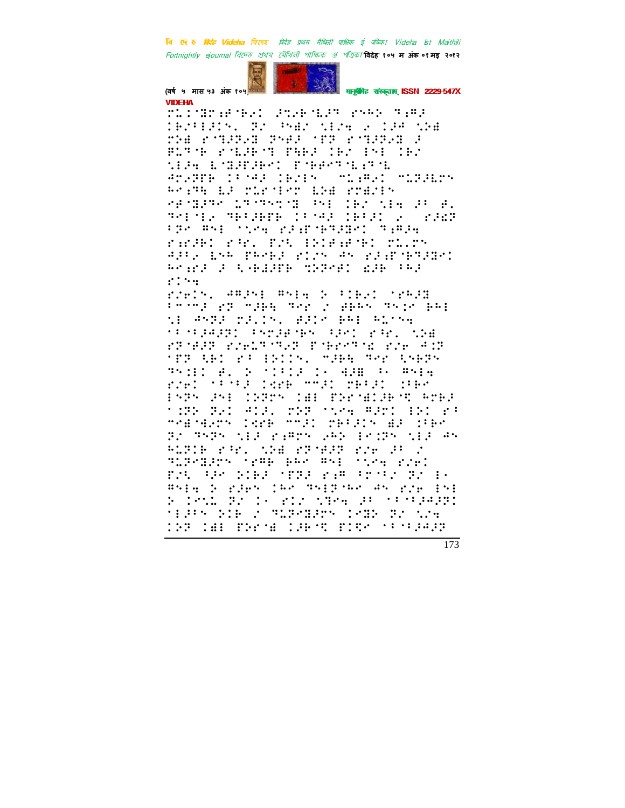बि एक रु मिनेट Videha विएक विदेह प्रथम मैथिली पाक्षिक ई पत्रिका Videha Ist Maithili Fortnightly ejournal রিদেত শ্রথম মৌথিনী পাক্ষিক প্রাণবিলিক বা স্বার্ক ১৭ মন্ত ২০৭২



(वर्ष ५ मास ५३ अंक १०५) **VIDEHA** 

मानुब्रीह संस्कृतम् ISSN 2229-547X

rd: Trafik: Stakist ree Tag IBSERIN, RO PHRONESH & 194 NDE CAR KOTARAR RYAA OFROKOTARAROA<br>BLPOR KOLAROT FARA (BZO EYEOLBZ the remarker reporters AMAREN IPARA IRABA (MIGRAL MIRABMA Arang is throw in routs SPORTS LITTES IN THE CROSS PLACE. SPECIE SPECIFIE COSMA CHOICE POSSIB FRA #51 Stag PliftHREET THREE radhi ran fot Boleann chiro APPS END PROBE FILM AN FEEDMATED Read Plance where an our  $\mathcal{C}^{\text{max}}_{\text{max}}$ 

rzels, AA2s: Asig 2 (1821–1843) thing as now he a specially per ME REPRODUCED BRIDGE RESEARCH finiaaan synesk persek. Se FROM POPLATAR POPPORTE FOR AIR MPP RED 23 EDIIN, MPPH RM2 RNERN TVILL B. D MIRIE IN HAR POINT rand thing derk what regard der ESPS PSE INFOSTED PROMIDENT AORD \* 195 Gel Alle, 255 Mine Albi 151 pf mediates lark mmal resales da cree BY PARA NEP REPROVAS ERIPA NEP PA RITIE PART WAR PROFINE PORT POST SLIMBRY SPEE BRACENE STAR PIPE EZR (RP) SIER (FRR) KAM (POST) RN EK Brief Norder (Pro Brighter Archive 191 a led Bloken Sky a stêdyk SPERSONAL CONTRACTOR CREW TO ACA 198 188 Parte 19678 PIRK (F.19998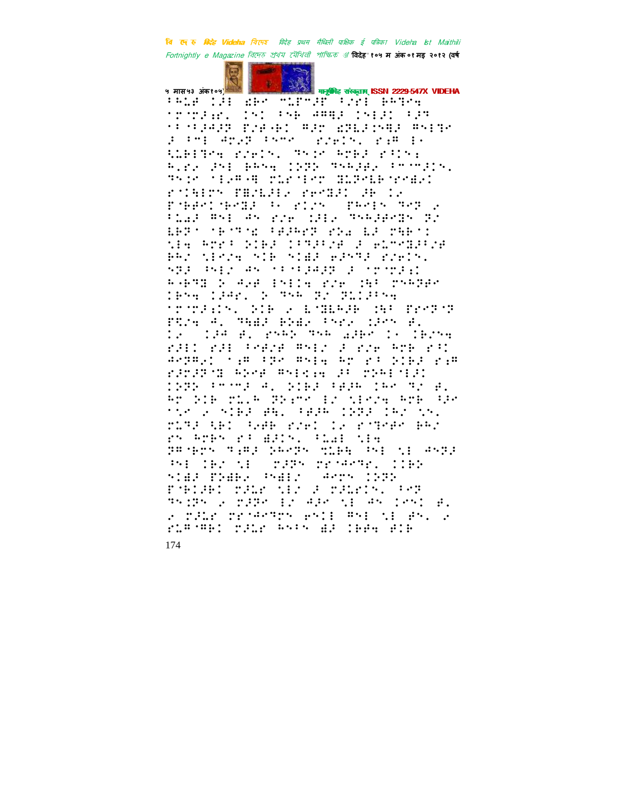

५ मास५३ अंक१०५) मनुबेदि संस्कृतम् ISSN 2229-547X VIDEHA PALE CÁT WHO MITMAT POŽÍ BATAN **TEMPER, IND PNP AREA INEAD PAR TETERED PARALL MAY WORLEARS MAINT** 2 PM AMAR PATE (POPIN, PAR I) SLEITER PORTS, TSIE ROBE PRISE alra and bang 1989 sheepel chinathi Then the Australian Hilbert Card FOREST PERSONS FRANCISCO Pobenisbnog (F. 2125 (PRN)5 Rhp. Play And An Eve (Six Sheyengh Sr ERPY SESPECTREMENT PRESENT the Arra Siba Camaaya a Binemaaya PRO NESON SIP SIER PRSTR ROPIS. SPECIFIC AS SISTERED E STORED RAPS 2 Apr Endington Secondary ara (per s'ele articlerà **TETERIN, NIE 2 ETHERE IN TETET** PC: 4. MAR BRE: PY: 1975 B. 194 al Penny and Game 16 Thena  $\mathbb{R}^3$ FAIL FAILARDING ANIX A FIN ATE FAI Arguer tem upromote ar ruschlasse FRITTI REGE REFERE 23 TERRITI 1982 Prose A. 2163 PAGH 165 M2 A. RT 218 TLIR TRATH BY MESSAGE RTE BRO the 2001BF BB, FBB 1978 IBM th. risk det dyek roei is romeen kan rn Arbh ra Adin, almi tim PROPER THREE-PROPERTIES IN EAST AND PH CROSS STREET TESTARTE, ICEN STAR PRABY PSAIN (4025-1999) PORTABLE TANK MILL A TANKING AND 进化的技术 医心脏进行 电子分布进行 化封闭进化 经代价的法定 2 MALE METAPREN BNI RNE NE BNI 2 PLATAR: Place Andro Ald (BAN ACB)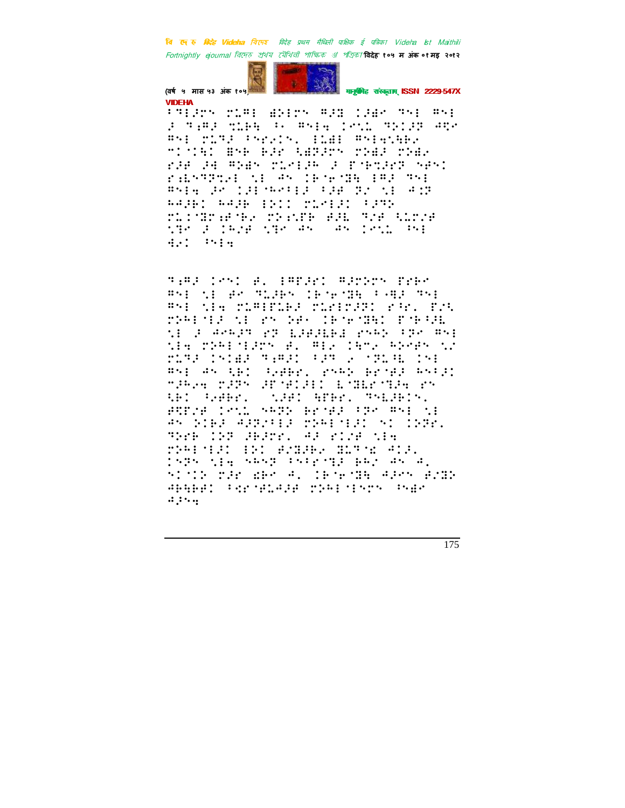बि एक रु मिनेट Videha विएक विदेह प्रथम मैथिली पाक्षिक ई पत्रिका Videha Ist Maithili Fortnightly ejournal রিদেত শ্রথম মৌথিনী পাক্ষিক রা পত্রিকা' **বিব্রৈ ং০৭ দ अंक ০ং মহ ২০ং২** 



(वर्ष ५ मास ५३ अंक १०५) **VIDEHA** 

मानुब्रीह संस्कृतम् ISSN 2229-547X

PREACH CLAIMENTON APREliaN RHI ANI F THE TIME IN THE IMAGE TO SERVE BRE TORE PRINTS, EDGE BREAKABY "I VAL BYP PJP RAZION CYAP CYAP rae as mode rigiam a popular est rabystick of an independent syf #514 28 121748112 128 32 51 413 84261 8426 1011 212131 1230 ricurate the right and the tire the Polen the Second Polen Pol  $4.1 - 1914$ 

THE CANO B. IPPART PRODUCTION Bri ni se Miser (Brenze Pega Mri BSE SEA PLAINLER PLAINRED ARM FRE THE SEARCH AND HER CHANNEL IN BALL th a gener probabilities presented the completes al million modes th MAR INDE AURI PROVINCE IN BAL AN ABI SPARE. PNAD BRYAD ANSOI MARGE MARK AP MACAIL A MARKMARK **SAME AFRICATELERS** th: Webs. PUDAN CHIL SATE BENBAGIRA ASE NE 85 2162 8232312 22513121 51 1232. Ther IST Share, AS ethe tim MARINER EN FMERE ELTYPAGE. per nighter and the second control of the second part of the second part of the second part of the second part SINIE WAR WAR AL IBNENBA APPROACHE ABABAT PRETALAJA PIRETENTS PSAK  $43.44$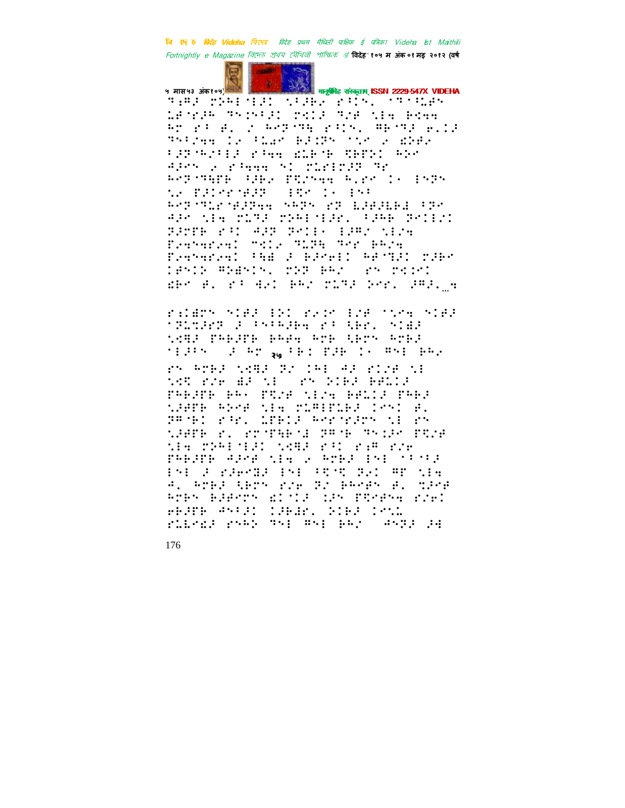

५ मास५३ अंक१०५) । मनुभिह संस्कृतम् ISSN 2229-547X VIDEHA ager péerdrichtees édêl (ascher Leonar Province paid Rob the Base 开始,这里的是2000年的大学生,这里的人们开始进行到了200 The Paul Collection Boston Principle Robert FROM MORE STAR SLETE SHIPS AND APPS F PARR ST PLEIDER RE REPORTE THE PRINGS RIPS IN 1979 to paragraph (projects) References and the second control of the second control of the second control of the second control of the second control of the second control of the second control of the second control of the second control of the secon APP NEW MIRR MORE MERS (FPRE PRIEN) BATER FALLAGE BRIEF 1982 MEDE Preserved Schrittenholder Bare Protocol the 2 blue: 50 MP31 2265 TANIN ANANIN, TNG BAY (The Thirt) den el 27 del 652 ming den 1981 d

riden siek bai rain bie stem siek **TRINGER A PROPERTY POSSESS NIED** tem: Phelph Bhag Are thry Are: MESPA CONTROLLED BE THE TANK HAS

rn Area weer di caf aa rije wf tet rom af til at 1992 beginn PRESED BR. STOR MICH BRIDGE PRES taere biske tie rigeries istille. PROBLEMS INFORMATION OF BY MARREY, POSTABLE PROP TRING MA DEPENDENCIAR PROPERTY PRESTE ASMA NIA 2 ROES INFONTAS PHOROGRAM PHOROGRAM TO SP 4. Area term for Bo Bangh al mang ROBS BJESOS ELSIS 195 FRSP50 ELBI **ABATE ANIAL CABAY, SIBA CRIL** FIRSE PART TAL TAL PAY (PATE 24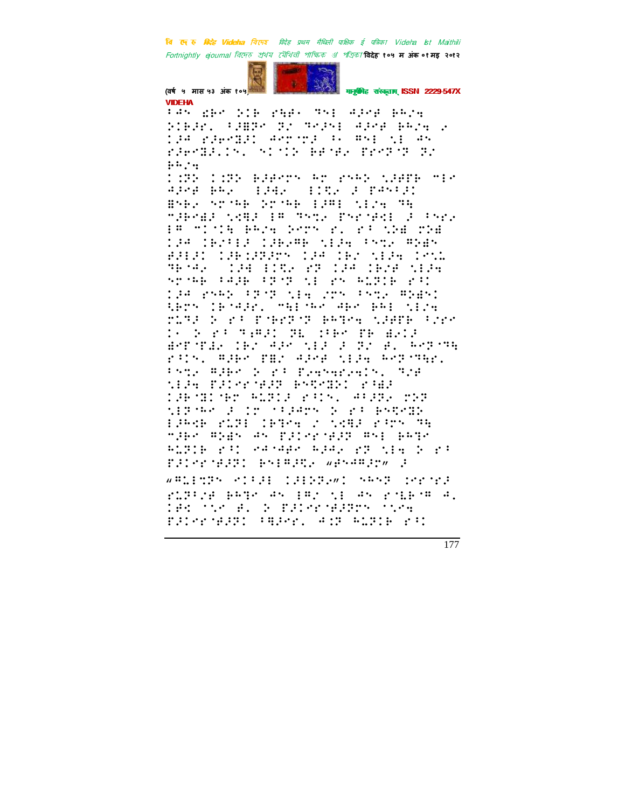बि एक रु मिनेट Videha विएक विदेह प्रथम मैथिली पाक्षिक ई पत्रिका Videha Ist Maithili Fortnightly ejournal রিদেত শ্রথম মৌথিনী পাক্ষিক প্রাণবিলিক বা স্বার্ক ১৭ মন্ত ২০৭২



(वर्ष ५ मास ५३ अंक १०५) **VIDEHA** 

मानुब्रीह संस्कृतम् ISSN 2229-547X

tan der ble rad, 751 albe enca NIBRO FREDRICH MRINE ARRE BAYA 2 194 KB2810 425753 B #51 51 45 FREMIALING NICIP BEGAN PROPORTI  $1.1.1.1$ 

DIR DIR BARYS AN PSA SARB ME 4308 BR2 (1382) 1152 2 PARTS Break rooms booms (2011-1224-00) makeda nega ta mene persanta a terr PROSTE BROW POTS PLOTS WHO THE 194 (Brill 1962Ab (196 Fron Andr BRIDGE CHILDREN CRASHED SERVICE  $\mathbf{u}_1, \mathbf{u}_2, \mathbf{u}_3$ **THE CONTRACT OF THIS NEWS** 55786 FARB FRONT CE 25 BLRIB 231 194 rok (Provincer Port Band SETS IESHER, MELSER ABR BAL SIZE MIRA D'EST PORTE PRIME MARRE PORT  $\mathbb{R}$  . S PROTHECO SE SPACED ANIX BATATION TECHNICALS IN THE TANK ROOMS ring when Marchell (1960) when the Provincial School Presented S. Sta the filestiff bythild star **TARYOTY RESERVES ARASYTES** tipes a trouper of reports EPROP PLEE IPTMA 2 NOBE PAPY TH many #pas #s paternaap #sp pAqy ALTIBURG CONSUMER ADAPTICAL DURCH FALSENARD, PSIRAGE WESHRAM A w#1:575 PIPE CHING#1 SPSF IPESE

FLPPINE BROWN AN IPI NI AN FOLEOR A. THE TOP HI & FRIED MARTIN TOPH FACKPROCHERS, AND ALCOHOL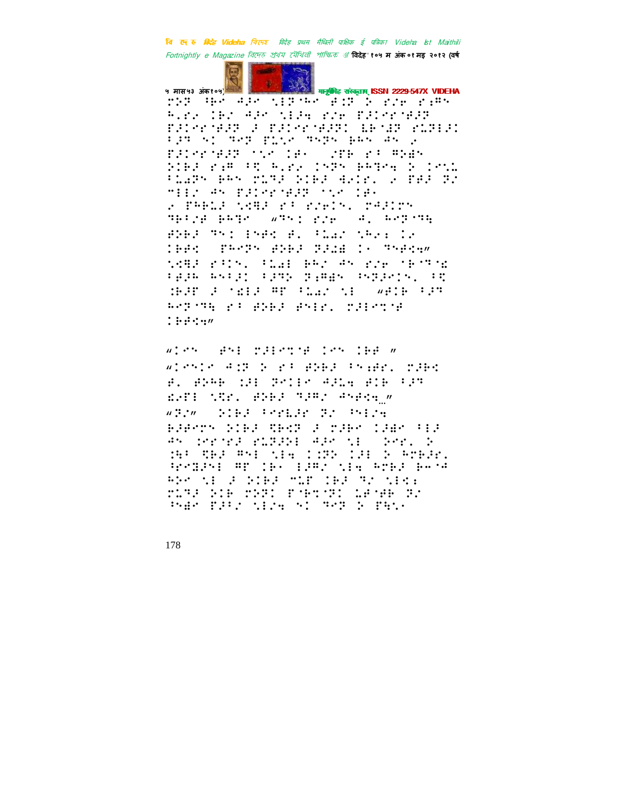

५ मास५३ अंक१०५) समिति हो मनुबेदि संस्कृतम् ISSN 2229-547X VIDEHA nya (Bê die siande Grip) korze roma Alra Chr Ade Side rue Bdiernedt FRIGHT RENEWARD BEGE MURRI tin al nep phil napa pas da l ESCAPASSE TAR CERTAINE PARENT SIER RAM FROM 2020 IMPNOBARNA 2010. PLATH BRA TITLE SIBLE HAIR & FRA TE mily an principle the tea PARLA NARA 23 SVATN. MAAIMN THING BATE WIND RIGHT ALL ARTITA BDBJ 75: ESBC B. FLAZ CRAB DA Ther There Alba Raid I, There, SKRA KALS, ALWE BRO AS KOR SESTA rgam menggi nguni padan sepange, so HAT A MALA AT SIGN ALL WALE SAN Argena ri shek shir. Thirty 

wird (Bd: MBPT)B led IBB w wirdir Add boad goed trage. The B. BRAB 191 SMITH ASLA BIB 197 d.Pl (20. 800) 728/ 45809 m when hims benier he byle BARTS SIBE MBCM 2 TABS (285 FE2 An orror rigger age the prr. P HP HE WAS SERVICED IN STREET Resource Apolia (1982) the Aragonals ANY NE S NIES MIT IES TO NECE risk bib rot foroti ifre e Pres FRANCISCH SI PrP 2 FRA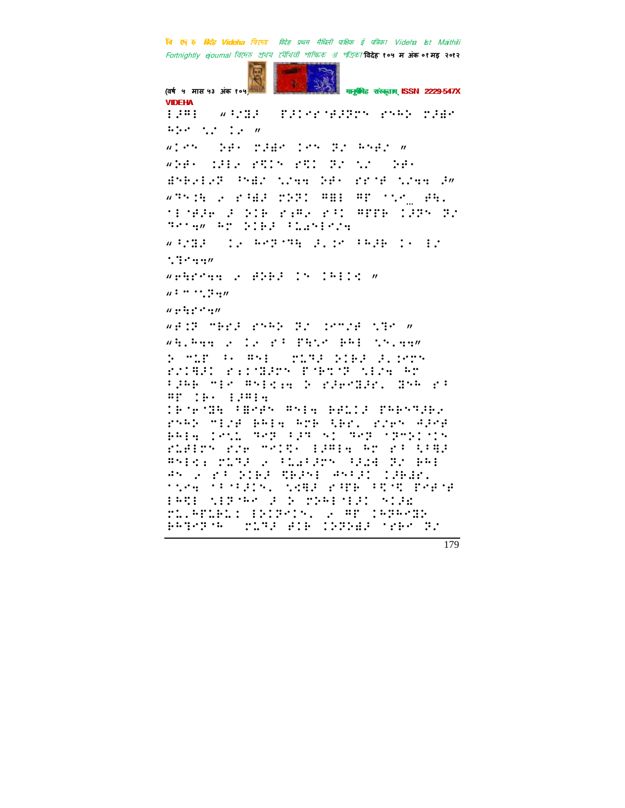बि एक रु मिनेट Videha विएक विदेह प्रथम मैथिली पाक्षिक ई पत्रिका Videha Ist Maithili Fortnightly ejournal রিদেত প্রথম মৌথিনী পাক্ষিক প্রা পত্রিকা' **বিदेह' १०५ म अंक ०१ मड़ २०१२** 



(वर्ष ५ मास ५३ अंक १०५) **VIDEHA** :28: wid: C210rd22rr rhb rde  $\begin{array}{ccccccccc} \mathbf{1} & \mathbf{1} & \mathbf{1} & \mathbf{1} & \mathbf{1} & \mathbf{1} & \mathbf{1} & \mathbf{1} & \mathbf{1} & \mathbf{1} & \mathbf{1} & \mathbf{1} & \mathbf{1} & \mathbf{1} & \mathbf{1} & \mathbf{1} & \mathbf{1} & \mathbf{1} & \mathbf{1} & \mathbf{1} & \mathbf{1} & \mathbf{1} & \mathbf{1} & \mathbf{1} & \mathbf{1} & \mathbf{1} & \mathbf{1} & \mathbf{1} & \mathbf{1} & \mathbf{1} & \$ wird (be) plen ind by Ader w where they such such has the her Breakfall Pres them best friends them by which a right riff which we can see MEMBER 2016 RAMA RIC METER CATA TA Serga Ar Sibl Chanders with the service state service  $\mathbb{R}^2$  $\mathcal{L}$  is a set  $\mathcal{L}$ webstar 2 BBB 15 19114 w  $\mathbf{u}: \mathbf{u}: \mathbf{u}: \mathbf{u}: \mathbf{u}$ write the  $\mathbf{u}$ wedn medal room and competinged w whings a last five philosophe S MID ROWNE MINE SIER RISMA FOIRD FEDRALE PROVE SEMPRO Place with anisote & rievale. Analysa **#P 1B+ 12#14** TECHONE FROM WHEELENDIS PRESSURE rned mize eele eze ter. rzen g*ice* BRIE CAND TAT FIT SO TAT MITSCHIS riders rue solde fleere en ra tage Bridge Millie & Flatform (Find Br) BRI An a ri biba dhani Aniai ( tubar. the finance where the story refer 1951 SIP 98 2 5 STEP 121 MLIPELRI: EPIPMIN, 2008 IPP-202042 BROST CONFIDER COORD CORPORA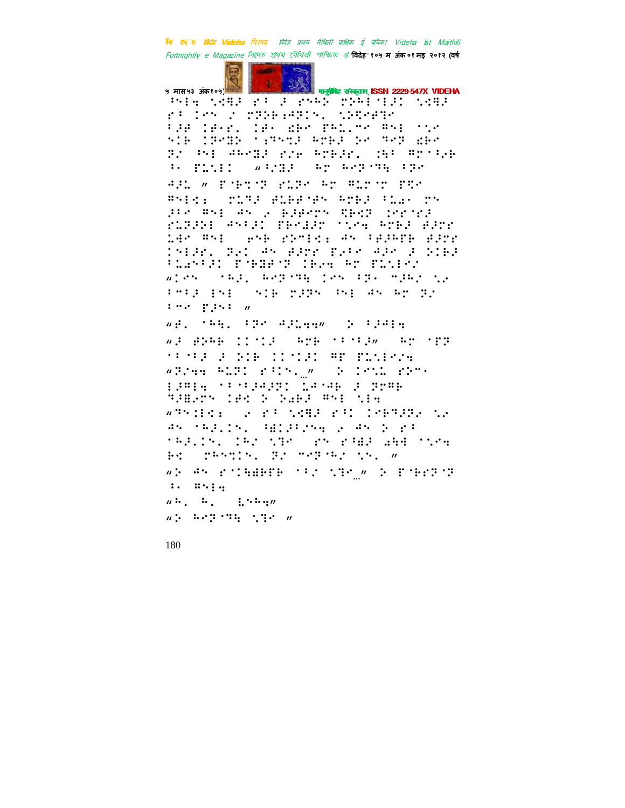

५ मास५३ अंक१०५) मनुबेनेह संस्कृतम् ISSN 2229-547X VIDEHA Principality of a sprincipality of the control of the control of the control of the control of the control of ra ins i rheadh. Seren FRA CAREL CAR WHO PALLMO RNE STO wie inany fangol efellies nab gês 37 PSE ARRIE KIN ROBER, 193 AOSTER Be PLOID (WRONG - Ro Report Fre ARD WIRTHER SCRAWED TRANSPORT #Side (2172) Blacker Aral Class 25 are well as a papers they certed russe ands pendan ting anel danr 148 Ani (enk project an falker albo 1912: Jel an Albe Bean alm 2 bibl<br>Fluntil Pobleck (beacht Pluber) with the state and the interesting  $\mathcal{L}$ reng pap says egga nap da se ge **Environment**  $\mathbf{w}$ :  $\mathbf{w}$  ,  $\mathbf{w}$  ,  $\mathbf{w}$  ,  $\mathbf{w}$  ,  $\mathbf{w}$  ,  $\mathbf{w}$  ,  $\mathbf{w}$  ,  $\mathbf{w}$  ,  $\mathbf{w}$  ,  $\mathbf{w}$  ,  $\mathbf{w}$  ,  $\mathbf{w}$  ,  $\mathbf{w}$  ,  $\mathbf{w}$  ,  $\mathbf{w}$  ,  $\mathbf{w}$  ,  $\mathbf{w}$  ,  $\mathbf{w}$  ,  $\mathbf{w}$  ,  $\$ will dished only the compact of the second part of  $\mathbb{R}^n$ **SPORT A SIR INSIDE WE FINERISE** wPree RLPD rRTH.<sub>lm</sub> of Cril rPT-19814 'F' FAPPI 14'46 3 3786 SPEAKS INC. F. PARA SSE SIN WTRIES - 2 PROVER PROJEKTER NA  $\mathcal{A}^{(1)}\leftarrow\mathcal{A}^{(1)}\left(\mathcal{I}^{(1)}\right)^{-1}\left(\mathcal{I}^{(1)}\right)^{-1}\left(\mathcal{I}^{(1)}\right)^{-1}\left(\mathcal{I}^{(1)}\right)^{-1}\left(\mathcal{I}^{(1)}\right)^{-1}\left(\mathcal{I}^{(1)}\right)^{-1}\left(\mathcal{I}^{(1)}\right)^{-1}\left(\mathcal{I}^{(1)}\right)^{-1}\left(\mathcal{I}^{(1)}\right)^{-1}\left(\mathcal{I}^{(1)}\right)^{-1}\left(\mathcal{I}^{(1)}\right)^{-1}\left(\mathcal{I}^{($ 1882152 IB2 NBC SP PTHR WHE TVOL  $\{x\}$  , which is a significant of the state of the state of the state of the state of the state of the state of the state of the state of the state of the state of the state of the state of the state of the state of the with any position of the state  $\mathbb{R}^n$  ,  $\mathbb{R}^n$  , is a state of the state  $\mathbb{R}^n$  $\mathbf{1}$ .  $\mathbf{2}$ .  $\mathbf{w}$  is a set of  $\mathbf{w}$  in the set of  $\mathbf{w}$  is the set of  $\mathbf{w}$  $\mathbf{w}$  : and the theory of  $\mathbf{w}$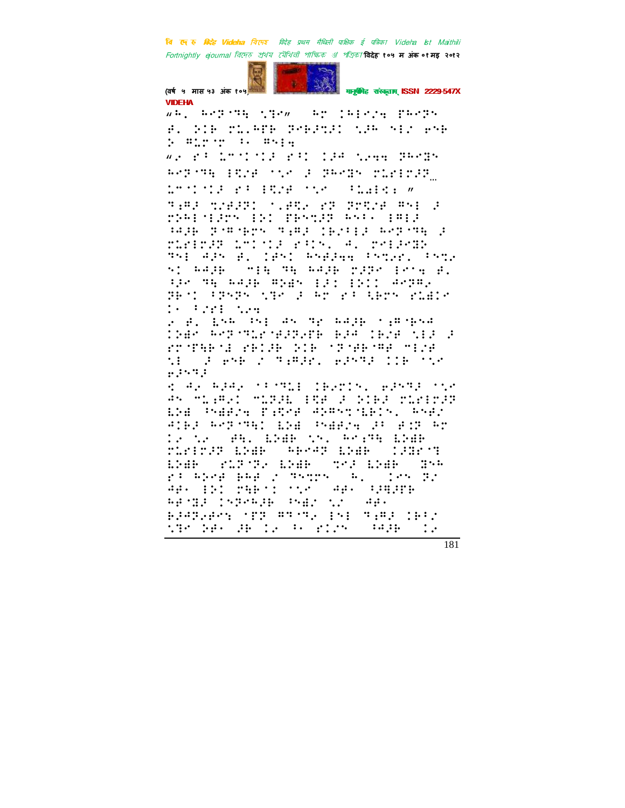बि एक रु मिनेट Videha विएक विदेह प्रथम मैथिली पाक्षिक ई पत्रिका Videha Ist Maithili Fortnightly ejournal রিদেত শ্রথম মৌথিনী পাক্ষিক রা পত্রিকা' **বিব্রৈ ং০৭ দ अंक ০ং মহ ২০ং২** 



(वर्ष ५ मास ५३ अंक १०५)

मानुब्रीह संस्कृतम् ISSN 2229-547X

**VIDEHA**  $\pi$ A. Arthur (1970 - Ar (Alrich Parts) B. SIE MILFER PORPORT NAR SIZ ROB we ra instate rat the temp Bendy Repond dreams to different planners

LTICA PROPERTY READS: #

THE SPEED SIRE PROPERTIES F TERRITRY IEI PRYSH AND IREA RANG SYRNEY SARA INSTIR RESTROY MARTINE LOCALE PRINT AL PRIGRE THE APR B. TENT RHEIGH FRONT FROM SI RAJE (MIR MR) RAJE 2338 ISSA B. ge my bagg myak bir bill aknow BEST FRAGA NEW FORM PROBLEM PLATE  $1 - 3221 - 129$ 

2018. 1940 PHI AS TE AAGH SIMPSA 1985 Associalista eta 1928 (1920) rrothens recommended there are the the dealer women, advanced by  $1.1933$ 

ROWN REAR OF MEETING ARE REPORTED as might model in forth control ERE PHERM FIRME ARANTMEIN, ANDY ATES RETURN ENG SYNAPH ST AND RO la ta she bruk tha Arank bruk rtrir:S bidb (Abdas bidb) (2007) EDAR (SLPVR) EDAR (MKP EDAR (256 ri Rod PRE 2 Thurs (R. 185 T. April 151 Sabet the Caprosian Pro REMIE CHRANE PHEN NO  $\ldots$ BRANGAN YN ARTHU 151 RIAR (BIZ Mr Ser Se la Profilio  $\ldots, \ldots$  $\ddot{\cdot}$   $\ddot{\cdot}$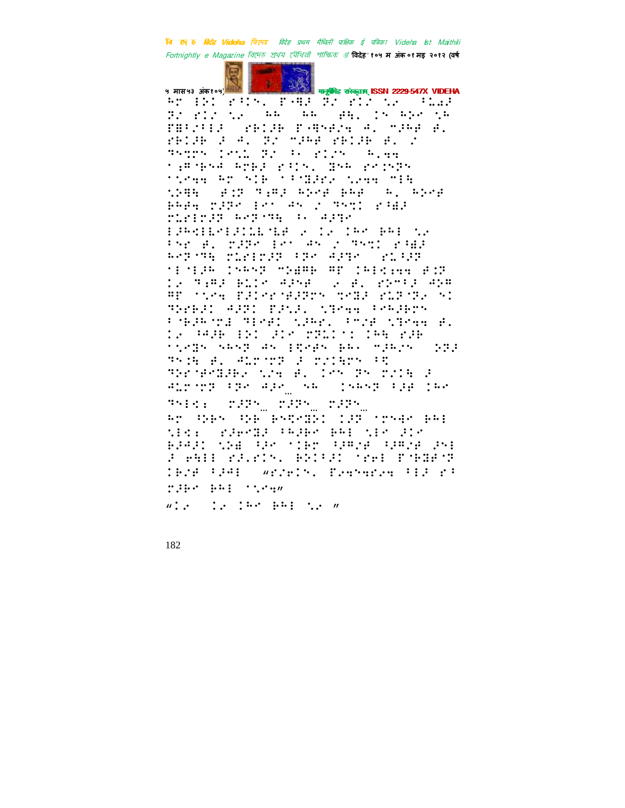

५ मास५३ अंक१०५) मनुबेनेह संस्कृतम् ISSN 2229-547X VIDEHA RT IN PROVINCE PROTECTIONS COMP Bright to ARCAR (ARC) 25 April 18 THENED YELDE THREN A. MORE B. PRINCE AN BY MAN PRINCE BILE Sampa (2011-32) Profiles (Rigg timents and resources and recogn tings ar nik tinker waa mik 1286 | BID TIME ASME BAR | A. ASME PRES 2002/03/10/2010 2010 2010 rheirst beten is agte ESPAILMESTLL NEW 2012, 1980-991, N2<br>Fremel (1998) Exposer (2019)11-2943 Report claims from Aster alist tidia cher mane en celche ad lu daer eins Arme, und anner Amerika<br>Ar stea freisenfrehm mede albere mi THEI WILL ESS. STOWN POWER Popperd Steff (SPE) Port (SPee F. ta <sup>ba</sup>gê bi girêmirîn Tekke tiving and as present the there is This Al Albert 2 bilery (R The General that R. Cent Products R **ALTATE FROGRESS SACTOSAST FREQUES** THE COURTS OFFICE THE An OSES ONE ESCRIPT 138 Thsen EAD the steeds (Aden each the Str BRANCHING CAR TIBY CHANNEL COMPANY F PAIL PRINTS, PRIER SPAI TOPAPOR TRIA PAAL (watchin, Baanaraa Placar ribe ballinger

where the line in the  $\mathcal{L}_{\mathcal{L}}$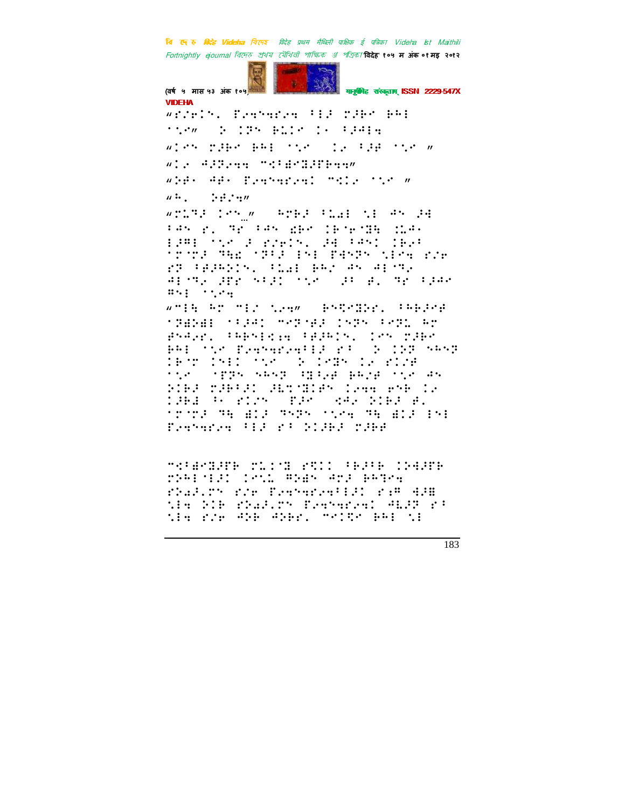बि एक रु मिनेट Videha विएक विदेह प्रथम मैथिली पाक्षिक ई पत्रिका Videha Ist Maithili Fortnightly ejournal রিদেত প্রথম মৌথিনী পাক্ষিক প্রা পত্রিকা' **বিदेह' १०५ म अंक ०१ मड़ २०१२** 



**VIDEHA** 

wrights. Professor fil 2280 BB1  $f(g_1, g_2, g_1, g_2, g_2, g_1, g_2, g_2, g_1, g_2, g_2, g_1, g_2, g_2, g_1, g_2, g_2, g_1, g_2, g_2, g_1, g_2, g_2, g_1, g_2, g_2, g_1, g_2, g_2, g_1, g_2, g_2, g_1, g_2, g_2, g_1, g_2, g_2, g_2, g_1, g_2, g_2, g_1, g_2, g_2, g_1, g_2, g_2, g_1, g_2, g_2, g_1, g_2, g_2, g_2$ where place and steel the discussion  $\pi$ wie Affinge Schichteren where der Prochered Sale the W  $\mathbf{w}$  :  $\mathbf{w}$  :  $\mathbf{w}$  :  $\mathbf{w}$  :  $\mathbf{w}$  :  $\mathbf{w}$  :  $\mathbf{w}$  :  $\mathbf{w}$  :  $\mathbf{w}$  :  $\mathbf{w}$  :  $\mathbf{w}$  :  $\mathbf{w}$  :  $\mathbf{w}$  :  $\mathbf{w}$  :  $\mathbf{w}$  :  $\mathbf{w}$  :  $\mathbf{w}$  :  $\mathbf{w}$  :  $\mathbf{w}$  :  $\mathbf{w}$  : write (show while that it an ed FAN 21 MP FAN 288 CROPTER 1146 1981 (the Portrich, 24 (88)  $\mathbb{R}^n$ **TEMPS REE TRIE ENE PENDN NEME EVE** ad falbois, filab bro es aprov<br>Aprovada statistica (di avona pec  $\mathbf{m}$  is a set of  $\mathbf{m}$ white for his number (Provided (Predent **TRENED TRACK MORTHER INFN ROTE AT** Branch (Babricle Balach) (Prr 2008) 만미 100 Femmer(18 공지 2012) 아이라 IPAT INED THAT IN IMPN IN WINE tic (1995) SASP (Blog BAZE tic AS SIER MARFAI ALMONIAN ISAA ANE IS THE ROBINS THAN MAY NIEF B. **TEMPE READE REPORTSHIPS ADDITION** 

MARGARE MINISTER SERRE MARGE MARINER CROL ANDN AMP BAGAN Challyn cle Pasheraniill cam 428 the SIB grafich Coeperoe: ALIB gf the sim gift gift. Motto BA: th

Temperen Bill et Silbl clbb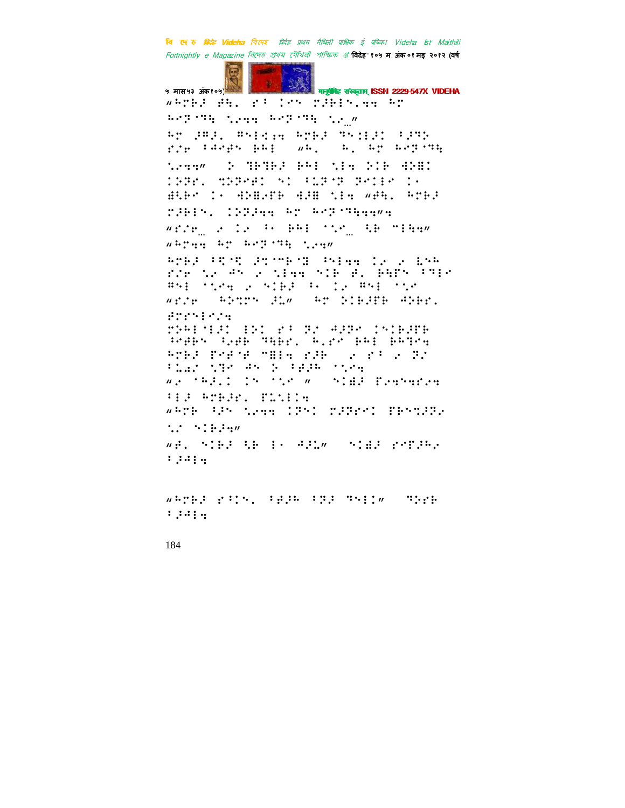

ः<br>अपिति सुमिद्द संस्कृतम् ISSN 2229-547X VIDEHA ५ मास५३ अंक१०५) while He at lan filming hi Ro 282, Brigge Robe Sride (123) gya tangn ang "wh," by bronging 1.000 : 1010 : 101 : 101 : 101 : 101 **CORE TORRED AT PLEASE RATES IN** ANDRE THE ANNUAL MANUFACTURE OF THE ANNUAL MODEL rich Cologny by believing write, a la Problem (try AB Mihew whree hr herith these REPLACED POSSESS PRINT IN SCIENCE rze na 45 a nige 516 f. 6455 (55) #51 (1504) 205118-01-020 #51 (150  $\frac{1}{2}$  (2001)  $\frac{1}{2}$  (2003)  $\frac{1}{2}$  (2003)  $\frac{1}{2}$  (2003)  $\frac{1}{2}$  (2003)  $\frac{1}{2}$  $w: \cdot :$ **BOSTORY** THE SEAT IN STATE AND INIER PARK CAR THEY, FIRST REPORT Andel Prese model wide a sign of the Plan the AN D Page Steep we then in the worlds feared a **BED BYBEE, TAGETH** were the these IPel radion feetile  $\mathcal{L} = \mathcal{L} \cup \{ \mathcal{L} \}$ we. Sied to Escalar coldigering  $1.1414$ 

were rain, age and menwo mere  $\frac{1}{2}$   $\frac{1}{2}$   $\frac{1}{2}$   $\frac{1}{2}$   $\frac{1}{2}$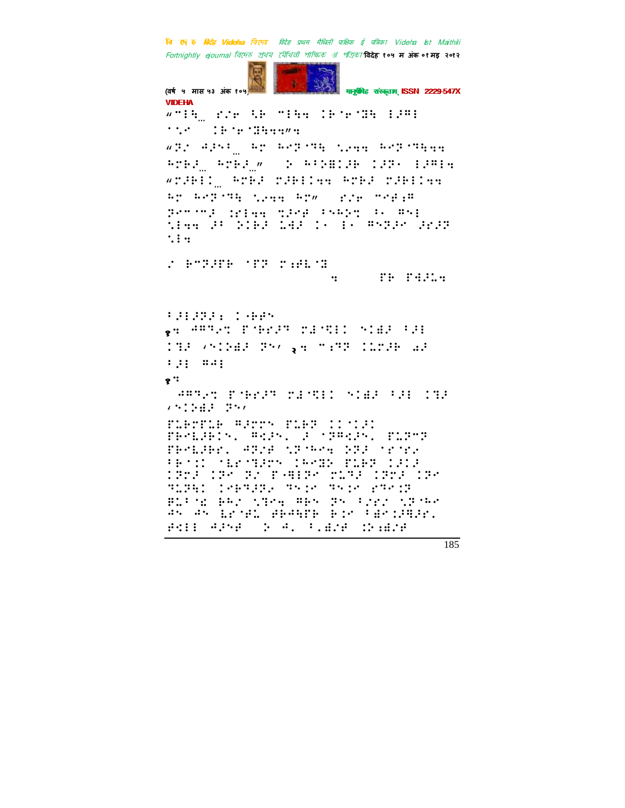बि एक रु मिनेड Videha विएक विदेह प्रथम मैथिली पाक्षिक ई पत्रिका Videha Ist Maithili Fortnightly ejournal রিদেত প্রথম মৌথিনী পাক্ষিক প্রা পত্রিকা**'বিব্রৈ' १०५ म अंक ०१ मइ २०१२** 

(वर्ष ५ मास ५३ अंक १०५) मानूबीह संस्कृताम् ISSN 2229-547X **VIDEHA WTER\_ PIP SE TERR IP TEMP EPH**  $\mathcal{L}(\mathcal{A},\mathcal{A})$  . **CONTROLLING** which also the state of the speed and change wriBil ArBi riBilee ArBi riBilee RE REPORT NEWS REWORLD TERM Portra deles dans Page (P. 84) the at the the theory and the second second the second second second the second second second second second se  $\ddot{\cdot}$ : **A MONDAY CONSTRUCT Simple State State**  $\cdot$ : **FREEZE CHEF** <sub>e</sub>g APPAN Enbrug rantil Slav Fui THE VAIDED PAY SHOWER INDUSTRIES  $1, 1, 1, 1, 1, 1$  $\ddot{\mathbf{S}}$ WARREN ENGELSHEIT SIE ALLE IN 193  $\sqrt{2}$  ,  $\frac{1}{2}$  ,  $\frac{1}{2}$  ,  $\frac{1}{2}$  ,  $\frac{1}{2}$  ,  $\frac{1}{2}$  ,  $\frac{1}{2}$ PROBLEM WORK I SPACE. PLPS PROBJECT ARTH SPORTS SPECIFICAT FROM ORDER THAN FLEE CHA 1963 196 92 P.H.B. 2093 1963 196 SLEED CRESTER SHOW SHOW PROCE BLOCK BRY WERE BBS BS OVER MESSAGE as as prop. geography are theready. POIL APSA (204. F.A.A. Craine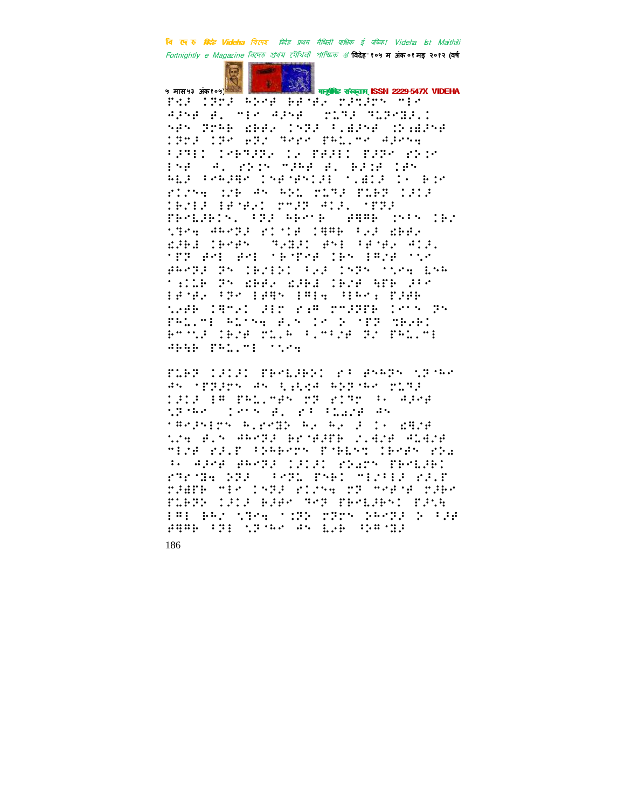

**AND STREET IN STREET ASSISTED AND STREET AND STREET AND STREET AND STREET AND STREET AND STREET AND STREET AND ST** ५ मास५३ अंक१०५) PAP (PrF AGAR BROK) ranars mis APAR B. MER APAR (MINE NIPRIE) 585 Prek defa 1592 flaz58 (Saaz58 <u> 1963–196 ABS APROVEMENT APOS</u> FANIL CHENARY CY BAAIL BARK WELK PART AL PRINTERA AL BANA DAN REF PRAPHR CHAMPAIRE MOBILE IN BIR FICTS OF AN ARE TEAR FEAR CRIP IPZEZ EPSPAI MSZPORTAI STRZ PROLED SUSPECTIVES ARRESTS FOR THE 1984 AR228 PICE 1986 F22 WHE EJEI TERRY (SVII) PHI FROM ATA. the Add Add technik les 1828 tir PROTECTS INCLUDE TO POST TOOK INS tilk 35 der daa 1676 ASB 365 19782 (20 1985 1914 (11671 2286 SARE CROAT SEM RAR MOSPER CATS RS PALTE ALTAN RIN IS I TER TRAND British 1828 Still (19628 Schools) **ABS SALE TOWER** 

TIME IN THE THE SENIOR SERVICE OF THE An increase an Early Account with 1919 FA PALLMAN MP RITH AN AGHA tree present range as **SPAREDS RIPAGE RE RE 2 IN SECR** tra els americaenses riane atana MIZE PALE PORFERS EMBLAT IPAPS POW allaged geeds foror space peemoer FARING STAR COMPTS THE MILITARY FALL rame off that Pichelra breakeliche TIET III BIR 707 TEMIRAL TIM pane (p) gree as Lee Cardi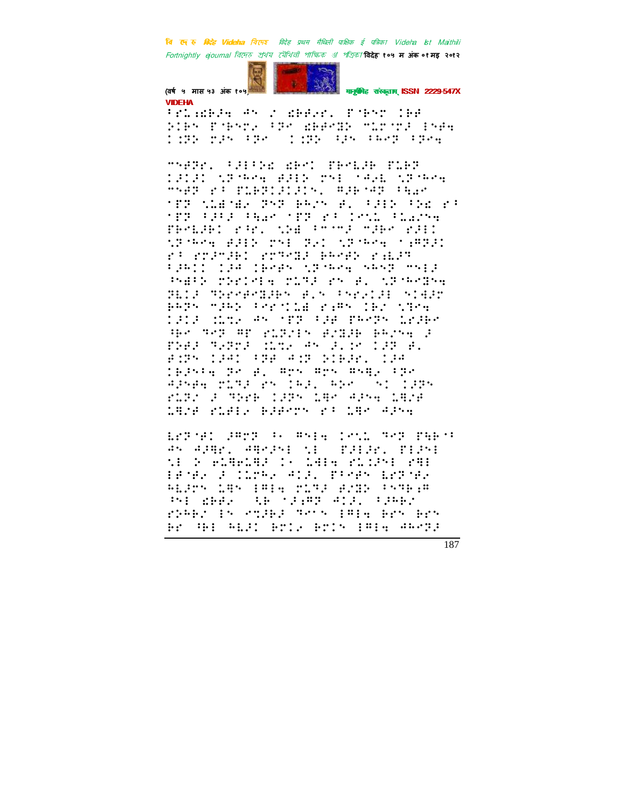बि एक रु मिनेट Videha विएक विदेह प्रथम मैथिली पाक्षिक ई पत्रिका Videha Ist Maithili Fortnightly ejournal রিদেত শ্রথম মৌথিনী পাক্ষিক প্রাণবিলিক বা স্বার্ক ১৭ মন্ত ২০৭২



मानुबेदि संस्कृतम् ISSN 2229-547X

(वर्ष ५ मास ५३ अंक १०५) **VIDEHA** 

Frindrik An Scheen, Pobny 166 FIRS PORSES TRANSPORT MINORS INFO **THE MAN FROM THE SAME SAMPLERY.** 

"YARE: PAIRSE WAS TEMBER TOOR 19191 SPORG B912 PME ORDER SPORG myse ri paserining ang sapingan nta vidral ana enzy el fall fin en<br>nta fafa finen nta ef levi filmine regular sal wellshind flesting SPORT RAIN THE BAIL SPORT CARRA ra rozmak: rozmala kemer ralaz FIRIT TIM TEMPS STORME SPST MSEP PARTY STATISTIC STREET STATES TO THE THAT THE STATES OF BLIE SPRYFYBREN F.N PYRIED NIER PROS SPRINGER PRODUCT 1919 Mark An 1938 Fee Bengh Mreen He set or rights ridge recent THE THINK MAY AN ALIM LIP B. BOR CHI SH AU SIBRO CH SEPATA DA B. Arn Arn Angl Tra 43586 2173 25 153, 558 - 51 1375 FLOW F SPEE 1905 LAR APSA LAWA 1928 PLATE BRACK PT 196 ARSA

EPPORT PROFILE RAIN TOOL ROB PHROP AS APREL ARMENE SE (FREPEL FEPSE **MED FIRMS IN MARK FIRMS FRI** PROFILE COMPANYING PROPOSED THAT REPORTED BEEN MINE BRIDGED PROFILE na ami le cimi dil cheb robre la strange des languages nes Br He ALS: Brig Brit 1814 AW23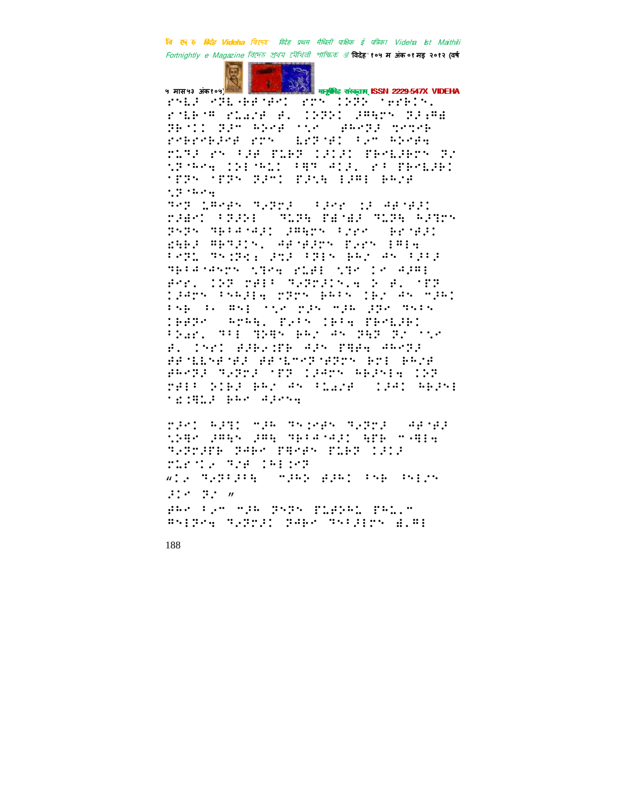

प्रमास पत्र अंकार०प्र स्थिति । अस्मा अस्ति । अस्मा अस्ति अस्ति । अस्मा अस्ति । अस्मा अस्ति । अस्मा अस्ति । अस्<br>अस्मा अस्ति । अस्मा अस्मा अस्मा अस्मा अस्मा अस्मा अस्मा अस्मा अस्मा अस्मा अस्मा अस्मा अस्मा अस्मा अस्मा अस्म ५ मास५३ अंक१०५) roles ruare el 1970 l'ages 2009 BESI BES ANGELSKY HAVBELDSOME PORTORIOS PTV LPD 91 PPV ANORA PLAS PROTHE FLAT CALAL FROM HER TO SPORTS INFORMATION AND PROBABL **TERN TERN BAND EASH BARB BROW**  $\gamma$  (1) and  $\gamma$ 

THE LEARN TARDE (FRAME OF HEARI raet (1925) (SLPA fanaa SLPA Aadry<br>1915 Setenaal amery (220 - Erneal EARS WRTPLY, WRIGHTY PAPY 1W14 PARL TRIPE: 252 PRIS BR2 45 PRP SPERMANDA STRA PLAT STR IR APRI Provide meet meetings bieving 1945 (SARIA 2355 BAIS 182 AS MIA) the comment of the the side in the second TRADA (ArAN, PALS TRIN PROLAN) than will have an an an arrive B. 1521 BJB23TB AJS PHA ARCTI aanilyana, aanimkonadek astraala.<br>amkov ovoev nedrivaev maaktariivo reft bled employmentare (1991-A6251 **TEIRLE BAR APPAR** 

rakt watt nam derskae dytra (Aanaa SPROGRAM PRACHAMAN APP SAREA TATTATE TABA THANK TIET (SI) THIS THE INFORM wir Sydnand (Sada Aant nob Solyo  $32 - 32 - n$ PRO POS SPR PARA PLPPAL PALLS #SPPS TOPTI PARK TSIPS ALBE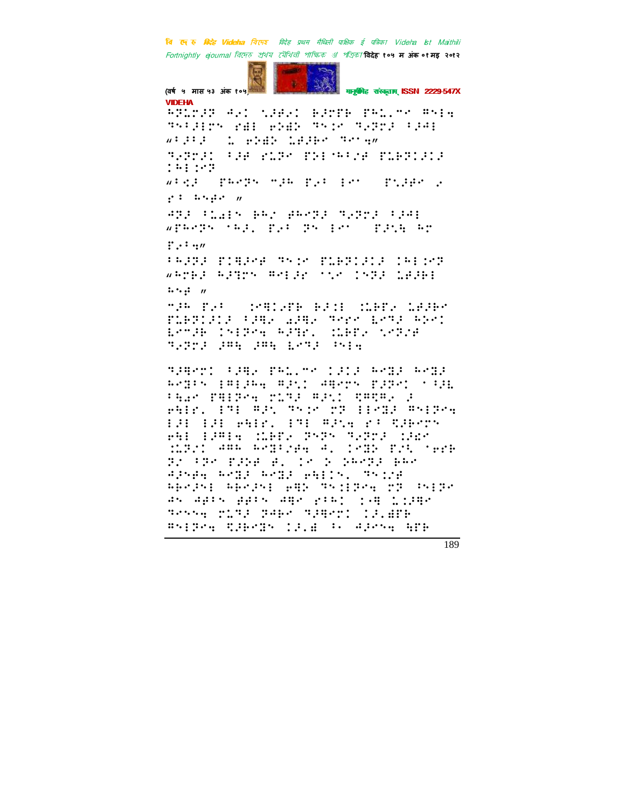बि एक रु मिनेट Videha विएक विदेह प्रथम मैथिली पाक्षिक ई पत्रिका Videha Ist Maithili Fortnightly ejournal রিদেত প্রথম মৌথিনী পাক্ষিক প্রা পত্রিকা**'বিব্রৈ' १०५ म अंक ०१ मइ २०१२** 



(वर्ष ५ मास ५३ अंक १०५) **VIDEHA** 

मानूबीह संस्कृताम् ISSN 2229-547X

RTLTIT AFI MIGHT BITTE TRL.TV ANIW THERE'S PAID PROP THE THING FEAR will a shift believ to an SARTI PAR PLEA THE SPIRE TIPPICIE  $144177$ wide from the filler (film)  $\mathbf{y}$ :  $\mathbf{u}$  .  $\mathbf{u}$ APP PLAIN PRO PROPE TOPOS FRAM wrakre tag, rus re ikk fring ar  $\mathbf{r} \cdot \mathbf{r}$ WATER ARTICLE ARE RESIDENT INTERNATION  $\ldots \ldots$ MAR PART OPEIAPE BACH CLEPA LEARY PLETISIS FURN AND, THEN ENTERED ESTAR INFRA PARK, MARY NSTAR **SEPPE PRESSURE LESS PRIN** 

SPREED FRAGING COOPS ARE AREA 8015 (81284 821) 8805 F2201 5321 **FALE PRING PINE REST RRUGS F** ears. The APC for Profiled Asias BREAK PHIL BREAK PART CHAPT eki ishin dufu zhun yezho dae.<br>Adal am bezionn al lezh pou terr BY FRAUDRED BY IN 2010-002 BRA APRAG ARBE ARBE ANICS, TRING **ABMINE ABMINE ARD THILPMA 27 (2017)** 45 4415 4415 446 2161 104 11140 Sessa pind dake Sdaepi id.ark #5:Pre CJERS (J.A. ( GJP5e APP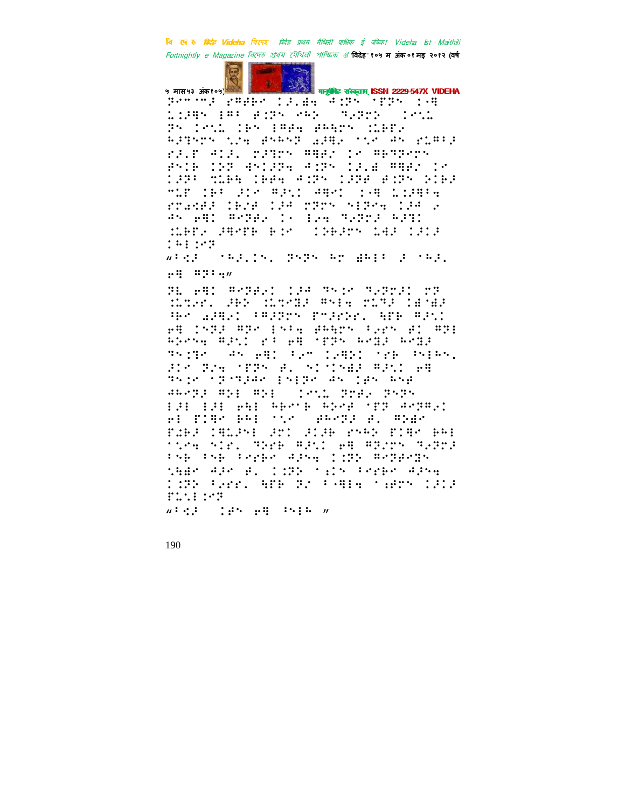

५ मास५३ अंक१०५) **<u>किये गानु</u>मित संस्कृतम् ISSN 2229-547X VIDEHA** Shrine graph (19.84 Aust 1995 in 1:BR PR PUR PR TROOP CRI 35 Ind. 195 1984 ARANT MARY RESPONSIVE PROPERTY CONTROL PLACE FAIR ADAL TANTY ANNO 18 APARATY anik 198 anisyk Alph Isla Ager (p.<br>1985 musk 1684 alph 1986 alph Dibs MIE INFORMATIENI ARMIO IN LIMPA rrades leve lag rarm miage lag a 45 ABI RESEA IN 124 RASSA RASI MARY PROTECTOR CORPORAGE CRIP  $141177$ 

 $\begin{minipage}{0.9\linewidth} \begin{tabular}{l} \hline \multicolumn{3}{c}{\textbf{0.9\linewidth}} \end{tabular} \begin{tabular}{l} \multicolumn{3}{c}{\textbf{0.9\linewidth}} \end{tabular} \begin{tabular}{l} \hline \multicolumn{3}{c}{\textbf{0.9\linewidth}} \end{tabular} \begin{tabular}{l} \multicolumn{3}{c}{\textbf{0.9\linewidth}} \end{tabular} \begin{tabular}{l} \hline \multicolumn{3}{c}{\textbf{0.9\linewidth}} \end{tabular} \begin{tabular}{l} \hline \multicolumn{3}{c}{\textbf{0.9\linewidth}} \end{$  $\mathbf{w}$ :  $\mathbf{w}$ :  $\mathbf{w}$  $\ldots$   $\ldots$ 

PL AND WATERS COMMITMENT TRITIC TT Mose. ARY MOSES ASIA puna tener He albei (Plans Police, Arb Plu (593 A95 E594 A6425 P225 A) A99  $P =$ RESSA RESISTAT PROTEEN ROBE ROBE Things an employment completed in the Als Bra (1895 A. S. Minal Advi AA Rije (prodas prije ar jer kre #6223 #51 #51 (2212 2233 P525 131 131 phi Abrie Abre (17 Arge); Al plak bal sik (gaby) al ayge FARA CHLANE AND ADAR RNAD FIRM RAE inga nip. Mark Asil AA Asirn Massa<br>Pnk Pnk Papka Asir Lish Aaskas the spoke first from the sound DIRR FREE. ATE R2 FAMIN SAPPOIRIE PLAINTR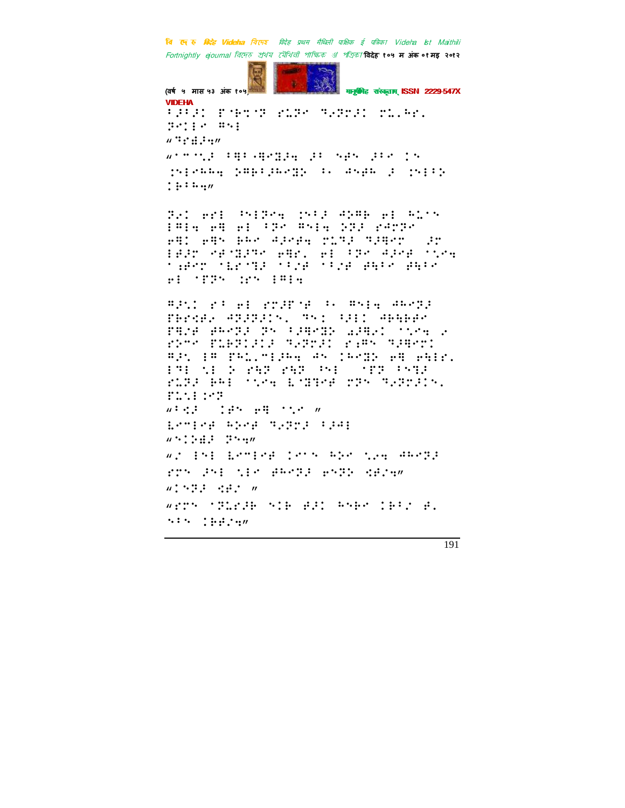बि एक रु मिनेट Videha विएक विदेह प्रथम मैथिली पाक्षिक ई पत्रिका Videha Ist Maithili Fortnightly ejournal রিদেত প্রথম মৌথিনী পাক্ষিক প্রা পত্রিকা' **বিदेह' १०५ म अंक ०१ मड़ २०१२** 



```
मानूबीह संस्कृताम् ISSN 2229-547X
```

```
VIDEHA
FREED PORTON PLAY SEARCH TLIPE.
30110 - 0.91\mathbf{w}^{\text{H}}: : : : : : :
personal portrained in departments
: ..._{n}
```
221 erl (hi2ng 1912 gige el 6175)<br>1914 eŭ el 12n 951a 122 razzo ago agu bhe greas comr mhaec (no.<br>1970 eachrac agus an Freugeac (nes tight through the time gain gain **HI 1935 125 1814** 

BRIT PROFILED BY A BRIGGARD Perde, ASSESS, Thi OSI ABABAR PRIA ARMEA PROFINADE WAREN STAR A remo piedicio medral ramo mameri BRN 18 PRLIMIRA AN IAMBN AR ANIX. PALSA PERSONAL STRING FLPA BAI (1984 L'ORPA FPR PAPPÁIN) PLAINTR  $\mathbf{w}^{\frac{1}{2}}\left( \mathbf{r}^{\frac{1}{2}}_{1} \mathbf{r}^{\frac{1}{2}}_{2} \right) = \mathbf{1}^{\frac{1}{2}}_{1} \mathbf{r}^{\frac{1}{2}}_{2} \mathbf{r}^{\frac{1}{2}}_{2} \mathbf{r}^{\frac{1}{2}}_{2} \mathbf{r}^{\frac{1}{2}}_{2} \mathbf{r}^{\frac{1}{2}}_{2} \mathbf{r}^{\frac{1}{2}}_{2} \mathbf{r}^{\frac{1}{2}}_{2} \mathbf{r}^{\frac{1}{2}}_{2} \mathbf{r}^{\frac{1}{$ Esting apop there they  $w^*$ : 1913 - 2547 wr End Esting Cent Windows (2008) Windows rra Pal the Best Path Shines  $\mathbf{w}$ ,  $\mathbf{w}$ ,  $\mathbf{W}$ ,  $\mathbf{W}$ ,  $\mathbf{W}$  ,  $\mathbf{W}$  ,  $\mathbf{W}$  ,  $\mathbf{W}$ wrth (Thrib hib All Anbe ible A.  $\cdots$  :  $\cdots$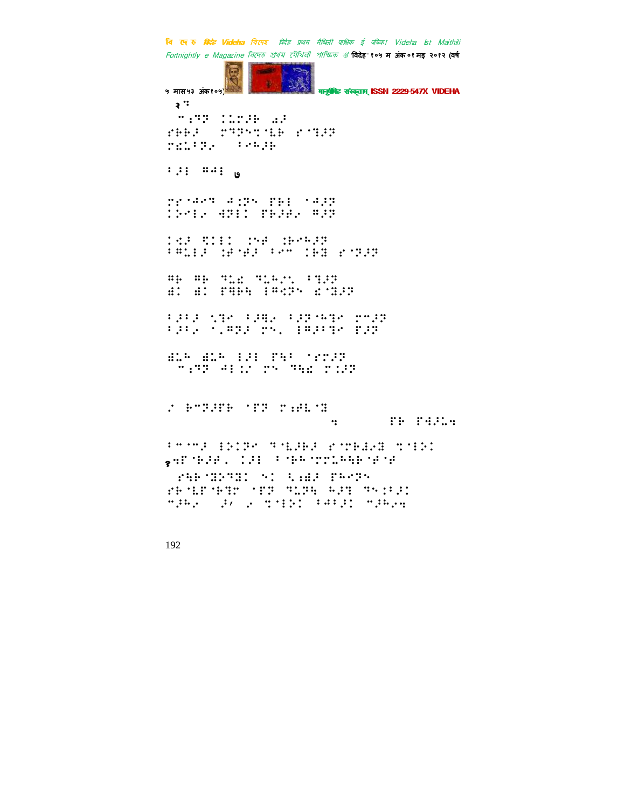चि एत् रू मिन्हे Videha निएन्थ विदेह प्रथम मैथिली पाक्षिक ई पत्रिका Videha Ist Maithili Fortnightly e Magazine বিদেত প্ৰথম মৌথিনী পাক্ষিক প্ৰ**'বিदेह'१०५ म अंक०१ मइ २०१२ (वर्ष Separate** ५ मास५३ अंक१०५) मानुसीह संस्कृतम् ISSN 2229-547X VIDEHA . २  $"$ !^⣐⢹⢽!⣅⢼⢷!⣔⢼! ⢷⢷⢼-!⢹⢽⣉⣇⢷!⣙⢼⢽! rding a sense ى :∺∺ ∷. و  $T$ ⢵2⢴!⣚⢽2!/⢷⢼⢾⢴!⢻⢼⢽! ⣊⢼!⣋2!⣈⢾!⣈⢷⢳⢼⢽!! ARC 2012 AND AN ARREST ⢻⢷.⢻⢷!⢹⣅⣎!⢹⣅⢳1⣁!A⣙⢼⢽! ⣞.⣞!/⣛⢷⣓!2⢻⣊⢽!⣎⣝⢼⢽! A⢼A⢼!⣁⣙!A⢼⣛⢴!A⢼⢽⢳⣙!^⢼⢽! A⢼A⢴!E⢻⢽⢼!E!2⢻⢼A⣙!/⢼⢽! ⣞⣅⢳.⣞⣅⢳!2⢼2!/⣓A!⢼⢽! (^⣐⢹⢽(⢺2⣈1!!⢹⣓⣎!⣈⢼⢽! 1!⢷^⢽⢼/⢷!/⢽!⣐⢾⣇⣝! he does been der die der die stel begin die volgens die volgens die volgens die volgens die volgens die volgen<br>Die volgens die volgens die volgens die volgens die volgens die volgens die volgens die volgens die volgens di A^^⢼!2⢵⢽!⢹⣇⢼⢷⢼!⢷⣜⢴⣝!⣉2⢵! १⣒/⢷⢼⢾⣀!⢼2!A⢷⢳⣅⢳⣓⢷⢾⢾! )⣓⢷⣝⢵⢹⣝!!⣃⣐⣞⢼!/⢳⢽\*! ⢷⣇/⢷⣙!/⢽!⢹⣅⢽⣓!⢳⢼⣙!⢹⣈A⢼! ^⢼⢳⢴-!⢼'!⢴!⣉2⢵!A⢺A⢼!^⢼⢳⢴⣒!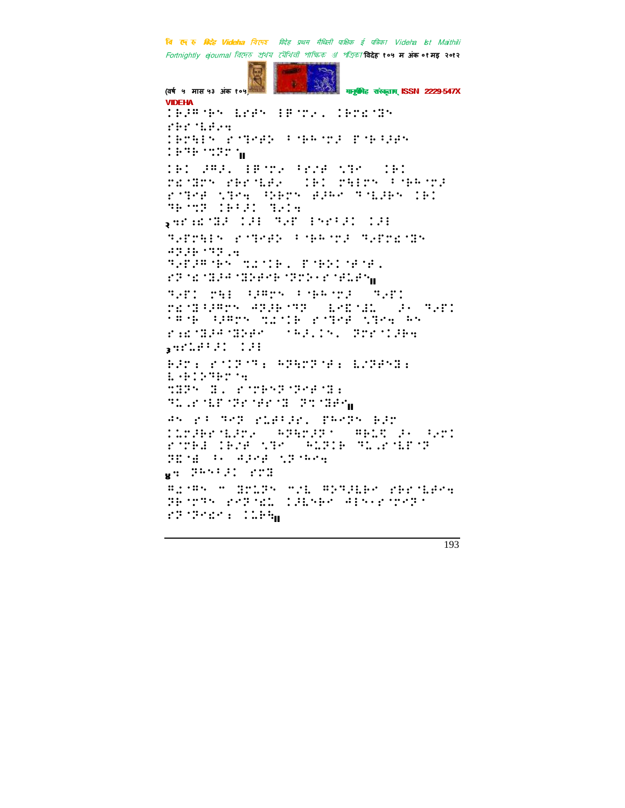बि एक रु मिनेट Videha विएक विदेह प्रथम मैथिली पाक्षिक ई पत्रिका Videha Ist Maithili Fortnightly ejournal রিদেহ প্রথম মৌথিনী পাক্ষিক প্র পত্রিকা**'বিदेह' १०५ म अंक ०१ मइ २०१२** 



**VIDEHA** 

IPTER POTTER FOR THE TERRIFIC 1979 1120 L IBI 283. EBST2 3228 ST5 (IBI renary sterned (181 rainy finence ring the Berg West School and the Sec BOS DELL'ELLE garanda (a: 528 (525-21) 12: SPEED PORTS CONFIDENTIATE 4228.132.4

SHIPS SAME FOR SAL ed ne nave navene napore neben<sub>n</sub>

THI MAI HAMMA PARTY STAI rendaars anakhte estiel as man tem Personal Property and randakoaren 1942an arritak

 $_3$  and  $_3$  (  $\frac{1}{2}$  )  $\frac{1}{2}$  (  $\frac{1}{2}$  )  $\frac{1}{2}$  (  $\frac{1}{2}$  )  $\frac{1}{2}$ FRY: POIROR: PRESENT ENTRYS: LAMINER 14 **MICH I. PUBLICATION** TELEMENTEMENT FONEM

AN PROTECT PLATER. TREPS BED **TIMARE NAMES ARRESTS CONSIDERED** romed (evenigen (elsik glürdros TEMPO POSTAGE START

wa 355:31 223 Roman - Briga - Mon Richard Services aktor përshta dhe aktorore rlicher : Chem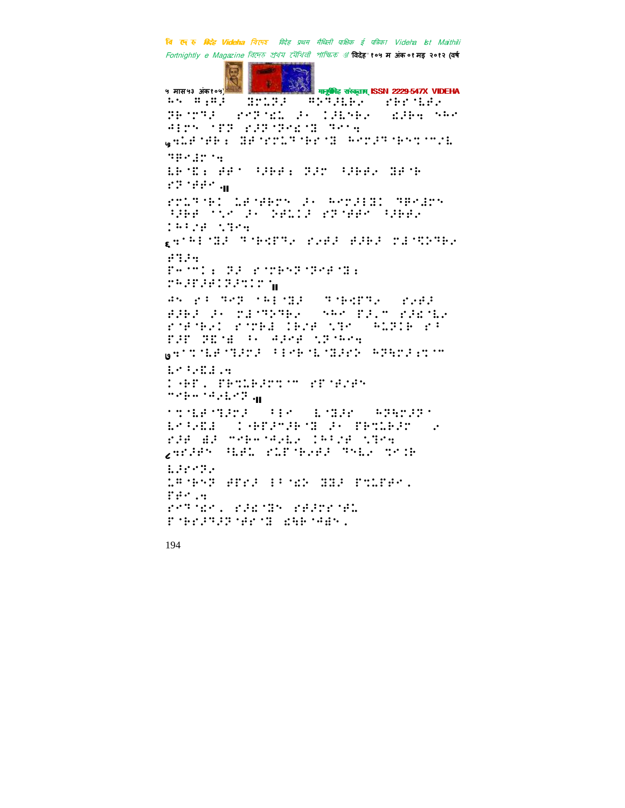```
Fortnightly e Magazine রিদেহ প্রথম মৌথিনী পাক্ষিক প্র বিदेह : ১০৭ म अंक ०१ मइ २०१२ (वर्ष
              编。
                   ै मनुभिह संस्कृतम् ISSN 2229-547X VIDEHA
५ मास५३ अंक१०५)
           3032 WYSIN
\mathbf{a} \cdot \mathbf{b} = \mathbf{a} \cdot \mathbf{a} \cdot \mathbf{a}and the state
PROTRE POTOR POSSERVED REPORT
Alphorth SPP Text Town
GALA YAKE GALYEYIN AR ARTISAN MUYE
NBRIDGE
LETE: APT (CRA): 222 (CRA) BATE
PROFESSION
rolade: Ledebox di Anodid: aprilox
SPER TO PACTES IN THE SPEED
19828 1384
personal segundan di electronica
111111PHONE: PACK MARKEMPHROB:
45 PE THR 1913 - TIP-PTE STAR
BJEJ JA MESTETEL (1988–1992) KJESEL
roford rocks drug the Saudir ra
FBP BENE IN APME SPORTS
gar monar (1929) (Films on Sales (Adams em 19
ESPECIAL
mento para la provincia
TEMPTED HE EMPERIES
Brazil (Animard A Petier)
                                    \ddot{\phantom{0}}rde de nobelezado catro stos
garden (Bab) romanede mail nom
alertin
LEART WELF IN MAY HER PACER.
Parties.
POTABLE PREATH PRINTING
rencheren auf auf Mar.
```
बि एक रु मिनेट Videha विएक विदेह प्रथम मैथिली पाक्षिक ई पत्रिका Videha Ist Maithili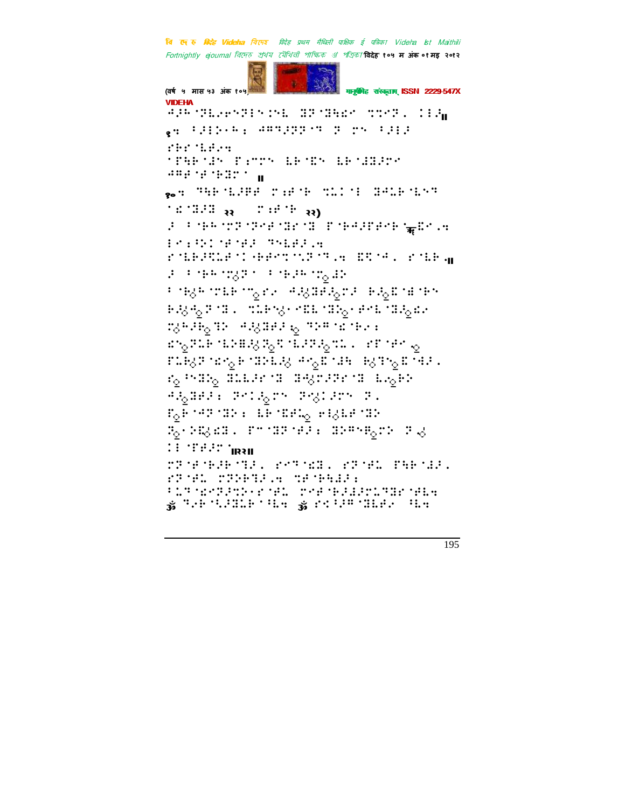बि एक रु मिनेट Videha विएक विदेह प्रथम मैथिली पाक्षिक ई पत्रिका Videha Ist Maithili Fortnightly ejournal রিদেহ প্রথম মৌথিনী পাক্ষিক প্রা পত্রিকা' **বিदेह' १०५ म अंक ०१ मड़ २०१२** 



**VIDEHA** APP TERRYTIN INE STORES STATE STEAM  $e$ : (2000)  $e$  (2000)  $e$  (2000)  $e$  (2000)  $e$  (2000)  $e$ **President TEARING FATES LETER LETARDET ARP OF 1932 1 TH go** to THE SLOPE of HOSE SLOCK (2016) 1942 FOLSO a componente de la componente après Principal State rangement degrades and men and mean FOR the right of the trade a degendae m<sub>o</sub>lde i Auguaugdu leugananen ERSPORTED INDEPSERED TERSPECTED ADAPT DOMESTIC HISTORICS TOP OF CHAIR ang Publish Bag Richard Space of Interng FLEST MAGE MELRO PARTIES ESTACE HIS  $r_0$  then sensor in equations and to HAGBAR POLAGON POLADNOR. Egenerare denoming eignenze Donald Communications are the constant  $\mathbb{R}^n$  :  $\mathbb{R}^n$  :  $\mathbb{R}^n$  in all TREPHETE: PTER PROFINE THE LE FINE TRETTA TETRIL **FOR MARKET WAS THE MARKET WAY TO BE A SHOP** g Servicher von geweiseren Ser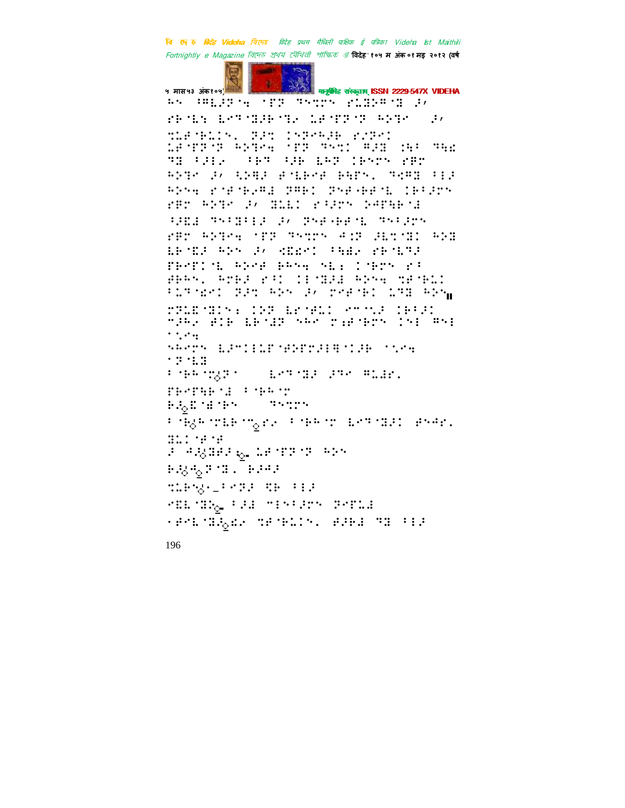

**AND SERVING STATE IN STRATEGIES AND STATE OF STATE OF STATE AND STATE OF STATE OF STATE AND STATE OF STATE OF S** ५ मास५३ अंक१०५) <u>सामग्री</u> We HERRY THE TELT FIERTH E PROBA BOTOBEOTA LEOPPOR ANTO  $\mathbf{P}$ the Gody, Sat (SSP-88 rust) LENTRIC APTER NTP TEST RED INFOTED HE PAIR CONFIDENTIAL INTERFER RNTH 2, CNB2 BALENE BATS, THUR FIR Absolute market (PAB) (Pselepsic (PF20s FROM PRISONAL MELLO EN PRINTER CARDINAL SPEED TO BEER ON TOP-BECK TO PER FRO RETOR TER TECH FROM HERITI RED LEARS WESTERN CREAT CHER PEARCH PROPINE ANON RANG NEW THEN PR BRANC AMBOR BALLING MEDIA APNAL MBRANC FLANDED BET REN EV THENED LAB REN PRIEMEDY: 102 EPMEI STAND (PRD) MPRESSED LEADY SAME PARTNERS IN EST  $\cdot$  ,  $\cdot$  . SPACE LIMITIE SEPTIFIES DE SOM  $12112$ PORTUGEN - LOTORE PRO PLAN. FREER CONTROL **EASEMATES SERVICE** Finegalmene moduli finea militare nazio andari **ELIMPTH** FORWARD WE WANTED TO APP 新报场 F1B, 新开报  $\texttt{min}(\texttt{S}^1 \texttt{I} \texttt{S}^1 \texttt{S}^2 \texttt{S}^1 \texttt{S}^1 \texttt{S}^1 \texttt{S}^1 \texttt{S}^1 \texttt{S}^1 \texttt{S}^1 \texttt{S}^1 \texttt{S}^1 \texttt{S}^1 \texttt{S}^1 \texttt{S}^1 \texttt{S}^1 \texttt{S}^1 \texttt{S}^1 \texttt{S}^1 \texttt{S}^1 \texttt{S}^1 \texttt{S}^1 \texttt{S}^1 \texttt{S}^1 \texttt{S}^1 \texttt{S}^1$ FERNING FEATURE TENT PREDA Kentinager denktry, eakalina (FFA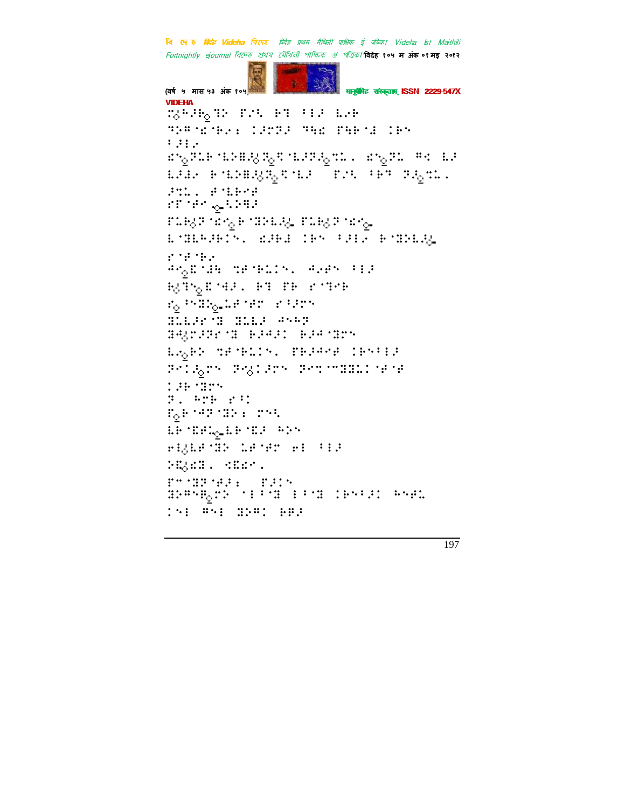बि एक रु मिनेट Videha विएक विदेह प्रथम मैथिली पाक्षिक ई पत्रिका Videha Ist Maithili Fortnightly ejournal রিদেত প্রথম মৌথিনী পাক্ষিক প্রা পত্রিকা' **বিবৈদ্ত ৭০৭ দ এক ০৭ দহ ২০৭২** 

**CONTRACTOR**  $\mathcal{R}_\mathrm{A}$ (वर्ष ५ मास ५३ अंक १०५) मानुब्रीह संस्कृतम् ISSN 2229-547X **VIDEHA** MARGE FOR BISHE LAB TERMINES CROSS THE PHEMICIES  $1.11.4$  $\mathfrak{a} \gamma_2 \mathfrak{p} \mathfrak{q}, \mathfrak{b} \text{ (a.e. } \mathfrak{p}_2 \mathfrak{q}, \mathfrak{q}, \mathfrak{p} \mathfrak{p}, \mathfrak{q}_2 \mathfrak{q}, \mathfrak{a}, \mathfrak{a} \mathfrak{p}_2 \mathfrak{p}, \mathfrak{a} \mathfrak{q}, \mathfrak{a}, \mathfrak{p}$ EPAR BOLEHERS, SOLEN TELL THE PROCE. Pris Priese en de Gabas  $\mathbb{P}\mathbb{L}\oplus_{\mathcal{G}}\mathbb{P}^{-1}\oplus\mathbb{P}_{\underline{\mathcal{G}}}\oplus\mathbb{P}^{-1}\oplus\mathbb{L}\oplus\mathbb{L}_{\underline{\mathcal{G}}}\oplus\mathbb{P}\mathbb{L}\oplus_{\mathcal{G}}\mathbb{P}^{-1}\oplus\mathbb{P}_{\underline{\mathcal{G}}}.$ EMBRARING WARE THN FALL FMBER controller Angrich decentry, Avenued BOTSEMPLIFT TRUNCHE  $\mathbb{P}_{\mathbb{Q}}$ Prilligaler tem antistrir HILL: H HILL 4568 BROWN EPAC PPACE EAGEN TEMPLIN, TEAPPE IENTIA क्ली फुक्त (कछ क्किन) कल्प लक्का राज ज  $1.39$   $1224$  $P_+$  +re  $r$  : 561971211 275 LE TERLOLE TER SPON eigheidh deich ei fig PEGEL SERT. ET MENTES (CEPUS)<br>EPARAMENT (CEPUS) EPUS (ESPECIASED **191 #91 HD#1 HB:**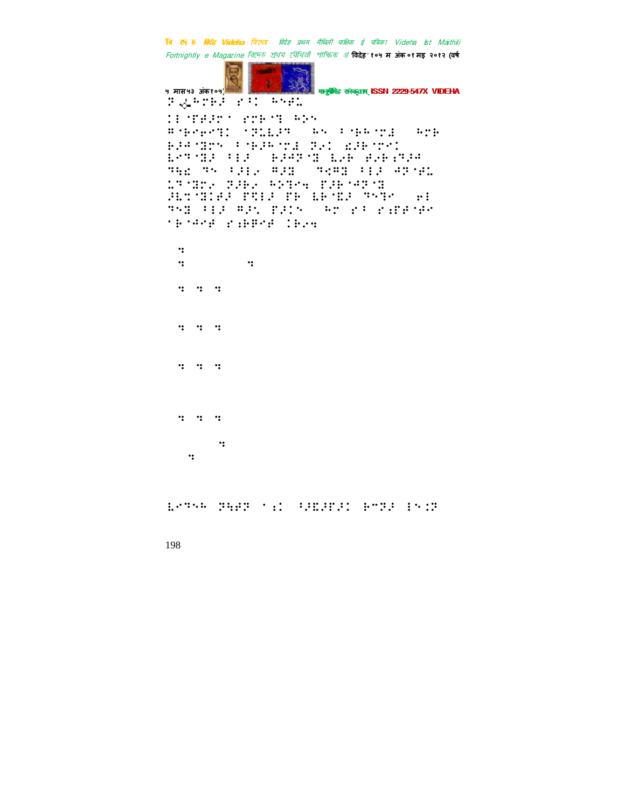

५ मास५३ अंक१०५) महास्था महास्थित संस्कृताम् ISSN 2229-547X VIDEHA ⢽⣀◌॑-⢳⢷⢼!⢸!⢳⢾⣅! 2/⢾⢼.⢷⣙!⢳⢵! ⢻⢷⢶⣙!⢽⣅⣇⢼⢹.!⢳!A⢷⢳⣜-!⢳⢷! ⢷⢼⢺⣝!A⢷⢼⢳⣜!⢽⢴!⣎⢼⢷! ⣇⢹⣝⢼!A2⢼-!⢷⢼⢺⢽⣝.⣇⢴⢷-⢾⢴⢷⣐⢹⢼⢺-! HE REAL PRESCRIPTION ⣅⢹⣝⢴!⢽⢼⢷⢴!⢳⢵⣙⣒!/⢼⢷⢺⢽⣝! ⢼⣇⣉⣝⢾⢼!/⣋2⢼!/⢷!⣇⢷⣏⢼!⢹⣙-!⢶2! ⢹⣝!A2⢼!⢻⢼⣁!/⢼-!⢳!⢸!⣐/⢾⢾! ⢷⢺⢾0⣐⢷⢿⢾!⢷⢴⣒! 9. WJEFIBIBI GEOGRAFIE 9  $9:2:2:2:2$  $\cdot$  :  $\cdot$  :  $\cdot$  :  $9:2:2:2$  $9:2:2:2$ cz! Esperant w Political Political Political Political Political Political Political Political Political Political Political Political Political Political Political Political Political Political Political Political Politic  $\mathbf{E}$ 

⣇⢹⢳!⢽⣓⢾⢽!⣐!⢸⢼⣏⢼/⢼!⢷^⢽⢼.2⣈⢽!!!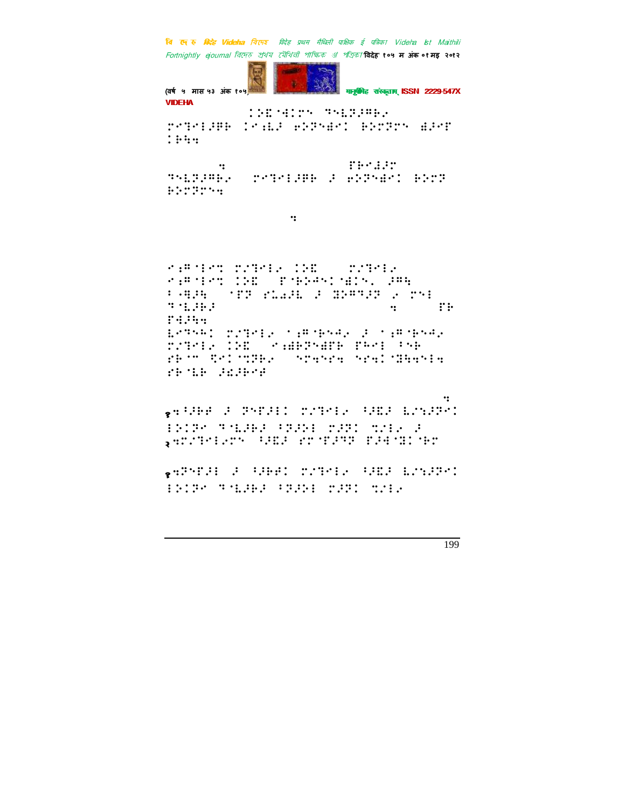चि एत् रू मिन्हे Videha निएन्थ विदेह प्रथम मैथिली पाक्षिक ई पत्रिका Videha Ist Maithili Fortnightly ejournal -  -  'वदेह' १०५ म अंक ०१मइ २०१२

**County** (वर्ष ५ मास ५३ अंक १०५) मानुसीह संस्कृतम् ISSN 2229-547X VIDEHA Joqvu;!)⢵⣏⣚!⢹⣇⢽⢼⢻⢷⢴-! ⣙2⢼⢿⢷!⣐⣇⢼!⢶⢵⢽⣞.⢷⢵⢽!⣞⢼/!  $:$  $:$  $:$  $:$ 

 $\frac{1}{2}$ ⢹⣇⢽⢼⢻⢷⢴-!⣙2⢼⢿⢷!⢼!⢶⢵⢽⣞.⢷⢵⢽0! ⢷⢵⢽⣒!Sftvmu!jo!Efwbobhbsj-!

Spield (Spield Spield Spield)

 $^{\prime}$  (PP 101 222 - 101 222 - 101 222 - 102 222 - 102 222 - 102 223 - 102 223 - 102 223 - 102 223 - 102 223 - 102 223 - 102 223 - 102 223 - 102 223 - 102 223 - 102 223 - 102 223 - 102 223 - 102 223 - 102 223 - 102 223 - 1 ⣐⢻2⣉.⢵⣏!!/⢷⢵⢺⣞E!⢼⢻⣓! ABSER ABSER ABSER AND THE STATE OF A STATE OF A STATE OF A STATE OF A STATE OF A STATE OF A STATE OF A STATE O<br>A STATE OF A STATE OF A STATE OF A STATE OF A STATE OF A STATE OF A STATE OF A STATE OF A STATE OF A STATE OF **H**  $\ddot{\textbf{h}}$  is the second problem of the second problem of the second problem of the second problem of the second problem of the second problem of the second problem of the second problem of the second problem of the s /⣚⢼⣓⣒! ⣇⢹⢳!1⣙2⢴.⣐⢻⢷⢺⢴!⢼!⣐⢻⢷⢺⢴! 1⣙2⢴!⢵⣏!)⣐⣞⢷⢽⣞/⢷!/⢳2!A⢷!  $^{\prime\prime}$ ⢷⣇⢷!⢼⣎⢼⢷⢾!.Cbtfe!po!nt.trm!

Fohmjti.Nbjuijmj!Ejdujpobsz⣒! १⣒⢸⢼⢷⢾!⢼!⢽/⢼2!1⣙2⢴!⢸⢼⣏⢼.⣇1⣑⢼⢽! 2⢵⢽!⢹⣇⢼⢷⢼!A⢽⢼⢵2!⢼⢽!⣉12⢴!⢼! २⣒1⣙2⢴!⢸⢼⣏⢼!/⢼⢹⢽!/⢼⣚⣝⢷!

१⣒⢽/⢼2!⢼!⢸⢼⢷⢾!1⣙2⢴!⢸⢼⣏⢼.⣇1⣑⢼⢽! 2⢵⢽!⢹⣇⢼⢷⢼!A⢽⢼⢵2!⢼⢽!⣉12⢴!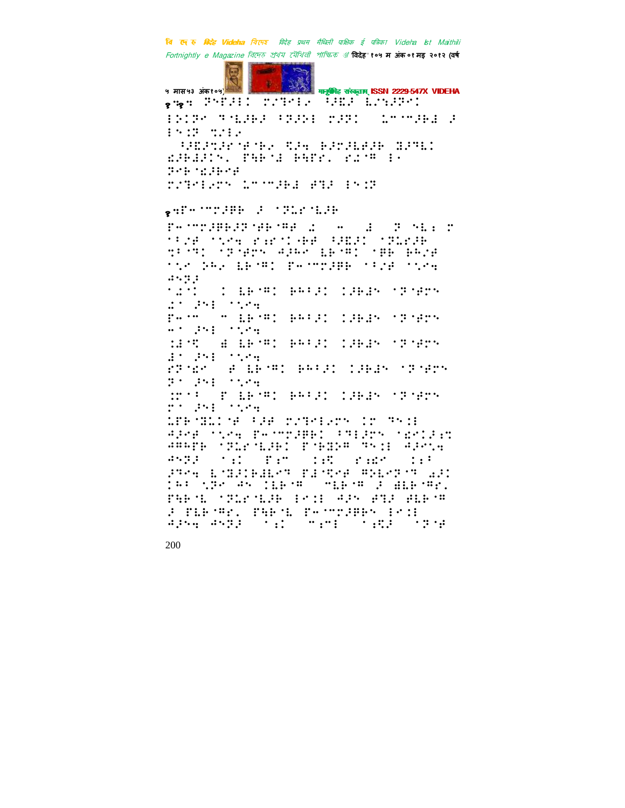

५ मास५३ अंक१०५) समिति हो मनुमिह संस्कृतम् ISSN 2229-547X VIDEHA ... PHREE TOTER HER ESTRE BRITE THORP PROVIDED TO THING A  $1517 - 2212$ **MONDAY CONTRACT CONSUMER** RUBBIN, THE BETT, PRIME IF September rathers in make sea exa

**QHP-MONED SECTIONS** 

**P-MARBOR 19978 20 MISE TOM PART HE SHEET TEACH** siling friend alack promoter race siya bayoganda gununggaa siya siya.  $4.433$  $\cdot$  .:  $\cdot$  : (1) BENNI BATAI (1816-131816  $25.751.759$ Benn (m. 1674) Geral (labar (d. 1876)  $\alpha \leq 104$  ,  $\beta \leq \alpha$ MAR SENE PRINT NEW YEAR  $B = B + B$  , where  $B = B$ randri e lengo estado dalla nanra  $\mathcal{B}^{(k)}$  and the state  $\mathcal{B}^{(k)}$ WIR START PROFILER STREET progress them WEBSING CHE MATHEMA IN TAIL Alexandrich Pedroller, Prison della ARAPE (SLENGER) PORTE TVIL APON ANDS SECTION 2554 ESB2163655 PESPE BRESPOR WA 183 NPK AN 1667# (M667# 2 B667#2. FARME MELFOLIE BRIDGES ALSO ALEMA FURNITY PHONE PHOTOGRES INCL APSA ASTRO TELO MEMBO TETRO TETR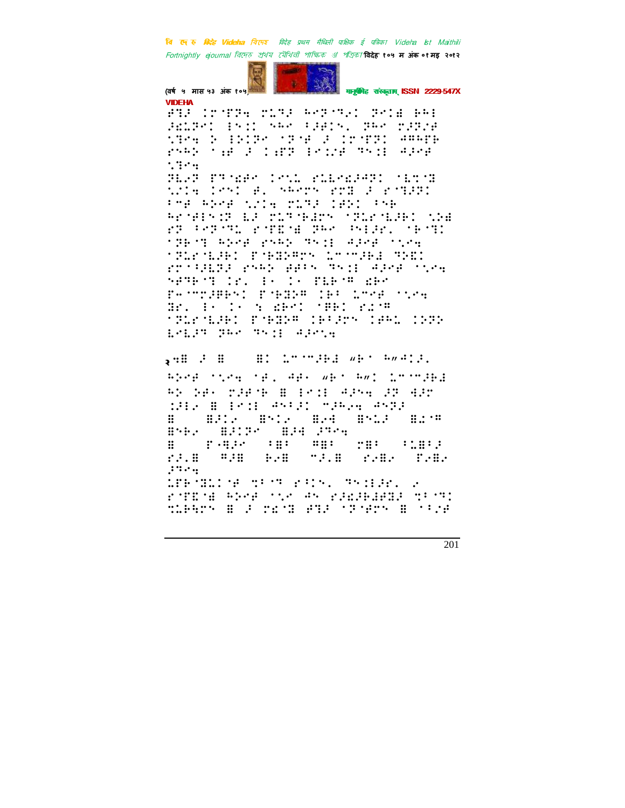बि एक रु मिनेट Videha विएक विदेह प्रथम मैथिली पाक्षिक ई पत्रिका Videha Ist Maithili Fortnightly ejournal রিদেত প্রথম মৌথিনী পাক্ষিক প্রা পত্রিকা' **বিदेह' १०५ म अंक ०१ मड़ २०१२** 



(वर्ष ५ मास ५३ अंक १०५) **VIDEHA** 

मानूबीह संस्कृताम् ISSN 2229-547X

FOR CONTRACTLER APPIRED PRIN BAI **JELTAI ENIL NAP FJEIN, TAP TJTJE** STOR 2 ENTRY STOR 2 INSTERL ARABA rnes num a luma from mid agre  $2.329$ 

PEAR PROBET CAND POEABARD OETOB wie land e. naarn wol 2 kaler Phe abee wile rime iebi  $\cdots$ Receipts as compressor charged the PROPERTY POTECHOPAS PHERE OF TH 19819 RNE PNR 3518 RNE 100 **MARKET PRESENT ATTER TEST** PT SPEER PARK PRINTING SPACE STACK SAME TO SAME AND THE MUSIC Permission Predig (B) 1978 (1974 Br. En la de Berl (BBI rich **TRACKARY PORTH INSTACT INN INTE** ESERVING TOM STREET

... Film and the service of the service.

REMB STREETED ABROWER RAD LOOMBER AS SAN TARTE BOINTE APRAIST ART 1312 B 1811 ANISI MSA24 ANSS B BOX BY: BAR BY: BY Brev BRIDE BREATH  $\mathbb{R}^2$  . Hence the set of  $\mathbb{R}^2$  $\cdots$  : : :  $\cdots$  $\mathbf{r}$  and  $\mathbf{r}$  and  $\mathbf{r}$  $\mathbf{H}$ **FALL WHEN SHE MALE FROM TRUE**  $\mathbf{R}^{\text{max}}$ SPROBLEM SPORTS REPORTED A rotter and on an radaasse stor TIRT BI STRIB AND TIRT BITI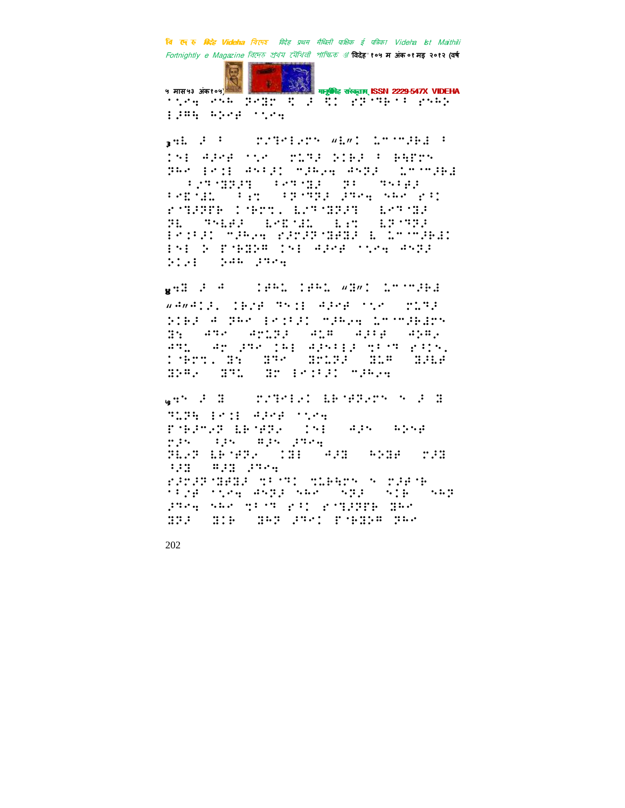

५ मास५३ अंक१०५) मनुबेनेह संस्कृतम् ISSN 2229-547X VIDEHA ting cho province of the rest compo plan note the

**TESTIFY WEAT LOCATED P** 

INE APPROXIMATION NIER POBLIC BARTY PRO EndE Antal Marge Anga (1878-181 **SYMMERS PARTIES IN THEFT** PARTER (Part (PRIMER 2004) SAR 201 KONSTRUCTIONS LONGED AND MELTING BL SHEEP LATING LET LITTER POSTED SPACE PROPERTIES & COSTRAD PSE 2 FMBD# 158 #208 Mine #522 000: 000 000

**UNISE AND SPECIAL WILL SECTION** 

weweils, ibre myle elegation character BIBA A PAK EKIPAL MARPH LM MARINY ana ambri abe aile ala.  $\mathbb{R}^n$ **ATL AP PROTECTABLE ASSESSMENT PRINT THERE AN ARE ARRIVE AND STAR HOW HIS HOUSE IS TO A SHOW THAT AND REALLY STATE** 

ger 3 de anniversitat de regumento de d **SLEE ESTE SPAR STAR** PORTS BORD (SI) and and a serious contract his list wis inse **MARINE CONTROLLER SERVICE**  $\mathbf{u}$ ,  $\mathbf{u}$  ,  $\mathbf{u}$  ,  $\mathbf{u}$  $\mathcal{L}(\mathcal{L}(\mathcal{L}))$ FAMAR MEDAL MATRIC MIRROR ON MARCH 13.28 1524 4532 553 - 533 - 516  $\ddots$  : Pres and discrimination directors HAR HIS HAR PRO POSSED HAR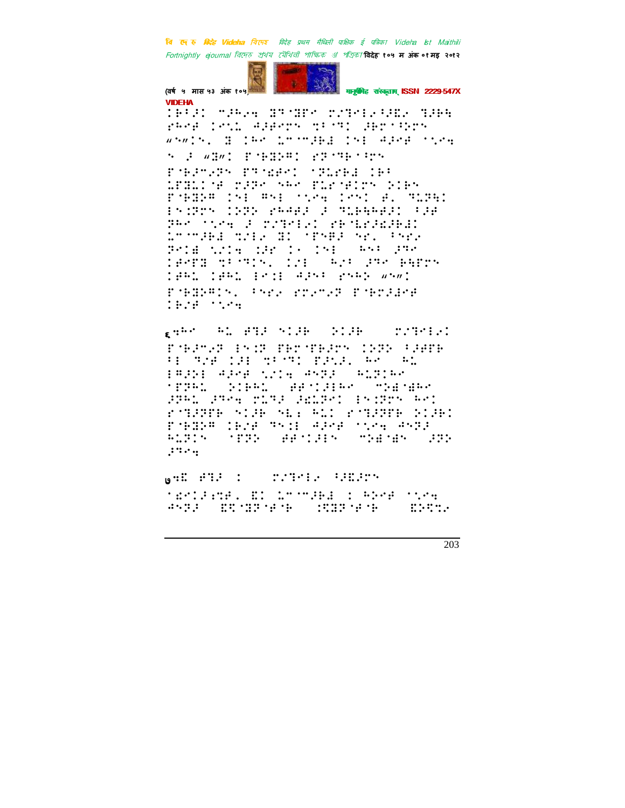बि एक रु मिनेट Videha विएक विदेह प्रथम मैथिली पाक्षिक ई पत्रिका Videha Ist Maithili Fortnightly ejournal রিদেত প্রথম মৌথিনী পাক্ষিক প্রা পত্রিকা' **বিदेह' १०५ म अंक ०१ मड़ २०१२** 



(वर्ष ५ मास ५३ अंक १०५) **VIDEHA** 

मानूबीह संस्कृताम् ISSN 2229-547X

**CRACK MORGE OF OUR MONTHER CORRECTION** PROF LOND APPOINT NE ME SPECTREN whath, Bolke Loomski (ni Aler over **SEARCH THEMIS STORY TOWN** FORPSPY PROBED (PLANE DR) LEGALINE MARK SAR ELENEDY DIES FORDE CAL BAL STAR CAND B. MINE: Propr 1995 PAARP 2 Minhaelt  $\mathbb{R}^2$ PRO STORY POSTOLE IN SECRETE LOOMARA MILL AL SEMPARA MEL PARL Prim with the 19 July 2010 And 202 TARTE SPORTS, INF. AND JOR BATTS THAN IHAN ERIE APAR PAAR WAWI POBRETS, PSPA PRATAR POBREESE TEMP STOR

 $\epsilon$ ako (ki eda sie sie (kieko) a di secondo di Secondo di Secondo di Secondo di Secondo di Secondo di Secondo di Secondo di Secondo di Second FORFOR INCE PROCERTS INCE FRAME HOTH ON THE BRANCH 18221 4234 5214 4532 (RLSIA) **MERRI DIRAC REMIRAN MDEMBA** 3961 3984 2193 321981 353925 681 FOREST SIDE SER ALL FOREST SIDE PARPE INSERATE APARTMENTS RITIN METER BEMIJEN MERGEN IT  $\mathbb{R}^{n \times n}$ 

**WE SEE : TIME: WEEN** rantalda, Et Londaes (1956) ring aver develope female present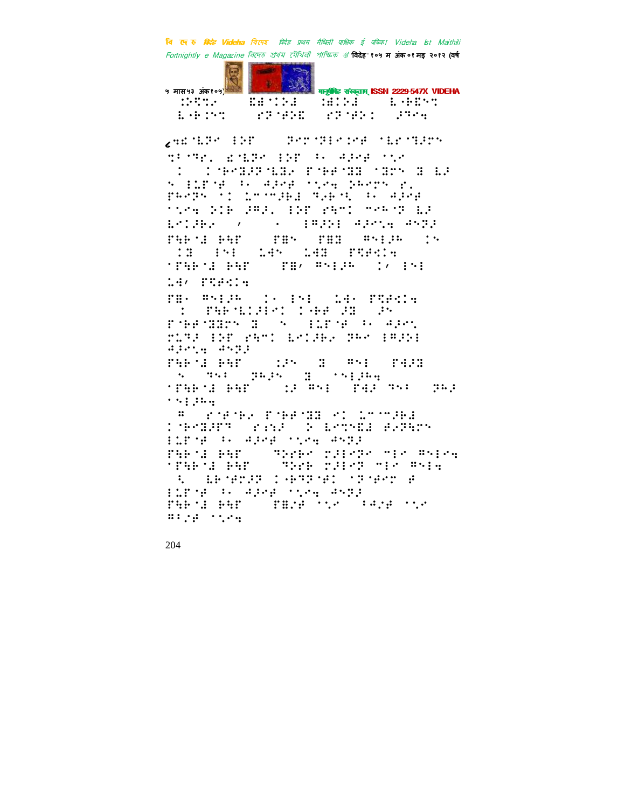

ada da da da da da da da da da da aka a da aka a da aka a da aka a da aka a da aka a da aka a da aka a da aka

 $1.44121$ 

मानूबीह संस्कृतम् ISSN 2229-547X VIDEHA mithi Mihi Adher  $(17.979)$  $\pm 2.5$  and  $\pm 0.5$  and  $\pm 0.05$ 

## $244.1174.1171.$ **SEPTEMBE MEMBERS**

TESTEL ROLPH INT IN APPEARING S ELEMBO POSPER STAR DRAMM PL PROPRIAT LOOPER SHEEP, PASSER tion bie aga, ibn rani nokon aa ESTINA VOLTA (18221-42554-4582 PARTICULAR CONTROL PROPERTY <sup>1</sup>(a 161) 145 148 (PResta **TEACH AND TEACHING IN BY** 14, PRACTA

FB: PSIPH (1) 151 (14) FRESTA (G. 1946) stalkt (1944) (d. 1957)<br>1944 saars (a. 1500) litter (1500–1955) MARK INT PANT LOCARD BAC INSNI  $\begin{aligned} &\# \{ \mathcal{P}^{\star}_{\mathcal{A}} \mathcal{P}^{\star}_{\mathcal{A}} \} = \# \mathcal{P}^{\star}_{\mathcal{A}} \mathcal{P}^{\star}_{\mathcal{A}} \end{aligned}$ 

rakistanê (18 % li maj razd<br>18 mar paşk di salzam<br>1846'd Adr (12 maj razdam) paz  $\cdots$  :  $\cdots$  .

**CALC PORTS ENERGY STORYMEN THERE FRE FROM BENER BERGE** PLP 98 (P) Albert Street Andre PARTA PAD - JAVRY DJEVAN MEN ANEMA<br>TPARTA PAD - JAVR DJEVA MEN ANEA **A LENGTR LATTNE START F** ilra (f. 414 mage 1975)<br>PARMI PAR () PBMB 1976 (1978 mag  $112.4117.741$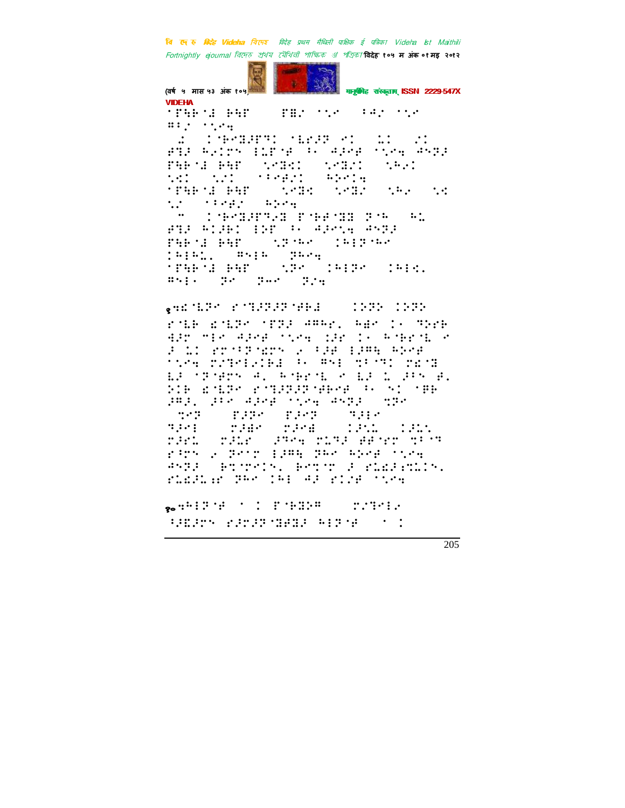बि एक रु मिनेट Videha विएक विदेह प्रथम मैथिली पाक्षिक ई पत्रिका Videha Ist Maithili Fortnightly ejournal রিদেত প্রথম মৌথিনী পাক্ষিক প্রা পত্রিকা**'বিব্রৈ' १०५ म अंक ०१ मइ २०१२** 



(वर्ष ५ मास ५३ अंक १०५)

मानूबीह संस्कृताम् ISSN 2229-547X

**VIDEHA TERRIA PRESSURES TANS PROTOC**  $0.127 \pm 0.000$ A CHEMITI MENT C

si sa manda (1992-21 - 11 - 21 -<br>PRO Paling Illing (1994-2004-201)<br>PARA PART (1993) **THE WE BAT**  $1.4341$  $1.1221$  $\mathcal{L}$  is  $\mathcal{L}$ .  $\begin{array}{ccc} \bullet & \bullet & \bullet & \bullet & \bullet & \bullet & \bullet \\ \bullet & \bullet & \bullet & \bullet & \bullet & \bullet & \bullet \\ \bullet & \bullet & \bullet & \bullet & \bullet & \bullet & \bullet \end{array}$  $\frac{1}{2}$   $\frac{1}{2}$   $\frac{1}{2}$   $\frac{1}{2}$   $\frac{1}{2}$   $\frac{1}{2}$ **START SHE SEEN**  $\mathcal{L}(\mathcal{H},\mathcal{F})=\mathcal{L}(\mathcal{E})$  $\sim 1.932$ tra stepra bien  $\mathcal{F}$  . The manual pole compact  $\mathcal{F}$ FIR WITHINGS IN WARRING PHP NE BAP (1972) NP NAT (1912) NA :A:A:, #4:A 762g TERRIA RADO (NES CORPS) (REN) ge par pra  $\mathbf{u} \cdot \mathbf{v}$ .

ged 1693 - cintararrako eta 11.200 (1200 rile riles (PP) Ambr. Ads () Thre 435 MER APPE STRACTIF IN ROBERT P F.L. Profesor 2008-098-8208 ting provisies of mar proof prod EP (Power Al Acardemic All Educatoral bia kaleng Missasang Politik Men 282. 258 4288 5584 4592 - 598 THE THE  $\mathbb{R}^n$  $\cdots$  $\begin{array}{l} \mathbf{1}_{\mathbf{1}_{\mathbf{1}}\mathbf{1}_{\mathbf{1}}\mathbf{1}_{\mathbf{1}}\mathbf{1}_{\mathbf{1}}\mathbf{1}_{\mathbf{1}}\mathbf{1}_{\mathbf{1}}\mathbf{1}_{\mathbf{1}}\mathbf{1}_{\mathbf{1}}\mathbf{1}_{\mathbf{1}}\mathbf{1}_{\mathbf{1}}\mathbf{1}_{\mathbf{1}}\mathbf{1}_{\mathbf{1}}\mathbf{1}_{\mathbf{1}}\mathbf{1}_{\mathbf{1}}\mathbf{1}_{\mathbf{1}}\mathbf{1}_{\mathbf{1}}\mathbf{1}_{\mathbf{1}}\mathbf$  $3.101$ **STAR STAR**  $1.317$ **STAR SPARE TO BE THE THE T** martin. rans o Brin 1985 Ber Abre (1956 ANDER BUSINESS BRUSS E PLAEFULLY. riskie par (a: a) riječnic

**Romanist State Construction Construction Construction Construction** HARRY FRYER MARK WITH SALE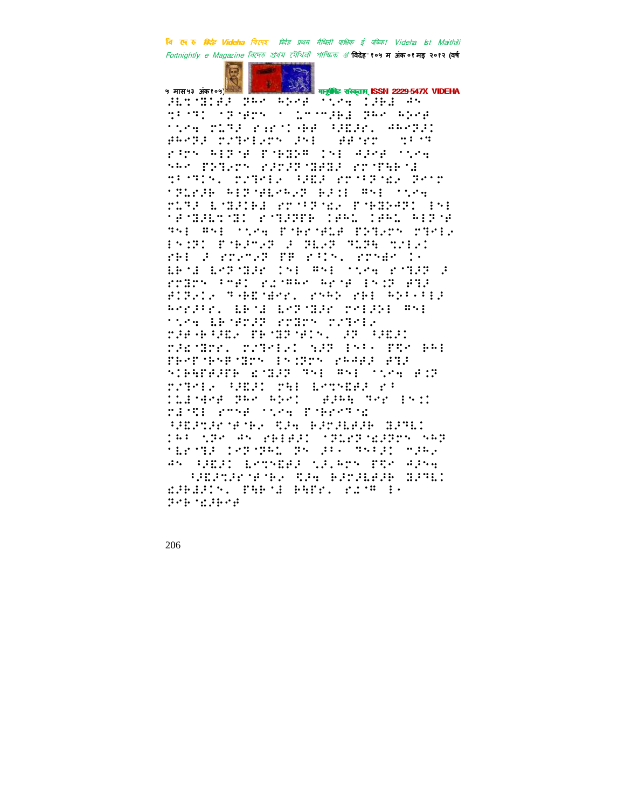

५ मास५३ अंक१०५) मानुब्रीह संस्कृतम् ISSN 2229-547X VIDEHA Hardfield Her Roof tire like 45 thing of your color with the abop tice plas raroter same. Weeks abest crowlers as: aancr (clea rans alber represented alem stem SAR PERSON FRONTRER FOOTBEAR the the control of the control prop **TRIPLE REPORTED RESEARCH** MIRE EMBIED MONTHLAND THERE IN MANUAL COUNT CAL CAL AURA The Rhe Sidne Potentele Private alter ESCRIPTED SALES SERVICES SERVICE FRI F FTPNF PR FRIN, FTNR IV ERSE ESPORAN INFORME SONG ROTER A rodos (Pel rismas arte 1872-202 BIRSIS THEMBYS, PARK PRE REPORT Replie, about actomar reading mod tics intered crime models **MARKET BINDEN STATE** racure replacing passers pa FRAFARABANYA (PANTA PRABA BAR SIBERARE ROBAR TSE TSE SAME RIP rated GHI and derning at tillere par april Sing Ter Pri TEMP POSE TIME PORTOR HARPORTH THE CONFIDENTIAL BUTCH IAF NEM AN PHIRRI SELPENDEN NAB TERMIN CREMENTS IN THIS MINE 45 HEAD ESTMER NAVATS FES 4254 HERSEYSTED READERSHIPS BRAD EPHILICAL PHECH BAPY, PACH IP Served Beng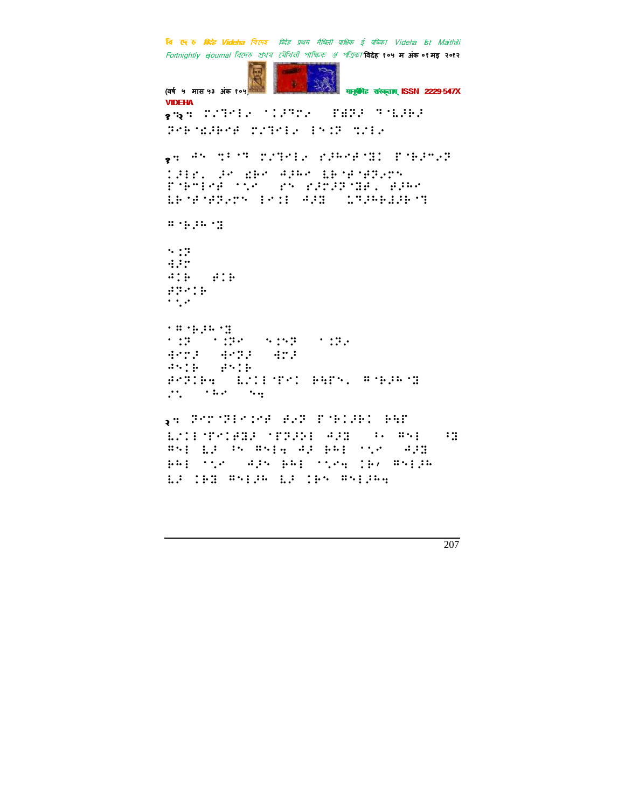बि एक रु मिनेट Videha विएक विदेह प्रथम मैथिली पाक्षिक ई पत्रिका Videha Ist Maithili Fortnightly ejournal রিদেত প্রথম মৌথিনী পাক্ষিক *প্রা পত্রিকা* **বিदेह १०५ म अंक ०१ मइ २०१२ Country** ø मानुब्रीह संस्कृतम् ISSN 2229-547X (वर्ष ५ मास ५३ अंक १०५) **VIDEHA** par Corle Starre (EBR Starr) Schoolers provincies by this ga An dist primil ramsed boards TREE, Re des Albe desenvalents Pobmine only any additional gume EPSTERFY PTP 428 STREED T  $\ddots$  : : H.P  $4114$  $\mathbf{r}$  :  $\mathbf{r}$ **BOOK**  $\dddot{\cdot}$  .  $\begin{picture}(150,10) \put(0,0){\vector(1,0){10}} \put(10,0){\vector(1,0){10}} \put(10,0){\vector(1,0){10}} \put(10,0){\vector(1,0){10}} \put(10,0){\vector(1,0){10}} \put(10,0){\vector(1,0){10}} \put(10,0){\vector(1,0){10}} \put(10,0){\vector(1,0){10}} \put(10,0){\vector(1,0){10}} \put(10,0){\vector(1,0){10}} \put(10,0){\vector(1,0){10}} \put(10,0){\vector($  $\cdots$  : : : :  $\cdots$ 4823 4833 423  $d\gamma^*_{\rm eff} = d\gamma^*_{\rm eff}$ anfier Dictional ears, sophern<br>25 Jan Jan <sub>3</sub>4 Provertie AV Precept BAD ENTERNATIVE AND  $\ldots$   $\ldots$   $\ldots$ sap prosecuting around the caps PRI 1551 (RPS PRI 1554 IP) RSIPR EP 193 #side EP 195 #side,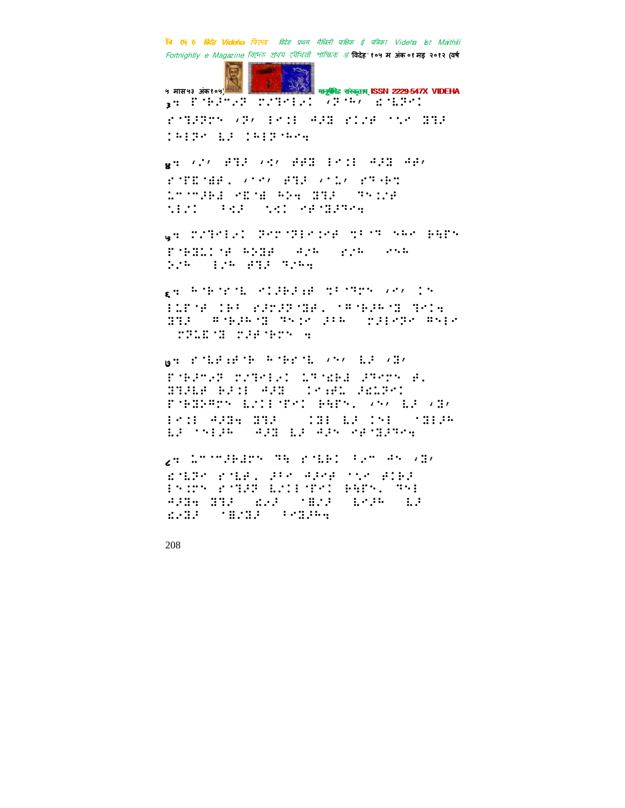

५ मास ५३ अंक १०५) मनुभिह संस्कृतम् ISSN 2229-547X VIDEHA <sub>a</sub>n Pobener provisie: Vrome dolphi FOREST CRASHOLE ARE FIRE TOO BEE japo pr japoneg

●HENAS #BACNAS ##BCEMOE ##BC##8 FTEMS, YP, FH VI/ FT-BT conduction was described and the conduction of the conduction of the conduction of the conduction of the conduction of the conduction of the conduction of the conduction of the conduction of the conduction of the conductio MENT PRESSURE SEMIFICA

ge provincial der vire nach statt auch bera ruming when any presente 125 X25 HH 315 T254

pe Roborom Staballe discuss vel 15 ELEMA (B) RAMARANE, MANGARAN BAGA HTP Replace to provide the proposed 

**GROUP THE HOLE AND THE TELL AND REAL ABL** PORATVA PVIMEVO LADERA APMONIA. BULE BILL 488 (PARL BECK) POHENEN EMITORS PHPS, VS/ EF VE/  $1911 - 4334 - 333$ **CONTROLLS INTO STEPH** EF THEFE WER EF WENTERFORM

29 AnimaBarr PR Politic Fancer (B) EMERG EMERG PROGRESS MAGGINEE Provincial and the Barr. The **APRAMERY WAS SERVE**  $\mathbb{R}^{2n}$  $\mathbf{L}$ :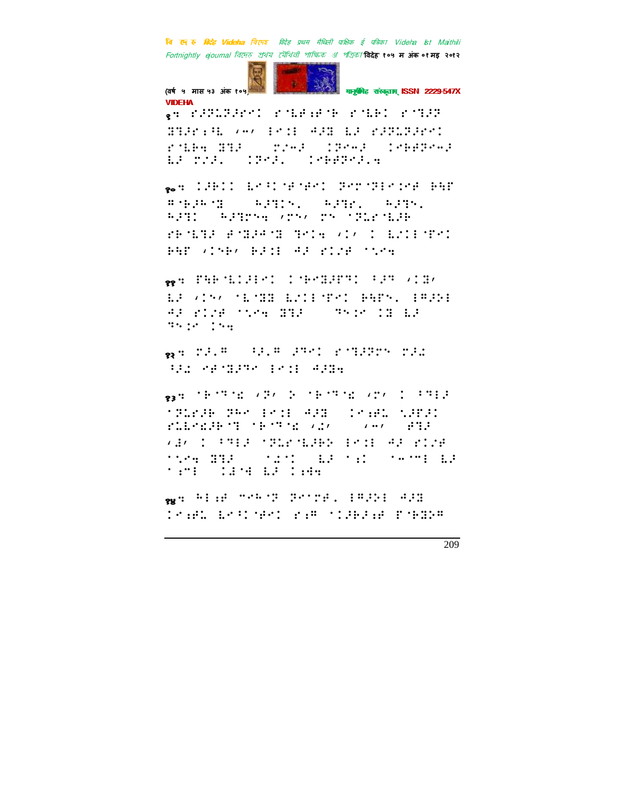बि एक रु मिनेट Videha विएक विदेह प्रथम मैथिली पाक्षिक ई पत्रिका Videha Ist Maithili Fortnightly ejournal রিদেহ প্রথম মৌথিনী পাক্ষিক প্র পত্রিকা' **বিदेह' १०५ म अंक ०१ मइ २०१२** 



(वर्ष ५ मास ५३ अंक १०५) **VIDEHA** 

मानूबीह संस्कृताम् ISSN 2229-547X

en KARLBARYI KOLEHEN KOLEI KOTAR HARRY CO., PRID AND LA RABLERY! **MINE CROSS CONFRONT** rile 232 EP TORA (IPOR) (PERPOR)

es 1881 Estratura est de sancta en **Administration Administration Administration** RPD RPTMA 2002 MAY TERMEP PROBABLE CHARGE TRIN AIR IN BRIECHTON BAT KINDA BESI AF PIZE TIME

<sub>ee</sub>s PARTELSERI ITRABSPRI FSP VIB/ LE VINA MEMBERINI MEMI PRINT AF SINE MINH WORK THIN IN LA  $\mathcal{V}(\mathcal{V}) = \mathcal{V}(\mathcal{V}) \mathcal{V}(\mathcal{V})$ 

gen balm (1918) and conservate **SPA PROBING ROLL ARDS** 

 $_{23}$  : (FCP ): (F) For the SP ( ) (F) FCF (F) **TRIPLE REPORTED AND CONSEL SINCE** FLEMENT SECTOR ALL . . . . . .  $\mathbf{v}$  and  $\mathbf{v}$ **VA/ 1 FMEP MELENGER EMIL AF EINA AND BEAM AND BE** 1124 000 **TEMPER CONTROLLER** 

we High newspapers (1822) A23 <u> Dram brither Sam (David Thoma</u>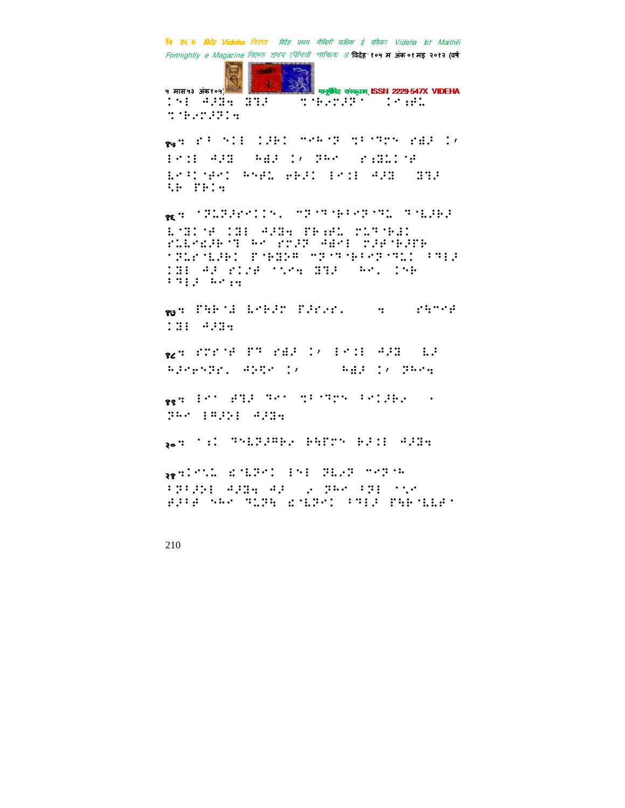

५ मास५३ अंक१०५) मनुबेनेह संस्कृतम् ISSN 2229-547X VIDEHA **STORY SERVICES** money and the

**SANTA THE SANTA SERVICE SERVICE SERVICE SERVICE SERVICE SERVICE SERVICE SERVICE SERVICE SERVICE SERVICE SERVICE** 1911 421 442 17 748 \$12119 Erford by: ABS Products 200 the Mile

gen (FLPPerlin, Sporter-Professor Stipper EMINE CHOSEN PRESS MUSICAL FLEMENT AM FTER ABME TERMENTE **TELENIEL PORTH MENTHEMPHILE FREE** 138 AP RICH MICH 332 (AC) 158  $1.3131 - 0.0119$ 

<sub>20</sub>: PHP 12 ESPRIT FREED. The Construct 108 4304

& STORE PROPERTY PAIR APROVACE Advance, Andr. 17 (1941) 17 days

een for ATA der nach mer abtigel is 288 18221 4236

pos (d) Thereman Barry Back Adda

spalend diagon and Hard were 399351 4386 43 (2004) 981 552 ana se sun grandis de l'anti-sapedina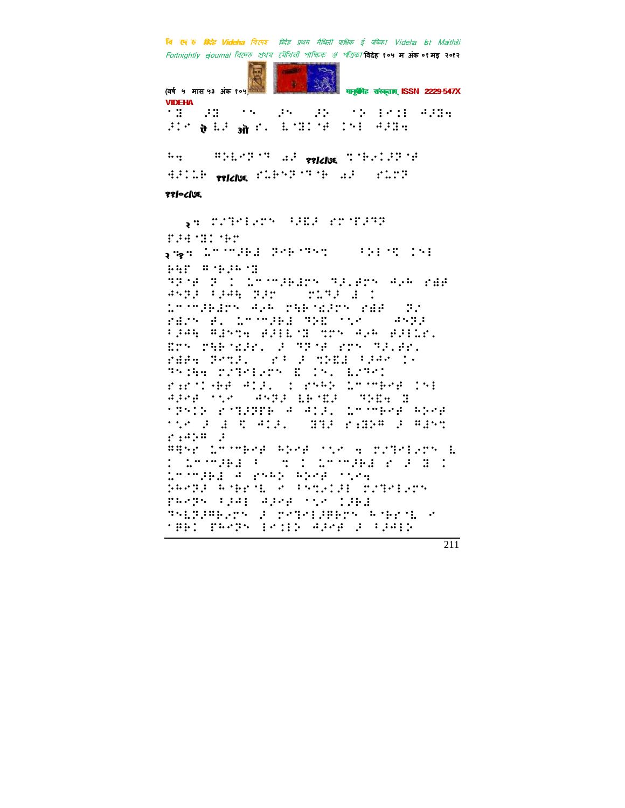**HOLES TELLS: PRIGIDE IN THE LOOP OF**  $\cdots$ HALLE SALMAR PLENG THE WAY STATE 38/06/195 , STORY STORY SERVICE PROPERTY FAR 111 1911 gaga londha dekaran 1998an 199 **BAP #983893 SPORTS I LOOPERED SALED APP PRE AND CHAINS THE STATE AND** 17 THEY APA THE RITE YEAR  $\mathbb{R}^n$ FACT B. LTOTHE THE TV - AND ting misse aille system an anily. ETA TARAGEK 2 MENE KTA MELEK. rake Pond, San donned Cheo is With correct E in the rantee All, rank Loomers (ni APPE TO ANDE LETER THE S **MERIE POSSEER A ALS. LOOPERA REPR MACHINES, MACHINES PRO**  $f: P: P: P$ BAR LETERA SPRAYER BIRTHING E Diamonded Fourier amonded and dia tronged a prep epop cyce PROTE ROBEON OF POSSIBL COTOLSCO PROPRIATORE APORT TO THE THISPHERY F MATHIBUS ROBERT C THE PROPOSECULE APPECIATING

मानुब्रीह संस्कृतम् ISSN 2229-547X (वर्ष ५ मास ५३ अंक १०५) **VIDEHA**  $\mathbb{R}^n$  , and  $\mathbb{R}^n$  , and  $\mathbb{R}^n$  , and  $\mathbb{R}^n$  $\cdot$  ::  $\frac{1}{2}$   $\frac{1}{2}$   $\frac{1}{2}$   $\frac{1}{2}$   $\frac{1}{2}$   $\frac{1}{2}$   $\frac{1}{2}$   $\frac{1}{2}$   $\frac{1}{2}$   $\frac{1}{2}$   $\frac{1}{2}$   $\frac{1}{2}$   $\frac{1}{2}$   $\frac{1}{2}$   $\frac{1}{2}$   $\frac{1}{2}$   $\frac{1}{2}$   $\frac{1}{2}$   $\frac{1}{2}$   $\frac{1}{2}$   $\frac{1}{2}$   $\frac{1}{2}$ 



PLO & LP Work Ending (1910) PPBH

बि एक रु मिनेट Videha विएक विदेह प्रथम मैथिली पाक्षिक ई पत्रिका Videha Ist Maithili Fortnightly ejournal রিদেত প্রথম মৌথিনী পাক্ষিক প্রা পত্রিকা' **বিदेह' १०५ म अंक ०१ मड़ २०१२**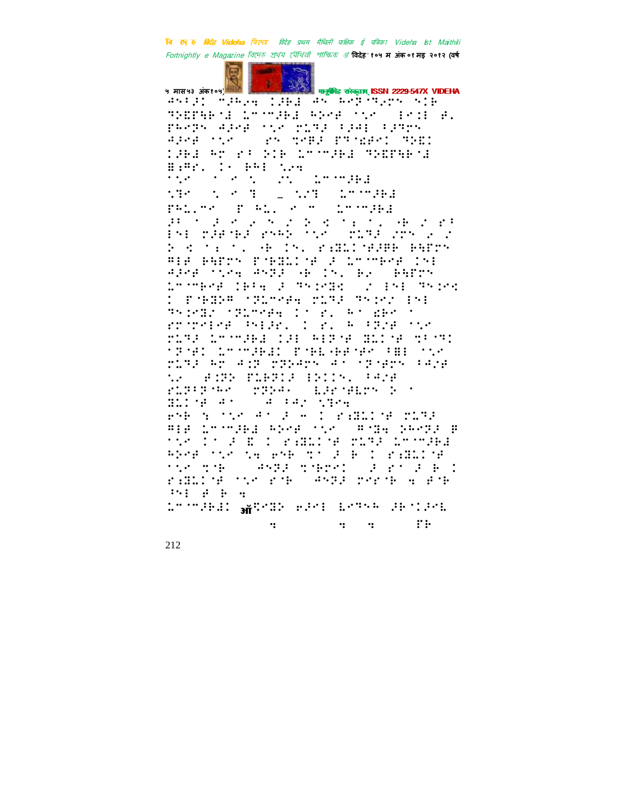

**AND STREET STREET ISSN 2229-547X VIDEHA** ५ मास ५३ अंक १०५) asili American as aspertants si SPEEDENS LOOPSES REPEATED FRIETE. parps aprestry ping the: there apop tie ( en sopp product rom CARL AT 23 SIR 1577ARL THETHEML H:Wr. 1, PHI 529  $\mathcal{L}(\mathcal{L},\mathcal{L})$  $\mathbb{E}\left[ \mathbb{P}^{\mathbb{P}}\left( \mathbb{P}^{\mathbb{P}}\left( \mathbb{P}^{\mathbb{P}}\right) \right) \right] \leq \mathbb{P}^{\mathbb{P}}\left( \mathbb{P}^{\mathbb{P}}\left( \mathbb{P}^{\mathbb{P}}\right) \right)$  $1.0001111$ international and companies<br>and the state of the state of the state<br>international and companies of the state B R TE TI A THI REELTAND DECK FIR PAPPY PORTLINE 2 LOOPEYE INE aleg the association are aggre-Doomere (1854) 2 de provi (2019) de princ **CPMEDE MEDMONS TORP PRIMA ENE** Things of Sander In E. Polish rounded Pile, Carl R. Pale (19 ring intreded the Addressing of the **SPECIE THAN PERSONAL PROPERTY** ring ar aun rhears as sherry fare te aux manis bliz, saya gipopské (popav (parsebry 2000)<br>oblise 450004034201924<br>ase 3001200400204012024011122 Bid Loomand Abrahove (Body SArda B tie Italië plaante maakwemak REAR TO SAUGHT TO FELL PARTIES the model of angular depart of a group deciriminė por rie lėšai rėrie 4 fine  $\begin{array}{cccccccccccccc} \textbf{1} & \textbf{1} & \textbf{1} & \textbf{1} & \textbf{1} & \textbf{1} & \textbf{1} & \textbf{1} & \textbf{1} & \textbf{1} & \textbf{1} & \textbf{1} & \textbf{1} & \textbf{1} & \textbf{1} & \textbf{1} & \textbf{1} & \textbf{1} & \textbf{1} & \textbf{1} & \textbf{1} & \textbf{1} & \textbf{1} & \textbf{1} & \textbf{1} & \textbf{1} & \textbf{1} & \textbf{1} & \textbf{1} & \textbf{1} &$ DOSTABLE WENDER BANK ENTHAL ABSOLANE ∵⊪

 $\dddot{\cdot}$ 

 $\mathbf{R}^{\text{max}}$  , where  $\mathbf{R}^{\text{max}}$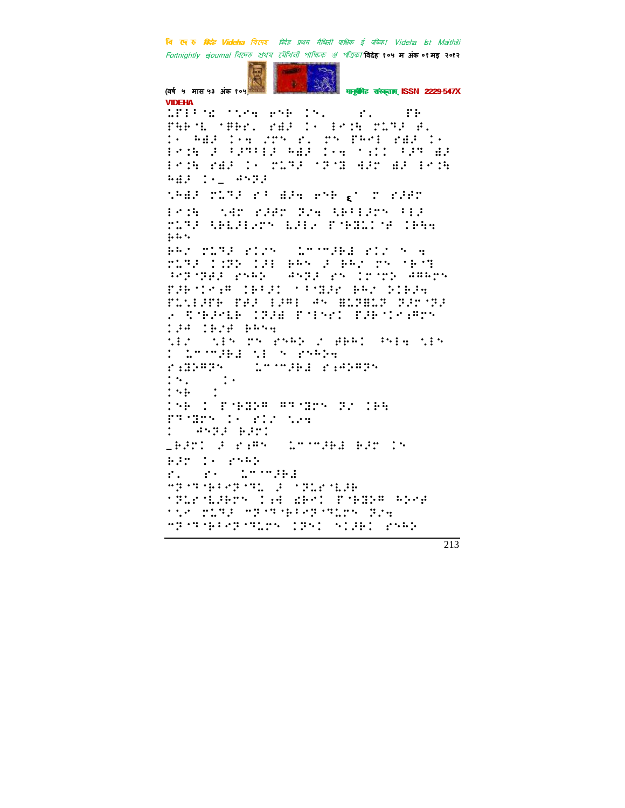बि एक रु मिनेट Videha विएक विदेह प्रथम मैथिली पाक्षिक ई पत्रिका Videha Ist Maithili Fortnightly ejournal রিদেত প্রথম মৌথিনী পাক্ষিক প্রা পত্রিকা' **বিदेह' १०५ म अंक ०१ मड़ २०१२** 



(वर्ष ५ मास ५३ अंक १०५) **VIDEHA** 

मानूबीह संस्कृताम् ISSN 2229-547X

MIPS STORE PRESS  $\mathbf{r}$ . ∵∷ PARTE TERRI REFORM ETH PLAST R. 16 AAR 164 ZEN KL ON PANE KAR 16<br>1934 2012 PANIR AAR 164 SIIL FROM AR Problema (F. 2198) (Pomlead and Prob **BAS : 2020 4532** these pursuicant established and part Problem with coder for the theories MUSE AREADYN EADY FORESCOP CRAW  $\ddot{v}$  :  $\ddot{v}$ BRO MIRE RICH (IMAMERS RICH) ROW MARK CORPORATION AND A BAZI MOSTERY PORTREE 2002 - PORTRE 2002 22022 PROPO FARMING TEACH SAMERY RAN SIRAG FLAIRE FRI 1991 45 BLPBLP FRYTH F CAPPER CRPE PAPART PPRACHER 194 1828 BRY: MP SENTH PHR 2 BBM PHAINEN **COMMUNE SERVICE MOSTER PROPER** ranssen  $\mathbb{R}^{n}$  .  $\ddots$  $\mathbb{C}^{\infty}$  is **THE I FINISH HYMRY FA IEE** Promote and the **SAMPLE BEST** \_BROOK PARTY (1505)BE BROOK Bar le real  $\mathbf{r}$  $\mathbf{r}$ . **MESTAR-PROFILE STREETER TRACHART LAB ART FOREST SPA THE PLAY STORES FOR THE PART MEAN OF PEACH AND AN AGE OF PART**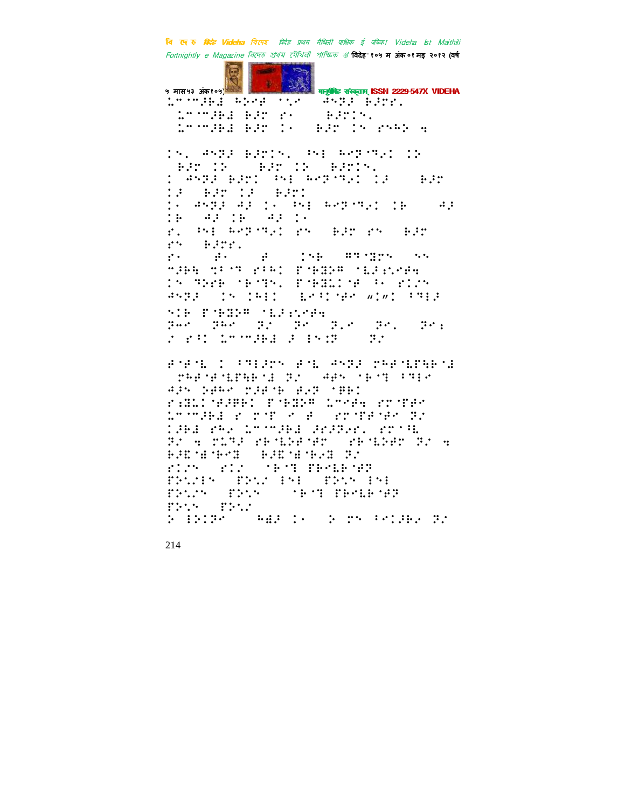

५ मास५३ अंक१०५) मनुभिह संस्कृतम् ISSN 2229-547X VIDEHA 1575.Ba Aber tie (4532 Barr. dringed egg av **SERVICE WORRENT BELL** SEPTING PARK A IN, ANGEL BENIN, THE APPROXICIE **BAT IN SERVICE**  $\mathbb{R}^2$ :  $\mathbb{R}^2$  :  $\mathbb{R}^2$  :  $\mathbb{R}^2$  : **COMPARIENT PRESENTATION**  $\mathbf{H}$  : **13 BOY 13 BOY!** 1. Angl Al 1. The Anglosi in the 18 AP 18 AP 18 r. Pilsernel ry Bar ry Bar  $\mathbf{r}$  $\cdots$  $\mathbf{H}$  $\frac{1}{2}$  when  $\frac{1}{2}$  are except to the contract of the contract of the contract of the contract of the contract of the contract of the contract of the contract of the contract of the contract of the contract of the co  $\mathbf{r}$ .  $\ddot{\cdot}$ MARA MEST PIRI PORTA SUPERSONA IN THE MEMPAGEMENT POSSES **AND: 15 1911** ESTRE WIND PREP **NID PARDS MERCHE**  $\mathbb{R}^{n \times n}$  ,  $\mathbb{R}^{n \times n}$  ,  $\mathbb{R}^{n}$  ,  $\mathbb{R}^{n}$  ,  $\mathbb{R}^{n \times n}$  ,  $\mathbb{R}^{n}$  , , ,  $\mathbb{R}^n$  : **CAR LETTER FIRM STATE** FOR NO CONTRACTO POR CAPAR CAPARAGEMENT TRENENBENBURG (ABN) NEIN FRER APROVED THE BOY THIS FAMILYARDA STRONG LTYAN PRINCIP L'IMPEDIENT POR SETTEMBRO DAG PROGRAMAS ANGGAN PRIG Si e risk denibener **STEPHENORY STAR** BOON BOOKS flow file (FPT PROBOB) FRIDE FRIDAMENT TRIN IN THIS THIS SECTION TO THE SET FRAM TRUN 5 FRIP - REP IX 3 TH PHIRE RI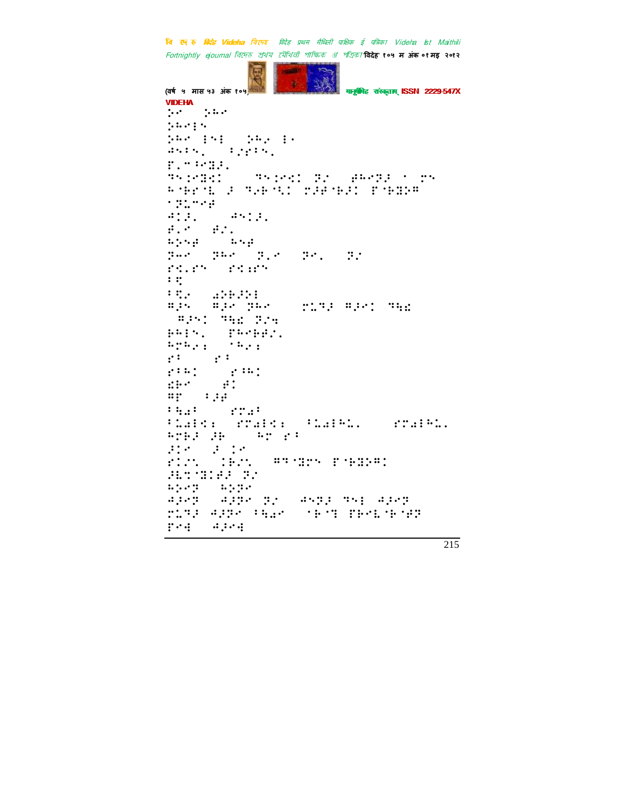```
चि एत् रू मिन्हे Videha निएन्थ विदेह प्रथम मैथिली पाक्षिक ई पत्रिका Videha Ist Maithili
Fortnightly ejournal -

 
 -
 
 'वदेह' १०५ म अंक ०१मइ २०१२ 
                                           CONTRACTOR
(वर्ष ५ मास ५३ अंक १०५) मानुसिद्ध संस्कृताम् ISSN 2229-547X
VIDEHA 
\mathbb{R}^D = \mathbb{R}^D[2.5, 2.5]240 : 241 : 240 : 241AND AT STRING
F. WHEE.
Weight ( Weight R. Geogle
\overline{h} (Frid ) \overline{h} (Frid ) \overline{h} (Frid ) \overline{h}⢽⣅^⢾*!
GILE. GSIE.
⢾E0!⢾1E0!
\begin{aligned} \mathbf{b}_1^T \mathbf{b}_1 \mathbf{b}_2^T \mathbf{b}_3^T \mathbf{b}_4^T \mathbf{b}_5^T \mathbf{b}_6^T \mathbf{b}_7^T \mathbf{b}_7^T \mathbf{b}_8^T \mathbf{b}_8^T \mathbf{b}_8^T \mathbf{b}_8^T \mathbf{b}_8^T \mathbf{b}_8^T \mathbf{b}_8^T \mathbf{b}_8^T \mathbf{b}_8^T \mathbf{b}_8^T \mathbf{b}_8^T \mathbf{b}_8^T \mathbf{b}_8^T \mathbf{b}_8^T \mathbf{b}_8^T \EWA (EWA) E.A. (EA) (E2)
⣊E0!⣊⣐!
\vdots \vdots\ddot{a} , \ddot{a} , \ddot{a} , \ddot{a} , \ddot{a} , \ddot{a} , \ddot{a} , \ddot{a} , \ddot{a} , \ddot{a} , \ddot{a} , \ddot{a} , \ddot{a} , \ddot{a} , \ddot{a} , \ddot{a} , \ddot{a} , \ddot{a} , \ddot{a} , \ddot{a} , \BJN | BJK 2BK | 262 | 262 | 262 |
 )⢻⢼!⢹⣓⣎!⢽1⣒*!
⢷⢳2E0!/⢳⢷⢾1E!
⢳⢳⢴⣐0!⢳⢴⣐!
\mathcal{L}^{\sharp}. \mathcal{L}^{\sharp}A : A : A : A : A : A : A : A : A : A : A : A : A : A : A : A : A : A : A : A : A : A : A : A : A : A : A : A : A : A : A : A : A : A : A : A : A :
\mathbb{R}^2. \mathbb{R}^2\mathbf{u} \mathbf{y} \mathbf{y} \mathbf{y} \mathbf{y} \mathbf{y}ARA: AN
ALabor rusher ALabor (rushel)
WEEP 2010 10:00 2010
E.P. (2018)
1⣁0!⢷1⣁!)⢻⢹⣝!/⢷⣝⢵⢻!
H H H H H H H H\frac{1}{2} \sum_{i=1}^{n} \frac{1}{2} \sum_{i=1}^{n} \frac{1}{2} \sum_{i=1}^{n} \frac{1}{2} \sum_{i=1}^{n} \frac{1}{2} \sum_{i=1}^{n} \frac{1}{2} \sum_{i=1}^{n} \frac{1}{2} \sum_{i=1}^{n} \frac{1}{2} \sum_{i=1}^{n} \frac{1}{2} \sum_{i=1}^{n} \frac{1}{2} \sum_{i=1}^{n} \frac{1}{2} \sum_{i=1}^{n} \frac{1}{2} \sum_{i=1}^{n} \frac{1}{2} \sum_{i=1}^{n}\frac{1}{2}⣅⢹⢼!⢺⢼⢽.A⣓⣔!)⢷⣙!/⢷⣇⢷⢾⢽*!
/⣚0!⢺⢼⣚!
```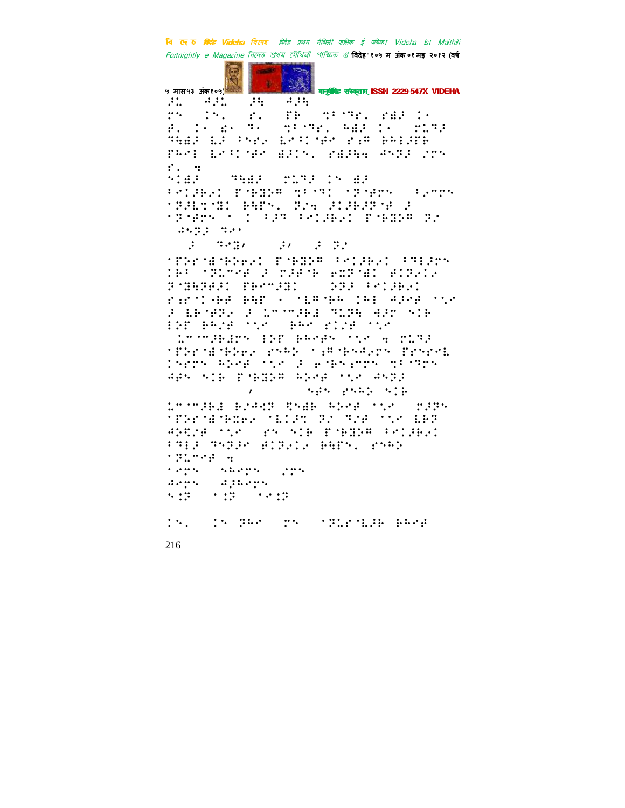

स्त्र ।<br>अन्य अन्तुमिह संस्कृतम् ISSN 2229-547X VIDEHA

५ मास५३ अंक१०५)  $\begin{array}{ccc} 14 & 0.414 \\ \end{array}$  $\mathcal{L}$  . The set of  $\mathcal{L}$  is a set of  $\mathcal{L}$ 

 $\mathbf{r}$  $\mathbb{E} \mathcal{H}_\mathbf{a} = \mathcal{H}_\mathbf{a} \mathcal{H}_\mathbf{a}$ THE TESTING PHASE IS al lo as no dishel mai lo ch<br>Thal bi shel britche ram mhianm **MISSED REPORT CONSTRU** PROF LOST NEO BRING SHRAKE ANDRE 200  $\mathbf{f}$ .  $\mathbf{f}$ 

**TERMS PARTIES**  $5.147$ Priger freme skrift (Press) from tagera: Amry an Glavare ()<br>Tager to Colar Grigvi popular an  $\left(3522, 377\right)$ 

 $\mathbb{R}^2 = \mathbb{R}^2 \mathbb{R}^2$ こまん こまじまめ

**TERMINERAL ENGINE POIRAL PRIZEN** IP: 'Plose 2 c2PjB edPjB: PlP/LV FMARAS PROSE (1980-0018) rander ears career par gereve 2 BENEZ 2 LOOMBE SLEE ARD NIE EPP PROF TOOK PROVIDENTS? Conneller Ort Bengs to a roof **TERMINERAL MARK TERMANA EMAME** there will be to share with the APROVING PORTON ANGELO NG ANGEL chan ghay hija  $\mathbf{r}$ 

LTOTHE BOARD CHER ADMENTIC COPPY offeromobiles officer as ase one field ANDER THAN ANY MIR PARRE PAIRERI FREE REPORT BIRDING BAREL SEED 131215-0 sand department deps djibers  $5.13 \pm 0.13 \pm 0.013$ 

18. The BAC and Sample Back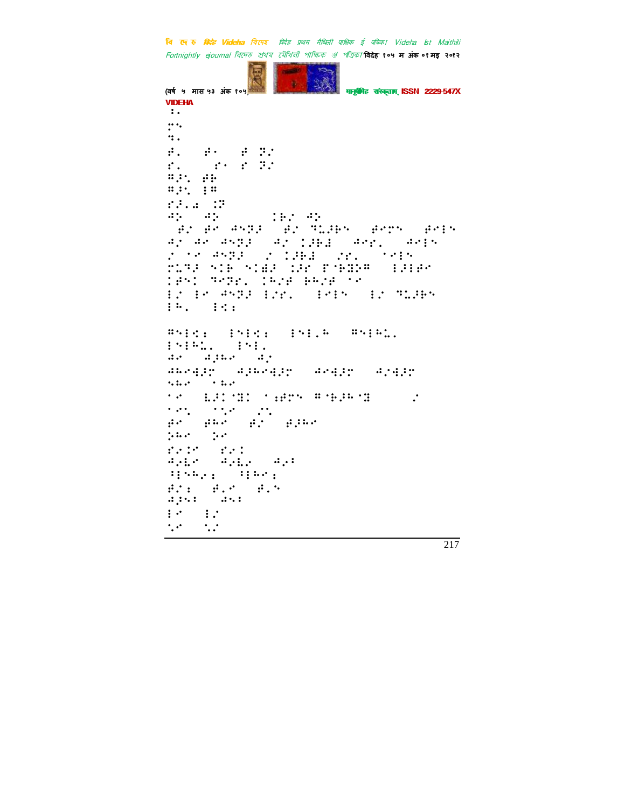```
चि एत् रू मिन्हे Videha निएन्थ विदेह प्रथम मैथिली पाक्षिक ई पत्रिका Videha Ist Maithili
Fortnightly ejournal -

 
 -
 
 'वदेह' १०५ म अंक ०१मइ २०१२ 
                       Service
(वर्ष ५ मास ५३ अंक १०५) मानुषि संस्कृताम् ISSN 2229-547X
VIDEHA 
\ddot{\phantom{1}}!
\frac{d}{dt}⢾E!)⢾j-!⢾!⢽1*!
E!)!j!!⢽1*!
⢻⢼⣁!⢾⢷!
⢻⢼⣁!2⢻!
f.i.e.e.c.
HP (HP- ) (162–HP ) (162–HP
!Å10 = 200 = 200 = 200 = 200 = 200 = 200 = 200 = 200 = 200 = 200 = 200 = 200 = 200 = 200 = 200 = 200 = 200 = 2
H2 An Andal A2 1961 (Andal Andal
10!⢺⢽⢼.!1!⢼⢷⣜0!1E0!20!
⣅⢹⢼!⢷!⣞⢼!⣈⢼!/⢷⣝⢵⢻.!2⢼2⢾!
I#NI MPEL IMPORTAN'IN'
1201En Angle (220) (21E0 121E0.
2^{\text{E}}en 2^{\text{E}}#MERE EMERE ENERGY
12000101.
de djie dj
⢺⢳⣚⢼0!⢺⢼⢳⣚⢼0!⢺⣚⢼0!⢺1⣚⢼!!
⢳0!⢳0!!
!)⣇⢼⣝!⣐⢾!⢻⢷⢼⢳⣝*!0!1!!
\mathcal{O}(\mathcal{O}(1)) . The contract of the contract of the contract of the contract of the contract of the contract of the contract of the contract of the contract of the contract of the contract of the contract of the contra
βr βhr β2 βlbr
⢵⢳0!⢵!!
⢴⣈0!⢴⣈!!
⢺⢴⣇0!⢺⢴⣇⢴0!⢺⢴A!!!
⢸2⢳⢴⣐0!⢸2⢳⣐!!!
∄2: ∄.n £.n
agus aus
22.20 \pm 2.20\mathcal{O}(\mathcal{O}(\mathbb{R}^d))
```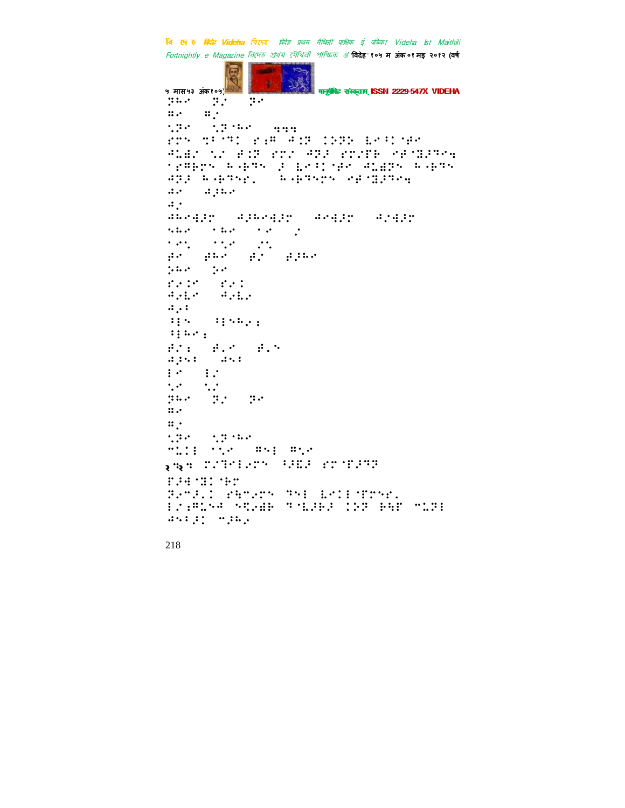```
\ddot{\odot}rac{1}{2}CONTRACTOR
```
५ मास५३ अंक१०५) मानुसार अल्लाम ISSN 2229-547X VIDEHA ⢽⢳0!⢽10!⢽!! ⢻0!⢻1!!! ⣁⢽0!⣁⢽⢳!!⣒⣒⣒!! *in* with a set of the component ⢺⣅⣞1!⣁1!⢾⣈⢽!1!⢺⢽⢼!1/⢷!⢾⣝⢼⢹⣒! ⢻⢷!⢳B⢷⢹!⢼!⣇⢸⢾!⢺⣅⣞⢽!⢳B⢷⢹! ⢺⢽⢼!⢳B⢷⢹E-!⢳B⢷⢹!⢾⣝⢼⢹⣒!!!! de distributed  $\cdot$  :  $\frac{1}{2}$   $\frac{1}{2}$   $\frac{1}{2}$   $\frac{1}{2}$   $\frac{1}{2}$   $\frac{1}{2}$   $\frac{1}{2}$   $\frac{1}{2}$   $\frac{1}{2}$   $\frac{1}{2}$   $\frac{1}{2}$   $\frac{1}{2}$   $\frac{1}{2}$   $\frac{1}{2}$   $\frac{1}{2}$   $\frac{1}{2}$   $\frac{1}{2}$   $\frac{1}{2}$   $\frac{1}{2}$   $\frac{1}{2}$   $\frac{1}{2}$   $\frac{1}{2}$   $\$ where  $\beta$  is the  $\beta$  -th  $\beta$  -th  $\beta$  $\mathcal{O}(\mathcal{O}(1))$  . The contract of the contract of the contract of the contract of the contract of the contract of the contract of the contract of the contract of the contract of the contract of the contract of the contra ∯0 ∄Do presenta de la presenc ⢵⢳0!⢵! ⢴⣈0!⢴⣈! ⢺⢴⣇0!⢺⢴⣇⢴0!!  $\mathbf{a}$   $\mathbf{a}$  : **20:** 20:50 €  $\cdot$  :  $\cdot$  : ⢾1⣐0!⢾E0!⢾E! ⢺⢼A0!⢺A!  $20!2!2!$  $\mathcal{M}^{\text{O}}$  ,  $\mathcal{M}^{\text{O}}$ ⢽⢳0!⢽10!⢽!  $\mathbf{u}$ .  $\mathbf{ii}$  . ⣁⢽0!⣁⢽⢳! ^⣅2!⣁0!⢻2!⢻⣁! २⣒२⣒!1⣙2⢴!⢸⢼⣏⢼!/⢼⢹⢽! /⢼⣚⣝⢷!! EPRIS PHONE THE EPIETERS. 1000 ENGREE STREET  $A \cup \{1\}$ ;  $A \cup \{1\}$ ;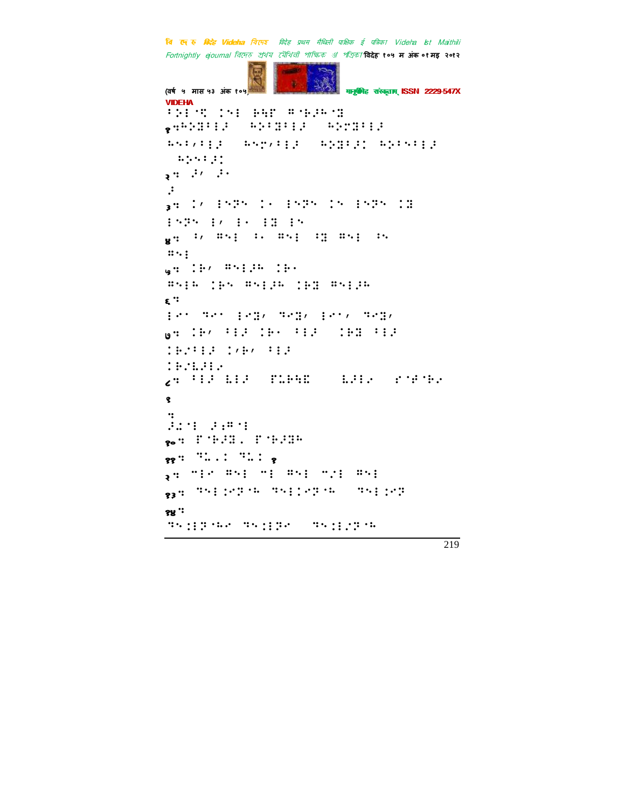```
चि एत् रू मिन्हे Videha निएन्थ विदेह प्रथम मैथिली पाक्षिक ई पत्रिका Videha Ist Maithili
Fortnightly ejournal -

 
 -
 
 'वदेह' १०५ म अंक ०१मइ २०१२ 
                    Service
(वर्ष ५ मास ५३ अंक १०५) मान<sup>ुष्ट</sup>े मानुष्टीह संस्कृताम् ISSN 2229-547X
VIDEHA 
AN 20 20 20 21 22 23 24 25 26 27
१⣒⢳⢵⣝A2⢼0!⢳⢵A⣝A2⢼0!⢳⢵⣝A2⢼0!
A0⢳⢵A⢼!!
२: २ं/ २ं/
\ddot{\cdot}३⣒!'!2⢽0j!2⢽0!2⢽0⣝!
1929 1/102 12 19
لال إلا الله عليه الله عليه الله عليه الله عليه الله عليه الله عليه الله عليه ال
2! \cdot 2!७ः : : / <sup>#5</sup>!!<sup>#</sup> : : !!
⢻2⢳0⢷!⢻2⢼⢳0⢷⣝!⢻2⢼⢳!!
६⣒!
20 2010 20 2010 20 2010 20 2010 20७⣒!⢷'!A2⢼0⢷j!A2⢼0!⢷⣝!A2⢼!
⢷1A2⢼0'⢷'!A2⢼!0!
⢷1⣇⢼2⢴!!
८⣒!A2⢼!⣇2⢼!)/⣅⢷⣓⣏*-!⣇⢼2⢴!)⢾⢷⢴*!
९
\ddot{\cdot}⢼⣌2!⢼⣐⢻2!!
8.º: F19.00, F19.00
१९ : सिला के प्रति हि
२⣒!^2!⢻2!^2!⢻20^12!⢻2!!
१३⣒!⢹2⣈⢽⢳!⢹2⢽⢳-!⢹2⣈⢽!!
१४ :
⢹⣈2⢽⢳!⢹⣈2⢽0!⢹⣈21⢽⢳!!
```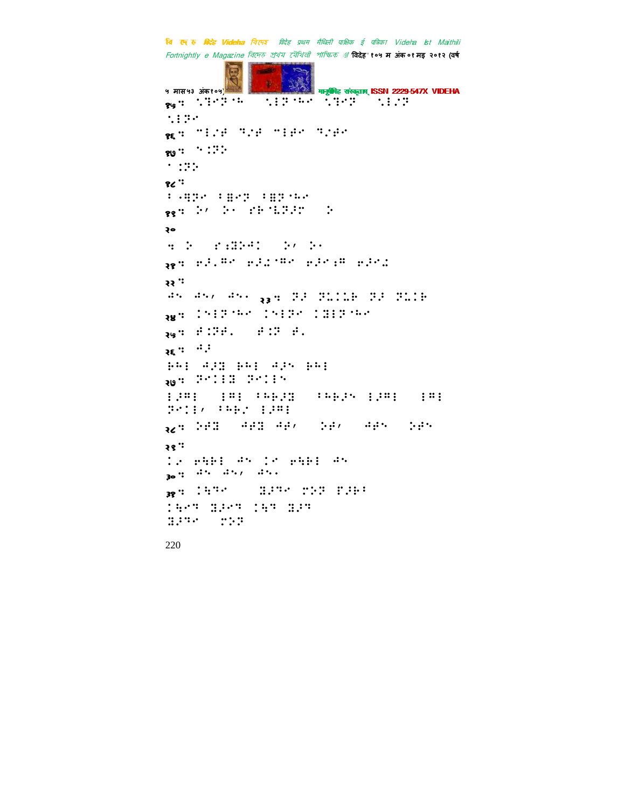```
चि एत् रू मिन्हे Videha निएन्थ विदेह प्रथम मैथिली पाक्षिक ई पत्रिका Videha Ist Maithili
Fortnightly e Magazine বিদেত প্ৰথম মৌথিনী পাক্ষিক প্ৰ'বিदेह'१०५ म अंक०१ मइ २०१२ (वर्ष
                  G.
५ मास५३ अंक१०५) मानुसार संस्कृताम् ISSN 2229-547X VIDEHA
१७ : अपने प्राप्त कर प्राप्त कर अपने प्राप्त
\ddot{\phantom{0}}१६⣒!^21⢾0⢹1⢾!^2⢾0⢹1⢾!!
\mathbf{e}_0: \mathbf{e}_1 \mathbf{e}_2^{\circ} :35
१८ "A ABAS ABAS ARRAH
१९९९ के अन्य अधिकारित के
२०
H 2 (1⊞291) 2/ 2/
२१⣒!⢶⢼E⢻0⢶⢼⣌⢻!⢶⢼⣐⢻0⢶⢼⣌!!
२२ "\frac{1}{2} \frac{1}{2} \frac{1}{2} \frac{1}{2} \frac{1}{2} \frac{1}{2} \frac{1}{2} \frac{1}{2} \frac{1}{2} \frac{1}{2} \frac{1}{2} \frac{1}{2} \frac{1}{2} \frac{1}{2} \frac{1}{2} \frac{1}{2} \frac{1}{2} \frac{1}{2} \frac{1}{2} \frac{1}{2} \frac{1}{2} \frac{1}{2} \२४⣒!2⢽⢳02⢽0⣝2⢽⢳!!
२७: #224, #225 #.
२६ : \ddot{a}:
⢷⢳20⢺⢼⣝!⢷⢳20⢺⢼!⢷⢳2!!
२७: 2011: 2012: 2013
2⢼⢻20!2⢻2!A⢳⢷⢼⣝0!A⢳⢷⢼!2⢼⢻20!2⢻2!
2'2'11, 2'291, 2'291
२८⣒!⢵⢾⣝0!⢺⢾⣝!⢺⢾'0!⢵⢾'0!⢺⢾0!⢵⢾!!
२९ :
\ddots while an \ddots while an
30 \frac{3}{2} \frac{3}{2} \frac{3}{2} \frac{3}{2} \frac{3}{2} \frac{3}{2} \frac{3}{2} \frac{3}{2} \frac{3}{2} \frac{3}{2} \frac{3}{2} \frac{3}{2} \frac{3}{2} \frac{3}{2} \frac{3}{2} \frac{3}{2} \frac{3}{2} \frac{3}{2} \frac{3}{2} \frac{3}{2} \frac{3}{2} \frac{3}{३१⣒!⣓⢹!0!⣝⢼⢹)⢵⢽!/⢼⢷A*!
CAPS 000 000 000 0000
⣝⢼⢹!)⢵⢽*!!
```

```
220
```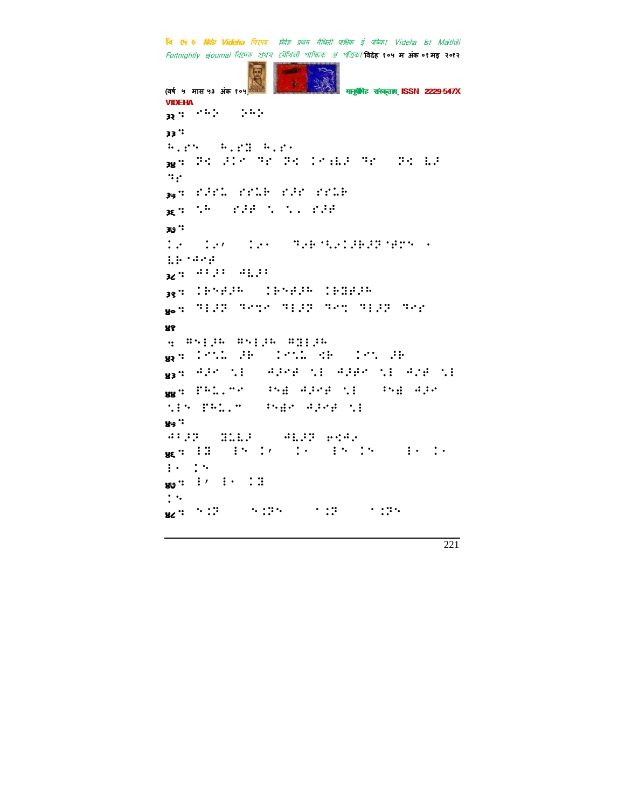चि एत् रू मिन्हे Videha निएन्थ विदेह प्रथम मैथिली पाक्षिक ई पत्रिका Videha Ist Maithili Fortnightly ejournal -  -  'वदेह' १०५ म अंक ०१मइ २०१२

```
(वर्ष ५ मास ५३ अंक १०५) मानुसार में मानुसार संस्कृतम् ISSN 2229-547X
VIDEHA 
३२<sup>0</sup> लंकहरू हे हे हे
33 "Bence Benefit Benefit
३४⣒!⢽⣊!⢼!⢹0⢽⣊!⣐⣇⢼!⢹0!⢽⣊!⣇⢼!
" :
३७: :2011 :111 :2011 :1111
३६⣒!⣁⢳0!⢼⢾!⣁0⣁⣀0⢼⢾!!
३७⣒!
\mathbf{1}. \mathbf{1} \mathbf{2} \mathbf{3} \mathbf{4} \mathbf{5} \mathbf{5} \mathbf{6} \mathbf{7} \mathbf{8} \mathbf{9} \mathbf{1} \mathbf{1} \mathbf{5} \mathbf{1} \mathbf{5} \mathbf{1} \mathbf{5} \mathbf{1} \mathbf{5} \mathbf{1} \mathbf{5} \mathbf{1} \mathbf{5} \mathbf{⣇⢷⢺⢾*!!
\boldsymbol{\varkappa} : \boldsymbol{\varkappa} \boldsymbol{\varkappa} : \boldsymbol{\varkappa} : \boldsymbol{\varkappa}३९⣒!⢷⢾⢼⢳0!⢷⢾⢼⢳!⢷⣝⢾⢼⢳!!
४०⣒!⢹2⢼⢽!⢹⣉!⢹2⢼⢽!⢹⣉0⢹2⢼⢽!⢹!!
४१
⣒!⢻2⢼⢳!⢻2⢼⢳0⢻⣝2⢼⢳!!
∞२ !त्या सः ।त्या सः ।
४३⣒!⢺⢼!⣁20!⢺⢼⢾!⣁2!⢺⢼⢾!⣁20⢺1⢾!⣁2!!
४४⣒!/⢳⣅E^0!⢸⣞!⢺⢼⢾!⣁20!⢸⣞!⢺⢼!
⣁2!/⢳⣅E^0!⢸⣞!⢺⢼⢾!⣁2!!
४७ "⢺A⢼⢽!)⣝⣅⣇⢼*0!⢺⣇⢼⢽)⢶⣊⢺⢴*!!
४६⣒!2⣝0!2!'0!j0!2!!0!2j!j0!
2j 2j 2k\frac{1}{20} : \frac{1}{2} ; \frac{1}{2} : \frac{1}{2} : \frac{1}{2} : \frac{1}{2} : \frac{1}{2} : \frac{1}{2} : \frac{1}{2} : \frac{1}{2} : \frac{1}{2} : \frac{1}{2} : \frac{1}{2} : \frac{1}{2} : \frac{1}{2} : \frac{1}{2} : \frac{1}{2} : \frac{1}{2} : \frac{\mathbb{R}^n४८ के अधिकार पर प्राप्त करने के अधिकार पर प्राप्त करने के अधिकार पर प्राप्त करने के अधिकार पर प्राप्त करने के <br>जनसङ्ख्या
```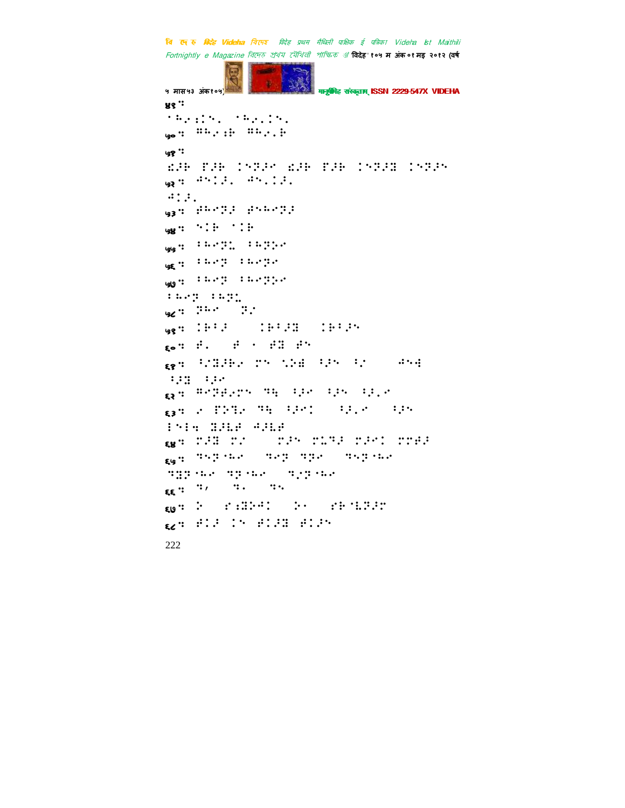```
चि एत् रू मिन्हे Videha निएन्थ विदेह प्रथम मैथिली पाक्षिक ई पत्रिका Videha Ist Maithili
Fortnightly e Magazine বিদেত প্ৰথম মৌথিনী পাক্ষিক প্ৰ'বিदेह'१०५ म अंक०१ मइ २०१२ (वर्ष
५ मास५३ अंक१०५) मानुसीह संस्कृतम् ISSN 2229-547X VIDEHA
४९⣒!!
⢳⢴⣐E!⢳⢴EE!!
५०⣒!⢻⢳⢴⣐⢷!⢻⢳⢴E⢷!!
५१ "
⣎⢼⢷!/⢼⢷!⢽⢼!⣎⢼⢷!/⢼⢷!⢽⢼⣝0⢽⢼!!
७२ : <sup>अ.२.</sup> E. अ. अ. E.
\vdots५३⣒!⢾⢳⢽⢼!⢾⢳⢽⢼!!
\mathbf{g}_{\mathbf{g}} : \mathbf{h} : \mathbf{h} : \mathbf{h} : \mathbf{h}بر: ۱۱۰٫۳ : ۰٫۰٫۰٫۰۰ : ۰٫۰٫۰٫۰۰ : ۰٫۰٫۰۰ ings
५६⣒!A⢳⢽!A⢳⢽!!
\nu_{99} : \cdots \vdots \cdots \cdots \cdots \cdotsARACTES AND
५८: <sup>11.</sup>* 11
<sub>աց</sub>. :P:A : :P:AB :P:A
६०९ में जिल्ला में भाषा है।<br>जन्म
६१⣒!⢸1⣝⢼⢷⢴!!⣁⢵⣞.⢸⢼0⢸10-!⢺⣚.
⢸⢼⣝0⢸⢼-!!
६२⣒!⢻⢽⢾⢴!⢹⣓!⢸⢼0⢸⢼0⢸⢼E!!!
६३⣒!⢴!/⢵⣙⢴!⢹⣓!⢸⢼0!⢸⢼E0!⢸⢼0!
22⣒!⣝⢼⣇⢾!⢺⢼⣇⢾!!
60 120 120 120 120 120 120 120
६५⣒!⢹⢽⢳0!⢹⢽!⢹⢽0!⢹⢽⢳0!
⢹⣝⢽⢳!⢹⢽⢳0!⢹1⢽⢳!!
\mathbf{g}(\mathbf{f}^{(1)},\mathbf{f}^{(2)},\ldots,\mathbf{f}^{(n)})६७⣒!⢵!)⣐⣝⢵⢺*!⢵j!)⢷⣇⢽⢼*!!
६८⣒!⢾⢼!!⢾⢼⣝!⢾⢼!!
```

```
222
```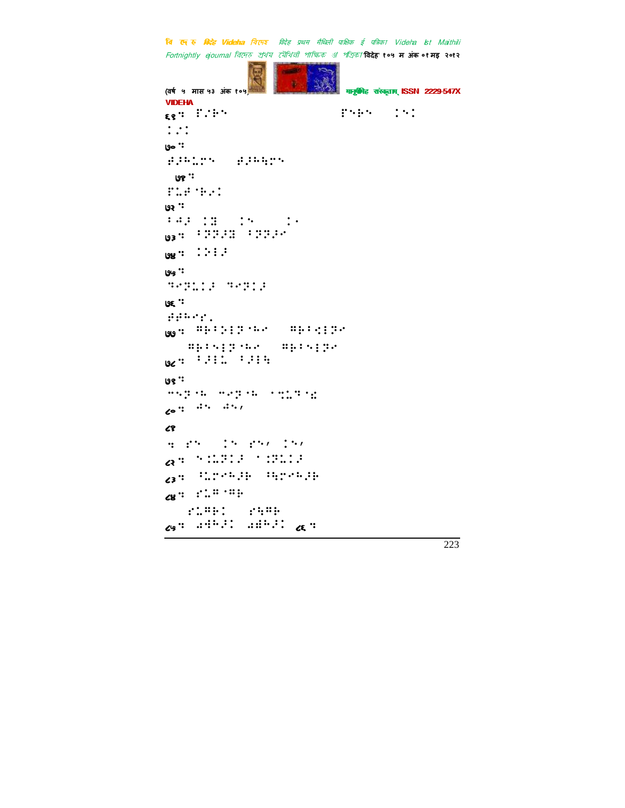```
चि एत् रू मिन्हे Videha निएन्थ विदेह प्रथम मैथिली पाक्षिक ई पत्रिका Videha Ist Maithili
 Fortnightly ejournal -

 
 -
 
 'वदेह' १०५ म अंक ०१मइ २०१२ 
(वर्ष ५ मास ५३ अंक १०५) मानुसीह संस्कृतम् ISSN 2229-547X
VIDEHA 
६९९ में अधिकारण करता है। अपने कारण करता है कि इस किसी के लिए किसी की प्रतिक्रिया किया है। अपने कारण करता है कि
\vdots :
७०⣒!
 ⢾⢼⢳⣅0!⢾⢼⢳⣓!!
 '' १७
 /⣅⢾⢷⢴!!
''  গু
A<br>PAP 18 (19 - 19
ير 1999 - 1999 - 19<sub>99</sub> - 1999 - 199
\mathbf{U} \mathbf{B} \mathbf{V} : \mathbf{V} : \mathbf{V}: واوا
⢹⢽⣅⢼!⢹⢽⢼!!
७६ "⢾⢾⢳E!!
७७: स09: अन्तर्भाष्ट्रस्थानम्
     \frac{1}{2} . The \frac{1}{2} superconduction of \frac{1}{2}\mathbb{R} \mathbb{R} \mathbb{R} \mathbb{R} \mathbb{R} \mathbb{R} \mathbb{R} \mathbb{R} \mathbb{R} \mathbb{R} \mathbb{R} \mathbb{R} \mathbb{R} \mathbb{R} \mathbb{R} \mathbb{R} \mathbb{R} \mathbb{R} \mathbb{R} \mathbb{R} \mathbb{R} \mathbb{R} \mathbb{R} \mathbb{R} \mathbb{'' १७
^⢽⢳!^⢽⢳)⣉⣅⢹⣎*!!
\mathcal{L}^{\circ} \mathcal{L}^{\circ} \mathcal{L}^{\circ} \mathcal{L}^{\circ} \mathcal{L}^{\circ} \mathcal{L}^{\circ}८१
 e en 10 en 25 (5)
८२⣒!⣈⣅⢽⢼!⣈⢽⣅⢼!!
८३⣒!⢸⣅⢳⢼⢷!⢸⣓⢳⢼⢷!!
\alpha : \therefore \alpha : \alpha0!⣅⢻⢷0!⣓⢻⢷!!
\alphas" \alpha<sup>11</sup>\beta: \alpha<sup>1</sup>
```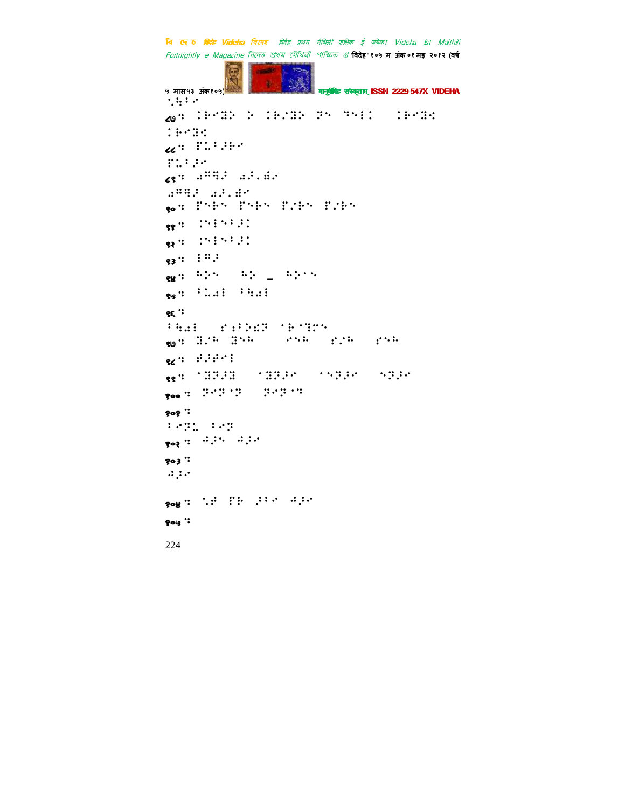```
चि एत् रू मिन्हे Videha निएन्थ विदेह प्रथम मैथिली पाक्षिक ई पत्रिका Videha Ist Maithili
Fortnightly e Magazine বিদেত প্ৰথম মৌথিনী পাক্ষিক প্ৰ'বিदेह'१०५ म अंक०१ मइ २०१२ (वर्ष
                           CONTRACTOR
५ मास५३ अंक१०५) मान्य कार्यक्रम कर कर निर्मात मानुसीह संस्कृतम् ISSN 2229-547X VIDEHA
\gamma . All \gamma८७⣒!⢷⣝⢵0⢵!⢷1⣝⢵!⢽!⢹2!0⢷⣝⣊.
⢷⣝⣊!!
\alpha: \cdotsT_{\rm{eff}}८९⣒!⣔⢻⣛⢼.⣔⢼E⣞⢴!
⣔⢻⣛⢼.⣔⢼E⣞!!
९०⣒!/⢷./⢷!/1⢷./1⢷!
88: 2019:22
\mathbf{R}^{(2)} = \mathbb{Z}^{2} \oplus \mathbb{Z}^{2} \oplus \mathbb{Z}^{2}\frac{1}{33} : \frac{1}{2} : \frac{1}{2}<sub>९४</sub> में स्टेल को प्राप्त करें। यो स्टेल के प्राप्त करें।
\mathbf{e}_{9}: \mathbf{e}_{2}: \mathbf{e}_{3}९६ :AW: THE CONSTRUCTION
९७⣒!⣝1⢳!⣝⢳!0!⢳0!1⢳0!⢳!!
\mathbf{g}_{\mathcal{L}} : \mathbf{f} \mathbf{H} : \mathbf{f}९९⣒!⣝⢽⢼⣝.!⣝⢽⢼0!⢽⢼0!⢽⢼!!
१०० : २८३ : २००९ : २००९ : २००९ : २००९ : २००९ : २००९ : २००९ : २००९ : २००९ : २००९ : २००९ : २००९ : २००९ : २००९ : 
१०१ \cdotA ASSESSMENT
803 : \frac{1}{2} : \frac{1}{2} : \frac{1}{2} : \frac{1}{2} : \frac{1}{2}१०३ :
\mathcal{A}jo:ejstonfou tfotfolio tfotfolio tfotfolio tfotfolio tfotfolio tfotfolio tfotfolio tfotfolio tfotfolio
<sub>?૦ષ્ઠ</sub>મ અંગે કેમ ફર્મ કરી કરી છે.
१०७ :
224
```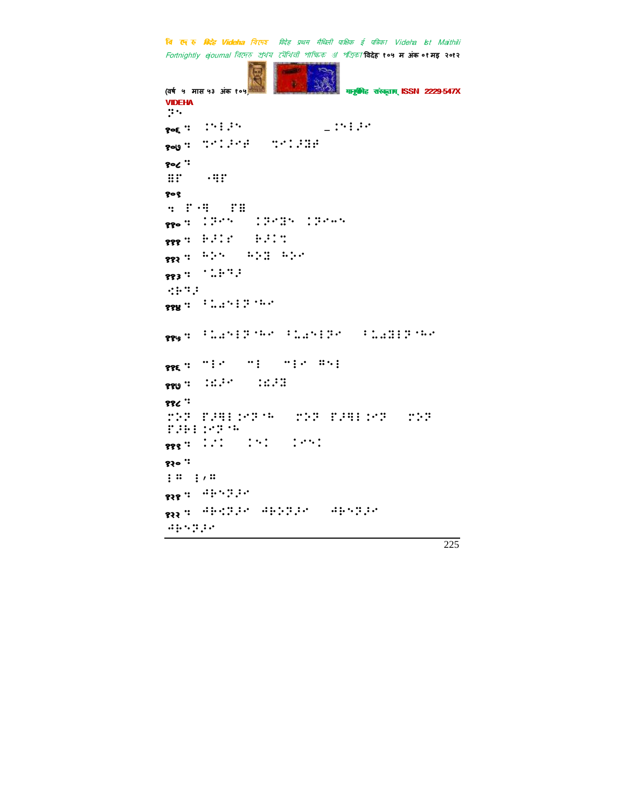```
Fortnightly ejournal -

 
 -
 
 'वदेह' १०५ म अंक ०१मइ २०१२ 
(वर्ष ५ मास ५३ अंक १०५) मानुसिंह संस्कृताम् ISSN 2229-547X
VIDEHA 
 ::.
\frac{1}{2}os \frac{1}{2} \frac{1}{2} \frac{1}{2} \frac{1}{2} \frac{1}{2} \frac{1}{2} \frac{1}{2} \frac{1}{2} \frac{1}{2} \frac{1}{2} \frac{1}{2} \frac{1}{2} \frac{1}{2} \frac{1}{2} \frac{1}{2} \frac{1}{2} \frac{1}{2} \frac{1}{2} \frac{1}{2} \frac{1}{2} \frac{1}{2}१०७ : २००३ : २००९ : २००९ : २००९ : २००९ : २००९ : २००९ : २००९ : २००९ : २००९ : २००९ : २००९ : २००९ : २००९ : २००९ :
१०८\cdot :
 \mathbf{m} .
१०९
\begin{array}{lll} \mathbf{u} & \mathbf{f} \cdot \mathbf{g} & \mathbf{f} \mathbf{g} \\ \mathbf{g_{Po}} \mathbf{u} & \mathbf{f} \mathbf{g} \cdot \mathbf{g} \\ \mathbf{g_{Po}} \end{array}११०⣒!⢽0!⢽⣝!⢽⢲!!
१९९९ में में से साथ करने में स्थान करने अपने स्थान करने से अधिकारिक स्थान करने से अधिकारिक स्थान करने से अधिक<br>स्थान करने से अधिकारिक स्थान करने से अधिकारिक स्थान करने से अधिकारिक स्थान करने से अधिकारिक स्थान करने से अधिक<br>
१९२ में लिये हैं कि अपने प्राप्त हैं कि अपने प्राप्त हैं कि अपने प्राप्त हैं कि अपने प्राप्त हैं कि अपने प्राप
\frac{883}{10} : \frac{100}{100}\cdot888 : 12911121212222१९७५ मा अधिकारी से सामना अधिकारी से अधिकारी से अधिकारी से अधिकारी से अधिकारी से अधिकारी से अधिकारी से अधिकारी <br>इन्द्र संस्कृतिकारी से अधिकारी से अधिकारी से अधिकारी से अधिकारी से अधिकारी से अधिकारी से अधिकारी से अधिकारी स
 ११६ º 2010 - 2011 - 2012 - 2014 - 2014 - 2014 - 2014 - 2014 - 2014 - 2014 - 2014 - 2014 - 2014 - 201<br>प्राचीन केंद्र केंद्र केंद्र केंद्र केंद्र केंद्र केंद्र केंद्र केंद्र केंद्र केंद्र केंद्र केंद्र केंद्र केंद<br>प्राचीन क
\gamma११८ \cdot^{\prime\prime} . The control of ^{\prime\prime} . The control of ^{\prime\prime}/⢼⢷2⣈⢽⢳!!
1999 1.11 1.12 1.12
१२०⣒!
 2^2 : 2^2१२१ मध्य मध्य अप्र
१२२⣒!⢺⢷⣊⢽⢼!⢺⢷⢵⢽⢼.!⢺⢷⢽⢼0!
 ⢺⢷⢽⢼!!
```
चि एत् रू मिन्हे Videha निएन्थ विदेह प्रथम मैथिली पाक्षिक ई पत्रिका Videha Ist Maithili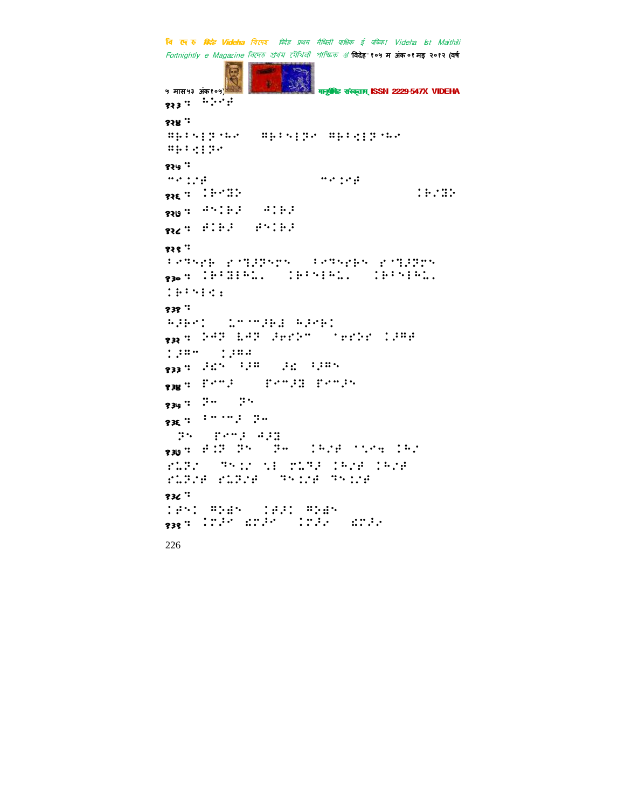```
चि एत् रू मिन्हे Videha निएन्थ विदेह प्रथम मैथिली पाक्षिक ई पत्रिका Videha Ist Maithili
Fortnightly e Magazine বিদেত প্ৰথম মৌথিনী পাক্ষিক প্ৰ'বিदेह'१०५ म अंक०१ मइ २०१२ (वर्ष
                             Country
५ मास५३ अंक१०५) मानुसीह संस्कृतम् ISSN 2229-547X VIDEHA
83 : \cdots \cdots :
१२४⣒!
⢻⢷A2⢽⢳0!⢻⢷A2⢽!⢻⢷A⣊2⢽⢳0!
⢻⢷A⣊2⢽!!
१२५ :
where the control of the control of the control of the control of the control of the control of the control of
१२६ º (1993) and the set of the set of the set of the set of the set of the set of the set of the set of the s
१२७ : न्यू में स्थित कर
R_6 : \mathbb{R}^2 : \mathbb{R}^2 : \mathbb{R}^2१२९⣒!!
A⢹⢷!⣙⢼⢽0!A⢹⢷!⣙⢼⢽!!
المنافقات المنافقين المنافقين المنافقين الموجود المنافسين الموجود الموجود المنافسين الموجود الموجود المنافسين ا
P१३१ :
⢳⢼⢷!)⣅^^⢼⢷⣜!⢳⢼⢷*!!
१३२⣒!⢵⢺⢽!⣇⢺⢽!⢼⢶⢵^0!⢶⢵!⢼⢻⢾0!
⢼⢻^0!⢼⢻⢺!
१३३⣒!⢼⣎!⢸⢼⢻0!⢼⣎.⢸⢼⢻!!
१३४ <sup>: Pen</sup>d / Pendi Pendi
\mathbf{B}^{36} : \mathbf{B}^{10} : \mathbf{B}^{11}236 \frac{1}{2} \frac{1}{2} \frac{1}{2} \frac{1}{2} \frac{1}{2} \frac{1}{2} \frac{1}{2} \frac{1}{2} \frac{1}{2} \frac{1}{2} \frac{1}{2} \frac{1}{2} \frac{1}{2} \frac{1}{2} \frac{1}{2} \frac{1}{2} \frac{1}{2} \frac{1}{2} \frac{1}{2} \frac{1}{2} \frac{1}{2} \frac{1)⢽*!/^⢼!⢺⢼⣝!!
930 = #10 Pr (Pa) (Pr) (Pr) (Pr)
⣅⢽10!⢹⣈1!⣁2!⣅⢹⢼!⢳1⢾.⢳1⢾0!
⣅⢽1⢾.⣅⢽1⢾0!⢹⣈1⢾.⢹⣈1⢾!
१३८ "^{\circ} ^{\circ} ^{\circ} ^{\circ} ^{\circ} ^{\circ} ^{\circ} ^{\circ} ^{\circ} ^{\circ} ^{\circ} ^{\circ} ^{\circ} ^{\circ} ^{\circ} ^{\circ} ^{\circ} ^{\circ} ^{\circ} ^{\circ} ^{\circ} ^{\circ} ^{\circ} ^{\circ} ^{\circ} ^{\circ} ^{\circ} ^{\circ} ^{\circ} ^{\circ} ^{\circ} ^{\circ}१३९ : २००१ : 2008 - २००१ : 2008 : 2008
```

```
226
```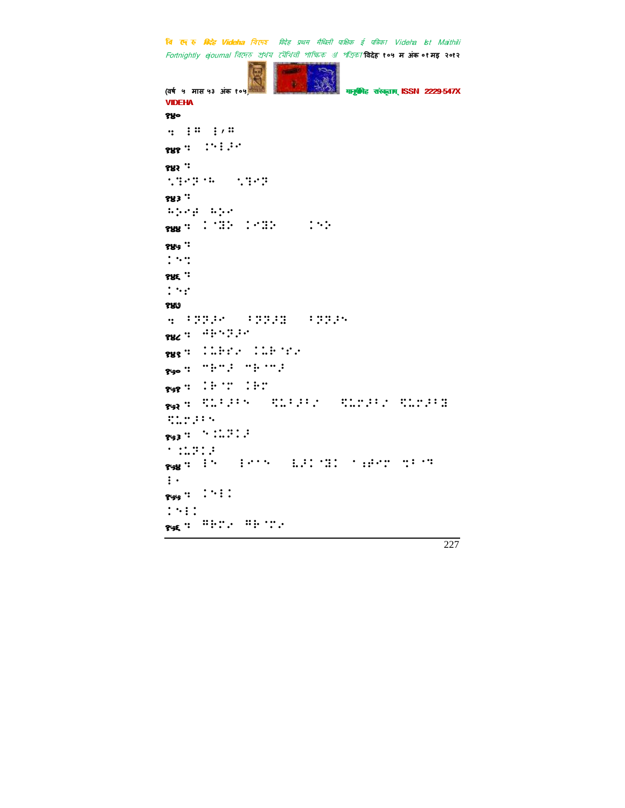```
चि एत् रू मिन्हे Videha निएन्थ विदेह प्रथम मैथिली पाक्षिक ई पत्रिका Videha Ist Maithili
 Fortnightly ejournal -

 
 -
 
 'वदेह' १०५ म अंक ०१मइ २०१२ 
                                                            Service
(वर्ष ५ मास ५३ अंक १०५) मान<sup>ुक्र</sup>िया मानुसिंह संस्कृतम् ISSN 2229-547X
VIDEHA 
१४०
⣒!2⢻!2'⢻!!
883 : \therefore \therefore \therefore१४२ <sup>::</sup>
 ⣁⣙⢽⢳0!⣁⣙⢽!!
१४३⣒!!
 \mathbf{h}^{\mathsf{A}}_{\mathsf{A}}, \mathbf{h}^{\mathsf{B}}_{\mathsf{A}}, \mathbf{h}^{\mathsf{B}}_{\mathsf{A}}, \mathbf{h}^{\mathsf{B}}_{\mathsf{A}}, \mathbf{h}^{\mathsf{B}}_{\mathsf{A}}, \mathbf{h}^{\mathsf{B}}_{\mathsf{A}}, \mathbf{h}^{\mathsf{B}}_{\mathsf{A}}, \mathbf{h}^{\mathsf{B}}_{\mathsf{A}}, \mathbf{h}^{\mathsf{B}}_{\mathsf{A}}, \mathbf{h}^{\mathsf{B}}_{\mathsf{A}}, \mathbf{h}^{\mathsf{B}}_{\mathsf{A}},१४४ मध्ये २०४३ मध्ये २०४४ मध्ये २०४
१४५ ः
 : \cdot :
१४६ :
\ddot{\phantom{0}}:
१४७
 ⣒!A⢽⢽⢼0!A⢽⢽⢼⣝0!A⢽⢽⢼!!
\mathbf{R} \mathbf{R} \mathbf{C} : \mathbf{R} \mathbf{C} : \mathbf{R} \mathbf{C}१७९९ : अस्ति अस्ति अस्ति ।
\frac{1}{200} : \frac{1}{20} \frac{1}{20} \frac{1}{20} \frac{1}{20} \frac{1}{20} \frac{1}{20} \frac{1}{20} \frac{1}{20} \frac{1}{20} \frac{1}{20}\frac{1}{248} : \frac{1}{2} : \frac{1}{2} : \frac{1}{2} : \frac{1}{2} : \frac{1}{2} : \frac{1}{2} : \frac{1}{2} : \frac{1}{2} : \frac{1}{2} : \frac{1}{2} : \frac{1}{2} : \frac{1}{2} : \frac{1}{2} : \frac{1}{2} : \frac{1}{2} : \frac{1}{2} : \frac{1}{2} : \frac१५२⣒!⣋⣅A⢼A0!⣋⣅A⢼A10!⣋⣅⢼A1!⣋⣅⢼A⣝0!
⣋⣅⢼A!!
\frac{843}{10} : \frac{1}{10} : \frac{1}{10} : \frac{1}{10}^{\prime} :1.313
१७४ : 20 : 2015 : 2017 : 2018 : 2019 : 2019
 \vdots१५५:: :: ::
 : -:\gamma_{\text{95E}} : \overset{\text{ii}}{\ldots} \overset{\text{iii}}{\ldots} \overset{\text{iv}}{\ldots}
```

```
227
```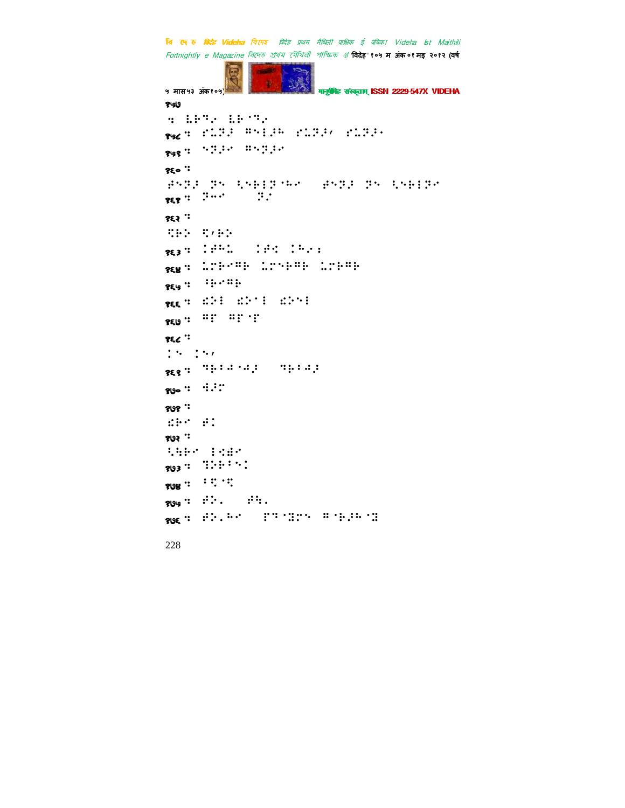```
चि एत् रू मिन्हे Videha निएन्थ विदेह प्रथम मैथिली पाक्षिक ई पत्रिका Videha Ist Maithili
Fortnightly e Magazine বিদেত প্ৰথম মৌথিনী পাক্ষিক প্ৰ'বিदेह'१०५ म अंक०१ मइ २०१२ (वर्ष
                            County
५ मास५३ अंक१०५) मानुसीह संस्कृतम् ISSN 2229-547X VIDEHA
१५७
⣒!⣇⢷⢹⢴!⣇⢷⢹⢴!!
१५८⣒!⣅⢽⢼!⢻2⢼⢳!⣅⢽⢼'0⣅⢽⢼j!!
१५९ : ५३३० : २१३३०
१६०⣒!
⢾⢽⢼!⢽!⣃⢷2⢽⢳0!⢾⢽⢼!⢽!⣃⢷2⢽!!
१६१ : २००१ : २०११
१६२ :
WED WALK
१६३⣒!⢾⢳⣅0!⢾⣊!⢳⢴⣐!!
१६४⣒!⣅⢷⢻⢷.⣅⢷⢻⢷!⣅⢷⢻⢷!!
R_{\mathfrak{g}} : \cdots : \cdots :
१६६⣒!⣎⢵20⣎⢵2!⣎⢵2!!
RQ: PQ: PQ: PQ: PQ: PQ: PQ: PQ: PQ: PQ: PQ: PQ: PQ: PQ: PQ: PQ: PQ: PQ: PQ: PQ: PQ: PQ: PQ: PQ: PQ: PQ: PQ: PQ: PQ: PQ: PQ: PQ: PQ: PQ: PQ: PQ: PQ:१६८ "\mathbb{R}^n : \mathbb{R}^n१६९⣒!⢹⢷A⢺⢺⢼0!⢹⢷A⢺⢼!!
१७०\cdot: \cdotः \cdot:
१७१ \cdotdie : #1
१७२ :
WHEY INSER
\frac{1}{203} : \frac{1}{203} : \frac{1}{203}\mathbf{R} \mathbf{B} \mathbf{B} \mathbf{B} \mathbf{B} \mathbf{C} \mathbf{B} \mathbf{C}\mathbf{P}\mathbf{P}\mathbf{P}\mathbf{P}\mathbf{P}\mathbf{P}\mathbf{P}\mathbf{P}\mathbf{P}\mathbf{P}\mathbf{P}\mathbf{P}\mathbf{P}\mathbf{P}\mathbf{P}\mathbf{P}\mathbf{P}<sub>२७६</sub>०: #२००० | ‼ुः अध्यान माध्यम् अ
```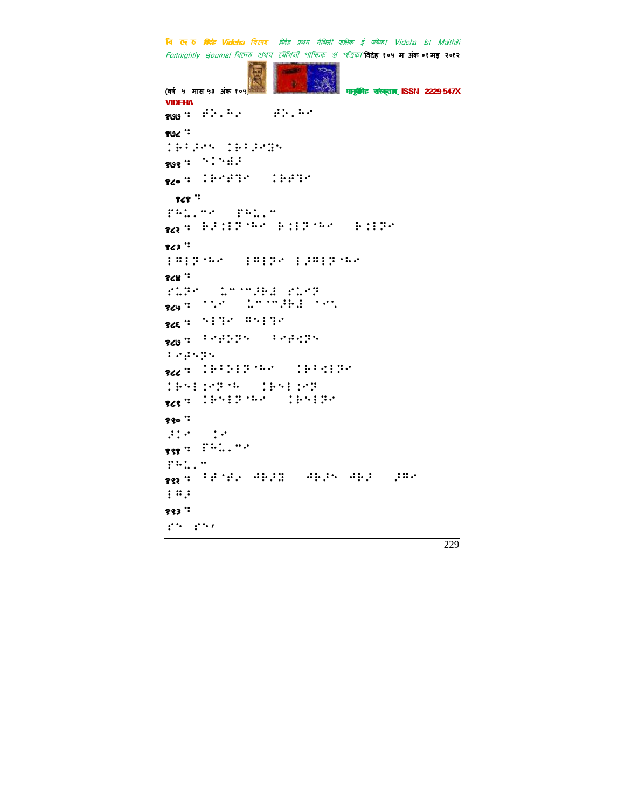```
चि एत् रू मिन्हे Videha निएन्थ विदेह प्रथम मैथिली पाक्षिक ई पत्रिका Videha Ist Maithili
Fortnightly ejournal -

 
 -
 
 'वदेह' १०५ म अंक ०१मइ २०१२
```

```
Separate
(वर्ष ५ मास ५३ अंक १०५) मान<sup>ु</sup> मानुसार संस्कृताम् ISSN 2229-547X
VIDEHA 
१७७ : मेरेकेलेला अधिकारिक
१७८ \cdot⢷A⢼!⢷A⢼⣝!!
१७९ : निर्देशिक
१८० : २००० : २००१ : २००१ : २००१ : २००१ : २००१ : २००१ : २००१ : २००१ : २००१ : २००१ : २००१ : २००१ : २००१ : २००१ :
 १८१ "/⢳⣅E^0!/⢳⣅E^!!
१८२⣒!⢷⢼⣈2⢽⢳!⢷⣈2⢽⢳0!⢷⣈2⢽!!
१८३ "
2⢻2⢽⢳0!2⢻2⢽!2⢼⢻2⢽⢳!!
3C8ः
⣅⢽!)⣅^^⢼⢷⣜!⣅⢽*!!
\frac{1}{2}१८६ में २०१३ में २०१३ में २०१४ में २०१४ में २०१४ में २०१४ में २०१४ में २०१४ में २०१४ में २०१४ में २०१४ में २०
१८७ : २००० - २००० - २००० - २००० - २००० - २००० - २००० - २००० - २००० - २००० - २००० - २००० - २००० - २००० - २००० - २००० - २००० - २००० - २००० - २००० - २००० - २००० - २००० - २००० - २००० - २००० - २००० - २००० - २००० - २००० - २००० -
\leftrightarrow \leftrightarrow \leftrightarrow१८८⣒!⢷A⢵2⢽⢳0!⢷A⣊2⢽0!
⢷2⣈⢽⢳0!⢷2⣈⢽!!
१८९९ : २००३ २००० : २००३ २०
१९०⣒!!
318 0 18
१९१⣒!/⢳⣅E^0!!
T^LEL^{\infty}१९२⣒!A⢾⢾⢴!⢺⢷⢼⣝0!⢺⢷⢼!⢺⢷⢼!)⢼⢻!
: "१९३ :
\mathcal{V}^{(1)} : \mathcal{V}^{(1)} /
```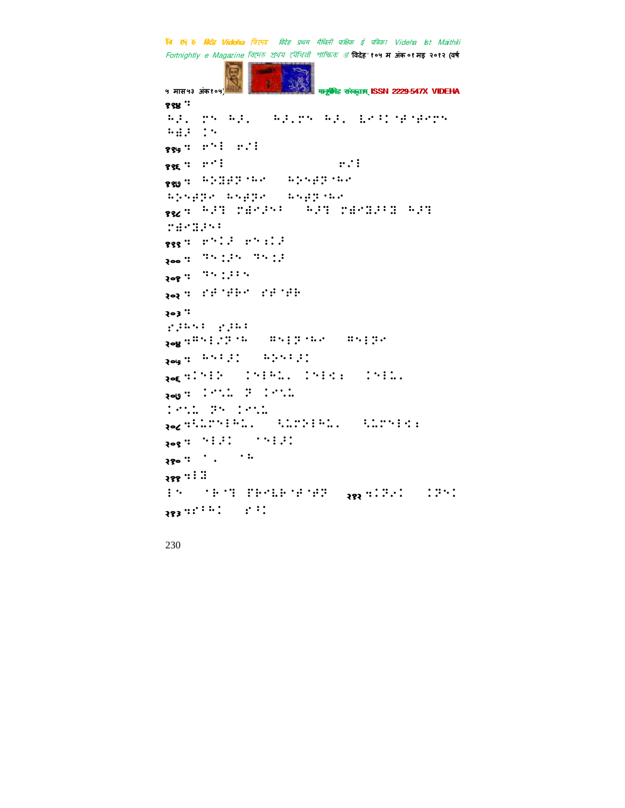५ मास५३ अंक१०५) मानुसिद्ध अधिकारी मानुसिद्ध संस्कृतम् ISSN 2229-547X VIDEHA १९४⣒!! ⢳⢼E!!⢳⢼E!)⢳⢼E!⢳⢼E!⣇⢸⢾⢾!  $\frac{1}{2}$   $\frac{1}{2}$   $\frac{1}{2}$   $\frac{1}{2}$   $\frac{1}{2}$   $\frac{1}{2}$   $\frac{1}{2}$  $894$  :  $21$  :  $21$  $\mathbf{R}$ ९६ $\mathbf{R}$ !! $\mathbf{R}$  to the  $\mathbf{R}$  to the  $\mathbf{R}$ १९७⣒!⢳⢵⣝⢾⢽⢳0!⢳⢵⢾⢽⢳0! ⢳⢵⢾⢽0⢳⢾⢽0!⢳⢾⢽⢳!! १९८⣒!⢳⢼⣙!⣞⢼A0!⢳⢼⣙!⣞⣝⢼A⣝0⢳⢼⣙! ⣞⣝⢼A!! १९९⣒!⢶⢼!⢶⣐⢼!! २०० <sup>म</sup>े अस्ति । अस्ति ।  $208$  :  $10 \times 10^{-10}$ २०२ में अर्थ परंपराजन २०३  $"$ ⢼⢳A!⢼⢳A!! २०४⣒⢻21⢽⢳0!⢻2⢽⢳0!⢻2⢽!! २०५ <sup>: 19</sup>99 : २००९ : २००९ : २००९ : २००९ : २००९ : २००९ : २००९ : २००९ : २००९ : २००९ : २००९ : २००९ : २००९ : २००९ : २०<br>राजस्थान २०६⣒2⢵0!2⢳⣅E02⣊⣐0!2⣅E!! २०७ : २०७ : २०७ : २०७ : 2011 | PRODUCTS २०८⣒⣃⣅2⢳⣅E0!⣃⣅⢵2⢳⣅E0!⣃⣅2⣊⣐!!  $208$   $208$   $2012$   $2012$  $280$   $\therefore$   $\therefore$ २११ : : : : 2!)⢷⣙./⢷⣇⢷⢾⢾⢽\*!२१२⣒⢽⢴0!⢽!!  $283$   $223$ <sup>4</sup> $33$   $24$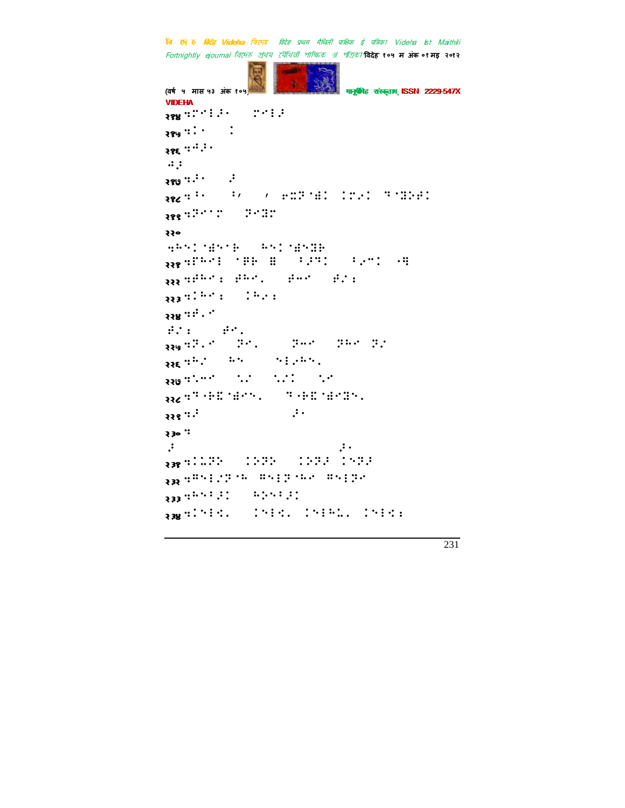Fortnightly ejournal -  -  'वदेह' १०५ म अंक ०१मइ २०१२ (वर्ष ५ मास ५३ अंक १०५) मान<sup>ुक्र</sup>ि अधिक संस्कृति संस्कृताम् ISSN 2229-547X VIDEHA  $\frac{288}{256}$   $\frac{22}{20}$   $\frac{2}{20}$   $\frac{2}{20}$   $\frac{2}{20}$   $\frac{20}{20}$   $\frac{20}{20}$   $\frac{20}{20}$  $284$  :  $\cdot$  : २१६ $\cdot$ ं $\cdot$ ं $\cdot$  $\ddot{a}$  : २१७ ∵ं : २१८ प्<sup>रि</sup> पर प्राप्त (100 minute) प्राप्त (100 minute) २१९ मध्ये २००१ मध्ये २००१ मध्ये २ २२० ⣒⢳⣞⢷0!⢳⣞⣝⢷!! २२१ मध्य अस्ति । अस्ति । अस्ति । अस्ति । अस्ति । अस्ति । अस्ति । अस्ति । अस्ति । अस्ति । अस्ति । अस्ति । अस्ति २२२ परिमान करने के साथ परिचार् २२३ प्रतिलीक्षा संस्था करते हैं। २२४ <sup>...</sup>...  $f(t)$   $f(t)$ २२५ प्रति (C) = E0 (C) = E0 (C) = E0 (C) = E0 (C) = E0 (C) = E0 (C) = E0 (C) = E0 (C) = E0 (C) = E0 (C) = E0 ( २२६ पुले होता है। यह साथ स्थान करते हैं किया है। यह स्थान करते हैं किया है। यह स्थान करते हैं किया है। यह स्थान २२७ <sup>-</sup> : २००१ - २००१ - २००१ - २००१ - २००१ - २००१ - २००१ - २००१ - २००१ - २००१ - २००१ - २००१ - २००१ - २००१ - २००१ - २००१ - २००१ - २००१ - २००१ - २००१ - २००१ - २००१ - २००१ - २००१ - २००१ - २००१ - २००१ - २००१ - २००१ - २००१ - २२८⣒⢹B⢷⣏⣞E0!⢹B⢷⣏⣞⣝E!!  $\mathbf{z}_2$ २३०  $"$  $\mathcal{F}$  ) denote the density of  $\mathcal{F}$  , and  $\mathcal{F}$  is a denoted by <sub>२३१</sub> साइटाल - 1999 - 1999 - 1999 -२३२⣒⢻21⢽⢳.⢻2⢽⢳.⢻2⢽! २३३ प<sup>2</sup> प<sup>2</sup> में 2009 में 2009 में 2009 में 2009 में 2009 में 2009 में 2009 में 2009 में 2009 में 2009 में 2009 में 2009 में 2009 में 2009 में 2009 में 2009 में 2009 में 2009 में 2009 में 2009 में 2009 में 2009 में 2009 २३४ मध्यप्रदेश - 1984. (1985) - 1984.

चि एत् रू मिन्हे Videha निएन्थ विदेह प्रथम मैथिली पाक्षिक ई पत्रिका Videha Ist Maithili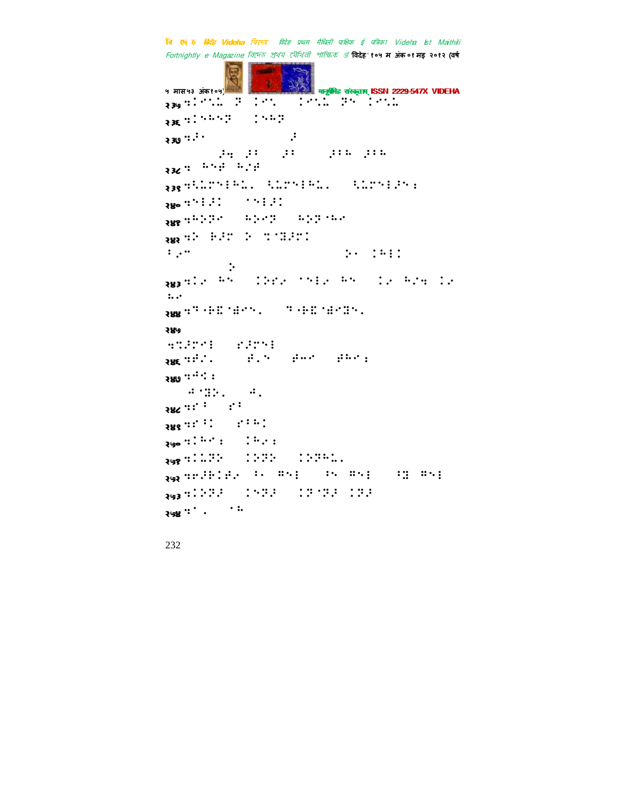```
चि एत् रू मिन्हे Videha निएन्थ विदेह प्रथम मैथिली पाक्षिक ई पत्रिका Videha Ist Maithili
Fortnightly e Magazine বিদেত প্ৰথম মৌথিনী পাক্ষিক প্ৰ'বিदेह'१०५ म अंक०१ मइ २०१२ (वर्ष
५ मास५३ अंक१०५) मानुसार संस्कृताम् ISSN 2229-547X VIDEHA
२३५⣒⣁⣅!⢽!⣁.!⣁⣅!⢽!⣁⣅!
२३६ परिमेण २००० सा
\mathbf{a}_1 ) denote the contract \mathbf{a}_2 is the contract of \mathbf{b}_2boe*0⢼⣒!⢼A(.⢼A(!0⢼A⢳.⢼A⢳!
२३८ में लिया है। यह स्
२३९⣒⣃⣅2⢳⣅E.⣃⣅2⢳⣅E.!⣃⣅2⢼⣐!
280 : 2\frac{1}{2}: 2\frac{1}{2} : 2\frac{1}{2}२४१⣒⢳⢵⢽.!⢳⢵⢽0!⢳⢵⢽⢳0!
२४२⣒⢵.⢷⢼!⢵!⣉⣝⢼!
As a contract the contract of the contract of the contract of the contract of the contract of the contract of
t_{\rm b} the 0.01<sub>२४३</sub> वर्टन किल - २००८ होटा किल - २० किल - २० -
\ddots२४४⣒⢹B⢷⣏⣞E0!⢹B⢷⣏⣞⣝E!
२४५
⣒⣉⢼20!⢼2!!
२४६ °C Particle Company of Band Particle Particle Particle Particle Particle Particle Particle Particle Particle
२४७ ∵<sup>.:</sup> ∶
     \frac{3!}{2!}Energy \frac{3!}{2!}२४८ <sup>:: :</sup> : :
२४९ <sup>01: २</sup>२ वर्ष करण
2\frac{1}{90} \frac{1}{90} \frac{1}{90} \frac{1}{90} \frac{1}{90} \frac{1}{90} \frac{1}{90} \frac{1}{90} \frac{1}{90} \frac{1}{90} \frac{1}{90} \frac{1}{90}२५१⣒⣅⢽⢵0!⢵⢽⢵0!⢵⢽⢳⣅E0!
२५२⣒⢶⢼⢷⢾⢴!⢸j!⢻20!⢸!⢻20!⢸⣝!⢻2!
२५३⣒⢵⢽⢼0!⢽⢼0!⢽⢽⢼0⢽⢼!
२५४ <sup>..</sup> .
```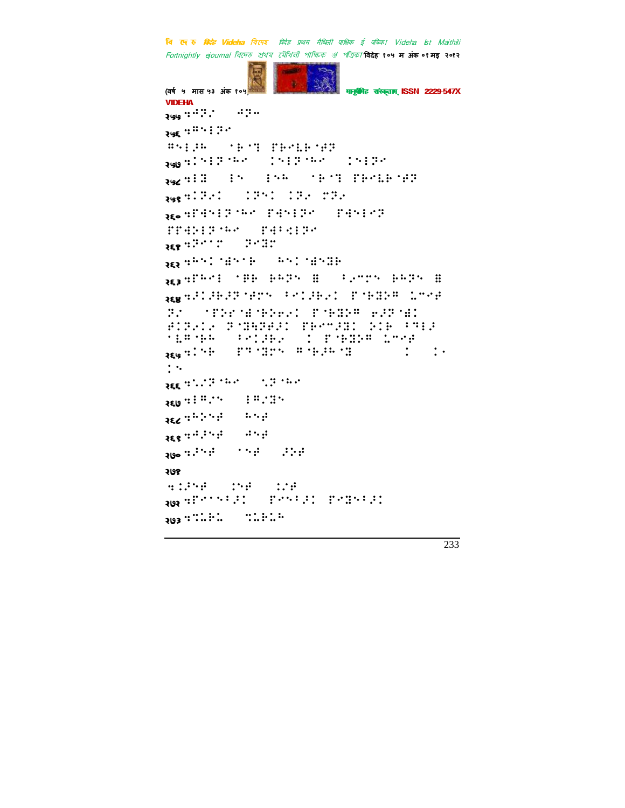चि एत् रू मिन्हे Videha निएन्थ विदेह प्रथम मैथिली पाक्षिक ई पत्रिका Videha Ist Maithili Fortnightly ejournal -  -  'वदेह' १०५ म अंक ०१मइ २०१२

**County** 

```
(वर्ष ५ मास ५३ अंक १०५) मानुसार में मानुसार संस्कृतम् ISSN 2229-547X
VIDEHA 
२५५ थ<sup>ः : :</sup> : : : : : : : :
२७६ : <sup>21</sup> : 2
⢻2⢼⢳!)⢷⣙!/⢷⣇⢷⢾⢽*!!
२५७ सा २००१ का २००१ मध्य पुरुष करने के दौर र इस्ता पुरुष करने के दौर र इसके पुरुष करने के दौर र इसके पुरुष करन<br>जनसङ्ख्या
२५८ HID 2012 2012 2012 2012 2013
२५९ थे <sup>19</sup>91 - 1992 - 1992 - 1992
२६० अधिकांत संकट ( Paris Paris Paris Paris Paris Paris Paris Paris Paris Paris Paris Paris Paris Paris Paris P
//⣚⢵2⢽⢳0!/⣚A⣊2⢽0!
२६१ प्रशिक्षा अधिकारिक अधिकारिक प्रतिक्षेत्र
२६२⣒⢳⣞⢷0!⢳⣞⣝⢷!
२६३⣒/⢳2!⢿⢷!⢷⢳⢽!⣟0!A⢴^!⢷⢳⢽!⣟!
२६४⣒⢼⢼⢷⢼⢽⢾!A⢼⢷⢴!/⢷⣝⢵⢻!⣅^⢾!
T / T€19212 9 19212 9 1922<br>'Lese de Caractello de Poeme Core
                                ⣇⢻⢷⢳!)A⢼⢷⢴*!!/⢷⣝⢵⢻!⣅^⢾!
२६५ º : '२ : ' I : ' 1 : ' " : ' | : ' | : ' | : ' | : ' | : ' | : ' | : ' | : ' | : ' | : ' | : ' | : ' | : '
\ddot{\cdot} :
२६६⣒⣁1⢽⢳.!⣁⢽⢳!
२६७ : में से से से से अपने स्थान के अपने स्थान के अपने स्थान के अपने स्थान के अपने स्थान के अपने स्
२६८ <sup>(111</sup>) भारतीय समित
२६९ <sup>011</sup>ं<sup>0</sup> के प्रदेश
२७० : २० लं ला होते.
२७१
⣒⣈⢼⢾0!⣈⢾0!⣈1⢾!!
२७२ मधील १९९१ - अमेरिकेच संस्था अस्ति केली प्राप्त करते हैं।
२७३⣒⣉⣅⢷⣅0!⣉⣅⢷⣅⢳!
```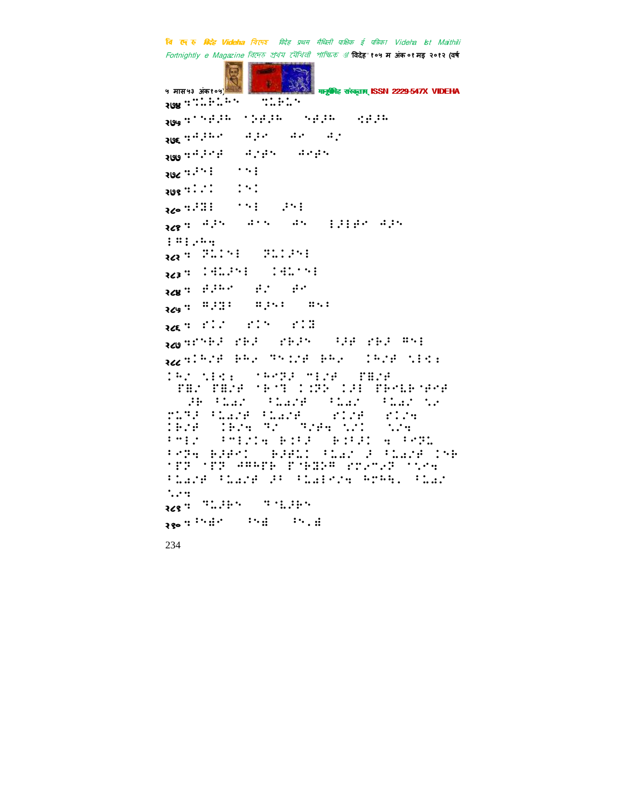५ मास५३ अंक१०५) मान्य महिला मानुसीह संस्कृतम् ISSN 2229-547X VIDEHA २७४⣒⣉⣅⢷⣅⢳0!⣉⣅⢷⣅! २७५⣒⢾⢼⢳0⢵⢾⢼⢳0!⢾⢼⢳0!⣊⢾⢼⢳! २७६ परमेशांत का सामान पर प्रकार करने हैं। २७७ परमिलिक कर में में अपने के २७८ : <sup>21</sup>: 20  $208$  :  $\therefore$   $\therefore$   $\therefore$ २८० भनिष्य सामान्य अपा २८१ प<sup>9</sup> में प्राप्त करना करना है। अपने महार 2⢻2⢴⢳⣒\*! २८२ : 2019: 2019: 2021 २८३ : २००२:२२ : २००२:२२ : २००२:२ २८४⣒!⢾⢼⢳0!⢾10!⢾! २८५⣒!⢻⢼⣝A0!⢻⢼A0!⢻A! २८६ में मंगेरी क्षेत्रीय क्षेत्रीय क्षेत्रीय क्षेत्रीय क्षेत्र २८७⣒⢷⢼0⢷⢼0!⢷⢼!)⢸⢼⢾!⢷⢼!⢻2\*! २८८⣒⢳1⢾!⢷⢳⢴0⢹⣈1⢾!⢷⢳⢴0!⢳1⢾!⣁2⣊⣐0!  $192$   $192$   $192$ )// THE THING AND THING THAT THAT HAS NOT .!⢼⢷!A⣅⣔10!A⣅⣔1⢾!)A⣅⣔10!A⣅⣔1!⣁⢴-! ⣅⢹⢼!A⣅⣔1⢾.A⣅⣔1⢾\*0!1⢾0!1⣒! 1B28 1B24 72 7284 121 1224 A^210 A^210 A^210 A^210 A 210 A 210 A 210 A 210 A 210 A 210 A 210 A 210 A 210 A 210 A 210 A 210 A 210 A 210 A 2 A⢽⣒!⢷⢼⢾0!⢷⢼⢾⣅!A⣅⣔1!⢼!A⣅⣔1⢾!⢷! /⢽./⢽!⢺⢻⢳/⢷!/⢷⣝⢵⢻!⢴^⢴⢽!⣁⣒! AGANA AGANG ALA ANG ANG ANG ANG ANG A  $\ddotsc$ २८९ : प्राप्ताः प्राप्ताः प्रशासक २९० <sup>वा अ</sup>से होती होती होती.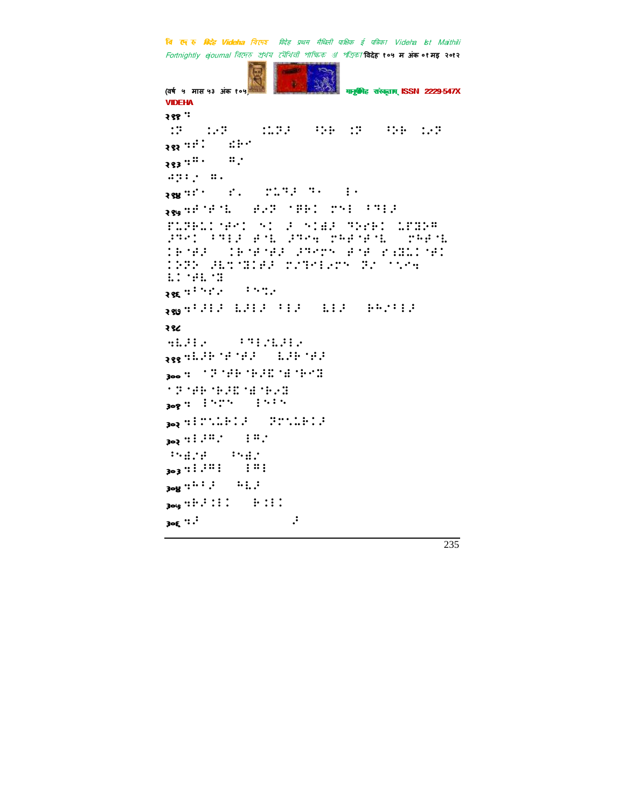```
चि एत् रू मिन्हे Videha निएन्थ विदेह प्रथम मैथिली पाक्षिक ई पत्रिका Videha Ist Maithili
Fortnightly ejournal -

 
 -
 
 'वदेह' १०५ म अंक ०१मइ २०१२ 
(वर्ष ५ मास ५३ अंक १०५) मानुसार में मानुसार संस्कृतम् ISSN 2229-547X
VIDEHA 
२९१ :⣈⢽0!⣈⢴⢽0!!⣈⣅⢽⢼!)⢸⢵⢷!⣈⢽0!⢸⢵⢷!⣈⢴⢽*!!
\frac{1}{282} or \frac{1}{2} : \frac{1}{2} : \frac{1}{2} : \frac{1}{2} : \frac{1}{2} : \frac{1}{2} : \frac{1}{2} : \frac{1}{2} : \frac{1}{2} : \frac{1}{2} : \frac{1}{2} : \frac{1}{2} : \frac{1}{2} : \frac{1}{2} : \frac{1}{2} : \frac{1}{2} : \frac{1}{2} : \283 \cdots \cdots\frac{1}{2} \frac{1}{2} \frac{1}{2} \frac{1}{2} \frac{1}{2} \frac{1}{2} \frac{1}{2}२९४⣒j0!E!)⣅⢹⢼!⢹j-!2j*!
२९५⣒⢾⢾⣇-)⢾⢴⢽!⢿⢷!2!A⢹2⢼!
/⣅⢽⢷⣅⢾!!⢼!⣞⢼!⢹⢵⢷!⣅/⣝⢵⢻*!
⢼⢹!A⢹2⢼!⢾⣇!⢼⢹⣒!⢳⢾⢾⣇0!⢳⢾⣇0!
\overline{1}B 'de 'd 'de alle 'de 'de alle 'de '
 ⢵⢽⢵!⢼⣇⣉⣝⢾⢼!1⣙2⢴!⢽1!⣁⣒!
\mathbb{R} \mathbb{C} \mathbb{C} \mathbb{C} \mathbb{C} \mathbb{C} \mathbb{C} \mathbb{C} \mathbb{C} \mathbb{C} \mathbb{C} \mathbb{C} \mathbb{C} \mathbb{C} \mathbb{C} \mathbb{C} \mathbb{C} \mathbb{C} \mathbb{C} \mathbb{C} \mathbb{C} \mathbb{C} \mathbb{C} \mathbb{C} \mathbb{C२९६ में पियेज़ - कियाज़
२९७ : 112 E.H.P. 112 E.H.P. 120 E.H.P. 120
२९८
WELFI. PRODUCT:
२९९⣒⣇⢼⢷⢾⢾⢼0!⣇⢼⢷⢾⢼!
३००⣒!⢽⢾⢷⢷⢼⣏⣞⢷⣝0!
⢽⢾⢷⢷⢼⣏⣞⢷⢴⣝!
308 : 12.72 12.12३०२⣒2⣁⣅⢷⢼-!⢽⣁⣅⢷⢼!
302 : 1.38: : 1.82Sharp Sharp
303 20330y \cdots \cdots \cdots304 :: :: :: :: ::3^\circE\cdot \cdot \cdot \cdot \cdot \cdot \cdot
```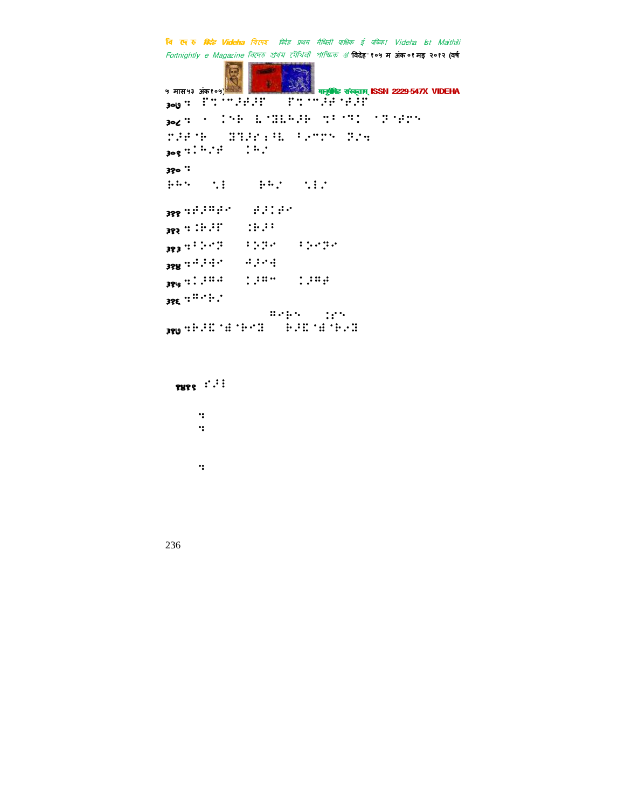

५ मास५३ अंक१०५) मानुसिंह संस्कृताम् ISSN 2229-547X VIDEHA الِّذِي الَّذِينَ الْبَيْنَ الْبَيْنَ الْبَيْنَ الْبَيْنَ الْبَيْنَ الْبَيْنَ ال ३०८⣒!j!⢷!⣇⣝⣇⢳⢼⢷!⣉A⢹!⢽⢾! ⢼⢾⢷-!⣝⣙⢼⣐⢸⣇!A⢴^!⢽1⣒!  $308$   $: 1010$ ३१०⣒! **₽₽N** (21 PR) PR2 (212 ३११⣒⢾⢼⢻⢾0!⢾⢼⢾!  $383$   $\therefore$   $\therefore$   $\therefore$   $\therefore$   $\therefore$   $\therefore$   $\therefore$   $\therefore$   $\therefore$   $\therefore$   $\therefore$   $\therefore$   $\therefore$   $\therefore$   $\therefore$   $\therefore$   $\therefore$   $\therefore$   $\therefore$   $\therefore$   $\therefore$   $\therefore$   $\therefore$   $\therefore$   $\therefore$   $\therefore$   $\therefore$   $\therefore$   $\therefore$   $\therefore$   $\therefore$   $\therefore$   $\therefore$   $\therefore$   $\therefore$   $\therefore$  $\frac{383}{253} \pi^{\frac{1}{2}} \mathcal{V} \sigma \mathcal{P} = \frac{1}{2} \mathcal{V} \mathcal{P} \sigma = \frac{1}{2} \mathcal{V} \sigma \mathcal{P} \sigma$  $388$   $\frac{12}{36}$   $\frac{12}{36}$ ३१५⣒⢼⢻⢺0!⢼⢻^0!⢼⢻⢾!  $385$ <sup> $\cdot$ </sup>:  $\cdot$   $\cdot$   $\cdot$   $\cdot$ txbmmpx\*0.000 and txbmmpx\*0.000 and txbmmpx\*0.000 and txbmmpx\*0.000 and txbmmpx\*0.000 and txbmmpx\*0.000 and txb<br>The contract of the contract of the contract of the contract of the contract of the contract of the contract o <sub>३१७</sub> सः अधि अक्षेत्रप्रदेशस्य अधिकारित्रस्य अधिकारित्रस्य अधिकारित्रस्य अधिकारित्रस्य अ

## $888 : : :$

| $\dddot{\mathbf{z}}$ |  |  |  |  |
|----------------------|--|--|--|--|
| $\dddot{\mathbf{z}}$ |  |  |  |  |
|                      |  |  |  |  |
|                      |  |  |  |  |
| •:                   |  |  |  |  |

236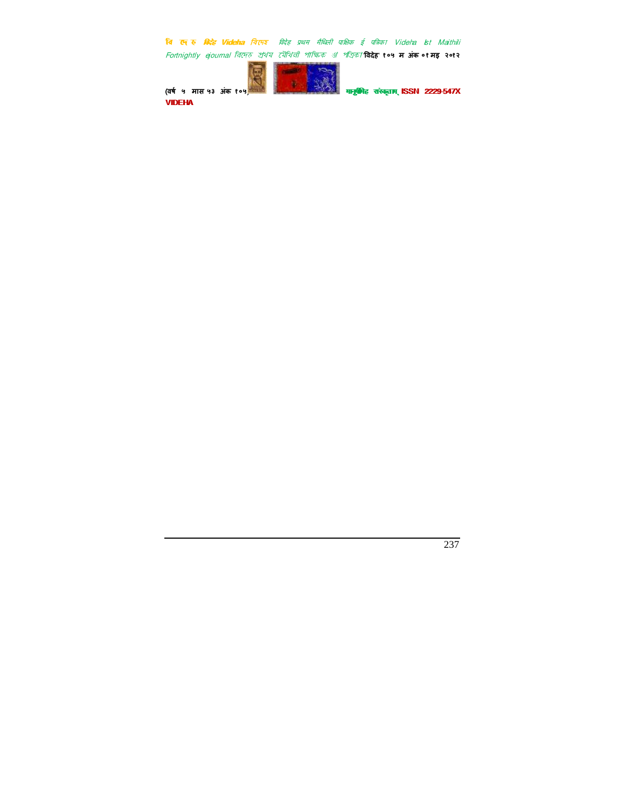चि एत् रू मिन्हे Videha निएन्थ विदेह प्रथम मैथिली पाक्षिक ई पत्रिका Videha Ist Maithili Fortnightly ejournal রিদেত প্রথম মৌথিনী পাক্ষিক ঐ পত্রিকা'**বিदेह १०५ म अंक ०१ मइ २०१२** 



VIDEHA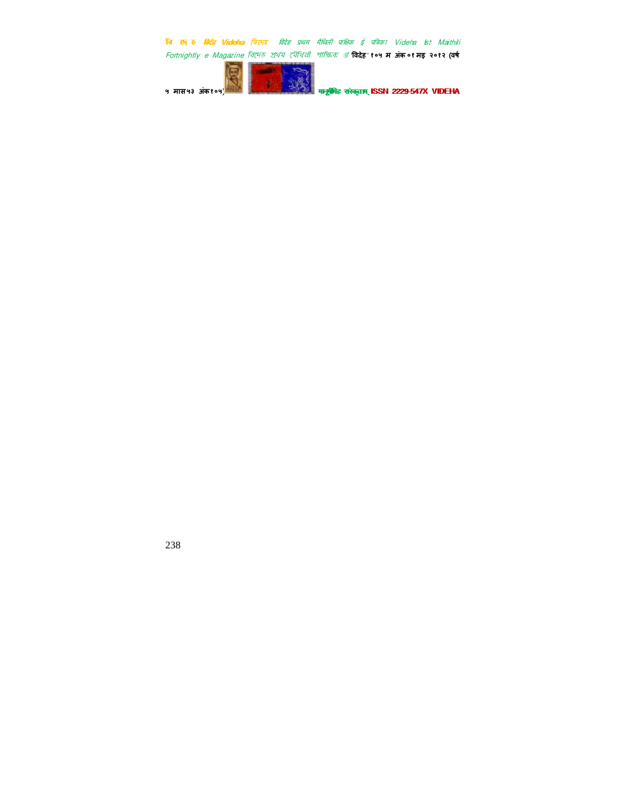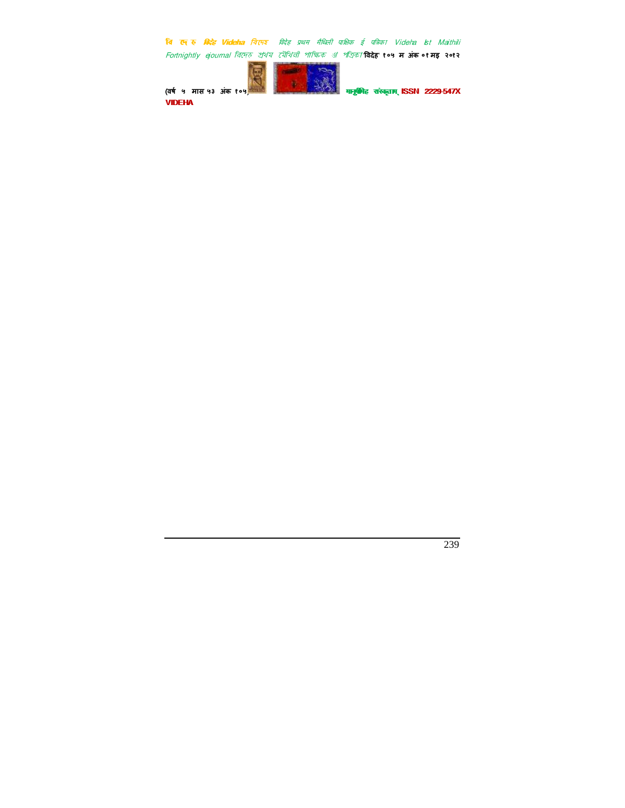चि एत् रू मिन्हे Videha निएन्थ विदेह प्रथम मैथिली पाक्षिक ई पत्रिका Videha Ist Maithili Fortnightly ejournal রিদেত প্রথম মৌথিনী পাক্ষিক ঐ পত্রিকা'**বিदेह १०५ म अंक ०१ मइ २०१२** 



VIDEHA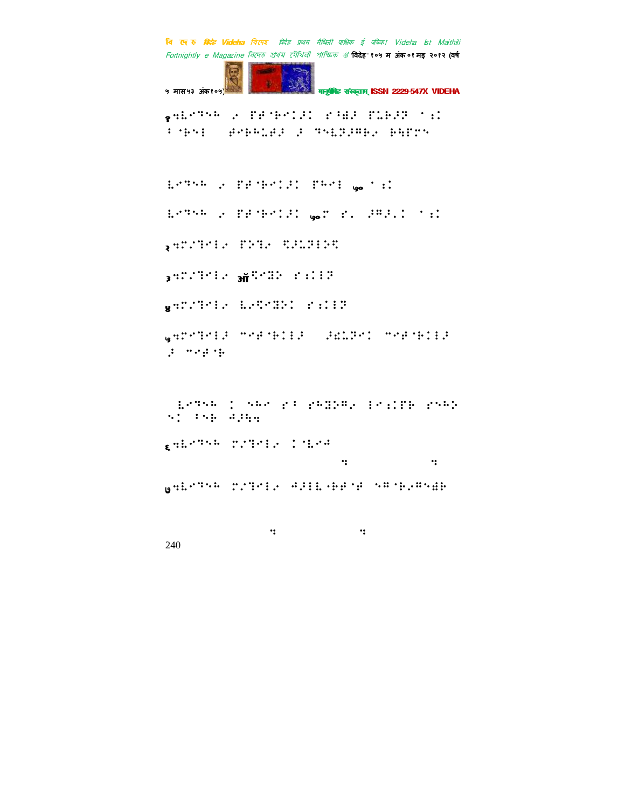

१⣒⣇⢹⢳!⢴./⢾⢷⢼!⢸⣞⢼!/⣅⢷⢼⢽!⣐! A⢷2-!⢾⢷⢳⣅⢾⢼!⢼!⢹⣇⢽⢼⢻⢷⢴!⢷⣓/!

LATHE & PROPERTY PROPERTY

⣇⢹⢳!⢴./⢾⢷⢼!५०!E!⢼⢻⢼E!⣐!

२⣒1⣙2⢴!/⢵⣙⢴!⣋⢼⣅⢽2⢵⣋!Nbjuijmj!

३⣒1⣙2⢴!ऑ⣋⣝⢵!⣐2⢽!Nbjuijmj!

 $y$ arviški konstantinisti († 1192)

ुच:राष्ट्रात एरसे कर्ताट । त्यात्मरा एरसे कर्ताट । ⢼!^⢾⢷!Njuijmb!Qbjoujoh0!

#⣇⢹⢳#!⢳!⢸!⢳⣝⢵⢻⢴!2⣐/⢷!⢳⢵!  $\mathcal{A}$  : The again

 $\epsilon$ shemba (22981) (10188 ius;00wjefibration;00wjefibration;00wjefibration;00wjefibration;00wjefibration;00wjefibration;00wjefibration;0

७∰ि प्राप्त होते. जस्मा अस्तित्वा अस्तित्वा अस्तित्वा अस्तित्वा अस्तित्वा अस्तित्वा अस्तित्वा अस्तित्वा अस्तित

bhash bhash ann an chuid ann an chuid an chuid an chuid an chuid an chuid an chuid an chuid an chuid an chuid a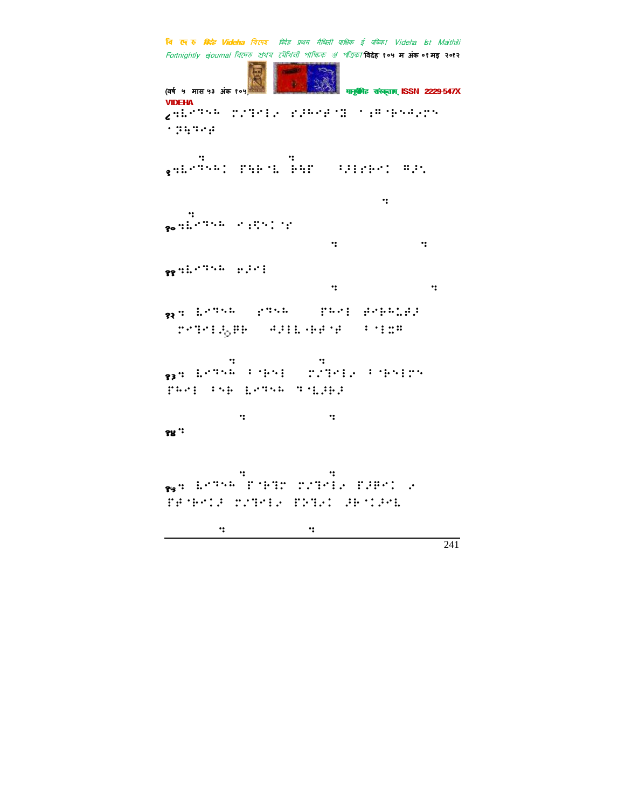```
चि एत् रू मिन्हे Videha निएन्थ विदेह प्रथम मैथिली पाक्षिक ई पत्रिका Videha Ist Maithili
Fortnightly ejournal রিদেত প্রথম মৌথিনী পাক্ষিক ঐ পত্রিকা'বিदेह १०५ म अंक ०१ मइ २०१२
(वर्ष ५ मास ५३ अंक १०५) मानुसार संस्कृताम् ISSN 2229-547X
VIDEHA 
                                                                                    241
८⣒⣇⢹⢳!1⣙2⢴!⢼⢳⢾⣝!⣐⢻⢷⢺⢴!
^{\prime} 34789
bsuch the control of the control of the control of the control of the control of the control of the control of
९⣒⣇⢹⢳!/⣓⢷⣇.⢷⣓/!#⢸⢼2⢷!⢻⢼⣁#!!
iuuq;00hbkfoesbuiblvs⣒cmphtq
puòde della contra
१० सक्रमण स्थान का अधिकारित स्थान का अधिकारित स्थान का अधिकारित स्थान का अधिकारित स्थान का अधिकारित स्थान का अ<br>इन्द्र संस्कृतिकारित स्थान का अधिकारित स्थान का अधिकारित स्थान का अधिकारित स्थान का अधिकारित स्थान का अधिकारि
iuuq;00wjefib234 ministerii dpn
१<mark>१</mark>९ : 102 : 102 : 102 : 102 : 102 : 102 : 102 : 102 : 102 : 102 : 102 : 102 : 102 : 102 : 102 : 102 : 102 : 10
ius;00wjefib234,000wjefib234
१२ %) हिल्ला देवा देवा हे जाने के सामान्य स्थान करते होता.<br>१९७९ जनसङ्ख्या
  )⣙2⢼◌़⢿⢷*!⢺⢼2⣇B⢷⢾⢾!)A2⣍⢻*!!
tbefore the control of the control of the control of the control of the control of the control of the control of the control of the control of the control of the control of the control of the control of the control of the 
१३⣒!⣇⢹⢳;A⢷2;!1⣙2⢴!A⢷2;!
/⢳2!A⢷!⣇⢹⢳!⢹⣇⢼⢷⢼!
csbjmmformation of the control of the control of the control of the control of the control of the control of the control of the control of the control of the control of the control of the control of the control of the cont
१४ <sup>w</sup>ite<br>JTU JEFIB II HEFT
bsdie bedruik in der deutsche bedruik in der deutsche bedruik in der deutsche bedruik in der deutsche bedruik 
१५⣒!⣇⢹⢳!/⢷⣙!1⣙2⢴!/⢼⢿!⢴!
/⢾⢷⢼!1⣙2⢴!/⢵⣙⢴!⢼⢷⢼⣇!
q_1cmphtq_2dpuij\alpha
```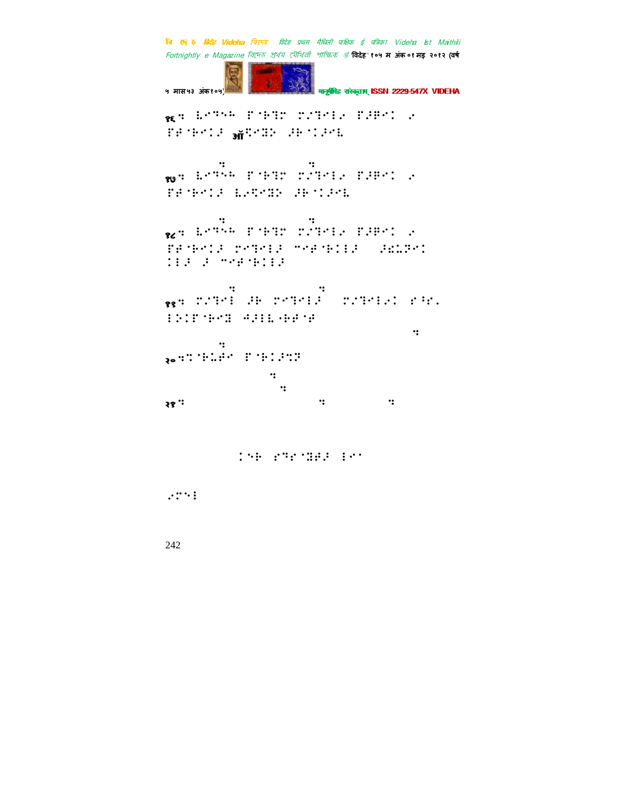

५ मास५३ अंक१०५) मानुसीह संस्कृतम् ISSN 2229-547X VIDEHA

 $\epsilon$ ९६ से अर्थातिक विश्वविद्या विश्वविद्या विश्वविद्या विश्वविद्या विश्वविद्या विश /⢾⢷⢼!ऑ⣋⣝⢵!⢼⢷⢼⣇!

by the control of the control of the control of the control of the control of the control of the control of the <sub>१७</sub>५ ६८°९५ हे १७% हे १८९४ हे इ.स. १८९७ हे /⢾⢷⢼!⣇⢴⣋⣝⢵!⢼⢷⢼⣇!

where  $\mathbf{q}$  is the positive point of  $\mathbf{q}$  $\bm{R}$ g istrator in the control of the control  $\bm{R}$ /⢾⢷⢼!⣙2⢼!^⢾⢷2⢼-!⢼⣎⣅⢽! 2⢼!⢼!^⢾⢷2⢼!

quadratic control of the control of the control of the control of the control of the control of the control of १९९ - 2019'E - 28 - 2919'E 2019'E 2019'E 2019'E 2019'E 2019'E 2019'E 2019'E 2019'E 2019'E 2019'E 2019'E 2019'E 2⢵/⢷⣝!⢺⢼2⣇B⢷⢾⢾\*! ius;00nbjuijmbvsnjuijmbvsnjuijmbvsniuijmbvsniuijmbvsniuijmbvsniuijmbvsniuijmbvsniuijmbvsniuijmbvsniuijmbvsniui

https://www.facebook.com <sub>२०</sub>०९'२८% र २००९ हे १९४० र १९ ius in control de la control de la control de la control de la control de la control de la control de la control de la control de la control de la control de la control de la control de la control de la control de la contr  $\mathbf{q}$ <mark>२१</mark> भाषा प्राप्त हो। यो प्राप्त हो प्राप्त हो। यो प्राप्त हो प्राप्त हो। यो प्राप्त हो प्राप्त हो। यो प्राप्त हो

INE STRANGE INT

 $222$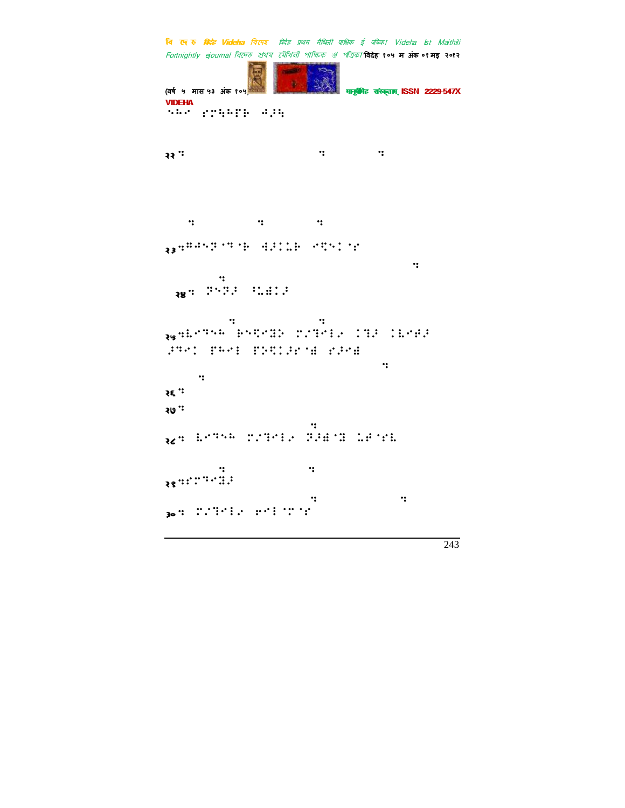```
चि एत् रू मिन्हे Videha निएन्थ विदेह प्रथम मैथिली पाक्षिक ई पत्रिका Videha Ist Maithili
Fortnightly ejournal রিদেত প্রথম মৌথিনী পাক্ষিক ঐ পত্রিকা'বিदेह १०५ म अंक ०१ मइ २०१२
(वर्ष ५ मास ५३ अंक १०५) मानुसी कारण मानुसीह संस्कृताम् ISSN 2229-547X
VIDEHA 
540 sranic 414
22<sup>u</sup>\frac{1}{2}\mathbf{v}_1<sub>२३ प</sub>समध्य राष्ट्रीय संस्था संस्था का अनुसार राष्ट्रीय संस्था का
ius;00hbkgbkgbkgbkgbkgbkgbkgbkgbkg
https://www.file.com
   <sub>२४</sub>९ प्रधानम् ।<br>जन्म
libco de la contrada de la contrada de la contrada de la contrada de la contrada de la contrada de la contrada
_{\mathbf{39}}eistra (Paralelle (10,100 inchestrate)
⢼⢹!/⢳2!/⢵⣋⢼⣞!⢼⣞!
ius (1993) in the control of the control of the control of the control of the control of the control of the co
       \cdot:
२६"२७\mathcal{P} : which we first the \mathcal{P}\mathbf{g} is a set of \mathbf{g} is a set of \mathbf{g}\alphag istre populate parti istori
esbnb, esbnb, esbnb, esbnb, esbnb, esbnb, esbnb, esbnb, esbnb, esbnb, esbnb, esbnb, esbnb, esbnb, esbnb, esbnb
२९ ::::::::::::::
ius (10ftbnbbe) in the company of the company of the company of the company of the company of the company of the company of the company of the company of the company of the company of the company of the company of the comp
<sub>३०</sub>० :2799:20 :21 :21 :21
```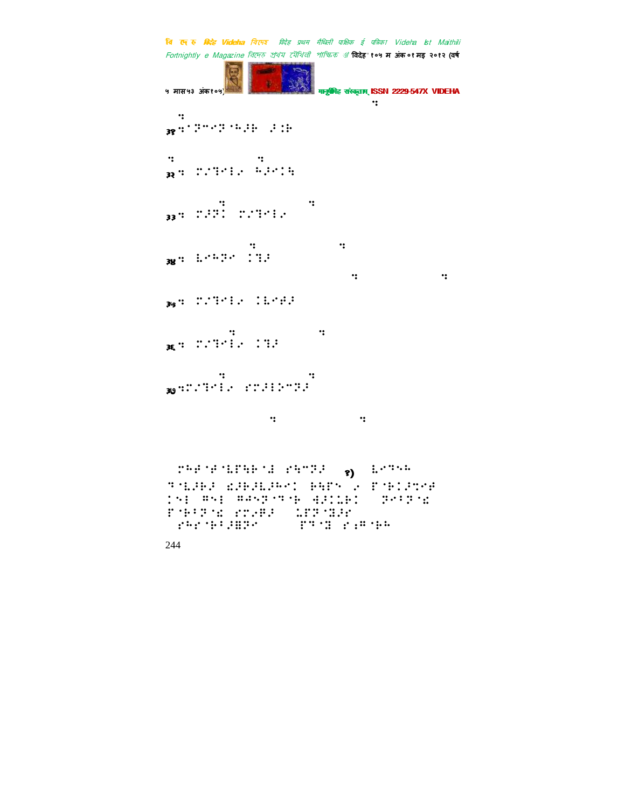| <b>बि एर रु मिरेह Videha</b> विएम्ब विदेह प्रथम मैथिली पाक्षिक ई पत्रिका Videha Ist Maithili                                                                                                                                                                                                                |
|-------------------------------------------------------------------------------------------------------------------------------------------------------------------------------------------------------------------------------------------------------------------------------------------------------------|
| Fortnightly e Magazine রিদেত প্রথম মৌথিনী পাক্ষিক প্র' <b>বিदेह' १०५ म अंक०१ मइ २०१२ (वर्ष</b>                                                                                                                                                                                                              |
|                                                                                                                                                                                                                                                                                                             |
| । मानुक्रीह संस्कृतम् ISSN 2229-547X VIDEHA<br>५ मास५३ अंक१०५)                                                                                                                                                                                                                                              |
| ∵.                                                                                                                                                                                                                                                                                                          |
| •:<br>121621436 316<br>38 ::                                                                                                                                                                                                                                                                                |
|                                                                                                                                                                                                                                                                                                             |
| к.                                                                                                                                                                                                                                                                                                          |
| rathia Addia<br>$\mathbf{B}$ :                                                                                                                                                                                                                                                                              |
|                                                                                                                                                                                                                                                                                                             |
| •:<br>$\mathbb{R}^n$<br>$\mathbb{R}^n$                                                                                                                                                                                                                                                                      |
| $33$ ::                                                                                                                                                                                                                                                                                                     |
| ٠:                                                                                                                                                                                                                                                                                                          |
| $\mathbf{a}$ : $\mathbf{b}$ : $\mathbf{b}$ : $\mathbf{b}$ : $\mathbf{b}$ : $\mathbf{b}$ : $\mathbf{b}$ : $\mathbf{b}$ : $\mathbf{b}$ : $\mathbf{b}$ : $\mathbf{b}$ : $\mathbf{b}$ : $\mathbf{b}$ : $\mathbf{b}$ : $\mathbf{b}$ : $\mathbf{b}$ : $\mathbf{b}$ : $\mathbf{b}$ : $\mathbf{b}$ : $\mathbf{b}$ : |
| •:<br>•:                                                                                                                                                                                                                                                                                                    |
|                                                                                                                                                                                                                                                                                                             |
| rstele (1243<br>: والإ                                                                                                                                                                                                                                                                                      |
| •:                                                                                                                                                                                                                                                                                                          |
| ¤ "                                                                                                                                                                                                                                                                                                         |
|                                                                                                                                                                                                                                                                                                             |
| .<br>4229412 2241293                                                                                                                                                                                                                                                                                        |
| 319                                                                                                                                                                                                                                                                                                         |
|                                                                                                                                                                                                                                                                                                             |
| ٠:<br>•:                                                                                                                                                                                                                                                                                                    |
|                                                                                                                                                                                                                                                                                                             |
|                                                                                                                                                                                                                                                                                                             |
| $\mathbb{R}^{n \times n \times n}$<br>$\left( \mathbf{3}\right)$                                                                                                                                                                                                                                            |
| TALAHI KABALAHI BERSA<br><b>Policians</b>                                                                                                                                                                                                                                                                   |

2!⢻2!⢻⢺⢽⢹⢷!⣚⢼⣅⢷!!⢽A⢽⣎.

/⢷A⢽⣎.⢴⢿⢼-!⣅/⢽⣝⢼!

) (And Allen Company (Allen Company (Allen Company (Allen Company (Allen Company (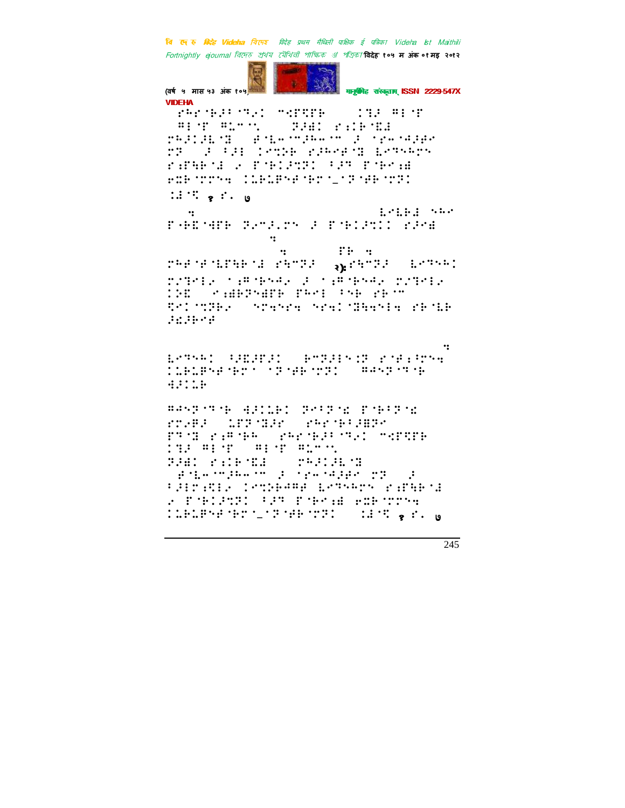चि एत् रू मिन्हे Videha निएन्थ विदेह प्रथम मैथिली पाक्षिक ई पत्रिका Videha Ist Maithili Fortnightly ejournal রিদেত প্রাথম মৌথিনী পাক্ষিক ঐ পত্রিকা'**বিदेह १०५ म अंक ०१ मइ २०१२** 



VIDEHA )⢳⢷⢼A⢹⢴!^⣊/⣋/⢷\*-!⣙⢼.⢻2/! )⢻2/.⢻⣅^⣁\*-!⢽⢼⣞)⣐⢷⣏⣜\*-! ⢳⢼⢼⣇⣝!)⢾⣇⢲^⢼⢳⢲^!⢼!⢲⢺⢼⢾! ⢽\*!⢼!A⢼2.⣉⢵⢷!⢼⢳⢾⣝!⣇⢹⢳! ⣐/⣓⢷⣜!⢴./⢷⢼⣉⢽!A⢼⢹!/⢷⣐⣞! ⢶⣍⢷⣒!⣅⢷⣅⢿⢾⢷–⢽⢾⢷⢽!  $\mathcal{L}$ .  $\mathcal{L}$   $\mathcal{L}$   $\mathcal{L}$   $\mathcal{L}$   $\mathcal{L}$  by  $\mathcal{L}$  by  $\mathcal{L}$ 

Op 39.92.1883:00 10.92.1883:00 10.93.1883:00 10.93.1883:00 10.93.1883:00 10.93.1883:00 10.93.1883:00 10.93.18 /B⢷⣏⣚/⢷!⢽⢴^⢼E!⢼!/⢷⢼⣉!⢼⣞! ius in control de la control de la control de la control de la control de la control de la control de la control de la control de la control de la control de la control de la control de la control de la control de la contr

## $\ddot{\bullet}$

 $\mathbb{Z}^n$   $\mathbb{R}^n$  /s):  $\mathbb{Z}^n$  /s):  $\mathbb{Z}^n$  /s):  $\mathbb{Z}^n$  /s):  $\mathbb{Z}^n$  /s):  $\mathbb{Z}^n$  /s):  $\mathbb{Z}^n$  /s):  $\mathbb{Z}^n$  /s):  $\mathbb{Z}^n$  /s):  $\mathbb{Z}^n$  /s):  $\mathbb{Z}^n$  /s):  $\mathbb{Z}^n$  /s):  $\mathbb{Z}^n$  /s):  $\math$ 1⣙2⢴.⣐⢻⢷⢺⢴!⢼!⣐⢻⢷⢺⢴!1⣙2⢴!  $^{\prime}$  ) )  $^{\prime}$  (  $^{\prime}$  )  $^{\prime}$  (  $^{\prime}$  )  $^{\prime}$  (  $^{\prime}$  )  $^{\prime}$  (  $^{\prime}$  )  $^{\prime}$  (  $^{\prime}$  )  $^{\prime}$  (  $^{\prime}$  )  $^{\prime}$  (  $^{\prime}$  )  $^{\prime}$  (  $^{\prime}$  )  $^{\prime}$  (  $^{\prime}$  )  $^{\prime}$  (  $^{\prime}$  )  $^{\prime}$  (  $^{\prime}$  )  $^{\prime}$  (  $^{\prime$ ⣋⣉⢽⢷⢴\*!⣒⣒!⣒⣝⣓⣒2⣒!⢷⣇⢷! ⢼⣎⢼⢷⢾!.Cbtfe!po!nt.trm!tfswfs!

Fohmjti.Nbjuijmj!Ejdujpobsz⣒! ⣇⢹⢳!⢸⢼⣏⢼/⢼.!⢷^⢽⢼2⣈⢽!⢾⣐⢸⣒! ⣅⢷⣅⢿⢾⢷!⢽⢾⢷⢽.!⢻⢺⢽⢹⢷!  $...$ 

⢻⢺⢽⢹⢷!⣚⢼⣅⢷!⢽A⢽⣎./⢷A⢽⣎. ⢴⢿⢼-!⣅/⢽⣝⢼!)⢳⢷A⢼⣟⢽\*!-! /⢹⣝.⣐⢻⢷⢳!)⢳⢷⢼A⢹⢴!^⣊/⣋/⢷\*-! ⣙⢼.⢻2/!)⢻2/!⢻⣅^⣁\*-!  $\texttt{F.H.}$   $\texttt{F.H.}$   $\texttt{F.H.}$   $\texttt{F.H.}$ ) engels and the second control of the second control of the second control of the second control of the second control of the second control of the second control of the second control of the second control of the second A⢼2⣐⣋2⢴.⣉⢵⢷⢺⢻⢾!⣇⢹⢳!⣐/⣓⢷⣜! ⢴./⢷⢼⣉⢽!A⢼⢹!/⢷⣐⣞!⢶⣍⢷⣒!  $\frac{1}{2}$  . Except the control of the control of the control of the control of the control of the control of the control of the control of the control of the control of the control of the control of the control of the cont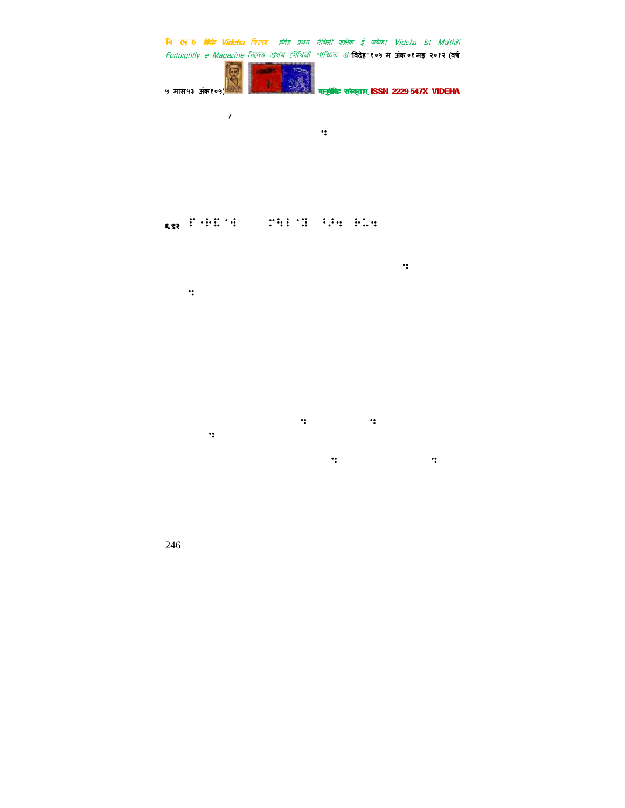|  |  |  |  |  |  | <b>चि एन् रु मिन्हेन् Videha</b> विएम्बर्ट विदेह प्रथम मैथिली पाक्षिक ई पत्रिका Videha Ist Maithili |
|--|--|--|--|--|--|-----------------------------------------------------------------------------------------------------|
|  |  |  |  |  |  | Fortnightly e Magazine রিদেত প্রথম মৌথিনী পাক্ষিক প্র <b>'বিক্লৈ' १०५ म अंक०१ मड २०१२ (वर्ष</b>     |
|  |  |  |  |  |  |                                                                                                     |
|  |  |  |  |  |  |                                                                                                     |

५ मास ५३ अंक १०५) में कार्य कर की बाहु मेह संस्कृत मा SSN 2229-547X VIDEHA  $\mathcal{L}(\mathcal{L})$ 

 $\dddot{\bullet}$ 

 $_{\text{ER}}$  F-HDM  $_{\odot}$  , THP IS (FR) HDM

 $\mathbf{H}$  $\mathcal{H}^{\text{max}}$ 

 $\mathbf{u} = \mathbf{u} \times \mathbf{u}$ 

 $\dddot{\bullet}$  $\dddot{\mathbf{r}}$  $\mathbf{r}$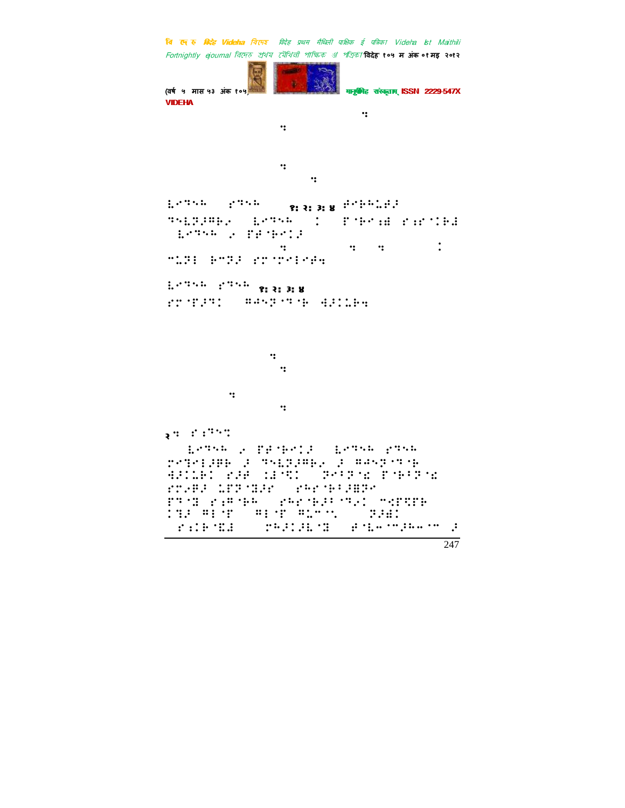

चि एत् रू मिन्हे Videha निएन्थ विदेह प्रथम मैथिली पाक्षिक ई पत्रिका Videha Ist Maithili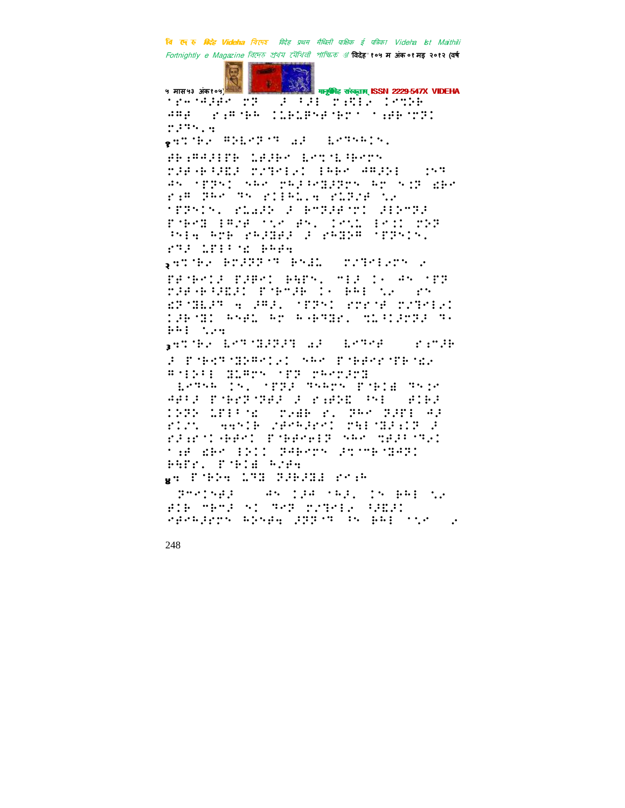

५ मास५३ अंक१०५) । मानुब्रीह संस्कृतम् ISSN 2229-547X VIDEHA trenden 23 (2003) 23512 (2016) amp (properties) (Second terms of the contr  $11334...$ 

permanental de Branca

**BEAMAINE LANGE LOCALIFOR** raegeara report dee geard  $\cdots$ AN TERNI NAM PALEMBIRTN AT NIE WHO ram Per Sh rifelia rubir ti STRAIN, PLAN 2 BORNEON SENCR PORCE EASE COMPANY IMOUR EASE COR Princeto Paggag de Pagga (1995), FUELTIN SPRING

, en des Braggion (Brail () rendern (e

Editeria Eager Barry, Mia 19, 45, 187<br>2008: Galai Eineman 19, 691, New York EPSIERS A PRELIMENT FORMA CORPORA 196781 ANAL AM AGAMER, MIRIPER MG  $1.41 - 1.44$ 

genore benominant av "bener".  $\mathbf{r}$  , and  $\mathbf{r}$ 

F PORTOBERIAL SAM POHENCOBOL # HIPPI HARMY TER MARKETH

(Brank Ch. (22) and the Polis and ARTIST THE THING IS SHARING THE S **A** and a set of the set of the set of the set of the set of the set of the set of the set of the set of the set of the set of the set of the set of the set of the set of the set of the set of the set of the set of the set <u> 198 december 200 de seria</u> fist Teeth Spragul Margarity ranches per present seconda can taf eko 1211 gapor (storpídag)<br>PAPP, forla P2Px

**U**s Pibbs 178 Subdai reak

 $(39915933)$  $\begin{aligned} \mathcal{L}^{(1)}\left( \mathcal{L}^{(2)}\right) & = \mathcal{L}^{(1)}\left( \mathcal{L}^{(1)}\right) + \mathcal{L}^{(2)}\left( \mathcal{L}^{(1)}\right) + \mathcal{L}^{(2)}\left( \mathcal{L}^{(1)}\right) + \mathcal{L}^{(2)}\left( \mathcal{L}^{(1)}\right) \end{aligned}$ BIR MEMP AT THE PRIME. PREST edengers nysda gyper is hnd eye .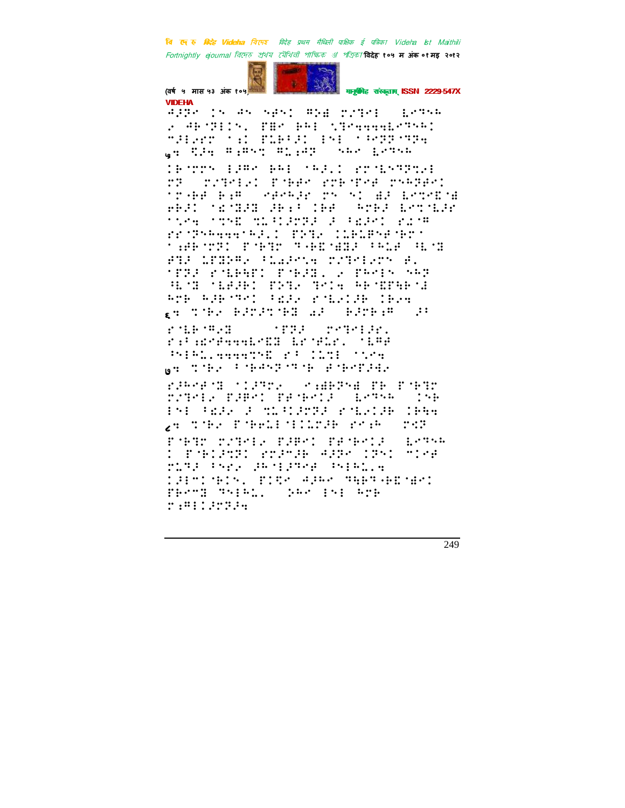बि एक रु मिनेट Videha विएक विदेह प्रथम मैथिली पाक्षिक ई पत्रिका Videha Ist Maithili Fortnightly ejournal রিদেত শ্রথম মৌথিনী পাক্ষিক রা পত্রিকা' **বিব্রৈ ং০৭ म अंक ০ং मइ २०१२** 



(वर्ष ५ मास ५३ अंक १०५) **VIDEHA** 

मानुबेदि संस्कृतम् ISSN 2229-547X

APPA IN AN NANI ADE MITHE (ESTNA 2 ARTHIN, MHT PAI STORRHEOTSE! "HAT 'N TIMM IN 'N 'HTT'T We Min Highly Highly, SAR Letter

IP TTP EPRO PRESSREES TO THE TEST TEACHER MP ( MATHEV) ESPERINGENT MARRENT trake kan sakende me et al bemedia PRINT NENROLES (P.P. 1880) AMBIE LANCERY tice the million of Head Part rrunneernd. Die Cabberrer talenda. Enedo saebnala sela send FOR LEGARE SLAPPIR COUPLASS F. TERPORABHED EMBRES 20 EAMEN MAR ALCA CARDEL PRAY ACCEPTANCE RTE RIESTRI FEIR ESERIIE IERE provide adventured at a advanced  $\cdot$ :

 $f(110, 100, 110)$ **STAR START START START START** rildringskill britis (188 Principalenthi ri Clici (1994) **WHO IS A REAST OF A SECTION** 

ranged times comproming popul TITMES FURNI PROPOSA (ENTOR (198 PH REAGENERISTS FOR CHAIRS geometry in the LEO Exchange of the  $\mathbb{R}^n$ 

Poble estaty functional consequents D'ESPLANAI ENAMAR AARS (251 MISE MIRE PARK PROPERTYPE PAPALLA Carnineis, pick ager maemaernaci FRAME WAIRL, SAW INE AMP 2:8:122334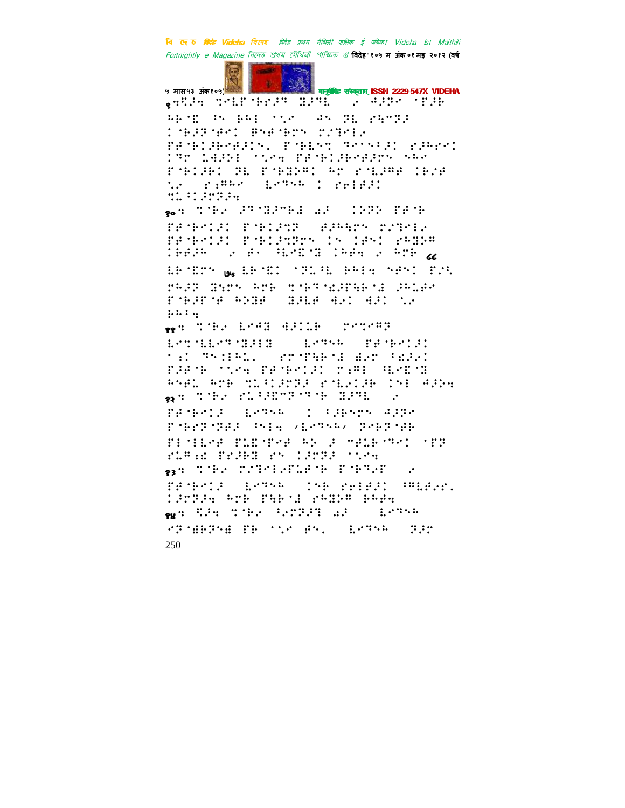

५ मास ५३ अंक १०५) । मानुक्रीह संस्कृतम् ISSN 2229-547X VIDEHA **QUEST TOLE TENSOR BATE:** (2014-2015) MEAN when the paper of the control as ni sampa **CONSTRAY BRACHER PATRIC** PROPERTY POBST POSTAGE PRESS STA 14221 (1954 PACHECAPORTS SPO FALLED TE FARRY AT PALLED CHOO ta ra<sup>mma</sup> kensk barier: that and a post the Production of Corporator FACHOLIC PORTAGE (ALGARY CLIPS) FRONTIN PORTFOLIO DE LAST PARA 19835 - 2 Br (BRETE 1984 2 PTB 22 LE MONT GG LETTER TRIPLE BRIGHT NEND FOR rado dara are cientíadose deles ruera som mara allaman de  $1.1.1.1$ <sub>22</sub> TTES ESSE ARILE TESTS **LOTELOT THEIR ALTER PROPERTY** ti mile. Transa FARME MOME FRONTIL MARIO HARMS PAPE POR CONSTRUCT POLICIP INFORMATION gyn che finanzere mann  $\ddot{\phantom{0}}$ FRONT LONG (1985-1985) APP Pobrada (Sig) Arash, and dh TIME TIEMPH AN A MALEMAN MT fland fries ry 13573 (tre <sub>03</sub>: The Municipal Political  $\mathcal{L}$ FRANCIS ESTAR TAR PRIRI SHERRY. 195994 ASE PARTE 24828 BAA4 age the topic torner are showned **PROBERGED TO SAME AND SECTION SERVICE** 250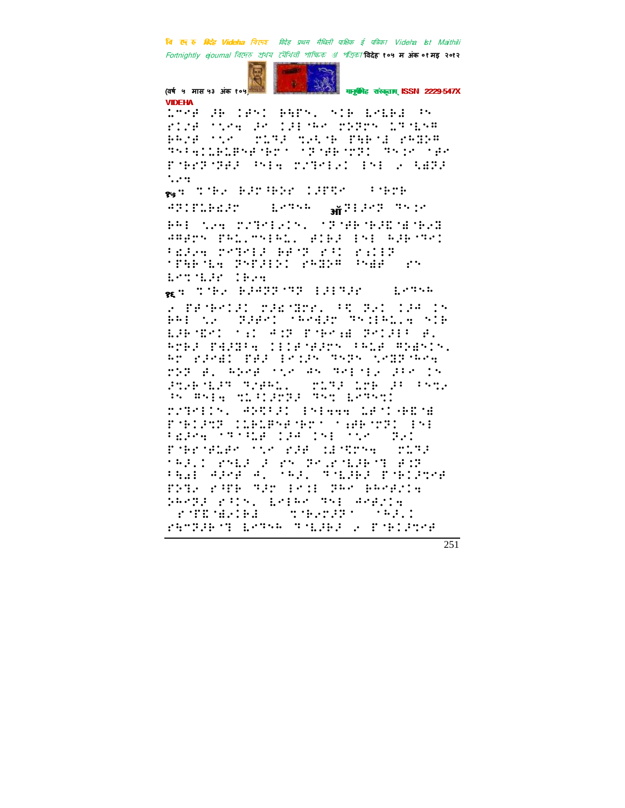बि एक रु मिनेट Videha विएक विदेह प्रथम मैथिली पाक्षिक ई पत्रिका Videha Ist Maithili Fortnightly ejournal রিদেত শ্রথম মৌথিনী পাক্ষিক প্রাণবিলিক বা স্বার্ক ১৭ মন্ত ২০৭২



(वर्ष ५ मास ५३ अंक १०५) **VIDEHA** 

मानूबीह संस्कृताम् ISSN 2229-547X

LTVA SR (AN) BAPN, NIR LYLBE PN rice time an 1917-bh ridre 1771-0 PROFILMO CONFIDENTIAL PRESENTATION <u> Aslandina Art (1946-191 Asla Tar</u> PORTUGAL PHALOGRAPH PHILALERS  $\ddots$  :

<sub>99</sub>: The BROGEN CROSS **Simple State** HPIPLBEAM (BRTSH) WEBFARE TSIM

PH NH MIRING (SPHPREMBIR AREN PROSTABLE BIBD 151 RDB-781 PARA TETRIS RESEARCHER trens person rede bus  $\cdots$ Lett the Chen

**R**EACHER BRANNING ERENE ( Ernsa

2 TAMPAIRI MARGAREZ AR BAI IBA IN PRESS, SPREAD SPARE TRIPLE, SIR EPPOSITION ASSOCIATED Arba PAADH (Blandary (Ale Abayly) RE PROBLEMA BOOK TORO NORTHAON rif al ang sin an anggungang  $\cdot$  . POSE SPR ROBERT (PLRP LOF PROPERTY By White Millers Who Lewell rrants, applicities articled rakiana (1919-1954) era alegrafi (15)<br>Pease annatze (14) (15) anno 201 Pobeneles the ede distribution that Pekis Peta a m antarageng gay PAUL APAR A. SAP. THIRP PORTPOR THE PATE TAY EST TES ERSENG SARRE PRINT EREAR THE ARBITA **STEPHATES** PROFINS LONG SALER & PORTPO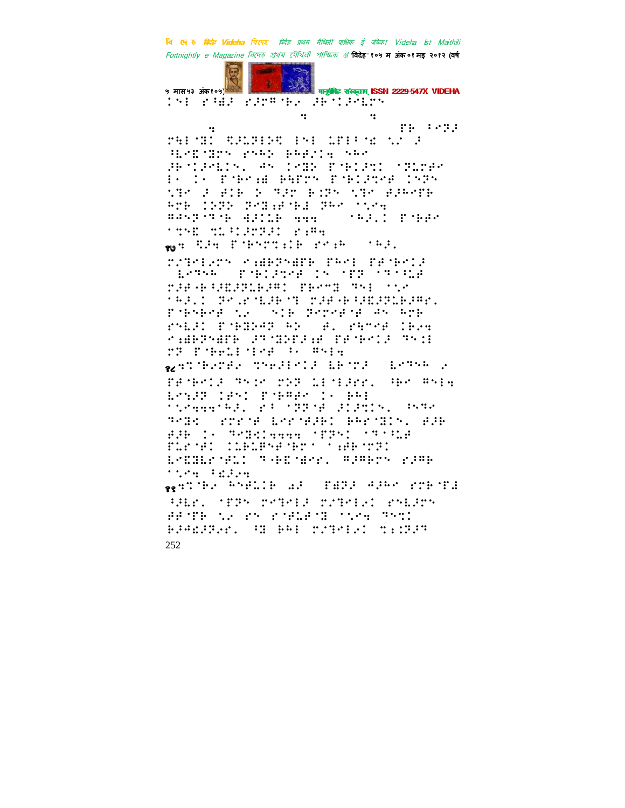

५ मास५३ अंक१०५) मनुमिह संस्कृतम् ISSN 2229-547X VIDEHA In: PAB PROPORT BOIRNEY

 $\dddot{\mathbf{z}}$ 

TH POIL PHOBI RALBER ENE LEFTA AN A HADMEN PARK BRENIN SAM **JESTIFALLS, AS LEWE PORTION OFLIGE** Be le Pobrad BATTS Poblatra (SPS the down: Somer Bins the Willems President Programs PRA Star **STARK PORT** BAST THE BILLE HOW **1950 01:11:00:00 01:00** 

me Wit Portrill read only

rathers compoure red redeal SEPTER COMMENTER TRONGE rae estarantes recon del con MARIO PAGAMERAN MARYA PREPERANGI Pobsker (2000) SIR Pereformas Ark ryll: PyBD45 AS (#. range lb.g KABERNADE SPORERER DENESSE PRIE TT PARLENGE WARE

gan German (norderland) is one (is not be

FRONT THE TITLE WELFIRE, HE THEY ESSAR TEST PORRES IN RAD tingeened, richtere didtin, Phra Prime ( and the Log theme ) beatings, ( Beb BUB 16 SPEEDWARE STRAINS STAR FLENED CLELPHONES (1981-22) BOOKSTED THERE SPIRE FINE

**Time Paden** pennik brewie af (PAPF APP) prespa SALE, STRA PATALA PATALAI PALAPA BENDEN IN FORGET MAR THI BJARITAR, AT BAI STREAM STRIP 252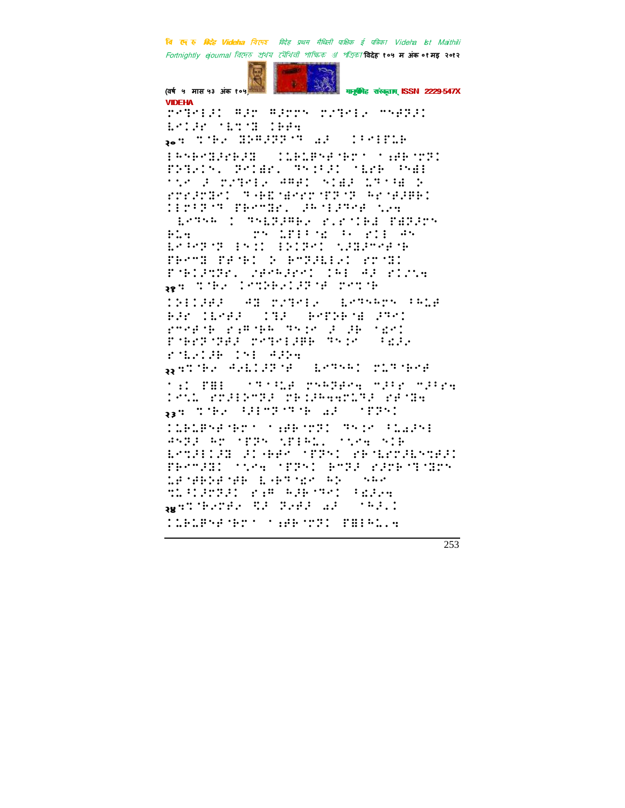बि एक रु मिनेट Videha विएक विदेह प्रथम मैथिली पाक्षिक ई पत्रिका Videha Ist Maithili Fortnightly ejournal রিদেত শ্রথম মৌথিনী পাক্ষিক প্রাণবিলিক বা স্বার্ক ১৭ মন্ত ২০৭২



(वर्ष ५ मास ५३ अंक १०५)

मानूबीह संस्कृताम् ISSN 2229-547X

**VIDEHA** reneis: #3r #3rrs reneis ms#B3: ESTAR MESME IPPH positive HPRPPP WE TEMPLE

:PRESENT COOPERTY THETE PRINCE POINT TENNIS MER PAN the Porters American Little S rredrakt septaker mang ernedet **TEPPS TEST (Professor**) ESTAR I TALBURES PLPTIED PORUM TV LEFT M (3) 211 45  $H:U$ Reference in Birel Charles a FROM PROPISE PORTHER STORE POBLEMENT CHARACTER AR BIDGE per the Condesigner porth **TRITHE WE STREET ESTARCH FALE** BAR (1983) (TD) BRTSBYE (PR) rocede ramoes sync 2 de cast PORTUGE TETHING TO SAID BELL rista in ware man de la cartera de la cartera de cartera til PB: (triga psagasa mare marea ISM PTHISTE TRIPHENTE PROB ash different filters and a seriest TIRING SET TAGETED TELEVISION anggoap (ppn Kriekloning nije ESTRICH RIGHT STRY SPORTRYNGRI FRAMER: Michael (FFRA) RMTE SEPROTORMA weren en kantal is  $\ddots \ddots$ milion and the state of the state of the state of the state of the state of the state of the state of the state of aged thereby diff deed all (1991) **TERCHSPHONE (REST) PHIRD.4**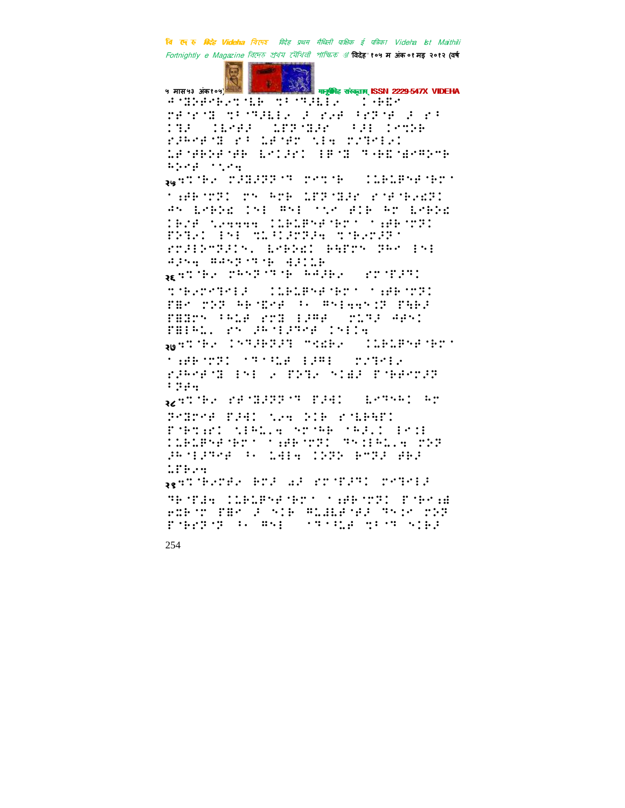बि एक रु मिनेट Videha विएक विदेह प्रथम मैथिली पाक्षिक ई पत्रिका Videha Ist Maithili Fortnightly e Magazine রিদেত প্রথম মৌথিনী পাক্ষিক প্র' विदेह' १०५ म अंक ०१ मइ २०१२ (वर्ष



५ मास५३ अंक१०५) । मानुक्रीह संस्कृतम् ISSN 2229-547X VIDEHA **ANDREWS NEWSFILM CONTROL** TENTI TETRILE JOSE ETPE JOSE **THE MARK ATTENDS FREETWIRE** rabered ri dange tie ergenis LA MARGA MARCARET (1878) A ABRIMAARSHA  $\mathbb{E}\left\{ \mathcal{L}^{\alpha}_{\mathcal{D}}\right\} =\mathbb{E}\left\{ \mathcal{L}^{\alpha}_{\mathcal{D}}\right\}$ 

WHITEH CARAFETT CHITE (CLELENETECT

telectricity are introductional reads An Especies and the side ar Espec TRIP SPAAA TIRIPA'RT' 'HR'TT FRING INFORMATION SCHEMEN rrathers: Lebhai burre The 191 Agree Wardters Agosse

RESULTED USING THE RESULT OF THE SEA

thermal Classenro (Abort THE TIT RESEARCH RESEARCH THEF FARTY FRIE FOR 1988, TITE APY! FBIRL PR PROPERTYPITH

apartness (STARPATE TREES ) (LELPSP TED)

**SARATED STARRED PROPER** 

rawers in a file nua roberta **Print** 

Rent the control of country and control are

PORTON FRAME WAS SIDE STEAMS PORTHER SEALLS STORE CAPILY PRIE **CONDENSATION CONSIDERED** JETIJSKA (F. 1814) 1930 BTDJ ABJ  $...$   $...$ 

<sub>ag</sub>us (Burdu (Bra) aa chronagol negela

TRING CORDENSIVE SHERTIC PIPER embor fme a sib miggeral model pip PORTUGAL RAD CONSTRUCTION STRE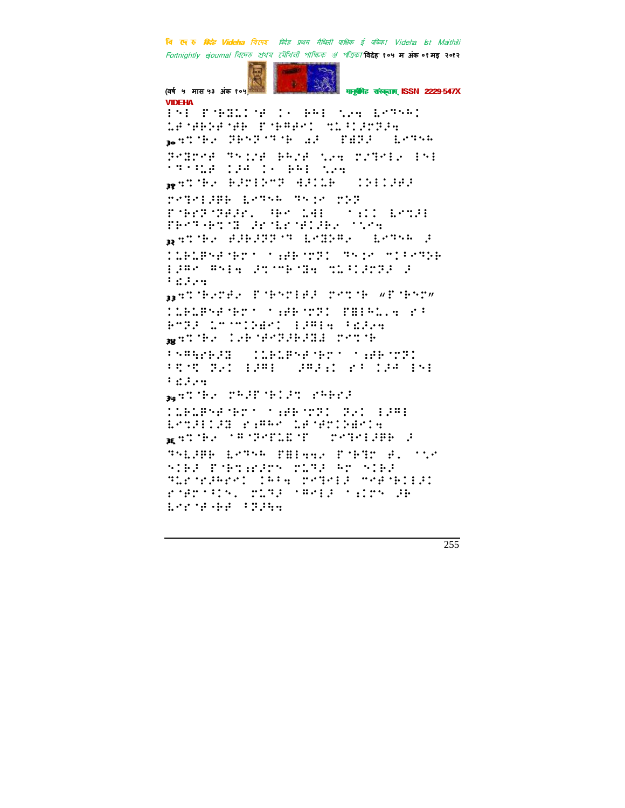बि एक रु मिनेट Videha विएक विदेह प्रथम मैथिली पाक्षिक ई पत्रिका Videha Ist Maithili Fortnightly ejournal রিদেহ প্রথম মৌথিনী পাক্ষিক প্র পত্রিকা**'বিदेह' १०५ म अंक ०१ मइ २०१२** 



```
मानुभीह संस्कृतम् ISSN 2229-547X
```
(वर्ष ५ मास ५३ अंक १०५) **VIDEHA** Pri Predicte la 641 des 1875-1 LEABRANE PAPPEL MUSICARE **WATCHER PROPORTIONAL PEPP LESSON** PARTAR TRIJE ERJE NAV MJEMEA ERE **STARR DER 18 BRE NAME** RELEASED FROM PROPERTY  $\frac{1}{2}$  :  $\frac{1}{2}$  :  $\frac{1}{2}$  :  $\frac{1}{2}$  :  $\frac{1}{2}$  :  $\frac{1}{2}$  :  $\frac{1}{2}$ **POTOLIBE LOTAL TAIN TIP** PORTUGAL AR LAN SILLARIA bertand lede dilas sina parter Buburren bezone (Benso d **CLELPSEMENT MANE MAY ASSESSED** EPRO RNEW STOCK MA MISSINGS S  $\mathbf{1}$  :  $\mathbf{1}$  :  $\mathbf{1}$  :  $\mathbf{1}$  $_{33}$  and the number of the number of the second second second second second second second second second second second second second second second second second second second second second second second second second sec CLELBYE (BOSS ) (HESOON) POIPLING (PS 8722 177715871 12814 12224 agen the Cleb territorial cremits **FARRISH CORDENSTRY THEORY** FROM THE 1980 HOLE OF 1980 INE  $\mathbf{1}$  :  $\mathbf{1}$  :  $\mathbf{1}$  :  $\mathbf{1}$  : **No. 2010** For the second second second second second second second second second second second second second second second second second second second second second second second second second second second second second CONCRETENT SHETTI TAL COM ESTATIVA PARA LAMATINASIA RETURN OF THE ENT. THINK HE A THERE ESTAR SHIRRY FARTY R. TYS SIEP PORTHERS TIME AT SIEP Sirriered Inte report mention robrets, play case colps HP here do has righten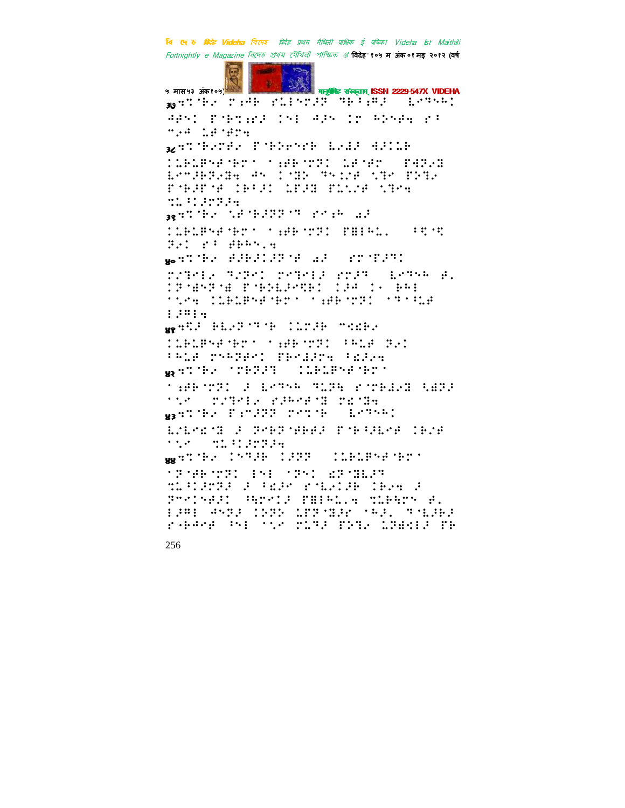बि एक रु मिनेट Videha विएक विदेह प्रथम मैथिली पाक्षिक ई पत्रिका Videha Ist Maithili Fortnightly e Magazine রিদেত প্রথম মৌথিনী পাক্ষিক প্র' विदेह' १०५ म अंक ०१ मइ २०१२ (वर्ष



**All Services** of the SSN 2229-547X VIDEHA ५ मास५३ अंक१०५) BOWN THE PLENTIF WITH LEADER APSI PORTHER TSE APS IN ADSPECT muse defensere WATCHPER PORTROLL ERAP ARTIE CONFERENT THEORICATES ESTARRADE AN IMBN PNICE NOS EROS PORTOR IRACULTA PLUM STOR misterar  $_{36}$  and the condition properties are **CONSERVATORY SERVICES** Tel ri Shanga wenter freelspine are control. STRIK ROPE SPORT STAR (1995-19) **TRANSA PARLEMENT TEM IN BAI MARK CORDENEMENT MEETING MARKER**  $: 100111$ well blady the Clock weeks CONSENSATION AND MOVING CONSENSION PALE TORPHOL TECHNICA PERSON wender (1992) (1991-959) THE TEL 2 LOTG TER FOREST LEFT tir Trick race Trite watched ParkPP retib (18754) LARAN F POSTOBE PREBRA ING **SAME SECTION** WHITEH INTER LEPP (ILBLENE TRI) **MEMBERSHIPS (SECONDS)** mathwar a fear roboth them a Protest Servic PHESIA Sieers B. 1991 4592 1992 1993022 1992 19930 range billier with Thir Charle Th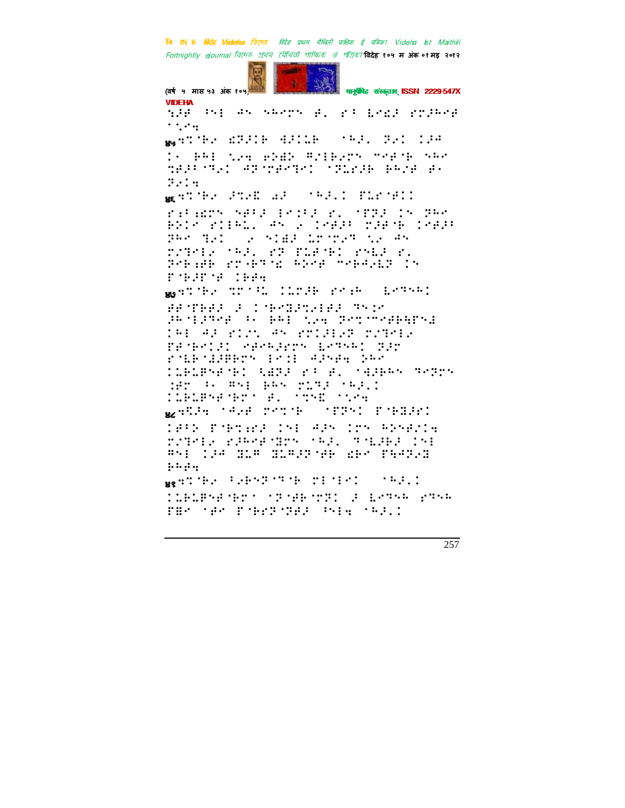बि एक रु मिनेट Videha विएक विदेह प्रथम मैथिली पाक्षिक ई पत्रिका Videha Ist Maithili Fortnightly ejournal রিদেত শ্রথম মৌথিনী পাক্ষিক প্রাণবিলিক বা স্বার্ক ১৭ মন্ত ২০৭২



(वर्ष ५ मास ५३ अंक १०५)

मानूबीह संस्कृताम् ISSN 2229-547X

**VIDEHA** APP PAI AN NAPON B. PT EPEP POPAPE  $\mathcal{L}$  ,  $\mathcal{L}$  ,  $\mathcal{L}$ WHITE ERRIE HRILE (1981) TAILORE In BRE was edgd Acibert modern the MARK MAIL AP MARKEY (1912)AR (BR28) BK  $2.44$ westike Pred af (1991) Planet. rilms affiliate running tach BRIA VIERD, AN 2 IABR 228-4 IABR **SECTION CONTRACTOR PRACTICE** PARTIE TRAV VR PLATED VREA V. Poblek rockach abor mobeled (S **POSSESS PRODUCE** months trial lings reasons here. BENDER 2 COPARTER THIS

*p*angreg () paping promobered IRE AF RIZI AN ROIFER OZTMER FRONTIL SPEARED ESTART TRP rdbusser Pod Ara 250 TIRIPSAME: GARA VA A. MAJARS REPUS 182 : Paris Ben 2172 (521) CLELBYFORD (B. COVE CLYR WARPA SALA PARTE STEPH PIREPE

TARE PORTER INFORM THE ANNAILS DZIPER BRAGENION (AR) ANIGRA (NE ski (S 118 1182) Ar de Provin  $1.1.44$ 

went the chefter that in the context of the co TIBIBY MATT TO MATTED A BROWN SON FBP (SPP PSBPFTBD) (SP) (SP))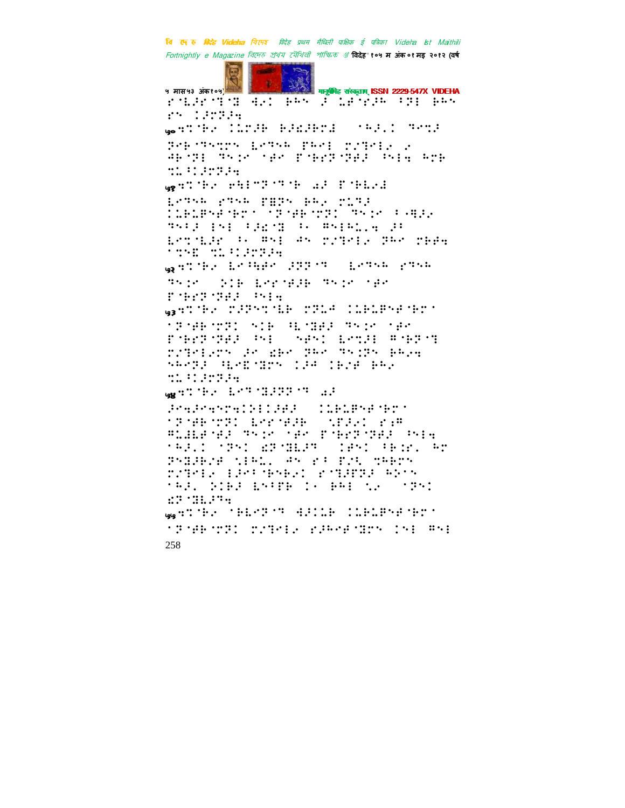बि एक रु मिनेट Videha विएक विदेह प्रथम मैथिली पाक्षिक ई पत्रिका Videha Ist Maithili Fortnightly e Magazine রিদেত প্রথম মৌথিনী পাক্ষিক প্র' विदेह' १०५ म अंक ०१ मइ २०१२ (वर्ष



५ मास५३ अंक१०५) मनुबेदि संस्कृतम् ISSN 2229-547X VIDEHA rance of the Auto American Charles and American an caraa werth Code Banders (1911-1981) Personale Leona Pael Schell AB THE TRIP OF A PORT PREPORT IN EXECUT the student and wenter earning the all popular Lease Fase PHPs Ber 2137 CONSENSATION OF THE TORIC RATE OF HILL **THE PAPE PROTECT CONSIDERATION** Entitle Control and province of particular wenth, Ersher Spring Ernse Post Thir (216 Lerosale Thir 197 **PARTIEL BALL** WRITE: PROPORTED POLA CLELBARCHOO **SPORTS SIR ROBERTS TO SET** PORTUGAL PHOTOGRAPH FORTH ratelers in decline things been SAPPE HERTHING IS INTERFER **MARK PERSON** WHIP RESERVE AN PrePresential Clauserer **SPORTSILES**  $\mathcal{L}(\mathbb{R},\mathbb{R})\subset\mathbb{R}^{n\times n}$ BLALPAR SYSTEM FROM PARTICULAR A 'All' Thi drille (1851 Feb. Ar PRINCE SEAL AR PROPERTY rately last member a different spec tel, biel bright in each the true  $17.111.144$ westle there's gripe infirmation **SPORTURE CONTRES ESPAGENHOME EMEMBER** 258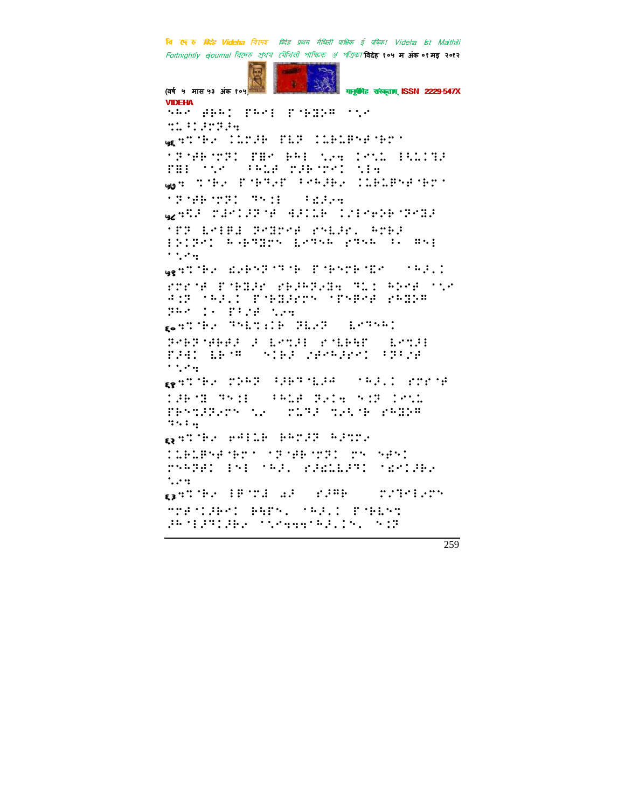बि एक रु मिनेट Videha विएक विदेह प्रथम मैथिली पाक्षिक ई पत्रिका Videha Ist Maithili Fortnightly ejournal রিদেহ প্রথম মৌথিনী পাক্ষিক প্র পত্রিকা**'বিदेह' १०५ म अंक ०१ मइ २०१२** 



मानूबीह संस्कृताम् ISSN 2229-547X

(वर्ष ५ मास ५३ अंक १०५) **VIDEHA** sar gaaj part poblem ovr  $11.41.417744$ GENUTES CLOSE FER CLELPHENES **MINE WILL THE BAIL LEWIS CONSTRUCTS** THE MAN PROFINE THE TABLE gon Tibe Pibrer Pengee Claudensheim **TEMPTE TEMP REPAIR** web ranche estas cherentera 'TP LOIPE PORCH PALAC, ATEP ENIPEL BABSERS LESSON FOSB IL BSI  $\cdots$ Gentlin debyting fineshing (1922) rrow former regenerations encoded ANY TASI POBSETT TEMPER PASSA 358 13 3328 529 contributional contribution of the contribution of the contribution of the contribution of the contribution of SYRTHREE E LOTE STEER  $\sim 1.45$ FAAD LETE (SIER SACHART FRISA  $\cdots$ <sub>ER</sub>ANCHE STRAF FRANCHER (1942) POPPOR **THAN THIS SHEETHING TO THE STATE** FRANCHEN MA (TIME NARDE PARAM  $\cdots$ . gathe efflication same CONCRETENT STORESHIPS NEWS ryage: End (all, rinnleg: (nr)186.  $\ddots$  : gandhe (Pondoa) (286) **CONFIGURE** TTESTING NUTS, SAILT FORDS BRIDGE MANUFFILM SH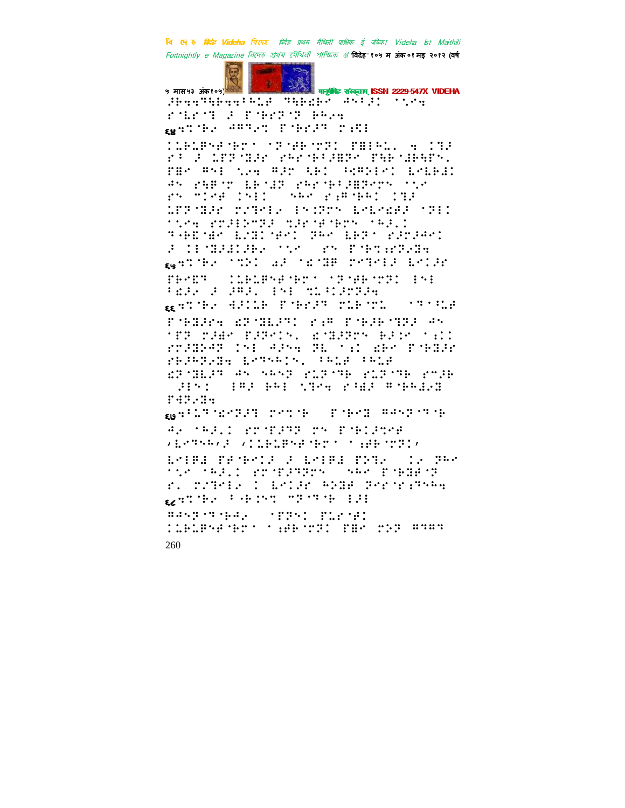CLELPSE SET (1719B 127) 151  $11.4111$ PRAGUAL ARAGUA EN EUROPA DE MARCADO **E**STER BRIDE FERRY THRIDGE  $\cdots$  :  $\cdots$ rdaade ardaart een roeanoren 45 'TS rae TSP:\ &'BSP> BER '10 PTINAR INE APNE RE TEL WAT PORCH released create and a RTMBUR AN NANT POTME CONTROLLED  $\mathcal{L}$  :  $\mathcal{L}$ **THE BALLYRY PART PARTIES** ranona. ment and the second of the second second second second second second second second second second second second second second second second second second second second second second second second second second second second AP TARIT RETERRE EN ETHIRER **VERTSHAR VILLELESH SET TO HAR STRIA** LAIRE TRANSVILLE LAIRE TYTE (100 THA **TAP TREE STORES TO NHA PORREST** r. T.The C. Leigh Ande Perchange general Partner meneral pro  $\texttt{max}(\mathbf{y} \cdot \mathbf{y} \cdot \mathbf{y} \mathbf{a}_1, \ldots, \mathbf{a}_n)$ **STEPHENORTHER CONSERVANT 1 (AB 1931) PHY 2022 ANAR** 260

**CONFIDENT (PARTIER POINT)** FOR STRING PROPORTS THOMBHT. FBP AND New APP ART ANARROT EPERGI AN PRESONABING PROPEREDOM SAM PS MIRE ISED (SAR) PARTERL INE WPSBR TATER ISSTED WERE STIL the reflected the street service THE NEW EVERYBY: THAN EBT MOVING: F CONDICING THE CONDITIONS position into additional problem bride

ः<br>अपनुभिद्द संस्कृतम् ISSN 2229-547X VIDEHA ५ मास५३ अंक१०५) समर्थ है। JEGGTERGGIRGE TERGEŽ AŽI]: 'SZG riri a ririri ee. permanent presh red



बि एक रु मिनेट Videha विएक विदेह प्रथम मैथिली पाक्षिक ई पत्रिका Videha Ist Maithili Fortnightly e Magazine রিদেত প্রথম মৌথিনী পাক্ষিক প্র' विदेह' १०५ म अंक ०१ मइ २०१२ (वर्ष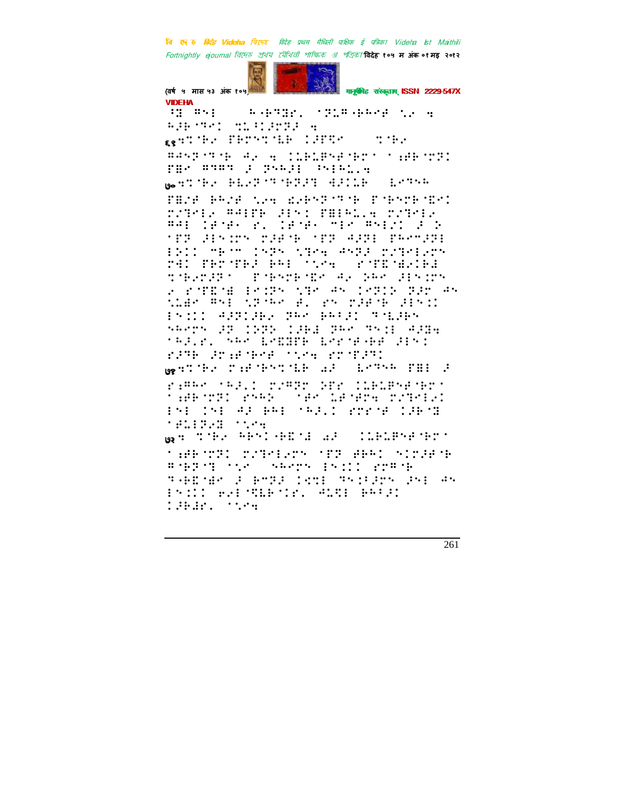बि एक रु मिनेट Videha विएक विदेह प्रथम मैथिली पाक्षिक ई पत्रिका Videha Ist Maithili Fortnightly ejournal রিদেত শ্রথম মৌথিনী পাক্ষিক রা পত্রিকা' **বিব্রৈ ং০৭ দ अंक ০ং মহ ২০ং২** 



(वर्ष ५ मास ५३ अंक १०५)

मानूबीह संस्कृताम् ISSN 2229-547X

**VIDEHA**  $\mathbb{E}[\mathbb{E}^{\mathbb{E}} \times \mathbb{E}^{\mathbb{E}}]$ **A** BOSTO (TIMBER) **APPENDING TO STATE OF** <sub>ce</sub>arder ferromae (SPR) (  $\mathbf{r}$  . The set of  $\mathbf{r}$ 

##SPSTS #2 # CLELPSFSPY THEST? FRE WHERE SEPARE SAINLER  $\mathbb{R}^{2}$  and  $\mathbb{R}^{2}$ 

FACE PROFISING WORKSTOP FOR MOTORS rated madre disc reduce ratedy TENER PLOTENER MEMORINES ES  $\ldots;$ **TER RESIDS DRAGGE TER ARRE ENTIRE** ERIC MEAN CREATAGEARE MARE MOTALON MAC PROVERS RAI SOME SOMEORIEN there we have the serve that the serve 2 POTENE ESCRA NES AN 19712 PRES AN wien And warmer ei en zaere adnat PRID AUDIONS DAR BAGUI TELUA Serve an 1989 lake new SS 2006 **TRACK SPO EMERGE EMPLOYE (FEST** rank arefews the rrigan **WART THAN IT WE TENN TEEN WE CAN A SUMPLIF TEEN A** rame (es. Cromo Spr Claiment) tadenti reel ten landra ruina. ESE ISE AP BRE SREEI PRESE IPPS **MAGERIAR MAGE** we the FEST FETER CONDENFIED. **MARK MARKET START START START RIGGERY CAR CONFIDENTIAL CONTROL** terne a produced the province

ESCO PRESENCE, ALTE BRIDE

Dibar. Man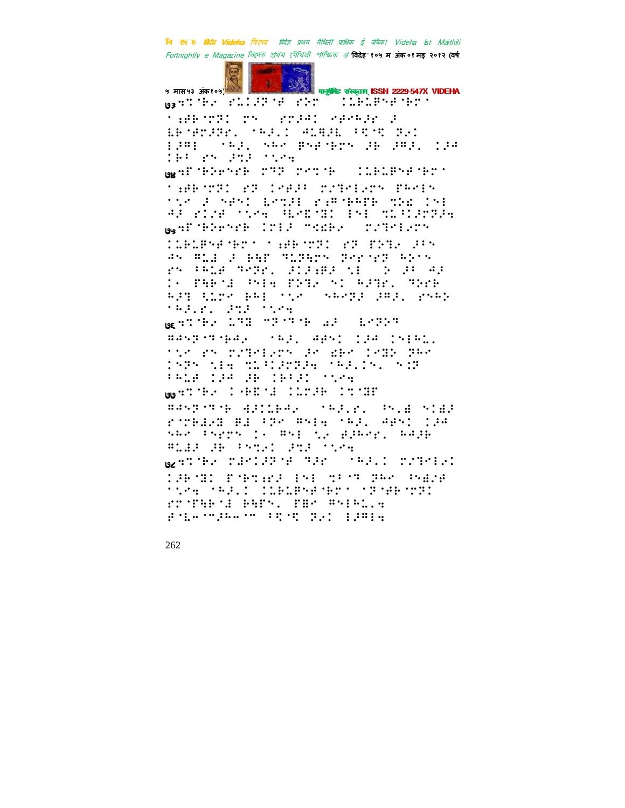बि एक रु मिनेट Videha विएक विदेह प्रथम मैथिली पाक्षिक ई पत्रिका Videha Ist Maithili Fortnightly e Magazine রিদেহ প্রথম মৌথিনী পাক্ষিক প্র **বিदेह १०५ म अंक ०१ मइ २०१२ (वर्ष** 



५ मास५३ अंक१०५) <sup>25</sup> गानुभीह संस्कृतम् ISSN 2229-547X VIDEHA <sub>03</sub>93792 PLIPP # PPM (118185878787

tagents the pregno rered a Brunde, 'Will Scotland's St EPRESS MARI SAM BREMEN PROPRESSION 193 PM 252 MMH

w:Pikesph 233 2011 (1161Phf1621 tan uzu az legan azarlark gerik

the Power Este rawders the 198 AF PICA STRA (REPRODUCT) INFORMATIONS **Best theoreth (PEF Starke) Principal** 

TIRIPSPORT TARGET 22 FML 215 AN ALE S BAR SLOWN ONE MOTH WH PS PALE REPR. STORES NEW DOCK AP **I- PARTE PRIA PRIA NI PAIRI TRAP** agg three paperness saegu gag, gsap **TRACK AND TIME** 

**BEACH AND STREET AND RAPPART** aasporopal (sel, apsi 198 1516). the re-rubblers as des ledge par 1585 MH MIRIPER (562.15. 548 Pela (PA de 1692) svse

**WORKING IS A READ OF A SET AND INCOME** 

##SPOTOB ARIGHA (OSPRIZZ, PSIA SIAR romans es tre maja san, apar pra nar three plants; no guard, adda BLAP PROPERTY PUP TIPS ezernek marisene mar (1981) margaret

DESI PATAR ES TRATADO PAR tives that I coaldanging the transfer FTTERIE RATH, THE WHALE Bill Standard Carlos Standard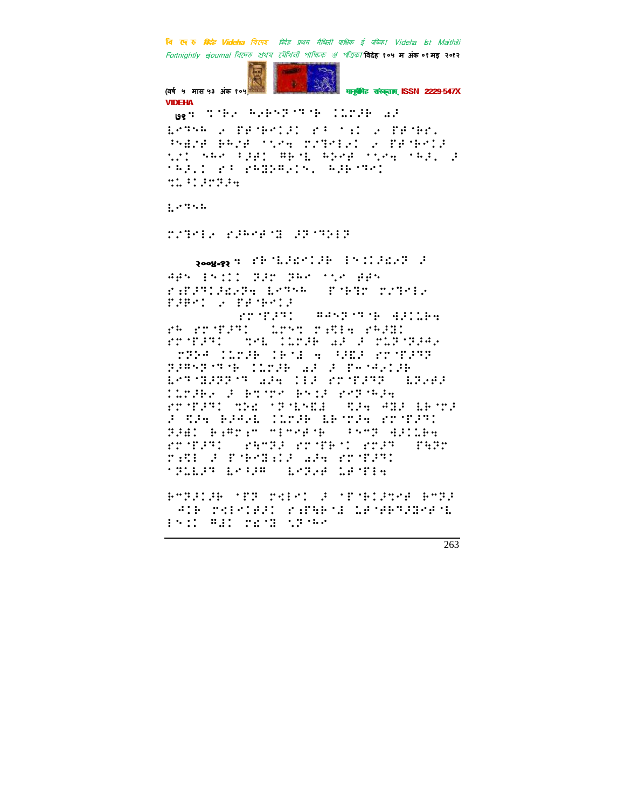बि एक रु मिनेट Videha विएक विदेह प्रथम मैथिली पाक्षिक ई पत्रिका Videha Ist Maithili Fortnightly ejournal রিদেত শ্রথম মৌথিনী পাক্ষিক প্রাণবিলিক বা স্বার্ক ১৭ মন্ত ২০৭২



मानूबीह संस्कृताम् ISSN 2229-547X

**Get Time Reportive Clock as** ESTAR A PROPOSICATO NEL A PROPIN PARTE BROAD TOPA CONFIDENT & PATHOLS the same again and angle then that a **TREED BY PREPRIES REPORT** the students and

 $\mathbf{L}$  and  $\mathbf{L}$ 

**VIDEHA** 

rather representative professor

Room-82 T FE TELESCOPE IN LIFE PLACE P April 1931 (1938) dari siya ger ratuudaku benggo pengongnik rand a remote

**ARABITE SILLER** and the state PROPERTY LESS FRIE PRED épséggi sekulorak aasa popugaak TRE CONFIDENTIAL REPORTER BRANCH COSE AND PESAIN ESTMERTS WAS THE PROPERTY ERAPP TIMARY A ROOM RYON PROPORA FUTURE THE CRIEFER CRIM AND LETTE 3 SPA BRAGE COORD OP TEA STORES FAAD BAARYAM MEMARKA (1987 ARDIBA FOREST PEOPLE FOREST FORM aras: bisil di ndeksida lagu prongsi **STARF REGRO RETAR DESTIN** 

BMB313B MEB MAIRI 3 MEMB13488 BMB3 **AND MARKED PATHERS LARGETING S INST WELL TEST SPEAK**